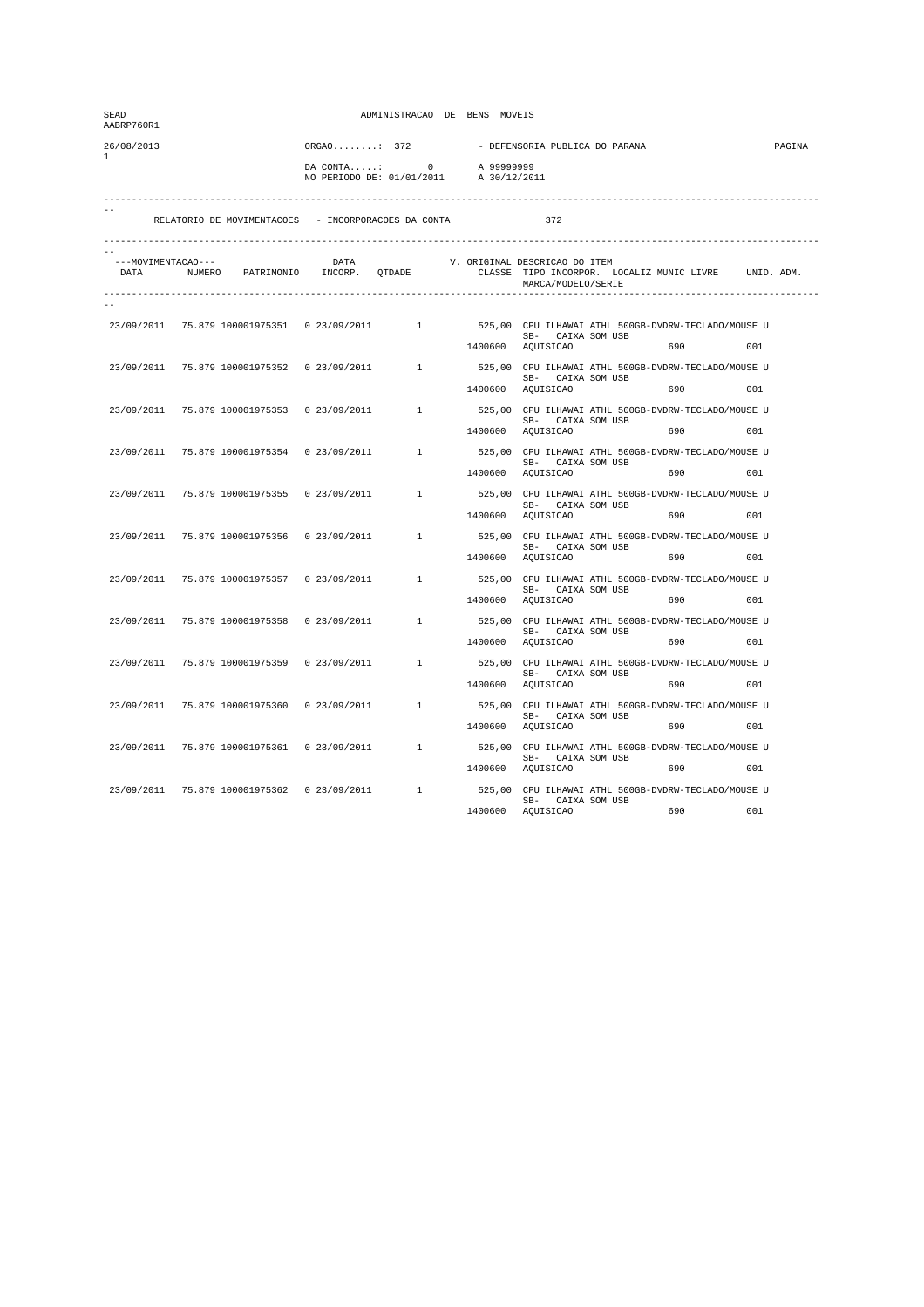| SEAD<br>AABRP760R1 |                                               |               | ADMINISTRACAO DE BENS MOVEIS                                                  |              |                                                     |                                                                                                                        |        |
|--------------------|-----------------------------------------------|---------------|-------------------------------------------------------------------------------|--------------|-----------------------------------------------------|------------------------------------------------------------------------------------------------------------------------|--------|
| 26/08/2013         |                                               | $ORGAO$ : 372 |                                                                               |              | - DEFENSORIA PUBLICA DO PARANA                      |                                                                                                                        | PAGINA |
| 1                  |                                               |               | DA CONTA: 0 A 99999999<br>NO PERIODO DE: 01/01/2011 A 30/12/201               | A 30/12/2011 |                                                     |                                                                                                                        |        |
|                    |                                               |               | RELATORIO DE MOVIMENTACOES - INCORPORACOES DA CONTA                           |              | 372                                                 |                                                                                                                        |        |
| ---MOVIMENTACAO--- |                                               | DATA          | --MOVIMENTACAO--- DATRIMONIO DATA V.<br>DATA NUMERO PATRIMONIO INCORP. QTDADE |              | V. ORIGINAL DESCRICAO DO ITEM<br>MARCA/MODELO/SERIE | CLASSE TIPO INCORPOR. LOCALIZ MUNIC LIVRE UNID. ADM.                                                                   |        |
|                    |                                               |               |                                                                               |              |                                                     |                                                                                                                        |        |
|                    |                                               |               |                                                                               |              |                                                     | 23/09/2011 75.879 100001975351 0 23/09/2011 1 525,00 CPU ILHAWAI ATHL 500GB-DVDRW-TECLADO/MOUSE U<br>SB- CAIXA SOM USB |        |
|                    |                                               |               |                                                                               |              | 1400600 AQUISICAO                                   | 690 001                                                                                                                |        |
| 23/09/2011         |                                               |               |                                                                               |              | SB- CAIXA SOM USB                                   | 75.879 100001975352  0 23/09/2011  1  525,00 CPU ILHAWAI ATHL 500GB-DVDRW-TECLADO/MOUSE U                              |        |
|                    |                                               |               |                                                                               |              | 1400600 AQUISICAO                                   | 690                                                                                                                    | 001    |
|                    |                                               |               | 23/09/2011 75.879 100001975353 0 23/09/2011 1                                 |              | SB- CAIXA SOM USB                                   | 525,00 CPU ILHAWAI ATHL 500GB-DVDRW-TECLADO/MOUSE U                                                                    |        |
|                    |                                               |               |                                                                               |              | 1400600 AQUISICAO                                   | 690 80                                                                                                                 | 0.01   |
|                    | 23/09/2011 75.879 100001975354 0 23/09/2011   |               | $1 \qquad \qquad$                                                             |              |                                                     | 525,00 CPU ILHAWAI ATHL 500GB-DVDRW-TECLADO/MOUSE U                                                                    |        |
|                    |                                               |               |                                                                               | 1400600      | SB- CAIXA SOM USB<br>AQUISICAO                      | 690 001                                                                                                                |        |
|                    | 23/09/2011 75.879 100001975355                | 0 23/09/2011  | 1                                                                             |              |                                                     | 525,00 CPU ILHAWAI ATHL 500GB-DVDRW-TECLADO/MOUSE U                                                                    |        |
|                    |                                               |               |                                                                               | 1400600      | AQUISICAO                                           | SB- CAIXA SOM USB<br>690                                                                                               | 0.01   |
| 23/09/2011         | 75.879 100001975356                           |               |                                                                               |              |                                                     | 0 23/09/2011 1 525,00 CPU ILHAWAI ATHL 500GB-DVDRW-TECLADO/MOUSE U                                                     |        |
|                    |                                               |               |                                                                               |              | SB- CAIXA SOM USB<br>1400600 AQUISICAO              | 690 88                                                                                                                 | 0.01   |
|                    | 23/09/2011 75.879 100001975357                |               | 0 23/09/2011 1                                                                |              |                                                     | 525,00 CPU ILHAWAI ATHL 500GB-DVDRW-TECLADO/MOUSE U                                                                    |        |
|                    |                                               |               |                                                                               |              | SB- CAIXA SOM USB<br>1400600 AQUISICAO              | 690 001                                                                                                                |        |
|                    | 23/09/2011 75.879 100001975358 0 23/09/2011   |               | $1 \qquad \qquad$                                                             |              |                                                     | 525,00 CPU ILHAWAI ATHL 500GB-DVDRW-TECLADO/MOUSE U                                                                    |        |
|                    |                                               |               |                                                                               |              | SB- CAIXA SOM USB<br>1400600 AQUISICAO              | 690 001                                                                                                                |        |
| 23/09/2011         | 75.879 100001975359                           | 0 23/09/2011  | 1                                                                             |              |                                                     | 525,00 CPU ILHAWAI ATHL 500GB-DVDRW-TECLADO/MOUSE U                                                                    |        |
|                    |                                               |               |                                                                               | 1400600      | AQUISICAO                                           | SB- CAIXA SOM USB<br>690                                                                                               | 001    |
| 23/09/2011         | 75.879 100001975360                           |               | 0 23/09/2011 1                                                                |              |                                                     |                                                                                                                        |        |
|                    |                                               |               |                                                                               |              | SB- CAIXA SOM USB                                   | 525,00 CPU ILHAWAI ATHL 500GB-DVDRW-TECLADO/MOUSE U                                                                    |        |
|                    |                                               |               |                                                                               |              | 1400600 AQUISICAO                                   | 690                                                                                                                    | 001    |
|                    |                                               |               |                                                                               |              | SB- CAIXA SOM USB                                   | 23/09/2011 75.879 100001975361 0 23/09/2011 1 525,00 CPU ILHAWAI ATHL 500GB-DVDRW-TECLADO/MOUSE U                      |        |
|                    |                                               |               |                                                                               |              | 1400600 AQUISICAO                                   |                                                                                                                        | 001    |
|                    | 23/09/2011 75.879 100001975362 0 23/09/2011 1 |               |                                                                               |              | SB- CAIXA SOM USB                                   | 525,00 CPU ILHAWAI ATHL 500GB-DVDRW-TECLADO/MOUSE U                                                                    |        |
|                    |                                               |               |                                                                               | 1400600      | AQUISICAO                                           | 690                                                                                                                    | 001    |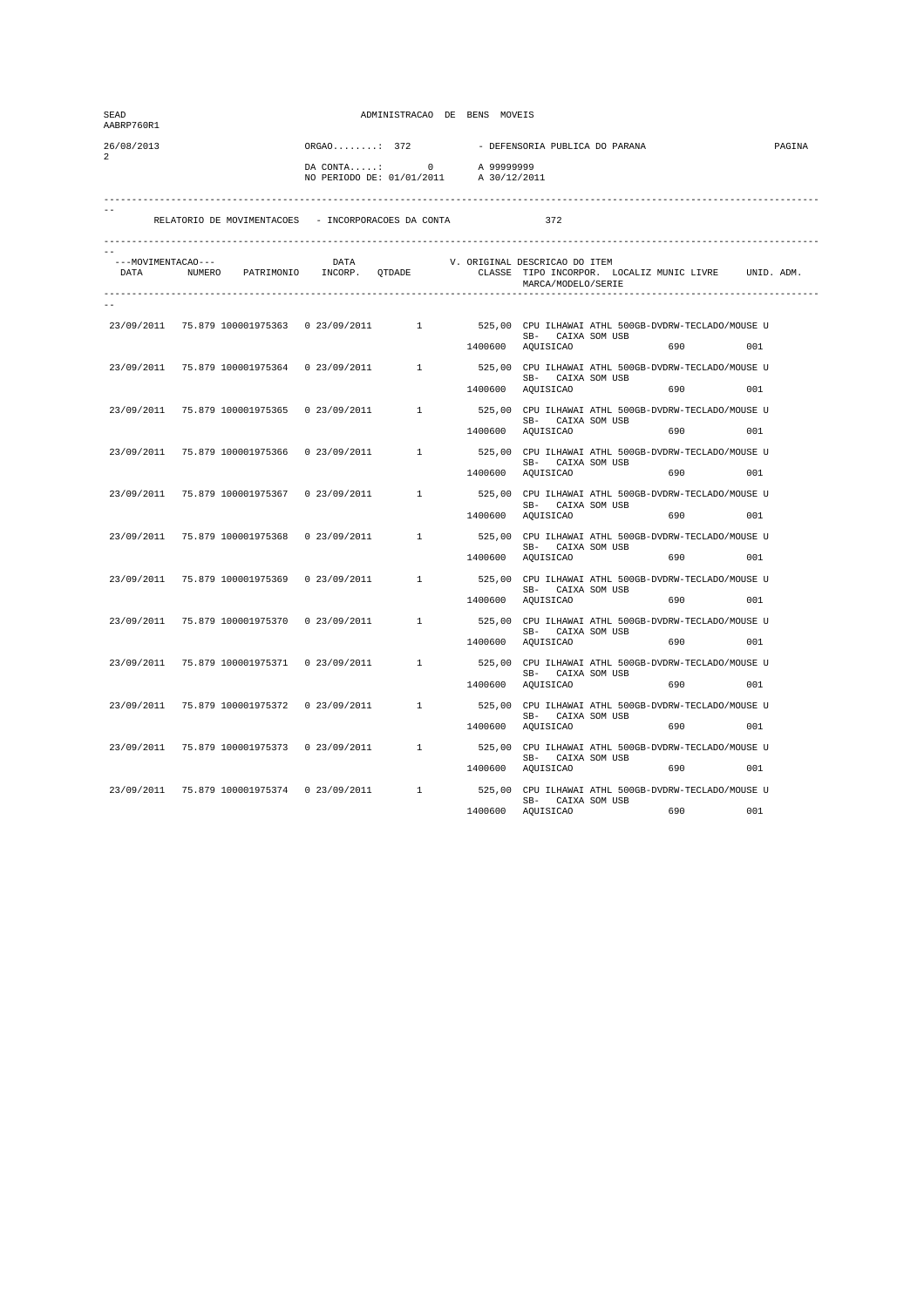| SEAD<br>AABRP760R1 |                                               |               | ADMINISTRACAO DE BENS MOVEIS                                                  |              |                                                     |                                                                                                                        |        |
|--------------------|-----------------------------------------------|---------------|-------------------------------------------------------------------------------|--------------|-----------------------------------------------------|------------------------------------------------------------------------------------------------------------------------|--------|
| 26/08/2013         |                                               | $ORGAO$ : 372 |                                                                               |              | - DEFENSORIA PUBLICA DO PARANA                      |                                                                                                                        | PAGINA |
| $\overline{a}$     |                                               |               | DA CONTA: 0 A 99999999<br>NO PERIODO DE: 01/01/2011 A 30/12/201               | A 30/12/2011 |                                                     |                                                                                                                        |        |
|                    |                                               |               | RELATORIO DE MOVIMENTACOES - INCORPORACOES DA CONTA                           |              | 372                                                 |                                                                                                                        |        |
| ---MOVIMENTACAO--- |                                               | DATA          | --MOVIMENTACAO--- DATRIMONIO DATA V.<br>DATA NUMERO PATRIMONIO INCORP. QTDADE |              | V. ORIGINAL DESCRICAO DO ITEM<br>MARCA/MODELO/SERIE | CLASSE TIPO INCORPOR. LOCALIZ MUNIC LIVRE UNID. ADM.                                                                   |        |
|                    |                                               |               |                                                                               |              |                                                     |                                                                                                                        |        |
|                    |                                               |               |                                                                               |              |                                                     | 23/09/2011 75.879 100001975363 0 23/09/2011 1 525,00 CPU ILHAWAI ATHL 500GB-DVDRW-TECLADO/MOUSE U<br>SB- CAIXA SOM USB |        |
|                    |                                               |               |                                                                               |              | 1400600 AQUISICAO                                   | 690 001                                                                                                                |        |
| 23/09/2011         |                                               |               |                                                                               |              | SB- CAIXA SOM USB                                   | 75.879 100001975364  0 23/09/2011  1  525,00 CPU ILHAWAI ATHL 500GB-DVDRW-TECLADO/MOUSE U                              |        |
|                    |                                               |               |                                                                               |              | 1400600 AQUISICAO                                   | 690                                                                                                                    | 001    |
|                    |                                               |               | 23/09/2011 75.879 100001975365 0 23/09/2011 1                                 |              | SB- CAIXA SOM USB                                   | 525,00 CPU ILHAWAI ATHL 500GB-DVDRW-TECLADO/MOUSE U                                                                    |        |
|                    |                                               |               |                                                                               |              | 1400600 AQUISICAO                                   | 690 80                                                                                                                 | 0.01   |
|                    | 23/09/2011 75.879 100001975366 0 23/09/2011   |               | $1 \qquad \qquad$                                                             |              |                                                     | 525,00 CPU ILHAWAI ATHL 500GB-DVDRW-TECLADO/MOUSE U                                                                    |        |
|                    |                                               |               |                                                                               | 1400600      | SB- CAIXA SOM USB<br>AQUISICAO                      | 690 001                                                                                                                |        |
|                    | 23/09/2011 75.879 100001975367                | 0 23/09/2011  | $1 \quad \cdots$                                                              |              |                                                     | 525,00 CPU ILHAWAI ATHL 500GB-DVDRW-TECLADO/MOUSE U                                                                    |        |
|                    |                                               |               |                                                                               | 1400600      | AQUISICAO                                           | SB- CAIXA SOM USB<br>690                                                                                               | 0.01   |
| 23/09/2011         | 75.879 100001975368                           |               |                                                                               |              |                                                     | 0 23/09/2011 1 525,00 CPU ILHAWAI ATHL 500GB-DVDRW-TECLADO/MOUSE U                                                     |        |
|                    |                                               |               |                                                                               |              | SB- CAIXA SOM USB<br>1400600 AQUISICAO              | 690 88                                                                                                                 | 0.01   |
|                    | 23/09/2011 75.879 100001975369                |               | 0 23/09/2011 1                                                                |              |                                                     | 525,00 CPU ILHAWAI ATHL 500GB-DVDRW-TECLADO/MOUSE U                                                                    |        |
|                    |                                               |               |                                                                               |              | SB- CAIXA SOM USB<br>1400600 AQUISICAO              |                                                                                                                        |        |
|                    |                                               |               |                                                                               |              |                                                     | 690 001                                                                                                                |        |
|                    | 23/09/2011 75.879 100001975370 0 23/09/2011   |               | $1 \qquad \qquad$                                                             |              | SB- CAIXA SOM USB                                   | 525,00 CPU ILHAWAI ATHL 500GB-DVDRW-TECLADO/MOUSE U                                                                    |        |
|                    |                                               |               |                                                                               |              | 1400600 AQUISICAO                                   | 690 001                                                                                                                |        |
| 23/09/2011         | 75.879 100001975371                           | 0 23/09/2011  | 1                                                                             |              |                                                     | 525,00 CPU ILHAWAI ATHL 500GB-DVDRW-TECLADO/MOUSE U<br>SB- CAIXA SOM USB                                               |        |
|                    |                                               |               |                                                                               | 1400600      | AQUISICAO                                           | 690                                                                                                                    | 001    |
| 23/09/2011         |                                               |               | 75.879 100001975372  0 23/09/2011  1                                          |              | SB- CAIXA SOM USB                                   | 525,00 CPU ILHAWAI ATHL 500GB-DVDRW-TECLADO/MOUSE U                                                                    |        |
|                    |                                               |               |                                                                               |              | 1400600 AQUISICAO                                   | 690                                                                                                                    | 001    |
|                    |                                               |               |                                                                               |              |                                                     | 23/09/2011 75.879 100001975373 0 23/09/2011 1 525,00 CPU ILHAWAI ATHL 500GB-DVDRW-TECLADO/MOUSE U                      |        |
|                    |                                               |               |                                                                               |              | SB- CAIXA SOM USB<br>1400600 AQUISICAO              |                                                                                                                        | 001    |
|                    | 23/09/2011 75.879 100001975374 0 23/09/2011 1 |               |                                                                               |              |                                                     | 525,00 CPU ILHAWAI ATHL 500GB-DVDRW-TECLADO/MOUSE U                                                                    |        |
|                    |                                               |               |                                                                               | 1400600      | SB- CAIXA SOM USB<br>AQUISICAO                      | 690                                                                                                                    | 001    |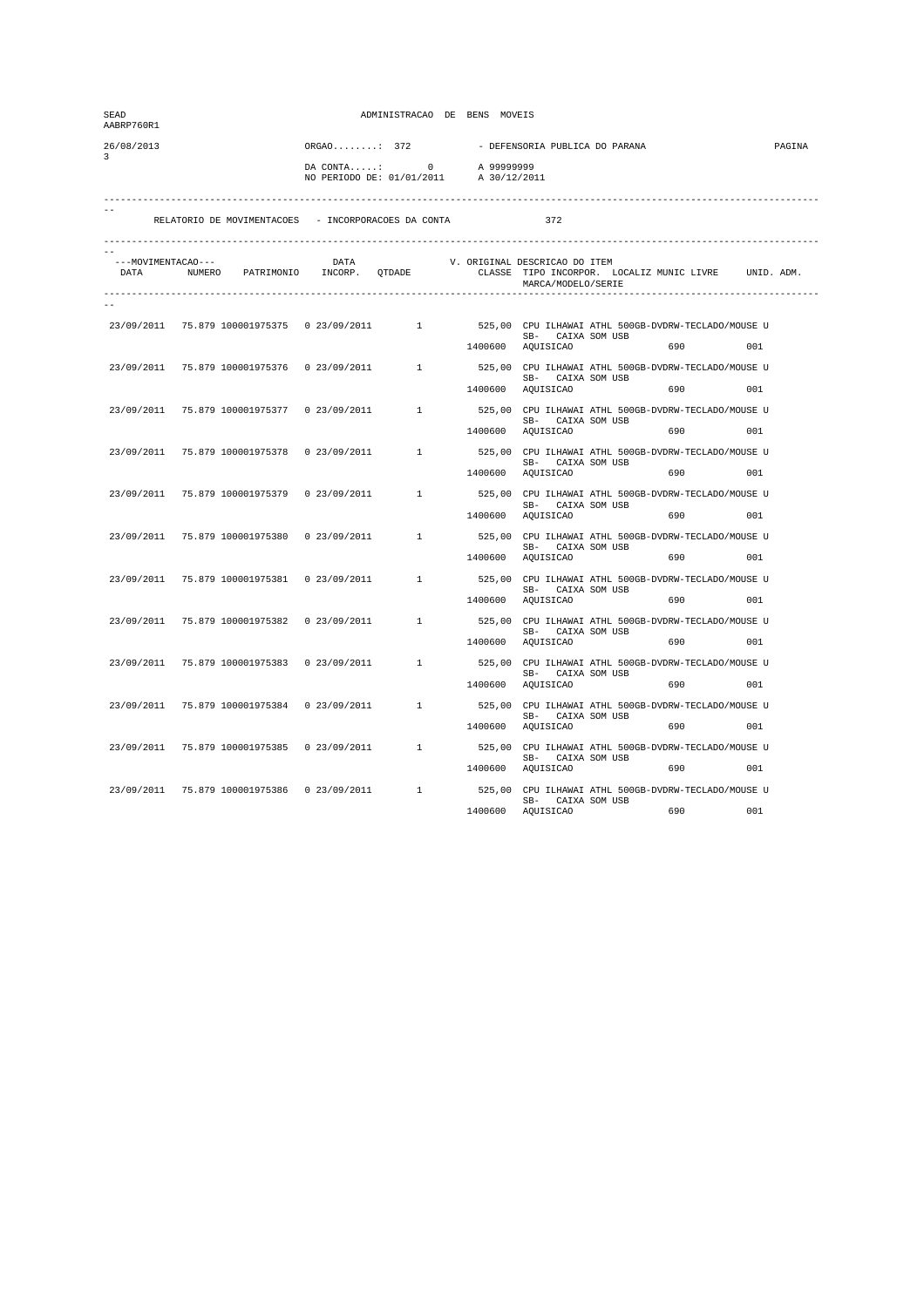| SEAD<br>AABRP760R1             |  |                                               | ADMINISTRACAO DE BENS MOVEIS                                     |         |                                        |                                                                                                                                                                                |        |
|--------------------------------|--|-----------------------------------------------|------------------------------------------------------------------|---------|----------------------------------------|--------------------------------------------------------------------------------------------------------------------------------------------------------------------------------|--------|
| 26/08/2013                     |  | $ORGAO$ : 372                                 |                                                                  |         | - DEFENSORIA PUBLICA DO PARANA         |                                                                                                                                                                                | PAGINA |
| $\mathbf{3}$                   |  |                                               | DA CONTA: 0 A 99999999<br>NO PERIODO DE: 01/01/2011 A 30/12/2011 |         |                                        |                                                                                                                                                                                |        |
|                                |  |                                               | RELATORIO DE MOVIMENTACOES - INCORPORACOES DA CONTA              |         | 372                                    |                                                                                                                                                                                |        |
| ---MOVIMENTACAO---             |  |                                               |                                                                  |         | MARCA/MODELO/SERIE                     | --MOVIMENTACAO---     DATA     V. ORIGINAL DESCRICAO DO ITEM<br>DATA     NUMERO   PATRIMONIO   INCORP.   QTDADE       CLASSE  TIPO INCORPOR.  LOCALIZ MUNIC LIVRE   UNID. ADM. |        |
|                                |  |                                               |                                                                  |         | SB- CAIXA SOM USB<br>1400600 AQUISICAO | 23/09/2011 75.879 100001975375 0 23/09/2011 1 525,00 CPU ILHAWAI ATHL 500GB-DVDRW-TECLADO/MOUSE U<br>690 001                                                                   |        |
| 23/09/2011                     |  |                                               |                                                                  |         | SB- CAIXA SOM USB<br>1400600 AQUISICAO | 75.879 100001975376  0 23/09/2011  1 525,00 CPU ILHAWAI ATHL 500GB-DVDRW-TECLADO/MOUSE U<br>001                                                                                |        |
|                                |  |                                               | 23/09/2011 75.879 100001975377 0 23/09/2011 1                    |         | SB- CAIXA SOM USB<br>1400600 AQUISICAO | 525,00 CPU ILHAWAI ATHL 500GB-DVDRW-TECLADO/MOUSE U<br>690 001                                                                                                                 |        |
|                                |  | 23/09/2011 75.879 100001975378 0 23/09/2011   | $1 \qquad \qquad$                                                |         | SB- CAIXA SOM USB<br>1400600 AQUISICAO | 525,00 CPU ILHAWAI ATHL 500GB-DVDRW-TECLADO/MOUSE U<br>690 001                                                                                                                 |        |
| 23/09/2011 75.879 100001975379 |  | 0 23/09/2011                                  | 1                                                                | 1400600 | AQUISICAO                              | 525,00 CPU ILHAWAI ATHL 500GB-DVDRW-TECLADO/MOUSE U<br>SB- CAIXA SOM USB<br>690<br>001                                                                                         |        |
| 23/09/2011                     |  |                                               |                                                                  |         | SB- CAIXA SOM USB<br>1400600 AQUISICAO | 75.879 100001975380  0 23/09/2011  1 525,00 CPU ILHAWAI ATHL 500GB-DVDRW-TECLADO/MOUSE U<br>0.01                                                                               |        |
|                                |  |                                               |                                                                  |         | SB- CAIXA SOM USB<br>1400600 AQUISICAO | 23/09/2011 75.879 100001975381 0 23/09/2011 1 525,00 CPU ILHAWAI ATHL 500GB-DVDRW-TECLADO/MOUSE U<br>690 001                                                                   |        |
|                                |  | 23/09/2011 75.879 100001975382 0 23/09/2011   | $1 \qquad \qquad$                                                |         | SB- CAIXA SOM USB<br>1400600 AQUISICAO | 525,00 CPU ILHAWAI ATHL 500GB-DVDRW-TECLADO/MOUSE U<br>690 001                                                                                                                 |        |
| 23/09/2011 75.879 100001975383 |  | 0 23/09/2011                                  | 1                                                                |         | 1400600 AQUISICAO                      | 525,00 CPU ILHAWAI ATHL 500GB-DVDRW-TECLADO/MOUSE U<br>SB- CAIXA SOM USB<br>690<br>001                                                                                         |        |
|                                |  |                                               | 23/09/2011 75.879 100001975384 0 23/09/2011 1                    |         | SB- CAIXA SOM USB<br>1400600 AQUISICAO | 525,00 CPU ILHAWAI ATHL 500GB-DVDRW-TECLADO/MOUSE U<br>690 001                                                                                                                 |        |
|                                |  |                                               |                                                                  |         | SB- CAIXA SOM USB<br>1400600 AQUISICAO | 23/09/2011 75.879 100001975385 0 23/09/2011 1 525,00 CPU ILHAWAI ATHL 500GB-DVDRW-TECLADO/MOUSE U<br>001                                                                       |        |
|                                |  | 23/09/2011 75.879 100001975386 0 23/09/2011 1 |                                                                  | 1400600 | SB- CAIXA SOM USB<br>AQUISICAO         | 525,00 CPU ILHAWAI ATHL 500GB-DVDRW-TECLADO/MOUSE U<br>001<br>690                                                                                                              |        |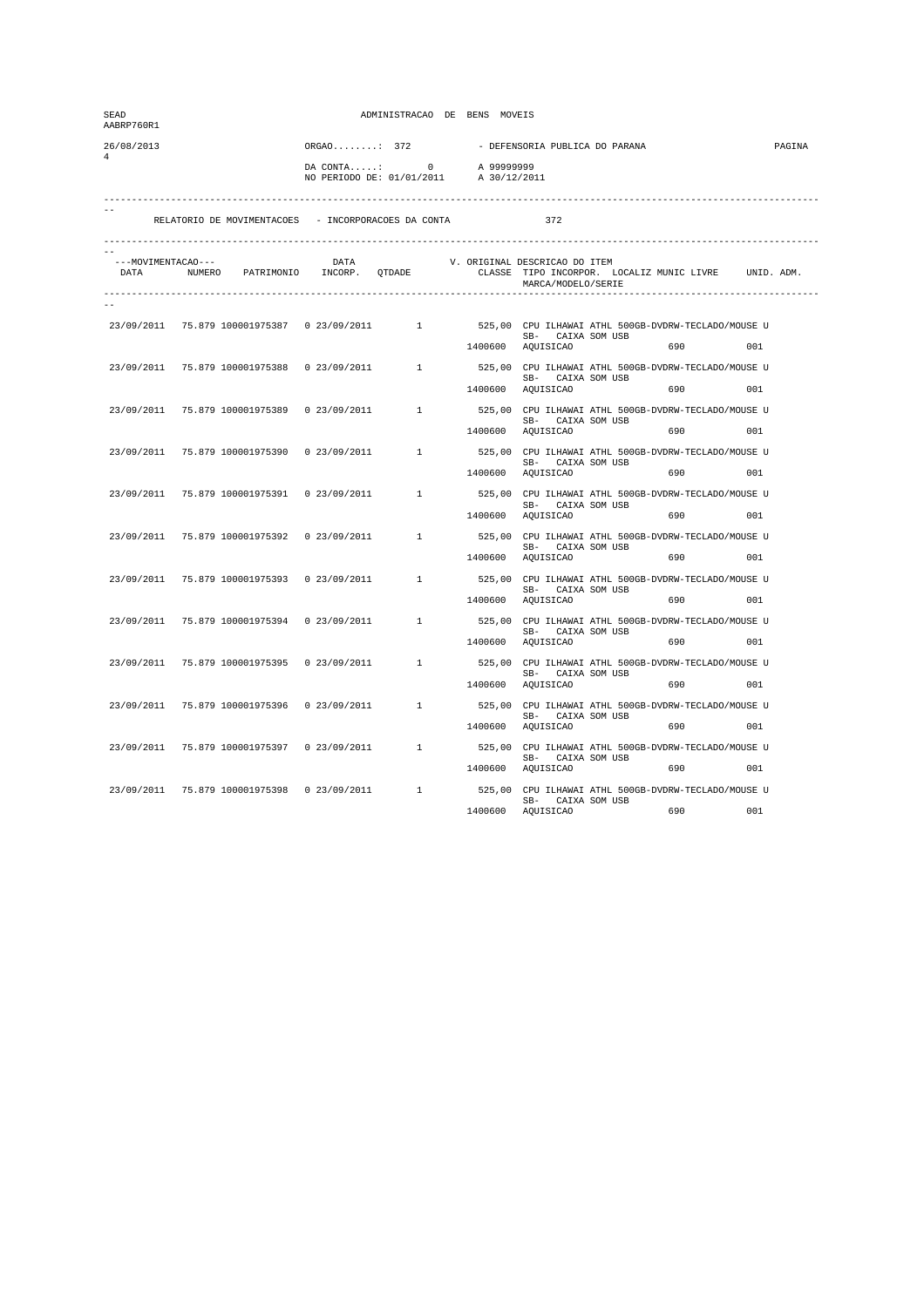| SEAD<br>AABRP760R1 |                                               |               | ADMINISTRACAO DE BENS MOVEIS                                       |              |                                                     |                                                                                                                        |        |
|--------------------|-----------------------------------------------|---------------|--------------------------------------------------------------------|--------------|-----------------------------------------------------|------------------------------------------------------------------------------------------------------------------------|--------|
| 26/08/2013         |                                               | $ORGAO$ : 372 |                                                                    |              | - DEFENSORIA PUBLICA DO PARANA                      |                                                                                                                        | PAGINA |
| 4                  |                                               |               | DA CONTA: 0 A 99999999<br>NO PERIODO DE: 01/01/2011 A 30/12/201    | A 30/12/2011 |                                                     |                                                                                                                        |        |
|                    |                                               |               | RELATORIO DE MOVIMENTACOES - INCORPORACOES DA CONTA                |              | 372                                                 |                                                                                                                        |        |
| ---MOVIMENTACAO--- |                                               |               | --MOVIMENTACAO--- DATA V.<br>DATA NUMERO PATRIMONIO INCORP. QTDADE |              | V. ORIGINAL DESCRICAO DO ITEM<br>MARCA/MODELO/SERIE | CLASSE TIPO INCORPOR. LOCALIZ MUNIC LIVRE UNID. ADM.                                                                   |        |
|                    |                                               |               |                                                                    |              |                                                     |                                                                                                                        |        |
|                    |                                               |               |                                                                    |              |                                                     | 23/09/2011 75.879 100001975387 0 23/09/2011 1 525,00 CPU ILHAWAI ATHL 500GB-DVDRW-TECLADO/MOUSE U<br>SB- CAIXA SOM USB |        |
|                    |                                               |               |                                                                    |              | 1400600 AQUISICAO                                   | 690 001                                                                                                                |        |
| 23/09/2011         | 75.879 100001975388                           |               |                                                                    |              | SB- CAIXA SOM USB                                   | 0 23/09/2011 1 525,00 CPU ILHAWAI ATHL 500GB-DVDRW-TECLADO/MOUSE U                                                     |        |
|                    |                                               |               |                                                                    |              | 1400600 AQUISICAO                                   | 690                                                                                                                    | 001    |
|                    |                                               |               | 23/09/2011 75.879 100001975389 0 23/09/2011 1                      |              | SB- CAIXA SOM USB                                   | 525,00 CPU ILHAWAI ATHL 500GB-DVDRW-TECLADO/MOUSE U                                                                    |        |
|                    |                                               |               |                                                                    |              | 1400600 AQUISICAO                                   | 690 80                                                                                                                 | 0.01   |
|                    | 23/09/2011 75.879 100001975390 0 23/09/2011   |               | $1 \qquad \qquad$                                                  |              |                                                     | 525,00 CPU ILHAWAI ATHL 500GB-DVDRW-TECLADO/MOUSE U                                                                    |        |
|                    |                                               |               |                                                                    |              | SB- CAIXA SOM USB<br>1400600 AQUISICAO              | 690 001                                                                                                                |        |
|                    | 23/09/2011 75.879 100001975391                | 0 23/09/2011  | 1                                                                  |              |                                                     | 525,00 CPU ILHAWAI ATHL 500GB-DVDRW-TECLADO/MOUSE U                                                                    |        |
|                    |                                               |               |                                                                    | 1400600      | AQUISICAO                                           | SB- CAIXA SOM USB<br>690                                                                                               | 0.01   |
| 23/09/2011         | 75.879 100001975392                           |               |                                                                    |              |                                                     | 0 23/09/2011 1 525,00 CPU ILHAWAI ATHL 500GB-DVDRW-TECLADO/MOUSE U                                                     |        |
|                    |                                               |               |                                                                    |              | SB- CAIXA SOM USB<br>1400600 AQUISICAO              | 690 88                                                                                                                 | 0.01   |
|                    |                                               |               | 23/09/2011 75.879 100001975393 0 23/09/2011 1                      |              |                                                     | 525,00 CPU ILHAWAI ATHL 500GB-DVDRW-TECLADO/MOUSE U                                                                    |        |
|                    |                                               |               |                                                                    |              | SB- CAIXA SOM USB<br>1400600 AQUISICAO              | 690 001                                                                                                                |        |
|                    | 23/09/2011 75.879 100001975394 0 23/09/2011   |               | $1 \qquad \qquad$                                                  |              |                                                     | 525,00 CPU ILHAWAI ATHL 500GB-DVDRW-TECLADO/MOUSE U                                                                    |        |
|                    |                                               |               |                                                                    |              | SB- CAIXA SOM USB<br>1400600 AQUISICAO              | 690 001                                                                                                                |        |
| 23/09/2011         | 75.879 100001975395                           | 0 23/09/2011  | 1                                                                  |              |                                                     | 525,00 CPU ILHAWAI ATHL 500GB-DVDRW-TECLADO/MOUSE U                                                                    |        |
|                    |                                               |               |                                                                    | 1400600      | AQUISICAO                                           | SB- CAIXA SOM USB<br>690                                                                                               | 001    |
|                    |                                               |               |                                                                    |              |                                                     |                                                                                                                        |        |
| 23/09/2011         | 75.879 100001975396                           |               | 0 23/09/2011 1                                                     |              | SB- CAIXA SOM USB                                   | 525,00 CPU ILHAWAI ATHL 500GB-DVDRW-TECLADO/MOUSE U                                                                    |        |
|                    |                                               |               |                                                                    |              | 1400600 AQUISICAO                                   | 690                                                                                                                    | 001    |
|                    |                                               |               |                                                                    |              | SB- CAIXA SOM USB                                   | 23/09/2011 75.879 100001975397 0 23/09/2011 1 525,00 CPU ILHAWAI ATHL 500GB-DVDRW-TECLADO/MOUSE U                      |        |
|                    |                                               |               |                                                                    |              | 1400600 AQUISICAO                                   |                                                                                                                        | 001    |
|                    | 23/09/2011 75.879 100001975398 0 23/09/2011 1 |               |                                                                    |              | SB- CAIXA SOM USB                                   | 525,00 CPU ILHAWAI ATHL 500GB-DVDRW-TECLADO/MOUSE U                                                                    |        |
|                    |                                               |               |                                                                    | 1400600      | AQUISICAO                                           | 690                                                                                                                    | 001    |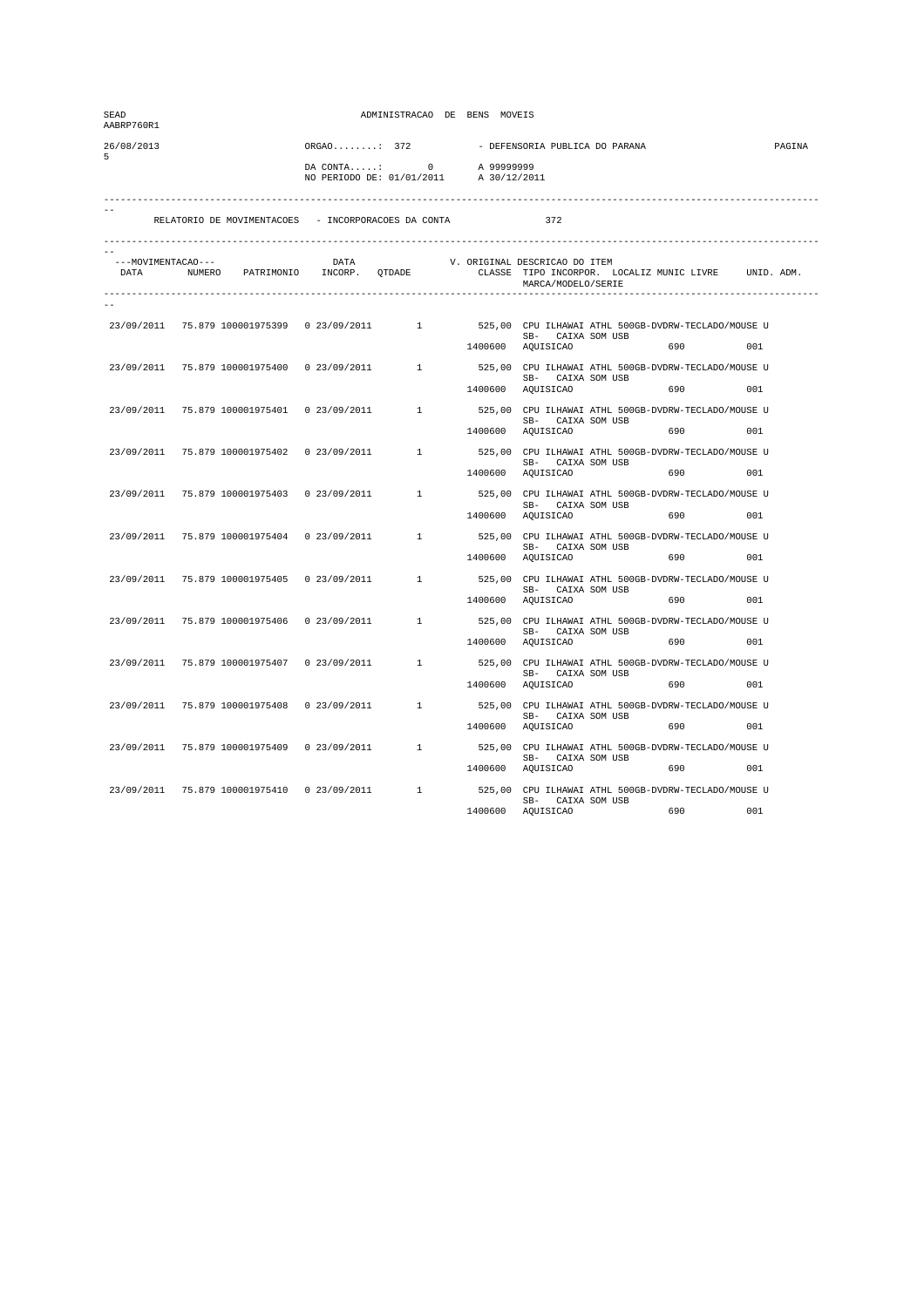| SEAD<br>AABRP760R1 |                                               |               | ADMINISTRACAO DE BENS MOVEIS                                                  |              |                                                     |                                                                                                                                                                                                                              |        |
|--------------------|-----------------------------------------------|---------------|-------------------------------------------------------------------------------|--------------|-----------------------------------------------------|------------------------------------------------------------------------------------------------------------------------------------------------------------------------------------------------------------------------------|--------|
| 26/08/2013         |                                               | $ORGAO$ : 372 |                                                                               |              | - DEFENSORIA PUBLICA DO PARANA                      |                                                                                                                                                                                                                              | PAGINA |
| 5                  |                                               |               | DA CONTA: 0 A 99999999<br>NO PERIODO DE: 01/01/2011 A 30/12/201               | A 30/12/2011 |                                                     |                                                                                                                                                                                                                              |        |
|                    |                                               |               | RELATORIO DE MOVIMENTACOES - INCORPORACOES DA CONTA                           |              | 372                                                 |                                                                                                                                                                                                                              |        |
| ---MOVIMENTACAO--- |                                               | DATA          | --MOVIMENTACAO--- DATRIMONIO DATA V.<br>DATA NUMERO PATRIMONIO INCORP. QTDADE |              | V. ORIGINAL DESCRICAO DO ITEM<br>MARCA/MODELO/SERIE | CLASSE TIPO INCORPOR. LOCALIZ MUNIC LIVRE UNID. ADM.                                                                                                                                                                         |        |
|                    |                                               |               |                                                                               |              |                                                     |                                                                                                                                                                                                                              |        |
|                    |                                               |               |                                                                               |              |                                                     | 23/09/2011 75.879 100001975399 0 23/09/2011 1 525,00 CPU ILHAWAI ATHL 500GB-DVDRW-TECLADO/MOUSE U<br>SB- CAIXA SOM USB                                                                                                       |        |
|                    |                                               |               |                                                                               |              | 1400600 AQUISICAO                                   | 690 001                                                                                                                                                                                                                      |        |
| 23/09/2011         |                                               |               |                                                                               |              | SB- CAIXA SOM USB                                   | 75.879 100001975400  0 23/09/2011  1  525,00 CPU ILHAWAI ATHL 500GB-DVDRW-TECLADO/MOUSE U                                                                                                                                    |        |
|                    |                                               |               |                                                                               |              | 1400600 AQUISICAO                                   |                                                                                                                                                                                                                              | 001    |
|                    |                                               |               | 23/09/2011 75.879 100001975401 0 23/09/2011 1                                 |              |                                                     | 525,00 CPU ILHAWAI ATHL 500GB-DVDRW-TECLADO/MOUSE U                                                                                                                                                                          |        |
|                    |                                               |               |                                                                               |              | SB- CAIXA SOM USB<br>1400600 AQUISICAO              | 690 80                                                                                                                                                                                                                       | 0.01   |
|                    | 23/09/2011 75.879 100001975402 0 23/09/2011   |               |                                                                               |              |                                                     | 1 525,00 CPU ILHAWAI ATHL 500GB-DVDRW-TECLADO/MOUSE U                                                                                                                                                                        |        |
|                    |                                               |               |                                                                               |              | SB- CAIXA SOM USB<br>1400600 AQUISICAO              | 690 001                                                                                                                                                                                                                      |        |
|                    | 23/09/2011 75.879 100001975403                | 0 23/09/2011  | $1 \quad \cdots$                                                              |              |                                                     | 525,00 CPU ILHAWAI ATHL 500GB-DVDRW-TECLADO/MOUSE U                                                                                                                                                                          |        |
|                    |                                               |               |                                                                               | 1400600      | AQUISICAO                                           | SB- CAIXA SOM USB<br>690                                                                                                                                                                                                     | 0.01   |
| 23/09/2011         | 75.879 100001975404                           |               |                                                                               |              |                                                     | $1 \qquad \qquad 525,00 \quad \text{CPU ILHAMAIATHL 500GB–DVDRW-TECLADO/MOUSE U}$                                                                                                                                            |        |
|                    |                                               |               |                                                                               |              | SB- CAIXA SOM USB<br>1400600 AQUISICAO              | 690 88                                                                                                                                                                                                                       | 0.01   |
|                    |                                               |               |                                                                               |              |                                                     |                                                                                                                                                                                                                              |        |
|                    |                                               |               | 23/09/2011 75.879 100001975405 0 23/09/2011 1                                 |              | SB- CAIXA SOM USB                                   | 525,00 CPU ILHAWAI ATHL 500GB-DVDRW-TECLADO/MOUSE U                                                                                                                                                                          |        |
|                    |                                               |               |                                                                               |              | 1400600 AQUISICAO                                   | 690 001                                                                                                                                                                                                                      |        |
|                    | 23/09/2011 75.879 100001975406 0 23/09/2011   |               | $1 \qquad \qquad$                                                             |              | SB- CAIXA SOM USB                                   | 525,00 CPU ILHAWAI ATHL 500GB-DVDRW-TECLADO/MOUSE U                                                                                                                                                                          |        |
|                    |                                               |               |                                                                               |              | 1400600 AQUISICAO                                   | 690 001                                                                                                                                                                                                                      |        |
| 23/09/2011         | 75.879 100001975407                           | 0 23/09/2011  | $\mathbf{1}$                                                                  |              |                                                     | 525,00 CPU ILHAWAI ATHL 500GB-DVDRW-TECLADO/MOUSE U                                                                                                                                                                          |        |
|                    |                                               |               |                                                                               | 1400600      | AQUISICAO                                           | SB- CAIXA SOM USB<br>690                                                                                                                                                                                                     | 001    |
| 23/09/2011         | 75.879 100001975408                           |               | $0.23/09/2011$ 1                                                              |              |                                                     | 525,00 CPU ILHAWAI ATHL 500GB-DVDRW-TECLADO/MOUSE U                                                                                                                                                                          |        |
|                    |                                               |               |                                                                               |              | SB- CAIXA SOM USB<br>1400600 AQUISICAO              | 690                                                                                                                                                                                                                          | 001    |
|                    | 23/09/2011 75.879 100001975409                |               |                                                                               |              |                                                     | ${\tt 0} \hspace{.2cm} 23/09/2011 \hspace{3.1cm} 1 \hspace{3.1cm} {\tt 525,00} \hspace{.3cm} {\tt CPU}\hspace{.1cm} {\tt ILHAMAI}\hspace{.1cm} {\tt ATHL}\hspace{.1cm} {\tt 500GB-DVDRN-TECLADO/MOUSE}\hspace{.1cm} {\tt U}$ |        |
|                    |                                               |               |                                                                               |              | SB- CAIXA SOM USB<br>1400600 AQUISICAO              |                                                                                                                                                                                                                              | 001    |
|                    | 23/09/2011 75.879 100001975410 0 23/09/2011 1 |               |                                                                               |              |                                                     | 525,00 CPU ILHAWAI ATHL 500GB-DVDRW-TECLADO/MOUSE U                                                                                                                                                                          |        |
|                    |                                               |               |                                                                               |              | SB- CAIXA SOM USB                                   |                                                                                                                                                                                                                              |        |
|                    |                                               |               |                                                                               | 1400600      | AQUISICAO                                           | 690                                                                                                                                                                                                                          | 001    |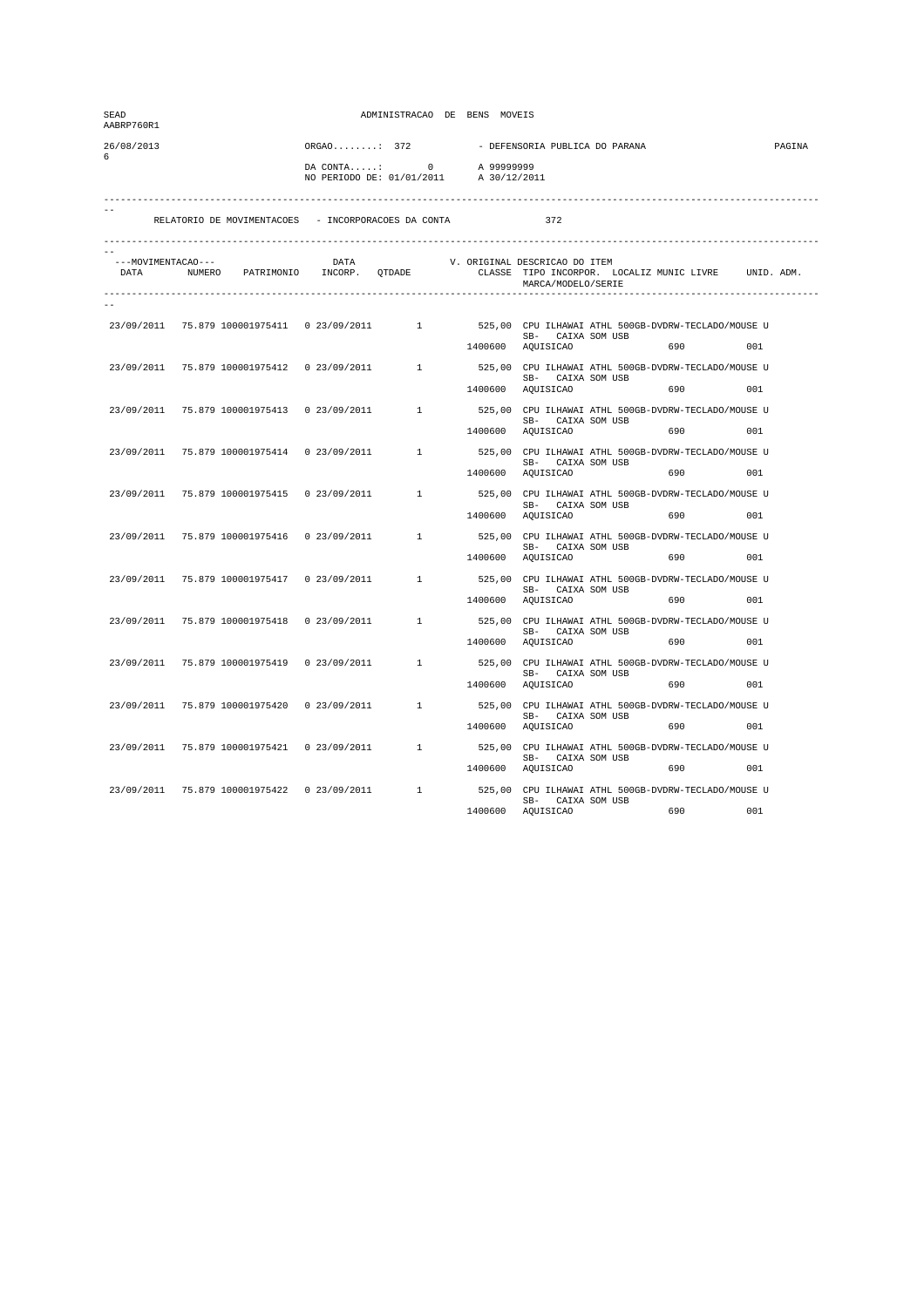| SEAD<br>AABRP760R1 |                                               |               | ADMINISTRACAO DE BENS MOVEIS                                     |         |                                        |                                                                                                                                                                                |        |
|--------------------|-----------------------------------------------|---------------|------------------------------------------------------------------|---------|----------------------------------------|--------------------------------------------------------------------------------------------------------------------------------------------------------------------------------|--------|
| 26/08/2013         |                                               | $ORGAO$ : 372 |                                                                  |         | - DEFENSORIA PUBLICA DO PARANA         |                                                                                                                                                                                | PAGINA |
| 6                  |                                               |               | DA CONTA: 0 A 99999999<br>NO PERIODO DE: 01/01/2011 A 30/12/2011 |         |                                        |                                                                                                                                                                                |        |
|                    |                                               |               | RELATORIO DE MOVIMENTACOES - INCORPORACOES DA CONTA              |         | 372                                    |                                                                                                                                                                                |        |
| ---MOVIMENTACAO--- |                                               |               |                                                                  |         |                                        |                                                                                                                                                                                |        |
|                    |                                               |               |                                                                  |         | MARCA/MODELO/SERIE                     | --MOVIMENTACAO---     DATA     V. ORIGINAL DESCRICAO DO ITEM<br>DATA     NUMERO   PATRIMONIO   INCORP.   QTDADE       CLASSE  TIPO INCORPOR.  LOCALIZ MUNIC LIVRE   UNID. ADM. |        |
|                    |                                               |               |                                                                  |         |                                        |                                                                                                                                                                                |        |
|                    |                                               |               |                                                                  |         | SB- CAIXA SOM USB<br>1400600 AQUISICAO | 23/09/2011 75.879 100001975411 0 23/09/2011 1 525,00 CPU ILHAWAI ATHL 500GB-DVDRW-TECLADO/MOUSE U<br>690 001                                                                   |        |
| 23/09/2011         |                                               |               |                                                                  |         | SB- CAIXA SOM USB                      | 75.879 100001975412  0 23/09/2011  1 525,00 CPU ILHAWAI ATHL 500GB-DVDRW-TECLADO/MOUSE U                                                                                       |        |
|                    |                                               |               |                                                                  |         | 1400600 AQUISICAO                      | 001                                                                                                                                                                            |        |
|                    |                                               |               |                                                                  |         | SB- CAIXA SOM USB                      | 23/09/2011 75.879 100001975413 0 23/09/2011 1525,00 CPU ILHAWAI ATHL 500GB-DVDRW-TECLADO/MOUSE U                                                                               |        |
|                    |                                               |               |                                                                  |         | 1400600 AQUISICAO                      | 690 001                                                                                                                                                                        |        |
|                    | 23/09/2011 75.879 100001975414 0 23/09/2011   |               |                                                                  |         | SB- CAIXA SOM USB                      | 1 525,00 CPU ILHAWAI ATHL 500GB-DVDRW-TECLADO/MOUSE U                                                                                                                          |        |
|                    |                                               |               |                                                                  |         | 1400600 AQUISICAO                      | 690 001                                                                                                                                                                        |        |
|                    | 23/09/2011 75.879 100001975415                | 0 23/09/2011  | 1                                                                | 1400600 | AQUISICAO                              | 525,00 CPU ILHAWAI ATHL 500GB-DVDRW-TECLADO/MOUSE U<br>SB- CAIXA SOM USB<br>690<br>001                                                                                         |        |
|                    |                                               |               |                                                                  |         | SB- CAIXA SOM USB                      | 23/09/2011 75.879 100001975416 0 23/09/2011 1525,00 CPU ILHAWAI ATHL 500GB-DVDRW-TECLADO/MOUSE U                                                                               |        |
|                    |                                               |               |                                                                  |         | 1400600 AQUISICAO                      | 0.01                                                                                                                                                                           |        |
|                    |                                               |               |                                                                  |         | SB- CAIXA SOM USB                      | 23/09/2011 75.879 100001975417 0 23/09/2011 1 525,00 CPU ILHAWAI ATHL 500GB-DVDRW-TECLADO/MOUSE U                                                                              |        |
|                    |                                               |               |                                                                  |         | 1400600 AQUISICAO                      | 690 001                                                                                                                                                                        |        |
|                    | 23/09/2011 75.879 100001975418 0 23/09/2011   |               | $1 \qquad \qquad$                                                |         | SB- CAIXA SOM USB                      | 525,00 CPU ILHAWAI ATHL 500GB-DVDRW-TECLADO/MOUSE U                                                                                                                            |        |
|                    |                                               |               |                                                                  |         | 1400600 AQUISICAO                      | 690 001                                                                                                                                                                        |        |
|                    | 23/09/2011 75.879 100001975419                | 0 23/09/2011  | 1                                                                |         |                                        | 525,00 CPU ILHAWAI ATHL 500GB-DVDRW-TECLADO/MOUSE U<br>SB- CAIXA SOM USB                                                                                                       |        |
|                    |                                               |               |                                                                  |         | 1400600 AQUISICAO                      | 690                                                                                                                                                                            | 001    |
|                    |                                               |               | 23/09/2011 75.879 100001975420 0 23/09/2011 1                    |         | SB- CAIXA SOM USB                      | 525,00 CPU ILHAWAI ATHL 500GB-DVDRW-TECLADO/MOUSE U<br>690 001                                                                                                                 |        |
|                    |                                               |               |                                                                  |         | 1400600 AQUISICAO                      | 23/09/2011 75.879 100001975421 0 23/09/2011 1 525,00 CPU ILHAWAI ATHL 500GB-DVDRW-TECLADO/MOUSE U                                                                              |        |
|                    |                                               |               |                                                                  |         | SB- CAIXA SOM USB<br>1400600 AQUISICAO | 690 700<br>001                                                                                                                                                                 |        |
|                    | 23/09/2011 75.879 100001975422 0 23/09/2011 1 |               |                                                                  |         |                                        | 525,00 CPU ILHAWAI ATHL 500GB-DVDRW-TECLADO/MOUSE U                                                                                                                            |        |
|                    |                                               |               |                                                                  | 1400600 | SB- CAIXA SOM USB<br>AQUISICAO         | 690                                                                                                                                                                            | 001    |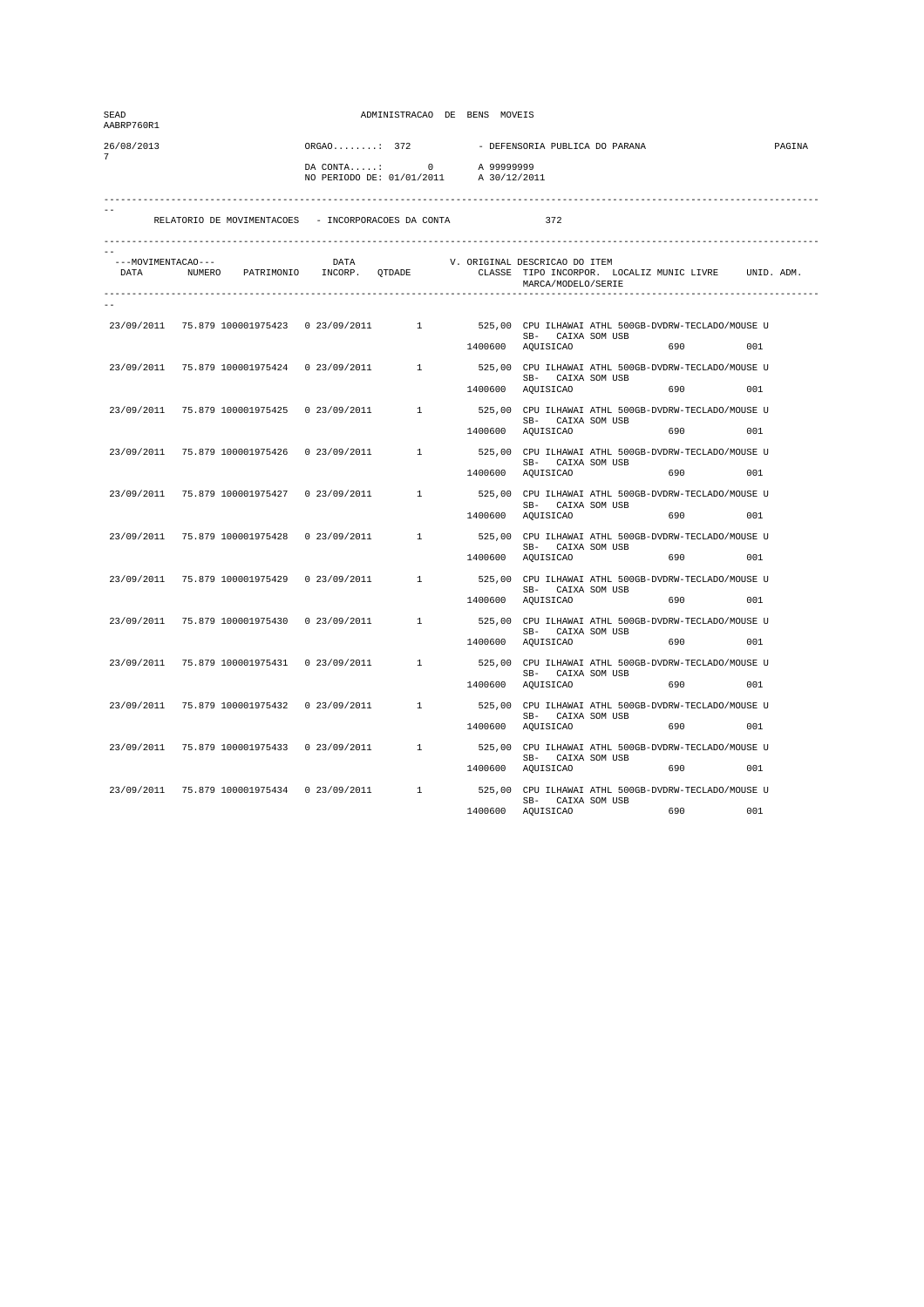| SEAD<br>AABRP760R1 |                                               |               | ADMINISTRACAO DE BENS MOVEIS                                     |         |                                        |                                                                                                                                                                                |        |
|--------------------|-----------------------------------------------|---------------|------------------------------------------------------------------|---------|----------------------------------------|--------------------------------------------------------------------------------------------------------------------------------------------------------------------------------|--------|
| 26/08/2013         |                                               | $ORGAO$ : 372 |                                                                  |         | - DEFENSORIA PUBLICA DO PARANA         |                                                                                                                                                                                | PAGINA |
| 7                  |                                               |               | DA CONTA: 0 A 99999999<br>NO PERIODO DE: 01/01/2011 A 30/12/2011 |         |                                        |                                                                                                                                                                                |        |
|                    |                                               |               | RELATORIO DE MOVIMENTACOES - INCORPORACOES DA CONTA              |         | 372                                    |                                                                                                                                                                                |        |
|                    |                                               |               |                                                                  |         |                                        |                                                                                                                                                                                |        |
| ---MOVIMENTACAO--- |                                               |               |                                                                  |         | MARCA/MODELO/SERIE                     | --MOVIMENTACAO---     DATA     V. ORIGINAL DESCRICAO DO ITEM<br>DATA     NUMERO   PATRIMONIO   INCORP.   QTDADE       CLASSE  TIPO INCORPOR.  LOCALIZ MUNIC LIVRE   UNID. ADM. |        |
|                    |                                               |               |                                                                  |         |                                        |                                                                                                                                                                                |        |
|                    |                                               |               |                                                                  |         | SB- CAIXA SOM USB                      | 23/09/2011 75.879 100001975423 0 23/09/2011 1 525,00 CPU ILHAWAI ATHL 500GB-DVDRW-TECLADO/MOUSE U                                                                              |        |
|                    |                                               |               |                                                                  |         | 1400600 AQUISICAO                      | 690 001                                                                                                                                                                        |        |
| 23/09/2011         |                                               |               |                                                                  |         | SB- CAIXA SOM USB                      | 75.879 100001975424  0 23/09/2011  1 525,00 CPU ILHAWAI ATHL 500GB-DVDRW-TECLADO/MOUSE U                                                                                       |        |
|                    |                                               |               |                                                                  |         | 1400600 AQUISICAO                      |                                                                                                                                                                                | 001    |
|                    |                                               |               | 23/09/2011 75.879 100001975425 0 23/09/2011 1                    |         | SB- CAIXA SOM USB                      | 525,00 CPU ILHAWAI ATHL 500GB-DVDRW-TECLADO/MOUSE U                                                                                                                            |        |
|                    |                                               |               |                                                                  |         | 1400600 AQUISICAO                      | 690 001                                                                                                                                                                        |        |
|                    | 23/09/2011 75.879 100001975426 0 23/09/2011   |               |                                                                  |         |                                        | 1 525,00 CPU ILHAWAI ATHL 500GB-DVDRW-TECLADO/MOUSE U                                                                                                                          |        |
|                    |                                               |               |                                                                  |         | SB- CAIXA SOM USB<br>1400600 AQUISICAO | 690 001                                                                                                                                                                        |        |
|                    | 23/09/2011 75.879 100001975427                | 0 23/09/2011  | 1                                                                |         |                                        | 525,00 CPU ILHAWAI ATHL 500GB-DVDRW-TECLADO/MOUSE U                                                                                                                            |        |
|                    |                                               |               |                                                                  | 1400600 | AQUISICAO                              | SB- CAIXA SOM USB<br>690                                                                                                                                                       | 001    |
| 23/09/2011         | 75.879 100001975428                           |               |                                                                  |         |                                        | 0 23/09/2011 1 525,00 CPU ILHAWAI ATHL 500GB-DVDRW-TECLADO/MOUSE U                                                                                                             |        |
|                    |                                               |               |                                                                  |         | SB- CAIXA SOM USB<br>1400600 AQUISICAO |                                                                                                                                                                                | 0.01   |
|                    | 23/09/2011 75.879 100001975429                |               |                                                                  |         |                                        | $0 \quad 23/09/2011 \qquad \qquad 1 \qquad \qquad 525,00 \quad \text{CPU ILHAMAI ATHL 500GB–DVDRW-TECLADO/MOUSE U}$                                                            |        |
|                    |                                               |               |                                                                  |         | SB- CAIXA SOM USB<br>1400600 AQUISICAO | 690 001                                                                                                                                                                        |        |
|                    | 23/09/2011 75.879 100001975430 0 23/09/2011   |               | $1 \qquad \qquad$                                                |         |                                        | 525,00 CPU ILHAWAI ATHL 500GB-DVDRW-TECLADO/MOUSE U                                                                                                                            |        |
|                    |                                               |               |                                                                  |         | SB- CAIXA SOM USB<br>1400600 AQUISICAO | 690 001                                                                                                                                                                        |        |
|                    | 23/09/2011 75.879 100001975431                | 0 23/09/2011  | 1                                                                |         |                                        | 525,00 CPU ILHAWAI ATHL 500GB-DVDRW-TECLADO/MOUSE U                                                                                                                            |        |
|                    |                                               |               |                                                                  |         | 1400600 AQUISICAO                      | SB- CAIXA SOM USB<br>690                                                                                                                                                       | 001    |
|                    |                                               |               | 23/09/2011 75.879 100001975432 0 23/09/2011 1                    |         |                                        | 525,00 CPU ILHAWAI ATHL 500GB-DVDRW-TECLADO/MOUSE U                                                                                                                            |        |
|                    |                                               |               |                                                                  |         | SB- CAIXA SOM USB<br>1400600 AQUISICAO | 690 001                                                                                                                                                                        |        |
|                    |                                               |               |                                                                  |         |                                        | 23/09/2011 75.879 100001975433 0 23/09/2011 1 525,00 CPU ILHAWAI ATHL 500GB-DVDRW-TECLADO/MOUSE U                                                                              |        |
|                    |                                               |               |                                                                  |         | SB- CAIXA SOM USB<br>1400600 AQUISICAO |                                                                                                                                                                                | 001    |
|                    | 23/09/2011 75.879 100001975434 0 23/09/2011 1 |               |                                                                  |         |                                        | 525,00 CPU ILHAWAI ATHL 500GB-DVDRW-TECLADO/MOUSE U                                                                                                                            |        |
|                    |                                               |               |                                                                  | 1400600 | SB- CAIXA SOM USB<br>AQUISICAO         | 690                                                                                                                                                                            | 001    |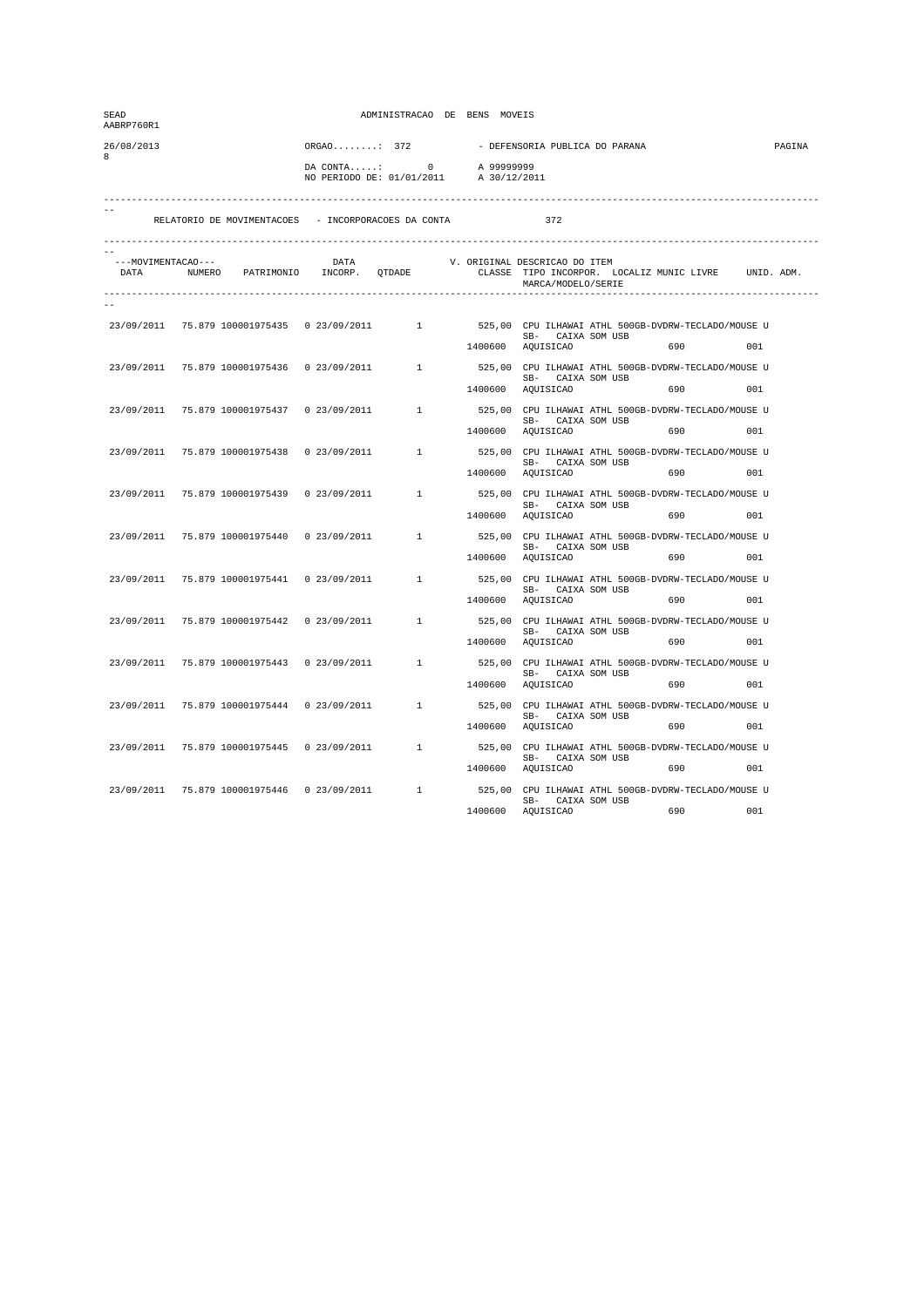| SEAD<br>AABRP760R1 |                                               |               | ADMINISTRACAO DE BENS MOVEIS                                                   |              |                                                     |                                                                                                                        |        |
|--------------------|-----------------------------------------------|---------------|--------------------------------------------------------------------------------|--------------|-----------------------------------------------------|------------------------------------------------------------------------------------------------------------------------|--------|
| 26/08/2013         |                                               | $ORGAO$ : 372 |                                                                                |              | - DEFENSORIA PUBLICA DO PARANA                      |                                                                                                                        | PAGINA |
| 8                  |                                               |               | DA CONTA: 0 A 99999999<br>NO PERIODO DE: 01/01/2011 A 30/12/201                | A 30/12/2011 |                                                     |                                                                                                                        |        |
|                    |                                               |               | RELATORIO DE MOVIMENTACOES - INCORPORACOES DA CONTA                            |              | 372                                                 |                                                                                                                        |        |
| ---MOVIMENTACAO--- |                                               | DATA          | ---MOVIMENTACAO--- DATRIMONIO DATA V.<br>DATA NUMERO PATRIMONIO INCORP. QTDADE |              | V. ORIGINAL DESCRICAO DO ITEM<br>MARCA/MODELO/SERIE | CLASSE TIPO INCORPOR. LOCALIZ MUNIC LIVRE UNID. ADM.                                                                   |        |
|                    |                                               |               |                                                                                |              |                                                     |                                                                                                                        |        |
|                    |                                               |               |                                                                                |              |                                                     | 23/09/2011 75.879 100001975435 0 23/09/2011 1 525,00 CPU ILHAWAI ATHL 500GB-DVDRW-TECLADO/MOUSE U<br>SB- CAIXA SOM USB |        |
|                    |                                               |               |                                                                                |              | 1400600 AQUISICAO                                   | 690 001                                                                                                                |        |
| 23/09/2011         |                                               |               |                                                                                |              | SB- CAIXA SOM USB                                   | 75.879 100001975436  0 23/09/2011  1  525,00 CPU ILHAWAI ATHL 500GB-DVDRW-TECLADO/MOUSE U                              |        |
|                    |                                               |               |                                                                                |              | 1400600 AQUISICAO                                   |                                                                                                                        | 001    |
|                    |                                               |               | 23/09/2011 75.879 100001975437 0 23/09/2011 1                                  |              | SB- CAIXA SOM USB                                   | 525,00 CPU ILHAWAI ATHL 500GB-DVDRW-TECLADO/MOUSE U                                                                    |        |
|                    |                                               |               |                                                                                |              | 1400600 AQUISICAO                                   | 690 80                                                                                                                 | 0.01   |
|                    | 23/09/2011 75.879 100001975438 0 23/09/2011   |               |                                                                                |              |                                                     | 1 525,00 CPU ILHAWAI ATHL 500GB-DVDRW-TECLADO/MOUSE U                                                                  |        |
|                    |                                               |               |                                                                                |              | SB- CAIXA SOM USB<br>1400600 AQUISICAO              | 690 001                                                                                                                |        |
|                    | 23/09/2011 75.879 100001975439                | 0 23/09/2011  | $1 \quad \cdots$                                                               |              |                                                     | 525,00 CPU ILHAWAI ATHL 500GB-DVDRW-TECLADO/MOUSE U                                                                    |        |
|                    |                                               |               |                                                                                | 1400600      | AQUISICAO                                           | SB- CAIXA SOM USB<br>690                                                                                               | 0.01   |
| 23/09/2011         | 75.879 100001975440                           |               |                                                                                |              |                                                     | $1 \qquad \qquad 525,00 \quad \text{CPU ILHAMAIATHL 500GB–DVDRW-TECLADO/MOUSE U}$                                      |        |
|                    |                                               |               |                                                                                |              | SB- CAIXA SOM USB<br>1400600 AQUISICAO              | 690 88                                                                                                                 | 0.01   |
|                    |                                               |               | 23/09/2011 75.879 100001975441 0 23/09/2011 1                                  |              |                                                     | 525,00 CPU ILHAWAI ATHL 500GB-DVDRW-TECLADO/MOUSE U                                                                    |        |
|                    |                                               |               |                                                                                |              | SB- CAIXA SOM USB<br>1400600 AQUISICAO              | 690 001                                                                                                                |        |
|                    | 23/09/2011 75.879 100001975442 0 23/09/2011   |               | $1 \qquad \qquad$                                                              |              |                                                     | 525,00 CPU ILHAWAI ATHL 500GB-DVDRW-TECLADO/MOUSE U                                                                    |        |
|                    |                                               |               |                                                                                |              | SB- CAIXA SOM USB<br>1400600 AQUISICAO              | 690 001                                                                                                                |        |
|                    |                                               |               |                                                                                |              |                                                     |                                                                                                                        |        |
| 23/09/2011         | 75.879 100001975443                           | 0 23/09/2011  | 1                                                                              |              |                                                     | 525,00 CPU ILHAWAI ATHL 500GB-DVDRW-TECLADO/MOUSE U<br>SB- CAIXA SOM USB                                               |        |
|                    |                                               |               |                                                                                |              | 1400600 AQUISICAO                                   | 690                                                                                                                    | 001    |
| 23/09/2011         |                                               |               | 75.879 100001975444  0 23/09/2011  1                                           |              | SB- CAIXA SOM USB                                   | 525,00 CPU ILHAWAI ATHL 500GB-DVDRW-TECLADO/MOUSE U                                                                    |        |
|                    |                                               |               |                                                                                |              | 1400600 AQUISICAO                                   | 690                                                                                                                    | 001    |
|                    |                                               |               |                                                                                |              | SB- CAIXA SOM USB                                   | 23/09/2011 75.879 100001975445 0 23/09/2011 1 525,00 CPU ILHAWAI ATHL 500GB-DVDRW-TECLADO/MOUSE U                      |        |
|                    |                                               |               |                                                                                |              | 1400600 AQUISICAO                                   |                                                                                                                        | 001    |
|                    | 23/09/2011 75.879 100001975446 0 23/09/2011 1 |               |                                                                                |              |                                                     | 525,00 CPU ILHAWAI ATHL 500GB-DVDRW-TECLADO/MOUSE U                                                                    |        |
|                    |                                               |               |                                                                                | 1400600      | SB- CAIXA SOM USB<br>AQUISICAO                      | 690                                                                                                                    | 001    |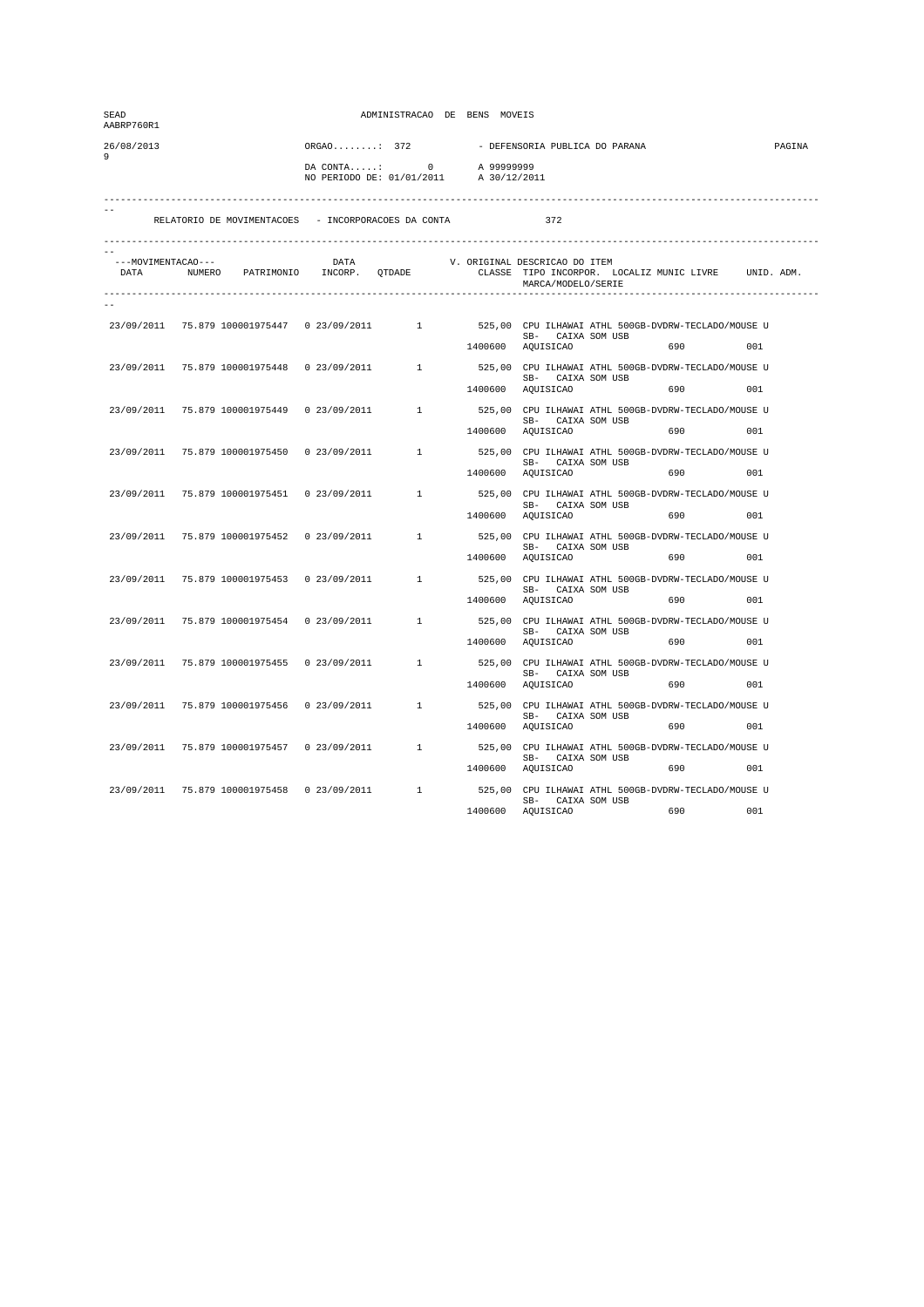| SEAD<br>AABRP760R1 |                                                                                |               | ADMINISTRACAO DE BENS MOVEIS                                     |         |                                                     |                                                                                                                        |        |
|--------------------|--------------------------------------------------------------------------------|---------------|------------------------------------------------------------------|---------|-----------------------------------------------------|------------------------------------------------------------------------------------------------------------------------|--------|
| 26/08/2013         |                                                                                | $ORGAO$ : 372 |                                                                  |         | - DEFENSORIA PUBLICA DO PARANA                      |                                                                                                                        | PAGINA |
| 9                  |                                                                                |               | DA CONTA: 0 A 99999999<br>NO PERIODO DE: 01/01/2011 A 30/12/2011 |         |                                                     |                                                                                                                        |        |
|                    | RELATORIO DE MOVIMENTACOES - INCORPORACOES DA CONTA                            |               |                                                                  |         | 372                                                 |                                                                                                                        |        |
| ---MOVIMENTACAO--- | ---MOVIMENTACAO--- DATRIMONIO DATA V.<br>DATA NUMERO PATRIMONIO INCORP. QTDADE | DATA          |                                                                  |         | V. ORIGINAL DESCRICAO DO ITEM<br>MARCA/MODELO/SERIE | CLASSE TIPO INCORPOR. LOCALIZ MUNIC LIVRE UNID. ADM.                                                                   |        |
|                    |                                                                                |               |                                                                  |         |                                                     |                                                                                                                        |        |
|                    |                                                                                |               |                                                                  |         |                                                     | 23/09/2011 75.879 100001975447 0 23/09/2011 1 525,00 CPU ILHAWAI ATHL 500GB-DVDRW-TECLADO/MOUSE U<br>SB- CAIXA SOM USB |        |
|                    |                                                                                |               |                                                                  |         | 1400600 AQUISICAO                                   | 690<br>001                                                                                                             |        |
| 23/09/2011         |                                                                                |               |                                                                  |         | SB- CAIXA SOM USB                                   | 75.879 100001975448  0 23/09/2011  1 525,00 CPU ILHAWAI ATHL 500GB-DVDRW-TECLADO/MOUSE U                               |        |
|                    |                                                                                |               |                                                                  |         | 1400600 AQUISICAO                                   | 690 700<br>001                                                                                                         |        |
|                    | 23/09/2011 75.879 100001975449 0 23/09/2011 1                                  |               |                                                                  |         | SB- CAIXA SOM USB                                   | 525,00 CPU ILHAWAI ATHL 500GB-DVDRW-TECLADO/MOUSE U                                                                    |        |
|                    |                                                                                |               |                                                                  |         | 1400600 AQUISICAO                                   | 690 80<br>0.01                                                                                                         |        |
|                    | 23/09/2011 75.879 100001975450 0 23/09/2011                                    |               |                                                                  |         | SB- CAIXA SOM USB                                   | 1 525,00 CPU ILHAWAI ATHL 500GB-DVDRW-TECLADO/MOUSE U                                                                  |        |
|                    |                                                                                |               |                                                                  |         | 1400600 AQUISICAO                                   | 690 001                                                                                                                |        |
|                    | 23/09/2011 75.879 100001975451 0 23/09/2011                                    |               | 1                                                                |         |                                                     | 525,00 CPU ILHAWAI ATHL 500GB-DVDRW-TECLADO/MOUSE U                                                                    |        |
|                    |                                                                                |               |                                                                  | 1400600 | AQUISICAO                                           | SB- CAIXA SOM USB<br>690<br>0.01                                                                                       |        |
| 23/09/2011         |                                                                                |               |                                                                  |         |                                                     | 75.879 100001975452  0 23/09/2011  1  525,00 CPU ILHAWAI ATHL 500GB-DVDRW-TECLADO/MOUSE U                              |        |
|                    |                                                                                |               |                                                                  |         | SB- CAIXA SOM USB<br>1400600 AQUISICAO              | 001                                                                                                                    |        |
|                    | 23/09/2011 75.879 100001975453 0 23/09/2011                                    |               | 1                                                                |         |                                                     | 525,00 CPU ILHAWAI ATHL 500GB-DVDRW-TECLADO/MOUSE U                                                                    |        |
|                    |                                                                                |               |                                                                  |         | SB- CAIXA SOM USB<br>1400600 AQUISICAO              | 690 88<br>001                                                                                                          |        |
|                    | 23/09/2011 75.879 100001975454 0 23/09/2011                                    |               | $1 \qquad \qquad$                                                |         |                                                     | 525,00 CPU ILHAWAI ATHL 500GB-DVDRW-TECLADO/MOUSE U                                                                    |        |
|                    |                                                                                |               |                                                                  |         | SB- CAIXA SOM USB<br>1400600 AQUISICAO              | 690 001                                                                                                                |        |
| 23/09/2011         | 75.879 100001975455                                                            | 0 23/09/2011  | 1                                                                |         |                                                     | 525,00 CPU ILHAWAI ATHL 500GB-DVDRW-TECLADO/MOUSE U                                                                    |        |
|                    |                                                                                |               |                                                                  | 1400600 | AQUISICAO                                           | SB- CAIXA SOM USB<br>690<br>001                                                                                        |        |
| 23/09/2011         | 75.879 100001975456  0 23/09/2011                                              |               | $\mathbf{1}$                                                     |         |                                                     | 525,00 CPU ILHAWAI ATHL 500GB-DVDRW-TECLADO/MOUSE U                                                                    |        |
|                    |                                                                                |               |                                                                  |         | SB- CAIXA SOM USB<br>1400600 AQUISICAO              | 690<br>001                                                                                                             |        |
| 23/09/2011         |                                                                                |               |                                                                  |         |                                                     | 75.879 100001975457  0 23/09/2011  1 525,00 CPU ILHAWAI ATHL 500GB-DVDRW-TECLADO/MOUSE U                               |        |
|                    |                                                                                |               |                                                                  |         | SB- CAIXA SOM USB<br>1400600 AQUISICAO              | 001                                                                                                                    |        |
|                    | 23/09/2011 75.879 100001975458 0 23/09/2011                                    |               | 1                                                                |         |                                                     | 525,00 CPU ILHAWAI ATHL 500GB-DVDRW-TECLADO/MOUSE U                                                                    |        |
|                    |                                                                                |               |                                                                  |         |                                                     | SB- CAIXA SOM USB                                                                                                      |        |
|                    |                                                                                |               |                                                                  | 1400600 | AQUISICAO                                           | 001<br>690                                                                                                             |        |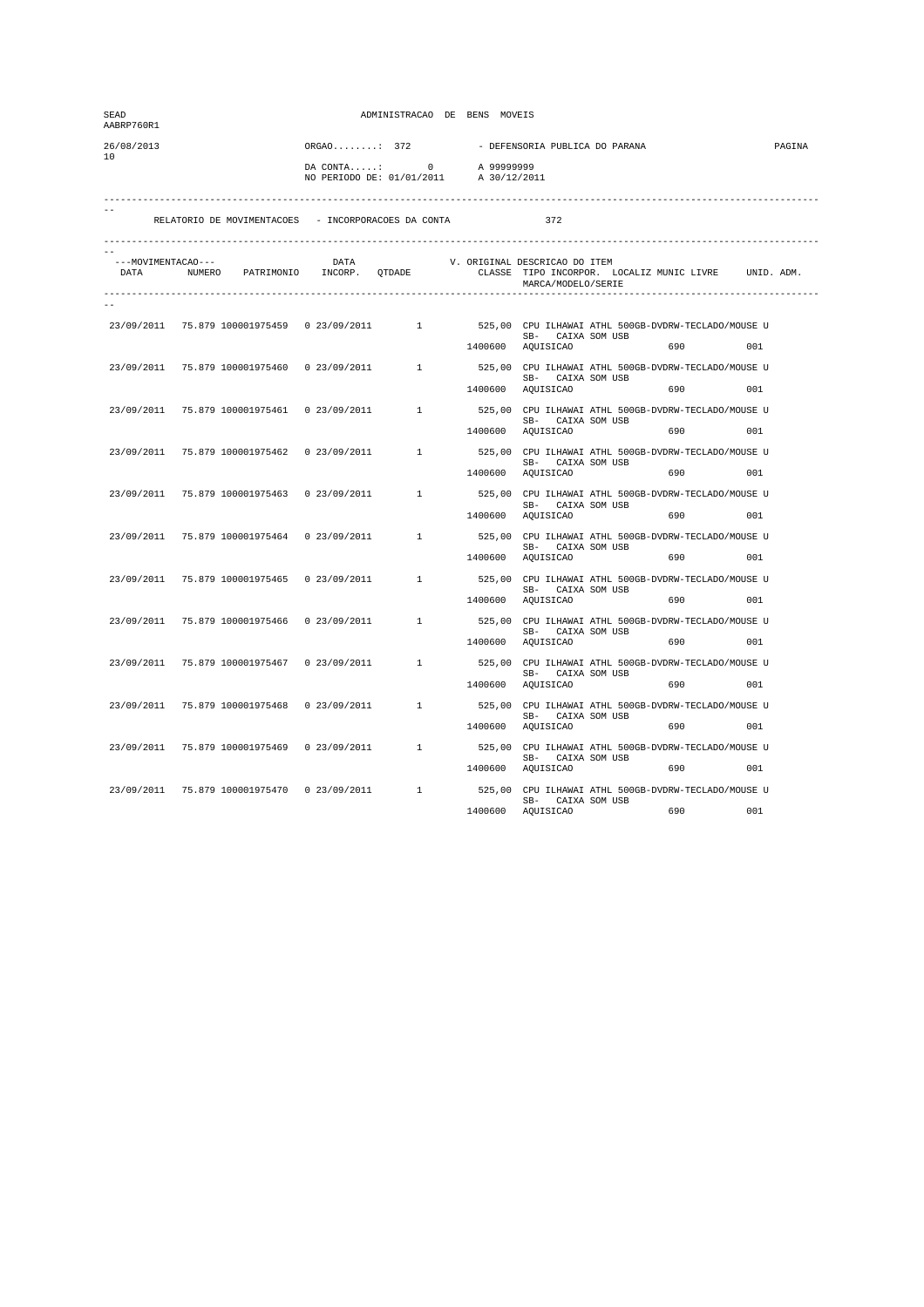| SEAD<br>AABRP760R1 |                                               |              | ADMINISTRACAO DE BENS MOVEIS                                       |         |                                                     |                                                                                                                        |        |
|--------------------|-----------------------------------------------|--------------|--------------------------------------------------------------------|---------|-----------------------------------------------------|------------------------------------------------------------------------------------------------------------------------|--------|
| 26/08/2013         |                                               | ORGAO: 372   |                                                                    |         | - DEFENSORIA PUBLICA DO PARANA                      |                                                                                                                        | PAGINA |
| 10 <sup>1</sup>    |                                               |              | DA CONTA: 0 A 99999999<br>NO PERIODO DE: 01/01/2011 A 30/12/2011   |         |                                                     |                                                                                                                        |        |
|                    |                                               |              | RELATORIO DE MOVIMENTACOES - INCORPORACOES DA CONTA                |         | 372                                                 |                                                                                                                        |        |
| ---MOVIMENTACAO--- |                                               |              | --MOVIMENTACAO--- DATA V.<br>DATA NUMERO PATRIMONIO INCORP. QTDADE |         | V. ORIGINAL DESCRICAO DO ITEM<br>MARCA/MODELO/SERIE | CLASSE TIPO INCORPOR. LOCALIZ MUNIC LIVRE UNID. ADM.                                                                   |        |
|                    |                                               |              |                                                                    |         |                                                     |                                                                                                                        |        |
|                    |                                               |              |                                                                    |         |                                                     | 23/09/2011 75.879 100001975459 0 23/09/2011 1 525,00 CPU ILHAWAI ATHL 500GB-DVDRW-TECLADO/MOUSE U<br>SB- CAIXA SOM USB |        |
|                    |                                               |              |                                                                    |         | 1400600 AQUISICAO                                   | 690 001                                                                                                                |        |
| 23/09/2011         |                                               |              |                                                                    |         | SB- CAIXA SOM USB                                   | 75.879 100001975460  0 23/09/2011  1  525,00 CPU ILHAWAI ATHL 500GB-DVDRW-TECLADO/MOUSE U                              |        |
|                    |                                               |              |                                                                    |         | 1400600 AQUISICAO                                   | 690                                                                                                                    | 001    |
|                    |                                               |              | 23/09/2011 75.879 100001975461 0 23/09/2011 1                      |         |                                                     | 525,00 CPU ILHAWAI ATHL 500GB-DVDRW-TECLADO/MOUSE U                                                                    |        |
|                    |                                               |              |                                                                    |         | SB- CAIXA SOM USB<br>1400600 AQUISICAO              | 690 80                                                                                                                 | 0.01   |
|                    | 23/09/2011 75.879 100001975462 0 23/09/2011   |              |                                                                    |         |                                                     | 1 525,00 CPU ILHAWAI ATHL 500GB-DVDRW-TECLADO/MOUSE U                                                                  |        |
|                    |                                               |              |                                                                    |         | SB- CAIXA SOM USB<br>1400600 AQUISICAO              | 690 001                                                                                                                |        |
|                    | 23/09/2011 75.879 100001975463                | 0 23/09/2011 | $\mathbf{1}$                                                       |         |                                                     | 525,00 CPU ILHAWAI ATHL 500GB-DVDRW-TECLADO/MOUSE U                                                                    |        |
|                    |                                               |              |                                                                    | 1400600 | AQUISICAO                                           | SB- CAIXA SOM USB<br>690                                                                                               | 0.01   |
| 23/09/2011         | 75.879 100001975464                           |              |                                                                    |         |                                                     | 0 23/09/2011 1 525,00 CPU ILHAWAI ATHL 500GB-DVDRW-TECLADO/MOUSE U                                                     |        |
|                    |                                               |              |                                                                    |         | SB- CAIXA SOM USB<br>1400600 AQUISICAO              | 690 88                                                                                                                 | 0.01   |
|                    |                                               |              |                                                                    |         |                                                     |                                                                                                                        |        |
|                    |                                               |              | 23/09/2011 75.879 100001975465 0 23/09/2011 1                      |         | SB- CAIXA SOM USB                                   | 525,00 CPU ILHAWAI ATHL 500GB-DVDRW-TECLADO/MOUSE U                                                                    |        |
|                    |                                               |              |                                                                    |         | 1400600 AQUISICAO                                   | 690 001                                                                                                                |        |
|                    | 23/09/2011 75.879 100001975466 0 23/09/2011   |              | $1 \qquad \qquad$                                                  |         | SB- CAIXA SOM USB                                   | 525,00 CPU ILHAWAI ATHL 500GB-DVDRW-TECLADO/MOUSE U                                                                    |        |
|                    |                                               |              |                                                                    |         | 1400600 AQUISICAO                                   | 690 001                                                                                                                |        |
| 23/09/2011         | 75.879 100001975467                           | 0 23/09/2011 | $1 \quad \cdots$                                                   |         |                                                     | 525,00 CPU ILHAWAI ATHL 500GB-DVDRW-TECLADO/MOUSE U<br>SB- CAIXA SOM USB                                               |        |
|                    |                                               |              |                                                                    |         | 1400600 AQUISICAO                                   | 690                                                                                                                    | 001    |
| 23/09/2011         | 75.879 100001975468                           |              | 0 23/09/2011 1                                                     |         |                                                     | 525,00 CPU ILHAWAI ATHL 500GB-DVDRW-TECLADO/MOUSE U                                                                    |        |
|                    |                                               |              |                                                                    |         | SB- CAIXA SOM USB<br>1400600 AQUISICAO              | 690                                                                                                                    | 001    |
|                    | 23/09/2011 75.879 100001975469                |              |                                                                    |         |                                                     |                                                                                                                        |        |
|                    |                                               |              |                                                                    |         | SB- CAIXA SOM USB<br>1400600 AQUISICAO              |                                                                                                                        | 001    |
|                    | 23/09/2011 75.879 100001975470 0 23/09/2011 1 |              |                                                                    |         |                                                     | 525,00 CPU ILHAWAI ATHL 500GB-DVDRW-TECLADO/MOUSE U                                                                    |        |
|                    |                                               |              |                                                                    | 1400600 | SB- CAIXA SOM USB<br>AQUISICAO                      | 690                                                                                                                    | 001    |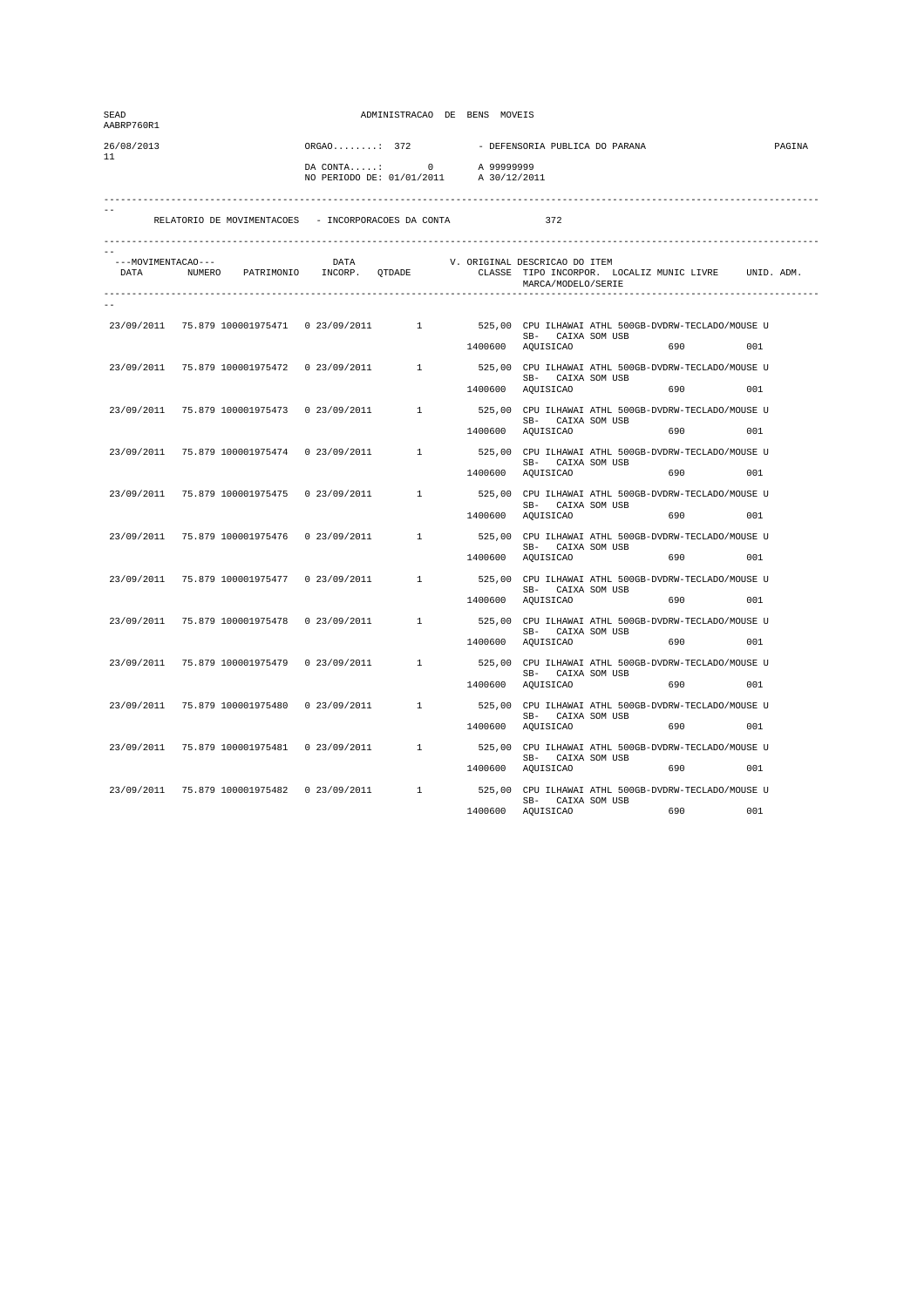| 26/08/2013<br>ORGAO: 372<br>- DEFENSORIA PUBLICA DO PARANA<br>PAGINA<br>11<br>DA CONTA: 0 A 99999999<br>NO PERIODO DE: 01/01/2011 A 30/12/201<br>A 30/12/2011<br>372<br>RELATORIO DE MOVIMENTACOES - INCORPORACOES DA CONTA<br>---MOVIMENTACAO---<br>---MOVIMENTACAO--- DATA V.<br>DATA NUMERO PATRIMONIO INCORP. QTDADE<br>V. ORIGINAL DESCRICAO DO ITEM<br>CLASSE TIPO INCORPOR. LOCALIZ MUNIC LIVRE UNID. ADM.<br>MARCA/MODELO/SERIE<br>23/09/2011 75.879 100001975471 0 23/09/2011 1 525,00 CPU ILHAWAI ATHL 500GB-DVDRW-TECLADO/MOUSE U<br>SB- CAIXA SOM USB<br>1400600 AQUISICAO<br>690 001<br>75.879 100001975472  0 23/09/2011  1  525,00 CPU ILHAWAI ATHL 500GB-DVDRW-TECLADO/MOUSE U<br>23/09/2011<br>SB- CAIXA SOM USB<br>1400600 AQUISICAO<br>001<br>525,00 CPU ILHAWAI ATHL 500GB-DVDRW-TECLADO/MOUSE U<br>23/09/2011 75.879 100001975473 0 23/09/2011 1<br>SB- CAIXA SOM USB<br>1400600 AQUISICAO<br>690 80<br>0.01<br>1 525,00 CPU ILHAWAI ATHL 500GB-DVDRW-TECLADO/MOUSE U<br>23/09/2011 75.879 100001975474 0 23/09/2011<br>SB- CAIXA SOM USB<br>1400600 AQUISICAO<br>690 001<br>525,00 CPU ILHAWAI ATHL 500GB-DVDRW-TECLADO/MOUSE U<br>23/09/2011 75.879 100001975475<br>0 23/09/2011<br>$\mathbf{1}$<br>SB- CAIXA SOM USB<br>1400600<br>690<br>0.01<br>AQUISICAO<br>$1 \qquad \qquad 525,00 \quad \text{CPU ILHAMAIATHL 500GB–DVDRW-TECLADO/MOUSE U}$<br>23/09/2011<br>75.879 100001975476<br>SB- CAIXA SOM USB<br>1400600 AQUISICAO<br>690 88<br>0.01<br>525,00 CPU ILHAWAI ATHL 500GB-DVDRW-TECLADO/MOUSE U<br>23/09/2011 75.879 100001975477 0 23/09/2011 1<br>SB- CAIXA SOM USB<br>1400600 AQUISICAO<br>690 001<br>525,00 CPU ILHAWAI ATHL 500GB-DVDRW-TECLADO/MOUSE U<br>23/09/2011 75.879 100001975478 0 23/09/2011<br>$1 \qquad \qquad$<br>SB- CAIXA SOM USB<br>1400600 AQUISICAO<br>690 001<br>525,00 CPU ILHAWAI ATHL 500GB-DVDRW-TECLADO/MOUSE U<br>23/09/2011<br>75.879 100001975479<br>0 23/09/2011<br>1<br>SB- CAIXA SOM USB<br>1400600 AQUISICAO<br>690<br>001<br>75.879 100001975480<br>0 23/09/2011 1<br>525,00 CPU ILHAWAI ATHL 500GB-DVDRW-TECLADO/MOUSE U<br>23/09/2011<br>SB- CAIXA SOM USB<br>1400600 AQUISICAO<br>690<br>001<br>23/09/2011 75.879 100001975481 0 23/09/2011 1 525,00 CPU ILHAWAI ATHL 500GB-DVDRW-TECLADO/MOUSE U<br>SB- CAIXA SOM USB<br>1400600 AQUISICAO<br>001<br>23/09/2011 75.879 100001975482 0 23/09/2011 1<br>525,00 CPU ILHAWAI ATHL 500GB-DVDRW-TECLADO/MOUSE U<br>SB- CAIXA SOM USB<br>1400600<br>AQUISICAO<br>001<br>690 | SEAD<br>AABRP760R1 |  | ADMINISTRACAO DE BENS MOVEIS |  |  |
|------------------------------------------------------------------------------------------------------------------------------------------------------------------------------------------------------------------------------------------------------------------------------------------------------------------------------------------------------------------------------------------------------------------------------------------------------------------------------------------------------------------------------------------------------------------------------------------------------------------------------------------------------------------------------------------------------------------------------------------------------------------------------------------------------------------------------------------------------------------------------------------------------------------------------------------------------------------------------------------------------------------------------------------------------------------------------------------------------------------------------------------------------------------------------------------------------------------------------------------------------------------------------------------------------------------------------------------------------------------------------------------------------------------------------------------------------------------------------------------------------------------------------------------------------------------------------------------------------------------------------------------------------------------------------------------------------------------------------------------------------------------------------------------------------------------------------------------------------------------------------------------------------------------------------------------------------------------------------------------------------------------------------------------------------------------------------------------------------------------------------------------------------------------------------------------------------------------------------------------------------------------------------------------------------------------------------------------------------------------------------------------------------------------------------------------------------------------------------------------------|--------------------|--|------------------------------|--|--|
|                                                                                                                                                                                                                                                                                                                                                                                                                                                                                                                                                                                                                                                                                                                                                                                                                                                                                                                                                                                                                                                                                                                                                                                                                                                                                                                                                                                                                                                                                                                                                                                                                                                                                                                                                                                                                                                                                                                                                                                                                                                                                                                                                                                                                                                                                                                                                                                                                                                                                                |                    |  |                              |  |  |
|                                                                                                                                                                                                                                                                                                                                                                                                                                                                                                                                                                                                                                                                                                                                                                                                                                                                                                                                                                                                                                                                                                                                                                                                                                                                                                                                                                                                                                                                                                                                                                                                                                                                                                                                                                                                                                                                                                                                                                                                                                                                                                                                                                                                                                                                                                                                                                                                                                                                                                |                    |  |                              |  |  |
|                                                                                                                                                                                                                                                                                                                                                                                                                                                                                                                                                                                                                                                                                                                                                                                                                                                                                                                                                                                                                                                                                                                                                                                                                                                                                                                                                                                                                                                                                                                                                                                                                                                                                                                                                                                                                                                                                                                                                                                                                                                                                                                                                                                                                                                                                                                                                                                                                                                                                                |                    |  |                              |  |  |
|                                                                                                                                                                                                                                                                                                                                                                                                                                                                                                                                                                                                                                                                                                                                                                                                                                                                                                                                                                                                                                                                                                                                                                                                                                                                                                                                                                                                                                                                                                                                                                                                                                                                                                                                                                                                                                                                                                                                                                                                                                                                                                                                                                                                                                                                                                                                                                                                                                                                                                |                    |  |                              |  |  |
|                                                                                                                                                                                                                                                                                                                                                                                                                                                                                                                                                                                                                                                                                                                                                                                                                                                                                                                                                                                                                                                                                                                                                                                                                                                                                                                                                                                                                                                                                                                                                                                                                                                                                                                                                                                                                                                                                                                                                                                                                                                                                                                                                                                                                                                                                                                                                                                                                                                                                                |                    |  |                              |  |  |
|                                                                                                                                                                                                                                                                                                                                                                                                                                                                                                                                                                                                                                                                                                                                                                                                                                                                                                                                                                                                                                                                                                                                                                                                                                                                                                                                                                                                                                                                                                                                                                                                                                                                                                                                                                                                                                                                                                                                                                                                                                                                                                                                                                                                                                                                                                                                                                                                                                                                                                |                    |  |                              |  |  |
|                                                                                                                                                                                                                                                                                                                                                                                                                                                                                                                                                                                                                                                                                                                                                                                                                                                                                                                                                                                                                                                                                                                                                                                                                                                                                                                                                                                                                                                                                                                                                                                                                                                                                                                                                                                                                                                                                                                                                                                                                                                                                                                                                                                                                                                                                                                                                                                                                                                                                                |                    |  |                              |  |  |
|                                                                                                                                                                                                                                                                                                                                                                                                                                                                                                                                                                                                                                                                                                                                                                                                                                                                                                                                                                                                                                                                                                                                                                                                                                                                                                                                                                                                                                                                                                                                                                                                                                                                                                                                                                                                                                                                                                                                                                                                                                                                                                                                                                                                                                                                                                                                                                                                                                                                                                |                    |  |                              |  |  |
|                                                                                                                                                                                                                                                                                                                                                                                                                                                                                                                                                                                                                                                                                                                                                                                                                                                                                                                                                                                                                                                                                                                                                                                                                                                                                                                                                                                                                                                                                                                                                                                                                                                                                                                                                                                                                                                                                                                                                                                                                                                                                                                                                                                                                                                                                                                                                                                                                                                                                                |                    |  |                              |  |  |
|                                                                                                                                                                                                                                                                                                                                                                                                                                                                                                                                                                                                                                                                                                                                                                                                                                                                                                                                                                                                                                                                                                                                                                                                                                                                                                                                                                                                                                                                                                                                                                                                                                                                                                                                                                                                                                                                                                                                                                                                                                                                                                                                                                                                                                                                                                                                                                                                                                                                                                |                    |  |                              |  |  |
|                                                                                                                                                                                                                                                                                                                                                                                                                                                                                                                                                                                                                                                                                                                                                                                                                                                                                                                                                                                                                                                                                                                                                                                                                                                                                                                                                                                                                                                                                                                                                                                                                                                                                                                                                                                                                                                                                                                                                                                                                                                                                                                                                                                                                                                                                                                                                                                                                                                                                                |                    |  |                              |  |  |
|                                                                                                                                                                                                                                                                                                                                                                                                                                                                                                                                                                                                                                                                                                                                                                                                                                                                                                                                                                                                                                                                                                                                                                                                                                                                                                                                                                                                                                                                                                                                                                                                                                                                                                                                                                                                                                                                                                                                                                                                                                                                                                                                                                                                                                                                                                                                                                                                                                                                                                |                    |  |                              |  |  |
|                                                                                                                                                                                                                                                                                                                                                                                                                                                                                                                                                                                                                                                                                                                                                                                                                                                                                                                                                                                                                                                                                                                                                                                                                                                                                                                                                                                                                                                                                                                                                                                                                                                                                                                                                                                                                                                                                                                                                                                                                                                                                                                                                                                                                                                                                                                                                                                                                                                                                                |                    |  |                              |  |  |
|                                                                                                                                                                                                                                                                                                                                                                                                                                                                                                                                                                                                                                                                                                                                                                                                                                                                                                                                                                                                                                                                                                                                                                                                                                                                                                                                                                                                                                                                                                                                                                                                                                                                                                                                                                                                                                                                                                                                                                                                                                                                                                                                                                                                                                                                                                                                                                                                                                                                                                |                    |  |                              |  |  |
|                                                                                                                                                                                                                                                                                                                                                                                                                                                                                                                                                                                                                                                                                                                                                                                                                                                                                                                                                                                                                                                                                                                                                                                                                                                                                                                                                                                                                                                                                                                                                                                                                                                                                                                                                                                                                                                                                                                                                                                                                                                                                                                                                                                                                                                                                                                                                                                                                                                                                                |                    |  |                              |  |  |
|                                                                                                                                                                                                                                                                                                                                                                                                                                                                                                                                                                                                                                                                                                                                                                                                                                                                                                                                                                                                                                                                                                                                                                                                                                                                                                                                                                                                                                                                                                                                                                                                                                                                                                                                                                                                                                                                                                                                                                                                                                                                                                                                                                                                                                                                                                                                                                                                                                                                                                |                    |  |                              |  |  |
|                                                                                                                                                                                                                                                                                                                                                                                                                                                                                                                                                                                                                                                                                                                                                                                                                                                                                                                                                                                                                                                                                                                                                                                                                                                                                                                                                                                                                                                                                                                                                                                                                                                                                                                                                                                                                                                                                                                                                                                                                                                                                                                                                                                                                                                                                                                                                                                                                                                                                                |                    |  |                              |  |  |
|                                                                                                                                                                                                                                                                                                                                                                                                                                                                                                                                                                                                                                                                                                                                                                                                                                                                                                                                                                                                                                                                                                                                                                                                                                                                                                                                                                                                                                                                                                                                                                                                                                                                                                                                                                                                                                                                                                                                                                                                                                                                                                                                                                                                                                                                                                                                                                                                                                                                                                |                    |  |                              |  |  |
|                                                                                                                                                                                                                                                                                                                                                                                                                                                                                                                                                                                                                                                                                                                                                                                                                                                                                                                                                                                                                                                                                                                                                                                                                                                                                                                                                                                                                                                                                                                                                                                                                                                                                                                                                                                                                                                                                                                                                                                                                                                                                                                                                                                                                                                                                                                                                                                                                                                                                                |                    |  |                              |  |  |
|                                                                                                                                                                                                                                                                                                                                                                                                                                                                                                                                                                                                                                                                                                                                                                                                                                                                                                                                                                                                                                                                                                                                                                                                                                                                                                                                                                                                                                                                                                                                                                                                                                                                                                                                                                                                                                                                                                                                                                                                                                                                                                                                                                                                                                                                                                                                                                                                                                                                                                |                    |  |                              |  |  |
|                                                                                                                                                                                                                                                                                                                                                                                                                                                                                                                                                                                                                                                                                                                                                                                                                                                                                                                                                                                                                                                                                                                                                                                                                                                                                                                                                                                                                                                                                                                                                                                                                                                                                                                                                                                                                                                                                                                                                                                                                                                                                                                                                                                                                                                                                                                                                                                                                                                                                                |                    |  |                              |  |  |
|                                                                                                                                                                                                                                                                                                                                                                                                                                                                                                                                                                                                                                                                                                                                                                                                                                                                                                                                                                                                                                                                                                                                                                                                                                                                                                                                                                                                                                                                                                                                                                                                                                                                                                                                                                                                                                                                                                                                                                                                                                                                                                                                                                                                                                                                                                                                                                                                                                                                                                |                    |  |                              |  |  |
|                                                                                                                                                                                                                                                                                                                                                                                                                                                                                                                                                                                                                                                                                                                                                                                                                                                                                                                                                                                                                                                                                                                                                                                                                                                                                                                                                                                                                                                                                                                                                                                                                                                                                                                                                                                                                                                                                                                                                                                                                                                                                                                                                                                                                                                                                                                                                                                                                                                                                                |                    |  |                              |  |  |
|                                                                                                                                                                                                                                                                                                                                                                                                                                                                                                                                                                                                                                                                                                                                                                                                                                                                                                                                                                                                                                                                                                                                                                                                                                                                                                                                                                                                                                                                                                                                                                                                                                                                                                                                                                                                                                                                                                                                                                                                                                                                                                                                                                                                                                                                                                                                                                                                                                                                                                |                    |  |                              |  |  |
|                                                                                                                                                                                                                                                                                                                                                                                                                                                                                                                                                                                                                                                                                                                                                                                                                                                                                                                                                                                                                                                                                                                                                                                                                                                                                                                                                                                                                                                                                                                                                                                                                                                                                                                                                                                                                                                                                                                                                                                                                                                                                                                                                                                                                                                                                                                                                                                                                                                                                                |                    |  |                              |  |  |
|                                                                                                                                                                                                                                                                                                                                                                                                                                                                                                                                                                                                                                                                                                                                                                                                                                                                                                                                                                                                                                                                                                                                                                                                                                                                                                                                                                                                                                                                                                                                                                                                                                                                                                                                                                                                                                                                                                                                                                                                                                                                                                                                                                                                                                                                                                                                                                                                                                                                                                |                    |  |                              |  |  |
|                                                                                                                                                                                                                                                                                                                                                                                                                                                                                                                                                                                                                                                                                                                                                                                                                                                                                                                                                                                                                                                                                                                                                                                                                                                                                                                                                                                                                                                                                                                                                                                                                                                                                                                                                                                                                                                                                                                                                                                                                                                                                                                                                                                                                                                                                                                                                                                                                                                                                                |                    |  |                              |  |  |
|                                                                                                                                                                                                                                                                                                                                                                                                                                                                                                                                                                                                                                                                                                                                                                                                                                                                                                                                                                                                                                                                                                                                                                                                                                                                                                                                                                                                                                                                                                                                                                                                                                                                                                                                                                                                                                                                                                                                                                                                                                                                                                                                                                                                                                                                                                                                                                                                                                                                                                |                    |  |                              |  |  |
|                                                                                                                                                                                                                                                                                                                                                                                                                                                                                                                                                                                                                                                                                                                                                                                                                                                                                                                                                                                                                                                                                                                                                                                                                                                                                                                                                                                                                                                                                                                                                                                                                                                                                                                                                                                                                                                                                                                                                                                                                                                                                                                                                                                                                                                                                                                                                                                                                                                                                                |                    |  |                              |  |  |
|                                                                                                                                                                                                                                                                                                                                                                                                                                                                                                                                                                                                                                                                                                                                                                                                                                                                                                                                                                                                                                                                                                                                                                                                                                                                                                                                                                                                                                                                                                                                                                                                                                                                                                                                                                                                                                                                                                                                                                                                                                                                                                                                                                                                                                                                                                                                                                                                                                                                                                |                    |  |                              |  |  |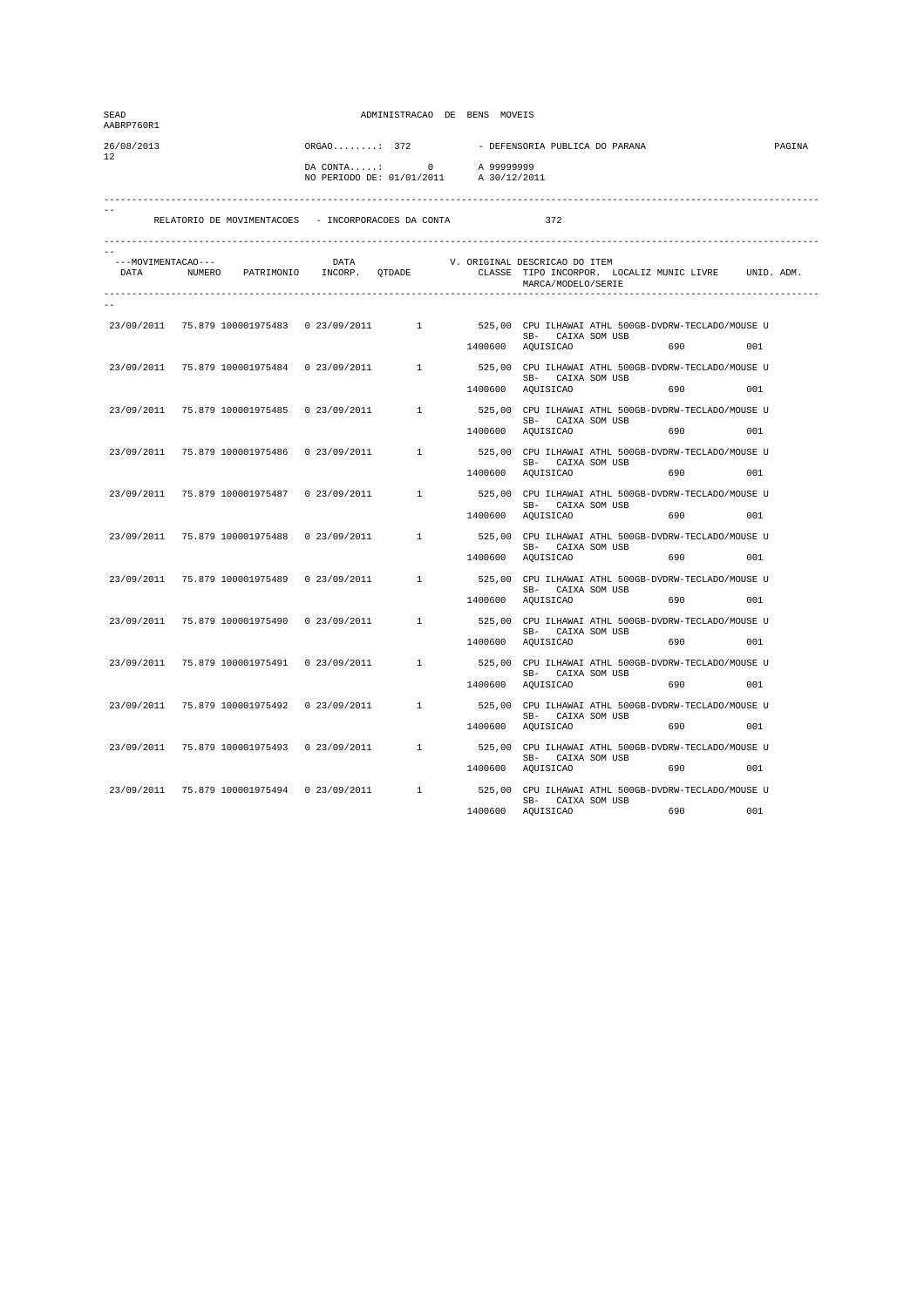| SEAD<br>AABRP760R1 |                                               |               | ADMINISTRACAO DE BENS MOVEIS                                       |              |                                                     |                                                                                                                        |        |
|--------------------|-----------------------------------------------|---------------|--------------------------------------------------------------------|--------------|-----------------------------------------------------|------------------------------------------------------------------------------------------------------------------------|--------|
| 26/08/2013         |                                               | $ORGAO$ : 372 |                                                                    |              | - DEFENSORIA PUBLICA DO PARANA                      |                                                                                                                        | PAGINA |
| 12 <sub>2</sub>    |                                               |               | DA CONTA: 0 A 99999999<br>NO PERIODO DE: 01/01/2011 A 30/12/201    | A 30/12/2011 |                                                     |                                                                                                                        |        |
|                    |                                               |               | RELATORIO DE MOVIMENTACOES - INCORPORACOES DA CONTA                |              | 372                                                 |                                                                                                                        |        |
| ---MOVIMENTACAO--- |                                               |               | --MOVIMENTACAO--- DATA V.<br>DATA NUMERO PATRIMONIO INCORP. QTDADE |              | V. ORIGINAL DESCRICAO DO ITEM<br>MARCA/MODELO/SERIE | CLASSE TIPO INCORPOR. LOCALIZ MUNIC LIVRE UNID. ADM.                                                                   |        |
|                    |                                               |               |                                                                    |              |                                                     |                                                                                                                        |        |
|                    |                                               |               |                                                                    |              |                                                     | 23/09/2011 75.879 100001975483 0 23/09/2011 1 525,00 CPU ILHAWAI ATHL 500GB-DVDRW-TECLADO/MOUSE U<br>SB- CAIXA SOM USB |        |
|                    |                                               |               |                                                                    |              | 1400600 AQUISICAO                                   | 690 001                                                                                                                |        |
| 23/09/2011         |                                               |               |                                                                    |              | SB- CAIXA SOM USB                                   | 75.879 100001975484  0 23/09/2011  1  525,00 CPU ILHAWAI ATHL 500GB-DVDRW-TECLADO/MOUSE U                              |        |
|                    |                                               |               |                                                                    |              | 1400600 AQUISICAO                                   | 690                                                                                                                    | 001    |
|                    |                                               |               | 23/09/2011 75.879 100001975485 0 23/09/2011 1                      |              |                                                     | 525,00 CPU ILHAWAI ATHL 500GB-DVDRW-TECLADO/MOUSE U                                                                    |        |
|                    |                                               |               |                                                                    |              | SB- CAIXA SOM USB<br>1400600 AQUISICAO              | 690 80                                                                                                                 | 0.01   |
|                    | 23/09/2011 75.879 100001975486 0 23/09/2011   |               |                                                                    |              |                                                     | 1 525,00 CPU ILHAWAI ATHL 500GB-DVDRW-TECLADO/MOUSE U                                                                  |        |
|                    |                                               |               |                                                                    |              | SB- CAIXA SOM USB<br>1400600 AQUISICAO              | 690 001                                                                                                                |        |
|                    | 23/09/2011 75.879 100001975487                | 0 23/09/2011  | 1                                                                  |              |                                                     | 525,00 CPU ILHAWAI ATHL 500GB-DVDRW-TECLADO/MOUSE U                                                                    |        |
|                    |                                               |               |                                                                    | 1400600      | AQUISICAO                                           | SB- CAIXA SOM USB<br>690                                                                                               | 0.01   |
| 23/09/2011         | 75.879 100001975488                           |               |                                                                    |              |                                                     | 0 23/09/2011 1 525,00 CPU ILHAWAI ATHL 500GB-DVDRW-TECLADO/MOUSE U                                                     |        |
|                    |                                               |               |                                                                    |              | SB- CAIXA SOM USB<br>1400600 AQUISICAO              | 690 88                                                                                                                 | 0.01   |
|                    |                                               |               |                                                                    |              |                                                     |                                                                                                                        |        |
|                    | 23/09/2011 75.879 100001975489                |               | 0 23/09/2011 1                                                     |              | SB- CAIXA SOM USB                                   | 525,00 CPU ILHAWAI ATHL 500GB-DVDRW-TECLADO/MOUSE U                                                                    |        |
|                    |                                               |               |                                                                    |              | 1400600 AQUISICAO                                   | 690 001                                                                                                                |        |
|                    | 23/09/2011 75.879 100001975490 0 23/09/2011   |               | $1 \qquad \qquad$                                                  |              | SB- CAIXA SOM USB                                   | 525,00 CPU ILHAWAI ATHL 500GB-DVDRW-TECLADO/MOUSE U                                                                    |        |
|                    |                                               |               |                                                                    |              | 1400600 AQUISICAO                                   | 690 001                                                                                                                |        |
| 23/09/2011         | 75.879 100001975491                           | 0 23/09/2011  | 1                                                                  |              |                                                     | 525,00 CPU ILHAWAI ATHL 500GB-DVDRW-TECLADO/MOUSE U<br>SB- CAIXA SOM USB                                               |        |
|                    |                                               |               |                                                                    |              | 1400600 AQUISICAO                                   | 690                                                                                                                    | 001    |
| 23/09/2011         | 75.879 100001975492                           |               | 0 23/09/2011 1                                                     |              |                                                     | 525,00 CPU ILHAWAI ATHL 500GB-DVDRW-TECLADO/MOUSE U                                                                    |        |
|                    |                                               |               |                                                                    |              | SB- CAIXA SOM USB<br>1400600 AQUISICAO              | 690                                                                                                                    | 001    |
|                    |                                               |               |                                                                    |              |                                                     | 23/09/2011 75.879 100001975493 0 23/09/2011 1 525,00 CPU ILHAWAI ATHL 500GB-DVDRW-TECLADO/MOUSE U                      |        |
|                    |                                               |               |                                                                    |              | SB- CAIXA SOM USB<br>1400600 AQUISICAO              |                                                                                                                        | 001    |
|                    | 23/09/2011 75.879 100001975494 0 23/09/2011 1 |               |                                                                    |              |                                                     | 525,00 CPU ILHAWAI ATHL 500GB-DVDRW-TECLADO/MOUSE U                                                                    |        |
|                    |                                               |               |                                                                    | 1400600      | SB- CAIXA SOM USB<br>AQUISICAO                      | 690                                                                                                                    | 001    |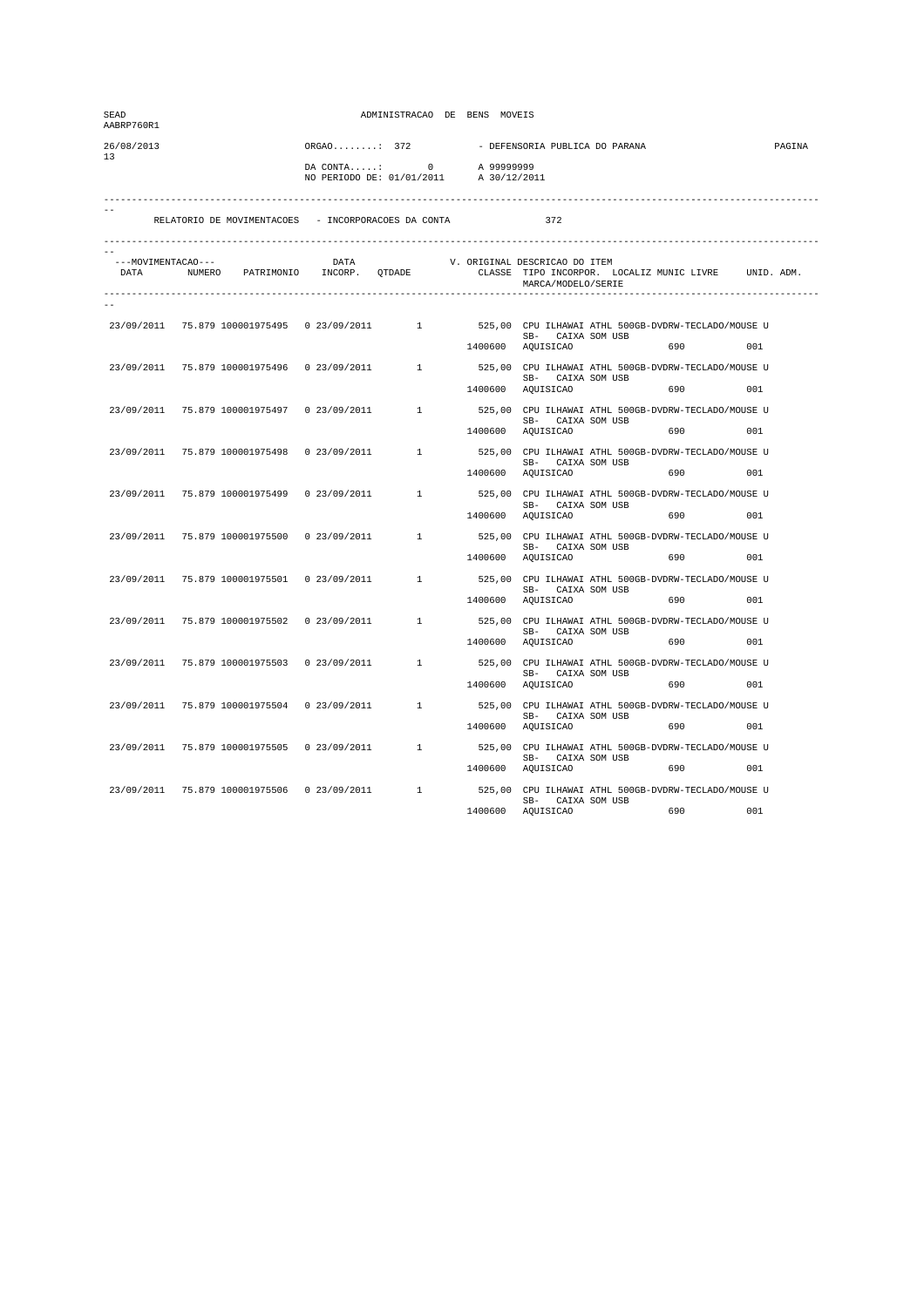| SEAD<br>AABRP760R1 |                                               |               | ADMINISTRACAO DE BENS MOVEIS                                       |              |                                                     |                                                                                                                        |        |
|--------------------|-----------------------------------------------|---------------|--------------------------------------------------------------------|--------------|-----------------------------------------------------|------------------------------------------------------------------------------------------------------------------------|--------|
| 26/08/2013         |                                               | $ORGAO$ : 372 |                                                                    |              | - DEFENSORIA PUBLICA DO PARANA                      |                                                                                                                        | PAGINA |
| 13 <sup>7</sup>    |                                               |               | DA CONTA: 0 A 99999999<br>NO PERIODO DE: 01/01/2011 A 30/12/201    | A 30/12/2011 |                                                     |                                                                                                                        |        |
|                    |                                               |               | RELATORIO DE MOVIMENTACOES - INCORPORACOES DA CONTA                |              | 372                                                 |                                                                                                                        |        |
| ---MOVIMENTACAO--- |                                               |               | --MOVIMENTACAO--- DATA V.<br>DATA NUMERO PATRIMONIO INCORP. QTDADE |              | V. ORIGINAL DESCRICAO DO ITEM<br>MARCA/MODELO/SERIE | CLASSE TIPO INCORPOR. LOCALIZ MUNIC LIVRE UNID. ADM.                                                                   |        |
|                    |                                               |               |                                                                    |              |                                                     |                                                                                                                        |        |
|                    |                                               |               |                                                                    |              |                                                     | 23/09/2011 75.879 100001975495 0 23/09/2011 1 525,00 CPU ILHAWAI ATHL 500GB-DVDRW-TECLADO/MOUSE U<br>SB- CAIXA SOM USB |        |
|                    |                                               |               |                                                                    |              | 1400600 AQUISICAO                                   | 690 001                                                                                                                |        |
| 23/09/2011         | 75.879 100001975496                           |               |                                                                    |              | SB- CAIXA SOM USB                                   | 0 23/09/2011 1 525,00 CPU ILHAWAI ATHL 500GB-DVDRW-TECLADO/MOUSE U                                                     |        |
|                    |                                               |               |                                                                    |              | 1400600 AQUISICAO                                   | 690                                                                                                                    | 001    |
|                    |                                               |               | 23/09/2011 75.879 100001975497 0 23/09/2011 1                      |              |                                                     | 525,00 CPU ILHAWAI ATHL 500GB-DVDRW-TECLADO/MOUSE U                                                                    |        |
|                    |                                               |               |                                                                    |              | SB- CAIXA SOM USB<br>1400600 AQUISICAO              | 690 80                                                                                                                 | 0.01   |
|                    | 23/09/2011 75.879 100001975498 0 23/09/2011   |               |                                                                    |              |                                                     | 1 525,00 CPU ILHAWAI ATHL 500GB-DVDRW-TECLADO/MOUSE U                                                                  |        |
|                    |                                               |               |                                                                    |              | SB- CAIXA SOM USB<br>1400600 AQUISICAO              | 690 001                                                                                                                |        |
|                    | 23/09/2011 75.879 100001975499                | 0 23/09/2011  | $\mathbf{1}$                                                       |              |                                                     | 525,00 CPU ILHAWAI ATHL 500GB-DVDRW-TECLADO/MOUSE U                                                                    |        |
|                    |                                               |               |                                                                    | 1400600      | AQUISICAO                                           | SB- CAIXA SOM USB<br>690                                                                                               | 0.01   |
| 23/09/2011         | 75.879 100001975500                           |               |                                                                    |              |                                                     | 0 23/09/2011 1 525,00 CPU ILHAWAI ATHL 500GB-DVDRW-TECLADO/MOUSE U                                                     |        |
|                    |                                               |               |                                                                    |              | SB- CAIXA SOM USB<br>1400600 AQUISICAO              | 690 80                                                                                                                 | 0.01   |
|                    |                                               |               |                                                                    |              |                                                     |                                                                                                                        |        |
|                    |                                               |               | 23/09/2011 75.879 100001975501 0 23/09/2011 1                      |              | SB- CAIXA SOM USB                                   | 525,00 CPU ILHAWAI ATHL 500GB-DVDRW-TECLADO/MOUSE U                                                                    |        |
|                    |                                               |               |                                                                    |              | 1400600 AQUISICAO                                   | 690 001                                                                                                                |        |
|                    | 23/09/2011 75.879 100001975502 0 23/09/2011   |               | $1 \qquad \qquad$                                                  |              | SB- CAIXA SOM USB                                   | 525,00 CPU ILHAWAI ATHL 500GB-DVDRW-TECLADO/MOUSE U                                                                    |        |
|                    |                                               |               |                                                                    |              | 1400600 AQUISICAO                                   | 690 001                                                                                                                |        |
| 23/09/2011         | 75.879 100001975503                           | 0 23/09/2011  | 1                                                                  |              |                                                     | 525,00 CPU ILHAWAI ATHL 500GB-DVDRW-TECLADO/MOUSE U                                                                    |        |
|                    |                                               |               |                                                                    |              | 1400600 AQUISICAO                                   | SB- CAIXA SOM USB<br>690                                                                                               | 001    |
| 23/09/2011         |                                               |               | 75.879 100001975504  0 23/09/2011  1                               |              |                                                     | 525,00 CPU ILHAWAI ATHL 500GB-DVDRW-TECLADO/MOUSE U                                                                    |        |
|                    |                                               |               |                                                                    |              | SB- CAIXA SOM USB<br>1400600 AQUISICAO              | 690                                                                                                                    | 001    |
|                    |                                               |               |                                                                    |              |                                                     | 23/09/2011 75.879 100001975505 0 23/09/2011 1 525,00 CPU ILHAWAI ATHL 500GB-DVDRW-TECLADO/MOUSE U                      |        |
|                    |                                               |               |                                                                    |              | SB- CAIXA SOM USB<br>1400600 AQUISICAO              |                                                                                                                        | 001    |
|                    | 23/09/2011 75.879 100001975506 0 23/09/2011 1 |               |                                                                    |              |                                                     | 525,00 CPU ILHAWAI ATHL 500GB-DVDRW-TECLADO/MOUSE U                                                                    |        |
|                    |                                               |               |                                                                    |              | SB- CAIXA SOM USB                                   |                                                                                                                        |        |
|                    |                                               |               |                                                                    | 1400600      | AQUISICAO                                           | 690                                                                                                                    | 001    |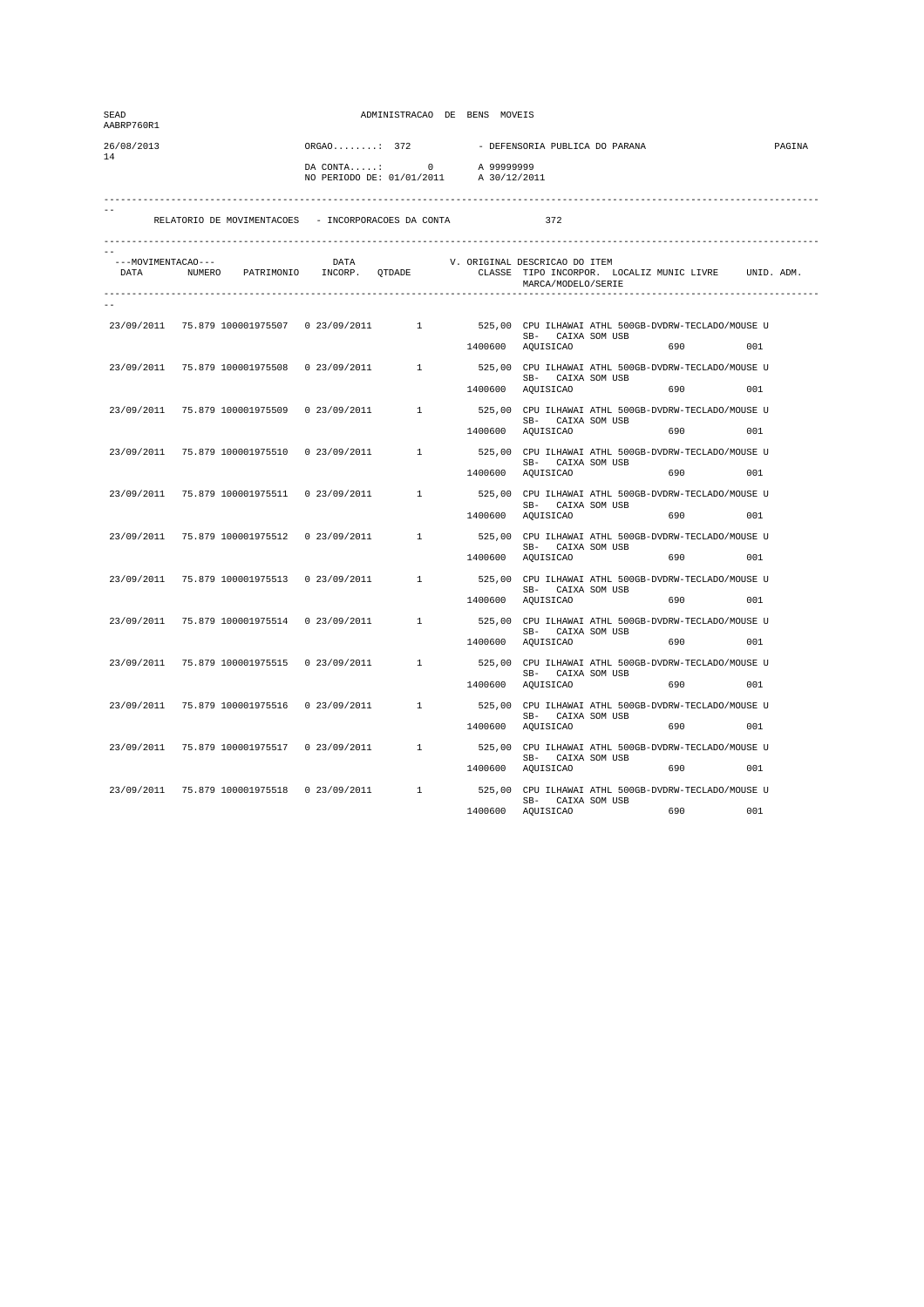| SEAD<br>AABRP760R1 |                                                     |               | ADMINISTRACAO DE BENS MOVEIS                                    |              |                                                                                                                                                             |        |
|--------------------|-----------------------------------------------------|---------------|-----------------------------------------------------------------|--------------|-------------------------------------------------------------------------------------------------------------------------------------------------------------|--------|
| 26/08/2013         |                                                     | $ORGAO$ : 372 |                                                                 |              | - DEFENSORIA PUBLICA DO PARANA                                                                                                                              | PAGINA |
| 14                 |                                                     |               | DA CONTA: 0 A 99999999<br>NO PERIODO DE: 01/01/2011 A 30/12/201 | A 30/12/2011 |                                                                                                                                                             |        |
|                    | RELATORIO DE MOVIMENTACOES - INCORPORACOES DA CONTA |               |                                                                 |              | 372                                                                                                                                                         |        |
| ---MOVIMENTACAO--- |                                                     |               |                                                                 |              | CLASSE TIPO INCORPOR. LOCALIZ MUNIC LIVRE UNID. ADM.<br>MARCA/MODELO/SERIE                                                                                  |        |
|                    |                                                     |               |                                                                 |              | 23/09/2011 75.879 100001975507 0 23/09/2011 1 525,00 CPU ILHAWAI ATHL 500GB-DVDRW-TECLADO/MOUSE U<br>SB- CAIXA SOM USB<br>1400600 AQUISICAO<br>690 —<br>001 |        |
| 23/09/2011         |                                                     |               |                                                                 |              | 75.879 100001975508 0 23/09/2011 1525,00 CPU ILHAWAI ATHL 500GB-DVDRW-TECLADO/MOUSE U<br>SB- CAIXA SOM USB<br>1400600 AQUISICAO<br>690<br>001               |        |
| 23/09/2011         | 75.879 100001975509                                 |               | 0 23/09/2011 1                                                  |              | 525,00 CPU ILHAWAI ATHL 500GB-DVDRW-TECLADO/MOUSE U<br>SB- CAIXA SOM USB<br>1400600 AQUISICAO<br>690 88<br>001                                              |        |
|                    | 23/09/2011 75.879 100001975510 0 23/09/2011         |               |                                                                 |              | 1 525,00 CPU ILHAWAI ATHL 500GB-DVDRW-TECLADO/MOUSE U<br>SB- CAIXA SOM USB<br>1400600 AQUISICAO<br>690 001                                                  |        |
|                    | 23/09/2011 75.879 100001975511                      |               | 0 23/09/2011 1                                                  | 1400600      | 525,00 CPU ILHAWAI ATHL 500GB-DVDRW-TECLADO/MOUSE U<br>SB- CAIXA SOM USB<br>690<br>001<br>AQUISICAO                                                         |        |
| 23/09/2011         |                                                     |               |                                                                 |              | 75.879 100001975512 0 23/09/2011 1 525,00 CPU ILHAWAI ATHL 500GB-DVDRW-TECLADO/MOUSE U<br>SB- CAIXA SOM USB<br>1400600 AQUISICAO<br>001                     |        |
|                    |                                                     |               |                                                                 |              | 23/09/2011 75.879 100001975513 0 23/09/2011 1525,00 CPU ILHAWAI ATHL 500GB-DVDRW-TECLADO/MOUSE U<br>SB- CAIXA SOM USB<br>1400600 AQUISICAO<br>690 001       |        |
|                    | 23/09/2011 75.879 100001975514 0 23/09/2011         |               | $1 \qquad \qquad$                                               |              | 525,00 CPU ILHAWAI ATHL 500GB-DVDRW-TECLADO/MOUSE U<br>SB- CAIXA SOM USB<br>1400600 AQUISICAO<br>690 001                                                    |        |
| 23/09/2011         | 75.879 100001975515                                 | 0 23/09/2011  | 1                                                               |              | 525,00 CPU ILHAWAI ATHL 500GB-DVDRW-TECLADO/MOUSE U<br>SB- CAIXA SOM USB<br>1400600 AQUISICAO<br>690<br>001                                                 |        |
| 23/09/2011         | 75.879 100001975516  0 23/09/2011  1                |               |                                                                 |              | 525,00 CPU ILHAWAI ATHL 500GB-DVDRW-TECLADO/MOUSE U<br>SB- CAIXA SOM USB<br>1400600 AQUISICAO<br>690<br>001                                                 |        |
|                    |                                                     |               |                                                                 |              | 23/09/2011 75.879 100001975517 0 23/09/2011 1 525,00 CPU ILHAWAI ATHL 500GB-DVDRW-TECLADO/MOUSE U<br>SB- CAIXA SOM USB<br>1400600 AQUISICAO<br>001          |        |
|                    | 23/09/2011 75.879 100001975518 0 23/09/2011 1       |               |                                                                 | 1400600      | 525,00 CPU ILHAWAI ATHL 500GB-DVDRW-TECLADO/MOUSE U<br>SB- CAIXA SOM USB<br>AQUISICAO<br>001<br>690                                                         |        |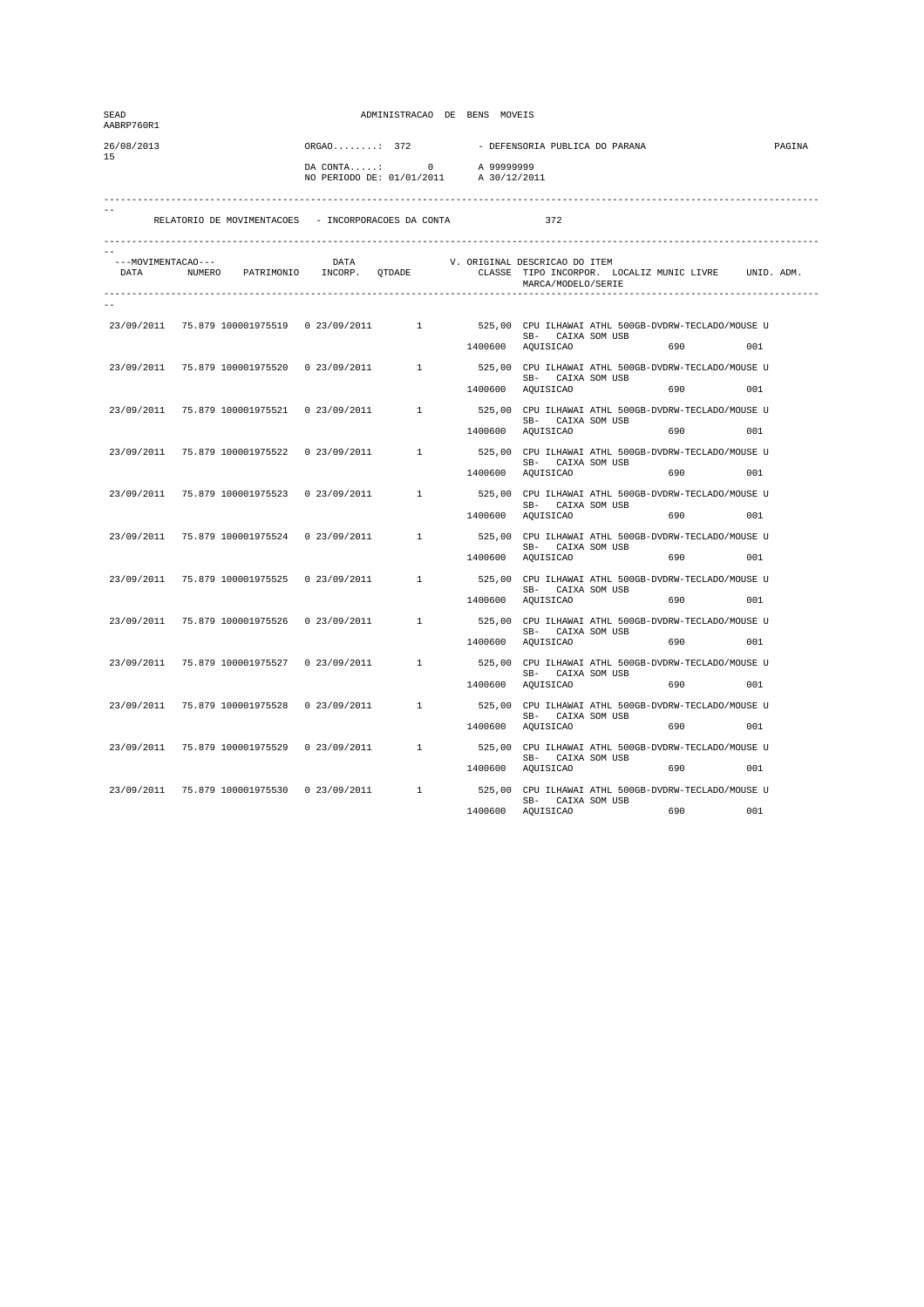| SEAD<br>AABRP760R1 |                                                     |               | ADMINISTRACAO DE BENS MOVEIS                                    |              |                                                                                                                                                                                                                                                                                         |        |
|--------------------|-----------------------------------------------------|---------------|-----------------------------------------------------------------|--------------|-----------------------------------------------------------------------------------------------------------------------------------------------------------------------------------------------------------------------------------------------------------------------------------------|--------|
| 26/08/2013         |                                                     | $ORGAO$ : 372 |                                                                 |              | - DEFENSORIA PUBLICA DO PARANA                                                                                                                                                                                                                                                          | PAGINA |
| 15                 |                                                     |               | DA CONTA: 0 A 99999999<br>NO PERIODO DE: 01/01/2011 A 30/12/201 | A 30/12/2011 |                                                                                                                                                                                                                                                                                         |        |
|                    | RELATORIO DE MOVIMENTACOES - INCORPORACOES DA CONTA |               |                                                                 |              | 372                                                                                                                                                                                                                                                                                     |        |
| ---MOVIMENTACAO--- |                                                     |               |                                                                 |              | CLASSE TIPO INCORPOR. LOCALIZ MUNIC LIVRE UNID. ADM.<br>MARCA/MODELO/SERIE                                                                                                                                                                                                              |        |
|                    |                                                     |               |                                                                 |              | 23/09/2011 75.879 100001975519 0 23/09/2011 1 525,00 CPU ILHAWAI ATHL 500GB-DVDRW-TECLADO/MOUSE U<br>SB- CAIXA SOM USB<br>1400600 AQUISICAO<br>690 —<br>001                                                                                                                             |        |
| 23/09/2011         |                                                     |               |                                                                 |              | 75.879 100001975520 0 23/09/2011 1525,00 CPU ILHAWAI ATHL 500GB-DVDRW-TECLADO/MOUSE U<br>SB- CAIXA SOM USB<br>1400600 AQUISICAO<br>690<br>001                                                                                                                                           |        |
| 23/09/2011         | 75.879 100001975521  0 23/09/2011  1                |               |                                                                 |              | 525,00 CPU ILHAWAI ATHL 500GB-DVDRW-TECLADO/MOUSE U<br>SB- CAIXA SOM USB<br>1400600 AQUISICAO<br>690 88<br>001                                                                                                                                                                          |        |
|                    | 23/09/2011 75.879 100001975522 0 23/09/2011         |               |                                                                 |              | 1 525,00 CPU ILHAWAI ATHL 500GB-DVDRW-TECLADO/MOUSE U<br>SB- CAIXA SOM USB<br>1400600 AQUISICAO<br>690 001                                                                                                                                                                              |        |
|                    | 23/09/2011 75.879 100001975523                      |               | 0 23/09/2011 1                                                  | 1400600      | 525,00 CPU ILHAWAI ATHL 500GB-DVDRW-TECLADO/MOUSE U<br>SB- CAIXA SOM USB<br>690<br>001<br>AQUISICAO                                                                                                                                                                                     |        |
| 23/09/2011         |                                                     |               |                                                                 |              | 75.879 100001975524 0 23/09/2011 1 525,00 CPU ILHAWAI ATHL 500GB-DVDRW-TECLADO/MOUSE U<br>SB- CAIXA SOM USB<br>1400600 AQUISICAO<br>001                                                                                                                                                 |        |
|                    |                                                     |               |                                                                 |              | 23/09/2011 75.879 100001975525 0 23/09/2011 1525,00 CPU ILHAWAI ATHL 500GB-DVDRW-TECLADO/MOUSE U<br>SB- CAIXA SOM USB<br>1400600 AQUISICAO<br>690 001                                                                                                                                   |        |
|                    | 23/09/2011 75.879 100001975526 0 23/09/2011         |               | $1 \qquad \qquad$                                               |              | 525,00 CPU ILHAWAI ATHL 500GB-DVDRW-TECLADO/MOUSE U<br>SB- CAIXA SOM USB<br>1400600 AQUISICAO<br>690 001                                                                                                                                                                                |        |
| 23/09/2011         | 75.879 100001975527                                 | 0 23/09/2011  | 1                                                               |              | 525,00 CPU ILHAWAI ATHL 500GB-DVDRW-TECLADO/MOUSE U<br>SB- CAIXA SOM USB<br>1400600 AQUISICAO<br>690<br>001                                                                                                                                                                             |        |
| 23/09/2011         | 75.879 100001975528                                 |               | 0 23/09/2011 1                                                  |              | 525,00 CPU ILHAWAI ATHL 500GB-DVDRW-TECLADO/MOUSE U<br>SB- CAIXA SOM USB<br>1400600 AQUISICAO<br>690<br>001                                                                                                                                                                             |        |
|                    | 23/09/2011 75.879 100001975529                      |               |                                                                 |              | ${\tt 0} \hspace{.2cm} 23/09/2011 \hspace{1.5cm} {\tt 1} \hspace{2.5cm} {\tt 525,00} \hspace{.2cm} {\tt CPU} \hspace{.1cm} {\tt ILHAMAI} \hspace{.1cm} {\tt ATHL} \hspace{.1cm} {\tt 500GB-DVDRN-TECLADO/MOUSE} \hspace{.1cm} {\tt U}$<br>SB- CAIXA SOM USB<br>1400600 AQUISICAO<br>001 |        |
|                    | 23/09/2011 75.879 100001975530 0 23/09/2011 1       |               |                                                                 | 1400600      | 525,00 CPU ILHAWAI ATHL 500GB-DVDRW-TECLADO/MOUSE U<br>SB- CAIXA SOM USB<br>AQUISICAO<br>001<br>690                                                                                                                                                                                     |        |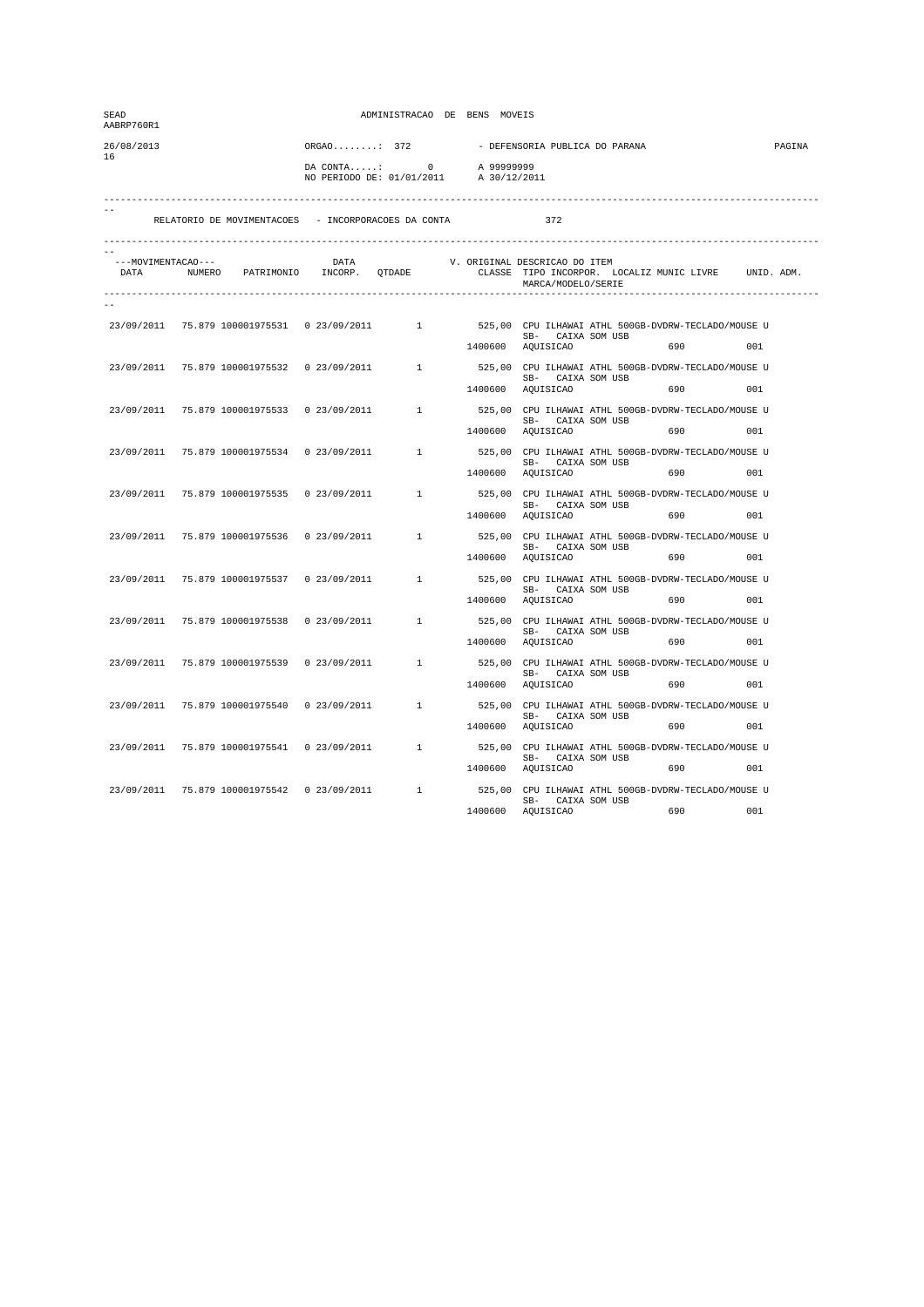| SEAD<br>AABRP760R1 |                                               |               | ADMINISTRACAO DE BENS MOVEIS                                       |              |                                                     |                                                                                                                        |        |
|--------------------|-----------------------------------------------|---------------|--------------------------------------------------------------------|--------------|-----------------------------------------------------|------------------------------------------------------------------------------------------------------------------------|--------|
| 26/08/2013         |                                               | $ORGAO$ : 372 |                                                                    |              | - DEFENSORIA PUBLICA DO PARANA                      |                                                                                                                        | PAGINA |
| 16                 |                                               |               | DA CONTA: 0 A 99999999<br>NO PERIODO DE: 01/01/2011 A 30/12/201    | A 30/12/2011 |                                                     |                                                                                                                        |        |
|                    |                                               |               | RELATORIO DE MOVIMENTACOES - INCORPORACOES DA CONTA                |              | 372                                                 |                                                                                                                        |        |
| ---MOVIMENTACAO--- |                                               |               | --MOVIMENTACAO--- DATA V.<br>DATA NUMERO PATRIMONIO INCORP. QTDADE |              | V. ORIGINAL DESCRICAO DO ITEM<br>MARCA/MODELO/SERIE | CLASSE TIPO INCORPOR. LOCALIZ MUNIC LIVRE UNID. ADM.                                                                   |        |
|                    |                                               |               |                                                                    |              |                                                     |                                                                                                                        |        |
|                    |                                               |               |                                                                    |              |                                                     | 23/09/2011 75.879 100001975531 0 23/09/2011 1 525,00 CPU ILHAWAI ATHL 500GB-DVDRW-TECLADO/MOUSE U<br>SB- CAIXA SOM USB |        |
|                    |                                               |               |                                                                    |              | 1400600 AQUISICAO                                   | 690 001                                                                                                                |        |
| 23/09/2011         |                                               |               |                                                                    |              | SB- CAIXA SOM USB                                   | 75.879 100001975532  0 23/09/2011  1  525,00 CPU ILHAWAI ATHL 500GB-DVDRW-TECLADO/MOUSE U                              |        |
|                    |                                               |               |                                                                    |              | 1400600 AQUISICAO                                   | 690                                                                                                                    | 001    |
|                    |                                               |               | 23/09/2011 75.879 100001975533 0 23/09/2011 1                      |              | SB- CAIXA SOM USB                                   | 525,00 CPU ILHAWAI ATHL 500GB-DVDRW-TECLADO/MOUSE U                                                                    |        |
|                    |                                               |               |                                                                    |              | 1400600 AQUISICAO                                   | 690 80                                                                                                                 | 0.01   |
|                    | 23/09/2011 75.879 100001975534 0 23/09/2011   |               |                                                                    |              |                                                     | 1 525,00 CPU ILHAWAI ATHL 500GB-DVDRW-TECLADO/MOUSE U                                                                  |        |
|                    |                                               |               |                                                                    |              | SB- CAIXA SOM USB<br>1400600 AQUISICAO              | 690 001                                                                                                                |        |
|                    | 23/09/2011 75.879 100001975535                | 0 23/09/2011  | $\mathbf{1}$                                                       |              |                                                     | 525,00 CPU ILHAWAI ATHL 500GB-DVDRW-TECLADO/MOUSE U                                                                    |        |
|                    |                                               |               |                                                                    | 1400600      | AQUISICAO                                           | SB- CAIXA SOM USB<br>690                                                                                               | 0.01   |
| 23/09/2011         | 75.879 100001975536                           |               |                                                                    |              |                                                     | $1 \qquad \qquad 525,00 \quad \text{CPU ILHAMAIATHL 500GB–DVDRW-TECLADO/MOUSE U}$                                      |        |
|                    |                                               |               |                                                                    |              | SB- CAIXA SOM USB<br>1400600 AQUISICAO              | 690 80                                                                                                                 | 0.01   |
|                    | 23/09/2011 75.879 100001975537                |               | 0 23/09/2011 1                                                     |              |                                                     | 525,00 CPU ILHAWAI ATHL 500GB-DVDRW-TECLADO/MOUSE U                                                                    |        |
|                    |                                               |               |                                                                    |              | SB- CAIXA SOM USB<br>1400600 AQUISICAO              | 690 001                                                                                                                |        |
|                    | 23/09/2011 75.879 100001975538 0 23/09/2011   |               | $1 \qquad \qquad$                                                  |              |                                                     | 525,00 CPU ILHAWAI ATHL 500GB-DVDRW-TECLADO/MOUSE U                                                                    |        |
|                    |                                               |               |                                                                    |              | SB- CAIXA SOM USB                                   | 690 001                                                                                                                |        |
|                    |                                               |               |                                                                    |              | 1400600 AQUISICAO                                   |                                                                                                                        |        |
| 23/09/2011         | 75.879 100001975539                           | 0 23/09/2011  | 1                                                                  |              |                                                     | 525,00 CPU ILHAWAI ATHL 500GB-DVDRW-TECLADO/MOUSE U<br>SB- CAIXA SOM USB                                               |        |
|                    |                                               |               |                                                                    |              | 1400600 AQUISICAO                                   | 690                                                                                                                    | 001    |
| 23/09/2011         |                                               |               | 75.879 100001975540  0 23/09/2011  1                               |              | SB- CAIXA SOM USB                                   | 525,00 CPU ILHAWAI ATHL 500GB-DVDRW-TECLADO/MOUSE U                                                                    |        |
|                    |                                               |               |                                                                    |              | 1400600 AQUISICAO                                   | 690                                                                                                                    | 001    |
|                    |                                               |               |                                                                    |              | SB- CAIXA SOM USB                                   | 23/09/2011 75.879 100001975541 0 23/09/2011 1 525,00 CPU ILHAWAI ATHL 500GB-DVDRW-TECLADO/MOUSE U                      |        |
|                    |                                               |               |                                                                    |              | 1400600 AQUISICAO                                   |                                                                                                                        | 001    |
|                    | 23/09/2011 75.879 100001975542 0 23/09/2011 1 |               |                                                                    |              |                                                     | 525,00 CPU ILHAWAI ATHL 500GB-DVDRW-TECLADO/MOUSE U                                                                    |        |
|                    |                                               |               |                                                                    | 1400600      | SB- CAIXA SOM USB<br>AQUISICAO                      | 690                                                                                                                    | 001    |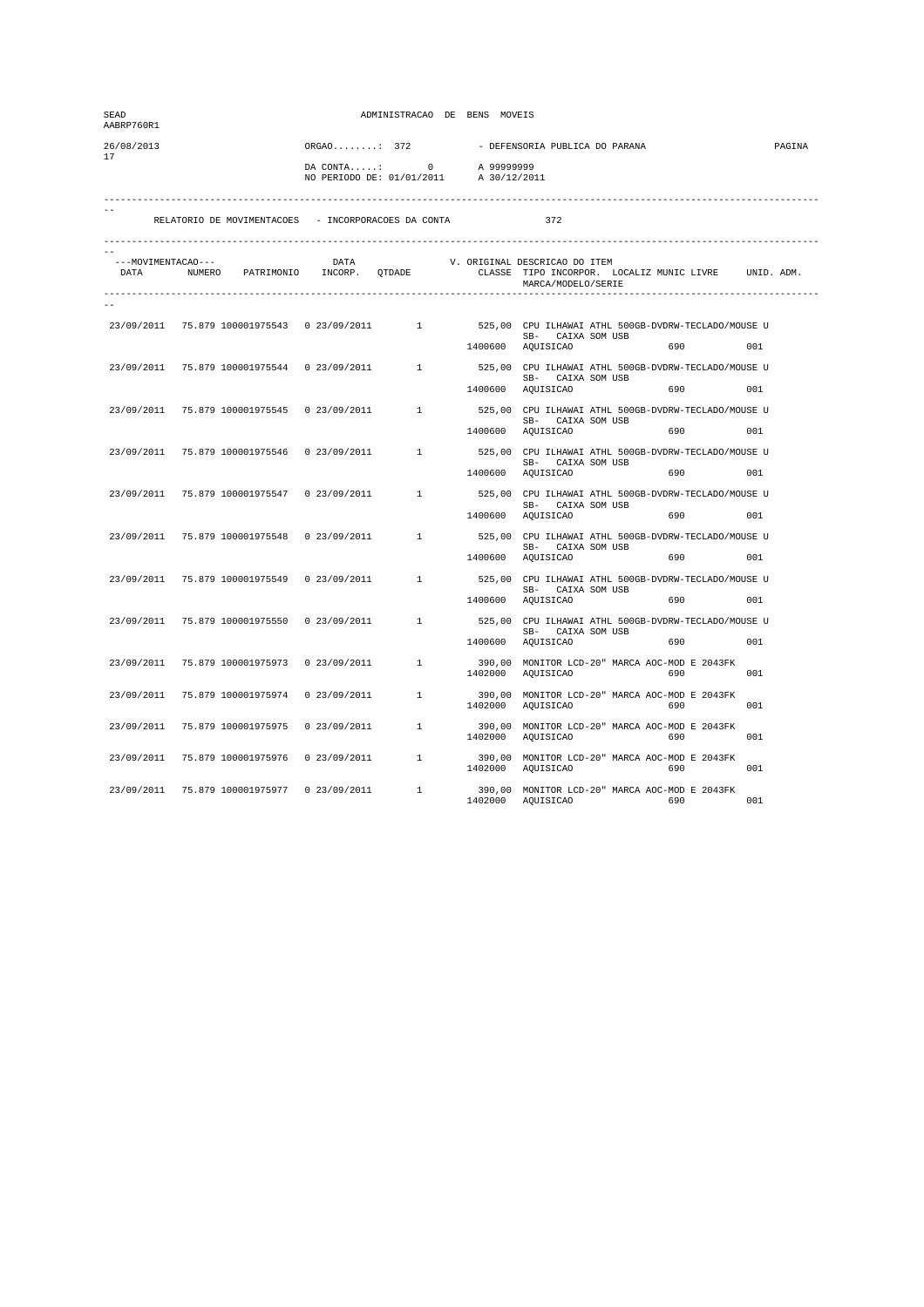| SEAD<br>AABRP760R1 |                                                     |               | ADMINISTRACAO DE BENS MOVEIS               |         |                                                                                                                                                                   |        |  |  |
|--------------------|-----------------------------------------------------|---------------|--------------------------------------------|---------|-------------------------------------------------------------------------------------------------------------------------------------------------------------------|--------|--|--|
| 26/08/2013         |                                                     | $ORGAO$ : 372 |                                            |         | - DEFENSORIA PUBLICA DO PARANA                                                                                                                                    | PAGINA |  |  |
| 17                 |                                                     |               | $DA$ CONTA: 0<br>NO PERIODO DE: 01/01/2011 |         | A 99999999<br>A 30/12/2011                                                                                                                                        |        |  |  |
|                    | RELATORIO DE MOVIMENTACOES - INCORPORACOES DA CONTA |               |                                            |         | 372                                                                                                                                                               |        |  |  |
| ---MOVIMENTACAO--- |                                                     |               |                                            |         | CLASSE TIPO INCORPOR. LOCALIZ MUNIC LIVRE UNID. ADM.<br>MARCA/MODELO/SERIE                                                                                        |        |  |  |
|                    |                                                     |               |                                            |         |                                                                                                                                                                   |        |  |  |
|                    |                                                     |               |                                            |         | 23/09/2011 75.879 100001975543 0 23/09/2011 1525,00 CPU ILHAWAI ATHL 500GB-DVDRW-TECLADO/MOUSE U<br>SB- CAIXA SOM USB<br>1400600 AQUISICAO<br>690 001             |        |  |  |
|                    |                                                     |               |                                            |         | 23/09/2011 75.879 100001975544 0 23/09/2011 1525,00 CPU ILHAWAI ATHL 500GB-DVDRW-TECLADO/MOUSE U                                                                  |        |  |  |
|                    |                                                     |               |                                            |         | SB- CAIXA SOM USB<br>1400600 AQUISICAO<br>690 001                                                                                                                 |        |  |  |
|                    |                                                     |               |                                            |         | 23/09/2011 75.879 100001975545 0 23/09/2011 1 525,00 CPU ILHAWAI ATHL 500GB-DVDRW-TECLADO/MOUSE U                                                                 |        |  |  |
|                    |                                                     |               |                                            |         | SB- CAIXA SOM USB<br>1400600 AQUISICAO<br>690 001                                                                                                                 |        |  |  |
|                    | 23/09/2011 75.879 100001975546 0 23/09/2011 1       |               |                                            |         | 525,00 CPU ILHAWAI ATHL 500GB-DVDRW-TECLADO/MOUSE U<br>SB- CAIXA SOM USB                                                                                          |        |  |  |
|                    |                                                     |               |                                            | 1400600 | AQUISICAO<br>690                                                                                                                                                  | 001    |  |  |
| 23/09/2011         |                                                     |               |                                            |         | 75.879 100001975547  0 23/09/2011  1  525,00 CPU ILHAWAI ATHL 500GB-DVDRW-TECLADO/MOUSE U<br>SB- CAIXA SOM USB                                                    |        |  |  |
|                    |                                                     |               |                                            |         | 1400600 AQUISICAO<br>690                                                                                                                                          | 001    |  |  |
|                    | 23/09/2011 75.879 100001975548 0 23/09/2011 1       |               |                                            |         | 525,00 CPU ILHAWAI ATHL 500GB-DVDRW-TECLADO/MOUSE U<br>SB- CAIXA SOM USB                                                                                          |        |  |  |
|                    |                                                     |               |                                            |         | 1400600 AQUISICAO<br>690 001                                                                                                                                      |        |  |  |
| 23/09/2011         |                                                     |               |                                            |         | 75.879 100001975549 0 23/09/2011 1 525,00 CPU ILHAWAI ATHL 500GB-DVDRW-TECLADO/MOUSE U<br>SB- CAIXA SOM USB                                                       | 001    |  |  |
|                    | 23/09/2011 75.879 100001975550 0 23/09/2011 1       |               |                                            |         | 1400600 AQUISICAO<br>690<br>525,00 CPU ILHAWAI ATHL 500GB-DVDRW-TECLADO/MOUSE U                                                                                   |        |  |  |
|                    |                                                     |               |                                            |         | SB- CAIXA SOM USB<br>1400600 AQUISICAO<br>690 001                                                                                                                 |        |  |  |
| 23/09/2011         |                                                     |               |                                            |         |                                                                                                                                                                   | 001    |  |  |
| 23/09/2011         | 75.879 100001975974  0 23/09/2011                   |               |                                            |         | 1 390,00 MUNITUR LALE of the series of 590<br>1402000 AQUISICAO                                                                                                   | 001    |  |  |
| 23/09/2011         |                                                     |               |                                            |         | $\begin{array}{cccccccc} 75.879 & 100001975975 & 0 & 23/09/2011 & 1 & 390,00 & MONTOR LCD-20" MARCA AOC-MOD E & 2043FK & 1402000 & AQUISICAO & 690 & \end{array}$ | 001    |  |  |
| 23/09/2011         | 75.879 100001975976  0 23/09/2011                   |               | $1 \quad$                                  |         | 390,00 MONITOR LCD-20" MARCA AOC-MOD E 2043FK<br>390,00 Process<br>1402000 AQUISICAO<br>690                                                                       | 001    |  |  |
| 23/09/2011         | 75.879 100001975977 0 23/09/2011                    |               | $\mathbf{1}$                               |         | 390,00 MONITOR LCD-20" MARCA AOC-MOD E 2043FK<br>1402000 AQUISICAO<br>690                                                                                         | 001    |  |  |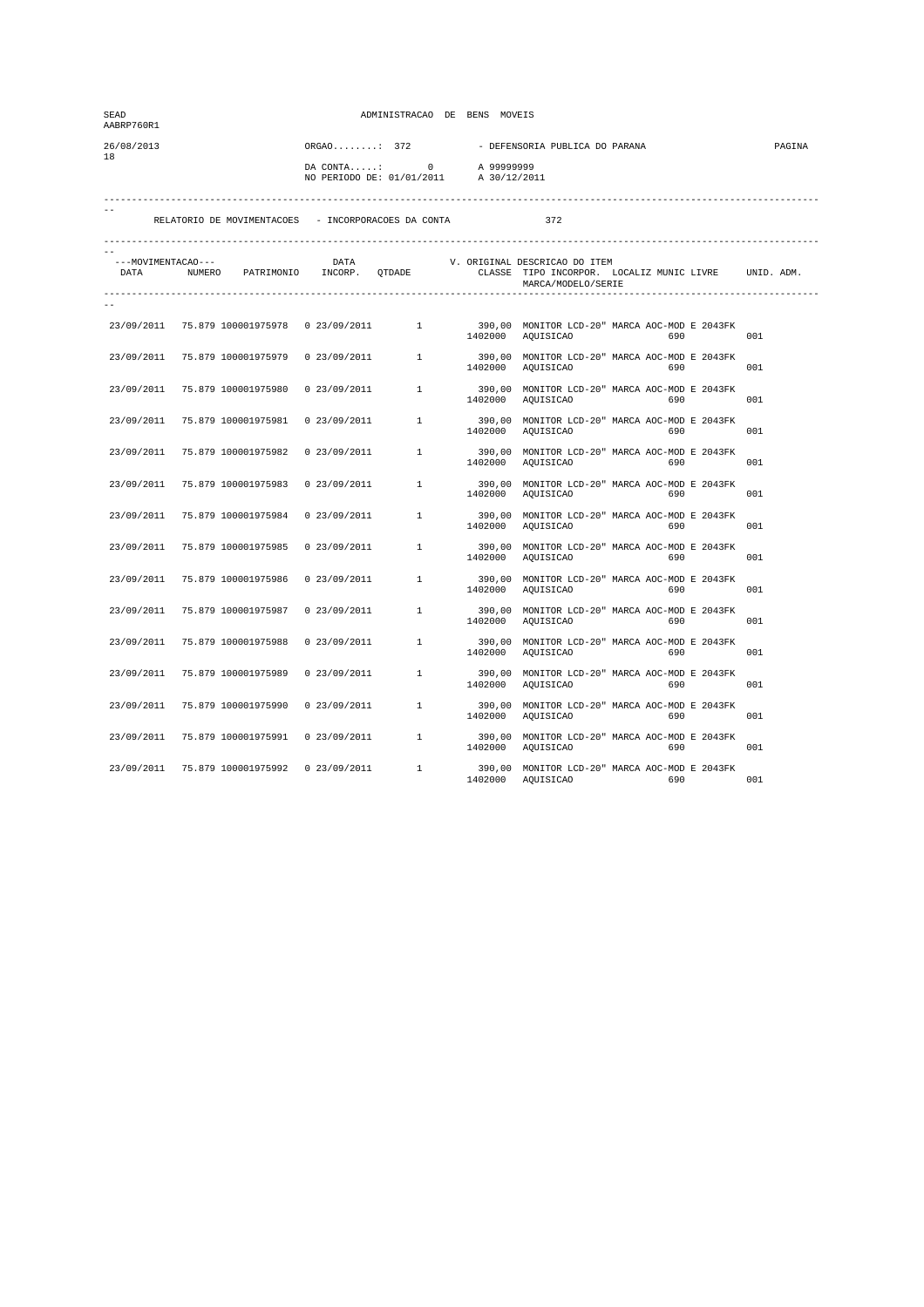| SEAD<br>AABRP760R1 |                                                        |               | ADMINISTRACAO DE BENS MOVEIS                                                                                |         |                                                                                                             |     |  |  |
|--------------------|--------------------------------------------------------|---------------|-------------------------------------------------------------------------------------------------------------|---------|-------------------------------------------------------------------------------------------------------------|-----|--|--|
| 26/08/2013<br>18   |                                                        | $ORGAO$ : 372 | DA CONTA: 0 A 99999999<br>NO PERIODO DE: 01/01/2011                                                         |         | - DEFENSORIA PUBLICA DO PARANA<br>A 30/12/2011                                                              |     |  |  |
|                    | RELATORIO DE MOVIMENTACOES - INCORPORACOES DA CONTA    |               |                                                                                                             |         | 372                                                                                                         |     |  |  |
| DATA               | ---MOVIMENTACAO---<br>NUMERO PATRIMONIO INCORP. QTDADE | DATA          |                                                                                                             |         | V. ORIGINAL DESCRICAO DO ITEM<br>CLASSE TIPO INCORPOR. LOCALIZ MUNIC LIVRE UNID. ADM.<br>MARCA/MODELO/SERIE |     |  |  |
|                    | 23/09/2011 75.879 100001975978 0 23/09/2011 1          |               |                                                                                                             |         | 390,00 MONITOR LCD-20" MARCA AOC-MOD E 2043FK<br>1402000 AQUISICAO<br>690                                   | 001 |  |  |
| 23/09/2011         | 75.879 100001975979                                    |               |                                                                                                             |         | 0  23/09/2011   1   390,00 MONITOR LCD-20" MARCA AOC-MOD E  2043FK   1402000   AQUISICAO   690              | 001 |  |  |
| 23/09/2011         | 75.879 100001975980                                    |               | $\begin{array}{ccccccccc}\n0 & 23/09/2011 & & & & & & 390, \text{uv} \\ & & & & & & & 1402000\n\end{array}$ |         | 390,00 MONITOR LCD-20" MARCA AOC-MOD E 2043FK<br>AQUISICAO<br>690                                           | 001 |  |  |
| 23/09/2011         | 75.879 100001975981                                    |               |                                                                                                             | 1402000 | 0 23/09/2011 1 390,00 MONITOR LCD-20" MARCA AOC-MOD E 2043FK<br><b>AQUISICAO</b><br>690                     | 001 |  |  |
| 23/09/2011         | 75.879 100001975982                                    | 0 23/09/2011  | $\mathbf{1}$                                                                                                | 1402000 | 390,00 MONITOR LCD-20" MARCA AOC-MOD E 2043FK<br>AQUISICAO<br>690                                           | 001 |  |  |
| 23/09/2011         | 75.879 100001975983                                    | 0 23/09/2011  | 1                                                                                                           | 1402000 | 390,00 MONITOR LCD-20" MARCA AOC-MOD E 2043FK<br>AQUISICAO<br>690                                           | 001 |  |  |
| 23/09/2011         | 75.879 100001975984                                    | 0 23/09/2011  | $1 \quad$                                                                                                   | 1402000 | 390,00 MONITOR LCD-20" MARCA AOC-MOD E 2043FK<br>AQUISICAO<br>690                                           | 001 |  |  |
| 23/09/2011         | 75.879 100001975985                                    | 0 23/09/2011  | 1                                                                                                           | 1402000 | 390,00 MONITOR LCD-20" MARCA AOC-MOD E 2043FK<br>AQUISICAO<br>690                                           | 001 |  |  |
| 23/09/2011         | 75.879 100001975986                                    | 0 23/09/2011  | $\mathbf{1}$                                                                                                | 1402000 | 390,00 MONITOR LCD-20" MARCA AOC-MOD E 2043FK<br>AQUISICAO<br>690                                           | 001 |  |  |
| 23/09/2011         | 75.879 100001975987                                    | 0 23/09/2011  | 1                                                                                                           | 1402000 | 390,00 MONITOR LCD-20" MARCA AOC-MOD E 2043FK<br>AQUISICAO<br>690                                           | 001 |  |  |
| 23/09/2011         | 75.879 100001975988                                    | 0 23/09/2011  | 1                                                                                                           | 1402000 | 390,00 MONITOR LCD-20" MARCA AOC-MOD E 2043FK<br>AQUISICAO<br>690                                           | 001 |  |  |
| 23/09/2011         | 75.879 100001975989                                    | 0 23/09/2011  | 1                                                                                                           | 1402000 | 390,00 MONITOR LCD-20" MARCA AOC-MOD E 2043FK<br>AQUISICAO<br>690                                           | 001 |  |  |
| 23/09/2011         | 75.879 100001975990                                    | 0 23/09/2011  | 1                                                                                                           |         | 390,00 MONITOR LCD-20" MARCA AOC-MOD E 2043FK<br>1402000 AQUISICAO<br>690                                   | 001 |  |  |
| 23/09/2011         | 75.879 100001975991                                    | 0 23/09/2011  | $\mathbf{1}$                                                                                                | 1402000 | 390,00 MONITOR LCD-20" MARCA AOC-MOD E 2043FK<br>AQUISICAO<br>690                                           | 001 |  |  |
|                    | 23/09/2011 75.879 100001975992 0 23/09/2011            |               | $\overline{1}$                                                                                              | 1402000 | 390,00 MONITOR LCD-20" MARCA AOC-MOD E 2043FK<br>AQUISICAO<br>690                                           | 001 |  |  |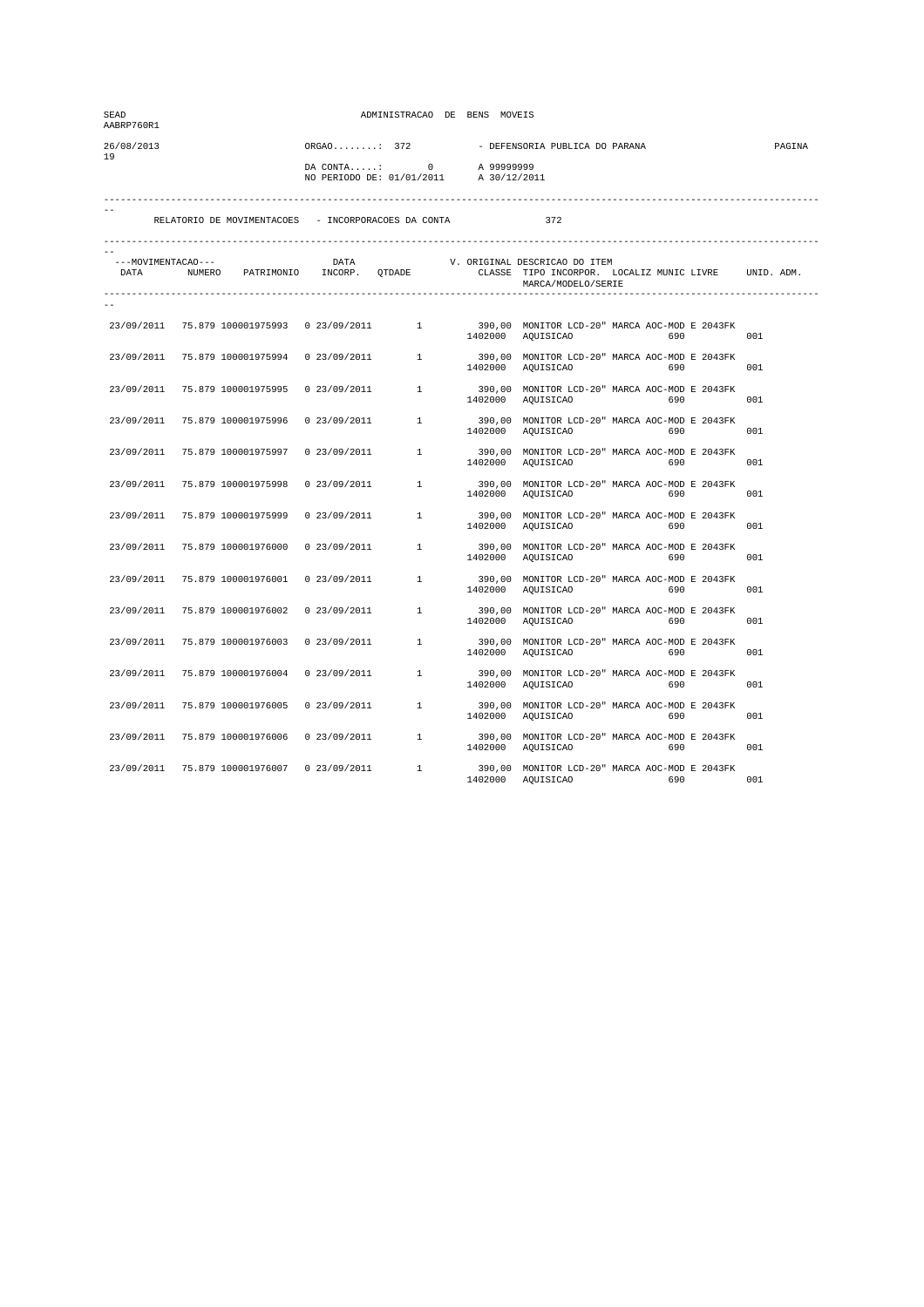| SEAD<br>AABRP760R1 |                                                     |                                                          | ADMINISTRACAO DE BENS MOVEIS |         |                                                                                                             |     |  |  |
|--------------------|-----------------------------------------------------|----------------------------------------------------------|------------------------------|---------|-------------------------------------------------------------------------------------------------------------|-----|--|--|
| 26/08/2013<br>19   |                                                     | ORGAO: 372<br>$DA$ CONTA: 0<br>NO PERIODO DE: 01/01/2011 |                              |         | - DEFENSORIA PUBLICA DO PARANA<br>A 99999999<br>A 30/12/2011                                                |     |  |  |
|                    | RELATORIO DE MOVIMENTACOES - INCORPORACOES DA CONTA |                                                          |                              |         | 372                                                                                                         |     |  |  |
| ---MOVIMENTACAO--- | DATA NUMERO PATRIMONIO INCORP. QTDADE               | DATA                                                     |                              |         | V. ORIGINAL DESCRICAO DO ITEM<br>CLASSE TIPO INCORPOR. LOCALIZ MUNIC LIVRE UNID. ADM.<br>MARCA/MODELO/SERIE |     |  |  |
|                    | 23/09/2011 75.879 100001975993 0 23/09/2011 1       |                                                          |                              |         | 390,00 MONITOR LCD-20" MARCA AOC-MOD E 2043FK<br>1402000 AQUISICAO<br>690                                   | 001 |  |  |
| 23/09/2011         | 75.879 100001975994                                 |                                                          | 0 23/09/2011 1               |         | 390,00 MONITOR LCD-20" MARCA AOC-MOD E 2043FK<br>1402000 AQUISICAO<br>690                                   | 001 |  |  |
| 23/09/2011         | 75.879 100001975995                                 | 0 23/09/2011                                             | $\mathbf{1}$                 | 1402000 | 390,00 MONITOR LCD-20" MARCA AOC-MOD E 2043FK<br>AQUISICAO<br>690                                           | 001 |  |  |
| 23/09/2011         | 75.879 100001975996                                 | 0 23/09/2011                                             | $1 \qquad \qquad$            | 1402000 | 390,00 MONITOR LCD-20" MARCA AOC-MOD E 2043FK<br>AQUISICAO<br>690                                           | 001 |  |  |
| 23/09/2011         | 75.879 100001975997                                 | 0 23/09/2011                                             | $\mathbf{1}$                 | 1402000 | 390,00 MONITOR LCD-20" MARCA AOC-MOD E 2043FK<br>AQUISICAO<br>690                                           | 001 |  |  |
| 23/09/2011         | 75.879 100001975998                                 | 0 23/09/2011                                             | $\mathbf{1}$                 | 1402000 | 390,00 MONITOR LCD-20" MARCA AOC-MOD E 2043FK<br>AQUISICAO<br>690                                           | 001 |  |  |
| 23/09/2011         | 75.879 100001975999                                 | 0 23/09/2011                                             | 1                            | 1402000 | 390,00 MONITOR LCD-20" MARCA AOC-MOD E 2043FK<br>AQUISICAO<br>690                                           | 001 |  |  |
| 23/09/2011         | 75.879 100001976000                                 | 0 23/09/2011                                             | $1 \quad$                    | 1402000 | 390,00 MONITOR LCD-20" MARCA AOC-MOD E 2043FK<br>AQUISICAO<br>690                                           | 001 |  |  |
| 23/09/2011         | 75.879 100001976001                                 | 0 23/09/2011                                             | $\mathbf{1}$                 | 1402000 | 390,00 MONITOR LCD-20" MARCA AOC-MOD E 2043FK<br>AQUISICAO<br>690                                           | 001 |  |  |
| 23/09/2011         | 75.879 100001976002                                 | 0 23/09/2011                                             | $\mathbf{1}$                 |         | 390,00 MONITOR LCD-20" MARCA AOC-MOD E 2043FK<br>1402000 AQUISICAO<br>690                                   | 001 |  |  |
| 23/09/2011         | 75.879 100001976003                                 | 0 23/09/2011                                             | $1 \quad$                    | 1402000 | 390,00 MONITOR LCD-20" MARCA AOC-MOD E 2043FK<br>AQUISICAO<br>690                                           | 001 |  |  |
| 23/09/2011         | 75.879 100001976004                                 | 0 23/09/2011                                             | 1                            | 1402000 | 390,00 MONITOR LCD-20" MARCA AOC-MOD E 2043FK<br>AQUISICAO                                                  | 001 |  |  |
| 23/09/2011         | 75.879 100001976005                                 | 0 23/09/2011                                             | $\mathbf{1}$                 |         | 390,00 MONITOR LCD-20" MARCA AOC-MOD E 2043FK<br>1402000 AQUISICAO<br>690                                   | 001 |  |  |
| 23/09/2011         | 75.879 100001976006                                 | 0 23/09/2011                                             | 1                            |         | 390,00 MONITOR LCD-20" MARCA AOC-MOD E 2043FK<br>1402000 AQUISICAO<br>690                                   | 001 |  |  |
|                    | 23/09/2011 75.879 100001976007                      | 0 23/09/2011                                             | <sup>1</sup>                 | 1402000 | 390,00 MONITOR LCD-20" MARCA AOC-MOD E 2043FK<br>AQUISICAO<br>690                                           | 001 |  |  |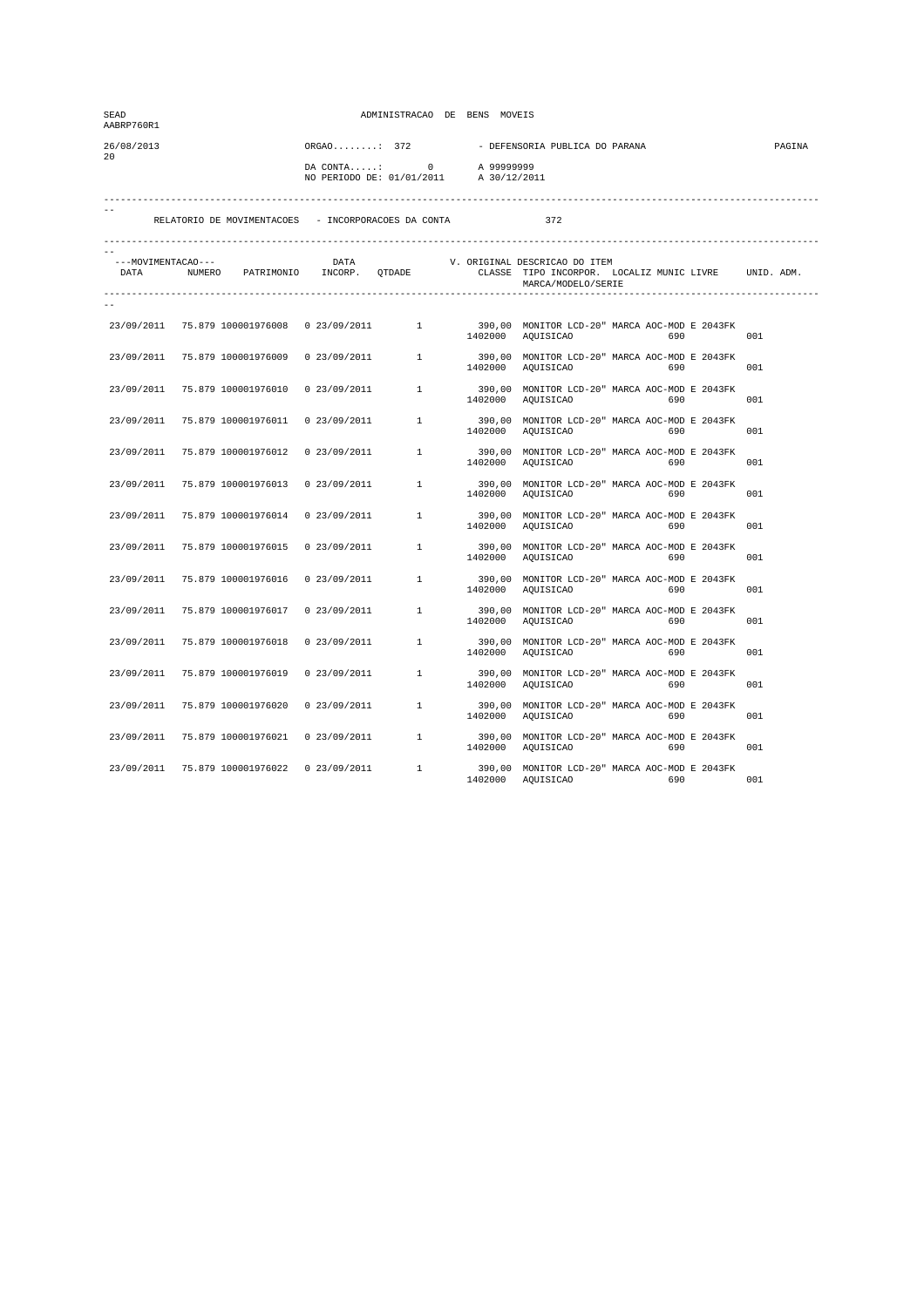| SEAD<br>AABRP760R1         |                                                     |              | ADMINISTRACAO DE BENS MOVEIS               |                     |                                                                                                             |     |  |  |
|----------------------------|-----------------------------------------------------|--------------|--------------------------------------------|---------------------|-------------------------------------------------------------------------------------------------------------|-----|--|--|
| 26/08/2013<br>20           |                                                     | ORGAO: 372   | $DA$ CONTA: 0<br>NO PERIODO DE: 01/01/2011 |                     | - DEFENSORIA PUBLICA DO PARANA<br>A 99999999<br>A 30/12/2011                                                |     |  |  |
|                            | RELATORIO DE MOVIMENTACOES - INCORPORACOES DA CONTA |              |                                            |                     | 372                                                                                                         |     |  |  |
| ---MOVIMENTACAO---<br>DATA | NUMERO PATRIMONIO INCORP. QTDADE                    | DATA         |                                            |                     | V. ORIGINAL DESCRICAO DO ITEM<br>CLASSE TIPO INCORPOR. LOCALIZ MUNIC LIVRE UNID. ADM.<br>MARCA/MODELO/SERIE |     |  |  |
|                            | 23/09/2011 75.879 100001976008 0 23/09/2011 1       |              |                                            |                     | 390,00 MONITOR LCD-20" MARCA AOC-MOD E 2043FK<br>1402000 AQUISICAO<br>690                                   | 001 |  |  |
| 23/09/2011                 | 75.879 100001976009                                 |              | 0 23/09/2011 1                             |                     | 390,00 MONITOR LCD-20" MARCA AOC-MOD E 2043FK<br>1402000 AQUISICAO<br>690                                   | 001 |  |  |
| 23/09/2011                 | 75.879 100001976010                                 | 0 23/09/2011 |                                            | $\frac{1}{1402000}$ | 390,00 MONITOR LCD-20" MARCA AOC-MOD E 2043FK<br>AQUISICAO<br>690                                           | 001 |  |  |
| 23/09/2011                 | 75.879 100001976011                                 | 0 23/09/2011 |                                            | 1402000             | 1 390,00 MONITOR LCD-20" MARCA AOC-MOD E 2043FK<br>AQUISICAO<br>690                                         | 001 |  |  |
| 23/09/2011                 | 75.879 100001976012                                 | 0 23/09/2011 | $\mathbf{1}$                               | 1402000             | 390,00 MONITOR LCD-20" MARCA AOC-MOD E 2043FK<br>AQUISICAO<br>690                                           | 001 |  |  |
| 23/09/2011                 | 75.879 100001976013                                 | 0 23/09/2011 | $\mathbf{1}$                               | 1402000             | 390,00 MONITOR LCD-20" MARCA AOC-MOD E 2043FK<br>AQUISICAO<br>690                                           | 001 |  |  |
| 23/09/2011                 | 75.879 100001976014                                 | 0 23/09/2011 | 1                                          | 1402000             | 390,00 MONITOR LCD-20" MARCA AOC-MOD E 2043FK<br>AQUISICAO<br>690                                           | 001 |  |  |
| 23/09/2011                 | 75.879 100001976015                                 | 0 23/09/2011 | $1 \quad$                                  | 1402000             | 390,00 MONITOR LCD-20" MARCA AOC-MOD E 2043FK<br>AQUISICAO<br>690                                           | 001 |  |  |
| 23/09/2011                 | 75.879 100001976016                                 | 0 23/09/2011 | $\mathbf{1}$                               | 1402000             | 390,00 MONITOR LCD-20" MARCA AOC-MOD E 2043FK<br>AQUISICAO<br>690                                           | 001 |  |  |
| 23/09/2011                 | 75.879 100001976017                                 | 0 23/09/2011 | $\mathbf{1}$                               |                     | 390,00 MONITOR LCD-20" MARCA AOC-MOD E 2043FK<br>1402000 AQUISICAO<br>690                                   | 001 |  |  |
| 23/09/2011                 | 75.879 100001976018                                 | 0 23/09/2011 | $1 \quad$                                  | 1402000             | 390,00 MONITOR LCD-20" MARCA AOC-MOD E 2043FK<br>AQUISICAO<br>690                                           | 001 |  |  |
| 23/09/2011                 | 75.879 100001976019                                 | 0 23/09/2011 | 1                                          | 1402000             | 390,00 MONITOR LCD-20" MARCA AOC-MOD E 2043FK<br>AQUISICAO                                                  | 001 |  |  |
| 23/09/2011                 | 75.879 100001976020                                 | 0 23/09/2011 | $\mathbf{1}$                               |                     | 390,00 MONITOR LCD-20" MARCA AOC-MOD E 2043FK<br>1402000 AQUISICAO<br>690                                   | 001 |  |  |
| 23/09/2011                 | 75.879 100001976021                                 | 0 23/09/2011 | 1                                          |                     | 390,00 MONITOR LCD-20" MARCA AOC-MOD E 2043FK<br>1402000 AQUISICAO<br>690                                   | 001 |  |  |
|                            | 23/09/2011 75.879 100001976022                      | 0 23/09/2011 | <sup>1</sup>                               | 1402000             | 390,00 MONITOR LCD-20" MARCA AOC-MOD E 2043FK<br>AQUISICAO<br>690                                           | 001 |  |  |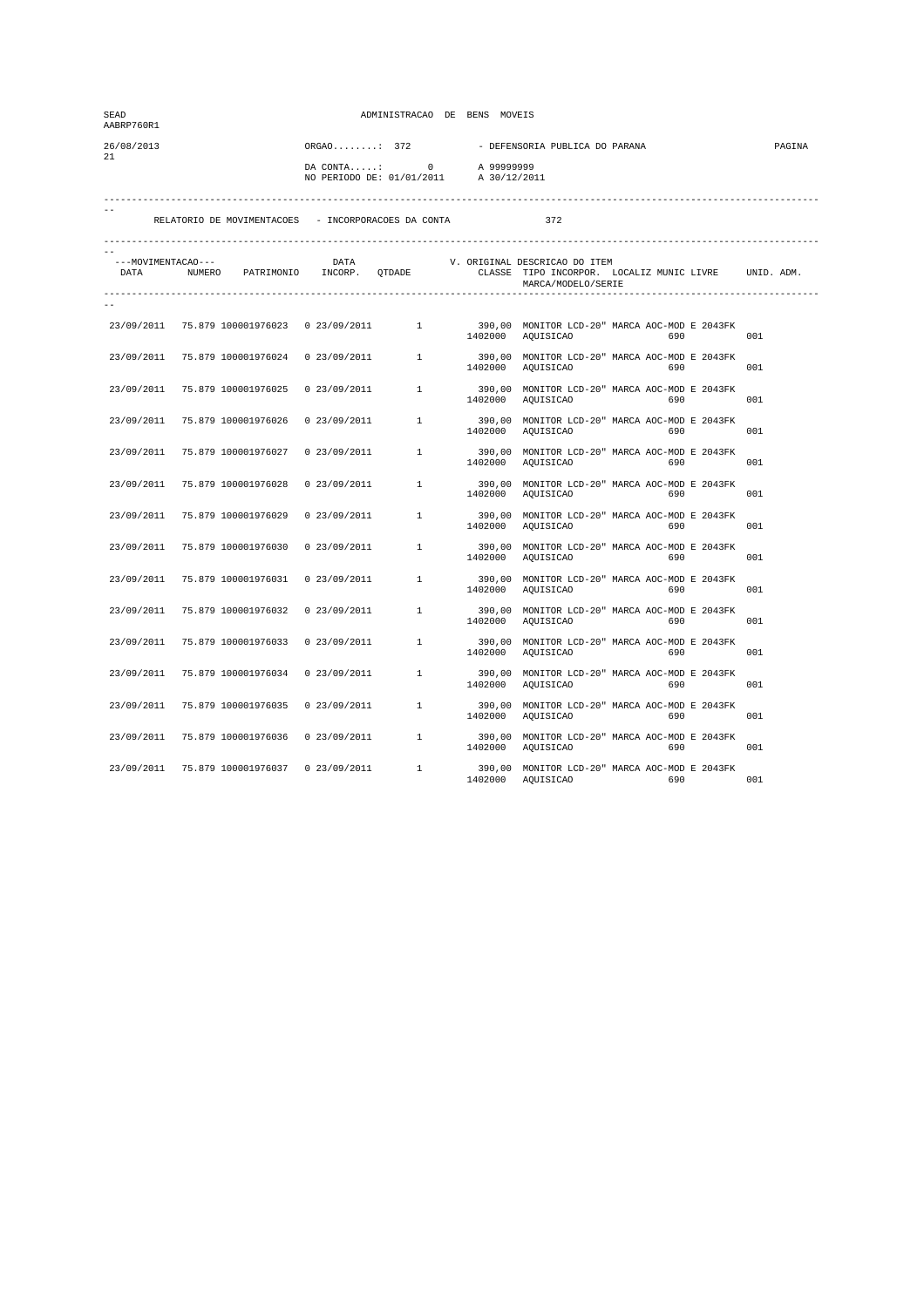| SEAD<br>AABRP760R1 |                                                     |              | ADMINISTRACAO DE BENS MOVEIS               |                            |                                                                                                             |        |
|--------------------|-----------------------------------------------------|--------------|--------------------------------------------|----------------------------|-------------------------------------------------------------------------------------------------------------|--------|
| 26/08/2013<br>21   |                                                     | ORGAO: 372   | $DA$ CONTA: 0<br>NO PERIODO DE: 01/01/2011 | A 99999999<br>A 30/12/2011 | - DEFENSORIA PUBLICA DO PARANA                                                                              | PAGINA |
|                    | RELATORIO DE MOVIMENTACOES - INCORPORACOES DA CONTA |              |                                            |                            | 372                                                                                                         |        |
| ---MOVIMENTACAO--- | DATA NUMERO PATRIMONIO INCORP. QTDADE               | DATA         |                                            |                            | V. ORIGINAL DESCRICAO DO ITEM<br>CLASSE TIPO INCORPOR. LOCALIZ MUNIC LIVRE UNID. ADM.<br>MARCA/MODELO/SERIE |        |
|                    | 23/09/2011 75.879 100001976023 0 23/09/2011 1       |              |                                            |                            | 390,00 MONITOR LCD-20" MARCA AOC-MOD E 2043FK<br>1402000 AQUISICAO<br>690                                   | 001    |
| 23/09/2011         | 75.879 100001976024                                 |              |                                            |                            | 0 23/09/2011 1 390,00 MONITOR LCD-20" MARCA AOC-MOD E 2043FK<br>1402000 AQUISICAO<br>690                    | 001    |
| 23/09/2011         | 75.879 100001976025                                 | 0 23/09/2011 |                                            | $1$ $1402000$              | 390,00 MONITOR LCD-20" MARCA AOC-MOD E 2043FK<br>AQUISICAO<br>690                                           | 001    |
| 23/09/2011         | 75.879 100001976026                                 | 0 23/09/2011 |                                            | 1402000                    | 1 390,00 MONITOR LCD-20" MARCA AOC-MOD E 2043FK<br>AQUISICAO<br>690                                         | 001    |
| 23/09/2011         | 75.879 100001976027                                 | 0 23/09/2011 | $\mathbf{1}$                               | 1402000                    | 390,00 MONITOR LCD-20" MARCA AOC-MOD E 2043FK<br>AQUISICAO<br>690                                           | 001    |
| 23/09/2011         | 75.879 100001976028                                 | 0 23/09/2011 | $\mathbf{1}$                               | 1402000                    | 390,00 MONITOR LCD-20" MARCA AOC-MOD E 2043FK<br>AQUISICAO<br>690                                           | 001    |
| 23/09/2011         | 75.879 100001976029                                 | 0 23/09/2011 | 1                                          | 1402000                    | 390,00 MONITOR LCD-20" MARCA AOC-MOD E 2043FK<br>AQUISICAO<br>690                                           | 001    |
| 23/09/2011         | 75.879 100001976030                                 | 0 23/09/2011 | $1 \quad$                                  | 1402000                    | 390,00 MONITOR LCD-20" MARCA AOC-MOD E 2043FK<br>AQUISICAO<br>690                                           | 001    |
| 23/09/2011         | 75.879 100001976031                                 | 0 23/09/2011 | $\mathbf{1}$                               | 1402000                    | 390,00 MONITOR LCD-20" MARCA AOC-MOD E 2043FK<br>AQUISICAO<br>690                                           | 001    |
| 23/09/2011         | 75.879 100001976032                                 | 0 23/09/2011 | $\mathbf{1}$                               |                            | 390,00 MONITOR LCD-20" MARCA AOC-MOD E 2043FK<br>1402000 AQUISICAO<br>690                                   | 001    |
| 23/09/2011         | 75.879 100001976033                                 | 0 23/09/2011 | $1 \quad$                                  | 1402000                    | 390,00 MONITOR LCD-20" MARCA AOC-MOD E 2043FK<br>AQUISICAO<br>690                                           | 001    |
| 23/09/2011         | 75.879 100001976034                                 | 0 23/09/2011 | 1                                          | 1402000                    | 390,00 MONITOR LCD-20" MARCA AOC-MOD E 2043FK<br>AQUISICAO                                                  | 001    |
| 23/09/2011         | 75.879 100001976035                                 | 0 23/09/2011 | $\mathbf{1}$                               |                            | 390,00 MONITOR LCD-20" MARCA AOC-MOD E 2043FK<br>1402000 AQUISICAO<br>690                                   | 001    |
| 23/09/2011         | 75.879 100001976036                                 | 0 23/09/2011 | 1                                          |                            | 390,00 MONITOR LCD-20" MARCA AOC-MOD E 2043FK<br>1402000 AQUISICAO<br>690                                   | 001    |
|                    | 23/09/2011 75.879 100001976037                      | 0 23/09/2011 | <sup>1</sup>                               | 1402000                    | 390,00 MONITOR LCD-20" MARCA AOC-MOD E 2043FK<br>AQUISICAO<br>690                                           | 001    |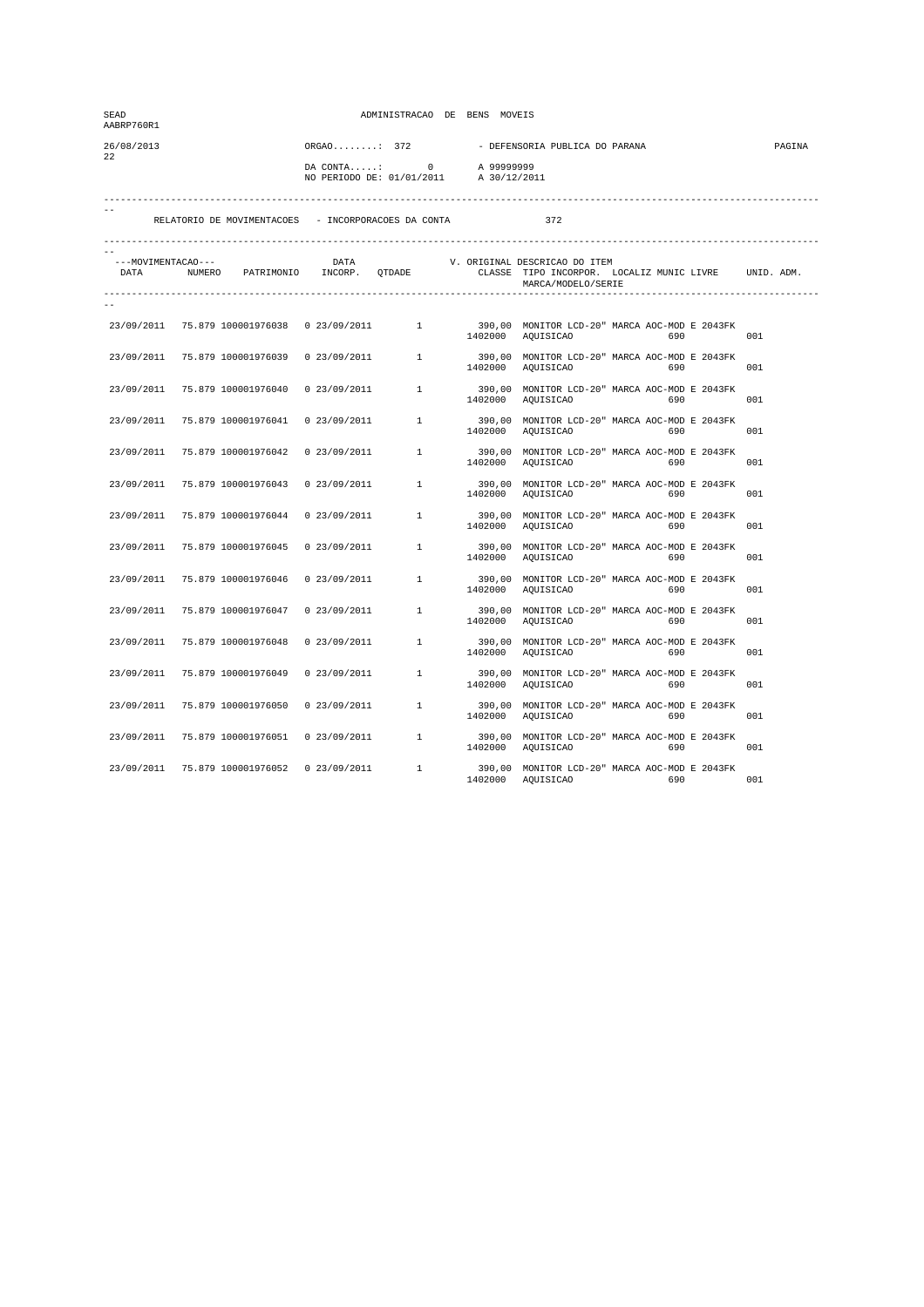| SEAD<br>AABRP760R1         |                                                     |              | ADMINISTRACAO DE BENS MOVEIS               |         |                                                                                                             |     |  |  |
|----------------------------|-----------------------------------------------------|--------------|--------------------------------------------|---------|-------------------------------------------------------------------------------------------------------------|-----|--|--|
| 26/08/2013<br>22           |                                                     | ORGAO: 372   | $DA$ CONTA: 0<br>NO PERIODO DE: 01/01/2011 |         | - DEFENSORIA PUBLICA DO PARANA<br>A 99999999<br>A 30/12/2011                                                |     |  |  |
|                            | RELATORIO DE MOVIMENTACOES - INCORPORACOES DA CONTA |              |                                            |         | 372                                                                                                         |     |  |  |
| ---MOVIMENTACAO---<br>DATA | NUMERO PATRIMONIO INCORP. QTDADE                    | DATA         |                                            |         | V. ORIGINAL DESCRICAO DO ITEM<br>CLASSE TIPO INCORPOR. LOCALIZ MUNIC LIVRE UNID. ADM.<br>MARCA/MODELO/SERIE |     |  |  |
|                            | 23/09/2011 75.879 100001976038 0 23/09/2011 1       |              |                                            |         | 390,00 MONITOR LCD-20" MARCA AOC-MOD E 2043FK<br>1402000 AQUISICAO<br>690                                   | 001 |  |  |
| 23/09/2011                 | 75.879 100001976039                                 |              | 0 23/09/2011 1                             |         | 390,00 MONITOR LCD-20" MARCA AOC-MOD E 2043FK<br>1402000 AQUISICAO<br>690                                   | 001 |  |  |
| 23/09/2011                 | 75.879 100001976040                                 | 0 23/09/2011 | 1                                          | 1402000 | 390,00 MONITOR LCD-20" MARCA AOC-MOD E 2043FK<br>AQUISICAO<br>690                                           | 001 |  |  |
| 23/09/2011                 | 75.879 100001976041                                 | 0 23/09/2011 | $1 \qquad \qquad$                          |         | 390,00 MONITOR LCD-20" MARCA AOC-MOD E 2043FK<br>1402000 AQUISICAO<br>690                                   | 001 |  |  |
| 23/09/2011                 | 75.879 100001976042                                 | 0 23/09/2011 | $\mathbf{1}$                               | 1402000 | 390,00 MONITOR LCD-20" MARCA AOC-MOD E 2043FK<br>AQUISICAO<br>690                                           | 001 |  |  |
| 23/09/2011                 | 75.879 100001976043                                 | 0 23/09/2011 | $\mathbf{1}$                               | 1402000 | 390,00 MONITOR LCD-20" MARCA AOC-MOD E 2043FK<br>AQUISICAO<br>690                                           | 001 |  |  |
| 23/09/2011                 | 75.879 100001976044                                 | 0 23/09/2011 | 1                                          | 1402000 | 390,00 MONITOR LCD-20" MARCA AOC-MOD E 2043FK<br>AQUISICAO<br>690                                           | 001 |  |  |
| 23/09/2011                 | 75.879 100001976045                                 | 0 23/09/2011 | $1 \quad$                                  | 1402000 | 390,00 MONITOR LCD-20" MARCA AOC-MOD E 2043FK<br>AQUISICAO<br>690                                           | 001 |  |  |
| 23/09/2011                 | 75.879 100001976046                                 | 0 23/09/2011 | $\mathbf{1}$                               | 1402000 | 390,00 MONITOR LCD-20" MARCA AOC-MOD E 2043FK<br>AQUISICAO<br>690                                           | 001 |  |  |
| 23/09/2011                 | 75.879 100001976047                                 | 0 23/09/2011 | $\mathbf{1}$                               |         | 390,00 MONITOR LCD-20" MARCA AOC-MOD E 2043FK<br>1402000 AQUISICAO<br>690                                   | 001 |  |  |
| 23/09/2011                 | 75.879 100001976048                                 | 0 23/09/2011 | $1 \quad$                                  | 1402000 | 390,00 MONITOR LCD-20" MARCA AOC-MOD E 2043FK<br>AQUISICAO<br>690                                           | 001 |  |  |
| 23/09/2011                 | 75.879 100001976049                                 | 0 23/09/2011 | 1                                          | 1402000 | 390,00 MONITOR LCD-20" MARCA AOC-MOD E 2043FK<br>AQUISICAO                                                  | 001 |  |  |
| 23/09/2011                 | 75.879 100001976050                                 | 0 23/09/2011 | $\mathbf{1}$                               |         | 390,00 MONITOR LCD-20" MARCA AOC-MOD E 2043FK<br>1402000 AQUISICAO<br>690                                   | 001 |  |  |
| 23/09/2011                 | 75.879 100001976051                                 | 0 23/09/2011 | 1                                          |         | 390,00 MONITOR LCD-20" MARCA AOC-MOD E 2043FK<br>1402000 AQUISICAO<br>690                                   | 001 |  |  |
|                            | 23/09/2011 75.879 100001976052                      | 0 23/09/2011 | <sup>1</sup>                               | 1402000 | 390,00 MONITOR LCD-20" MARCA AOC-MOD E 2043FK<br>AQUISICAO<br>690                                           | 001 |  |  |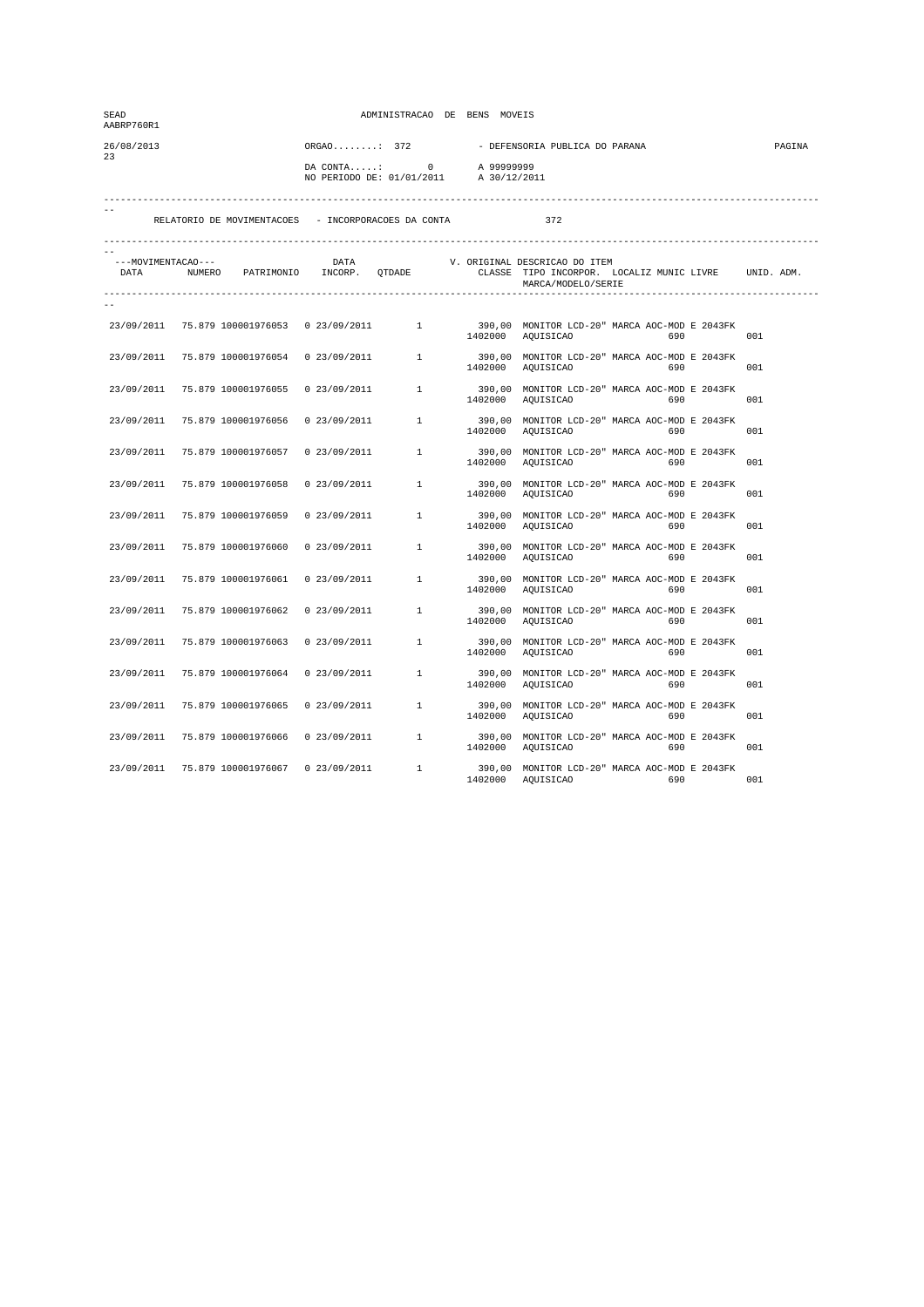| SEAD<br>AABRP760R1 |                                                     |              | ADMINISTRACAO DE BENS MOVEIS               |         |                                                                                                             |     |  |  |
|--------------------|-----------------------------------------------------|--------------|--------------------------------------------|---------|-------------------------------------------------------------------------------------------------------------|-----|--|--|
| 26/08/2013<br>23   |                                                     | ORGAO: 372   | $DA$ CONTA: 0<br>NO PERIODO DE: 01/01/2011 |         | - DEFENSORIA PUBLICA DO PARANA<br>A 99999999<br>A 30/12/2011                                                |     |  |  |
|                    | RELATORIO DE MOVIMENTACOES - INCORPORACOES DA CONTA |              |                                            |         | 372                                                                                                         |     |  |  |
| ---MOVIMENTACAO--- | DATA NUMERO PATRIMONIO INCORP. QTDADE               | DATA         |                                            |         | V. ORIGINAL DESCRICAO DO ITEM<br>CLASSE TIPO INCORPOR. LOCALIZ MUNIC LIVRE UNID. ADM.<br>MARCA/MODELO/SERIE |     |  |  |
|                    | 23/09/2011 75.879 100001976053 0 23/09/2011 1       |              |                                            |         | 390,00 MONITOR LCD-20" MARCA AOC-MOD E 2043FK<br>1402000 AQUISICAO<br>690                                   | 001 |  |  |
| 23/09/2011         | 75.879 100001976054                                 |              | 0 23/09/2011 1                             |         | 390,00 MONITOR LCD-20" MARCA AOC-MOD E 2043FK<br>1402000 AQUISICAO<br>690                                   | 001 |  |  |
| 23/09/2011         | 75.879 100001976055                                 | 0 23/09/2011 | 1                                          | 1402000 | 390,00 MONITOR LCD-20" MARCA AOC-MOD E 2043FK<br>AQUISICAO<br>690                                           | 001 |  |  |
| 23/09/2011         | 75.879 100001976056                                 | 0 23/09/2011 | $1 \qquad \qquad$                          | 1402000 | 390,00 MONITOR LCD-20" MARCA AOC-MOD E 2043FK<br>AQUISICAO<br>690                                           | 001 |  |  |
| 23/09/2011         | 75.879 100001976057                                 | 0 23/09/2011 | $\mathbf{1}$                               | 1402000 | 390,00 MONITOR LCD-20" MARCA AOC-MOD E 2043FK<br>AQUISICAO<br>690                                           | 001 |  |  |
| 23/09/2011         | 75.879 100001976058                                 | 0 23/09/2011 | $\mathbf{1}$                               | 1402000 | 390,00 MONITOR LCD-20" MARCA AOC-MOD E 2043FK<br>AQUISICAO<br>690                                           | 001 |  |  |
| 23/09/2011         | 75.879 100001976059                                 | 0 23/09/2011 | 1                                          | 1402000 | 390,00 MONITOR LCD-20" MARCA AOC-MOD E 2043FK<br>AQUISICAO<br>690                                           | 001 |  |  |
| 23/09/2011         | 75.879 100001976060                                 | 0 23/09/2011 | $1 \quad$                                  | 1402000 | 390,00 MONITOR LCD-20" MARCA AOC-MOD E 2043FK<br>AQUISICAO<br>690                                           | 001 |  |  |
| 23/09/2011         | 75.879 100001976061                                 | 0 23/09/2011 | $\mathbf{1}$                               | 1402000 | 390,00 MONITOR LCD-20" MARCA AOC-MOD E 2043FK<br>AQUISICAO<br>690                                           | 001 |  |  |
| 23/09/2011         | 75.879 100001976062                                 | 0 23/09/2011 | $\mathbf{1}$                               |         | 390,00 MONITOR LCD-20" MARCA AOC-MOD E 2043FK<br>1402000 AQUISICAO<br>690                                   | 001 |  |  |
| 23/09/2011         | 75.879 100001976063                                 | 0 23/09/2011 | $1 \quad$                                  | 1402000 | 390,00 MONITOR LCD-20" MARCA AOC-MOD E 2043FK<br>AQUISICAO<br>690                                           | 001 |  |  |
| 23/09/2011         | 75.879 100001976064                                 | 0 23/09/2011 | 1                                          | 1402000 | 390,00 MONITOR LCD-20" MARCA AOC-MOD E 2043FK<br>AQUISICAO                                                  | 001 |  |  |
| 23/09/2011         | 75.879 100001976065                                 | 0 23/09/2011 | $\mathbf{1}$                               |         | 390,00 MONITOR LCD-20" MARCA AOC-MOD E 2043FK<br>1402000 AQUISICAO<br>690                                   | 001 |  |  |
| 23/09/2011         | 75.879 100001976066                                 | 0 23/09/2011 | 1                                          |         | 390,00 MONITOR LCD-20" MARCA AOC-MOD E 2043FK<br>1402000 AQUISICAO<br>690                                   | 001 |  |  |
|                    | 23/09/2011 75.879 100001976067                      | 0 23/09/2011 | <sup>1</sup>                               | 1402000 | 390,00 MONITOR LCD-20" MARCA AOC-MOD E 2043FK<br>AQUISICAO<br>690                                           | 001 |  |  |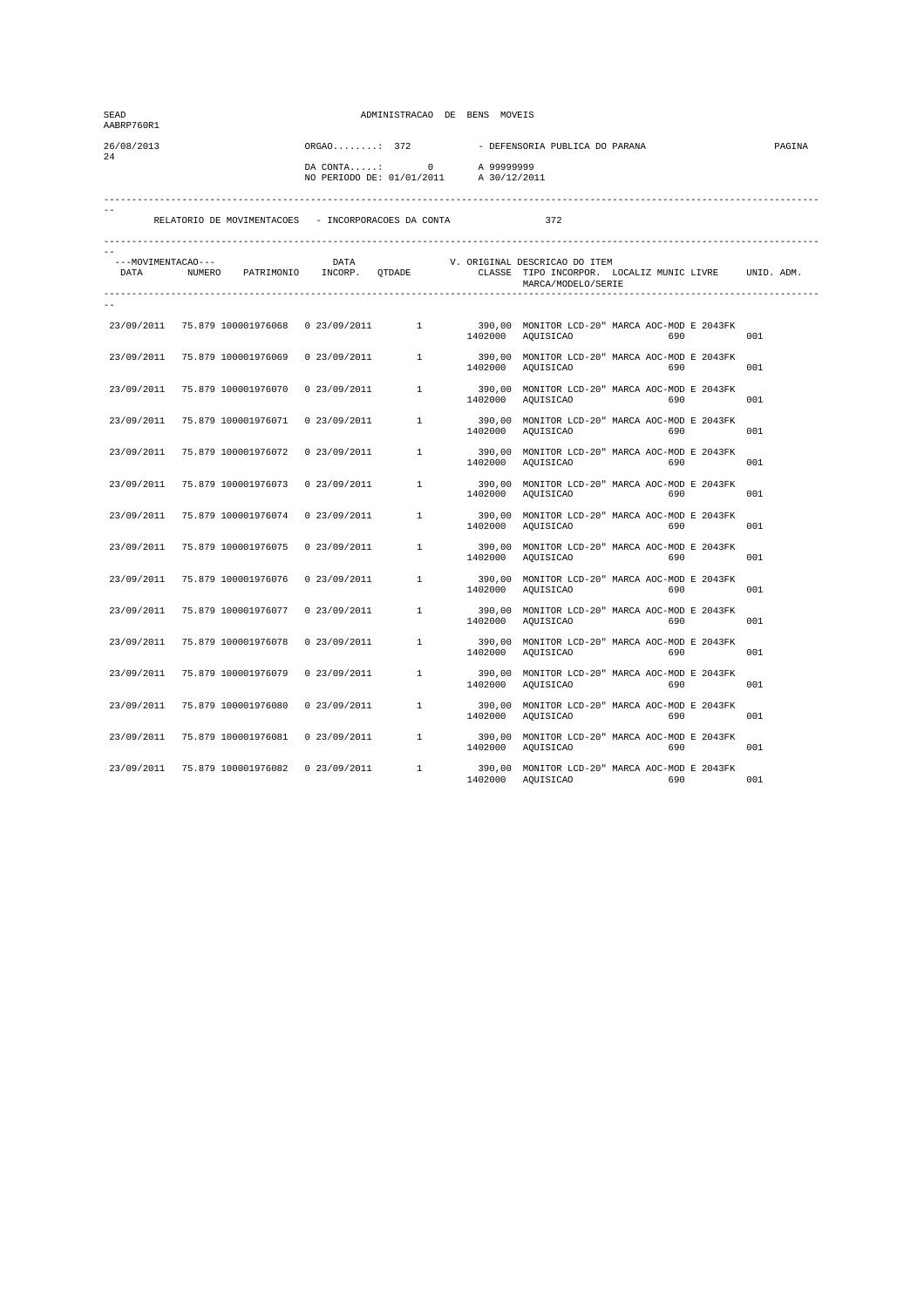| SEAD<br>AABRP760R1 |                                                     |              | ADMINISTRACAO DE BENS MOVEIS                             |                     |                                                                                                             |     |  |  |
|--------------------|-----------------------------------------------------|--------------|----------------------------------------------------------|---------------------|-------------------------------------------------------------------------------------------------------------|-----|--|--|
| 26/08/2013<br>24   |                                                     |              | ORGAO: 372<br>$DA$ CONTA: 0<br>NO PERIODO DE: 01/01/2011 |                     | - DEFENSORIA PUBLICA DO PARANA<br>A 99999999<br>A 30/12/2011                                                |     |  |  |
|                    | RELATORIO DE MOVIMENTACOES - INCORPORACOES DA CONTA |              |                                                          |                     | 372                                                                                                         |     |  |  |
| ---MOVIMENTACAO--- | DATA NUMERO PATRIMONIO INCORP. QTDADE               | DATA         |                                                          |                     | V. ORIGINAL DESCRICAO DO ITEM<br>CLASSE TIPO INCORPOR. LOCALIZ MUNIC LIVRE UNID. ADM.<br>MARCA/MODELO/SERIE |     |  |  |
|                    | 23/09/2011 75.879 100001976068 0 23/09/2011 1       |              |                                                          |                     | 390,00 MONITOR LCD-20" MARCA AOC-MOD E 2043FK<br>1402000 AQUISICAO<br>690                                   | 001 |  |  |
| 23/09/2011         | 75.879 100001976069                                 |              |                                                          |                     | 0 23/09/2011 1 390,00 MONITOR LCD-20" MARCA AOC-MOD E 2043FK<br>1402000 AQUISICAO<br>690                    | 001 |  |  |
| 23/09/2011         | 75.879 100001976070                                 | 0 23/09/2011 |                                                          | $\frac{1}{1402000}$ | 390,00 MONITOR LCD-20" MARCA AOC-MOD E 2043FK<br>AQUISICAO<br>690                                           | 001 |  |  |
| 23/09/2011         | 75.879 100001976071                                 | 0 23/09/2011 |                                                          | 1402000             | 1 390,00 MONITOR LCD-20" MARCA AOC-MOD E 2043FK<br>AQUISICAO<br>690                                         | 001 |  |  |
| 23/09/2011         | 75.879 100001976072                                 | 0 23/09/2011 | $\mathbf{1}$                                             | 1402000             | 390,00 MONITOR LCD-20" MARCA AOC-MOD E 2043FK<br>AQUISICAO<br>690                                           | 001 |  |  |
| 23/09/2011         | 75.879 100001976073                                 | 0 23/09/2011 | $\mathbf{1}$                                             | 1402000             | 390,00 MONITOR LCD-20" MARCA AOC-MOD E 2043FK<br>AQUISICAO<br>690                                           | 001 |  |  |
| 23/09/2011         | 75.879 100001976074                                 | 0 23/09/2011 | 1                                                        | 1402000             | 390,00 MONITOR LCD-20" MARCA AOC-MOD E 2043FK<br>AQUISICAO<br>690                                           | 001 |  |  |
| 23/09/2011         | 75.879 100001976075                                 | 0 23/09/2011 | $1 \quad$                                                | 1402000             | 390,00 MONITOR LCD-20" MARCA AOC-MOD E 2043FK<br>AQUISICAO<br>690                                           | 001 |  |  |
| 23/09/2011         | 75.879 100001976076                                 | 0 23/09/2011 | $\mathbf{1}$                                             | 1402000             | 390,00 MONITOR LCD-20" MARCA AOC-MOD E 2043FK<br>AQUISICAO<br>690                                           | 001 |  |  |
| 23/09/2011         | 75.879 100001976077                                 | 0 23/09/2011 | $\mathbf{1}$                                             |                     | 390,00 MONITOR LCD-20" MARCA AOC-MOD E 2043FK<br>1402000 AQUISICAO<br>690                                   | 001 |  |  |
| 23/09/2011         | 75.879 100001976078                                 | 0 23/09/2011 | $1 \quad$                                                | 1402000             | 390,00 MONITOR LCD-20" MARCA AOC-MOD E 2043FK<br>AQUISICAO<br>690                                           | 001 |  |  |
| 23/09/2011         | 75.879 100001976079                                 | 0 23/09/2011 | 1                                                        | 1402000             | 390,00 MONITOR LCD-20" MARCA AOC-MOD E 2043FK<br>AQUISICAO                                                  | 001 |  |  |
| 23/09/2011         | 75.879 100001976080                                 | 0 23/09/2011 | $\mathbf{1}$                                             |                     | 390,00 MONITOR LCD-20" MARCA AOC-MOD E 2043FK<br>1402000 AQUISICAO<br>690                                   | 001 |  |  |
| 23/09/2011         | 75.879 100001976081                                 | 0 23/09/2011 | 1                                                        |                     | 390,00 MONITOR LCD-20" MARCA AOC-MOD E 2043FK<br>1402000 AQUISICAO<br>690                                   | 001 |  |  |
|                    | 23/09/2011 75.879 100001976082                      | 0 23/09/2011 | <sup>1</sup>                                             | 1402000             | 390,00 MONITOR LCD-20" MARCA AOC-MOD E 2043FK<br>AQUISICAO<br>690                                           | 001 |  |  |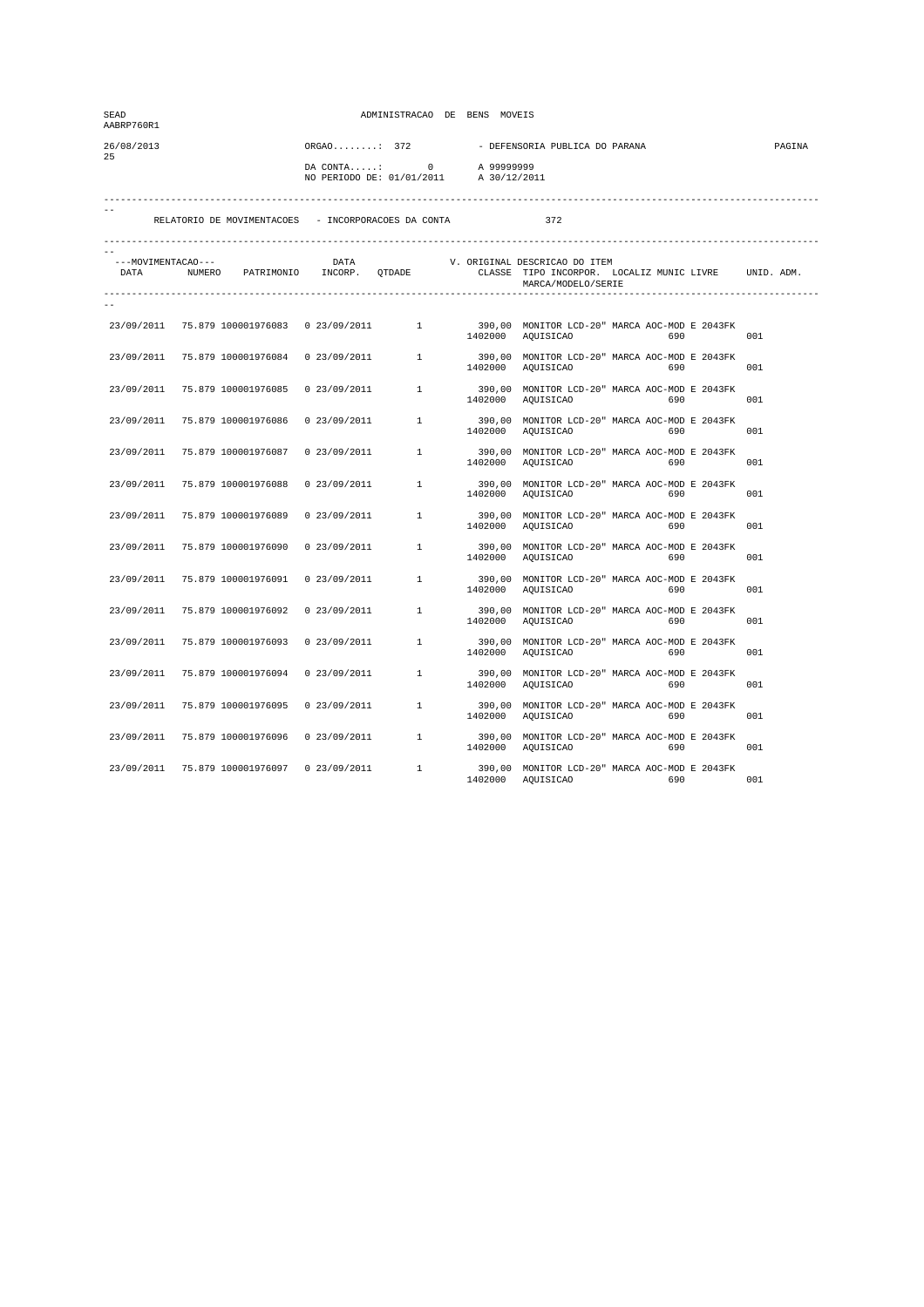| SEAD<br>AABRP760R1 |                                                                                                                          |  |              | ADMINISTRACAO DE BENS MOVEIS |         |                                                                                                             |        |
|--------------------|--------------------------------------------------------------------------------------------------------------------------|--|--------------|------------------------------|---------|-------------------------------------------------------------------------------------------------------------|--------|
| 26/08/2013<br>25   | ORGAO: 372<br>- DEFENSORIA PUBLICA DO PARANA<br>$DA$ CONTA: 0<br>A 99999999<br>NO PERIODO DE: 01/01/2011<br>A 30/12/2011 |  |              |                              |         |                                                                                                             | PAGINA |
|                    | RELATORIO DE MOVIMENTACOES - INCORPORACOES DA CONTA                                                                      |  |              |                              |         | 372                                                                                                         |        |
| ---MOVIMENTACAO--- | DATA NUMERO PATRIMONIO INCORP. QTDADE                                                                                    |  | DATA         |                              |         | V. ORIGINAL DESCRICAO DO ITEM<br>CLASSE TIPO INCORPOR. LOCALIZ MUNIC LIVRE UNID. ADM.<br>MARCA/MODELO/SERIE |        |
|                    | 23/09/2011 75.879 100001976083 0 23/09/2011 1                                                                            |  |              |                              |         | 390,00 MONITOR LCD-20" MARCA AOC-MOD E 2043FK<br>1402000 AQUISICAO<br>690                                   | 001    |
| 23/09/2011         | 75.879 100001976084                                                                                                      |  |              | 0 23/09/2011 1               |         | 390,00 MONITOR LCD-20" MARCA AOC-MOD E 2043FK<br>1402000 AQUISICAO<br>690                                   | 001    |
| 23/09/2011         | 75.879 100001976085                                                                                                      |  | 0 23/09/2011 | $1 \quad$                    | 1402000 | 390,00 MONITOR LCD-20" MARCA AOC-MOD E 2043FK<br>AQUISICAO<br>690                                           | 001    |
| 23/09/2011         | 75.879 100001976086                                                                                                      |  | 0 23/09/2011 | $1 \qquad \qquad$            | 1402000 | 390,00 MONITOR LCD-20" MARCA AOC-MOD E 2043FK<br>AQUISICAO<br>690                                           | 001    |
| 23/09/2011         | 75.879 100001976087                                                                                                      |  | 0 23/09/2011 | $\mathbf{1}$                 | 1402000 | 390,00 MONITOR LCD-20" MARCA AOC-MOD E 2043FK<br>AQUISICAO<br>690                                           | 001    |
| 23/09/2011         | 75.879 100001976088                                                                                                      |  | 0 23/09/2011 | $\mathbf{1}$                 | 1402000 | 390,00 MONITOR LCD-20" MARCA AOC-MOD E 2043FK<br>AQUISICAO<br>690                                           | 001    |
| 23/09/2011         | 75.879 100001976089                                                                                                      |  | 0 23/09/2011 | 1                            | 1402000 | 390,00 MONITOR LCD-20" MARCA AOC-MOD E 2043FK<br>AQUISICAO<br>690                                           | 001    |
| 23/09/2011         | 75.879 100001976090                                                                                                      |  | 0 23/09/2011 | $1 \quad$                    | 1402000 | 390,00 MONITOR LCD-20" MARCA AOC-MOD E 2043FK<br>AQUISICAO<br>690                                           | 001    |
| 23/09/2011         | 75.879 100001976091                                                                                                      |  | 0 23/09/2011 | $\mathbf{1}$                 | 1402000 | 390,00 MONITOR LCD-20" MARCA AOC-MOD E 2043FK<br>AQUISICAO<br>690                                           | 001    |
| 23/09/2011         | 75.879 100001976092                                                                                                      |  | 0 23/09/2011 | $\mathbf{1}$                 |         | 390,00 MONITOR LCD-20" MARCA AOC-MOD E 2043FK<br>1402000 AQUISICAO<br>690                                   | 001    |
| 23/09/2011         | 75.879 100001976093                                                                                                      |  | 0 23/09/2011 | 1                            | 1402000 | 390,00 MONITOR LCD-20" MARCA AOC-MOD E 2043FK<br>AQUISICAO<br>690                                           | 001    |
| 23/09/2011         | 75.879 100001976094                                                                                                      |  | 0 23/09/2011 | 1                            | 1402000 | 390,00 MONITOR LCD-20" MARCA AOC-MOD E 2043FK<br>AQUISICAO                                                  | 001    |
| 23/09/2011         | 75.879 100001976095                                                                                                      |  | 0 23/09/2011 | $\mathbf{1}$                 |         | 390,00 MONITOR LCD-20" MARCA AOC-MOD E 2043FK<br>1402000 AQUISICAO<br>690                                   | 001    |
| 23/09/2011         | 75.879 100001976096                                                                                                      |  | 0 23/09/2011 | 1                            |         | 390,00 MONITOR LCD-20" MARCA AOC-MOD E 2043FK<br>1402000 AQUISICAO<br>690                                   | 001    |
|                    | 23/09/2011 75.879 100001976097                                                                                           |  | 0 23/09/2011 | <sup>1</sup>                 | 1402000 | 390,00 MONITOR LCD-20" MARCA AOC-MOD E 2043FK<br>AQUISICAO<br>690                                           | 001    |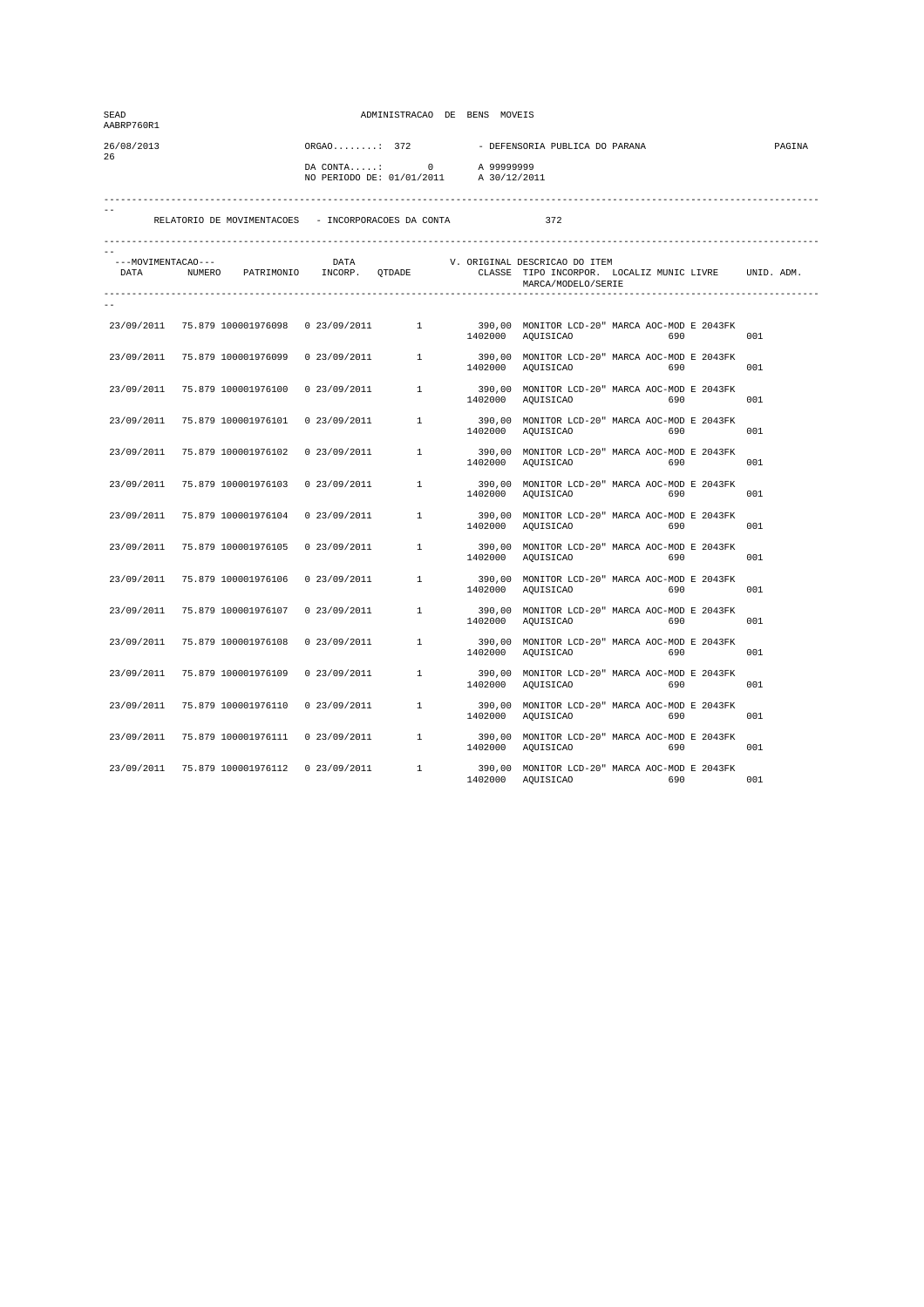| SEAD<br>AABRP760R1 |                                                                                                           |                        | ADMINISTRACAO DE BENS MOVEIS               |         |                                                                                                                                                                                                                                                                                                                                                                                                                                                                                                  |     |
|--------------------|-----------------------------------------------------------------------------------------------------------|------------------------|--------------------------------------------|---------|--------------------------------------------------------------------------------------------------------------------------------------------------------------------------------------------------------------------------------------------------------------------------------------------------------------------------------------------------------------------------------------------------------------------------------------------------------------------------------------------------|-----|
| 26/08/2013<br>26   |                                                                                                           | $ORGAO.\dots\dots:372$ | $DA$ CONTA: 0<br>NO PERIODO DE: 01/01/2011 | PAGINA  |                                                                                                                                                                                                                                                                                                                                                                                                                                                                                                  |     |
|                    | RELATORIO DE MOVIMENTACOES - INCORPORACOES DA CONTA                                                       |                        |                                            |         | 372                                                                                                                                                                                                                                                                                                                                                                                                                                                                                              |     |
|                    | ---MOVIMENTACAO---<br>DATA NUMERO PATRIMONIO INCORP. QTDADE                                               | DATA                   |                                            |         | V. ORIGINAL DESCRICAO DO ITEM<br>CLASSE TIPO INCORPOR. LOCALIZ MUNIC LIVRE UNID. ADM.<br>MARCA/MODELO/SERIE                                                                                                                                                                                                                                                                                                                                                                                      |     |
|                    | 23/09/2011 75.879 100001976098 0 23/09/2011 1                                                             |                        |                                            |         | 390,00 MONITOR LCD-20" MARCA AOC-MOD E 2043FK<br>1402000 AQUISICAO 690                                                                                                                                                                                                                                                                                                                                                                                                                           | 001 |
| 23/09/2011         | 75.879 100001976099                                                                                       |                        |                                            |         | 0  23/09/2011   1   390,00 MONITOR LCD-20" MARCA AOC-MOD E  2043FK   1402000   AQUISICAO   690                                                                                                                                                                                                                                                                                                                                                                                                   | 001 |
| 23/09/2011         | $75.879\ 100001976100 \qquad 0\ 23/09/2011 \qquad \qquad 1 \qquad \qquad 390\, , 00 \nonumber \\ 1402000$ |                        |                                            |         | 390,00 MONITOR LCD-20" MARCA AOC-MOD E 2043FK<br>AQUISICAO<br>690                                                                                                                                                                                                                                                                                                                                                                                                                                | 001 |
| 23/09/2011         | 75.879 100001976101                                                                                       |                        |                                            |         | ${\small 0\  \  23/09/2011} \qquad {\small 1\quad \quad {\small 390,00\quad \, {\small } \, {\small } \, {\small } \, {\small } \, {\small 00\quad \, {\small } \, {\small 00\quad \, {\small } \, {\small 00\quad \, {\small 1}}}} \, {\small 00\quad \, {\small 00\quad \, {\small 00\quad \, {\small 00\quad \, {\small 00\quad \, {\small 00\quad \, {\small 00\quad \, {\small 00\quad \, {\small 00\quad \, {\small 00\quad \, {\small 00\quad \, {\small 00\$<br>1402000 AQUISICAO<br>690 | 001 |
| 23/09/2011         | 75.879 100001976102                                                                                       | 0 23/09/2011           | $\mathbf{1}$                               | 1402000 | 390,00 MONITOR LCD-20" MARCA AOC-MOD E 2043FK<br>AQUISICAO<br>690                                                                                                                                                                                                                                                                                                                                                                                                                                | 001 |
| 23/09/2011         | 75.879 100001976103                                                                                       | 0 23/09/2011           | 1                                          | 1402000 | 390,00 MONITOR LCD-20" MARCA AOC-MOD E 2043FK<br>AQUISICAO<br>690                                                                                                                                                                                                                                                                                                                                                                                                                                | 001 |
| 23/09/2011         | 75.879 100001976104                                                                                       | 0 23/09/2011           | 1                                          | 1402000 | 390,00 MONITOR LCD-20" MARCA AOC-MOD E 2043FK<br>AQUISICAO 690                                                                                                                                                                                                                                                                                                                                                                                                                                   | 001 |
| 23/09/2011         | 75.879 100001976105                                                                                       | 0 23/09/2011           | $1 \qquad \qquad$                          | 1402000 | 390,00 MONITOR LCD-20" MARCA AOC-MOD E 2043FK<br>AQUISICAO<br>690                                                                                                                                                                                                                                                                                                                                                                                                                                | 001 |
| 23/09/2011         | 75.879 100001976106                                                                                       | 0 23/09/2011           | $\mathbf{1}$                               | 1402000 | 390,00 MONITOR LCD-20" MARCA AOC-MOD E 2043FK<br>AQUISICAO<br>690                                                                                                                                                                                                                                                                                                                                                                                                                                | 001 |
| 23/09/2011         | 75.879 100001976107                                                                                       | 0 23/09/2011           | 1                                          |         | 390,00 MONITOR LCD-20" MARCA AOC-MOD E 2043FK<br>1402000 AQUISICAO<br>690                                                                                                                                                                                                                                                                                                                                                                                                                        | 001 |
| 23/09/2011         | 75.879 100001976108                                                                                       | 0 23/09/2011           | $1 \quad$                                  | 1402000 | 390,00 MONITOR LCD-20" MARCA AOC-MOD E 2043FK<br>AQUISICAO<br>690                                                                                                                                                                                                                                                                                                                                                                                                                                | 001 |
| 23/09/2011         | 75.879 100001976109                                                                                       | 0 23/09/2011           | 1                                          | 1402000 | 390,00 MONITOR LCD-20" MARCA AOC-MOD E 2043FK<br>AQUISICAO<br>690                                                                                                                                                                                                                                                                                                                                                                                                                                | 001 |
| 23/09/2011         | 75.879 100001976110                                                                                       | 0 23/09/2011           | $\mathbf{1}$                               |         | 390,00 MONITOR LCD-20" MARCA AOC-MOD E 2043FK<br>1402000 AQUISICAO<br>690                                                                                                                                                                                                                                                                                                                                                                                                                        | 001 |
| 23/09/2011         | 75.879 100001976111                                                                                       | 0 23/09/2011           | 1                                          |         | 390,00 MONITOR LCD-20" MARCA AOC-MOD E 2043FK<br>1402000 AQUISICAO<br>690                                                                                                                                                                                                                                                                                                                                                                                                                        | 001 |
|                    | 23/09/2011 75.879 100001976112 0 23/09/2011                                                               |                        | $\overline{1}$                             | 1402000 | 390,00 MONITOR LCD-20" MARCA AOC-MOD E 2043FK<br>AQUISICAO<br>690                                                                                                                                                                                                                                                                                                                                                                                                                                | 001 |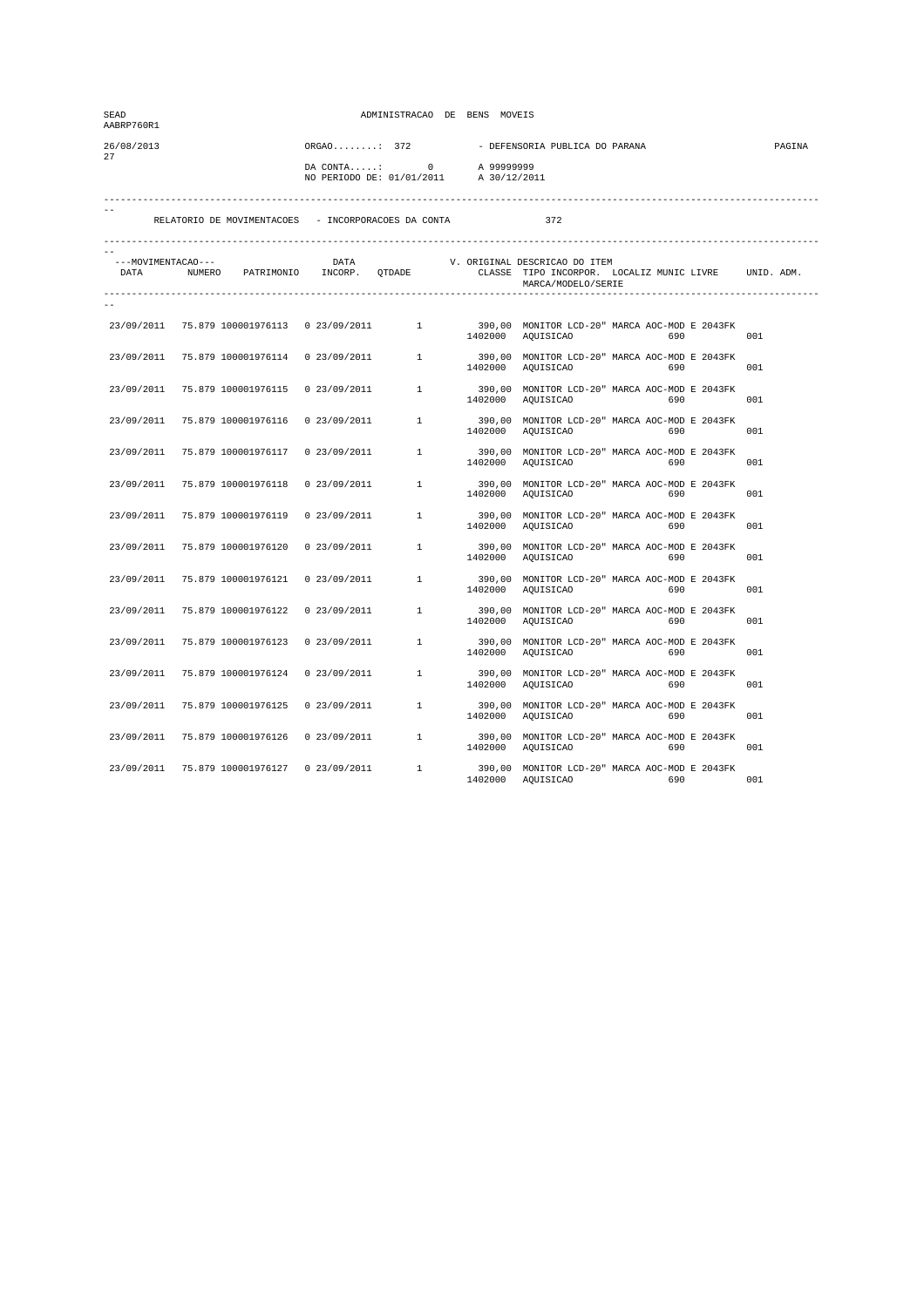| SEAD<br>AABRP760R1                                                                                                                           |                                                     |              | ADMINISTRACAO DE BENS MOVEIS |         |                                                                                                             |        |  |
|----------------------------------------------------------------------------------------------------------------------------------------------|-----------------------------------------------------|--------------|------------------------------|---------|-------------------------------------------------------------------------------------------------------------|--------|--|
| 26/08/2013<br>ORGAO: 372<br>- DEFENSORIA PUBLICA DO PARANA<br>27<br>$DA$ CONTA: 0<br>A 99999999<br>NO PERIODO DE: 01/01/2011<br>A 30/12/2011 |                                                     |              |                              |         |                                                                                                             | PAGINA |  |
|                                                                                                                                              | RELATORIO DE MOVIMENTACOES - INCORPORACOES DA CONTA |              |                              |         | 372                                                                                                         |        |  |
| ---MOVIMENTACAO---                                                                                                                           | DATA NUMERO PATRIMONIO INCORP. QTDADE               | DATA         |                              |         | V. ORIGINAL DESCRICAO DO ITEM<br>CLASSE TIPO INCORPOR. LOCALIZ MUNIC LIVRE UNID. ADM.<br>MARCA/MODELO/SERIE |        |  |
|                                                                                                                                              | 23/09/2011 75.879 100001976113 0 23/09/2011 1       |              |                              |         | 390,00 MONITOR LCD-20" MARCA AOC-MOD E 2043FK<br>1402000 AQUISICAO<br>690                                   | 001    |  |
| 23/09/2011                                                                                                                                   | 75.879 100001976114                                 |              |                              |         | 0 23/09/2011 1 390,00 MONITOR LCD-20" MARCA AOC-MOD E 2043FK<br>1402000 AQUISICAO<br>690                    | 001    |  |
| 23/09/2011                                                                                                                                   | 75.879 100001976115 0 23/09/2011                    |              |                              |         | 390,00 MONITOR LCD-20" MARCA AOC-MOD E 2043FK<br>$\frac{390,00}{1402000}$ AQUISICAO<br>690                  | 001    |  |
| 23/09/2011                                                                                                                                   | 75.879 100001976116                                 | 0 23/09/2011 |                              |         | 1 390,00 MONITOR LCD-20" MARCA AOC-MOD E 2043FK<br>1402000 AQUISICAO<br>690                                 | 001    |  |
| 23/09/2011                                                                                                                                   | 75.879 100001976117                                 | 0 23/09/2011 | $\mathbf{1}$                 | 1402000 | 390,00 MONITOR LCD-20" MARCA AOC-MOD E 2043FK<br>AQUISICAO<br>690                                           | 001    |  |
| 23/09/2011                                                                                                                                   | 75.879 100001976118                                 | 0 23/09/2011 | $\mathbf{1}$                 | 1402000 | 390,00 MONITOR LCD-20" MARCA AOC-MOD E 2043FK<br>AQUISICAO<br>690                                           | 001    |  |
| 23/09/2011                                                                                                                                   | 75.879 100001976119                                 | 0 23/09/2011 | 1                            | 1402000 | 390,00 MONITOR LCD-20" MARCA AOC-MOD E 2043FK<br>AQUISICAO<br>690                                           | 001    |  |
| 23/09/2011                                                                                                                                   | 75.879 100001976120                                 | 0 23/09/2011 | $1 \quad$                    | 1402000 | 390,00 MONITOR LCD-20" MARCA AOC-MOD E 2043FK<br>AQUISICAO<br>690                                           | 001    |  |
| 23/09/2011                                                                                                                                   | 75.879 100001976121                                 | 0 23/09/2011 | $\mathbf{1}$                 | 1402000 | 390,00 MONITOR LCD-20" MARCA AOC-MOD E 2043FK<br>AQUISICAO<br>690                                           | 001    |  |
| 23/09/2011                                                                                                                                   | 75.879 100001976122                                 | 0 23/09/2011 | 1                            |         | 390,00 MONITOR LCD-20" MARCA AOC-MOD E 2043FK<br>1402000 AQUISICAO<br>690                                   | 001    |  |
| 23/09/2011                                                                                                                                   | 75.879 100001976123                                 | 0 23/09/2011 | 1                            | 1402000 | 390,00 MONITOR LCD-20" MARCA AOC-MOD E 2043FK<br>AQUISICAO<br>690                                           | 001    |  |
| 23/09/2011                                                                                                                                   | 75.879 100001976124                                 | 0 23/09/2011 | $1 \quad$                    | 1402000 | 390,00 MONITOR LCD-20" MARCA AOC-MOD E 2043FK<br>AQUISICAO<br>690                                           | 001    |  |
| 23/09/2011                                                                                                                                   | 75.879 100001976125                                 | 0 23/09/2011 | $\mathbf{1}$                 |         | 390,00 MONITOR LCD-20" MARCA AOC-MOD E 2043FK<br>1402000 AQUISICAO<br>690                                   | 001    |  |
| 23/09/2011                                                                                                                                   | 75.879 100001976126                                 | 0 23/09/2011 | 1                            |         | 390,00 MONITOR LCD-20" MARCA AOC-MOD E 2043FK<br>1402000 AQUISICAO<br>690                                   | 001    |  |
|                                                                                                                                              | 23/09/2011 75.879 100001976127                      | 0 23/09/2011 | <sup>1</sup>                 | 1402000 | 390,00 MONITOR LCD-20" MARCA AOC-MOD E 2043FK<br>AQUISICAO<br>690                                           | 001    |  |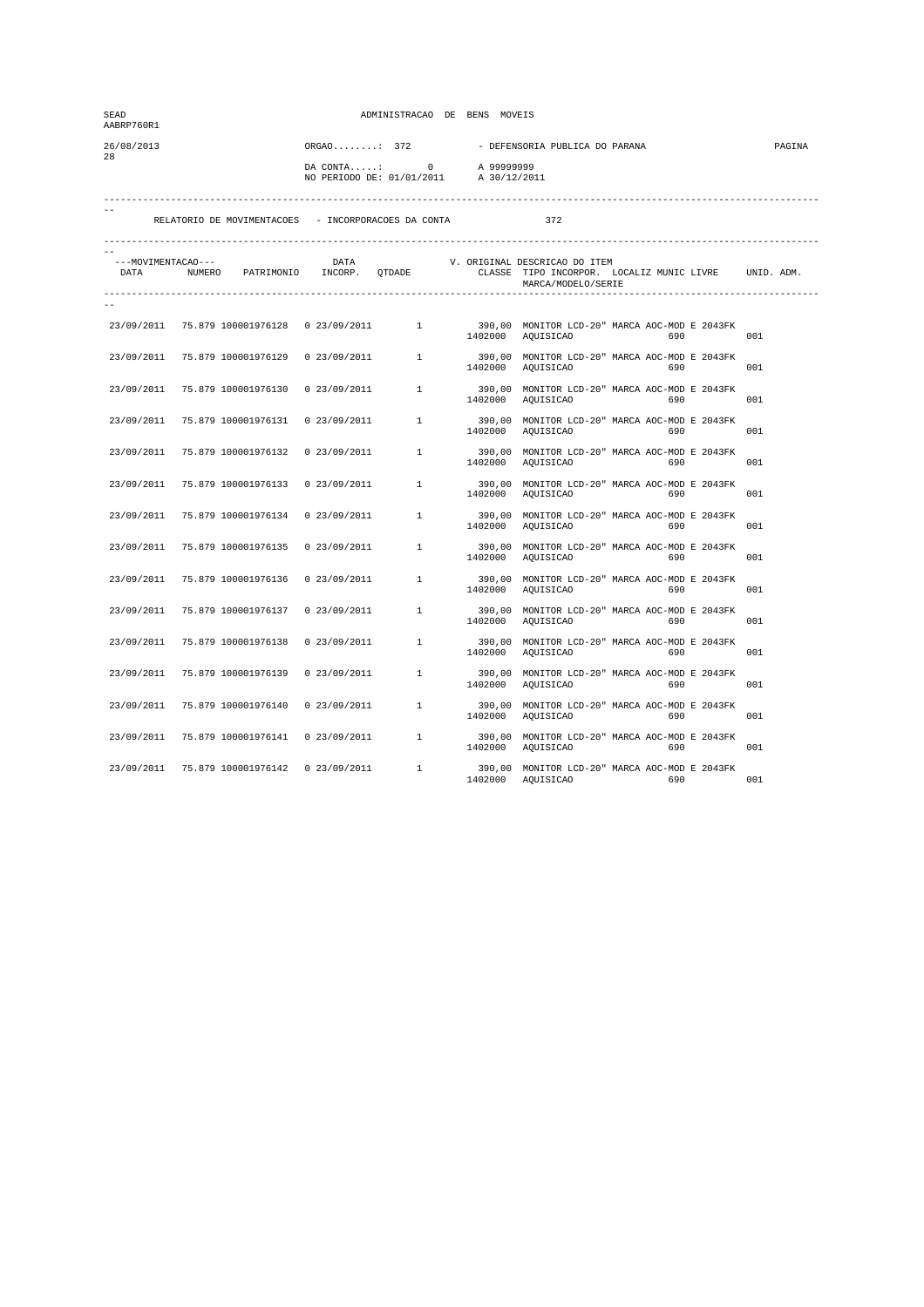| SEAD<br>AABRP760R1         |                                                                                                                          |              | ADMINISTRACAO DE BENS MOVEIS |         |                                                                                                             |     |
|----------------------------|--------------------------------------------------------------------------------------------------------------------------|--------------|------------------------------|---------|-------------------------------------------------------------------------------------------------------------|-----|
| 26/08/2013<br>28           | ORGAO: 372<br>- DEFENSORIA PUBLICA DO PARANA<br>$DA$ CONTA: 0<br>A 99999999<br>NO PERIODO DE: 01/01/2011<br>A 30/12/2011 |              |                              |         |                                                                                                             |     |
|                            | RELATORIO DE MOVIMENTACOES - INCORPORACOES DA CONTA                                                                      |              |                              |         | 372                                                                                                         |     |
| ---MOVIMENTACAO---<br>DATA | NUMERO PATRIMONIO INCORP. QTDADE                                                                                         | DATA         |                              |         | V. ORIGINAL DESCRICAO DO ITEM<br>CLASSE TIPO INCORPOR. LOCALIZ MUNIC LIVRE UNID. ADM.<br>MARCA/MODELO/SERIE |     |
|                            | 23/09/2011 75.879 100001976128 0 23/09/2011 1                                                                            |              |                              |         | 390,00 MONITOR LCD-20" MARCA AOC-MOD E 2043FK<br>1402000 AQUISICAO<br>690                                   | 001 |
| 23/09/2011                 | 75.879 100001976129                                                                                                      |              |                              |         | 0 23/09/2011 1 390,00 MONITOR LCD-20" MARCA AOC-MOD E 2043FK<br>1402000 AQUISICAO<br>690                    | 001 |
| 23/09/2011                 | 75.879 100001976130  0 23/09/2011                                                                                        |              |                              |         | $\frac{390,00}{1402000}$ AQUISICAO<br>390,00 MONITOR LCD-20" MARCA AOC-MOD E 2043FK<br>690                  | 001 |
| 23/09/2011                 | 75.879 100001976131                                                                                                      | 0 23/09/2011 |                              |         | 1 390,00 MONITOR LCD-20" MARCA AOC-MOD E 2043FK<br>1402000 AQUISICAO<br>690                                 | 001 |
| 23/09/2011                 | 75.879 100001976132                                                                                                      | 0 23/09/2011 | $\mathbf{1}$                 | 1402000 | 390,00 MONITOR LCD-20" MARCA AOC-MOD E 2043FK<br>AQUISICAO<br>690                                           | 001 |
| 23/09/2011                 | 75.879 100001976133                                                                                                      | 0 23/09/2011 | $\mathbf{1}$                 | 1402000 | 390,00 MONITOR LCD-20" MARCA AOC-MOD E 2043FK<br>AQUISICAO<br>690                                           | 001 |
| 23/09/2011                 | 75.879 100001976134                                                                                                      | 0 23/09/2011 | 1                            | 1402000 | 390,00 MONITOR LCD-20" MARCA AOC-MOD E 2043FK<br>AQUISICAO<br>690                                           | 001 |
| 23/09/2011                 | 75.879 100001976135                                                                                                      | 0 23/09/2011 | $1 \quad$                    | 1402000 | 390,00 MONITOR LCD-20" MARCA AOC-MOD E 2043FK<br>AQUISICAO<br>690                                           | 001 |
| 23/09/2011                 | 75.879 100001976136                                                                                                      | 0 23/09/2011 | $\mathbf{1}$                 | 1402000 | 390,00 MONITOR LCD-20" MARCA AOC-MOD E 2043FK<br>AQUISICAO<br>690                                           | 001 |
| 23/09/2011                 | 75.879 100001976137                                                                                                      | 0 23/09/2011 | 1                            |         | 390,00 MONITOR LCD-20" MARCA AOC-MOD E 2043FK<br>1402000 AQUISICAO<br>690                                   | 001 |
| 23/09/2011                 | 75.879 100001976138                                                                                                      | 0 23/09/2011 | 1                            | 1402000 | 390,00 MONITOR LCD-20" MARCA AOC-MOD E 2043FK<br>AQUISICAO<br>690                                           | 001 |
| 23/09/2011                 | 75.879 100001976139                                                                                                      | 0 23/09/2011 | 1                            | 1402000 | 390,00 MONITOR LCD-20" MARCA AOC-MOD E 2043FK<br>AQUISICAO                                                  | 001 |
| 23/09/2011                 | 75.879 100001976140                                                                                                      | 0 23/09/2011 | $\mathbf{1}$                 |         | 390,00 MONITOR LCD-20" MARCA AOC-MOD E 2043FK<br>1402000 AQUISICAO<br>690                                   | 001 |
| 23/09/2011                 | 75.879 100001976141                                                                                                      | 0 23/09/2011 | 1                            |         | 390,00 MONITOR LCD-20" MARCA AOC-MOD E 2043FK<br>1402000 AQUISICAO<br>690                                   | 001 |
|                            | 23/09/2011 75.879 100001976142 0 23/09/2011                                                                              |              | <sup>1</sup>                 | 1402000 | 390,00 MONITOR LCD-20" MARCA AOC-MOD E 2043FK<br>AQUISICAO<br>690                                           | 001 |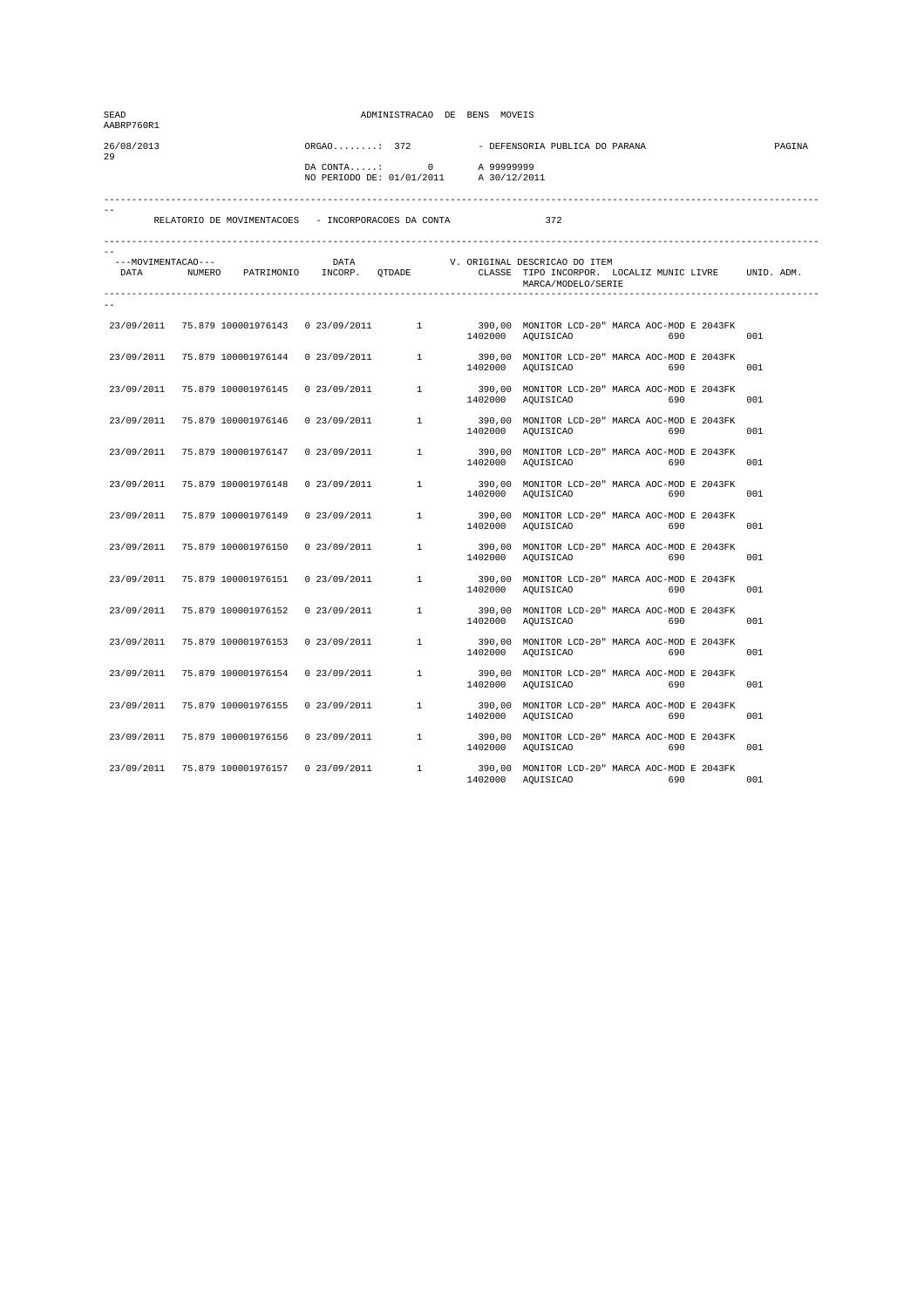| SEAD<br>AABRP760R1 |                                                                                                 |                        | ADMINISTRACAO DE BENS MOVEIS               |                                                              |                                                                                                             |     |  |  |  |
|--------------------|-------------------------------------------------------------------------------------------------|------------------------|--------------------------------------------|--------------------------------------------------------------|-------------------------------------------------------------------------------------------------------------|-----|--|--|--|
| 26/08/2013<br>29   |                                                                                                 | $ORGAO.\dots\dots:372$ | $DA$ CONTA: 0<br>NO PERIODO DE: 01/01/2011 | - DEFENSORIA PUBLICA DO PARANA<br>A 99999999<br>A 30/12/2011 |                                                                                                             |     |  |  |  |
|                    | RELATORIO DE MOVIMENTACOES - INCORPORACOES DA CONTA                                             |                        |                                            |                                                              | 372                                                                                                         |     |  |  |  |
| ---MOVIMENTACAO--- | DATA NUMERO PATRIMONIO INCORP. QTDADE                                                           | DATA                   |                                            |                                                              | V. ORIGINAL DESCRICAO DO ITEM<br>CLASSE TIPO INCORPOR. LOCALIZ MUNIC LIVRE UNID. ADM.<br>MARCA/MODELO/SERIE |     |  |  |  |
|                    | 23/09/2011 75.879 100001976143 0 23/09/2011 1                                                   |                        |                                            |                                                              | 390,00 MONITOR LCD-20" MARCA AOC-MOD E 2043FK<br>1402000 AQUISICAO 690                                      | 001 |  |  |  |
| 23/09/2011         | 75.879 100001976144                                                                             |                        |                                            |                                                              | 0  23/09/2011   1   390,00 MONITOR LCD-20" MARCA AOC-MOD E  2043FK   1402000   AQUISICAO   690              | 001 |  |  |  |
| 23/09/2011         | $75.879\ 100001976145 \qquad 0\ 23/09/2011 \qquad \qquad 1 \qquad \qquad 390,00 \eqno{1402000}$ |                        |                                            |                                                              | 390,00 MONITOR LCD-20" MARCA AOC-MOD E 2043FK<br>AQUISICAO<br>690                                           | 001 |  |  |  |
| 23/09/2011         | 75.879 100001976146                                                                             |                        |                                            |                                                              | 0 23/09/2011 1 390,00 MONITOR LCD-20" MARCA AOC-MOD E 2043FK<br>1402000 AQUISICAO<br>690                    | 001 |  |  |  |
| 23/09/2011         | 75.879 100001976147                                                                             | 0 23/09/2011           | $\mathbf{1}$                               | 1402000                                                      | 390,00 MONITOR LCD-20" MARCA AOC-MOD E 2043FK<br>AQUISICAO<br>690                                           | 001 |  |  |  |
| 23/09/2011         | 75.879 100001976148                                                                             | 0 23/09/2011           | 1                                          |                                                              | 390,00 MONITOR LCD-20" MARCA AOC-MOD E 2043FK<br>1402000 AQUISICAO<br>690                                   | 001 |  |  |  |
| 23/09/2011         | 75.879 100001976149                                                                             | 0 23/09/2011           | 1                                          | 1402000                                                      | 390,00 MONITOR LCD-20" MARCA AOC-MOD E 2043FK<br>AQUISICAO 690                                              | 001 |  |  |  |
| 23/09/2011         | 75.879 100001976150                                                                             | 0 23/09/2011           | $1 \qquad \qquad$                          | 1402000                                                      | 390,00 MONITOR LCD-20" MARCA AOC-MOD E 2043FK<br>AQUISICAO<br>690                                           | 001 |  |  |  |
| 23/09/2011         | 75.879 100001976151                                                                             | 0 23/09/2011           | $\mathbf{1}$                               |                                                              | 390,00 MONITOR LCD-20" MARCA AOC-MOD E 2043FK<br>1402000 AQUISICAO<br>690                                   | 001 |  |  |  |
| 23/09/2011         | 75.879 100001976152                                                                             | 0 23/09/2011           | 1                                          |                                                              | 390,00 MONITOR LCD-20" MARCA AOC-MOD E 2043FK<br>1402000 AQUISICAO<br>690                                   | 001 |  |  |  |
| 23/09/2011         | 75.879 100001976153                                                                             | 0 23/09/2011           | $1 \quad$                                  | 1402000                                                      | 390,00 MONITOR LCD-20" MARCA AOC-MOD E 2043FK<br>AQUISICAO 690                                              | 001 |  |  |  |
| 23/09/2011         | 75.879 100001976154                                                                             | 0 23/09/2011           | 1                                          | 1402000                                                      | 390,00 MONITOR LCD-20" MARCA AOC-MOD E 2043FK<br>AQUISICAO<br>690                                           | 001 |  |  |  |
| 23/09/2011         | 75.879 100001976155                                                                             | 0 23/09/2011           | $\mathbf{1}$                               |                                                              | 390,00 MONITOR LCD-20" MARCA AOC-MOD E 2043FK<br>1402000 AQUISICAO<br>690                                   | 001 |  |  |  |
| 23/09/2011         | 75.879 100001976156                                                                             | 0 23/09/2011           | 1                                          |                                                              | 390,00 MONITOR LCD-20" MARCA AOC-MOD E 2043FK<br>1402000 AQUISICAO<br>690                                   | 001 |  |  |  |
|                    | 23/09/2011 75.879 100001976157 0 23/09/2011                                                     |                        | $\overline{1}$                             | 1402000                                                      | 390,00 MONITOR LCD-20" MARCA AOC-MOD E 2043FK<br>AQUISICAO<br>690                                           | 001 |  |  |  |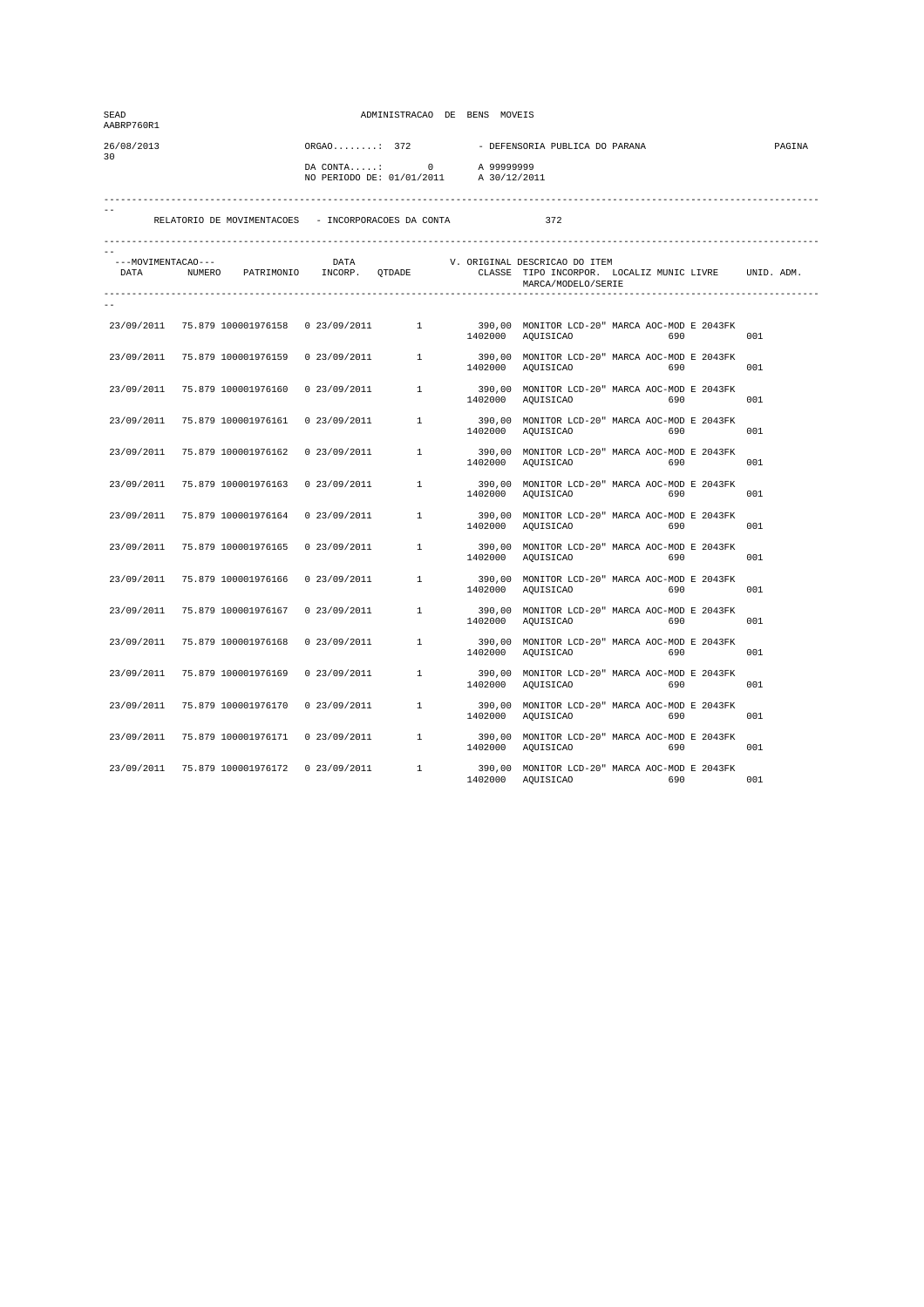| SEAD<br>AABRP760R1         |                                                                                                                          |              | ADMINISTRACAO DE BENS MOVEIS |                     |                                                                                                             |            |
|----------------------------|--------------------------------------------------------------------------------------------------------------------------|--------------|------------------------------|---------------------|-------------------------------------------------------------------------------------------------------------|------------|
| 26/08/2013<br>30           | - DEFENSORIA PUBLICA DO PARANA<br>ORGAO: 372<br>$DA$ CONTA: 0<br>A 99999999<br>NO PERIODO DE: 01/01/2011<br>A 30/12/2011 |              |                              |                     |                                                                                                             |            |
|                            | RELATORIO DE MOVIMENTACOES - INCORPORACOES DA CONTA                                                                      |              |                              |                     | 372                                                                                                         |            |
| ---MOVIMENTACAO---<br>DATA | NUMERO PATRIMONIO INCORP. QTDADE                                                                                         | DATA         |                              |                     | V. ORIGINAL DESCRICAO DO ITEM<br>CLASSE TIPO INCORPOR. LOCALIZ MUNIC LIVRE UNID. ADM.<br>MARCA/MODELO/SERIE |            |
|                            | 23/09/2011 75.879 100001976158 0 23/09/2011 1                                                                            |              |                              |                     | 390,00 MONITOR LCD-20" MARCA AOC-MOD E 2043FK<br>1402000 AQUISICAO<br>690                                   | 001        |
| 23/09/2011                 | 75.879 100001976159                                                                                                      |              |                              |                     | 0 23/09/2011 1 390,00 MONITOR LCD-20" MARCA AOC-MOD E 2043FK<br>1402000 AQUISICAO<br>690                    | 001        |
| 23/09/2011                 | 75.879 100001976160                                                                                                      | 0 23/09/2011 |                              | $\frac{1}{1402000}$ | 390,00 MONITOR LCD-20" MARCA AOC-MOD E 2043FK<br>AQUISICAO<br>690                                           | 001        |
| 23/09/2011                 | 75.879 100001976161                                                                                                      | 0 23/09/2011 |                              | 1402000             | 1 390,00 MONITOR LCD-20" MARCA AOC-MOD E 2043FK<br>AQUISICAO<br>690                                         | 001        |
| 23/09/2011                 | 75.879 100001976162                                                                                                      | 0 23/09/2011 | $\mathbf{1}$                 | 1402000             | 390,00 MONITOR LCD-20" MARCA AOC-MOD E 2043FK<br>AQUISICAO<br>690                                           | 001        |
| 23/09/2011                 | 75.879 100001976163                                                                                                      | 0 23/09/2011 | 1                            | 1402000             | 390,00 MONITOR LCD-20" MARCA AOC-MOD E 2043FK<br>AQUISICAO<br>690                                           | 001        |
| 23/09/2011                 | 75.879 100001976164                                                                                                      | 0 23/09/2011 | 1                            | 1402000             | 390,00 MONITOR LCD-20" MARCA AOC-MOD E 2043FK<br>AQUISICAO<br>690                                           | 001        |
| 23/09/2011                 | 75.879 100001976165                                                                                                      | 0 23/09/2011 | 1                            | 1402000             | 390,00 MONITOR LCD-20" MARCA AOC-MOD E 2043FK<br>AQUISICAO<br>690                                           | 001        |
| 23/09/2011                 | 75.879 100001976166                                                                                                      | 0 23/09/2011 | $\mathbf{1}$                 | 1402000             | 390,00 MONITOR LCD-20" MARCA AOC-MOD E 2043FK<br>AQUISICAO<br>690                                           | 001        |
| 23/09/2011                 | 75.879 100001976167                                                                                                      | 0 23/09/2011 | 1                            |                     | 390,00 MONITOR LCD-20" MARCA AOC-MOD E 2043FK<br>1402000 AQUISICAO<br>690                                   | 001        |
| 23/09/2011                 | 75.879 100001976168                                                                                                      | 0 23/09/2011 | 1                            | 1402000             | 390,00 MONITOR LCD-20" MARCA AOC-MOD E 2043FK<br>AQUISICAO<br>690                                           | 001        |
| 23/09/2011                 | 75.879 100001976169                                                                                                      | 0 23/09/2011 | $1 \quad$                    | 1402000             | 390,00 MONITOR LCD-20" MARCA AOC-MOD E 2043FK<br>AQUISICAO<br>690                                           | 001        |
| 23/09/2011                 | 75.879 100001976170                                                                                                      | 0 23/09/2011 | $\mathbf{1}$                 |                     | 390,00 MONITOR LCD-20" MARCA AOC-MOD E 2043FK<br>1402000 AQUISICAO<br>690                                   | 001        |
| 23/09/2011                 | 75.879 100001976171                                                                                                      | 0 23/09/2011 | $\mathbf{1}$                 |                     | 390,00 MONITOR LCD-20" MARCA AOC-MOD E 2043FK                                                               |            |
| 23/09/2011                 | 75.879 100001976172  0 23/09/2011                                                                                        |              | $\mathbf{1}$                 | 1402000<br>1402000  | AQUISICAO<br>690<br>390,00 MONITOR LCD-20" MARCA AOC-MOD E 2043FK<br>690<br>AQUISICAO                       | 001<br>001 |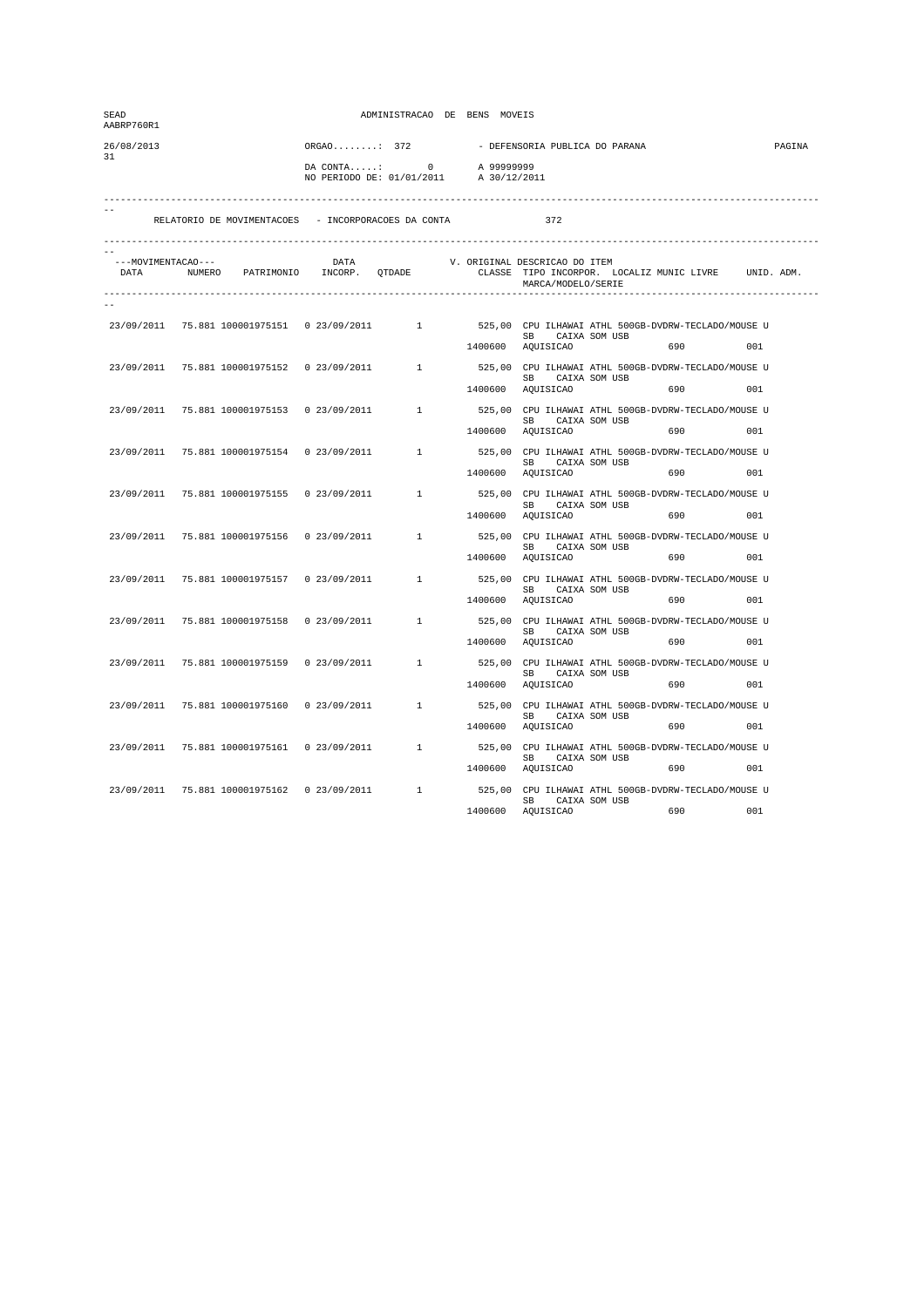| SEAD<br>AABRP760R1 |                                               |               | ADMINISTRACAO DE BENS MOVEIS                                             |              |                                                     |                                                                                                                       |        |
|--------------------|-----------------------------------------------|---------------|--------------------------------------------------------------------------|--------------|-----------------------------------------------------|-----------------------------------------------------------------------------------------------------------------------|--------|
| 26/08/2013         |                                               | $ORGAO$ : 372 |                                                                          |              | - DEFENSORIA PUBLICA DO PARANA                      |                                                                                                                       | PAGINA |
| 31                 |                                               |               | DA CONTA: 0 A 99999999<br>NO PERIODO DE: 01/01/2011 A 30/12/201          | A 30/12/2011 |                                                     |                                                                                                                       |        |
|                    |                                               |               | RELATORIO DE MOVIMENTACOES - INCORPORACOES DA CONTA                      |              | 372                                                 |                                                                                                                       |        |
| ---MOVIMENTACAO--- |                                               | DATA          | ---MOVIMENTACAO--- DATA DATA V.<br>DATA NUMERO PATRIMONIO INCORP. QTDADE |              | V. ORIGINAL DESCRICAO DO ITEM<br>MARCA/MODELO/SERIE | CLASSE TIPO INCORPOR. LOCALIZ MUNIC LIVRE UNID. ADM.                                                                  |        |
|                    |                                               |               |                                                                          |              |                                                     |                                                                                                                       |        |
|                    |                                               |               |                                                                          |              |                                                     | 23/09/2011 75.881 100001975151 0 23/09/2011 1 525,00 CPU ILHAWAI ATHL 500GB-DVDRW-TECLADO/MOUSE U<br>SB CAIXA SOM USB |        |
|                    |                                               |               |                                                                          |              | 1400600 AQUISICAO                                   | 690<br>001                                                                                                            |        |
| 23/09/2011         |                                               |               |                                                                          |              | SB CAIXA SOM USB                                    | 75.881 100001975152  0 23/09/2011  1  525,00 CPU ILHAWAI ATHL 500GB-DVDRW-TECLADO/MOUSE U                             |        |
|                    |                                               |               |                                                                          |              | 1400600 AQUISICAO                                   | 690                                                                                                                   | 001    |
|                    |                                               |               | 23/09/2011 75.881 100001975153 0 23/09/2011 1                            |              |                                                     | 525,00 CPU ILHAWAI ATHL 500GB-DVDRW-TECLADO/MOUSE U                                                                   |        |
|                    |                                               |               |                                                                          |              | SB CAIXA SOM USB<br>1400600 AQUISICAO               | 690 000                                                                                                               | 0.01   |
|                    | 23/09/2011 75.881 100001975154 0 23/09/2011   |               |                                                                          |              |                                                     | 1 525,00 CPU ILHAWAI ATHL 500GB-DVDRW-TECLADO/MOUSE U                                                                 |        |
|                    |                                               |               |                                                                          |              | SB<br>1400600 AQUISICAO                             | CAIXA SOM USB<br>690 001                                                                                              |        |
|                    | 23/09/2011 75.881 100001975155                | 0 23/09/2011  | 1                                                                        |              |                                                     | 525,00 CPU ILHAWAI ATHL 500GB-DVDRW-TECLADO/MOUSE U                                                                   |        |
|                    |                                               |               |                                                                          | 1400600      | AQUISICAO                                           | SB CAIXA SOM USB<br>690                                                                                               | 0.01   |
| 23/09/2011         | 75.881 100001975156                           |               |                                                                          |              |                                                     | $1 \qquad \qquad 525,00 \quad \text{CPU ILHAMAIATHL 500GB–DVDRW-TECLADO/MOUSE U}$                                     |        |
|                    |                                               |               |                                                                          |              | SB CAIXA SOM USB<br>1400600 AQUISICAO               |                                                                                                                       | 0.01   |
|                    |                                               |               |                                                                          |              |                                                     |                                                                                                                       |        |
|                    |                                               |               | 23/09/2011 75.881 100001975157 0 23/09/2011 1                            |              | SB CAIXA SOM USB                                    | 525,00 CPU ILHAWAI ATHL 500GB-DVDRW-TECLADO/MOUSE U                                                                   |        |
|                    |                                               |               |                                                                          |              | 1400600 AQUISICAO                                   | 690 88                                                                                                                | 001    |
|                    | 23/09/2011 75.881 100001975158 0 23/09/2011   |               | $1 \qquad \qquad$                                                        |              | SB CAIXA SOM USB                                    | 525,00 CPU ILHAWAI ATHL 500GB-DVDRW-TECLADO/MOUSE U                                                                   |        |
|                    |                                               |               |                                                                          |              | 1400600 AQUISICAO                                   | 690 001                                                                                                               |        |
| 23/09/2011         | 75.881 100001975159                           | 0 23/09/2011  | 1                                                                        |              |                                                     | 525,00 CPU ILHAWAI ATHL 500GB-DVDRW-TECLADO/MOUSE U<br>SB CAIXA SOM USB                                               |        |
|                    |                                               |               |                                                                          | 1400600      | AQUISICAO                                           | 690                                                                                                                   | 001    |
| 23/09/2011         | 75.881 100001975160                           |               | 0 23/09/2011 1                                                           |              |                                                     | 525,00 CPU ILHAWAI ATHL 500GB-DVDRW-TECLADO/MOUSE U                                                                   |        |
|                    |                                               |               |                                                                          |              | SB CAIXA SOM USB<br>1400600 AQUISICAO               | 690                                                                                                                   | 001    |
|                    |                                               |               |                                                                          |              |                                                     | 23/09/2011 75.881 100001975161 0 23/09/2011 1 525,00 CPU ILHAWAI ATHL 500GB-DVDRW-TECLADO/MOUSE U                     |        |
|                    |                                               |               |                                                                          |              | SB CAIXA SOM USB<br>1400600 AQUISICAO               |                                                                                                                       | 001    |
|                    | 23/09/2011 75.881 100001975162 0 23/09/2011 1 |               |                                                                          |              |                                                     | 525,00 CPU ILHAWAI ATHL 500GB-DVDRW-TECLADO/MOUSE U                                                                   |        |
|                    |                                               |               |                                                                          | 1400600      | SB CAIXA SOM USB<br>AQUISICAO                       | 690                                                                                                                   | 001    |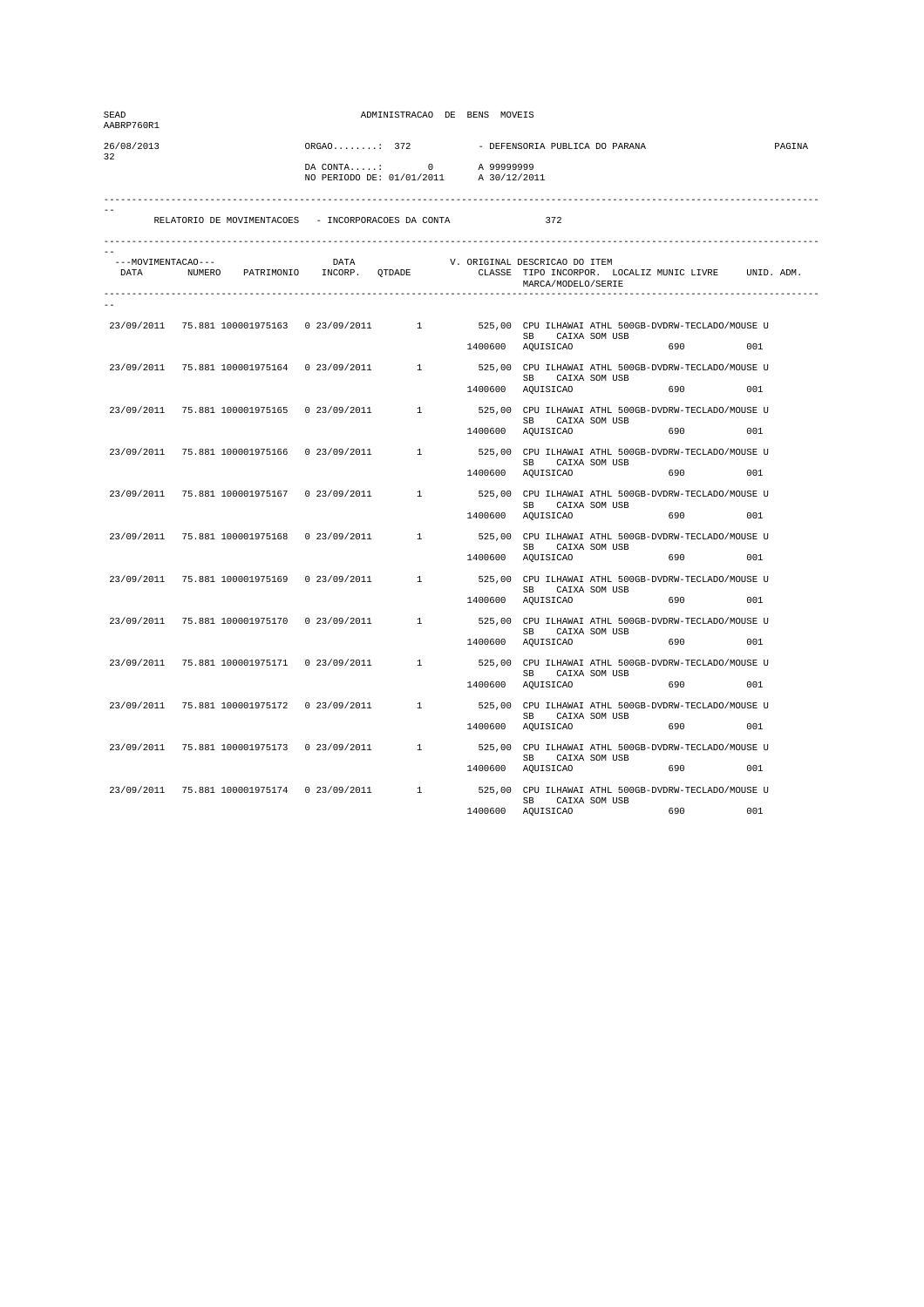| SEAD<br>AABRP760R1 |                                               |               | ADMINISTRACAO DE BENS MOVEIS                                             |              |                                                     |                                                                                                                       |        |
|--------------------|-----------------------------------------------|---------------|--------------------------------------------------------------------------|--------------|-----------------------------------------------------|-----------------------------------------------------------------------------------------------------------------------|--------|
| 26/08/2013         |                                               | $ORGAO$ : 372 |                                                                          |              | - DEFENSORIA PUBLICA DO PARANA                      |                                                                                                                       | PAGINA |
| 32                 |                                               |               | DA CONTA: 0 A 99999999<br>NO PERIODO DE: 01/01/2011 A 30/12/201          | A 30/12/2011 |                                                     |                                                                                                                       |        |
|                    |                                               |               | RELATORIO DE MOVIMENTACOES - INCORPORACOES DA CONTA                      |              | 372                                                 |                                                                                                                       |        |
| ---MOVIMENTACAO--- |                                               | DATA          | ---MOVIMENTACAO--- DATA DATA V.<br>DATA NUMERO PATRIMONIO INCORP. QTDADE |              | V. ORIGINAL DESCRICAO DO ITEM<br>MARCA/MODELO/SERIE | CLASSE TIPO INCORPOR. LOCALIZ MUNIC LIVRE UNID. ADM.                                                                  |        |
|                    |                                               |               |                                                                          |              |                                                     |                                                                                                                       |        |
|                    |                                               |               |                                                                          |              |                                                     | 23/09/2011 75.881 100001975163 0 23/09/2011 1 525,00 CPU ILHAWAI ATHL 500GB-DVDRW-TECLADO/MOUSE U<br>SB CAIXA SOM USB |        |
|                    |                                               |               |                                                                          |              | 1400600 AQUISICAO                                   | 690<br>001                                                                                                            |        |
| 23/09/2011         |                                               |               |                                                                          |              | SB CAIXA SOM USB                                    | 75.881 100001975164  0 23/09/2011  1  525,00 CPU ILHAWAI ATHL 500GB-DVDRW-TECLADO/MOUSE U                             |        |
|                    |                                               |               |                                                                          |              | 1400600 AQUISICAO                                   | 690                                                                                                                   | 001    |
|                    |                                               |               | 23/09/2011 75.881 100001975165 0 23/09/2011 1                            |              | SB CAIXA SOM USB                                    | 525,00 CPU ILHAWAI ATHL 500GB-DVDRW-TECLADO/MOUSE U                                                                   |        |
|                    |                                               |               |                                                                          |              | 1400600 AQUISICAO                                   | 690 000                                                                                                               | 0.01   |
|                    | 23/09/2011 75.881 100001975166 0 23/09/2011   |               |                                                                          |              |                                                     | 1 525,00 CPU ILHAWAI ATHL 500GB-DVDRW-TECLADO/MOUSE U                                                                 |        |
|                    |                                               |               |                                                                          |              | SB<br>1400600 AQUISICAO                             | CAIXA SOM USB<br>690 001                                                                                              |        |
|                    | 23/09/2011 75.881 100001975167                | 0 23/09/2011  | 1                                                                        |              |                                                     | 525,00 CPU ILHAWAI ATHL 500GB-DVDRW-TECLADO/MOUSE U                                                                   |        |
|                    |                                               |               |                                                                          | 1400600      | AQUISICAO                                           | SB CAIXA SOM USB<br>690                                                                                               | 0.01   |
| 23/09/2011         | 75.881 100001975168                           |               |                                                                          |              |                                                     | $1 \qquad \qquad 525,00 \quad \text{CPU ILHAMAIATHL 500GB–DVDRW-TECLADO/MOUSE U}$                                     |        |
|                    |                                               |               |                                                                          |              | SB CAIXA SOM USB<br>1400600 AQUISICAO               |                                                                                                                       | 0.01   |
|                    | 23/09/2011 75.881 100001975169                |               | 0 23/09/2011 1                                                           |              |                                                     | 525,00 CPU ILHAWAI ATHL 500GB-DVDRW-TECLADO/MOUSE U                                                                   |        |
|                    |                                               |               |                                                                          |              | SB CAIXA SOM USB<br>1400600 AQUISICAO               | 690 88                                                                                                                | 001    |
|                    | 23/09/2011 75.881 100001975170 0 23/09/2011   |               | $1 \qquad \qquad$                                                        |              |                                                     | 525,00 CPU ILHAWAI ATHL 500GB-DVDRW-TECLADO/MOUSE U                                                                   |        |
|                    |                                               |               |                                                                          |              | SB CAIXA SOM USB                                    | 690 001                                                                                                               |        |
|                    |                                               |               |                                                                          |              | 1400600 AQUISICAO                                   |                                                                                                                       |        |
| 23/09/2011         | 75.881 100001975171                           | 0 23/09/2011  | $1 \quad \cdots$                                                         |              |                                                     | 525,00 CPU ILHAWAI ATHL 500GB-DVDRW-TECLADO/MOUSE U<br>SB CAIXA SOM USB                                               |        |
|                    |                                               |               |                                                                          | 1400600      | AQUISICAO                                           | 690                                                                                                                   | 001    |
| 23/09/2011         |                                               |               | 75.881 100001975172  0 23/09/2011  1                                     |              | SB CAIXA SOM USB                                    | 525,00 CPU ILHAWAI ATHL 500GB-DVDRW-TECLADO/MOUSE U                                                                   |        |
|                    |                                               |               |                                                                          |              | 1400600 AQUISICAO                                   | 690                                                                                                                   | 001    |
|                    |                                               |               |                                                                          |              | SB CAIXA SOM USB                                    | 23/09/2011 75.881 100001975173 0 23/09/2011 1 525,00 CPU ILHAWAI ATHL 500GB-DVDRW-TECLADO/MOUSE U                     |        |
|                    |                                               |               |                                                                          |              | 1400600 AQUISICAO                                   |                                                                                                                       | 001    |
|                    | 23/09/2011 75.881 100001975174 0 23/09/2011 1 |               |                                                                          |              |                                                     | 525,00 CPU ILHAWAI ATHL 500GB-DVDRW-TECLADO/MOUSE U                                                                   |        |
|                    |                                               |               |                                                                          | 1400600      | SB CAIXA SOM USB<br>AQUISICAO                       | 690                                                                                                                   | 001    |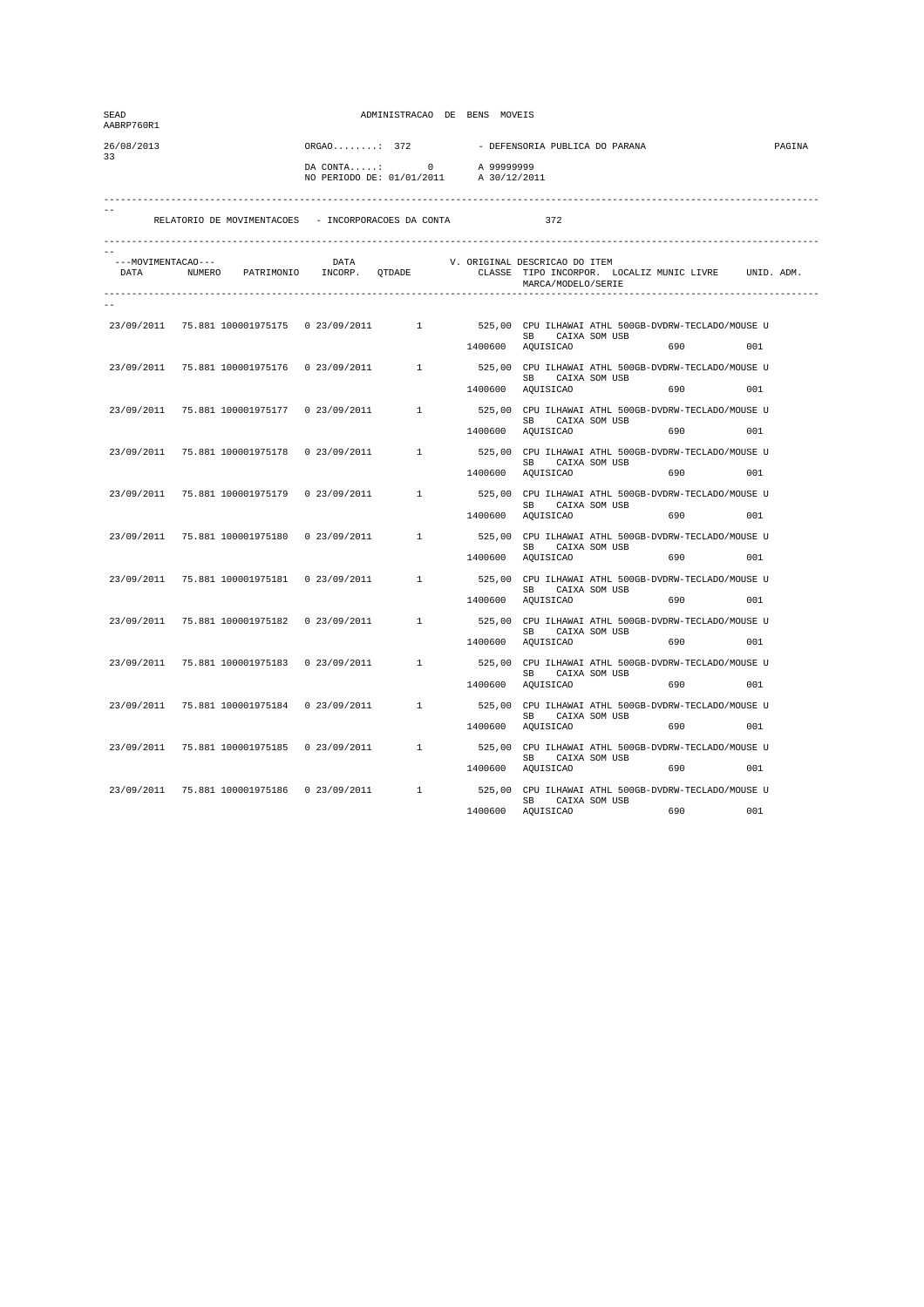| SEAD<br>AABRP760R1 |                                               |               | ADMINISTRACAO DE BENS MOVEIS                                        |              |                                                     |                                                                                                   |        |
|--------------------|-----------------------------------------------|---------------|---------------------------------------------------------------------|--------------|-----------------------------------------------------|---------------------------------------------------------------------------------------------------|--------|
| 26/08/2013         |                                               | $ORGAO$ : 372 |                                                                     |              | - DEFENSORIA PUBLICA DO PARANA                      |                                                                                                   | PAGINA |
| 33                 |                                               |               | DA CONTA: 0 A 99999999<br>NO PERIODO DE: 01/01/2011 A 30/12/201     | A 30/12/2011 |                                                     |                                                                                                   |        |
|                    |                                               |               | RELATORIO DE MOVIMENTACOES - INCORPORACOES DA CONTA                 |              | 372                                                 |                                                                                                   |        |
|                    |                                               |               |                                                                     |              |                                                     |                                                                                                   |        |
| ---MOVIMENTACAO--- |                                               |               | ---MOVIMENTACAO--- DATA V.<br>DATA NUMERO PATRIMONIO INCORP. QTDADE |              | V. ORIGINAL DESCRICAO DO ITEM<br>MARCA/MODELO/SERIE | CLASSE TIPO INCORPOR. LOCALIZ MUNIC LIVRE UNID. ADM.                                              |        |
|                    |                                               |               |                                                                     |              |                                                     |                                                                                                   |        |
|                    |                                               |               |                                                                     |              | SB CAIXA SOM USB                                    | 23/09/2011 75.881 100001975175 0 23/09/2011 1 525,00 CPU ILHAWAI ATHL 500GB-DVDRW-TECLADO/MOUSE U |        |
|                    |                                               |               |                                                                     |              | 1400600 AQUISICAO                                   | 690 001                                                                                           |        |
| 23/09/2011         |                                               |               |                                                                     |              | SB CAIXA SOM USB                                    | 75.881 100001975176  0 23/09/2011  1 525,00 CPU ILHAWAI ATHL 500GB-DVDRW-TECLADO/MOUSE U          |        |
|                    |                                               |               |                                                                     |              | 1400600 AQUISICAO                                   |                                                                                                   | 001    |
|                    |                                               |               | 23/09/2011 75.881 100001975177 0 23/09/2011 1                       |              | SB CAIXA SOM USB                                    | 525,00 CPU ILHAWAI ATHL 500GB-DVDRW-TECLADO/MOUSE U                                               |        |
|                    |                                               |               |                                                                     |              | 1400600 AQUISICAO                                   | 690 80                                                                                            | 001    |
|                    | 23/09/2011 75.881 100001975178 0 23/09/2011   |               |                                                                     |              | SB CAIXA SOM USB                                    | 1 525,00 CPU ILHAWAI ATHL 500GB-DVDRW-TECLADO/MOUSE U                                             |        |
|                    |                                               |               |                                                                     |              | 1400600 AQUISICAO                                   | 690 001                                                                                           |        |
|                    | 23/09/2011 75.881 100001975179                | 0 23/09/2011  | $1 \quad \cdots$                                                    |              |                                                     | 525,00 CPU ILHAWAI ATHL 500GB-DVDRW-TECLADO/MOUSE U<br>SB CAIXA SOM USB                           |        |
|                    |                                               |               |                                                                     |              | 1400600 AQUISICAO                                   | 690                                                                                               | 001    |
| 23/09/2011         |                                               |               |                                                                     |              | SB CAIXA SOM USB                                    | 75.881 100001975180  0 23/09/2011  1 525,00 CPU ILHAWAI ATHL 500GB-DVDRW-TECLADO/MOUSE U          |        |
|                    |                                               |               |                                                                     |              | 1400600 AQUISICAO                                   |                                                                                                   | 0.01   |
|                    |                                               |               |                                                                     |              | SB CAIXA SOM USB                                    | 23/09/2011 75.881 100001975181 0 23/09/2011 1 525,00 CPU ILHAWAI ATHL 500GB-DVDRW-TECLADO/MOUSE U |        |
|                    |                                               |               |                                                                     |              | 1400600 AOUISICAO                                   | 690 001                                                                                           |        |
|                    | 23/09/2011 75.881 100001975182 0 23/09/2011   |               | $1 \qquad \qquad$                                                   |              | SB CAIXA SOM USB                                    | 525,00 CPU ILHAWAI ATHL 500GB-DVDRW-TECLADO/MOUSE U                                               |        |
|                    |                                               |               |                                                                     |              | 1400600 AQUISICAO                                   | 690 001                                                                                           |        |
|                    | 23/09/2011 75.881 100001975183                | 0 23/09/2011  | 1                                                                   |              |                                                     | 525,00 CPU ILHAWAI ATHL 500GB-DVDRW-TECLADO/MOUSE U<br>SB CAIXA SOM USB                           |        |
|                    |                                               |               |                                                                     |              | 1400600 AQUISICAO                                   | 690                                                                                               | 001    |
|                    |                                               |               | 23/09/2011 75.881 100001975184 0 23/09/2011 1                       |              | SB CAIXA SOM USB                                    | 525,00 CPU ILHAWAI ATHL 500GB-DVDRW-TECLADO/MOUSE U                                               |        |
|                    |                                               |               |                                                                     |              | 1400600 AQUISICAO                                   | 690 001                                                                                           |        |
|                    |                                               |               |                                                                     |              | SB CAIXA SOM USB                                    | 23/09/2011 75.881 100001975185 0 23/09/2011 1 525,00 CPU ILHAWAI ATHL 500GB-DVDRW-TECLADO/MOUSE U |        |
|                    |                                               |               |                                                                     |              | 1400600 AQUISICAO                                   | 690 700                                                                                           | 001    |
|                    | 23/09/2011 75.881 100001975186 0 23/09/2011 1 |               |                                                                     |              | SB CAIXA SOM USB                                    | 525,00 CPU ILHAWAI ATHL 500GB-DVDRW-TECLADO/MOUSE U                                               |        |
|                    |                                               |               |                                                                     | 1400600      | AQUISICAO                                           | 690                                                                                               | 001    |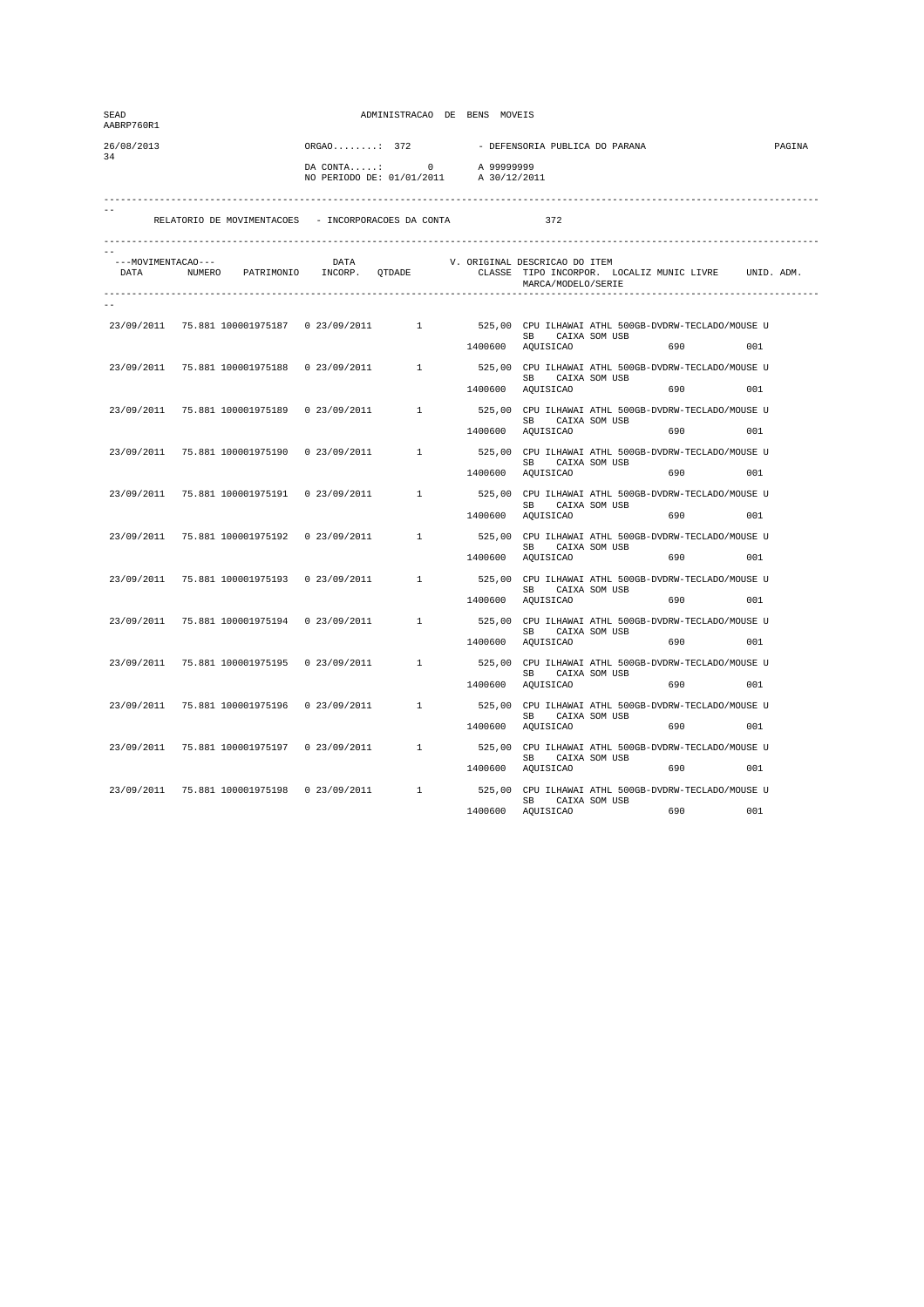| SEAD<br>AABRP760R1 |                                               |               | ADMINISTRACAO DE BENS MOVEIS                                             |              |                                                     |                                                                                                                       |        |
|--------------------|-----------------------------------------------|---------------|--------------------------------------------------------------------------|--------------|-----------------------------------------------------|-----------------------------------------------------------------------------------------------------------------------|--------|
| 26/08/2013         |                                               | $ORGAO$ : 372 |                                                                          |              | - DEFENSORIA PUBLICA DO PARANA                      |                                                                                                                       | PAGINA |
| 34                 |                                               |               | DA CONTA: 0 A 99999999<br>NO PERIODO DE: 01/01/2011 A 30/12/201          | A 30/12/2011 |                                                     |                                                                                                                       |        |
|                    |                                               |               | RELATORIO DE MOVIMENTACOES - INCORPORACOES DA CONTA                      |              | 372                                                 |                                                                                                                       |        |
| ---MOVIMENTACAO--- |                                               | DATA          | ---MOVIMENTACAO--- DATA DATA V.<br>DATA NUMERO PATRIMONIO INCORP. QTDADE |              | V. ORIGINAL DESCRICAO DO ITEM<br>MARCA/MODELO/SERIE | CLASSE TIPO INCORPOR. LOCALIZ MUNIC LIVRE UNID. ADM.                                                                  |        |
|                    |                                               |               |                                                                          |              |                                                     |                                                                                                                       |        |
|                    |                                               |               |                                                                          |              |                                                     | 23/09/2011 75.881 100001975187 0 23/09/2011 1 525,00 CPU ILHAWAI ATHL 500GB-DVDRW-TECLADO/MOUSE U<br>SB CAIXA SOM USB |        |
|                    |                                               |               |                                                                          |              | 1400600 AQUISICAO                                   | 690                                                                                                                   | 001    |
| 23/09/2011         | 75.881 100001975188                           |               |                                                                          |              | SB CAIXA SOM USB                                    | 0 23/09/2011 1 525,00 CPU ILHAWAI ATHL 500GB-DVDRW-TECLADO/MOUSE U                                                    |        |
|                    |                                               |               |                                                                          |              | 1400600 AQUISICAO                                   | 690                                                                                                                   | 001    |
|                    |                                               |               | 23/09/2011 75.881 100001975189 0 23/09/2011 1                            |              |                                                     | 525,00 CPU ILHAWAI ATHL 500GB-DVDRW-TECLADO/MOUSE U                                                                   |        |
|                    |                                               |               |                                                                          |              | SB CAIXA SOM USB<br>1400600 AQUISICAO               | 690 000                                                                                                               | 0.01   |
|                    | 23/09/2011 75.881 100001975190 0 23/09/2011   |               |                                                                          |              |                                                     | 1 525,00 CPU ILHAWAI ATHL 500GB-DVDRW-TECLADO/MOUSE U                                                                 |        |
|                    |                                               |               |                                                                          |              | SB -<br>1400600 AQUISICAO                           | CAIXA SOM USB<br>690 001                                                                                              |        |
|                    | 23/09/2011 75.881 100001975191                | 0 23/09/2011  | 1                                                                        |              |                                                     | 525,00 CPU ILHAWAI ATHL 500GB-DVDRW-TECLADO/MOUSE U                                                                   |        |
|                    |                                               |               |                                                                          | 1400600      | AQUISICAO                                           | SB CAIXA SOM USB<br>690                                                                                               | 0.01   |
| 23/09/2011         | 75.881 100001975192                           |               |                                                                          |              |                                                     | $1 \qquad \qquad 525,00 \quad \text{CPU ILHAMAIATHL 500GB–DVDRW-TECLADO/MOUSE U}$                                     |        |
|                    |                                               |               |                                                                          |              | SB CAIXA SOM USB<br>1400600 AQUISICAO               |                                                                                                                       | 0.01   |
|                    |                                               |               |                                                                          |              |                                                     |                                                                                                                       |        |
|                    |                                               |               | 23/09/2011 75.881 100001975193 0 23/09/2011 1                            |              | SB CAIXA SOM USB                                    | 525,00 CPU ILHAWAI ATHL 500GB-DVDRW-TECLADO/MOUSE U                                                                   |        |
|                    |                                               |               |                                                                          |              | 1400600 AQUISICAO                                   | 690 88                                                                                                                | 001    |
|                    | 23/09/2011 75.881 100001975194 0 23/09/2011   |               | $1 \qquad \qquad$                                                        |              | SB CAIXA SOM USB                                    | 525,00 CPU ILHAWAI ATHL 500GB-DVDRW-TECLADO/MOUSE U                                                                   |        |
|                    |                                               |               |                                                                          |              | 1400600 AQUISICAO                                   | 690 001                                                                                                               |        |
| 23/09/2011         | 75.881 100001975195                           | 0 23/09/2011  | 1                                                                        |              |                                                     | 525,00 CPU ILHAWAI ATHL 500GB-DVDRW-TECLADO/MOUSE U<br>SB CAIXA SOM USB                                               |        |
|                    |                                               |               |                                                                          | 1400600      | AQUISICAO                                           | 690                                                                                                                   | 001    |
| 23/09/2011         |                                               |               | 75.881 100001975196  0 23/09/2011  1                                     |              |                                                     | 525,00 CPU ILHAWAI ATHL 500GB-DVDRW-TECLADO/MOUSE U                                                                   |        |
|                    |                                               |               |                                                                          |              | SB CAIXA SOM USB<br>1400600 AQUISICAO               | 690                                                                                                                   | 001    |
|                    |                                               |               |                                                                          |              |                                                     | 23/09/2011 75.881 100001975197 0 23/09/2011 1 525,00 CPU ILHAWAI ATHL 500GB-DVDRW-TECLADO/MOUSE U                     |        |
|                    |                                               |               |                                                                          |              | SB CAIXA SOM USB<br>1400600 AQUISICAO               |                                                                                                                       | 001    |
|                    | 23/09/2011 75.881 100001975198 0 23/09/2011 1 |               |                                                                          |              |                                                     | 525,00 CPU ILHAWAI ATHL 500GB-DVDRW-TECLADO/MOUSE U                                                                   |        |
|                    |                                               |               |                                                                          | 1400600      | SB CAIXA SOM USB<br>AQUISICAO                       | 690                                                                                                                   | 001    |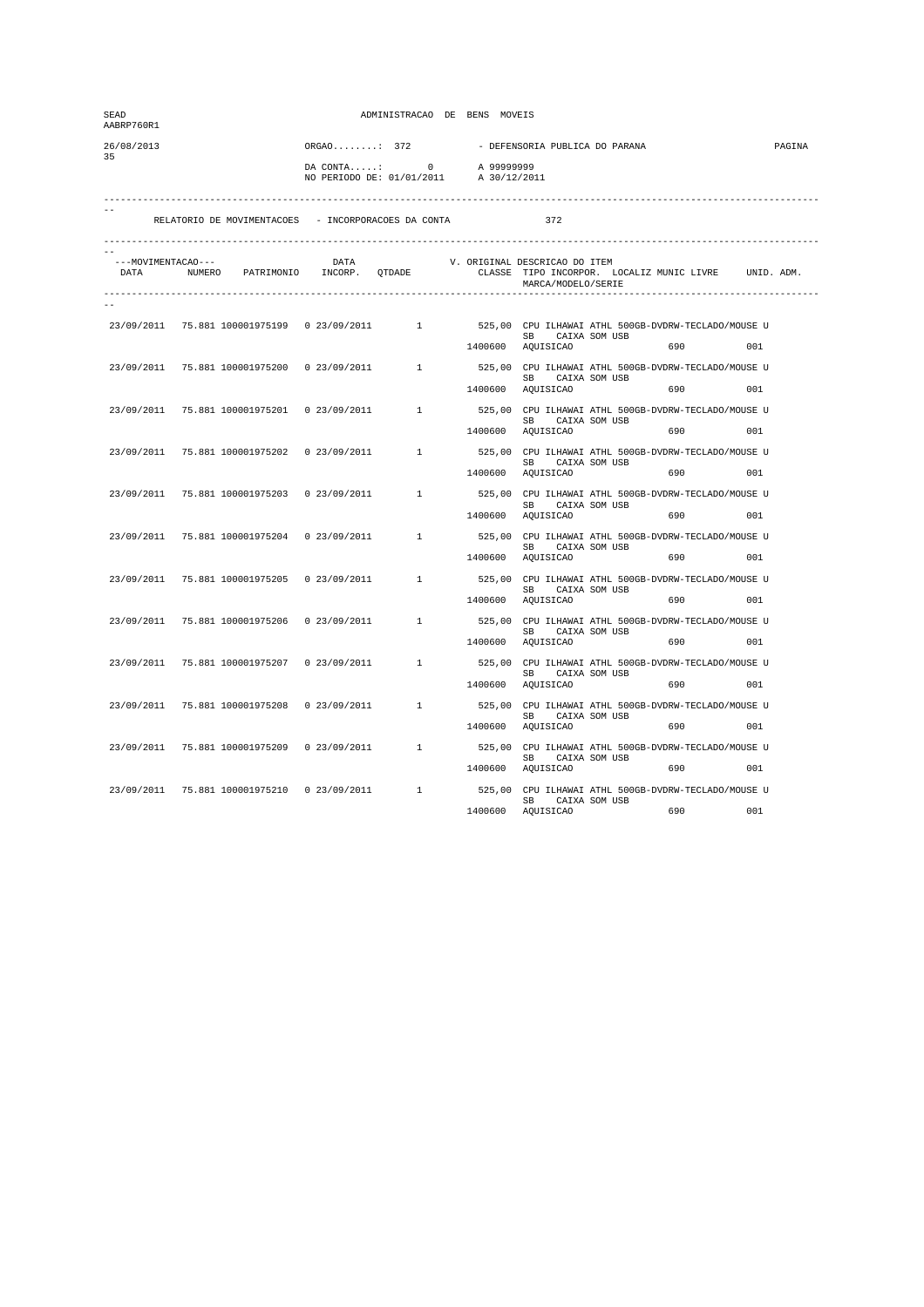| SEAD<br>AABRP760R1 |                                               |               | ADMINISTRACAO DE BENS MOVEIS                                             |              |                                                     |                                                                                                                       |        |
|--------------------|-----------------------------------------------|---------------|--------------------------------------------------------------------------|--------------|-----------------------------------------------------|-----------------------------------------------------------------------------------------------------------------------|--------|
| 26/08/2013         |                                               | $ORGAO$ : 372 |                                                                          |              | - DEFENSORIA PUBLICA DO PARANA                      |                                                                                                                       | PAGINA |
| 35                 |                                               |               | DA CONTA: 0 A 99999999<br>NO PERIODO DE: 01/01/2011 A 30/12/201          | A 30/12/2011 |                                                     |                                                                                                                       |        |
|                    |                                               |               | RELATORIO DE MOVIMENTACOES - INCORPORACOES DA CONTA                      |              | 372                                                 |                                                                                                                       |        |
| ---MOVIMENTACAO--- |                                               | DATA          | ---MOVIMENTACAO--- DATA DATA V.<br>DATA NUMERO PATRIMONIO INCORP. QTDADE |              | V. ORIGINAL DESCRICAO DO ITEM<br>MARCA/MODELO/SERIE | CLASSE TIPO INCORPOR. LOCALIZ MUNIC LIVRE UNID. ADM.                                                                  |        |
|                    |                                               |               |                                                                          |              |                                                     |                                                                                                                       |        |
|                    |                                               |               |                                                                          |              |                                                     | 23/09/2011 75.881 100001975199 0 23/09/2011 1 525,00 CPU ILHAWAI ATHL 500GB-DVDRW-TECLADO/MOUSE U<br>SB CAIXA SOM USB |        |
|                    |                                               |               |                                                                          |              | 1400600 AQUISICAO                                   | 690                                                                                                                   | 001    |
| 23/09/2011         | 75.881 100001975200                           |               |                                                                          |              | SB CAIXA SOM USB                                    | 0 23/09/2011 1 525,00 CPU ILHAWAI ATHL 500GB-DVDRW-TECLADO/MOUSE U                                                    |        |
|                    |                                               |               |                                                                          |              | 1400600 AQUISICAO                                   | 690                                                                                                                   | 001    |
|                    |                                               |               | 23/09/2011 75.881 100001975201 0 23/09/2011 1                            |              | SB CAIXA SOM USB                                    | 525,00 CPU ILHAWAI ATHL 500GB-DVDRW-TECLADO/MOUSE U                                                                   |        |
|                    |                                               |               |                                                                          |              | 1400600 AQUISICAO                                   | 690 000                                                                                                               | 0.01   |
|                    | 23/09/2011 75.881 100001975202 0 23/09/2011   |               |                                                                          |              | SB                                                  | 1 525,00 CPU ILHAWAI ATHL 500GB-DVDRW-TECLADO/MOUSE U                                                                 |        |
|                    |                                               |               |                                                                          |              | 1400600 AQUISICAO                                   | CAIXA SOM USB<br>690 001                                                                                              |        |
|                    | 23/09/2011 75.881 100001975203                | 0 23/09/2011  | 1                                                                        |              |                                                     | 525,00 CPU ILHAWAI ATHL 500GB-DVDRW-TECLADO/MOUSE U                                                                   |        |
|                    |                                               |               |                                                                          | 1400600      | AQUISICAO                                           | SB CAIXA SOM USB<br>690                                                                                               | 0.01   |
| 23/09/2011         | 75.881 100001975204                           |               |                                                                          |              |                                                     | $1 \qquad \qquad 525,00 \quad \text{CPU ILHAMAIATHL 500GB–DVDRW-TECLADO/MOUSE U}$                                     |        |
|                    |                                               |               |                                                                          |              | SB CAIXA SOM USB<br>1400600 AQUISICAO               | 690                                                                                                                   | 0.01   |
|                    | 23/09/2011 75.881 100001975205 0 23/09/2011   |               | $1 \qquad \qquad$                                                        |              |                                                     | 525,00 CPU ILHAWAI ATHL 500GB-DVDRW-TECLADO/MOUSE U                                                                   |        |
|                    |                                               |               |                                                                          |              | SB CAIXA SOM USB<br>1400600 AQUISICAO               | 690 88                                                                                                                | 001    |
|                    | 23/09/2011 75.881 100001975206 0 23/09/2011   |               | $1 \qquad \qquad$                                                        |              |                                                     | 525,00 CPU ILHAWAI ATHL 500GB-DVDRW-TECLADO/MOUSE U                                                                   |        |
|                    |                                               |               |                                                                          |              | SB CAIXA SOM USB<br>1400600 AQUISICAO               | 690 001                                                                                                               |        |
| 23/09/2011         | 75.881 100001975207                           | 0 23/09/2011  | $1 \quad \cdots$                                                         |              |                                                     | 525,00 CPU ILHAWAI ATHL 500GB-DVDRW-TECLADO/MOUSE U                                                                   |        |
|                    |                                               |               |                                                                          | 1400600      | AQUISICAO                                           | SB CAIXA SOM USB<br>690                                                                                               | 001    |
|                    |                                               |               |                                                                          |              |                                                     |                                                                                                                       |        |
| 23/09/2011         | 75.881 100001975208                           |               | 0 23/09/2011 1                                                           |              | SB CAIXA SOM USB                                    | 525,00 CPU ILHAWAI ATHL 500GB-DVDRW-TECLADO/MOUSE U                                                                   |        |
|                    |                                               |               |                                                                          |              | 1400600 AQUISICAO                                   | 690                                                                                                                   | 001    |
|                    | 23/09/2011 75.881 100001975209                |               |                                                                          |              | SB CAIXA SOM USB                                    |                                                                                                                       |        |
|                    |                                               |               |                                                                          |              | 1400600 AQUISICAO                                   |                                                                                                                       | 001    |
|                    | 23/09/2011 75.881 100001975210 0 23/09/2011 1 |               |                                                                          |              | SB CAIXA SOM USB                                    | 525,00 CPU ILHAWAI ATHL 500GB-DVDRW-TECLADO/MOUSE U                                                                   |        |
|                    |                                               |               |                                                                          | 1400600      | AQUISICAO                                           | 690                                                                                                                   | 001    |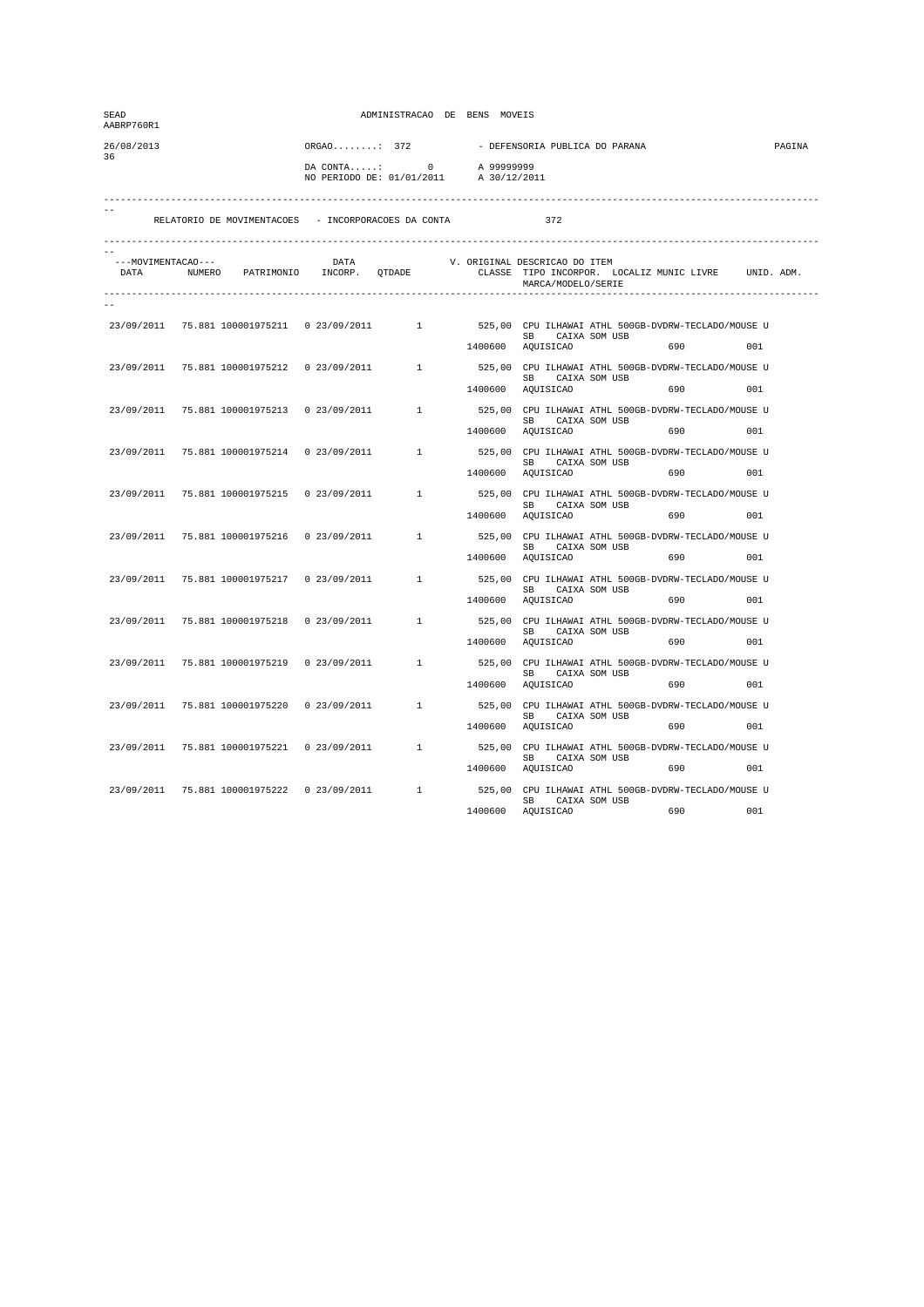| SEAD<br>AABRP760R1 |                                               |               | ADMINISTRACAO DE BENS MOVEIS                                             |              |                                                     |                                                                                                                       |        |
|--------------------|-----------------------------------------------|---------------|--------------------------------------------------------------------------|--------------|-----------------------------------------------------|-----------------------------------------------------------------------------------------------------------------------|--------|
| 26/08/2013         |                                               | $ORGAO$ : 372 |                                                                          |              | - DEFENSORIA PUBLICA DO PARANA                      |                                                                                                                       | PAGINA |
| 36                 |                                               |               | DA CONTA: 0 A 99999999<br>NO PERIODO DE: 01/01/2011 A 30/12/201          | A 30/12/2011 |                                                     |                                                                                                                       |        |
|                    |                                               |               | RELATORIO DE MOVIMENTACOES - INCORPORACOES DA CONTA                      |              | 372                                                 |                                                                                                                       |        |
| ---MOVIMENTACAO--- |                                               | DATA          | ---MOVIMENTACAO--- DATA DATA V.<br>DATA NUMERO PATRIMONIO INCORP. QTDADE |              | V. ORIGINAL DESCRICAO DO ITEM<br>MARCA/MODELO/SERIE | CLASSE TIPO INCORPOR. LOCALIZ MUNIC LIVRE UNID. ADM.                                                                  |        |
|                    |                                               |               |                                                                          |              |                                                     |                                                                                                                       |        |
|                    |                                               |               |                                                                          |              |                                                     | 23/09/2011 75.881 100001975211 0 23/09/2011 1 525,00 CPU ILHAWAI ATHL 500GB-DVDRW-TECLADO/MOUSE U<br>SB CAIXA SOM USB |        |
|                    |                                               |               |                                                                          |              | 1400600 AQUISICAO                                   | 690                                                                                                                   | 001    |
| 23/09/2011         |                                               |               |                                                                          |              | SB CAIXA SOM USB                                    | 75.881 100001975212  0 23/09/2011  1  525,00 CPU ILHAWAI ATHL 500GB-DVDRW-TECLADO/MOUSE U                             |        |
|                    |                                               |               |                                                                          |              | 1400600 AQUISICAO                                   | 690                                                                                                                   | 001    |
|                    |                                               |               | 23/09/2011 75.881 100001975213 0 23/09/2011 1                            |              | SB CAIXA SOM USB                                    | 525,00 CPU ILHAWAI ATHL 500GB-DVDRW-TECLADO/MOUSE U                                                                   |        |
|                    |                                               |               |                                                                          |              | 1400600 AQUISICAO                                   | 690 000                                                                                                               | 0.01   |
|                    | 23/09/2011 75.881 100001975214 0 23/09/2011   |               |                                                                          |              | SB -                                                | 1 525,00 CPU ILHAWAI ATHL 500GB-DVDRW-TECLADO/MOUSE U<br>CAIXA SOM USB                                                |        |
|                    |                                               |               |                                                                          |              | 1400600 AQUISICAO                                   | 690 001                                                                                                               |        |
|                    | 23/09/2011 75.881 100001975215                | 0 23/09/2011  | 1                                                                        |              |                                                     | 525,00 CPU ILHAWAI ATHL 500GB-DVDRW-TECLADO/MOUSE U                                                                   |        |
|                    |                                               |               |                                                                          | 1400600      | AQUISICAO                                           | SB CAIXA SOM USB<br>690                                                                                               | 0.01   |
| 23/09/2011         | 75.881 100001975216                           |               |                                                                          |              |                                                     | $1 \qquad \qquad 525,00 \quad \text{CPU ILHAMAIATHL 500GB–DVDRW-TECLADO/MOUSE U}$                                     |        |
|                    |                                               |               |                                                                          |              | SB CAIXA SOM USB<br>1400600 AQUISICAO               |                                                                                                                       | 0.01   |
|                    |                                               |               |                                                                          |              |                                                     | 23/09/2011 75.881 100001975217 0 23/09/2011 1 525,00 CPU ILHAWAI ATHL 500GB-DVDRW-TECLADO/MOUSE U                     |        |
|                    |                                               |               |                                                                          |              | SB CAIXA SOM USB<br>1400600 AQUISICAO               | 690 88                                                                                                                | 001    |
|                    | 23/09/2011 75.881 100001975218 0 23/09/2011   |               | $1 \qquad \qquad$                                                        |              |                                                     | 525,00 CPU ILHAWAI ATHL 500GB-DVDRW-TECLADO/MOUSE U                                                                   |        |
|                    |                                               |               |                                                                          |              | SB CAIXA SOM USB<br>1400600 AQUISICAO               | 690 001                                                                                                               |        |
| 23/09/2011         | 75.881 100001975219                           | 0 23/09/2011  | 1                                                                        |              |                                                     | 525,00 CPU ILHAWAI ATHL 500GB-DVDRW-TECLADO/MOUSE U                                                                   |        |
|                    |                                               |               |                                                                          | 1400600      | AQUISICAO                                           | SB CAIXA SOM USB<br>690                                                                                               | 001    |
| 23/09/2011         | 75.881 100001975220                           |               | 0 23/09/2011 1                                                           |              |                                                     | 525,00 CPU ILHAWAI ATHL 500GB-DVDRW-TECLADO/MOUSE U                                                                   |        |
|                    |                                               |               |                                                                          |              | SB CAIXA SOM USB                                    |                                                                                                                       | 001    |
|                    |                                               |               |                                                                          |              | 1400600 AQUISICAO                                   | 690                                                                                                                   |        |
|                    |                                               |               |                                                                          |              | SB CAIXA SOM USB                                    | 23/09/2011 75.881 100001975221 0 23/09/2011 1 525,00 CPU ILHAWAI ATHL 500GB-DVDRW-TECLADO/MOUSE U                     |        |
|                    |                                               |               |                                                                          |              | 1400600 AQUISICAO                                   |                                                                                                                       | 001    |
|                    | 23/09/2011 75.881 100001975222 0 23/09/2011 1 |               |                                                                          |              | SB CAIXA SOM USB                                    | 525,00 CPU ILHAWAI ATHL 500GB-DVDRW-TECLADO/MOUSE U                                                                   |        |
|                    |                                               |               |                                                                          | 1400600      | AQUISICAO                                           | 690                                                                                                                   | 001    |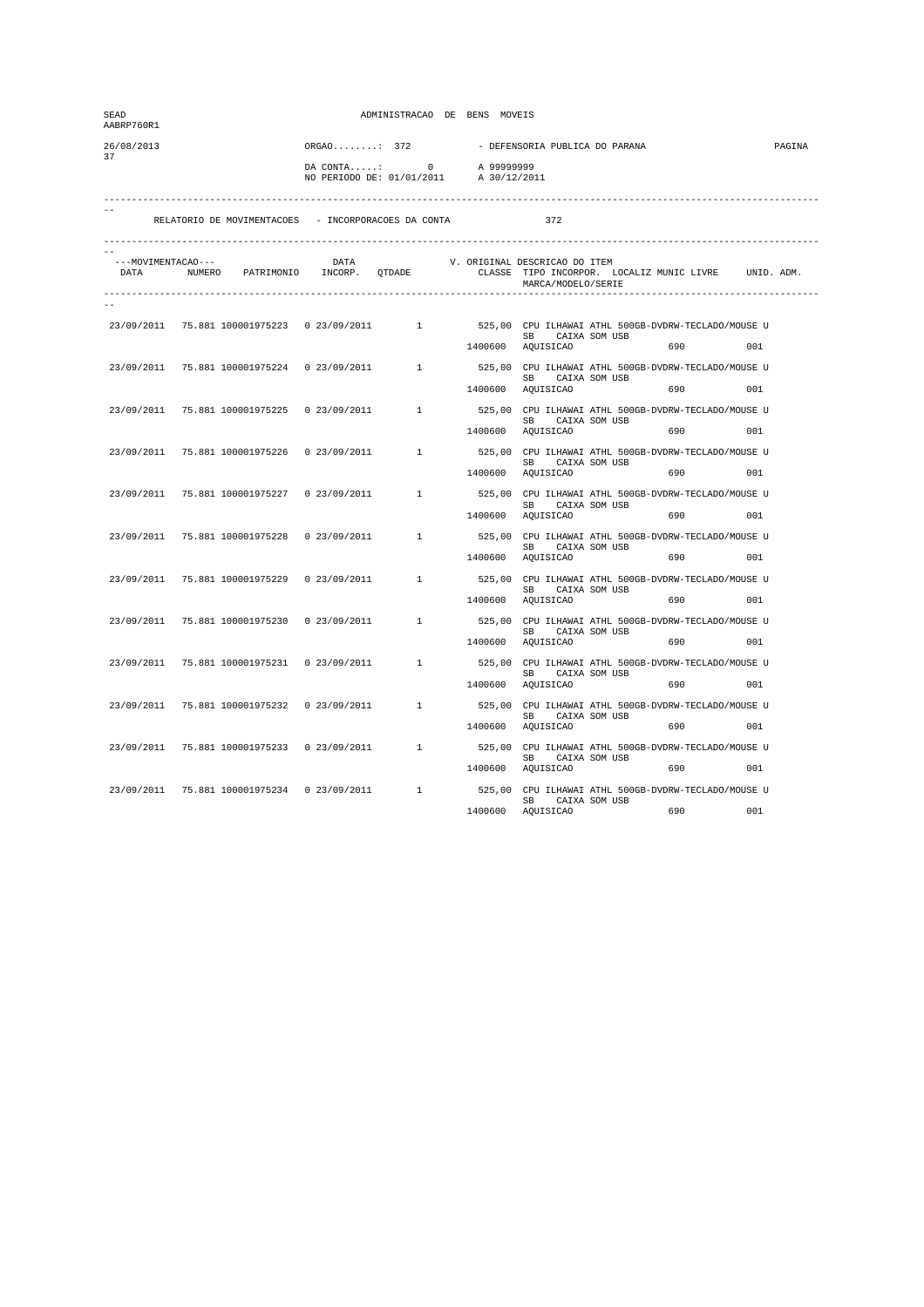| SEAD<br>AABRP760R1 |                                               |               | ADMINISTRACAO DE BENS MOVEIS                                        |         |                                                     |                                                                                                                     |        |
|--------------------|-----------------------------------------------|---------------|---------------------------------------------------------------------|---------|-----------------------------------------------------|---------------------------------------------------------------------------------------------------------------------|--------|
| 26/08/2013<br>37   |                                               | $ORGAO$ : 372 |                                                                     |         | - DEFENSORIA PUBLICA DO PARANA                      |                                                                                                                     | PAGINA |
|                    |                                               |               | DA CONTA: 0 A 99999999<br>NO PERIODO DE: 01/01/2011 A 30/12/2011    |         |                                                     |                                                                                                                     |        |
|                    |                                               |               | RELATORIO DE MOVIMENTACOES - INCORPORACOES DA CONTA                 |         | 372                                                 |                                                                                                                     |        |
|                    |                                               |               |                                                                     |         |                                                     |                                                                                                                     |        |
| ---MOVIMENTACAO--- |                                               |               | ---MOVIMENTACAO--- DATA V.<br>DATA NUMERO PATRIMONIO INCORP. QTDADE |         | V. ORIGINAL DESCRICAO DO ITEM<br>MARCA/MODELO/SERIE | CLASSE TIPO INCORPOR. LOCALIZ MUNIC LIVRE UNID. ADM.                                                                |        |
|                    |                                               |               |                                                                     |         |                                                     |                                                                                                                     |        |
|                    |                                               |               |                                                                     |         | SB CAIXA SOM USB                                    | 23/09/2011 75.881 100001975223 0 23/09/2011 1 525,00 CPU ILHAWAI ATHL 500GB-DVDRW-TECLADO/MOUSE U                   |        |
|                    |                                               |               |                                                                     |         | 1400600 AQUISICAO                                   | 690 001                                                                                                             |        |
| 23/09/2011         |                                               |               |                                                                     |         | SB CAIXA SOM USB                                    | 75.881 100001975224  0 23/09/2011  1 525,00 CPU ILHAWAI ATHL 500GB-DVDRW-TECLADO/MOUSE U                            |        |
|                    |                                               |               |                                                                     |         | 1400600 AQUISICAO                                   |                                                                                                                     | 001    |
|                    |                                               |               | 23/09/2011 75.881 100001975225 0 23/09/2011 1                       |         | SB CAIXA SOM USB                                    | 525,00 CPU ILHAWAI ATHL 500GB-DVDRW-TECLADO/MOUSE U                                                                 |        |
|                    |                                               |               |                                                                     |         | 1400600 AQUISICAO                                   | 690 88                                                                                                              | 001    |
|                    | 23/09/2011 75.881 100001975226 0 23/09/2011   |               |                                                                     |         | SB CAIXA SOM USB                                    | 1 525,00 CPU ILHAWAI ATHL 500GB-DVDRW-TECLADO/MOUSE U                                                               |        |
|                    |                                               |               |                                                                     |         | 1400600 AQUISICAO                                   | 690 001                                                                                                             |        |
|                    | 23/09/2011 75.881 100001975227                | 0 23/09/2011  | $1 \quad \cdots$                                                    |         |                                                     | 525,00 CPU ILHAWAI ATHL 500GB-DVDRW-TECLADO/MOUSE U<br>SB CAIXA SOM USB                                             |        |
|                    |                                               |               |                                                                     |         | 1400600 AQUISICAO                                   | 690                                                                                                                 | 001    |
| 23/09/2011         | 75.881 100001975228                           |               |                                                                     |         | SB CAIXA SOM USB                                    | 0 23/09/2011 1 525,00 CPU ILHAWAI ATHL 500GB-DVDRW-TECLADO/MOUSE U                                                  |        |
|                    |                                               |               |                                                                     |         | 1400600 AQUISICAO                                   |                                                                                                                     | 0.01   |
|                    | 23/09/2011 75.881 100001975229                |               |                                                                     |         | SB CAIXA SOM USB                                    | $0 \quad 23/09/2011 \qquad \qquad 1 \qquad \qquad 525,00 \quad \text{CPU ILHAMAI ATHL 500GB–DVDRW-TECLADO/MOUSE U}$ |        |
|                    |                                               |               |                                                                     |         | 1400600 AOUISICAO                                   | 690 001                                                                                                             |        |
|                    | 23/09/2011 75.881 100001975230 0 23/09/2011   |               | $1 \qquad \qquad$                                                   |         | SB CAIXA SOM USB                                    | 525,00 CPU ILHAWAI ATHL 500GB-DVDRW-TECLADO/MOUSE U                                                                 |        |
|                    |                                               |               |                                                                     |         | 1400600 AQUISICAO                                   | 690 001                                                                                                             |        |
|                    | 23/09/2011 75.881 100001975231                | 0 23/09/2011  | 1                                                                   |         |                                                     | 525,00 CPU ILHAWAI ATHL 500GB-DVDRW-TECLADO/MOUSE U<br>SB CAIXA SOM USB                                             |        |
|                    |                                               |               |                                                                     |         | 1400600 AQUISICAO                                   | 690                                                                                                                 | 001    |
|                    |                                               |               | 23/09/2011 75.881 100001975232 0 23/09/2011 1                       |         | SB CAIXA SOM USB                                    | 525,00 CPU ILHAWAI ATHL 500GB-DVDRW-TECLADO/MOUSE U                                                                 |        |
|                    |                                               |               |                                                                     |         | 1400600 AQUISICAO                                   | 690 001                                                                                                             |        |
|                    |                                               |               |                                                                     |         | SB CAIXA SOM USB                                    | 23/09/2011 75.881 100001975233 0 23/09/2011 1 525,00 CPU ILHAWAI ATHL 500GB-DVDRW-TECLADO/MOUSE U                   |        |
|                    |                                               |               |                                                                     |         | 1400600 AQUISICAO                                   | 690 700                                                                                                             | 001    |
|                    | 23/09/2011 75.881 100001975234 0 23/09/2011 1 |               |                                                                     |         | SB CAIXA SOM USB                                    | 525,00 CPU ILHAWAI ATHL 500GB-DVDRW-TECLADO/MOUSE U                                                                 |        |
|                    |                                               |               |                                                                     | 1400600 | AQUISICAO                                           | 690                                                                                                                 | 001    |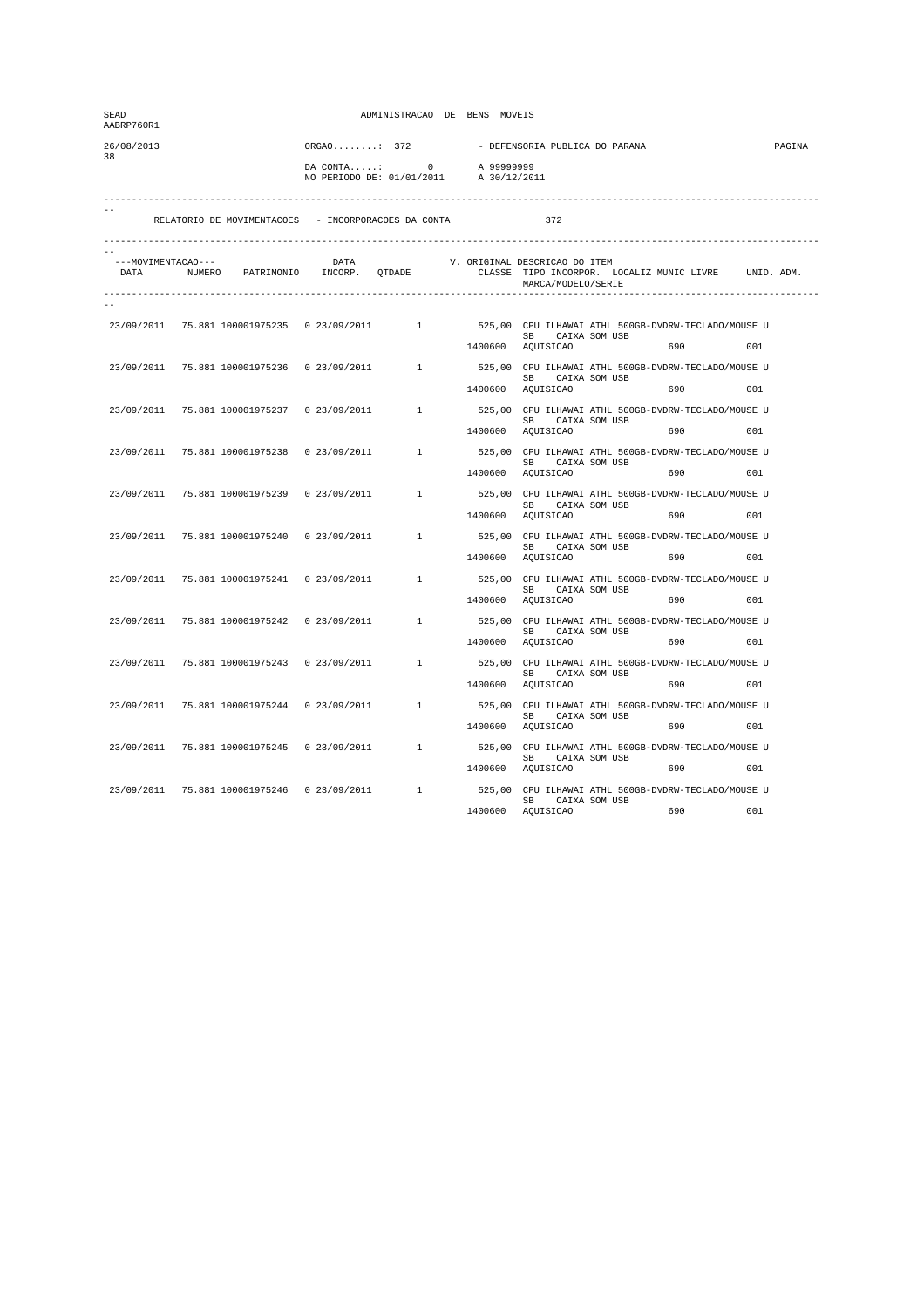| SEAD<br>AABRP760R1 |                                               |               | ADMINISTRACAO DE BENS MOVEIS                                        |              |                                                     |                                                                                                   |        |
|--------------------|-----------------------------------------------|---------------|---------------------------------------------------------------------|--------------|-----------------------------------------------------|---------------------------------------------------------------------------------------------------|--------|
| 26/08/2013<br>38   |                                               | $ORGAO$ : 372 |                                                                     |              | - DEFENSORIA PUBLICA DO PARANA                      |                                                                                                   | PAGINA |
|                    |                                               |               | DA CONTA: 0 A 99999999<br>NO PERIODO DE: 01/01/2011 A 30/12/201     | A 30/12/2011 |                                                     |                                                                                                   |        |
|                    |                                               |               | RELATORIO DE MOVIMENTACOES - INCORPORACOES DA CONTA                 |              | 372                                                 |                                                                                                   |        |
|                    |                                               |               |                                                                     |              |                                                     |                                                                                                   |        |
| ---MOVIMENTACAO--- |                                               |               | ---MOVIMENTACAO--- DATA V.<br>DATA NUMERO PATRIMONIO INCORP. QTDADE |              | V. ORIGINAL DESCRICAO DO ITEM<br>MARCA/MODELO/SERIE | CLASSE TIPO INCORPOR. LOCALIZ MUNIC LIVRE UNID. ADM.                                              |        |
|                    |                                               |               |                                                                     |              |                                                     |                                                                                                   |        |
|                    |                                               |               |                                                                     |              | SB CAIXA SOM USB                                    | 23/09/2011 75.881 100001975235 0 23/09/2011 1 525,00 CPU ILHAWAI ATHL 500GB-DVDRW-TECLADO/MOUSE U |        |
|                    |                                               |               |                                                                     |              | 1400600 AQUISICAO                                   | 690 001                                                                                           |        |
| 23/09/2011         |                                               |               |                                                                     |              | SB CAIXA SOM USB                                    | 75.881 100001975236  0 23/09/2011  1 525,00 CPU ILHAWAI ATHL 500GB-DVDRW-TECLADO/MOUSE U          |        |
|                    |                                               |               |                                                                     |              | 1400600 AQUISICAO                                   | 001                                                                                               |        |
|                    |                                               |               | 23/09/2011 75.881 100001975237 0 23/09/2011 1                       |              | SB CAIXA SOM USB                                    | 525,00 CPU ILHAWAI ATHL 500GB-DVDRW-TECLADO/MOUSE U                                               |        |
|                    |                                               |               |                                                                     |              | 1400600 AQUISICAO                                   | 690 80<br>001                                                                                     |        |
|                    | 23/09/2011 75.881 100001975238 0 23/09/2011   |               |                                                                     |              | SB CAIXA SOM USB                                    | 1 525,00 CPU ILHAWAI ATHL 500GB-DVDRW-TECLADO/MOUSE U                                             |        |
|                    |                                               |               |                                                                     |              | 1400600 AQUISICAO                                   | 690 001                                                                                           |        |
|                    | 23/09/2011 75.881 100001975239                | 0 23/09/2011  | $1 \quad \cdots$                                                    |              |                                                     | 525,00 CPU ILHAWAI ATHL 500GB-DVDRW-TECLADO/MOUSE U<br>SB CAIXA SOM USB                           |        |
|                    |                                               |               |                                                                     |              | 1400600 AQUISICAO                                   | 690                                                                                               | 001    |
|                    |                                               |               |                                                                     |              | SB CAIXA SOM USB                                    | 23/09/2011 75.881 100001975240 0 23/09/2011 1525,00 CPU ILHAWAI ATHL 500GB-DVDRW-TECLADO/MOUSE U  |        |
|                    |                                               |               |                                                                     |              | 1400600 AQUISICAO                                   |                                                                                                   | 0.01   |
|                    |                                               |               |                                                                     |              | SB CAIXA SOM USB                                    | 23/09/2011 75.881 100001975241 0 23/09/2011 1 525,00 CPU ILHAWAI ATHL 500GB-DVDRW-TECLADO/MOUSE U |        |
|                    |                                               |               |                                                                     |              | 1400600 AOUISICAO                                   | 690 001                                                                                           |        |
|                    | 23/09/2011 75.881 100001975242 0 23/09/2011   |               | $1 \qquad \qquad$                                                   |              | SB CAIXA SOM USB                                    | 525,00 CPU ILHAWAI ATHL 500GB-DVDRW-TECLADO/MOUSE U                                               |        |
|                    |                                               |               |                                                                     |              | 1400600 AQUISICAO                                   | 690 001                                                                                           |        |
|                    | 23/09/2011 75.881 100001975243                | 0 23/09/2011  | 1                                                                   |              |                                                     | 525,00 CPU ILHAWAI ATHL 500GB-DVDRW-TECLADO/MOUSE U<br>SB CAIXA SOM USB                           |        |
|                    |                                               |               |                                                                     |              | 1400600 AQUISICAO                                   | 690                                                                                               | 001    |
|                    |                                               |               | 23/09/2011 75.881 100001975244 0 23/09/2011 1                       |              | SB CAIXA SOM USB                                    | 525,00 CPU ILHAWAI ATHL 500GB-DVDRW-TECLADO/MOUSE U                                               |        |
|                    |                                               |               |                                                                     |              | 1400600 AQUISICAO                                   | 690 001                                                                                           |        |
|                    |                                               |               |                                                                     |              | SB CAIXA SOM USB                                    | 23/09/2011 75.881 100001975245 0 23/09/2011 1 525,00 CPU ILHAWAI ATHL 500GB-DVDRW-TECLADO/MOUSE U |        |
|                    |                                               |               |                                                                     |              | 1400600 AQUISICAO                                   | 690 700                                                                                           | 001    |
|                    | 23/09/2011 75.881 100001975246 0 23/09/2011 1 |               |                                                                     |              | SB CAIXA SOM USB                                    | 525,00 CPU ILHAWAI ATHL 500GB-DVDRW-TECLADO/MOUSE U                                               |        |
|                    |                                               |               |                                                                     | 1400600      | AQUISICAO                                           | 690                                                                                               | 001    |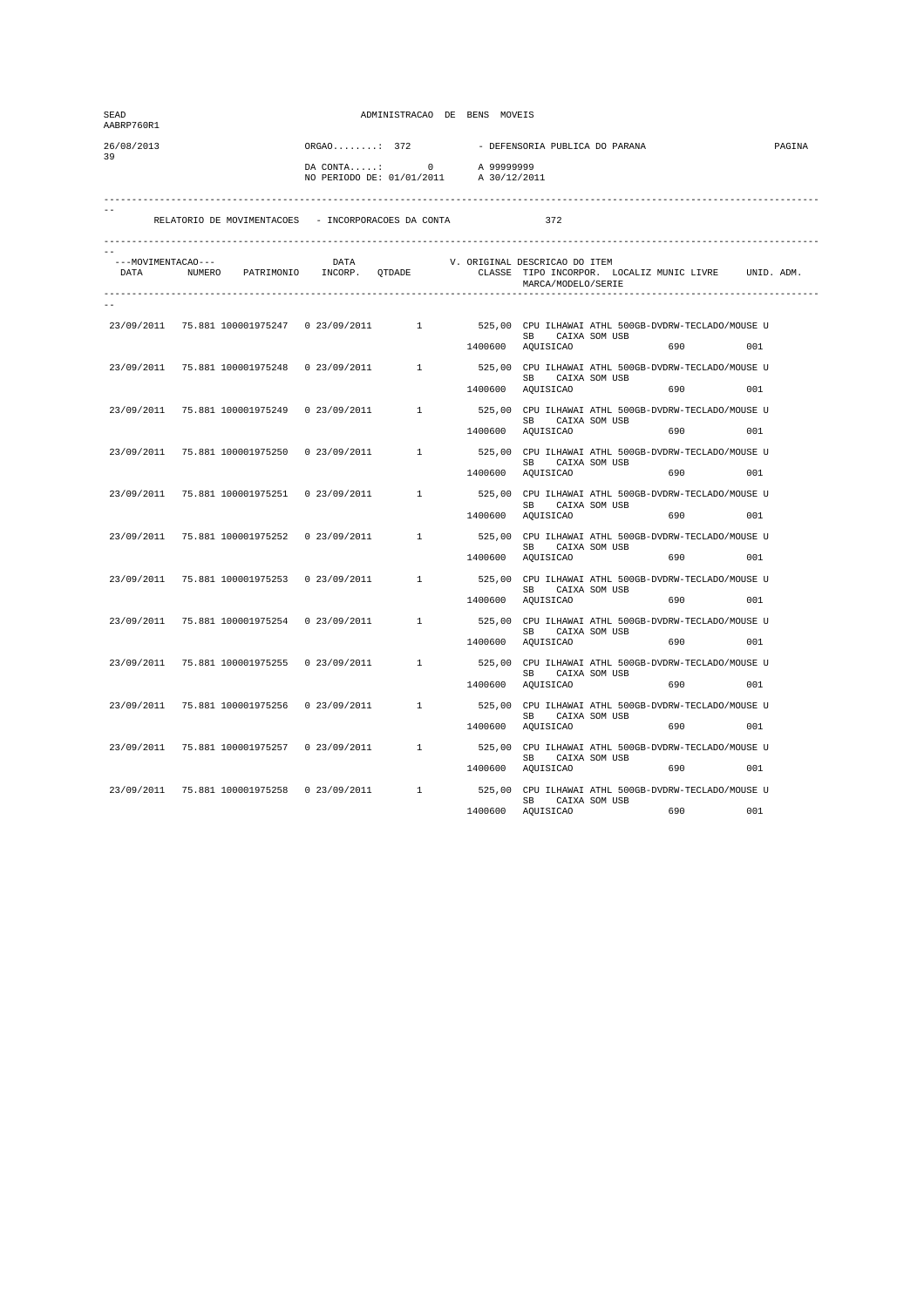| SEAD<br>AABRP760R1 |                                               |               | ADMINISTRACAO DE BENS MOVEIS                                        |         |                                                     |                                                                                                   |        |
|--------------------|-----------------------------------------------|---------------|---------------------------------------------------------------------|---------|-----------------------------------------------------|---------------------------------------------------------------------------------------------------|--------|
| 26/08/2013<br>39   |                                               | $ORGAO$ : 372 |                                                                     |         | - DEFENSORIA PUBLICA DO PARANA                      |                                                                                                   | PAGINA |
|                    |                                               |               | DA CONTA: 0 A 99999999<br>NO PERIODO DE: 01/01/2011 A 30/12/2011    |         |                                                     |                                                                                                   |        |
|                    |                                               |               | RELATORIO DE MOVIMENTACOES - INCORPORACOES DA CONTA                 |         | 372                                                 |                                                                                                   |        |
|                    |                                               |               |                                                                     |         |                                                     |                                                                                                   |        |
| ---MOVIMENTACAO--- |                                               |               | ---MOVIMENTACAO--- DATA V.<br>DATA NUMERO PATRIMONIO INCORP. QTDADE |         | V. ORIGINAL DESCRICAO DO ITEM<br>MARCA/MODELO/SERIE | CLASSE TIPO INCORPOR. LOCALIZ MUNIC LIVRE UNID. ADM.                                              |        |
|                    |                                               |               |                                                                     |         |                                                     |                                                                                                   |        |
|                    |                                               |               |                                                                     |         | SB CAIXA SOM USB                                    | 23/09/2011 75.881 100001975247 0 23/09/2011 1 525,00 CPU ILHAWAI ATHL 500GB-DVDRW-TECLADO/MOUSE U |        |
|                    |                                               |               |                                                                     |         | 1400600 AQUISICAO                                   | 690 001                                                                                           |        |
| 23/09/2011         |                                               |               |                                                                     |         | SB CAIXA SOM USB                                    | 75.881 100001975248  0 23/09/2011  1 525,00 CPU ILHAWAI ATHL 500GB-DVDRW-TECLADO/MOUSE U          |        |
|                    |                                               |               |                                                                     |         | 1400600 AQUISICAO                                   |                                                                                                   | 001    |
|                    |                                               |               | 23/09/2011 75.881 100001975249 0 23/09/2011 1                       |         | SB CAIXA SOM USB                                    | 525,00 CPU ILHAWAI ATHL 500GB-DVDRW-TECLADO/MOUSE U                                               |        |
|                    |                                               |               |                                                                     |         | 1400600 AQUISICAO                                   | 690 88                                                                                            | 001    |
|                    | 23/09/2011 75.881 100001975250 0 23/09/2011   |               |                                                                     |         | SB CAIXA SOM USB                                    | 1 525,00 CPU ILHAWAI ATHL 500GB-DVDRW-TECLADO/MOUSE U                                             |        |
|                    |                                               |               |                                                                     |         | 1400600 AQUISICAO                                   | 690 001                                                                                           |        |
|                    | 23/09/2011 75.881 100001975251                | 0 23/09/2011  | $1 \quad \cdots$                                                    |         |                                                     | 525,00 CPU ILHAWAI ATHL 500GB-DVDRW-TECLADO/MOUSE U<br>SB CAIXA SOM USB                           |        |
|                    |                                               |               |                                                                     |         | 1400600 AQUISICAO                                   | 690                                                                                               | 001    |
| 23/09/2011         |                                               |               |                                                                     |         | SB CAIXA SOM USB                                    | 75.881 100001975252  0 23/09/2011  1 525,00 CPU ILHAWAI ATHL 500GB-DVDRW-TECLADO/MOUSE U          |        |
|                    |                                               |               |                                                                     |         | 1400600 AQUISICAO                                   |                                                                                                   | 0.01   |
|                    |                                               |               |                                                                     |         | SB CAIXA SOM USB                                    | 23/09/2011 75.881 100001975253 0 23/09/2011 1 525,00 CPU ILHAWAI ATHL 500GB-DVDRW-TECLADO/MOUSE U |        |
|                    |                                               |               |                                                                     |         | 1400600 AOUISICAO                                   | 690 001                                                                                           |        |
|                    | 23/09/2011 75.881 100001975254 0 23/09/2011   |               | $1 \qquad \qquad$                                                   |         | SB CAIXA SOM USB                                    | 525,00 CPU ILHAWAI ATHL 500GB-DVDRW-TECLADO/MOUSE U                                               |        |
|                    |                                               |               |                                                                     |         | 1400600 AQUISICAO                                   | 690 001                                                                                           |        |
|                    | 23/09/2011 75.881 100001975255                | 0 23/09/2011  | 1                                                                   |         |                                                     | 525,00 CPU ILHAWAI ATHL 500GB-DVDRW-TECLADO/MOUSE U<br>SB CAIXA SOM USB                           |        |
|                    |                                               |               |                                                                     |         | 1400600 AQUISICAO                                   | 690                                                                                               | 001    |
|                    |                                               |               | 23/09/2011 75.881 100001975256 0 23/09/2011 1                       |         | SB CAIXA SOM USB                                    | 525,00 CPU ILHAWAI ATHL 500GB-DVDRW-TECLADO/MOUSE U                                               |        |
|                    |                                               |               |                                                                     |         | 1400600 AQUISICAO                                   | 690 001                                                                                           |        |
|                    |                                               |               |                                                                     |         | SB CAIXA SOM USB                                    | 23/09/2011 75.881 100001975257 0 23/09/2011 1 525,00 CPU ILHAWAI ATHL 500GB-DVDRW-TECLADO/MOUSE U |        |
|                    |                                               |               |                                                                     |         | 1400600 AQUISICAO                                   | 690 700                                                                                           | 001    |
|                    | 23/09/2011 75.881 100001975258 0 23/09/2011 1 |               |                                                                     |         | SB CAIXA SOM USB                                    | 525,00 CPU ILHAWAI ATHL 500GB-DVDRW-TECLADO/MOUSE U                                               |        |
|                    |                                               |               |                                                                     | 1400600 | AQUISICAO                                           | 690                                                                                               | 001    |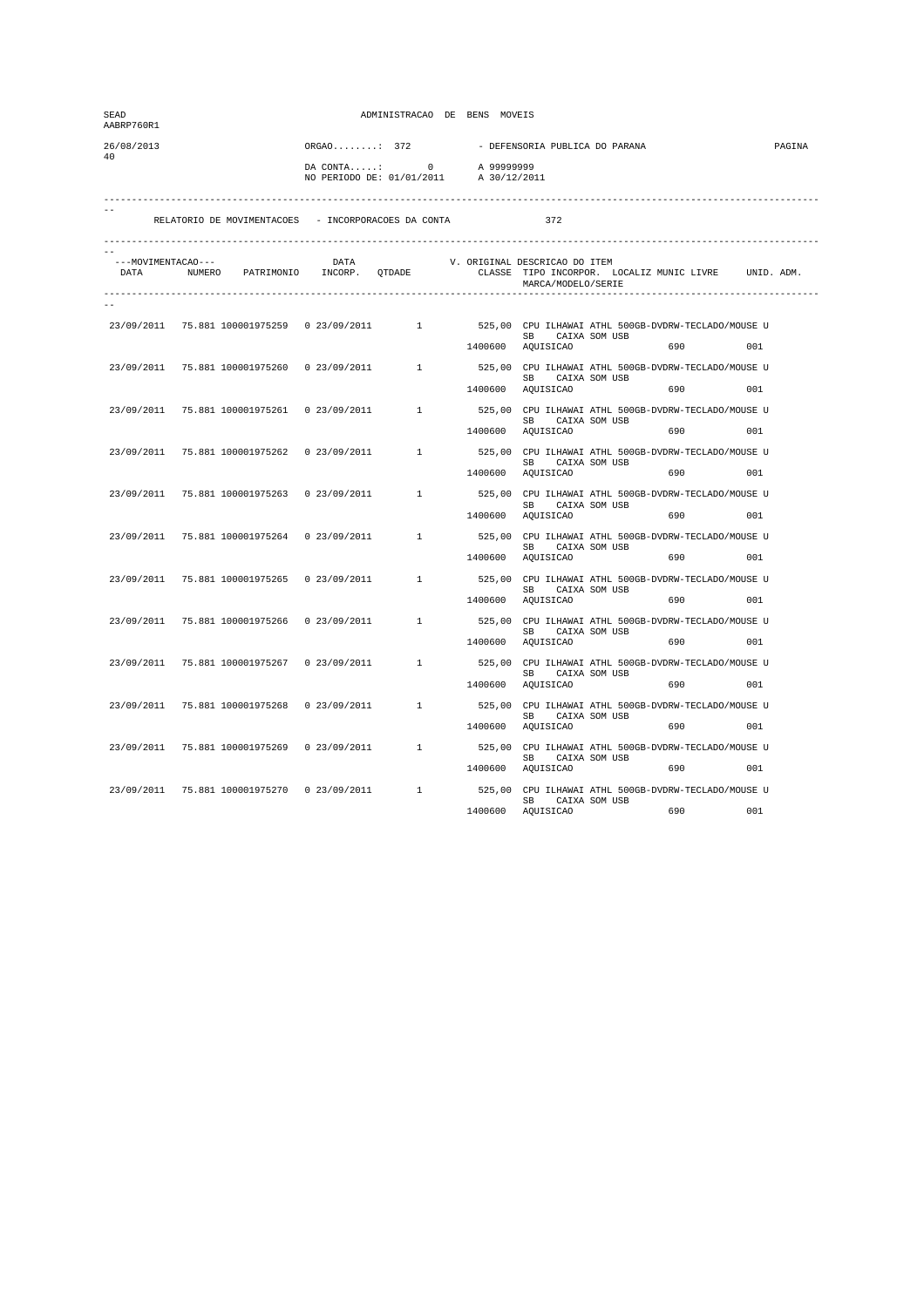| SEAD<br>AABRP760R1 |                                               |               | ADMINISTRACAO DE BENS MOVEIS                                        |         |                                                     |                                                                                                   |        |
|--------------------|-----------------------------------------------|---------------|---------------------------------------------------------------------|---------|-----------------------------------------------------|---------------------------------------------------------------------------------------------------|--------|
| 26/08/2013<br>40   |                                               | $ORGAO$ : 372 |                                                                     |         | - DEFENSORIA PUBLICA DO PARANA                      |                                                                                                   | PAGINA |
|                    |                                               |               | DA CONTA: 0 A 99999999<br>NO PERIODO DE: 01/01/2011 A 30/12/2011    |         |                                                     |                                                                                                   |        |
|                    |                                               |               | RELATORIO DE MOVIMENTACOES - INCORPORACOES DA CONTA                 |         | 372                                                 |                                                                                                   |        |
|                    |                                               |               |                                                                     |         |                                                     |                                                                                                   |        |
| ---MOVIMENTACAO--- |                                               |               | ---MOVIMENTACAO--- DATA V.<br>DATA NUMERO PATRIMONIO INCORP. QTDADE |         | V. ORIGINAL DESCRICAO DO ITEM<br>MARCA/MODELO/SERIE | CLASSE TIPO INCORPOR. LOCALIZ MUNIC LIVRE UNID. ADM.                                              |        |
|                    |                                               |               |                                                                     |         |                                                     |                                                                                                   |        |
|                    |                                               |               |                                                                     |         | SB CAIXA SOM USB                                    | 23/09/2011 75.881 100001975259 0 23/09/2011 1 525,00 CPU ILHAWAI ATHL 500GB-DVDRW-TECLADO/MOUSE U |        |
|                    |                                               |               |                                                                     |         | 1400600 AQUISICAO                                   | 690 001                                                                                           |        |
| 23/09/2011         |                                               |               |                                                                     |         | SB CAIXA SOM USB                                    | 75.881 100001975260  0 23/09/2011  1 525,00 CPU ILHAWAI ATHL 500GB-DVDRW-TECLADO/MOUSE U          |        |
|                    |                                               |               |                                                                     |         | 1400600 AQUISICAO                                   |                                                                                                   | 001    |
|                    |                                               |               | 23/09/2011 75.881 100001975261 0 23/09/2011 1                       |         | SB CAIXA SOM USB                                    | 525,00 CPU ILHAWAI ATHL 500GB-DVDRW-TECLADO/MOUSE U                                               |        |
|                    |                                               |               |                                                                     |         | 1400600 AQUISICAO                                   | 690 88                                                                                            | 001    |
|                    | 23/09/2011 75.881 100001975262 0 23/09/2011   |               |                                                                     |         | SB CAIXA SOM USB                                    | 1 525,00 CPU ILHAWAI ATHL 500GB-DVDRW-TECLADO/MOUSE U                                             |        |
|                    |                                               |               |                                                                     |         | 1400600 AQUISICAO                                   | 690 001                                                                                           |        |
|                    | 23/09/2011 75.881 100001975263                | 0 23/09/2011  | $1 \quad \cdots$                                                    |         |                                                     | 525,00 CPU ILHAWAI ATHL 500GB-DVDRW-TECLADO/MOUSE U<br>SB CAIXA SOM USB                           |        |
|                    |                                               |               |                                                                     |         | 1400600 AQUISICAO                                   | 690                                                                                               | 001    |
| 23/09/2011         |                                               |               |                                                                     |         | SB CAIXA SOM USB                                    | 75.881 100001975264  0 23/09/2011  1 525,00 CPU ILHAWAI ATHL 500GB-DVDRW-TECLADO/MOUSE U          |        |
|                    |                                               |               |                                                                     |         | 1400600 AQUISICAO                                   |                                                                                                   | 0.01   |
|                    |                                               |               |                                                                     |         | SB CAIXA SOM USB                                    | 23/09/2011 75.881 100001975265 0 23/09/2011 1 525,00 CPU ILHAWAI ATHL 500GB-DVDRW-TECLADO/MOUSE U |        |
|                    |                                               |               |                                                                     |         | 1400600 AOUISICAO                                   | 690 001                                                                                           |        |
|                    | 23/09/2011 75.881 100001975266 0 23/09/2011   |               | $1 \qquad \qquad$                                                   |         | SB CAIXA SOM USB                                    | 525,00 CPU ILHAWAI ATHL 500GB-DVDRW-TECLADO/MOUSE U                                               |        |
|                    |                                               |               |                                                                     |         | 1400600 AQUISICAO                                   | 690 001                                                                                           |        |
|                    | 23/09/2011 75.881 100001975267                | 0 23/09/2011  | 1                                                                   |         |                                                     | 525,00 CPU ILHAWAI ATHL 500GB-DVDRW-TECLADO/MOUSE U<br>SB CAIXA SOM USB                           |        |
|                    |                                               |               |                                                                     |         | 1400600 AQUISICAO                                   | 690                                                                                               | 001    |
|                    | 23/09/2011 75.881 100001975268                |               | 0 23/09/2011 1                                                      |         | SB CAIXA SOM USB                                    | 525,00 CPU ILHAWAI ATHL 500GB-DVDRW-TECLADO/MOUSE U                                               |        |
|                    |                                               |               |                                                                     |         | 1400600 AQUISICAO                                   | 690 001                                                                                           |        |
|                    |                                               |               |                                                                     |         | SB CAIXA SOM USB                                    | 23/09/2011 75.881 100001975269 0 23/09/2011 1 525,00 CPU ILHAWAI ATHL 500GB-DVDRW-TECLADO/MOUSE U |        |
|                    |                                               |               |                                                                     |         | 1400600 AQUISICAO                                   | 690 700                                                                                           | 001    |
|                    | 23/09/2011 75.881 100001975270 0 23/09/2011 1 |               |                                                                     |         | SB CAIXA SOM USB                                    | 525,00 CPU ILHAWAI ATHL 500GB-DVDRW-TECLADO/MOUSE U                                               |        |
|                    |                                               |               |                                                                     | 1400600 | AQUISICAO                                           | 690                                                                                               | 001    |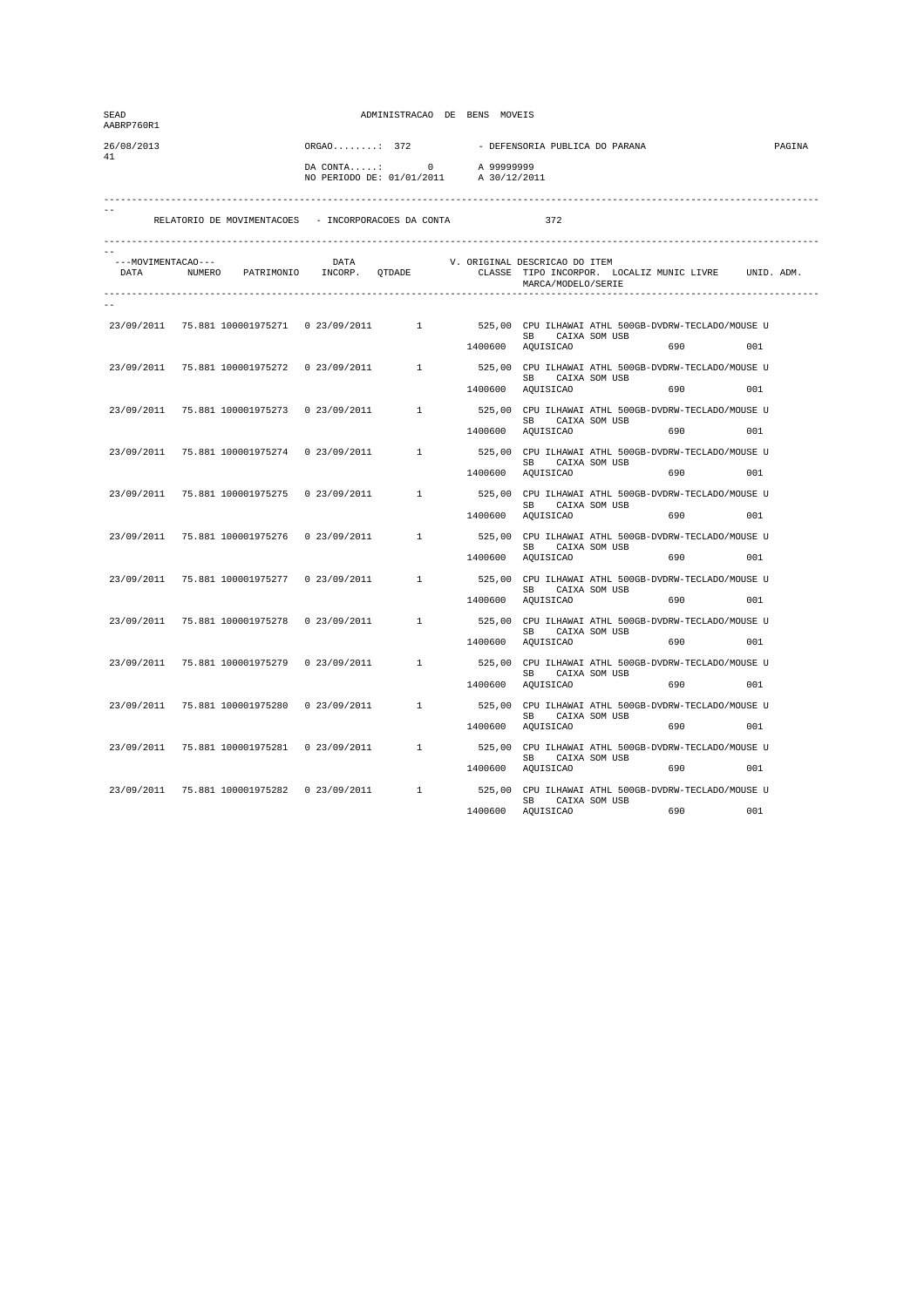| SEAD<br>AABRP760R1 |                                               |               | ADMINISTRACAO DE BENS MOVEIS                                             |              |                                                     |                                                                                                                       |        |
|--------------------|-----------------------------------------------|---------------|--------------------------------------------------------------------------|--------------|-----------------------------------------------------|-----------------------------------------------------------------------------------------------------------------------|--------|
| 26/08/2013         |                                               | $ORGAO$ : 372 |                                                                          |              | - DEFENSORIA PUBLICA DO PARANA                      |                                                                                                                       | PAGINA |
| 41                 |                                               |               | DA CONTA: 0 A 99999999<br>NO PERIODO DE: 01/01/2011 A 30/12/201          | A 30/12/2011 |                                                     |                                                                                                                       |        |
|                    |                                               |               | RELATORIO DE MOVIMENTACOES - INCORPORACOES DA CONTA                      |              | 372                                                 |                                                                                                                       |        |
| ---MOVIMENTACAO--- |                                               | DATA          | ---MOVIMENTACAO--- DATA DATA V.<br>DATA NUMERO PATRIMONIO INCORP. QTDADE |              | V. ORIGINAL DESCRICAO DO ITEM<br>MARCA/MODELO/SERIE | CLASSE TIPO INCORPOR. LOCALIZ MUNIC LIVRE UNID. ADM.                                                                  |        |
|                    |                                               |               |                                                                          |              |                                                     |                                                                                                                       |        |
|                    |                                               |               |                                                                          |              |                                                     | 23/09/2011 75.881 100001975271 0 23/09/2011 1 525,00 CPU ILHAWAI ATHL 500GB-DVDRW-TECLADO/MOUSE U<br>SB CAIXA SOM USB |        |
|                    |                                               |               |                                                                          |              | 1400600 AQUISICAO                                   | 690                                                                                                                   | 001    |
| 23/09/2011         |                                               |               |                                                                          |              | SB CAIXA SOM USB                                    | 75.881 100001975272  0 23/09/2011  1  525,00 CPU ILHAWAI ATHL 500GB-DVDRW-TECLADO/MOUSE U                             |        |
|                    |                                               |               |                                                                          |              | 1400600 AQUISICAO                                   | 690                                                                                                                   | 001    |
|                    |                                               |               | 23/09/2011 75.881 100001975273 0 23/09/2011 1                            |              |                                                     | 525,00 CPU ILHAWAI ATHL 500GB-DVDRW-TECLADO/MOUSE U                                                                   |        |
|                    |                                               |               |                                                                          |              | SB CAIXA SOM USB<br>1400600 AQUISICAO               | 690 000                                                                                                               | 0.01   |
|                    | 23/09/2011 75.881 100001975274 0 23/09/2011   |               |                                                                          |              |                                                     | 1 525,00 CPU ILHAWAI ATHL 500GB-DVDRW-TECLADO/MOUSE U                                                                 |        |
|                    |                                               |               |                                                                          |              | SB<br>1400600 AQUISICAO                             | CAIXA SOM USB<br>690 001                                                                                              |        |
|                    | 23/09/2011 75.881 100001975275                | 0 23/09/2011  | 1                                                                        |              |                                                     | 525,00 CPU ILHAWAI ATHL 500GB-DVDRW-TECLADO/MOUSE U                                                                   |        |
|                    |                                               |               |                                                                          | 1400600      | AQUISICAO                                           | SB CAIXA SOM USB<br>690                                                                                               | 0.01   |
| 23/09/2011         | 75.881 100001975276                           |               |                                                                          |              |                                                     | $1 \qquad \qquad 525\, ,00 \quad \text{CPU ILHAMAIATHL 500GB–DVDRW-TECLADO/MOUSE U}$                                  |        |
|                    |                                               |               |                                                                          |              | SB CAIXA SOM USB<br>1400600 AQUISICAO               |                                                                                                                       | 0.01   |
|                    |                                               |               |                                                                          |              |                                                     |                                                                                                                       |        |
|                    |                                               |               | 23/09/2011 75.881 100001975277 0 23/09/2011 1                            |              | SB CAIXA SOM USB                                    | 525,00 CPU ILHAWAI ATHL 500GB-DVDRW-TECLADO/MOUSE U                                                                   |        |
|                    |                                               |               |                                                                          |              | 1400600 AQUISICAO                                   | 690 88                                                                                                                | 001    |
|                    | 23/09/2011 75.881 100001975278 0 23/09/2011   |               | $1 \qquad \qquad$                                                        |              | SB CAIXA SOM USB                                    | 525,00 CPU ILHAWAI ATHL 500GB-DVDRW-TECLADO/MOUSE U                                                                   |        |
|                    |                                               |               |                                                                          |              | 1400600 AQUISICAO                                   | 690 001                                                                                                               |        |
| 23/09/2011         | 75.881 100001975279                           | 0 23/09/2011  | 1                                                                        |              |                                                     | 525,00 CPU ILHAWAI ATHL 500GB-DVDRW-TECLADO/MOUSE U<br>SB CAIXA SOM USB                                               |        |
|                    |                                               |               |                                                                          | 1400600      | AQUISICAO                                           | 690                                                                                                                   | 001    |
| 23/09/2011         | 75.881 100001975280                           |               | $0.23/09/2011$ 1                                                         |              |                                                     | 525,00 CPU ILHAWAI ATHL 500GB-DVDRW-TECLADO/MOUSE U                                                                   |        |
|                    |                                               |               |                                                                          |              | SB CAIXA SOM USB<br>1400600 AQUISICAO               | 690                                                                                                                   | 001    |
|                    |                                               |               |                                                                          |              |                                                     | 23/09/2011 75.881 100001975281 0 23/09/2011 1 525,00 CPU ILHAWAI ATHL 500GB-DVDRW-TECLADO/MOUSE U                     |        |
|                    |                                               |               |                                                                          |              | SB CAIXA SOM USB<br>1400600 AQUISICAO               |                                                                                                                       | 001    |
|                    | 23/09/2011 75.881 100001975282 0 23/09/2011 1 |               |                                                                          |              |                                                     | 525,00 CPU ILHAWAI ATHL 500GB-DVDRW-TECLADO/MOUSE U                                                                   |        |
|                    |                                               |               |                                                                          | 1400600      | SB CAIXA SOM USB<br>AQUISICAO                       | 690                                                                                                                   | 001    |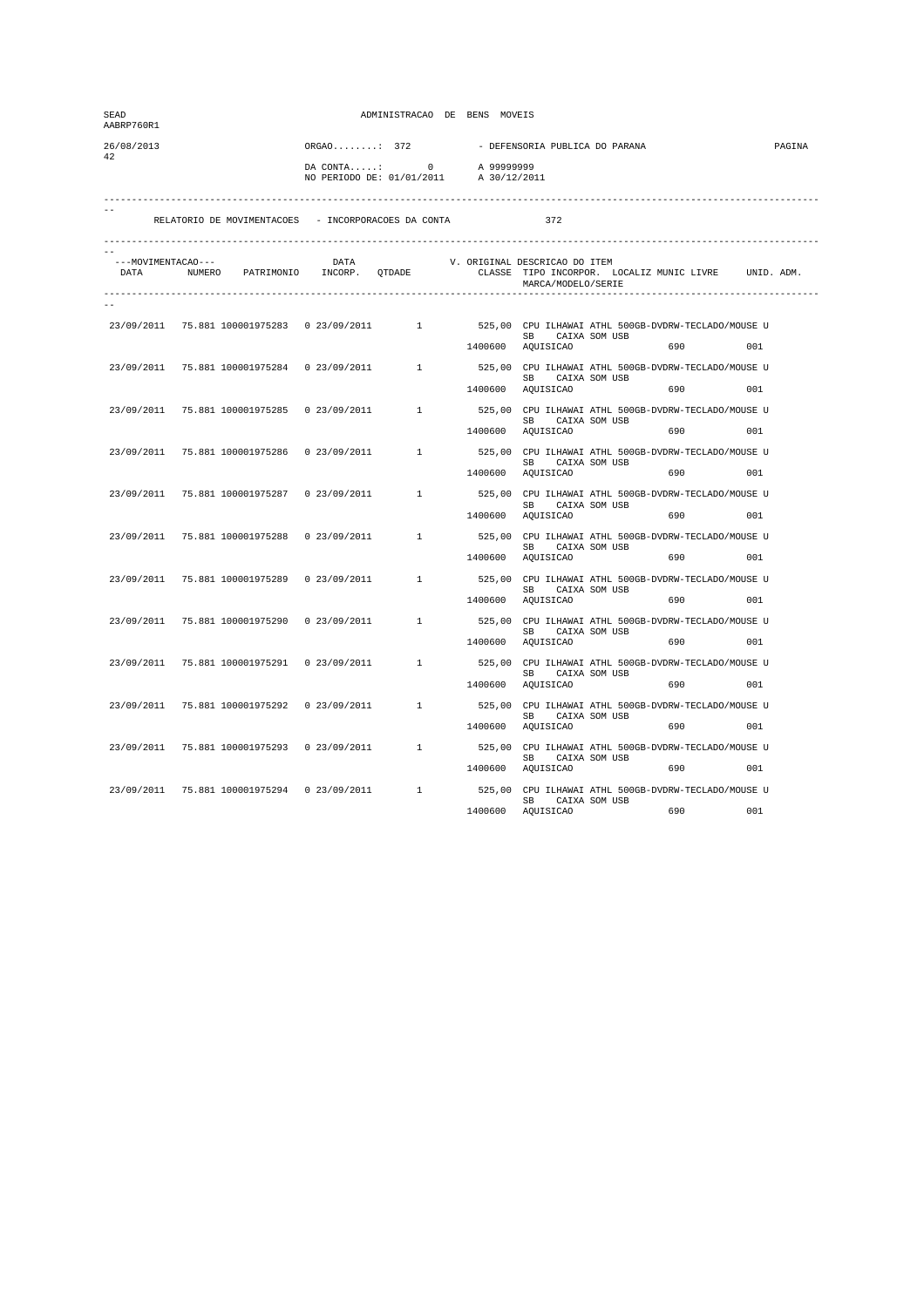| SEAD<br>AABRP760R1 |                                               |               | ADMINISTRACAO DE BENS MOVEIS                                             |              |                                                     |                                                                                                                       |        |
|--------------------|-----------------------------------------------|---------------|--------------------------------------------------------------------------|--------------|-----------------------------------------------------|-----------------------------------------------------------------------------------------------------------------------|--------|
| 26/08/2013         |                                               | $ORGAO$ : 372 |                                                                          |              | - DEFENSORIA PUBLICA DO PARANA                      |                                                                                                                       | PAGINA |
| 42                 |                                               |               | DA CONTA: 0 A 99999999<br>NO PERIODO DE: 01/01/2011 A 30/12/201          | A 30/12/2011 |                                                     |                                                                                                                       |        |
|                    |                                               |               | RELATORIO DE MOVIMENTACOES - INCORPORACOES DA CONTA                      |              | 372                                                 |                                                                                                                       |        |
| ---MOVIMENTACAO--- |                                               | DATA          | ---MOVIMENTACAO--- DATA DATA V.<br>DATA NUMERO PATRIMONIO INCORP. QTDADE |              | V. ORIGINAL DESCRICAO DO ITEM<br>MARCA/MODELO/SERIE | CLASSE TIPO INCORPOR. LOCALIZ MUNIC LIVRE UNID. ADM.                                                                  |        |
|                    |                                               |               |                                                                          |              |                                                     |                                                                                                                       |        |
|                    |                                               |               |                                                                          |              |                                                     | 23/09/2011 75.881 100001975283 0 23/09/2011 1 525,00 CPU ILHAWAI ATHL 500GB-DVDRW-TECLADO/MOUSE U<br>SB CAIXA SOM USB |        |
|                    |                                               |               |                                                                          |              | 1400600 AQUISICAO                                   | 690<br>001                                                                                                            |        |
| 23/09/2011         |                                               |               |                                                                          |              | SB CAIXA SOM USB                                    | 75.881 100001975284  0 23/09/2011  1  525,00 CPU ILHAWAI ATHL 500GB-DVDRW-TECLADO/MOUSE U                             |        |
|                    |                                               |               |                                                                          |              | 1400600 AQUISICAO                                   | 690                                                                                                                   | 001    |
|                    |                                               |               | 23/09/2011 75.881 100001975285 0 23/09/2011 1                            |              | SB CAIXA SOM USB                                    | 525,00 CPU ILHAWAI ATHL 500GB-DVDRW-TECLADO/MOUSE U                                                                   |        |
|                    |                                               |               |                                                                          |              | 1400600 AQUISICAO                                   | 690 000                                                                                                               | 0.01   |
|                    | 23/09/2011 75.881 100001975286 0 23/09/2011   |               |                                                                          |              |                                                     | 1 525,00 CPU ILHAWAI ATHL 500GB-DVDRW-TECLADO/MOUSE U                                                                 |        |
|                    |                                               |               |                                                                          |              | SB<br>1400600 AQUISICAO                             | CAIXA SOM USB<br>690 001                                                                                              |        |
|                    | 23/09/2011 75.881 100001975287                | 0 23/09/2011  | 1                                                                        |              |                                                     | 525,00 CPU ILHAWAI ATHL 500GB-DVDRW-TECLADO/MOUSE U                                                                   |        |
|                    |                                               |               |                                                                          | 1400600      | AQUISICAO                                           | SB CAIXA SOM USB<br>690                                                                                               | 0.01   |
| 23/09/2011         | 75.881 100001975288                           |               |                                                                          |              |                                                     | $1 \qquad \qquad 525\, ,00 \quad \text{CPU ILHAMAIATHL 500GB–DVDRW-TECLADO/MOUSE U}$                                  |        |
|                    |                                               |               |                                                                          |              | SB CAIXA SOM USB<br>1400600 AQUISICAO               | 690                                                                                                                   | 0.01   |
|                    | 23/09/2011 75.881 100001975289                | 0 23/09/2011  | $1$ and $1$                                                              |              |                                                     | 525,00 CPU ILHAWAI ATHL 500GB-DVDRW-TECLADO/MOUSE U                                                                   |        |
|                    |                                               |               |                                                                          |              | SB CAIXA SOM USB<br>1400600 AQUISICAO               | 690 88                                                                                                                | 001    |
|                    | 23/09/2011 75.881 100001975290 0 23/09/2011   |               | $1 \qquad \qquad$                                                        |              |                                                     | 525,00 CPU ILHAWAI ATHL 500GB-DVDRW-TECLADO/MOUSE U                                                                   |        |
|                    |                                               |               |                                                                          |              | SB CAIXA SOM USB<br>1400600 AQUISICAO               | 690 001                                                                                                               |        |
|                    |                                               |               |                                                                          |              |                                                     |                                                                                                                       |        |
| 23/09/2011         | 75.881 100001975291                           | 0 23/09/2011  | $1 \quad \cdots$                                                         |              |                                                     | 525,00 CPU ILHAWAI ATHL 500GB-DVDRW-TECLADO/MOUSE U<br>SB CAIXA SOM USB                                               |        |
|                    |                                               |               |                                                                          | 1400600      | AQUISICAO                                           | 690                                                                                                                   | 001    |
| 23/09/2011         | 75.881 100001975292                           |               | 0 23/09/2011 1                                                           |              | SB CAIXA SOM USB                                    | 525,00 CPU ILHAWAI ATHL 500GB-DVDRW-TECLADO/MOUSE U                                                                   |        |
|                    |                                               |               |                                                                          |              | 1400600 AQUISICAO                                   | 690                                                                                                                   | 001    |
|                    |                                               |               |                                                                          |              | SB CAIXA SOM USB                                    | 23/09/2011 75.881 100001975293 0 23/09/2011 1 525,00 CPU ILHAWAI ATHL 500GB-DVDRW-TECLADO/MOUSE U                     |        |
|                    |                                               |               |                                                                          |              | 1400600 AQUISICAO                                   |                                                                                                                       | 001    |
|                    | 23/09/2011 75.881 100001975294 0 23/09/2011 1 |               |                                                                          |              |                                                     | 525,00 CPU ILHAWAI ATHL 500GB-DVDRW-TECLADO/MOUSE U                                                                   |        |
|                    |                                               |               |                                                                          | 1400600      | SB CAIXA SOM USB<br>AQUISICAO                       | 690                                                                                                                   | 001    |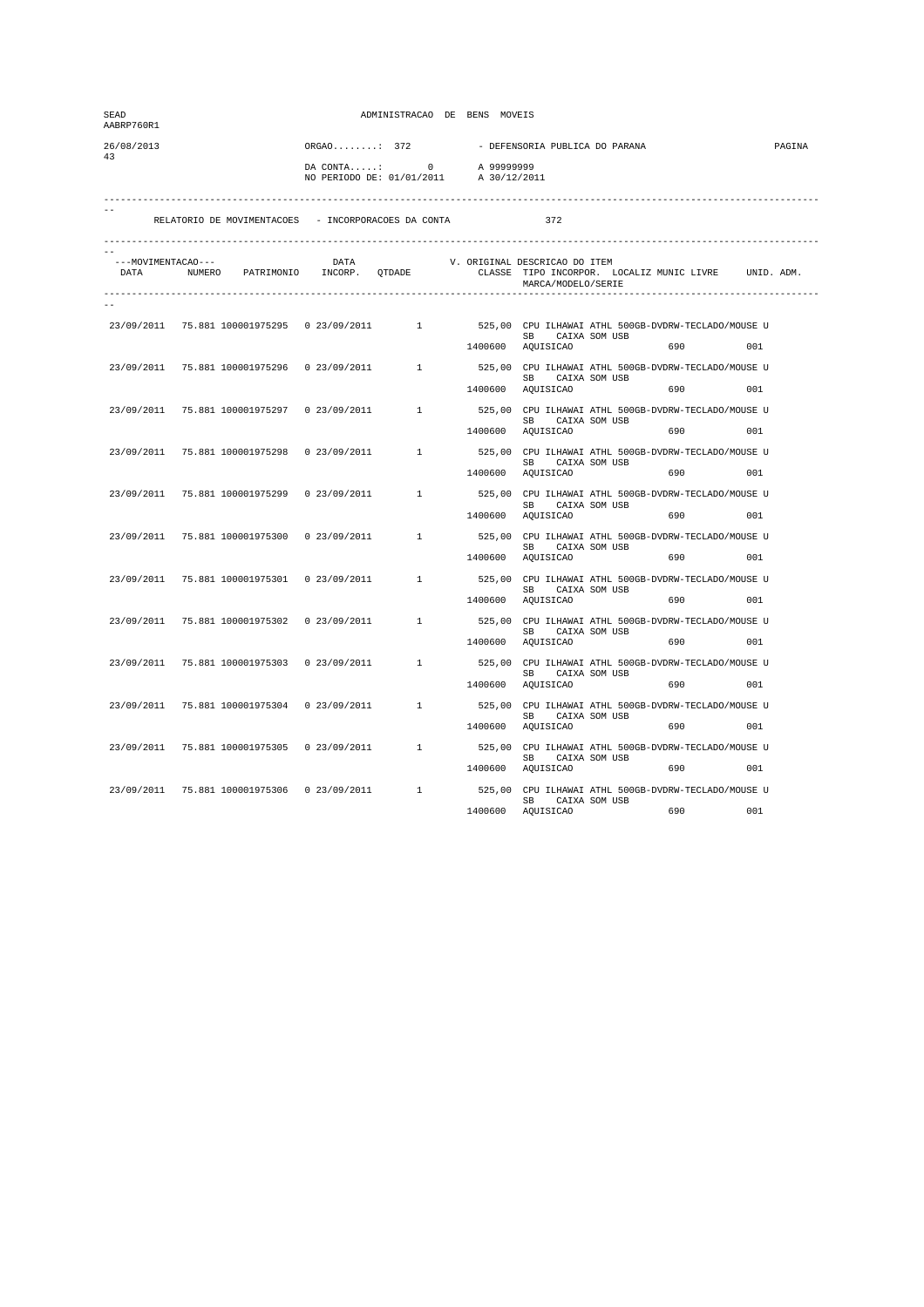| SEAD<br>AABRP760R1 |                                               |               | ADMINISTRACAO DE BENS MOVEIS                                        |                   |                                                     |                                                                                                   |        |
|--------------------|-----------------------------------------------|---------------|---------------------------------------------------------------------|-------------------|-----------------------------------------------------|---------------------------------------------------------------------------------------------------|--------|
| 26/08/2013<br>43   |                                               | $ORGAO$ : 372 |                                                                     |                   | - DEFENSORIA PUBLICA DO PARANA                      |                                                                                                   | PAGINA |
|                    |                                               |               | DA CONTA: 0 A 99999999<br>NO PERIODO DE: 01/01/2011 A 30/12/201     | A 30/12/2011      |                                                     |                                                                                                   |        |
|                    |                                               |               | RELATORIO DE MOVIMENTACOES - INCORPORACOES DA CONTA                 |                   | 372                                                 |                                                                                                   |        |
|                    |                                               |               |                                                                     |                   |                                                     |                                                                                                   |        |
| ---MOVIMENTACAO--- |                                               |               | ---MOVIMENTACAO--- DATA V.<br>DATA NUMERO PATRIMONIO INCORP. QTDADE |                   | V. ORIGINAL DESCRICAO DO ITEM<br>MARCA/MODELO/SERIE | CLASSE TIPO INCORPOR. LOCALIZ MUNIC LIVRE UNID. ADM.                                              |        |
|                    |                                               |               |                                                                     |                   |                                                     |                                                                                                   |        |
|                    |                                               |               |                                                                     |                   | SB CAIXA SOM USB                                    | 23/09/2011 75.881 100001975295 0 23/09/2011 1 525,00 CPU ILHAWAI ATHL 500GB-DVDRW-TECLADO/MOUSE U |        |
|                    |                                               |               |                                                                     |                   | 1400600 AQUISICAO                                   | 690 001                                                                                           |        |
| 23/09/2011         |                                               |               |                                                                     |                   | SB CAIXA SOM USB                                    | 75.881 100001975296  0 23/09/2011  1 525,00 CPU ILHAWAI ATHL 500GB-DVDRW-TECLADO/MOUSE U          |        |
|                    |                                               |               |                                                                     | 1400600 AQUISICAO |                                                     |                                                                                                   | 001    |
|                    |                                               |               | 23/09/2011 75.881 100001975297 0 23/09/2011 1                       |                   | SB CAIXA SOM USB                                    | 525,00 CPU ILHAWAI ATHL 500GB-DVDRW-TECLADO/MOUSE U                                               |        |
|                    |                                               |               |                                                                     |                   | 1400600 AQUISICAO                                   | 690 80                                                                                            | 001    |
|                    | 23/09/2011 75.881 100001975298 0 23/09/2011   |               |                                                                     |                   | SB CAIXA SOM USB                                    | 1 525,00 CPU ILHAWAI ATHL 500GB-DVDRW-TECLADO/MOUSE U                                             |        |
|                    |                                               |               |                                                                     |                   | 1400600 AQUISICAO                                   | 690 001                                                                                           |        |
|                    | 23/09/2011 75.881 100001975299                | 0 23/09/2011  | $1 \quad \cdots$                                                    |                   |                                                     | 525,00 CPU ILHAWAI ATHL 500GB-DVDRW-TECLADO/MOUSE U<br>SB CAIXA SOM USB                           |        |
|                    |                                               |               |                                                                     |                   | 1400600 AQUISICAO                                   | 690                                                                                               | 001    |
| 23/09/2011         |                                               |               |                                                                     |                   | SB CAIXA SOM USB                                    | 75.881 100001975300  0 23/09/2011  1 525,00 CPU ILHAWAI ATHL 500GB-DVDRW-TECLADO/MOUSE U          |        |
|                    |                                               |               |                                                                     | 1400600 AQUISICAO |                                                     |                                                                                                   | 0.01   |
|                    |                                               |               |                                                                     |                   | SB CAIXA SOM USB                                    | 23/09/2011 75.881 100001975301 0 23/09/2011 1 525,00 CPU ILHAWAI ATHL 500GB-DVDRW-TECLADO/MOUSE U |        |
|                    |                                               |               |                                                                     |                   | 1400600 AOUISICAO                                   | 690 001                                                                                           |        |
|                    | 23/09/2011 75.881 100001975302 0 23/09/2011   |               | $1 \qquad \qquad$                                                   |                   | SB CAIXA SOM USB                                    | 525,00 CPU ILHAWAI ATHL 500GB-DVDRW-TECLADO/MOUSE U                                               |        |
|                    |                                               |               |                                                                     |                   | 1400600 AQUISICAO                                   | 690 001                                                                                           |        |
|                    | 23/09/2011 75.881 100001975303                | 0 23/09/2011  | 1                                                                   |                   |                                                     | 525,00 CPU ILHAWAI ATHL 500GB-DVDRW-TECLADO/MOUSE U<br>SB CAIXA SOM USB                           |        |
|                    |                                               |               |                                                                     |                   | 1400600 AQUISICAO                                   | 690                                                                                               | 001    |
|                    |                                               |               | 23/09/2011 75.881 100001975304 0 23/09/2011 1                       |                   | SB CAIXA SOM USB                                    | 525,00 CPU ILHAWAI ATHL 500GB-DVDRW-TECLADO/MOUSE U                                               |        |
|                    |                                               |               |                                                                     |                   | 1400600 AQUISICAO                                   | 690 001                                                                                           |        |
|                    |                                               |               |                                                                     |                   | SB CAIXA SOM USB                                    | 23/09/2011 75.881 100001975305 0 23/09/2011 1 525,00 CPU ILHAWAI ATHL 500GB-DVDRW-TECLADO/MOUSE U |        |
|                    |                                               |               |                                                                     |                   | 1400600 AQUISICAO                                   | 690 700                                                                                           | 001    |
|                    | 23/09/2011 75.881 100001975306 0 23/09/2011 1 |               |                                                                     |                   | SB CAIXA SOM USB                                    | 525,00 CPU ILHAWAI ATHL 500GB-DVDRW-TECLADO/MOUSE U                                               |        |
|                    |                                               |               |                                                                     | 1400600           | AQUISICAO                                           | 690                                                                                               | 001    |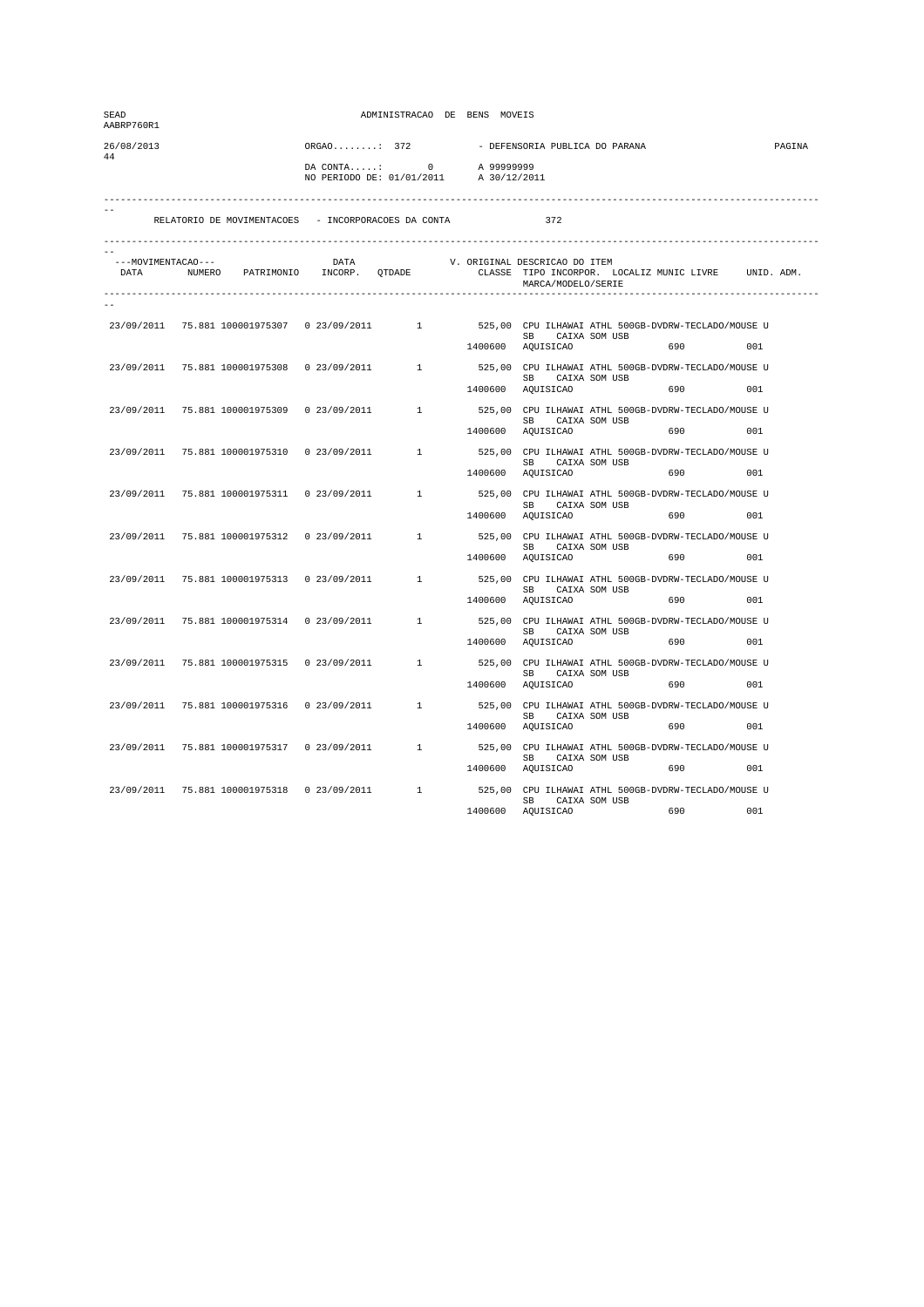| SEAD<br>AABRP760R1 |                                               |               | ADMINISTRACAO DE BENS MOVEIS                                             |              |                                                     |                                                                                                                       |        |
|--------------------|-----------------------------------------------|---------------|--------------------------------------------------------------------------|--------------|-----------------------------------------------------|-----------------------------------------------------------------------------------------------------------------------|--------|
| 26/08/2013         |                                               | $ORGAO$ : 372 |                                                                          |              | - DEFENSORIA PUBLICA DO PARANA                      |                                                                                                                       | PAGINA |
| 44                 |                                               |               | DA CONTA: 0 A 99999999<br>NO PERIODO DE: 01/01/2011 A 30/12/201          | A 30/12/2011 |                                                     |                                                                                                                       |        |
|                    |                                               |               | RELATORIO DE MOVIMENTACOES - INCORPORACOES DA CONTA                      |              | 372                                                 |                                                                                                                       |        |
| ---MOVIMENTACAO--- |                                               | DATA          | ---MOVIMENTACAO--- DATA DATA V.<br>DATA NUMERO PATRIMONIO INCORP. QTDADE |              | V. ORIGINAL DESCRICAO DO ITEM<br>MARCA/MODELO/SERIE | CLASSE TIPO INCORPOR. LOCALIZ MUNIC LIVRE UNID. ADM.                                                                  |        |
|                    |                                               |               |                                                                          |              |                                                     |                                                                                                                       |        |
|                    |                                               |               |                                                                          |              |                                                     | 23/09/2011 75.881 100001975307 0 23/09/2011 1 525,00 CPU ILHAWAI ATHL 500GB-DVDRW-TECLADO/MOUSE U<br>SB CAIXA SOM USB |        |
|                    |                                               |               |                                                                          |              | 1400600 AQUISICAO                                   | 690                                                                                                                   | 001    |
| 23/09/2011         | 75.881 100001975308                           |               |                                                                          |              | SB CAIXA SOM USB                                    | 0 23/09/2011 1 525,00 CPU ILHAWAI ATHL 500GB-DVDRW-TECLADO/MOUSE U                                                    |        |
|                    |                                               |               |                                                                          |              | 1400600 AQUISICAO                                   | 690                                                                                                                   | 001    |
|                    |                                               |               | 23/09/2011 75.881 100001975309 0 23/09/2011 1                            |              |                                                     | 525,00 CPU ILHAWAI ATHL 500GB-DVDRW-TECLADO/MOUSE U                                                                   |        |
|                    |                                               |               |                                                                          |              | SB CAIXA SOM USB<br>1400600 AQUISICAO               | 690 000                                                                                                               | 0.01   |
|                    | 23/09/2011 75.881 100001975310 0 23/09/2011   |               |                                                                          |              |                                                     | 1 525,00 CPU ILHAWAI ATHL 500GB-DVDRW-TECLADO/MOUSE U                                                                 |        |
|                    |                                               |               |                                                                          |              | SB<br>1400600 AQUISICAO                             | CAIXA SOM USB<br>690 001                                                                                              |        |
|                    | 23/09/2011 75.881 100001975311                | 0 23/09/2011  | 1                                                                        |              |                                                     | 525,00 CPU ILHAWAI ATHL 500GB-DVDRW-TECLADO/MOUSE U                                                                   |        |
|                    |                                               |               |                                                                          | 1400600      | AQUISICAO                                           | SB CAIXA SOM USB<br>690                                                                                               | 0.01   |
| 23/09/2011         |                                               |               |                                                                          |              |                                                     | 75.881 100001975312 0 23/09/2011 1525,00 CPU ILHAWAI ATHL 500GB-DVDRW-TECLADO/MOUSE U                                 |        |
|                    |                                               |               |                                                                          |              | SB CAIXA SOM USB<br>1400600 AQUISICAO               |                                                                                                                       | 0.01   |
|                    |                                               |               | 23/09/2011 75.881 100001975313 0 23/09/2011 1                            |              |                                                     | 525,00 CPU ILHAWAI ATHL 500GB-DVDRW-TECLADO/MOUSE U                                                                   |        |
|                    |                                               |               |                                                                          |              | SB CAIXA SOM USB<br>1400600 AQUISICAO               |                                                                                                                       | 001    |
|                    |                                               |               |                                                                          |              |                                                     | 690 88                                                                                                                |        |
|                    | 23/09/2011 75.881 100001975314 0 23/09/2011   |               | $1 \qquad \qquad$                                                        |              | SB CAIXA SOM USB                                    | 525,00 CPU ILHAWAI ATHL 500GB-DVDRW-TECLADO/MOUSE U                                                                   |        |
|                    |                                               |               |                                                                          |              | 1400600 AQUISICAO                                   | 690 001                                                                                                               |        |
| 23/09/2011         | 75.881 100001975315                           | 0 23/09/2011  | 1                                                                        |              |                                                     | 525,00 CPU ILHAWAI ATHL 500GB-DVDRW-TECLADO/MOUSE U<br>SB CAIXA SOM USB                                               |        |
|                    |                                               |               |                                                                          | 1400600      | AQUISICAO                                           | 690                                                                                                                   | 001    |
| 23/09/2011         |                                               |               | 75.881 100001975316  0 23/09/2011  1                                     |              | SB CAIXA SOM USB                                    | 525,00 CPU ILHAWAI ATHL 500GB-DVDRW-TECLADO/MOUSE U                                                                   |        |
|                    |                                               |               |                                                                          |              | 1400600 AQUISICAO                                   | 690                                                                                                                   | 001    |
|                    |                                               |               |                                                                          |              |                                                     | 23/09/2011 75.881 100001975317 0 23/09/2011 1 525,00 CPU ILHAWAI ATHL 500GB-DVDRW-TECLADO/MOUSE U                     |        |
|                    |                                               |               |                                                                          |              | SB CAIXA SOM USB<br>1400600 AQUISICAO               |                                                                                                                       | 001    |
|                    | 23/09/2011 75.881 100001975318 0 23/09/2011 1 |               |                                                                          |              |                                                     | 525,00 CPU ILHAWAI ATHL 500GB-DVDRW-TECLADO/MOUSE U                                                                   |        |
|                    |                                               |               |                                                                          | 1400600      | SB CAIXA SOM USB<br>AQUISICAO                       | 690                                                                                                                   | 001    |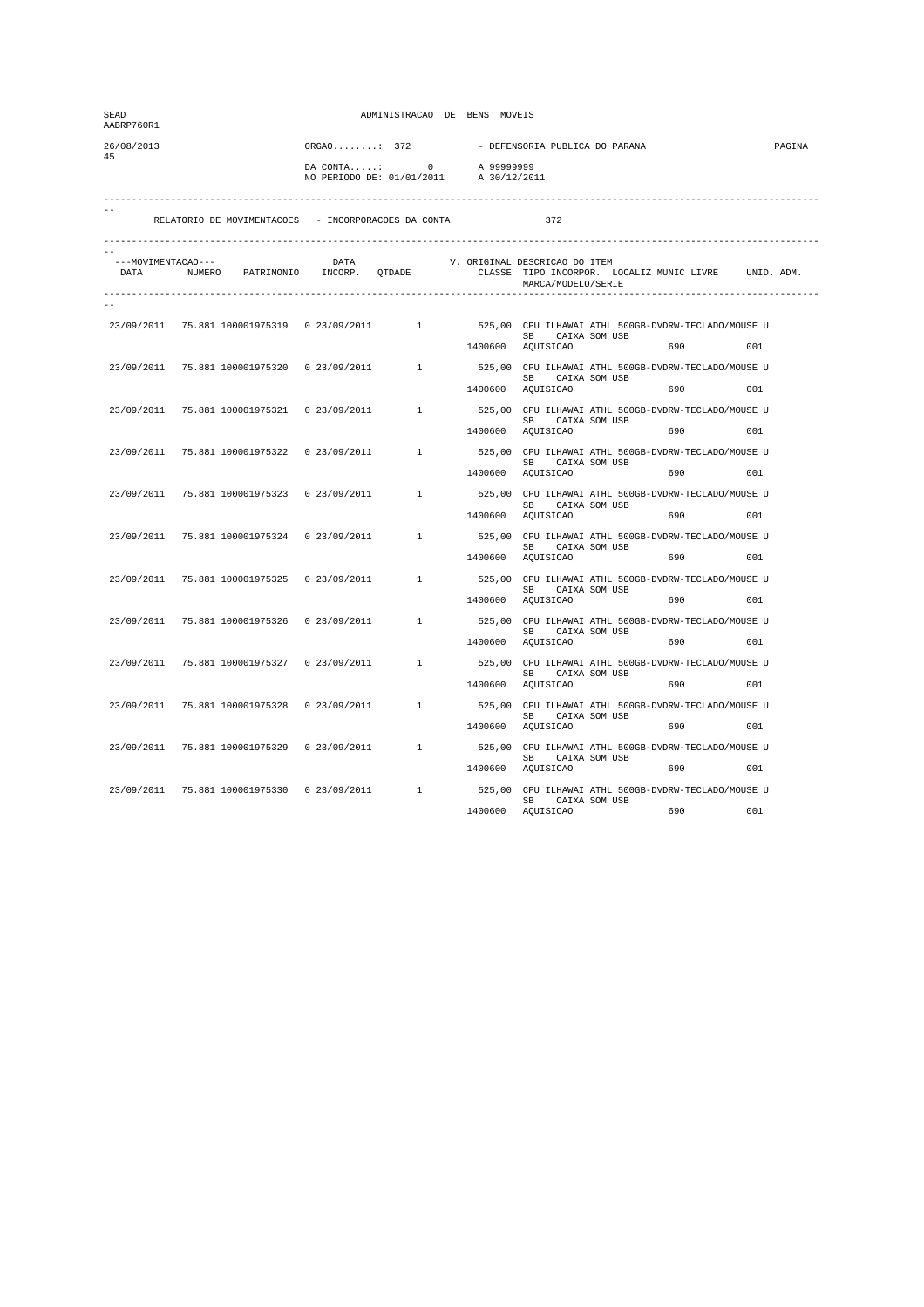| SEAD<br>AABRP760R1 |                                               |               | ADMINISTRACAO DE BENS MOVEIS                                             |              |                                                     |                                                                                                                       |        |
|--------------------|-----------------------------------------------|---------------|--------------------------------------------------------------------------|--------------|-----------------------------------------------------|-----------------------------------------------------------------------------------------------------------------------|--------|
| 26/08/2013         |                                               | $ORGAO$ : 372 |                                                                          |              | - DEFENSORIA PUBLICA DO PARANA                      |                                                                                                                       | PAGINA |
| 45                 |                                               |               | DA CONTA: 0 A 99999999<br>NO PERIODO DE: 01/01/2011 A 30/12/201          | A 30/12/2011 |                                                     |                                                                                                                       |        |
|                    |                                               |               | RELATORIO DE MOVIMENTACOES - INCORPORACOES DA CONTA                      |              | 372                                                 |                                                                                                                       |        |
| ---MOVIMENTACAO--- |                                               | DATA          | ---MOVIMENTACAO--- DATA DATA V.<br>DATA NUMERO PATRIMONIO INCORP. QTDADE |              | V. ORIGINAL DESCRICAO DO ITEM<br>MARCA/MODELO/SERIE | CLASSE TIPO INCORPOR. LOCALIZ MUNIC LIVRE UNID. ADM.                                                                  |        |
|                    |                                               |               |                                                                          |              |                                                     |                                                                                                                       |        |
|                    |                                               |               |                                                                          |              |                                                     | 23/09/2011 75.881 100001975319 0 23/09/2011 1 525,00 CPU ILHAWAI ATHL 500GB-DVDRW-TECLADO/MOUSE U<br>SB CAIXA SOM USB |        |
|                    |                                               |               |                                                                          |              | 1400600 AQUISICAO                                   | 690                                                                                                                   | 001    |
| 23/09/2011         | 75.881 100001975320                           |               |                                                                          |              | SB CAIXA SOM USB                                    | 0 23/09/2011 1 525,00 CPU ILHAWAI ATHL 500GB-DVDRW-TECLADO/MOUSE U                                                    |        |
|                    |                                               |               |                                                                          |              | 1400600 AQUISICAO                                   | 690                                                                                                                   | 001    |
|                    |                                               |               | 23/09/2011 75.881 100001975321 0 23/09/2011 1                            |              |                                                     | 525,00 CPU ILHAWAI ATHL 500GB-DVDRW-TECLADO/MOUSE U                                                                   |        |
|                    |                                               |               |                                                                          |              | SB CAIXA SOM USB<br>1400600 AQUISICAO               | 690 000                                                                                                               | 0.01   |
|                    | 23/09/2011 75.881 100001975322 0 23/09/2011   |               |                                                                          |              |                                                     | 1 525,00 CPU ILHAWAI ATHL 500GB-DVDRW-TECLADO/MOUSE U                                                                 |        |
|                    |                                               |               |                                                                          |              | SB -<br>1400600 AQUISICAO                           | CAIXA SOM USB<br>690 001                                                                                              |        |
|                    | 23/09/2011 75.881 100001975323                | 0 23/09/2011  | 1                                                                        |              |                                                     | 525,00 CPU ILHAWAI ATHL 500GB-DVDRW-TECLADO/MOUSE U                                                                   |        |
|                    |                                               |               |                                                                          | 1400600      | AQUISICAO                                           | SB CAIXA SOM USB<br>690                                                                                               | 0.01   |
| 23/09/2011         | 75.881 100001975324                           |               |                                                                          |              |                                                     | $1 \qquad \qquad 525\, ,00 \quad \text{CPU ILHAMAIATHL 500GB–DVDRW-TECLADO/MOUSE U}$                                  |        |
|                    |                                               |               |                                                                          |              | SB CAIXA SOM USB<br>1400600 AQUISICAO               |                                                                                                                       | 0.01   |
|                    |                                               |               |                                                                          |              |                                                     | 23/09/2011 75.881 100001975325 0 23/09/2011 1 525,00 CPU ILHAWAI ATHL 500GB-DVDRW-TECLADO/MOUSE U                     |        |
|                    |                                               |               |                                                                          |              | SB CAIXA SOM USB                                    |                                                                                                                       |        |
|                    |                                               |               |                                                                          |              | 1400600 AQUISICAO                                   | 690 88                                                                                                                | 001    |
|                    | 23/09/2011 75.881 100001975326 0 23/09/2011   |               | $1 \qquad \qquad$                                                        |              | SB CAIXA SOM USB                                    | 525,00 CPU ILHAWAI ATHL 500GB-DVDRW-TECLADO/MOUSE U                                                                   |        |
|                    |                                               |               |                                                                          |              | 1400600 AQUISICAO                                   | 690 001                                                                                                               |        |
| 23/09/2011         | 75.881 100001975327                           | 0 23/09/2011  | 1                                                                        |              |                                                     | 525,00 CPU ILHAWAI ATHL 500GB-DVDRW-TECLADO/MOUSE U<br>SB CAIXA SOM USB                                               |        |
|                    |                                               |               |                                                                          | 1400600      | AQUISICAO                                           | 690                                                                                                                   | 001    |
| 23/09/2011         | 75.881 100001975328                           |               | 0 23/09/2011 1                                                           |              |                                                     | 525,00 CPU ILHAWAI ATHL 500GB-DVDRW-TECLADO/MOUSE U                                                                   |        |
|                    |                                               |               |                                                                          |              | SB CAIXA SOM USB<br>1400600 AQUISICAO               | 690                                                                                                                   | 001    |
|                    | 23/09/2011 75.881 100001975329                |               |                                                                          |              |                                                     | $0 \quad 23/09/2011 \qquad \qquad 1 \qquad \qquad 525,00 \quad \text{CPU ILHAMAI ATHL 500GB–DVDRW-TECLADO/MOUSE U}$   |        |
|                    |                                               |               |                                                                          |              | SB CAIXA SOM USB<br>1400600 AQUISICAO               |                                                                                                                       | 001    |
|                    | 23/09/2011 75.881 100001975330 0 23/09/2011 1 |               |                                                                          |              |                                                     | 525,00 CPU ILHAWAI ATHL 500GB-DVDRW-TECLADO/MOUSE U                                                                   |        |
|                    |                                               |               |                                                                          | 1400600      | SB CAIXA SOM USB<br>AQUISICAO                       | 690                                                                                                                   | 001    |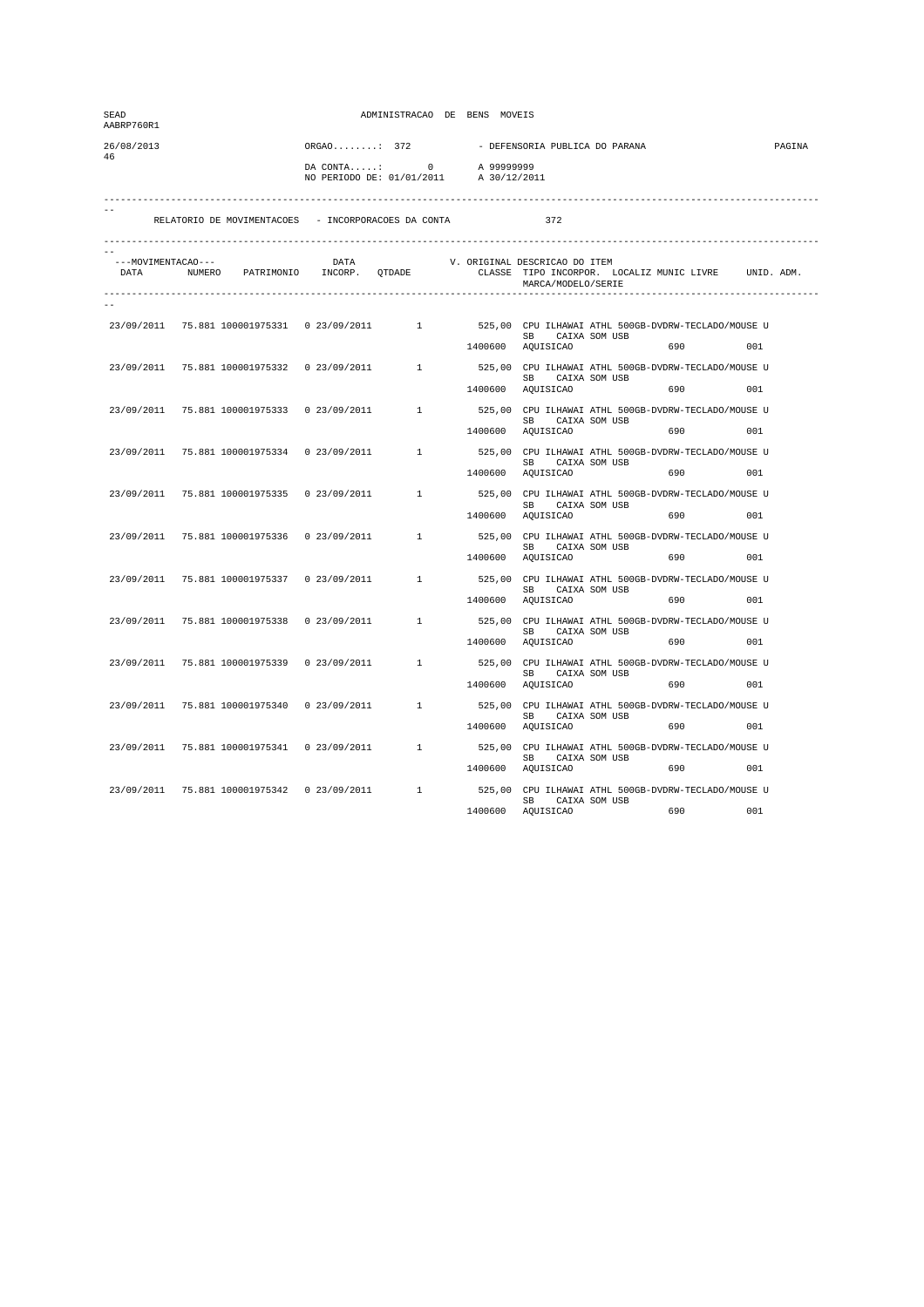| SEAD<br>AABRP760R1 |                                               |               | ADMINISTRACAO DE BENS MOVEIS                                             |              |                                                     |                                                                                                                       |        |
|--------------------|-----------------------------------------------|---------------|--------------------------------------------------------------------------|--------------|-----------------------------------------------------|-----------------------------------------------------------------------------------------------------------------------|--------|
| 26/08/2013         |                                               | $ORGAO$ : 372 |                                                                          |              | - DEFENSORIA PUBLICA DO PARANA                      |                                                                                                                       | PAGINA |
| 46                 |                                               |               | DA CONTA: 0 A 99999999<br>NO PERIODO DE: 01/01/2011 A 30/12/201          | A 30/12/2011 |                                                     |                                                                                                                       |        |
|                    |                                               |               | RELATORIO DE MOVIMENTACOES - INCORPORACOES DA CONTA                      |              | 372                                                 |                                                                                                                       |        |
| ---MOVIMENTACAO--- |                                               | DATA          | ---MOVIMENTACAO--- DATA DATA V.<br>DATA NUMERO PATRIMONIO INCORP. QTDADE |              | V. ORIGINAL DESCRICAO DO ITEM<br>MARCA/MODELO/SERIE | CLASSE TIPO INCORPOR. LOCALIZ MUNIC LIVRE UNID. ADM.                                                                  |        |
|                    |                                               |               |                                                                          |              |                                                     |                                                                                                                       |        |
|                    |                                               |               |                                                                          |              |                                                     | 23/09/2011 75.881 100001975331 0 23/09/2011 1 525,00 CPU ILHAWAI ATHL 500GB-DVDRW-TECLADO/MOUSE U<br>SB CAIXA SOM USB |        |
|                    |                                               |               |                                                                          |              | 1400600 AQUISICAO                                   | 690                                                                                                                   | 001    |
| 23/09/2011         |                                               |               |                                                                          |              | SB CAIXA SOM USB                                    | 75.881 100001975332  0 23/09/2011  1  525,00 CPU ILHAWAI ATHL 500GB-DVDRW-TECLADO/MOUSE U                             |        |
|                    |                                               |               |                                                                          |              | 1400600 AQUISICAO                                   | 690                                                                                                                   | 001    |
|                    |                                               |               | 23/09/2011 75.881 100001975333 0 23/09/2011 1                            |              | SB CAIXA SOM USB                                    | 525,00 CPU ILHAWAI ATHL 500GB-DVDRW-TECLADO/MOUSE U                                                                   |        |
|                    |                                               |               |                                                                          |              | 1400600 AQUISICAO                                   | 690 000                                                                                                               | 0.01   |
|                    | 23/09/2011 75.881 100001975334 0 23/09/2011   |               |                                                                          |              | SB                                                  | 1 525,00 CPU ILHAWAI ATHL 500GB-DVDRW-TECLADO/MOUSE U                                                                 |        |
|                    |                                               |               |                                                                          |              | 1400600 AQUISICAO                                   | CAIXA SOM USB<br>690 001                                                                                              |        |
|                    | 23/09/2011 75.881 100001975335                | 0 23/09/2011  | 1                                                                        |              |                                                     | 525,00 CPU ILHAWAI ATHL 500GB-DVDRW-TECLADO/MOUSE U                                                                   |        |
|                    |                                               |               |                                                                          | 1400600      | AQUISICAO                                           | SB CAIXA SOM USB<br>690                                                                                               | 0.01   |
| 23/09/2011         | 75.881 100001975336                           |               |                                                                          |              |                                                     | $1 \qquad \qquad 525\, ,00 \quad \text{CPU ILHAMAIATHL 500GB–DVDRW-TECLADO/MOUSE U}$                                  |        |
|                    |                                               |               |                                                                          |              | SB CAIXA SOM USB<br>1400600 AQUISICAO               |                                                                                                                       | 0.01   |
|                    | 23/09/2011 75.881 100001975337                |               | 0 23/09/2011 1                                                           |              |                                                     | 525,00 CPU ILHAWAI ATHL 500GB-DVDRW-TECLADO/MOUSE U                                                                   |        |
|                    |                                               |               |                                                                          |              | SB CAIXA SOM USB<br>1400600 AQUISICAO               | 690 88                                                                                                                | 001    |
|                    | 23/09/2011 75.881 100001975338 0 23/09/2011   |               | $1 \qquad \qquad$                                                        |              |                                                     | 525,00 CPU ILHAWAI ATHL 500GB-DVDRW-TECLADO/MOUSE U                                                                   |        |
|                    |                                               |               |                                                                          |              | SB CAIXA SOM USB<br>1400600 AQUISICAO               | 690 001                                                                                                               |        |
| 23/09/2011         | 75.881 100001975339                           | 0 23/09/2011  | 1                                                                        |              |                                                     | 525,00 CPU ILHAWAI ATHL 500GB-DVDRW-TECLADO/MOUSE U                                                                   |        |
|                    |                                               |               |                                                                          | 1400600      | AQUISICAO                                           | SB CAIXA SOM USB<br>690                                                                                               | 001    |
|                    |                                               |               |                                                                          |              |                                                     |                                                                                                                       |        |
| 23/09/2011         | 75.881 100001975340                           |               | 0 23/09/2011 1                                                           |              | SB CAIXA SOM USB                                    | 525,00 CPU ILHAWAI ATHL 500GB-DVDRW-TECLADO/MOUSE U                                                                   |        |
|                    |                                               |               |                                                                          |              | 1400600 AQUISICAO                                   | 690                                                                                                                   | 001    |
|                    |                                               |               |                                                                          |              | SB CAIXA SOM USB                                    | 23/09/2011 75.881 100001975341 0 23/09/2011 1 525,00 CPU ILHAWAI ATHL 500GB-DVDRW-TECLADO/MOUSE U                     |        |
|                    |                                               |               |                                                                          |              | 1400600 AQUISICAO                                   |                                                                                                                       | 001    |
|                    | 23/09/2011 75.881 100001975342 0 23/09/2011 1 |               |                                                                          |              | SB CAIXA SOM USB                                    | 525,00 CPU ILHAWAI ATHL 500GB-DVDRW-TECLADO/MOUSE U                                                                   |        |
|                    |                                               |               |                                                                          | 1400600      | AQUISICAO                                           | 690                                                                                                                   | 001    |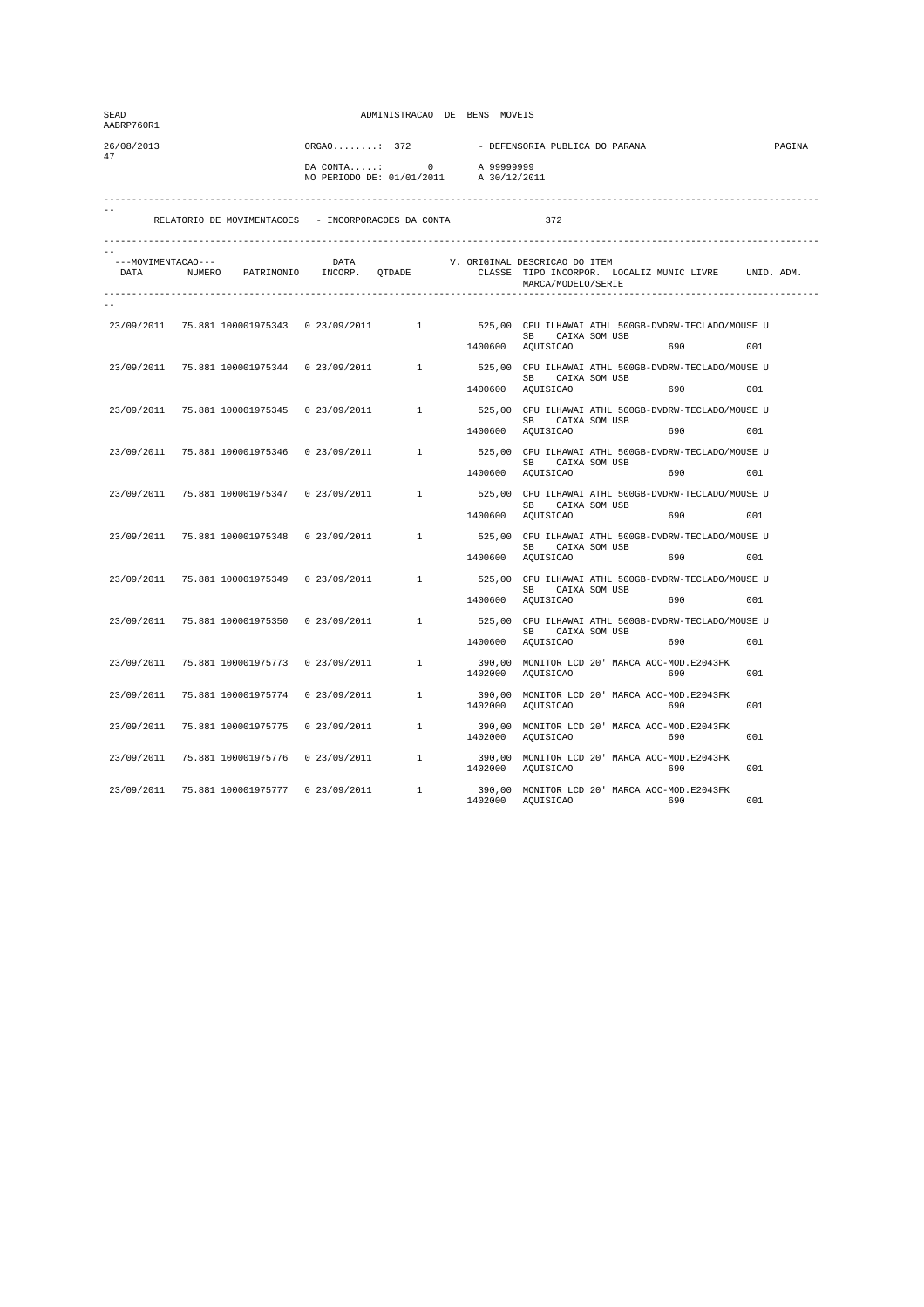| SEAD<br>AABRP760R1 |                                                     |               | ADMINISTRACAO DE BENS MOVEIS                 |                            |                                                                                                                                                      |        |
|--------------------|-----------------------------------------------------|---------------|----------------------------------------------|----------------------------|------------------------------------------------------------------------------------------------------------------------------------------------------|--------|
| 26/08/2013<br>47   |                                                     | $ORGAO$ : 372 |                                              |                            | - DEFENSORIA PUBLICA DO PARANA                                                                                                                       | PAGINA |
|                    |                                                     |               | $DA$ CONTA: $0$<br>NO PERIODO DE: 01/01/2011 | A 99999999<br>A 30/12/2011 |                                                                                                                                                      |        |
|                    | RELATORIO DE MOVIMENTACOES - INCORPORACOES DA CONTA |               |                                              |                            | 372                                                                                                                                                  |        |
|                    | ---MOVIMENTACAO---                                  |               |                                              |                            | CLASSE TIPO INCORPOR. LOCALIZ MUNIC LIVRE UNID. ADM.<br>MARCA/MODELO/SERIE                                                                           |        |
|                    |                                                     |               |                                              |                            |                                                                                                                                                      |        |
|                    |                                                     |               |                                              |                            | 23/09/2011 75.881 100001975343 0 23/09/2011 1525,00 CPU ILHAWAI ATHL 500GB-DVDRW-TECLADO/MOUSE U<br>SB CAIXA SOM USB<br>1400600 AQUISICAO<br>690 001 |        |
|                    |                                                     |               |                                              |                            | 23/09/2011 75.881 100001975344 0 23/09/2011 1525,00 CPU ILHAWAI ATHL 500GB-DVDRW-TECLADO/MOUSE U                                                     |        |
|                    |                                                     |               |                                              |                            | SB<br>CAIXA SOM USB<br>1400600 AQUISICAO<br>690 001                                                                                                  |        |
|                    | 23/09/2011 75.881 100001975345 0 23/09/2011 1       |               |                                              |                            | 525,00 CPU ILHAWAI ATHL 500GB-DVDRW-TECLADO/MOUSE U                                                                                                  |        |
|                    |                                                     |               |                                              |                            | CAIXA SOM USB<br>SB<br>1400600 AQUISICAO<br>690 001                                                                                                  |        |
| 23/09/2011         | 75.881 100001975346  0 23/09/2011  1                |               |                                              |                            | 525,00 CPU ILHAWAI ATHL 500GB-DVDRW-TECLADO/MOUSE U<br>SB CAIXA SOM USB                                                                              |        |
|                    |                                                     |               |                                              | 1400600                    | AQUISICAO<br>690                                                                                                                                     | 001    |
| 23/09/2011         | 75.881 100001975347                                 |               |                                              |                            | 0 23/09/2011 1 525,00 CPU ILHAWAI ATHL 500GB-DVDRW-TECLADO/MOUSE U<br>CAIXA SOM USB<br>SB                                                            |        |
|                    |                                                     |               |                                              |                            | 1400600 AQUISICAO<br>690                                                                                                                             | 001    |
|                    | 23/09/2011 75.881 100001975348 0 23/09/2011 1       |               |                                              |                            | 525,00 CPU ILHAWAI ATHL 500GB-DVDRW-TECLADO/MOUSE U<br>SB<br>CAIXA SOM USB                                                                           |        |
|                    |                                                     |               |                                              |                            | 1400600 AQUISICAO<br>690 001                                                                                                                         |        |
|                    | 23/09/2011 75.881 100001975349                      |               |                                              |                            | 0 23/09/2011 1 525,00 CPU ILHAWAI ATHL 500GB-DVDRW-TECLADO/MOUSE U<br>SB CAIXA SOM USB                                                               |        |
| 23/09/2011         | 75.881 100001975350  0 23/09/2011  1                |               |                                              |                            | 1400600 AQUISICAO<br>690<br>525,00 CPU ILHAWAI ATHL 500GB-DVDRW-TECLADO/MOUSE U                                                                      | 001    |
|                    |                                                     |               |                                              |                            | SB.<br>CAIXA SOM USB<br>1400600 AQUISICAO<br>690 700                                                                                                 | 001    |
| 23/09/2011         | 75.881 100001975773                                 | 0 23/09/2011  |                                              |                            |                                                                                                                                                      |        |
|                    |                                                     |               |                                              |                            | $\begin{tabular}{lllll} 1 & & 390,00 & MONITOR & LCD & 20' MARCA & AOC-MOD.E2043FK \\ & & 1402000 & AQUISICAO & & 690 \\ \end{tabular}$              | 001    |
| 23/09/2011         | 75.881 100001975774  0 23/09/2011                   |               |                                              |                            | 390,00 MONITOR LCD 20' MARCA AOC-MOD.E2043FK<br>1 390,00 MONITURE DUE 20 PERSON 590<br>1402000 AQUISICAO 690                                         | 001    |
| 23/09/2011         | 75.881 100001975775                                 |               |                                              |                            | 0  23/09/2011   1   390,00 MONITOR LCD   20' MARCA AOC-MOD.E2043FK   1402000   AQUISICAO   690                                                       | 001    |
| 23/09/2011         | 75.881 100001975776                                 | 0 23/09/2011  | $\mathbf{1}$                                 |                            | 390,00 MONITOR LCD 20' MARCA AOC-MOD.E2043FK<br>$1402000 \quad \text{AQUISICAO}$<br>690                                                              | 001    |
| 23/09/2011         | 75.881 100001975777  0 23/09/2011                   |               | $\mathbf{1}$                                 |                            | 390,00 MONITOR LCD 20' MARCA AOC-MOD.E2043FK<br>1402000 AQUISICAO<br>690 — 100                                                                       | 001    |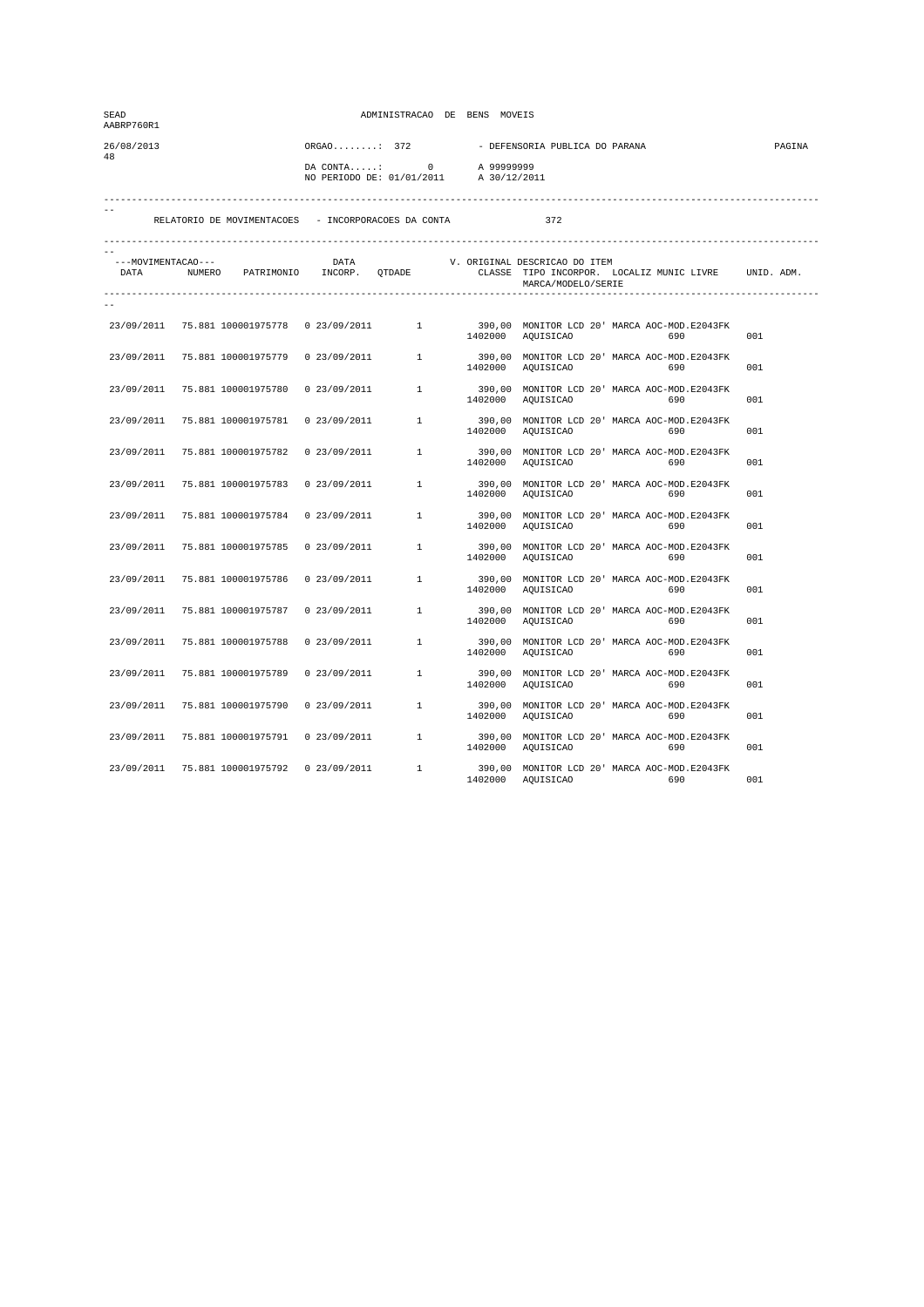| SEAD<br>AABRP760R1         |                                                     |                                            | ADMINISTRACAO DE BENS MOVEIS |                            |                                                                                                             |        |  |  |  |
|----------------------------|-----------------------------------------------------|--------------------------------------------|------------------------------|----------------------------|-------------------------------------------------------------------------------------------------------------|--------|--|--|--|
| 26/08/2013<br>48           |                                                     | $ORGAO$ : 372<br>NO PERIODO DE: 01/01/2011 | $DA$ CONTA: 0                | A 99999999<br>A 30/12/2011 | - DEFENSORIA PUBLICA DO PARANA                                                                              | PAGINA |  |  |  |
|                            | RELATORIO DE MOVIMENTACOES - INCORPORACOES DA CONTA |                                            |                              |                            | 372                                                                                                         |        |  |  |  |
| ---MOVIMENTACAO---<br>DATA | NUMERO PATRIMONIO INCORP. QTDADE                    | DATA                                       |                              |                            | V. ORIGINAL DESCRICAO DO ITEM<br>CLASSE TIPO INCORPOR. LOCALIZ MUNIC LIVRE UNID. ADM.<br>MARCA/MODELO/SERIE |        |  |  |  |
|                            | 23/09/2011 75.881 100001975778 0 23/09/2011         |                                            | 1                            |                            | 390,00 MONITOR LCD 20' MARCA AOC-MOD.E2043FK<br>1402000 AQUISICAO<br>690                                    | 001    |  |  |  |
| 23/09/2011                 | 75.881 100001975779                                 | 0 23/09/2011                               | 1                            |                            | 390,00 MONITOR LCD 20' MARCA AOC-MOD.E2043FK<br>1402000 AQUISICAO<br>690                                    | 001    |  |  |  |
| 23/09/2011                 | 75.881 100001975780                                 | 0 23/09/2011                               | $1 \quad$                    | 1402000                    | 390,00 MONITOR LCD 20' MARCA AOC-MOD.E2043FK<br>AQUISICAO<br>690                                            | 001    |  |  |  |
| 23/09/2011                 | 75.881 100001975781                                 | 0 23/09/2011                               | 1                            | 1402000                    | 390,00 MONITOR LCD 20' MARCA AOC-MOD.E2043FK<br>AQUISICAO<br>690                                            | 001    |  |  |  |
| 23/09/2011                 | 75.881 100001975782                                 | 0.23/09/2011                               | $\mathbf{1}$                 | 1402000                    | 390,00 MONITOR LCD 20' MARCA AOC-MOD.E2043FK<br>AQUISICAO<br>690                                            | 001    |  |  |  |
| 23/09/2011                 | 75.881 100001975783                                 | 0 23/09/2011                               | 1                            | 1402000                    | 390,00 MONITOR LCD 20' MARCA AOC-MOD.E2043FK<br>AQUISICAO<br>690                                            | 001    |  |  |  |
| 23/09/2011                 | 75.881 100001975784                                 | 0 23/09/2011                               | 1                            | 1402000                    | 390,00 MONITOR LCD 20' MARCA AOC-MOD.E2043FK<br>AQUISICAO<br>690                                            | 001    |  |  |  |
| 23/09/2011                 | 75.881 100001975785                                 | 0 23/09/2011                               | $1 \quad$                    | 1402000                    | 390,00 MONITOR LCD 20' MARCA AOC-MOD.E2043FK<br>AQUISICAO<br>690                                            | 001    |  |  |  |
| 23/09/2011                 | 75.881 100001975786                                 | 0.23/09/2011                               | $\mathbf{1}$                 | 1402000                    | 390,00 MONITOR LCD 20' MARCA AOC-MOD.E2043FK<br>AQUISICAO<br>690                                            | 001    |  |  |  |
| 23/09/2011                 | 75.881 100001975787                                 | 0.23/09/2011                               | $\mathbf{1}$                 |                            | 390,00 MONITOR LCD 20' MARCA AOC-MOD.E2043FK<br>1402000 AQUISICAO<br>690                                    | 001    |  |  |  |
| 23/09/2011                 | 75.881 100001975788                                 | 0 23/09/2011                               | $\mathbf{1}$                 | 1402000                    | 390,00 MONITOR LCD 20' MARCA AOC-MOD.E2043FK<br>AQUISICAO<br>690                                            | 001    |  |  |  |
| 23/09/2011                 | 75.881 100001975789                                 | 0 23/09/2011                               | $1 \quad$                    | 1402000                    | 390,00 MONITOR LCD 20' MARCA AOC-MOD.E2043FK<br>AQUISICAO<br>690                                            | 001    |  |  |  |
| 23/09/2011                 | 75.881 100001975790                                 | 0 23/09/2011                               | $\mathbf{1}$                 |                            | 390,00 MONITOR LCD 20' MARCA AOC-MOD.E2043FK<br>1402000 AQUISICAO<br>690                                    | 001    |  |  |  |
| 23/09/2011                 | 75.881 100001975791                                 | 0.23/09/2011                               | $\mathbf{1}$                 | 1402000                    | 390,00 MONITOR LCD 20' MARCA AOC-MOD.E2043FK<br>AQUISICAO<br>690                                            | 001    |  |  |  |
| 23/09/2011                 | 75.881 100001975792                                 | 0.23/09/2011                               | <sup>1</sup>                 | 1402000                    | 390,00 MONITOR LCD 20' MARCA AOC-MOD.E2043FK<br>690<br>AQUISICAO                                            | 001    |  |  |  |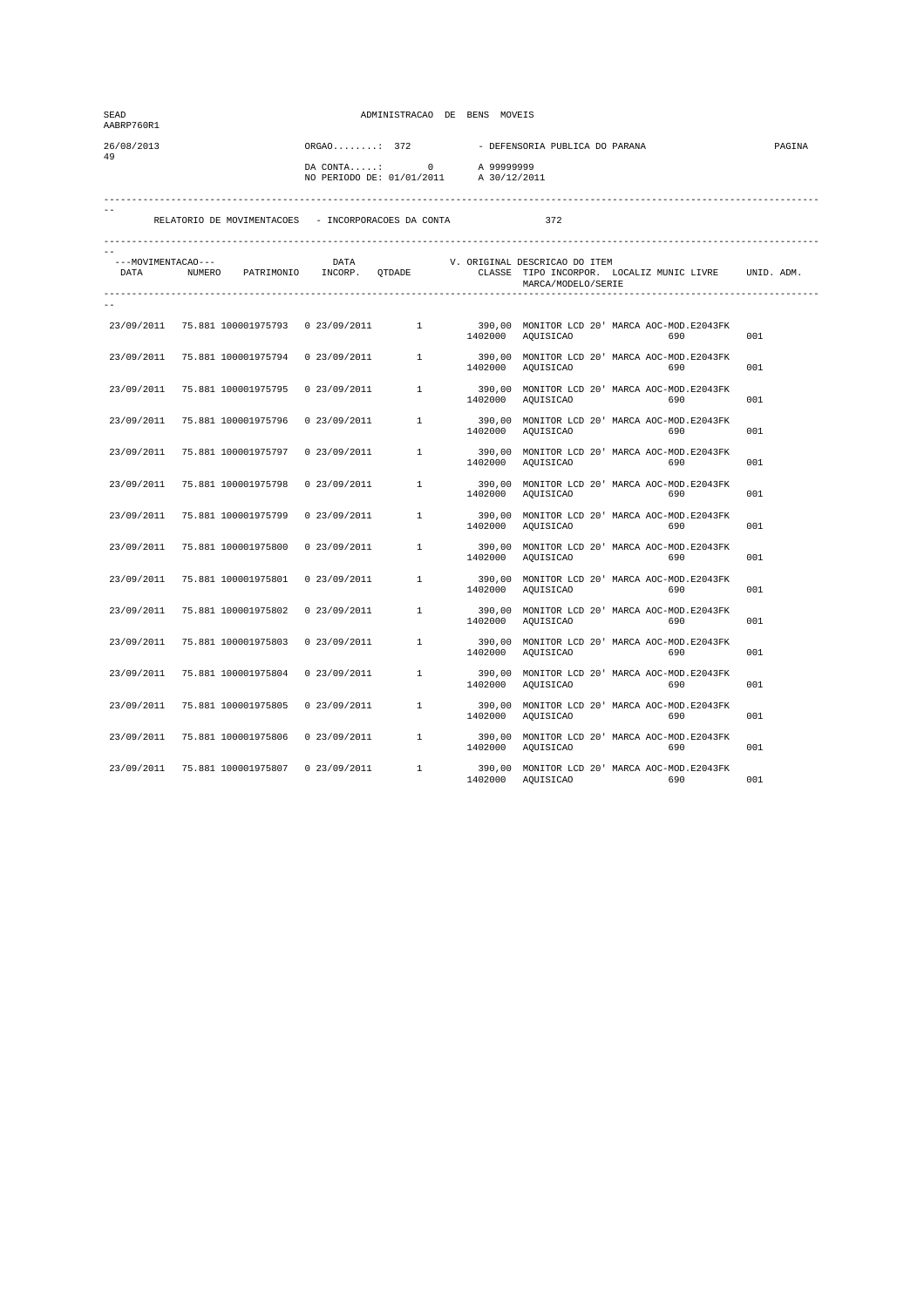| SEAD<br>AABRP760R1         |                                                     |                                                             | ADMINISTRACAO DE BENS MOVEIS |                     |                                                                                                                                                                  |     |  |
|----------------------------|-----------------------------------------------------|-------------------------------------------------------------|------------------------------|---------------------|------------------------------------------------------------------------------------------------------------------------------------------------------------------|-----|--|
| 26/08/2013<br>49           |                                                     | $ORGAO$ : 372<br>$DA$ CONTA: 0<br>NO PERIODO DE: 01/01/2011 |                              |                     | - DEFENSORIA PUBLICA DO PARANA<br>A 99999999<br>A 30/12/2011                                                                                                     |     |  |
|                            | RELATORIO DE MOVIMENTACOES - INCORPORACOES DA CONTA |                                                             |                              |                     | 372                                                                                                                                                              |     |  |
| ---MOVIMENTACAO---<br>DATA | NUMERO PATRIMONIO INCORP. QTDADE                    | DATA                                                        |                              |                     | V. ORIGINAL DESCRICAO DO ITEM<br>CLASSE TIPO INCORPOR. LOCALIZ MUNIC LIVRE UNID. ADM.<br>MARCA/MODELO/SERIE                                                      |     |  |
|                            | 23/09/2011 75.881 100001975793 0 23/09/2011         |                                                             | 1                            |                     | 390,00 MONITOR LCD 20' MARCA AOC-MOD.E2043FK<br>1402000 AQUISICAO<br>690                                                                                         | 001 |  |
| 23/09/2011                 | 75.881 100001975794                                 |                                                             |                              |                     | $\begin{array}{cccccc} 0& 23/09/2011 & 1 & 390,00 & \text{MONTOR LCD} & 20 \text{ ' MARCA AOC-MOD. E2043FK} \\ & & 1402000 & \text{AQUISICAO} & 690 \end{array}$ | 001 |  |
| 23/09/2011                 | 75.881 100001975795                                 | 0 23/09/2011                                                |                              | $\frac{1}{1402000}$ | 390,00 MONITOR LCD 20' MARCA AOC-MOD.E2043FK<br>AQUISICAO<br>690                                                                                                 | 001 |  |
| 23/09/2011                 | 75.881 100001975796                                 | 0 23/09/2011                                                |                              | 1402000             | 1 390,00 MONITOR LCD 20' MARCA AOC-MOD.E2043FK<br>AQUISICAO<br>690                                                                                               | 001 |  |
| 23/09/2011                 | 75.881 100001975797                                 | 0 23/09/2011                                                | $\mathbf{1}$                 | 1402000             | 390,00 MONITOR LCD 20' MARCA AOC-MOD.E2043FK<br>AQUISICAO<br>690                                                                                                 | 001 |  |
| 23/09/2011                 | 75.881 100001975798                                 | 0 23/09/2011                                                | 1                            | 1402000             | 390,00 MONITOR LCD 20' MARCA AOC-MOD.E2043FK<br>AQUISICAO<br>690                                                                                                 | 001 |  |
| 23/09/2011                 | 75.881 100001975799                                 | 0 23/09/2011                                                | 1                            | 1402000             | 390,00 MONITOR LCD 20' MARCA AOC-MOD.E2043FK<br>AQUISICAO<br>690                                                                                                 | 001 |  |
| 23/09/2011                 | 75.881 100001975800                                 | 0 23/09/2011                                                | 1                            | 1402000             | 390,00 MONITOR LCD 20' MARCA AOC-MOD. E2043FK<br>AQUISICAO<br>690                                                                                                | 001 |  |
| 23/09/2011                 | 75.881 100001975801                                 | 0 23/09/2011                                                | $\mathbf{1}$                 | 1402000             | 390,00 MONITOR LCD 20' MARCA AOC-MOD.E2043FK<br>AQUISICAO<br>690                                                                                                 | 001 |  |
| 23/09/2011                 | 75.881 100001975802                                 | 0 23/09/2011                                                | 1                            |                     | 390,00 MONITOR LCD 20' MARCA AOC-MOD.E2043FK<br>1402000 AQUISICAO<br>690                                                                                         | 001 |  |
| 23/09/2011                 | 75.881 100001975803                                 | 0 23/09/2011                                                | 1                            | 1402000             | 390,00 MONITOR LCD 20' MARCA AOC-MOD.E2043FK<br>AQUISICAO<br>690                                                                                                 | 001 |  |
| 23/09/2011                 | 75.881 100001975804                                 | 0 23/09/2011                                                | $1 \quad$                    | 1402000             | 390,00 MONITOR LCD 20' MARCA AOC-MOD.E2043FK<br>AQUISICAO<br>690                                                                                                 | 001 |  |
| 23/09/2011                 | 75.881 100001975805                                 | 0 23/09/2011                                                | 1                            |                     | 390,00 MONITOR LCD 20' MARCA AOC-MOD.E2043FK<br>1402000 AQUISICAO<br>690                                                                                         | 001 |  |
| 23/09/2011                 | 75.881 100001975806                                 | 0 23/09/2011                                                | 1                            | 1402000             | 390,00 MONITOR LCD 20' MARCA AOC-MOD.E2043FK<br>AQUISICAO<br>690                                                                                                 | 001 |  |
| 23/09/2011                 | 75.881 100001975807                                 | 0 23/09/2011                                                | <sup>1</sup>                 | 1402000             | 390,00 MONITOR LCD 20' MARCA AOC-MOD.E2043FK<br>AQUISICAO<br>690                                                                                                 | 001 |  |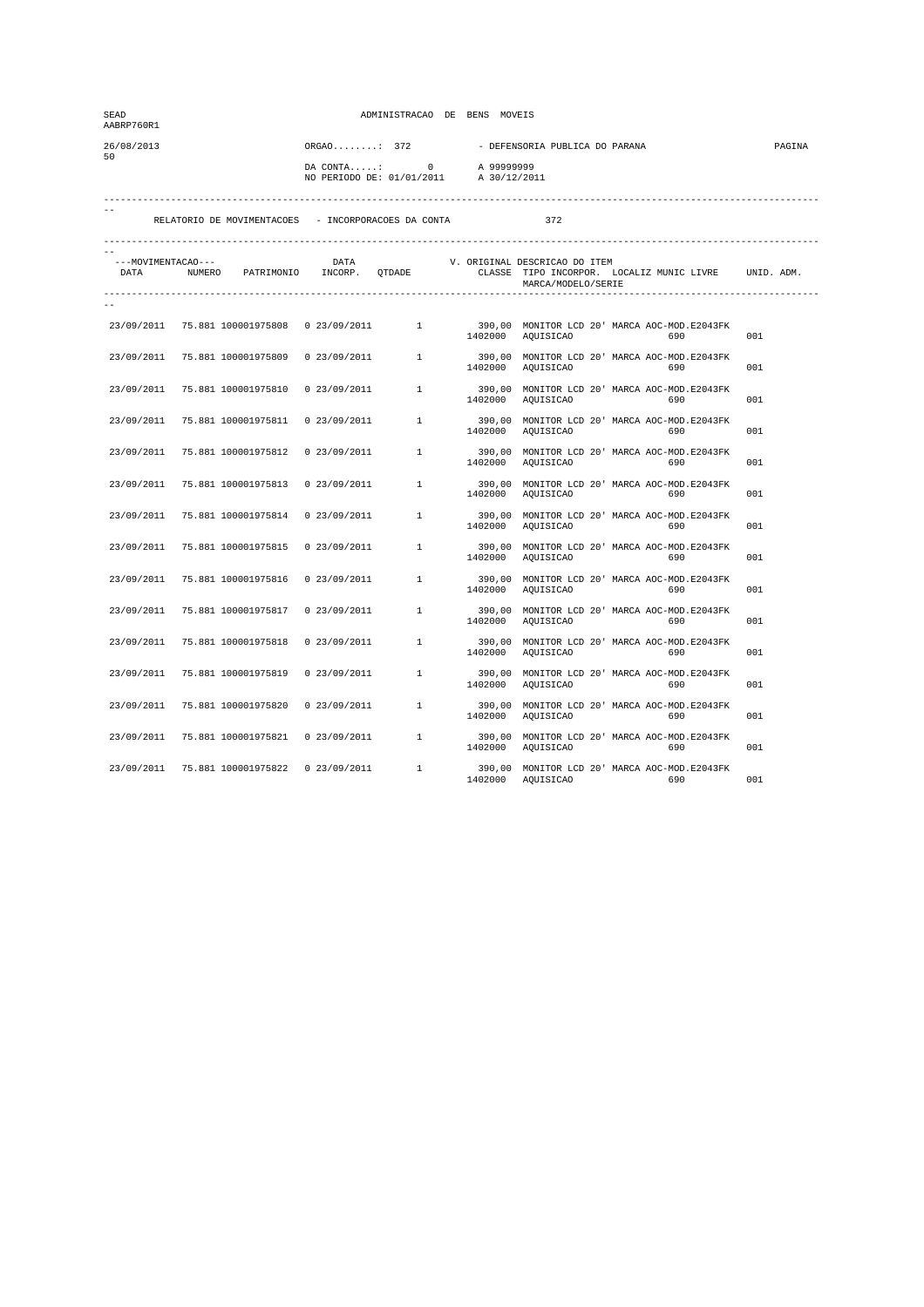| SEAD<br>AABRP760R1         |                                                     |                                                             | ADMINISTRACAO DE BENS MOVEIS |         |                                                                                                             |     |  |
|----------------------------|-----------------------------------------------------|-------------------------------------------------------------|------------------------------|---------|-------------------------------------------------------------------------------------------------------------|-----|--|
| 26/08/2013<br>50           |                                                     | $ORGAO$ : 372<br>$DA$ CONTA: 0<br>NO PERIODO DE: 01/01/2011 |                              |         | - DEFENSORIA PUBLICA DO PARANA<br>A 99999999<br>A 30/12/2011                                                |     |  |
|                            | RELATORIO DE MOVIMENTACOES - INCORPORACOES DA CONTA |                                                             |                              |         | 372                                                                                                         |     |  |
| ---MOVIMENTACAO---<br>DATA | NUMERO PATRIMONIO INCORP. QTDADE                    | DATA                                                        |                              |         | V. ORIGINAL DESCRICAO DO ITEM<br>CLASSE TIPO INCORPOR. LOCALIZ MUNIC LIVRE UNID. ADM.<br>MARCA/MODELO/SERIE |     |  |
|                            | 23/09/2011 75.881 100001975808                      | 0 23/09/2011                                                | 1                            |         | 390,00 MONITOR LCD 20' MARCA AOC-MOD.E2043FK<br>1402000 AQUISICAO<br>690                                    | 001 |  |
| 23/09/2011                 | 75.881 100001975809                                 | 0 23/09/2011                                                | $\mathbf{1}$                 |         | 390,00 MONITOR LCD 20' MARCA AOC-MOD.E2043FK<br>1402000 AQUISICAO<br>690                                    | 001 |  |
| 23/09/2011                 | 75.881 100001975810                                 | 0 23/09/2011                                                | $1 \quad$                    | 1402000 | 390,00 MONITOR LCD 20' MARCA AOC-MOD.E2043FK<br>AQUISICAO<br>690                                            | 001 |  |
| 23/09/2011                 | 75.881 100001975811                                 | 0 23/09/2011                                                | 1                            | 1402000 | 390,00 MONITOR LCD 20' MARCA AOC-MOD.E2043FK<br>AQUISICAO<br>690                                            | 001 |  |
| 23/09/2011                 | 75.881 100001975812                                 | 0.23/09/2011                                                | $\mathbf{1}$                 | 1402000 | 390,00 MONITOR LCD 20' MARCA AOC-MOD.E2043FK<br>AQUISICAO<br>690                                            | 001 |  |
| 23/09/2011                 | 75.881 100001975813                                 | 0 23/09/2011                                                | 1                            | 1402000 | 390,00 MONITOR LCD 20' MARCA AOC-MOD.E2043FK<br>AQUISICAO<br>690                                            | 001 |  |
| 23/09/2011                 | 75.881 100001975814                                 | 0 23/09/2011                                                | 1                            | 1402000 | 390,00 MONITOR LCD 20' MARCA AOC-MOD.E2043FK<br>AQUISICAO<br>690                                            | 001 |  |
| 23/09/2011                 | 75.881 100001975815                                 | 0 23/09/2011                                                | $1 \quad$                    | 1402000 | 390,00 MONITOR LCD 20' MARCA AOC-MOD.E2043FK<br>AQUISICAO<br>690                                            | 001 |  |
| 23/09/2011                 | 75.881 100001975816                                 | 0.23/09/2011                                                | $\mathbf{1}$                 | 1402000 | 390,00 MONITOR LCD 20' MARCA AOC-MOD.E2043FK<br>AQUISICAO<br>690                                            | 001 |  |
| 23/09/2011                 | 75.881 100001975817                                 | 0.23/09/2011                                                | $\mathbf{1}$                 |         | 390,00 MONITOR LCD 20' MARCA AOC-MOD.E2043FK<br>1402000 AQUISICAO<br>690                                    | 001 |  |
| 23/09/2011                 | 75.881 100001975818                                 | 0 23/09/2011                                                | $\mathbf{1}$                 | 1402000 | 390,00 MONITOR LCD 20' MARCA AOC-MOD.E2043FK<br>AQUISICAO<br>690                                            | 001 |  |
| 23/09/2011                 | 75.881 100001975819                                 | 0 23/09/2011                                                | $1 \quad$                    | 1402000 | 390,00 MONITOR LCD 20' MARCA AOC-MOD.E2043FK<br>AQUISICAO<br>690                                            | 001 |  |
| 23/09/2011                 | 75.881 100001975820                                 | 0 23/09/2011                                                | $\mathbf{1}$                 |         | 390,00 MONITOR LCD 20' MARCA AOC-MOD.E2043FK<br>1402000 AQUISICAO<br>690                                    | 001 |  |
| 23/09/2011                 | 75.881 100001975821                                 | 0.23/09/2011                                                | $\mathbf{1}$                 | 1402000 | 390,00 MONITOR LCD 20' MARCA AOC-MOD.E2043FK<br>AQUISICAO<br>690                                            | 001 |  |
| 23/09/2011                 | 75.881 100001975822                                 | 0.23/09/2011                                                | 1                            | 1402000 | 390,00 MONITOR LCD 20' MARCA AOC-MOD.E2043FK<br>690<br>AQUISICAO                                            | 001 |  |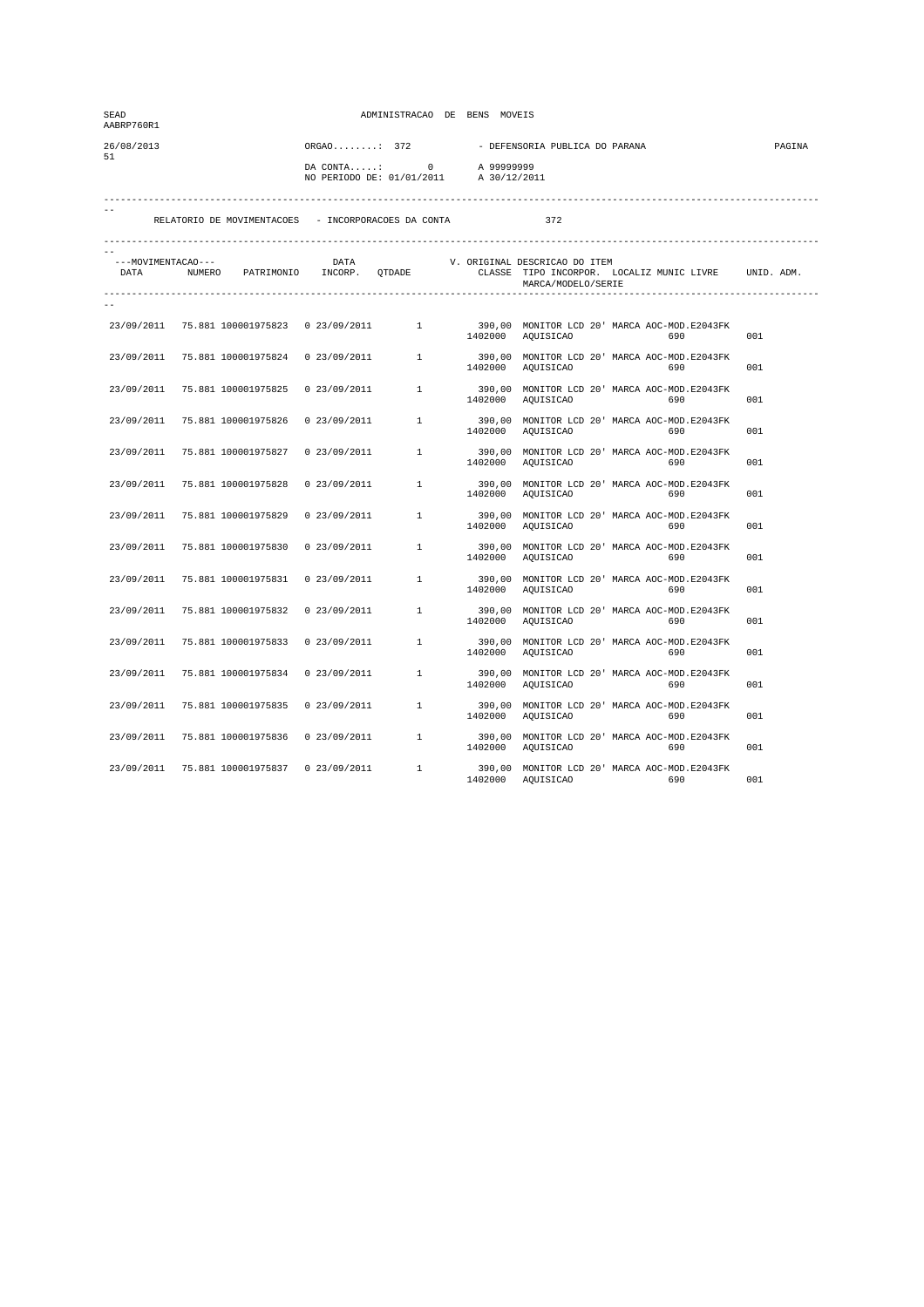| SEAD<br>AABRP760R1         |                                                     |                                                             | ADMINISTRACAO DE BENS MOVEIS |                     |                                                                                                                                                                   |     |  |  |
|----------------------------|-----------------------------------------------------|-------------------------------------------------------------|------------------------------|---------------------|-------------------------------------------------------------------------------------------------------------------------------------------------------------------|-----|--|--|
| 26/08/2013<br>51           |                                                     | $ORGAO$ : 372<br>$DA$ CONTA: 0<br>NO PERIODO DE: 01/01/2011 |                              |                     | - DEFENSORIA PUBLICA DO PARANA<br>A 99999999<br>A 30/12/2011                                                                                                      |     |  |  |
|                            | RELATORIO DE MOVIMENTACOES - INCORPORACOES DA CONTA |                                                             |                              |                     | 372                                                                                                                                                               |     |  |  |
| ---MOVIMENTACAO---<br>DATA | NUMERO PATRIMONIO INCORP. QTDADE                    | DATA                                                        |                              |                     | V. ORIGINAL DESCRICAO DO ITEM<br>CLASSE TIPO INCORPOR. LOCALIZ MUNIC LIVRE UNID. ADM.<br>MARCA/MODELO/SERIE                                                       |     |  |  |
|                            | 23/09/2011 75.881 100001975823 0 23/09/2011         |                                                             | 1                            |                     | 390,00 MONITOR LCD 20' MARCA AOC-MOD.E2043FK<br>1402000 AQUISICAO<br>690                                                                                          | 001 |  |  |
| 23/09/2011                 | 75.881 100001975824                                 |                                                             |                              |                     | $\begin{array}{cccc} 0 & 23/09/2011 & 1 & 390,00 & \text{MONTOR LCD} & 20 \text{ ' MARC A } AOC-MOD. E2043FK \\ & & 1402000 & \text{AQUISICAO} & 690 \end{array}$ | 001 |  |  |
| 23/09/2011                 | 75.881 100001975825                                 | 0 23/09/2011                                                |                              | $\frac{1}{1402000}$ | 390,00 MONITOR LCD 20' MARCA AOC-MOD.E2043FK<br>AQUISICAO<br>690                                                                                                  | 001 |  |  |
| 23/09/2011                 | 75.881 100001975826                                 | 0 23/09/2011                                                |                              | 1402000             | 1 390,00 MONITOR LCD 20' MARCA AOC-MOD.E2043FK<br>AQUISICAO<br>690                                                                                                | 001 |  |  |
| 23/09/2011                 | 75.881 100001975827                                 | 0 23/09/2011                                                | $\mathbf{1}$                 | 1402000             | 390,00 MONITOR LCD 20' MARCA AOC-MOD.E2043FK<br>AQUISICAO<br>690                                                                                                  | 001 |  |  |
| 23/09/2011                 | 75.881 100001975828                                 | 0 23/09/2011                                                | 1                            | 1402000             | 390,00 MONITOR LCD 20' MARCA AOC-MOD.E2043FK<br>AQUISICAO<br>690                                                                                                  | 001 |  |  |
| 23/09/2011                 | 75.881 100001975829                                 | 0 23/09/2011                                                | 1                            | 1402000             | 390,00 MONITOR LCD 20' MARCA AOC-MOD.E2043FK<br>AQUISICAO<br>690                                                                                                  | 001 |  |  |
| 23/09/2011                 | 75.881 100001975830                                 | 0 23/09/2011                                                | 1                            | 1402000             | 390,00 MONITOR LCD 20' MARCA AOC-MOD. E2043FK<br>AQUISICAO<br>690                                                                                                 | 001 |  |  |
| 23/09/2011                 | 75.881 100001975831                                 | 0 23/09/2011                                                | $\mathbf{1}$                 | 1402000             | 390,00 MONITOR LCD 20' MARCA AOC-MOD.E2043FK<br>AQUISICAO<br>690                                                                                                  | 001 |  |  |
| 23/09/2011                 | 75.881 100001975832                                 | 0 23/09/2011                                                | 1                            |                     | 390,00 MONITOR LCD 20' MARCA AOC-MOD.E2043FK<br>1402000 AQUISICAO<br>690                                                                                          | 001 |  |  |
| 23/09/2011                 | 75.881 100001975833                                 | 0 23/09/2011                                                | 1                            | 1402000             | 390,00 MONITOR LCD 20' MARCA AOC-MOD.E2043FK<br>AQUISICAO<br>690                                                                                                  | 001 |  |  |
| 23/09/2011                 | 75.881 100001975834                                 | 0 23/09/2011                                                | $1 \quad$                    | 1402000             | 390,00 MONITOR LCD 20' MARCA AOC-MOD.E2043FK<br>AQUISICAO<br>690                                                                                                  | 001 |  |  |
| 23/09/2011                 | 75.881 100001975835                                 | 0 23/09/2011                                                | 1                            |                     | 390,00 MONITOR LCD 20' MARCA AOC-MOD.E2043FK<br>1402000 AQUISICAO<br>690                                                                                          | 001 |  |  |
| 23/09/2011                 | 75.881 100001975836                                 | 0 23/09/2011                                                | 1                            | 1402000             | 390,00 MONITOR LCD 20' MARCA AOC-MOD.E2043FK<br>AQUISICAO<br>690                                                                                                  | 001 |  |  |
| 23/09/2011                 | 75.881 100001975837                                 | 0 23/09/2011                                                | <sup>1</sup>                 | 1402000             | 390,00 MONITOR LCD 20' MARCA AOC-MOD.E2043FK<br>AQUISICAO<br>690                                                                                                  | 001 |  |  |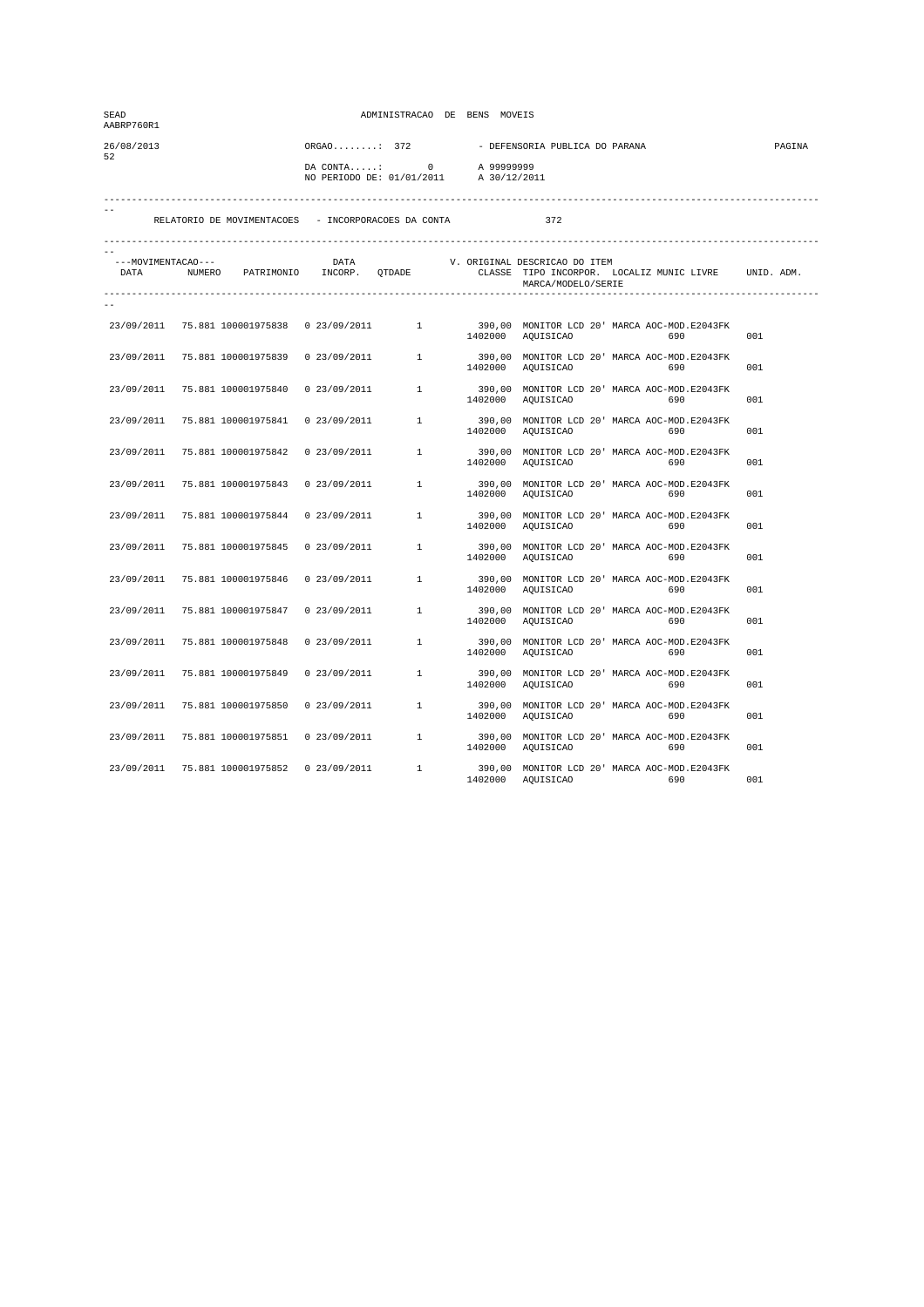| SEAD<br>AABRP760R1         |                                                     |                                                             | ADMINISTRACAO DE BENS MOVEIS |                     |                                                                                                                                                                  |     |  |
|----------------------------|-----------------------------------------------------|-------------------------------------------------------------|------------------------------|---------------------|------------------------------------------------------------------------------------------------------------------------------------------------------------------|-----|--|
| 26/08/2013<br>52           |                                                     | $ORGAO$ : 372<br>$DA$ CONTA: 0<br>NO PERIODO DE: 01/01/2011 |                              |                     | - DEFENSORIA PUBLICA DO PARANA<br>A 99999999<br>A 30/12/2011                                                                                                     |     |  |
|                            | RELATORIO DE MOVIMENTACOES - INCORPORACOES DA CONTA |                                                             |                              |                     | 372                                                                                                                                                              |     |  |
| ---MOVIMENTACAO---<br>DATA | NUMERO PATRIMONIO INCORP. QTDADE                    | DATA                                                        |                              |                     | V. ORIGINAL DESCRICAO DO ITEM<br>CLASSE TIPO INCORPOR. LOCALIZ MUNIC LIVRE UNID. ADM.<br>MARCA/MODELO/SERIE                                                      |     |  |
|                            | 23/09/2011 75.881 100001975838 0 23/09/2011         |                                                             | 1                            |                     | 390,00 MONITOR LCD 20' MARCA AOC-MOD.E2043FK<br>1402000 AQUISICAO<br>690                                                                                         | 001 |  |
| 23/09/2011                 | 75.881 100001975839                                 |                                                             |                              |                     | $\begin{array}{cccccc} 0& 23/09/2011 & 1 & 390,00 & \text{MONTOR LCD} & 20 \text{ ' MARCA AOC-MOD. E2043FK} \\ & & 1402000 & \text{AQUISICAO} & 690 \end{array}$ | 001 |  |
| 23/09/2011                 | 75.881 100001975840                                 | 0 23/09/2011                                                |                              | $\frac{1}{1402000}$ | 390,00 MONITOR LCD 20' MARCA AOC-MOD.E2043FK<br>AQUISICAO<br>690                                                                                                 | 001 |  |
| 23/09/2011                 | 75.881 100001975841                                 | 0 23/09/2011                                                |                              | 1402000             | 1 390,00 MONITOR LCD 20' MARCA AOC-MOD.E2043FK<br>AQUISICAO<br>690                                                                                               | 001 |  |
| 23/09/2011                 | 75.881 100001975842                                 | 0 23/09/2011                                                | $\mathbf{1}$                 | 1402000             | 390,00 MONITOR LCD 20' MARCA AOC-MOD.E2043FK<br>AQUISICAO<br>690                                                                                                 | 001 |  |
| 23/09/2011                 | 75.881 100001975843                                 | 0 23/09/2011                                                | 1                            | 1402000             | 390,00 MONITOR LCD 20' MARCA AOC-MOD.E2043FK<br>AQUISICAO<br>690                                                                                                 | 001 |  |
| 23/09/2011                 | 75.881 100001975844                                 | 0 23/09/2011                                                | 1                            | 1402000             | 390,00 MONITOR LCD 20' MARCA AOC-MOD.E2043FK<br>AQUISICAO<br>690                                                                                                 | 001 |  |
| 23/09/2011                 | 75.881 100001975845                                 | 0 23/09/2011                                                | 1                            | 1402000             | 390,00 MONITOR LCD 20' MARCA AOC-MOD.E2043FK<br>AQUISICAO<br>690                                                                                                 | 001 |  |
| 23/09/2011                 | 75.881 100001975846                                 | 0 23/09/2011                                                | $\mathbf{1}$                 | 1402000             | 390,00 MONITOR LCD 20' MARCA AOC-MOD.E2043FK<br>AQUISICAO<br>690                                                                                                 | 001 |  |
| 23/09/2011                 | 75.881 100001975847                                 | 0 23/09/2011                                                | 1                            |                     | 390,00 MONITOR LCD 20' MARCA AOC-MOD.E2043FK<br>1402000 AQUISICAO<br>690                                                                                         | 001 |  |
| 23/09/2011                 | 75.881 100001975848                                 | 0 23/09/2011                                                | 1                            | 1402000             | 390,00 MONITOR LCD 20' MARCA AOC-MOD.E2043FK<br>AQUISICAO<br>690                                                                                                 | 001 |  |
| 23/09/2011                 | 75.881 100001975849                                 | 0 23/09/2011                                                | $1 \quad$                    | 1402000             | 390,00 MONITOR LCD 20' MARCA AOC-MOD.E2043FK<br>AQUISICAO<br>690                                                                                                 | 001 |  |
| 23/09/2011                 | 75.881 100001975850                                 | 0 23/09/2011                                                | 1                            |                     | 390,00 MONITOR LCD 20' MARCA AOC-MOD.E2043FK<br>1402000 AQUISICAO<br>690                                                                                         | 001 |  |
| 23/09/2011                 | 75.881 100001975851                                 | 0 23/09/2011                                                | 1                            | 1402000             | 390,00 MONITOR LCD 20' MARCA AOC-MOD.E2043FK<br>AQUISICAO<br>690                                                                                                 | 001 |  |
| 23/09/2011                 | 75.881 100001975852                                 | 0 23/09/2011                                                | <sup>1</sup>                 | 1402000             | 390,00 MONITOR LCD 20' MARCA AOC-MOD.E2043FK<br>AQUISICAO<br>690                                                                                                 | 001 |  |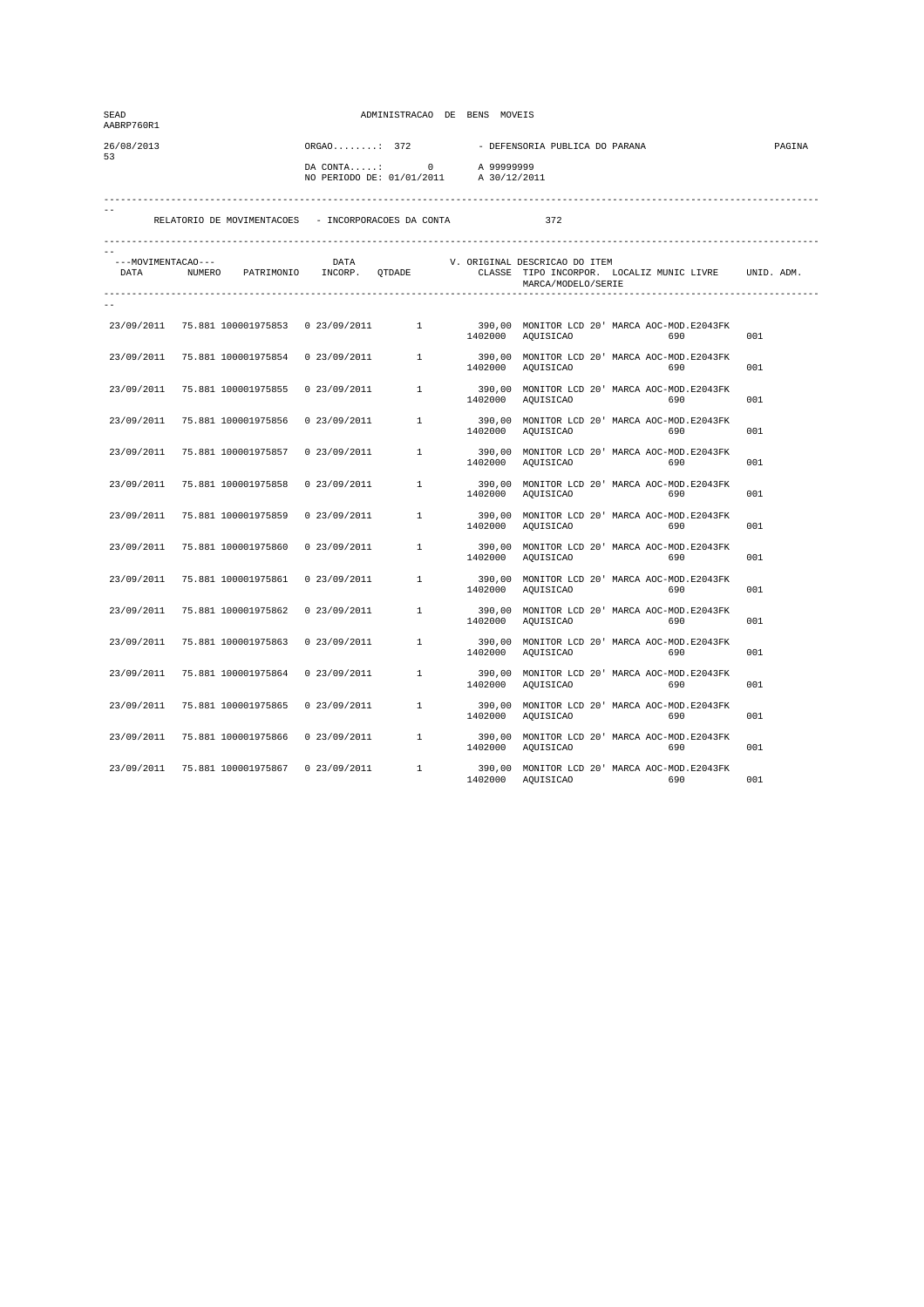| SEAD<br>AABRP760R1         |                                                     |                                                             | ADMINISTRACAO DE BENS MOVEIS |                     |                                                                                                                                                                   |     |  |  |
|----------------------------|-----------------------------------------------------|-------------------------------------------------------------|------------------------------|---------------------|-------------------------------------------------------------------------------------------------------------------------------------------------------------------|-----|--|--|
| 26/08/2013<br>53           |                                                     | $ORGAO$ : 372<br>$DA$ CONTA: 0<br>NO PERIODO DE: 01/01/2011 |                              |                     | - DEFENSORIA PUBLICA DO PARANA<br>A 99999999<br>A 30/12/2011                                                                                                      |     |  |  |
|                            | RELATORIO DE MOVIMENTACOES - INCORPORACOES DA CONTA |                                                             |                              |                     | 372                                                                                                                                                               |     |  |  |
| ---MOVIMENTACAO---<br>DATA | NUMERO PATRIMONIO INCORP. QTDADE                    | DATA                                                        |                              |                     | V. ORIGINAL DESCRICAO DO ITEM<br>CLASSE TIPO INCORPOR. LOCALIZ MUNIC LIVRE UNID. ADM.<br>MARCA/MODELO/SERIE                                                       |     |  |  |
|                            | 23/09/2011 75.881 100001975853 0 23/09/2011         |                                                             | 1                            |                     | 390,00 MONITOR LCD 20' MARCA AOC-MOD.E2043FK<br>1402000 AQUISICAO<br>690                                                                                          | 001 |  |  |
| 23/09/2011                 | 75.881 100001975854                                 |                                                             |                              |                     | $\begin{array}{cccc} 0 & 23/09/2011 & 1 & 390,00 & \text{MONTOR LCD} & 20 \text{ ' MARC A } AOC-MOD. E2043FK \\ & & 1402000 & \text{AQUISICAO} & 690 \end{array}$ | 001 |  |  |
| 23/09/2011                 | 75.881 100001975855                                 | 0 23/09/2011                                                |                              | $\frac{1}{1402000}$ | 390,00 MONITOR LCD 20' MARCA AOC-MOD.E2043FK<br>AQUISICAO<br>690                                                                                                  | 001 |  |  |
| 23/09/2011                 | 75.881 100001975856                                 | 0 23/09/2011                                                |                              | 1402000             | 1 390,00 MONITOR LCD 20' MARCA AOC-MOD.E2043FK<br>AQUISICAO<br>690                                                                                                | 001 |  |  |
| 23/09/2011                 | 75.881 100001975857                                 | 0 23/09/2011                                                | $\mathbf{1}$                 | 1402000             | 390,00 MONITOR LCD 20' MARCA AOC-MOD.E2043FK<br>AQUISICAO<br>690                                                                                                  | 001 |  |  |
| 23/09/2011                 | 75.881 100001975858                                 | 0 23/09/2011                                                | 1                            | 1402000             | 390,00 MONITOR LCD 20' MARCA AOC-MOD.E2043FK<br>AQUISICAO<br>690                                                                                                  | 001 |  |  |
| 23/09/2011                 | 75.881 100001975859                                 | 0 23/09/2011                                                | 1                            | 1402000             | 390,00 MONITOR LCD 20' MARCA AOC-MOD.E2043FK<br>AQUISICAO<br>690                                                                                                  | 001 |  |  |
| 23/09/2011                 | 75.881 100001975860                                 | 0 23/09/2011                                                | 1                            | 1402000             | 390,00 MONITOR LCD 20' MARCA AOC-MOD. E2043FK<br>AQUISICAO<br>690                                                                                                 | 001 |  |  |
| 23/09/2011                 | 75.881 100001975861                                 | 0 23/09/2011                                                | $\mathbf{1}$                 | 1402000             | 390,00 MONITOR LCD 20' MARCA AOC-MOD.E2043FK<br>AQUISICAO<br>690                                                                                                  | 001 |  |  |
| 23/09/2011                 | 75.881 100001975862                                 | 0 23/09/2011                                                | 1                            |                     | 390,00 MONITOR LCD 20' MARCA AOC-MOD.E2043FK<br>1402000 AQUISICAO<br>690                                                                                          | 001 |  |  |
| 23/09/2011                 | 75.881 100001975863                                 | 0 23/09/2011                                                | 1                            | 1402000             | 390,00 MONITOR LCD 20' MARCA AOC-MOD.E2043FK<br>AQUISICAO<br>690                                                                                                  | 001 |  |  |
| 23/09/2011                 | 75.881 100001975864                                 | 0 23/09/2011                                                | $1 \quad$                    | 1402000             | 390,00 MONITOR LCD 20' MARCA AOC-MOD.E2043FK<br>AQUISICAO<br>690                                                                                                  | 001 |  |  |
| 23/09/2011                 | 75.881 100001975865                                 | 0 23/09/2011                                                | 1                            |                     | 390,00 MONITOR LCD 20' MARCA AOC-MOD.E2043FK<br>1402000 AQUISICAO<br>690                                                                                          | 001 |  |  |
| 23/09/2011                 | 75.881 100001975866                                 | 0 23/09/2011                                                | 1                            | 1402000             | 390,00 MONITOR LCD 20' MARCA AOC-MOD.E2043FK<br>AQUISICAO<br>690                                                                                                  | 001 |  |  |
| 23/09/2011                 | 75.881 100001975867                                 | 0 23/09/2011                                                | <sup>1</sup>                 | 1402000             | 390,00 MONITOR LCD 20' MARCA AOC-MOD.E2043FK<br>AQUISICAO<br>690                                                                                                  | 001 |  |  |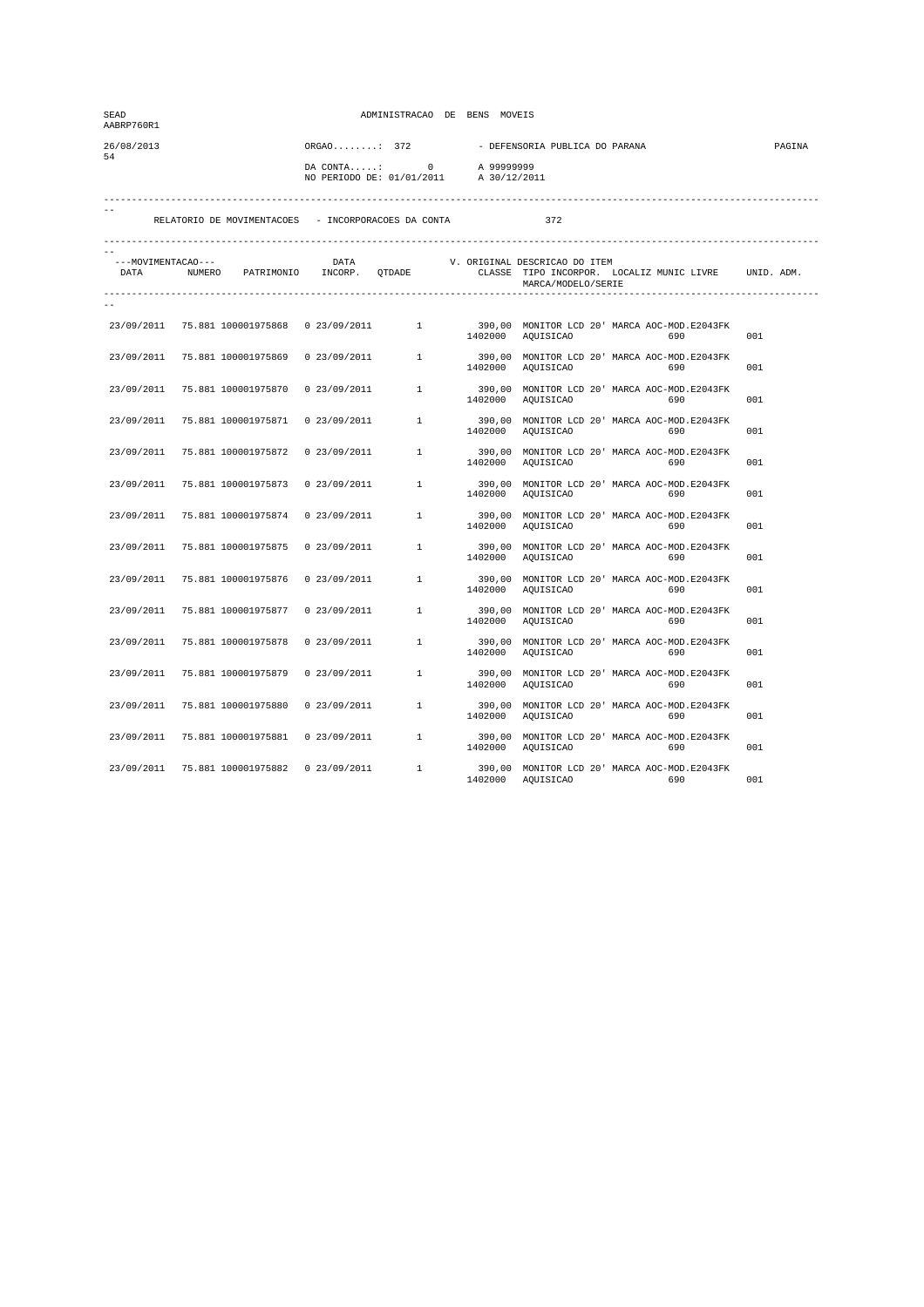| SEAD<br>AABRP760R1         |                                                     |               | ADMINISTRACAO DE BENS MOVEIS               |         |                                                                                                             |     |  |
|----------------------------|-----------------------------------------------------|---------------|--------------------------------------------|---------|-------------------------------------------------------------------------------------------------------------|-----|--|
| 26/08/2013<br>54           |                                                     | $ORGAO$ : 372 | $DA$ CONTA: 0<br>NO PERIODO DE: 01/01/2011 |         | - DEFENSORIA PUBLICA DO PARANA<br>A 99999999<br>A 30/12/2011                                                |     |  |
|                            | RELATORIO DE MOVIMENTACOES - INCORPORACOES DA CONTA |               |                                            |         | 372                                                                                                         |     |  |
| ---MOVIMENTACAO---<br>DATA | NUMERO PATRIMONIO INCORP. QTDADE                    | DATA          |                                            |         | V. ORIGINAL DESCRICAO DO ITEM<br>CLASSE TIPO INCORPOR. LOCALIZ MUNIC LIVRE UNID. ADM.<br>MARCA/MODELO/SERIE |     |  |
|                            | 23/09/2011 75.881 100001975868                      | 0 23/09/2011  | $\frac{1}{2}$                              |         | 390,00 MONITOR LCD 20' MARCA AOC-MOD.E2043FK<br>1402000 AQUISICAO<br>690                                    | 001 |  |
| 23/09/2011                 | 75.881 100001975869                                 | 0 23/09/2011  | $\mathbf{1}$                               |         | 390,00 MONITOR LCD 20' MARCA AOC-MOD.E2043FK<br>1402000 AQUISICAO<br>690                                    | 001 |  |
| 23/09/2011                 | 75.881 100001975870                                 | 0 23/09/2011  | $1 \quad$                                  | 1402000 | 390,00 MONITOR LCD 20' MARCA AOC-MOD.E2043FK<br>AQUISICAO<br>690                                            | 001 |  |
| 23/09/2011                 | 75.881 100001975871                                 | 0 23/09/2011  | 1                                          | 1402000 | 390,00 MONITOR LCD 20' MARCA AOC-MOD.E2043FK<br>AQUISICAO<br>690                                            | 001 |  |
| 23/09/2011                 | 75.881 100001975872                                 | 0.23/09/2011  | $\mathbf{1}$                               | 1402000 | 390,00 MONITOR LCD 20' MARCA AOC-MOD.E2043FK<br>AQUISICAO<br>690                                            | 001 |  |
| 23/09/2011                 | 75.881 100001975873                                 | 0 23/09/2011  | 1                                          | 1402000 | 390,00 MONITOR LCD 20' MARCA AOC-MOD.E2043FK<br>AQUISICAO<br>690                                            | 001 |  |
| 23/09/2011                 | 75.881 100001975874                                 | 0 23/09/2011  | 1                                          | 1402000 | 390,00 MONITOR LCD 20' MARCA AOC-MOD.E2043FK<br>AQUISICAO<br>690                                            | 001 |  |
| 23/09/2011                 | 75.881 100001975875                                 | 0 23/09/2011  | $1 \quad$                                  | 1402000 | 390,00 MONITOR LCD 20' MARCA AOC-MOD.E2043FK<br>AQUISICAO<br>690                                            | 001 |  |
| 23/09/2011                 | 75.881 100001975876                                 | 0.23/09/2011  | $\mathbf{1}$                               | 1402000 | 390,00 MONITOR LCD 20' MARCA AOC-MOD.E2043FK<br>AQUISICAO<br>690                                            | 001 |  |
| 23/09/2011                 | 75.881 100001975877                                 | 0.23/09/2011  | $\mathbf{1}$                               |         | 390,00 MONITOR LCD 20' MARCA AOC-MOD.E2043FK<br>1402000 AQUISICAO<br>690                                    | 001 |  |
| 23/09/2011                 | 75.881 100001975878                                 | 0 23/09/2011  | $\mathbf{1}$                               | 1402000 | 390,00 MONITOR LCD 20' MARCA AOC-MOD.E2043FK<br>AQUISICAO<br>690                                            | 001 |  |
| 23/09/2011                 | 75.881 100001975879                                 | 0 23/09/2011  | $1 \quad$                                  | 1402000 | 390,00 MONITOR LCD 20' MARCA AOC-MOD.E2043FK<br>AQUISICAO<br>690                                            | 001 |  |
| 23/09/2011                 | 75.881 100001975880                                 | 0 23/09/2011  | $\mathbf{1}$                               |         | 390,00 MONITOR LCD 20' MARCA AOC-MOD.E2043FK<br>1402000 AQUISICAO<br>690                                    | 001 |  |
| 23/09/2011                 | 75.881 100001975881                                 | 0.23/09/2011  | $\mathbf{1}$                               | 1402000 | 390,00 MONITOR LCD 20' MARCA AOC-MOD.E2043FK<br>AQUISICAO<br>690                                            | 001 |  |
| 23/09/2011                 | 75.881 100001975882                                 | 0.23/09/2011  | 1                                          | 1402000 | 390,00 MONITOR LCD 20' MARCA AOC-MOD.E2043FK<br>690<br>AQUISICAO                                            | 001 |  |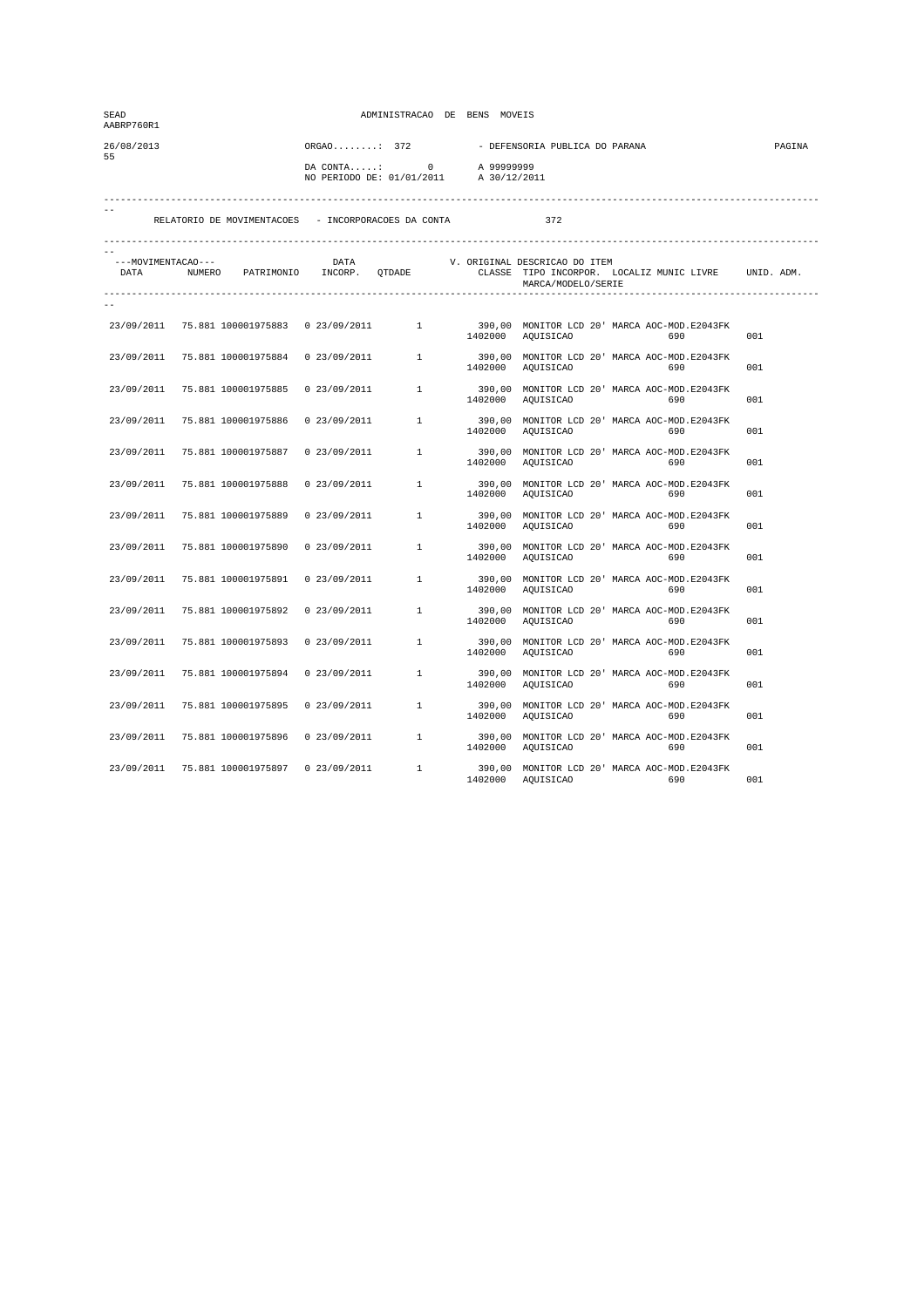| SEAD<br>AABRP760R1         |                                                     |                                                             | ADMINISTRACAO DE BENS MOVEIS |                     |                                                                                                                                                                   |     |  |
|----------------------------|-----------------------------------------------------|-------------------------------------------------------------|------------------------------|---------------------|-------------------------------------------------------------------------------------------------------------------------------------------------------------------|-----|--|
| 26/08/2013<br>55           |                                                     | $ORGAO$ : 372<br>$DA$ CONTA: 0<br>NO PERIODO DE: 01/01/2011 |                              |                     | - DEFENSORIA PUBLICA DO PARANA<br>A 99999999<br>A 30/12/2011                                                                                                      |     |  |
|                            | RELATORIO DE MOVIMENTACOES - INCORPORACOES DA CONTA |                                                             |                              |                     | 372                                                                                                                                                               |     |  |
| ---MOVIMENTACAO---<br>DATA | NUMERO PATRIMONIO INCORP. QTDADE                    | DATA                                                        |                              |                     | V. ORIGINAL DESCRICAO DO ITEM<br>CLASSE TIPO INCORPOR. LOCALIZ MUNIC LIVRE UNID. ADM.<br>MARCA/MODELO/SERIE                                                       |     |  |
|                            | 23/09/2011 75.881 100001975883 0 23/09/2011         |                                                             | 1                            |                     | 390,00 MONITOR LCD 20' MARCA AOC-MOD.E2043FK<br>1402000 AQUISICAO<br>690                                                                                          | 001 |  |
| 23/09/2011                 | 75.881 100001975884                                 |                                                             |                              |                     | $\begin{array}{cccc} 0 & 23/09/2011 & 1 & 390,00 & \text{MONTOR LCD} & 20 \text{ ' MARC A } AOC-MOD. E2043FK \\ & & 1402000 & \text{AQUISICAO} & 690 \end{array}$ | 001 |  |
| 23/09/2011                 | 75.881 100001975885                                 | 0 23/09/2011                                                |                              | $\frac{1}{1402000}$ | 390,00 MONITOR LCD 20' MARCA AOC-MOD.E2043FK<br>AQUISICAO<br>690                                                                                                  | 001 |  |
| 23/09/2011                 | 75.881 100001975886                                 | 0 23/09/2011                                                |                              | 1402000             | 1 390,00 MONITOR LCD 20' MARCA AOC-MOD.E2043FK<br>AQUISICAO<br>690                                                                                                | 001 |  |
| 23/09/2011                 | 75.881 100001975887                                 | 0 23/09/2011                                                | $\mathbf{1}$                 | 1402000             | 390,00 MONITOR LCD 20' MARCA AOC-MOD.E2043FK<br>AQUISICAO<br>690                                                                                                  | 001 |  |
| 23/09/2011                 | 75.881 100001975888                                 | 0 23/09/2011                                                | 1                            | 1402000             | 390,00 MONITOR LCD 20' MARCA AOC-MOD.E2043FK<br>AQUISICAO<br>690                                                                                                  | 001 |  |
| 23/09/2011                 | 75.881 100001975889                                 | 0 23/09/2011                                                | 1                            | 1402000             | 390,00 MONITOR LCD 20' MARCA AOC-MOD.E2043FK<br>AQUISICAO<br>690                                                                                                  | 001 |  |
| 23/09/2011                 | 75.881 100001975890                                 | 0 23/09/2011                                                | 1                            | 1402000             | 390,00 MONITOR LCD 20' MARCA AOC-MOD.E2043FK<br>AQUISICAO<br>690                                                                                                  | 001 |  |
| 23/09/2011                 | 75.881 100001975891                                 | 0 23/09/2011                                                | $\mathbf{1}$                 | 1402000             | 390,00 MONITOR LCD 20' MARCA AOC-MOD.E2043FK<br>AQUISICAO<br>690                                                                                                  | 001 |  |
| 23/09/2011                 | 75.881 100001975892                                 | 0 23/09/2011                                                | 1                            |                     | 390,00 MONITOR LCD 20' MARCA AOC-MOD.E2043FK<br>1402000 AQUISICAO<br>690                                                                                          | 001 |  |
| 23/09/2011                 | 75.881 100001975893                                 | 0 23/09/2011                                                | 1                            | 1402000             | 390,00 MONITOR LCD 20' MARCA AOC-MOD.E2043FK<br>AQUISICAO<br>690                                                                                                  | 001 |  |
| 23/09/2011                 | 75.881 100001975894                                 | 0 23/09/2011                                                | $1 \quad$                    | 1402000             | 390,00 MONITOR LCD 20' MARCA AOC-MOD.E2043FK<br>AQUISICAO<br>690                                                                                                  | 001 |  |
| 23/09/2011                 | 75.881 100001975895                                 | 0 23/09/2011                                                | 1                            |                     | 390,00 MONITOR LCD 20' MARCA AOC-MOD.E2043FK<br>1402000 AQUISICAO<br>690                                                                                          | 001 |  |
| 23/09/2011                 | 75.881 100001975896                                 | 0 23/09/2011                                                | 1                            | 1402000             | 390,00 MONITOR LCD 20' MARCA AOC-MOD.E2043FK<br>AQUISICAO<br>690                                                                                                  | 001 |  |
| 23/09/2011                 | 75.881 100001975897                                 | 0 23/09/2011                                                | <sup>1</sup>                 | 1402000             | 390,00 MONITOR LCD 20' MARCA AOC-MOD.E2043FK<br>AQUISICAO<br>690                                                                                                  | 001 |  |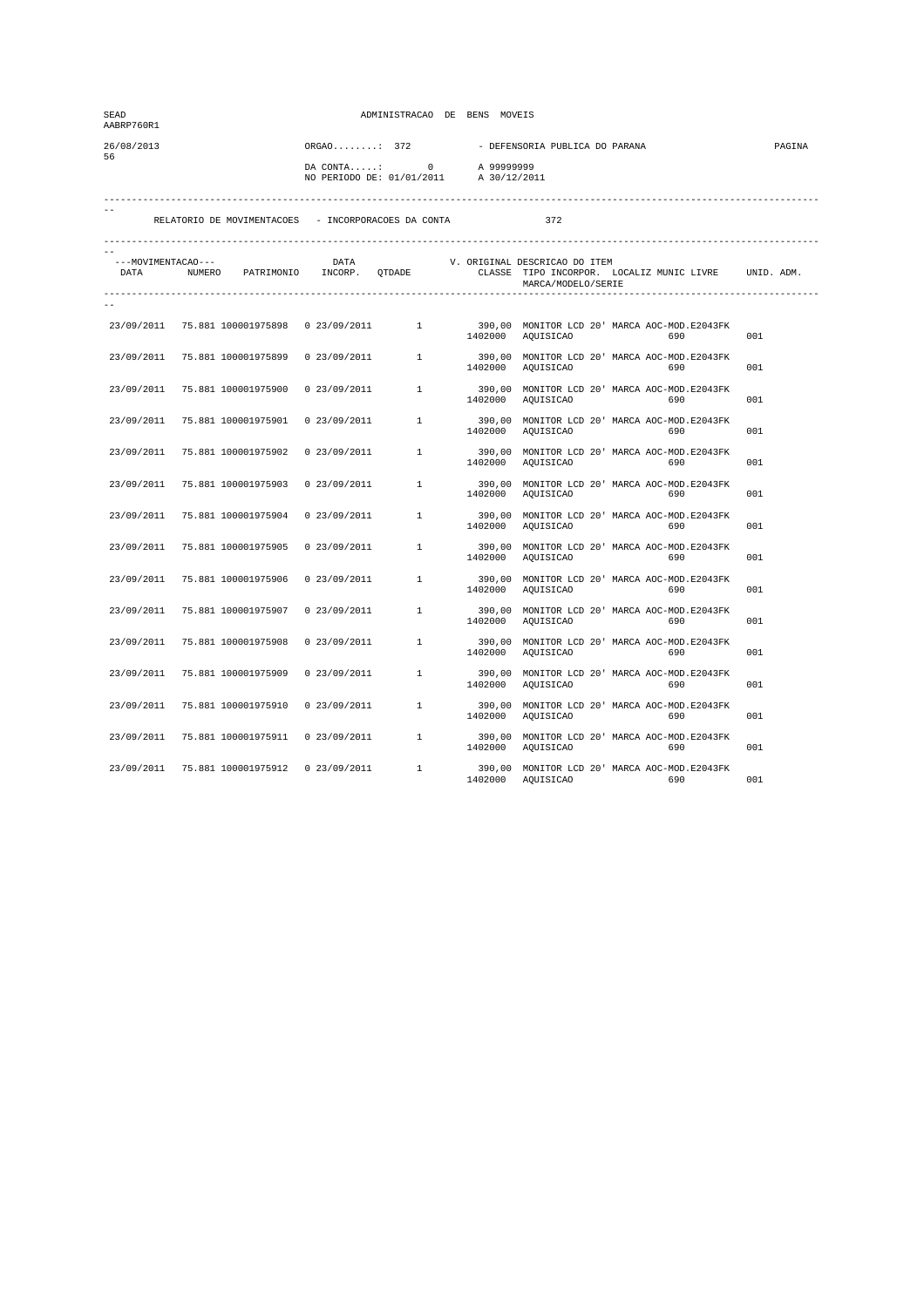| SEAD<br>AABRP760R1         |                                                     |               | ADMINISTRACAO DE BENS MOVEIS               |                            |                                                                                                             |        |
|----------------------------|-----------------------------------------------------|---------------|--------------------------------------------|----------------------------|-------------------------------------------------------------------------------------------------------------|--------|
| 26/08/2013<br>56           |                                                     | $ORGAO$ : 372 | $DA$ CONTA: 0<br>NO PERIODO DE: 01/01/2011 | A 99999999<br>A 30/12/2011 | - DEFENSORIA PUBLICA DO PARANA                                                                              | PAGINA |
|                            | RELATORIO DE MOVIMENTACOES - INCORPORACOES DA CONTA |               |                                            |                            | 372                                                                                                         |        |
| ---MOVIMENTACAO---<br>DATA | NUMERO PATRIMONIO INCORP. QTDADE                    | DATA          |                                            |                            | V. ORIGINAL DESCRICAO DO ITEM<br>CLASSE TIPO INCORPOR. LOCALIZ MUNIC LIVRE UNID. ADM.<br>MARCA/MODELO/SERIE |        |
|                            | 23/09/2011 75.881 100001975898                      | 0 23/09/2011  | 1                                          |                            | 390,00 MONITOR LCD 20' MARCA AOC-MOD.E2043FK<br>1402000 AQUISICAO<br>690                                    | 001    |
| 23/09/2011                 | 75.881 100001975899                                 | 0 23/09/2011  | 1                                          |                            | 390,00 MONITOR LCD 20' MARCA AOC-MOD.E2043FK<br>1402000 AQUISICAO<br>690                                    | 001    |
| 23/09/2011                 | 75.881 100001975900                                 | 0 23/09/2011  | $1 \quad$                                  | 1402000                    | 390,00 MONITOR LCD 20' MARCA AOC-MOD.E2043FK<br>AQUISICAO<br>690                                            | 001    |
| 23/09/2011                 | 75.881 100001975901                                 | 0 23/09/2011  | $1 \quad$                                  | 1402000                    | 390,00 MONITOR LCD 20' MARCA AOC-MOD.E2043FK<br>AQUISICAO<br>690                                            | 001    |
| 23/09/2011                 | 75.881 100001975902                                 | 0.23/09/2011  | $\mathbf{1}$                               | 1402000                    | 390,00 MONITOR LCD 20' MARCA AOC-MOD.E2043FK<br>AQUISICAO<br>690                                            | 001    |
| 23/09/2011                 | 75.881 100001975903                                 | 0 23/09/2011  | 1                                          | 1402000                    | 390,00 MONITOR LCD 20' MARCA AOC-MOD.E2043FK<br>AQUISICAO<br>690                                            | 001    |
| 23/09/2011                 | 75.881 100001975904                                 | 0 23/09/2011  | 1                                          | 1402000                    | 390,00 MONITOR LCD 20' MARCA AOC-MOD.E2043FK<br>AQUISICAO<br>690                                            | 001    |
| 23/09/2011                 | 75.881 100001975905                                 | 0 23/09/2011  | $1 \quad$                                  | 1402000                    | 390,00 MONITOR LCD 20' MARCA AOC-MOD.E2043FK<br>AQUISICAO<br>690                                            | 001    |
| 23/09/2011                 | 75.881 100001975906                                 | 0.23/09/2011  | $\mathbf{1}$                               | 1402000                    | 390,00 MONITOR LCD 20' MARCA AOC-MOD.E2043FK<br>AQUISICAO<br>690                                            | 001    |
| 23/09/2011                 | 75.881 100001975907                                 | 0.23/09/2011  | $\mathbf{1}$                               |                            | 390,00 MONITOR LCD 20' MARCA AOC-MOD.E2043FK<br>1402000 AQUISICAO<br>690                                    | 001    |
| 23/09/2011                 | 75.881 100001975908                                 | 0 23/09/2011  | $\mathbf{1}$                               | 1402000                    | 390,00 MONITOR LCD 20' MARCA AOC-MOD.E2043FK<br>AQUISICAO<br>690                                            | 001    |
| 23/09/2011                 | 75.881 100001975909                                 | 0 23/09/2011  | $1 \quad$                                  | 1402000                    | 390,00 MONITOR LCD 20' MARCA AOC-MOD.E2043FK<br>AQUISICAO<br>690                                            | 001    |
| 23/09/2011                 | 75.881 100001975910                                 | 0 23/09/2011  | $\mathbf{1}$                               |                            | 390,00 MONITOR LCD 20' MARCA AOC-MOD.E2043FK<br>1402000 AQUISICAO<br>690                                    | 001    |
| 23/09/2011                 | 75.881 100001975911                                 | 0.23/09/2011  | $\mathbf{1}$                               | 1402000                    | 390,00 MONITOR LCD 20' MARCA AOC-MOD.E2043FK<br>AQUISICAO<br>690                                            | 001    |
| 23/09/2011                 | 75.881 100001975912                                 | 0.23/09/2011  | $\mathbf{1}$                               | 1402000                    | 390,00 MONITOR LCD 20' MARCA AOC-MOD.E2043FK<br>690<br>AQUISICAO                                            | 001    |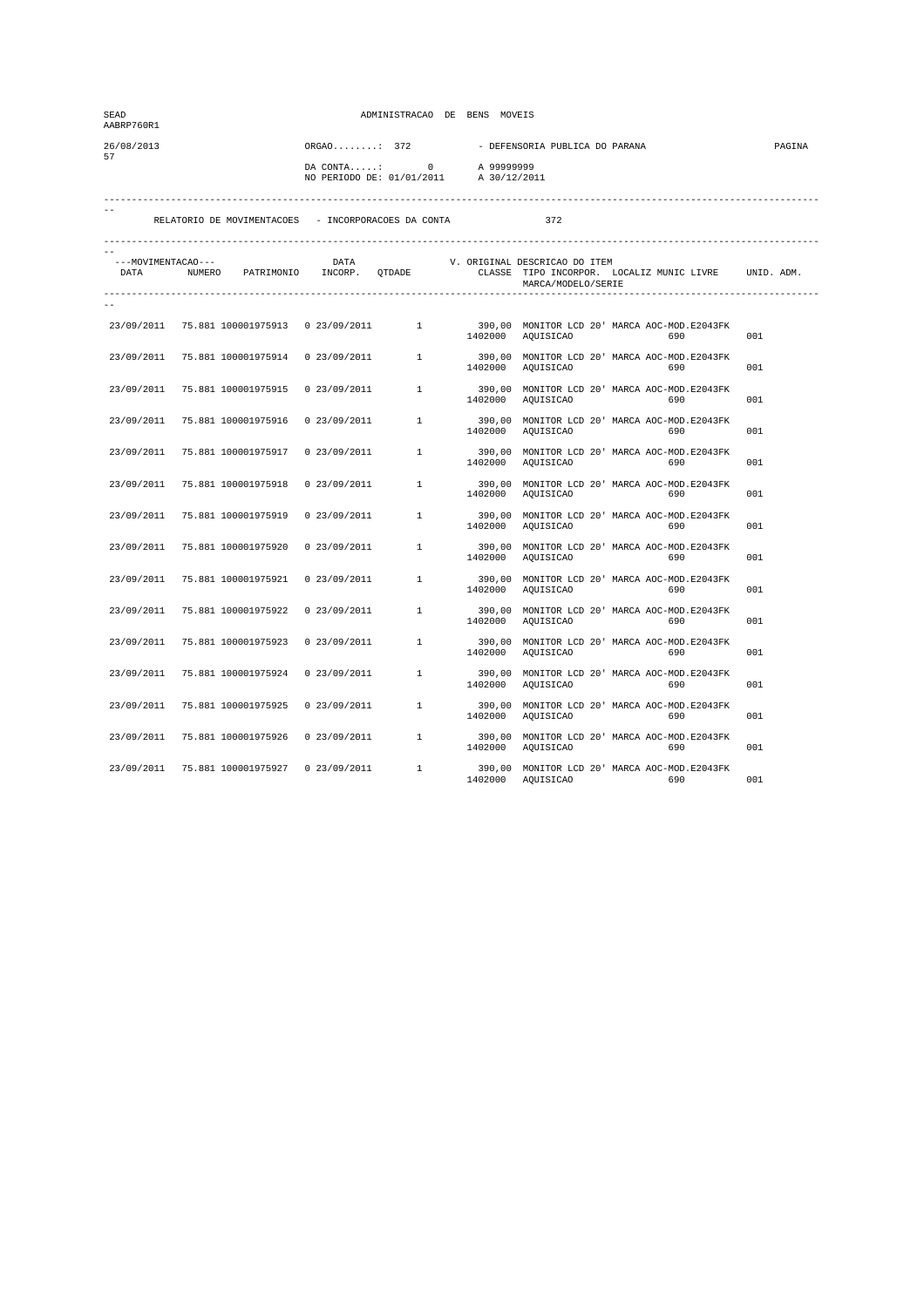| SEAD<br>AABRP760R1         |                                                     |                                                             | ADMINISTRACAO DE BENS MOVEIS |                     |                                                                                                                                                                  |     |  |
|----------------------------|-----------------------------------------------------|-------------------------------------------------------------|------------------------------|---------------------|------------------------------------------------------------------------------------------------------------------------------------------------------------------|-----|--|
| 26/08/2013<br>57           |                                                     | $ORGAO$ : 372<br>$DA$ CONTA: 0<br>NO PERIODO DE: 01/01/2011 |                              |                     | - DEFENSORIA PUBLICA DO PARANA<br>A 99999999<br>A 30/12/2011                                                                                                     |     |  |
|                            | RELATORIO DE MOVIMENTACOES - INCORPORACOES DA CONTA |                                                             |                              |                     | 372                                                                                                                                                              |     |  |
| ---MOVIMENTACAO---<br>DATA | NUMERO PATRIMONIO INCORP. QTDADE                    | DATA                                                        |                              |                     | V. ORIGINAL DESCRICAO DO ITEM<br>CLASSE TIPO INCORPOR. LOCALIZ MUNIC LIVRE UNID. ADM.<br>MARCA/MODELO/SERIE                                                      |     |  |
|                            | 23/09/2011 75.881 100001975913 0 23/09/2011         |                                                             | 1                            |                     | 390,00 MONITOR LCD 20' MARCA AOC-MOD.E2043FK<br>1402000 AQUISICAO<br>690                                                                                         | 001 |  |
| 23/09/2011                 | 75.881 100001975914                                 |                                                             |                              |                     | $\begin{array}{cccccc} 0& 23/09/2011 & 1 & 390,00 & \text{MONTOR LCD} & 20 \text{ ' MARCA AOC-MOD. E2043FK} \\ & & 1402000 & \text{AQUISICAO} & 690 \end{array}$ | 001 |  |
| 23/09/2011                 | 75.881 100001975915                                 | 0 23/09/2011                                                |                              | $\frac{1}{1402000}$ | 390,00 MONITOR LCD 20' MARCA AOC-MOD.E2043FK<br>AQUISICAO<br>690                                                                                                 | 001 |  |
| 23/09/2011                 | 75.881 100001975916                                 | 0 23/09/2011                                                |                              | 1402000             | 1 390,00 MONITOR LCD 20' MARCA AOC-MOD.E2043FK<br>AQUISICAO<br>690                                                                                               | 001 |  |
| 23/09/2011                 | 75.881 100001975917                                 | 0 23/09/2011                                                | $\mathbf{1}$                 | 1402000             | 390,00 MONITOR LCD 20' MARCA AOC-MOD.E2043FK<br>AQUISICAO<br>690                                                                                                 | 001 |  |
| 23/09/2011                 | 75.881 100001975918                                 | 0 23/09/2011                                                | 1                            | 1402000             | 390,00 MONITOR LCD 20' MARCA AOC-MOD.E2043FK<br>AQUISICAO<br>690                                                                                                 | 001 |  |
| 23/09/2011                 | 75.881 100001975919                                 | 0 23/09/2011                                                | $1 \quad$                    | 1402000             | 390,00 MONITOR LCD 20' MARCA AOC-MOD.E2043FK<br>AQUISICAO<br>690                                                                                                 | 001 |  |
| 23/09/2011                 | 75.881 100001975920                                 | 0 23/09/2011                                                | 1                            | 1402000             | 390,00 MONITOR LCD 20' MARCA AOC-MOD. E2043FK<br>AQUISICAO<br>690                                                                                                | 001 |  |
| 23/09/2011                 | 75.881 100001975921                                 | 0 23/09/2011                                                | $\mathbf{1}$                 | 1402000             | 390,00 MONITOR LCD 20' MARCA AOC-MOD.E2043FK<br>AQUISICAO<br>690                                                                                                 | 001 |  |
| 23/09/2011                 | 75.881 100001975922                                 | 0 23/09/2011                                                | 1                            |                     | 390,00 MONITOR LCD 20' MARCA AOC-MOD.E2043FK<br>1402000 AQUISICAO<br>690                                                                                         | 001 |  |
| 23/09/2011                 | 75.881 100001975923                                 | 0 23/09/2011                                                | 1                            | 1402000             | 390,00 MONITOR LCD 20' MARCA AOC-MOD.E2043FK<br>AQUISICAO<br>690                                                                                                 | 001 |  |
| 23/09/2011                 | 75.881 100001975924                                 | 0 23/09/2011                                                | 1                            | 1402000             | 390,00 MONITOR LCD 20' MARCA AOC-MOD. E2043FK<br>AQUISICAO<br>690                                                                                                | 001 |  |
| 23/09/2011                 | 75.881 100001975925                                 | 0 23/09/2011                                                | 1                            |                     | 390,00 MONITOR LCD 20' MARCA AOC-MOD.E2043FK<br>1402000 AQUISICAO<br>690                                                                                         | 001 |  |
| 23/09/2011                 | 75.881 100001975926                                 | 0 23/09/2011                                                | 1                            | 1402000             | 390,00 MONITOR LCD 20' MARCA AOC-MOD.E2043FK<br>AQUISICAO<br>690                                                                                                 | 001 |  |
| 23/09/2011                 | 75.881 100001975927                                 | 0 23/09/2011                                                | <sup>1</sup>                 | 1402000             | 390,00 MONITOR LCD 20' MARCA AOC-MOD.E2043FK<br>AQUISICAO<br>690                                                                                                 | 001 |  |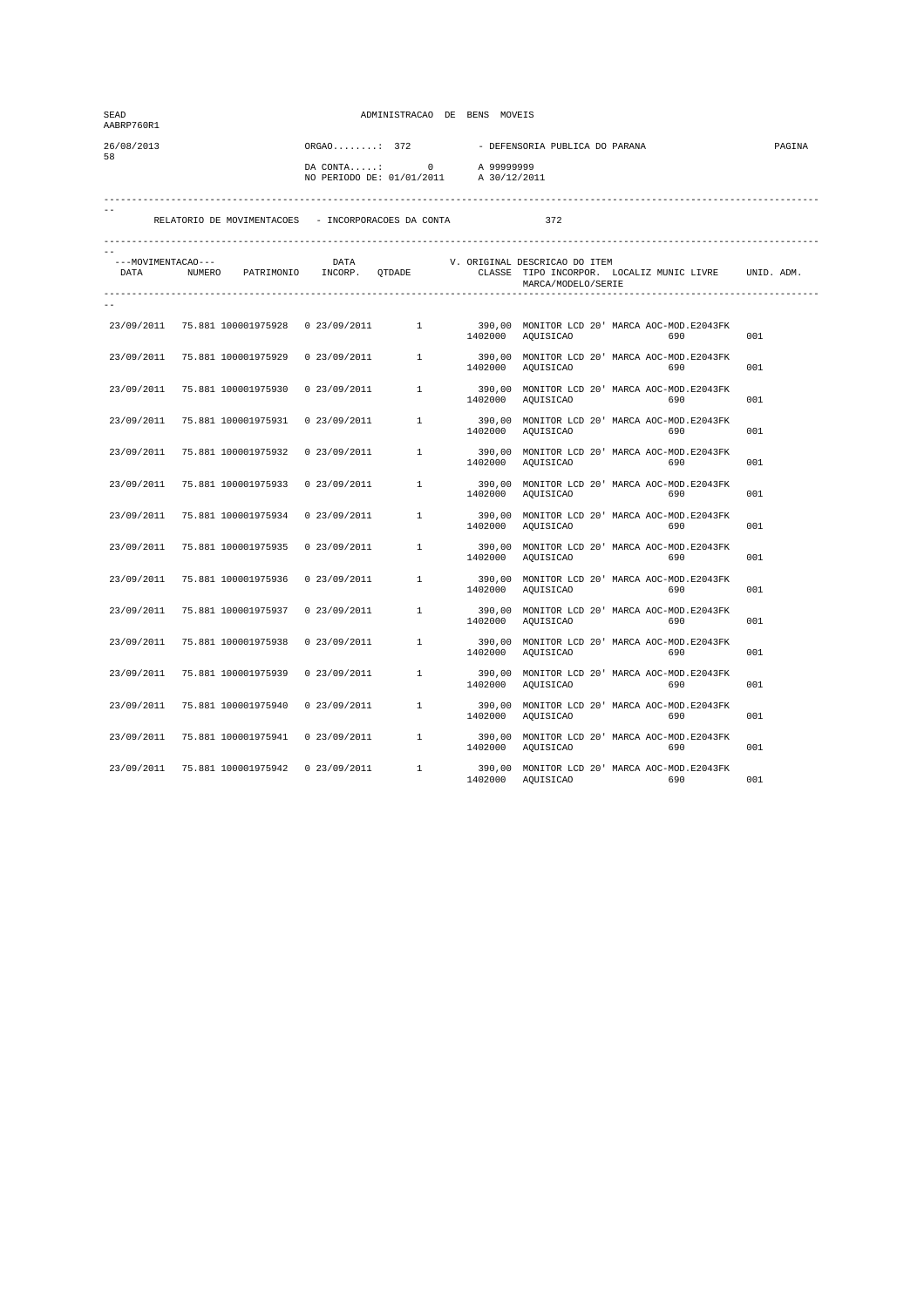| SEAD<br>AABRP760R1 |                                                     |               | ADMINISTRACAO DE BENS MOVEIS |                     |                                                                                                                                                                |            |
|--------------------|-----------------------------------------------------|---------------|------------------------------|---------------------|----------------------------------------------------------------------------------------------------------------------------------------------------------------|------------|
| 26/08/2013<br>58   |                                                     | $ORGAO$ : 372 | $DA$ CONTA: 0                | A 99999999          | - DEFENSORIA PUBLICA DO PARANA                                                                                                                                 | PAGINA     |
|                    |                                                     |               | NO PERIODO DE: 01/01/2011    | A 30/12/2011        |                                                                                                                                                                |            |
|                    | RELATORIO DE MOVIMENTACOES - INCORPORACOES DA CONTA |               |                              |                     | 372                                                                                                                                                            |            |
| ---MOVIMENTACAO--- | DATA MUMERO PATRIMONIO INCORP. QTDADE               | DATA          |                              |                     | V. ORIGINAL DESCRICAO DO ITEM<br>CLASSE TIPO INCORPOR. LOCALIZ MUNIC LIVRE UNID. ADM.<br>MARCA/MODELO/SERIE                                                    |            |
|                    | 23/09/2011 75.881 100001975928 0 23/09/2011 1       |               |                              |                     | 390,00 MONITOR LCD 20' MARCA AOC-MOD.E2043FK<br>1402000 AQUISICAO<br>690                                                                                       | 001        |
| 23/09/2011         | 75.881 100001975929                                 |               |                              |                     | $\begin{array}{cccc} 0 & 23/09/2011 & 1 & 390,00 & \text{MONTOR LCD} & 20 \text{ 'MARCA AOC-MOD. E2043FK} \\ & & 1402000 & \text{AQUISICAO} & 690 \end{array}$ | 001        |
| 23/09/2011         | 75.881 100001975930                                 |               |                              |                     | 0 23/09/2011 1 390,00 MUNILUR LOL LO<br>1402000 AQUISICAO<br>390,00 MONITOR LCD 20' MARCA AOC-MOD.E2043FK<br>690                                               | 001        |
| 23/09/2011         | 75.881 100001975931                                 |               |                              |                     | 0  23/09/2011   1   390,00 MONITOR LCD   20' MARCA AOC-MOD.E2043FK   1402000   AQUISICAO   690                                                                 | 001        |
| 23/09/2011         | 75.881 100001975932                                 | 0 23/09/2011  | $\mathbf{1}$                 |                     | 390,00 MONITOR LCD 20' MARCA AOC-MOD.E2043FK<br>1402000 AQUISICAO<br>690                                                                                       | 001        |
| 23/09/2011         | 75.881 100001975933                                 | 0 23/09/2011  | 1                            |                     | 390,00 MONITOR LCD 20' MARCA AOC-MOD.E2043FK<br>1402000 AQUISICAO 690                                                                                          | 001        |
| 23/09/2011         | 75.881 100001975934                                 | 0 23/09/2011  |                              | $\frac{1}{1402000}$ | 390,00 MONITOR LCD 20' MARCA AOC-MOD.E2043FK<br>AQUISICAO<br>690                                                                                               | 001        |
| 23/09/2011         | 75.881 100001975935                                 | 0 23/09/2011  |                              |                     | 1 390,00 MONITOR LCD 20' MARCA AOC-MOD.E2043FK<br>1402000 AQUISICAO<br>690                                                                                     | 001        |
| 23/09/2011         | 75.881 100001975936                                 | 0 23/09/2011  | $\mathbf{1}$                 |                     | 390,00 MONITOR LCD 20' MARCA AOC-MOD.E2043FK<br>1402000 AQUISICAO<br>690                                                                                       | 001        |
| 23/09/2011         | 75.881 100001975937                                 | 0 23/09/2011  | 1                            |                     | 390,00 MONITOR LCD 20' MARCA AOC-MOD.E2043FK<br>1402000 AQUISICAO<br>690                                                                                       | 001        |
| 23/09/2011         | 75.881 100001975938                                 | 0 23/09/2011  | $1 \quad$                    | 1402000             | 390,00 MONITOR LCD 20' MARCA AOC-MOD.E2043FK<br>AQUISICAO<br>690                                                                                               | 001        |
| 23/09/2011         | 75.881 100001975939                                 | 0 23/09/2011  | $1 \qquad \qquad$            |                     | 390,00 MONITOR LCD 20' MARCA AOC-MOD.E2043FK<br>1402000 AQUISICAO<br>690                                                                                       | 001        |
| 23/09/2011         | 75.881 100001975940                                 | 0 23/09/2011  | 1                            |                     | 390,00 MONITOR LCD 20' MARCA AOC-MOD.E2043FK<br>1402000 AQUISICAO<br>690                                                                                       | 001        |
| 23/09/2011         | 75.881 100001975941                                 | 0 23/09/2011  | 1                            |                     | 390,00 MONITOR LCD 20' MARCA AOC-MOD.E2043FK                                                                                                                   |            |
| 23/09/2011         | 75.881 100001975942  0 23/09/2011                   |               | $\mathbf{1}$                 | 1402000             | 1402000 AQUISICAO<br>690<br>390,00 MONITOR LCD 20' MARCA AOC-MOD.E2043FK<br>AQUISICAO<br>690                                                                   | 001<br>001 |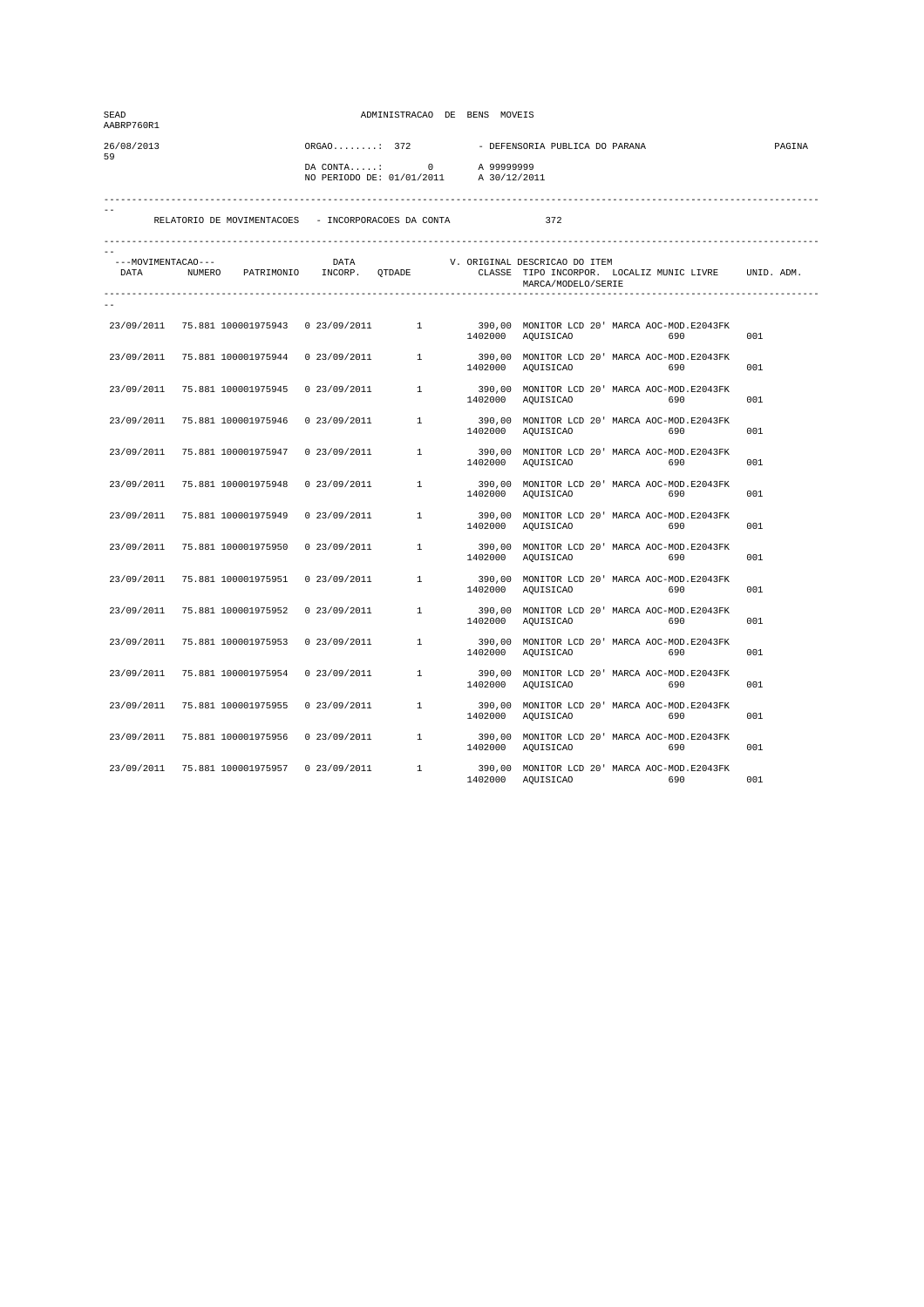| SEAD<br>AABRP760R1         |                                                     |                                                             | ADMINISTRACAO DE BENS MOVEIS |                     |                                                                                                                                                                  |     |  |
|----------------------------|-----------------------------------------------------|-------------------------------------------------------------|------------------------------|---------------------|------------------------------------------------------------------------------------------------------------------------------------------------------------------|-----|--|
| 26/08/2013<br>59           |                                                     | $ORGAO$ : 372<br>$DA$ CONTA: 0<br>NO PERIODO DE: 01/01/2011 |                              |                     | - DEFENSORIA PUBLICA DO PARANA<br>A 99999999<br>A 30/12/2011                                                                                                     |     |  |
|                            | RELATORIO DE MOVIMENTACOES - INCORPORACOES DA CONTA |                                                             |                              |                     | 372                                                                                                                                                              |     |  |
| ---MOVIMENTACAO---<br>DATA | NUMERO PATRIMONIO INCORP. QTDADE                    | DATA                                                        |                              |                     | V. ORIGINAL DESCRICAO DO ITEM<br>CLASSE TIPO INCORPOR. LOCALIZ MUNIC LIVRE UNID. ADM.<br>MARCA/MODELO/SERIE                                                      |     |  |
|                            | 23/09/2011 75.881 100001975943 0 23/09/2011         |                                                             | 1                            |                     | 390,00 MONITOR LCD 20' MARCA AOC-MOD.E2043FK<br>1402000 AQUISICAO<br>690                                                                                         | 001 |  |
| 23/09/2011                 | 75.881 100001975944                                 |                                                             |                              |                     | $\begin{array}{cccccc} 0& 23/09/2011 & 1 & 390,00 & \text{MONTOR LCD} & 20 \text{ ' MARCA AOC-MOD. E2043FK} \\ & & 1402000 & \text{AQUISICAO} & 690 \end{array}$ | 001 |  |
| 23/09/2011                 | 75.881 100001975945                                 | 0 23/09/2011                                                |                              | $\frac{1}{1402000}$ | 390,00 MONITOR LCD 20' MARCA AOC-MOD.E2043FK<br>AQUISICAO<br>690                                                                                                 | 001 |  |
| 23/09/2011                 | 75.881 100001975946                                 | 0 23/09/2011                                                |                              | 1402000             | 1 390,00 MONITOR LCD 20' MARCA AOC-MOD.E2043FK<br>AQUISICAO<br>690                                                                                               | 001 |  |
| 23/09/2011                 | 75.881 100001975947                                 | 0 23/09/2011                                                | $\mathbf{1}$                 | 1402000             | 390,00 MONITOR LCD 20' MARCA AOC-MOD.E2043FK<br>AQUISICAO<br>690                                                                                                 | 001 |  |
| 23/09/2011                 | 75.881 100001975948                                 | 0 23/09/2011                                                | 1                            | 1402000             | 390,00 MONITOR LCD 20' MARCA AOC-MOD.E2043FK<br>AQUISICAO<br>690                                                                                                 | 001 |  |
| 23/09/2011                 | 75.881 100001975949                                 | 0 23/09/2011                                                | 1                            | 1402000             | 390,00 MONITOR LCD 20' MARCA AOC-MOD.E2043FK<br>AQUISICAO<br>690                                                                                                 | 001 |  |
| 23/09/2011                 | 75.881 100001975950                                 | 0 23/09/2011                                                | 1                            | 1402000             | 390,00 MONITOR LCD 20' MARCA AOC-MOD. E2043FK<br>AQUISICAO<br>690                                                                                                | 001 |  |
| 23/09/2011                 | 75.881 100001975951                                 | 0 23/09/2011                                                | $\mathbf{1}$                 | 1402000             | 390,00 MONITOR LCD 20' MARCA AOC-MOD.E2043FK<br>AQUISICAO<br>690                                                                                                 | 001 |  |
| 23/09/2011                 | 75.881 100001975952                                 | 0 23/09/2011                                                | 1                            |                     | 390,00 MONITOR LCD 20' MARCA AOC-MOD.E2043FK<br>1402000 AQUISICAO<br>690                                                                                         | 001 |  |
| 23/09/2011                 | 75.881 100001975953                                 | 0 23/09/2011                                                | 1                            | 1402000             | 390,00 MONITOR LCD 20' MARCA AOC-MOD.E2043FK<br>AQUISICAO<br>690                                                                                                 | 001 |  |
| 23/09/2011                 | 75.881 100001975954                                 | 0 23/09/2011                                                | 1                            | 1402000             | 390,00 MONITOR LCD 20' MARCA AOC-MOD.E2043FK<br>AQUISICAO<br>690                                                                                                 | 001 |  |
| 23/09/2011                 | 75.881 100001975955                                 | 0 23/09/2011                                                | 1                            |                     | 390,00 MONITOR LCD 20' MARCA AOC-MOD.E2043FK<br>1402000 AQUISICAO<br>690                                                                                         | 001 |  |
| 23/09/2011                 | 75.881 100001975956                                 | 0 23/09/2011                                                | 1                            | 1402000             | 390,00 MONITOR LCD 20' MARCA AOC-MOD.E2043FK<br>AQUISICAO<br>690                                                                                                 | 001 |  |
| 23/09/2011                 | 75.881 100001975957                                 | 0 23/09/2011                                                | <sup>1</sup>                 | 1402000             | 390,00 MONITOR LCD 20' MARCA AOC-MOD.E2043FK<br>AQUISICAO<br>690                                                                                                 | 001 |  |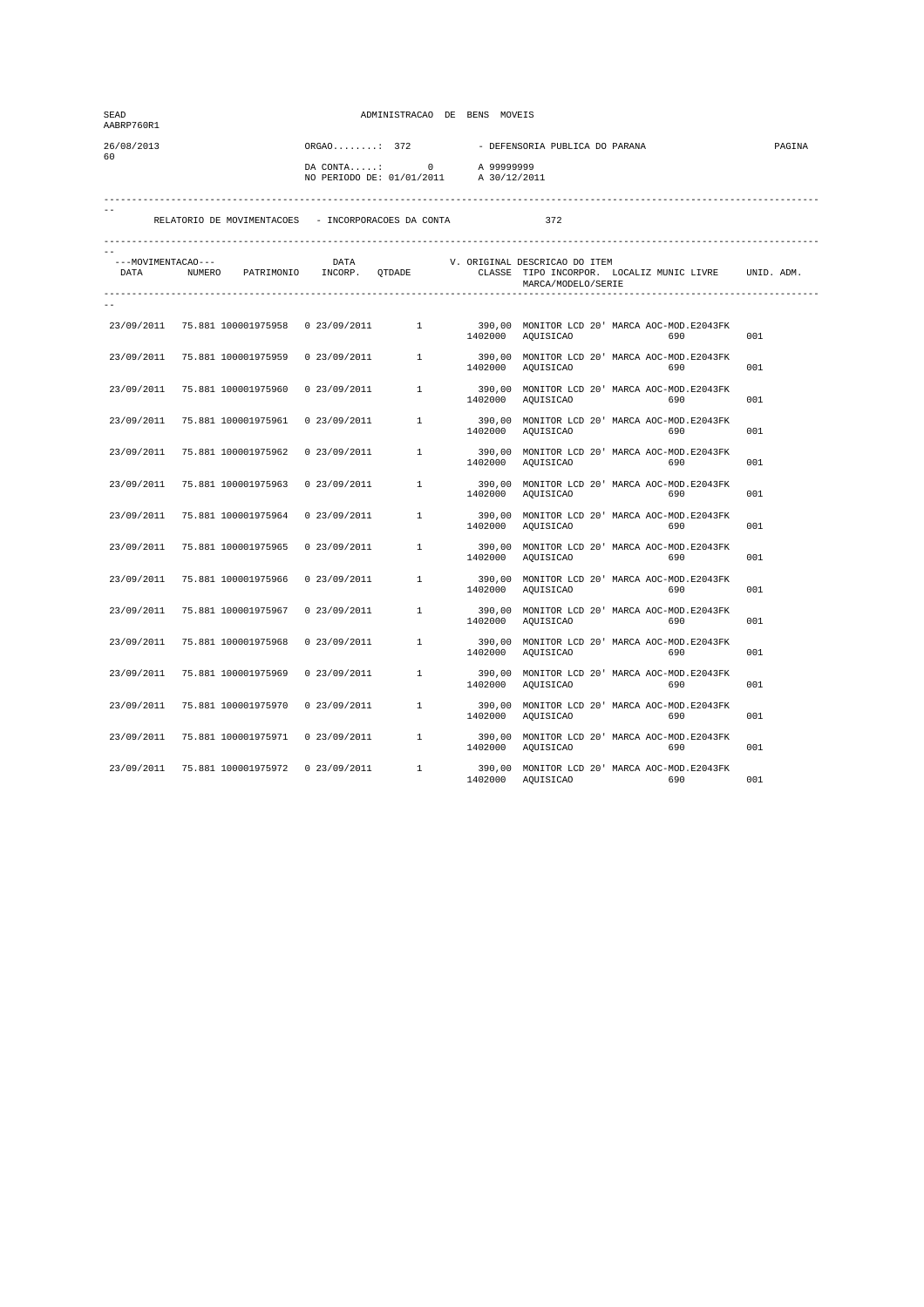| SEAD<br>AABRP760R1         |                                                     |                                                             | ADMINISTRACAO DE BENS MOVEIS |                     |                                                                                                                                                                  |     |  |  |
|----------------------------|-----------------------------------------------------|-------------------------------------------------------------|------------------------------|---------------------|------------------------------------------------------------------------------------------------------------------------------------------------------------------|-----|--|--|
| 26/08/2013<br>60           |                                                     | $ORGAO$ : 372<br>$DA$ CONTA: 0<br>NO PERIODO DE: 01/01/2011 |                              |                     | - DEFENSORIA PUBLICA DO PARANA<br>A 99999999<br>A 30/12/2011                                                                                                     |     |  |  |
|                            | RELATORIO DE MOVIMENTACOES - INCORPORACOES DA CONTA |                                                             |                              |                     | 372                                                                                                                                                              |     |  |  |
| ---MOVIMENTACAO---<br>DATA | NUMERO PATRIMONIO INCORP. QTDADE                    | DATA                                                        |                              |                     | V. ORIGINAL DESCRICAO DO ITEM<br>CLASSE TIPO INCORPOR. LOCALIZ MUNIC LIVRE UNID. ADM.<br>MARCA/MODELO/SERIE                                                      |     |  |  |
|                            | 23/09/2011 75.881 100001975958 0 23/09/2011         |                                                             | 1                            |                     | 390,00 MONITOR LCD 20' MARCA AOC-MOD.E2043FK<br>1402000 AQUISICAO<br>690                                                                                         | 001 |  |  |
| 23/09/2011                 | 75.881 100001975959                                 |                                                             |                              |                     | $\begin{array}{cccccc} 0& 23/09/2011 & 1 & 390,00 & \text{MONTOR LCD} & 20 \text{ ' MARCA AOC-MOD. E2043FK} \\ & & 1402000 & \text{AQUISICAO} & 690 \end{array}$ | 001 |  |  |
| 23/09/2011                 | 75.881 100001975960                                 | 0 23/09/2011                                                |                              | $\frac{1}{1402000}$ | 390,00 MONITOR LCD 20' MARCA AOC-MOD.E2043FK<br>AQUISICAO<br>690                                                                                                 | 001 |  |  |
| 23/09/2011                 | 75.881 100001975961                                 | 0 23/09/2011                                                |                              | 1402000             | 1 390,00 MONITOR LCD 20' MARCA AOC-MOD.E2043FK<br>AQUISICAO<br>690                                                                                               | 001 |  |  |
| 23/09/2011                 | 75.881 100001975962                                 | 0 23/09/2011                                                | $\mathbf{1}$                 | 1402000             | 390,00 MONITOR LCD 20' MARCA AOC-MOD.E2043FK<br>AQUISICAO<br>690                                                                                                 | 001 |  |  |
| 23/09/2011                 | 75.881 100001975963                                 | 0 23/09/2011                                                | 1                            | 1402000             | 390,00 MONITOR LCD 20' MARCA AOC-MOD.E2043FK<br>AQUISICAO<br>690                                                                                                 | 001 |  |  |
| 23/09/2011                 | 75.881 100001975964                                 | 0 23/09/2011                                                | 1                            | 1402000             | 390,00 MONITOR LCD 20' MARCA AOC-MOD.E2043FK<br>AQUISICAO<br>690                                                                                                 | 001 |  |  |
| 23/09/2011                 | 75.881 100001975965                                 | 0 23/09/2011                                                | 1                            | 1402000             | 390,00 MONITOR LCD 20' MARCA AOC-MOD. E2043FK<br>AQUISICAO<br>690                                                                                                | 001 |  |  |
| 23/09/2011                 | 75.881 100001975966                                 | 0 23/09/2011                                                | $\mathbf{1}$                 | 1402000             | 390,00 MONITOR LCD 20' MARCA AOC-MOD.E2043FK<br>AQUISICAO<br>690                                                                                                 | 001 |  |  |
| 23/09/2011                 | 75.881 100001975967                                 | 0 23/09/2011                                                | 1                            |                     | 390,00 MONITOR LCD 20' MARCA AOC-MOD.E2043FK<br>1402000 AQUISICAO<br>690                                                                                         | 001 |  |  |
| 23/09/2011                 | 75.881 100001975968                                 | 0 23/09/2011                                                | 1                            | 1402000             | 390,00 MONITOR LCD 20' MARCA AOC-MOD.E2043FK<br>AQUISICAO<br>690                                                                                                 | 001 |  |  |
| 23/09/2011                 | 75.881 100001975969                                 | 0 23/09/2011                                                | 1                            | 1402000             | 390,00 MONITOR LCD 20' MARCA AOC-MOD.E2043FK<br>AQUISICAO<br>690                                                                                                 | 001 |  |  |
| 23/09/2011                 | 75.881 100001975970                                 | 0 23/09/2011                                                | 1                            |                     | 390,00 MONITOR LCD 20' MARCA AOC-MOD.E2043FK<br>1402000 AQUISICAO<br>690                                                                                         | 001 |  |  |
| 23/09/2011                 | 75.881 100001975971                                 | 0 23/09/2011                                                | 1                            | 1402000             | 390,00 MONITOR LCD 20' MARCA AOC-MOD.E2043FK<br>AQUISICAO<br>690                                                                                                 | 001 |  |  |
| 23/09/2011                 | 75.881 100001975972                                 | 0 23/09/2011                                                | <sup>1</sup>                 | 1402000             | 390,00 MONITOR LCD 20' MARCA AOC-MOD.E2043FK<br>AQUISICAO<br>690                                                                                                 | 001 |  |  |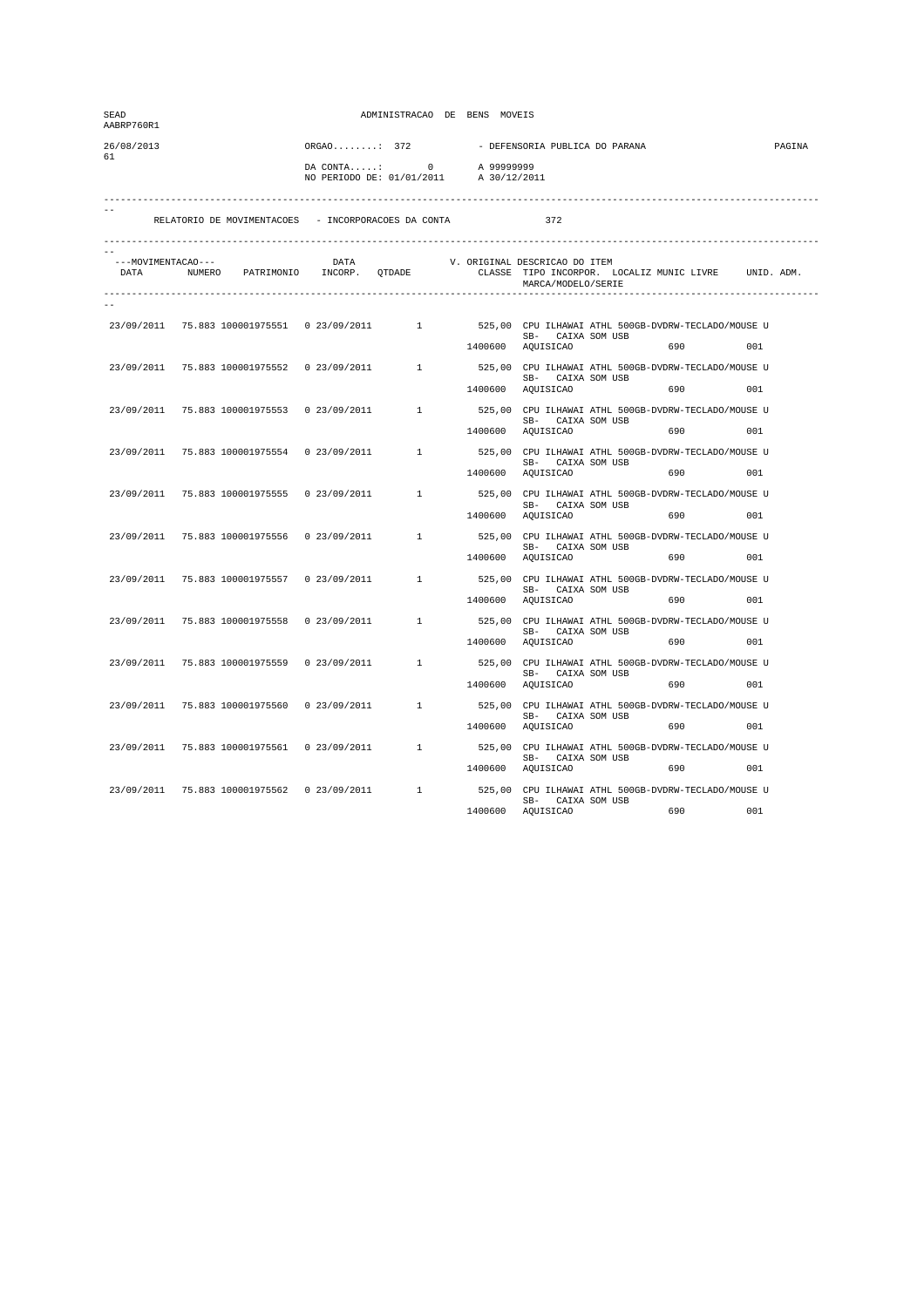| SEAD<br>AABRP760R1 |                                               | ADMINISTRACAO DE BENS MOVEIS                                     |                                                     |         |                                |                                                                                                                                                                                |        |  |
|--------------------|-----------------------------------------------|------------------------------------------------------------------|-----------------------------------------------------|---------|--------------------------------|--------------------------------------------------------------------------------------------------------------------------------------------------------------------------------|--------|--|
| 26/08/2013<br>61   |                                               | $ORGAO$ : 372                                                    |                                                     |         | - DEFENSORIA PUBLICA DO PARANA |                                                                                                                                                                                | PAGINA |  |
|                    |                                               | DA CONTA: 0 A 99999999<br>NO PERIODO DE: 01/01/2011 A 30/12/2011 |                                                     |         |                                |                                                                                                                                                                                |        |  |
|                    |                                               |                                                                  | RELATORIO DE MOVIMENTACOES - INCORPORACOES DA CONTA |         | 372                            |                                                                                                                                                                                |        |  |
|                    |                                               |                                                                  |                                                     |         |                                |                                                                                                                                                                                |        |  |
| ---MOVIMENTACAO--- |                                               |                                                                  |                                                     |         | MARCA/MODELO/SERIE             | --MOVIMENTACAO---     DATA     V. ORIGINAL DESCRICAO DO ITEM<br>DATA     NUMERO   PATRIMONIO   INCORP.   QTDADE       CLASSE  TIPO INCORPOR.  LOCALIZ MUNIC LIVRE   UNID. ADM. |        |  |
|                    |                                               |                                                                  |                                                     |         |                                |                                                                                                                                                                                |        |  |
|                    |                                               |                                                                  |                                                     |         | SB- CAIXA SOM USB              | 23/09/2011 75.883 100001975551 0 23/09/2011 1 525,00 CPU ILHAWAI ATHL 500GB-DVDRW-TECLADO/MOUSE U                                                                              |        |  |
|                    |                                               |                                                                  |                                                     |         | 1400600 AQUISICAO              | 690 001                                                                                                                                                                        |        |  |
| 23/09/2011         |                                               |                                                                  |                                                     |         | SB- CAIXA SOM USB              | 75.883 100001975552  0 23/09/2011  1 525,00 CPU ILHAWAI ATHL 500GB-DVDRW-TECLADO/MOUSE U                                                                                       |        |  |
|                    |                                               |                                                                  |                                                     |         | 1400600 AQUISICAO              |                                                                                                                                                                                | 001    |  |
|                    |                                               |                                                                  | 23/09/2011 75.883 100001975553 0 23/09/2011 1       |         | SB- CAIXA SOM USB              | 525,00 CPU ILHAWAI ATHL 500GB-DVDRW-TECLADO/MOUSE U                                                                                                                            |        |  |
|                    |                                               |                                                                  |                                                     |         | 1400600 AQUISICAO              | 690 001                                                                                                                                                                        |        |  |
|                    | 23/09/2011 75.883 100001975554 0 23/09/2011   |                                                                  | $1 \qquad \qquad$                                   |         | SB- CAIXA SOM USB              | 525,00 CPU ILHAWAI ATHL 500GB-DVDRW-TECLADO/MOUSE U                                                                                                                            |        |  |
|                    |                                               |                                                                  |                                                     |         | 1400600 AQUISICAO              | 690 001                                                                                                                                                                        |        |  |
|                    | 23/09/2011 75.883 100001975555                | 0 23/09/2011                                                     | $1 \quad \cdots$                                    |         |                                | 525,00 CPU ILHAWAI ATHL 500GB-DVDRW-TECLADO/MOUSE U<br>SB- CAIXA SOM USB                                                                                                       |        |  |
|                    |                                               |                                                                  |                                                     | 1400600 | AQUISICAO                      | 690                                                                                                                                                                            | 001    |  |
|                    |                                               |                                                                  |                                                     |         | SB- CAIXA SOM USB              | 23/09/2011 75.883 100001975556 0 23/09/2011 1 525,00 CPU ILHAWAI ATHL 500GB-DVDRW-TECLADO/MOUSE U                                                                              |        |  |
|                    |                                               |                                                                  |                                                     |         | 1400600 AQUISICAO              |                                                                                                                                                                                | 0.01   |  |
|                    |                                               |                                                                  |                                                     |         | SB- CAIXA SOM USB              | 23/09/2011 75.883 100001975557 0 23/09/2011 1 525,00 CPU ILHAWAI ATHL 500GB-DVDRW-TECLADO/MOUSE U                                                                              |        |  |
|                    |                                               |                                                                  |                                                     |         | 1400600 AQUISICAO              | 690 001                                                                                                                                                                        |        |  |
|                    | 23/09/2011 75.883 100001975558 0 23/09/2011   |                                                                  | $1 \qquad \qquad$                                   |         | SB- CAIXA SOM USB              | 525,00 CPU ILHAWAI ATHL 500GB-DVDRW-TECLADO/MOUSE U                                                                                                                            |        |  |
|                    |                                               |                                                                  |                                                     |         | 1400600 AQUISICAO              | 690 001                                                                                                                                                                        |        |  |
|                    | 23/09/2011 75.883 100001975559                | 0 23/09/2011                                                     | $1 \quad \cdots$                                    |         |                                | 525,00 CPU ILHAWAI ATHL 500GB-DVDRW-TECLADO/MOUSE U<br>SB- CAIXA SOM USB                                                                                                       |        |  |
|                    |                                               |                                                                  |                                                     |         | 1400600 AQUISICAO              | 690                                                                                                                                                                            | 001    |  |
|                    |                                               |                                                                  | 23/09/2011 75.883 100001975560 0 23/09/2011 1       |         | SB- CAIXA SOM USB              | 525,00 CPU ILHAWAI ATHL 500GB-DVDRW-TECLADO/MOUSE U                                                                                                                            |        |  |
|                    |                                               |                                                                  |                                                     |         | 1400600 AQUISICAO              | 690 001                                                                                                                                                                        |        |  |
|                    |                                               |                                                                  |                                                     |         | SB- CAIXA SOM USB              | 23/09/2011 75.883 100001975561 0 23/09/2011 1 525,00 CPU ILHAWAI ATHL 500GB-DVDRW-TECLADO/MOUSE U                                                                              |        |  |
|                    |                                               |                                                                  |                                                     |         | 1400600 AQUISICAO              | 690 700                                                                                                                                                                        | 001    |  |
|                    | 23/09/2011 75.883 100001975562 0 23/09/2011 1 |                                                                  |                                                     |         | SB- CAIXA SOM USB              | 525,00 CPU ILHAWAI ATHL 500GB-DVDRW-TECLADO/MOUSE U                                                                                                                            |        |  |
|                    |                                               |                                                                  |                                                     | 1400600 | AQUISICAO                      | 690                                                                                                                                                                            | 001    |  |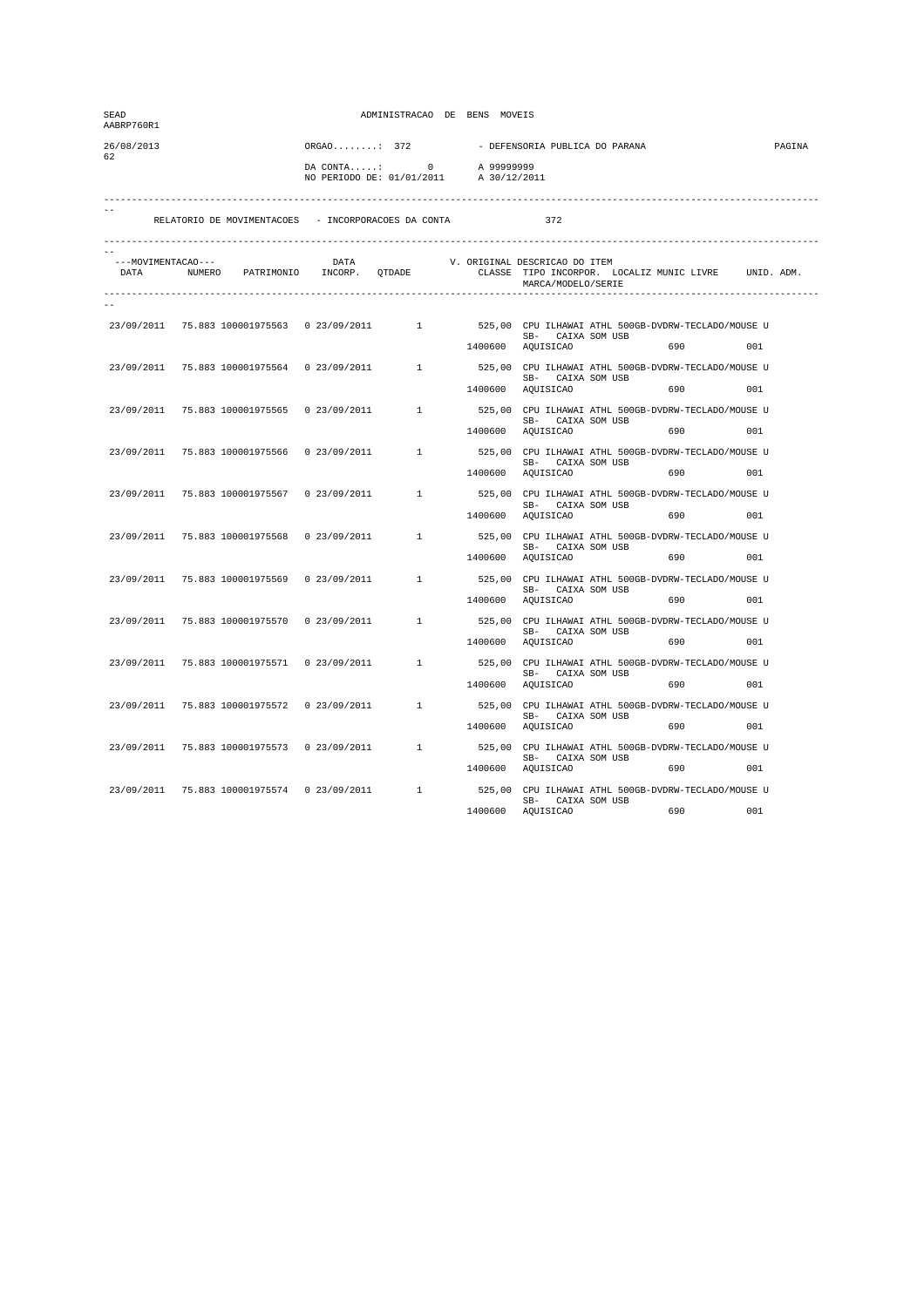| SEAD<br>AABRP760R1 |                                               | ADMINISTRACAO DE BENS MOVEIS |                                                                  |         |                                        |                                                                                                                                                                                |        |  |
|--------------------|-----------------------------------------------|------------------------------|------------------------------------------------------------------|---------|----------------------------------------|--------------------------------------------------------------------------------------------------------------------------------------------------------------------------------|--------|--|
| 26/08/2013<br>62   |                                               | $ORGAO$ : 372                |                                                                  |         | - DEFENSORIA PUBLICA DO PARANA         |                                                                                                                                                                                | PAGINA |  |
|                    |                                               |                              | DA CONTA: 0 A 99999999<br>NO PERIODO DE: 01/01/2011 A 30/12/2011 |         |                                        |                                                                                                                                                                                |        |  |
|                    |                                               |                              | RELATORIO DE MOVIMENTACOES - INCORPORACOES DA CONTA              |         | 372                                    |                                                                                                                                                                                |        |  |
|                    |                                               |                              |                                                                  |         |                                        |                                                                                                                                                                                |        |  |
| ---MOVIMENTACAO--- |                                               |                              |                                                                  |         | MARCA/MODELO/SERIE                     | --MOVIMENTACAO---     DATA     V. ORIGINAL DESCRICAO DO ITEM<br>DATA     NUMERO   PATRIMONIO   INCORP.   QTDADE       CLASSE  TIPO INCORPOR.  LOCALIZ MUNIC LIVRE   UNID. ADM. |        |  |
|                    |                                               |                              |                                                                  |         |                                        |                                                                                                                                                                                |        |  |
|                    |                                               |                              |                                                                  |         | SB- CAIXA SOM USB                      | 23/09/2011 75.883 100001975563 0 23/09/2011 1 525,00 CPU ILHAWAI ATHL 500GB-DVDRW-TECLADO/MOUSE U                                                                              |        |  |
|                    |                                               |                              |                                                                  |         | 1400600 AQUISICAO                      | 690 001                                                                                                                                                                        |        |  |
| 23/09/2011         |                                               |                              |                                                                  |         | SB- CAIXA SOM USB                      | 75.883 100001975564  0 23/09/2011  1 525,00 CPU ILHAWAI ATHL 500GB-DVDRW-TECLADO/MOUSE U                                                                                       |        |  |
|                    |                                               |                              |                                                                  |         | 1400600 AQUISICAO                      | 001                                                                                                                                                                            |        |  |
|                    |                                               |                              | 23/09/2011 75.883 100001975565 0 23/09/2011 1                    |         | SB- CAIXA SOM USB                      | 525,00 CPU ILHAWAI ATHL 500GB-DVDRW-TECLADO/MOUSE U                                                                                                                            |        |  |
|                    |                                               |                              |                                                                  |         | 1400600 AQUISICAO                      | 690 001                                                                                                                                                                        |        |  |
|                    | 23/09/2011 75.883 100001975566 0 23/09/2011   |                              | $1 \qquad \qquad$                                                |         | SB- CAIXA SOM USB                      | 525,00 CPU ILHAWAI ATHL 500GB-DVDRW-TECLADO/MOUSE U                                                                                                                            |        |  |
|                    |                                               |                              |                                                                  |         | 1400600 AQUISICAO                      | 690 001                                                                                                                                                                        |        |  |
|                    | 23/09/2011 75.883 100001975567                | 0 23/09/2011                 | 1                                                                |         |                                        | 525,00 CPU ILHAWAI ATHL 500GB-DVDRW-TECLADO/MOUSE U<br>SB- CAIXA SOM USB                                                                                                       |        |  |
|                    |                                               |                              |                                                                  | 1400600 | AQUISICAO                              | 690<br>001                                                                                                                                                                     |        |  |
| 23/09/2011         | 75.883 100001975568                           |                              |                                                                  |         | SB- CAIXA SOM USB                      | 0 23/09/2011 $1$ 525,00 CPU ILHAWAI ATHL 500GB-DVDRW-TECLADO/MOUSE U                                                                                                           |        |  |
|                    |                                               |                              |                                                                  |         | 1400600 AQUISICAO                      | 0.01                                                                                                                                                                           |        |  |
|                    | 23/09/2011 75.883 100001975569                |                              |                                                                  |         | SB- CAIXA SOM USB                      |                                                                                                                                                                                |        |  |
|                    |                                               |                              |                                                                  |         | 1400600 AQUISICAO                      | 690 001                                                                                                                                                                        |        |  |
|                    | 23/09/2011 75.883 100001975570 0 23/09/2011   |                              | $1 \qquad \qquad$                                                |         | SB- CAIXA SOM USB                      | 525,00 CPU ILHAWAI ATHL 500GB-DVDRW-TECLADO/MOUSE U                                                                                                                            |        |  |
|                    |                                               |                              |                                                                  |         | 1400600 AQUISICAO                      | 690 001                                                                                                                                                                        |        |  |
|                    | 23/09/2011 75.883 100001975571                | 0 23/09/2011                 | 1                                                                |         |                                        | 525,00 CPU ILHAWAI ATHL 500GB-DVDRW-TECLADO/MOUSE U<br>SB- CAIXA SOM USB                                                                                                       |        |  |
|                    |                                               |                              |                                                                  |         | 1400600 AQUISICAO                      | 690                                                                                                                                                                            | 001    |  |
|                    |                                               |                              | 23/09/2011 75.883 100001975572 0 23/09/2011 1                    |         |                                        | 525,00 CPU ILHAWAI ATHL 500GB-DVDRW-TECLADO/MOUSE U                                                                                                                            |        |  |
|                    |                                               |                              |                                                                  |         | SB- CAIXA SOM USB<br>1400600 AQUISICAO | 690 001                                                                                                                                                                        |        |  |
|                    |                                               |                              |                                                                  |         |                                        | 23/09/2011 75.883 100001975573 0 23/09/2011 1 525,00 CPU ILHAWAI ATHL 500GB-DVDRW-TECLADO/MOUSE U                                                                              |        |  |
|                    |                                               |                              |                                                                  |         | SB- CAIXA SOM USB<br>1400600 AQUISICAO | 001                                                                                                                                                                            |        |  |
|                    | 23/09/2011 75.883 100001975574 0 23/09/2011 1 |                              |                                                                  |         |                                        | 525,00 CPU ILHAWAI ATHL 500GB-DVDRW-TECLADO/MOUSE U                                                                                                                            |        |  |
|                    |                                               |                              |                                                                  | 1400600 | SB- CAIXA SOM USB<br>AQUISICAO         | 690                                                                                                                                                                            | 001    |  |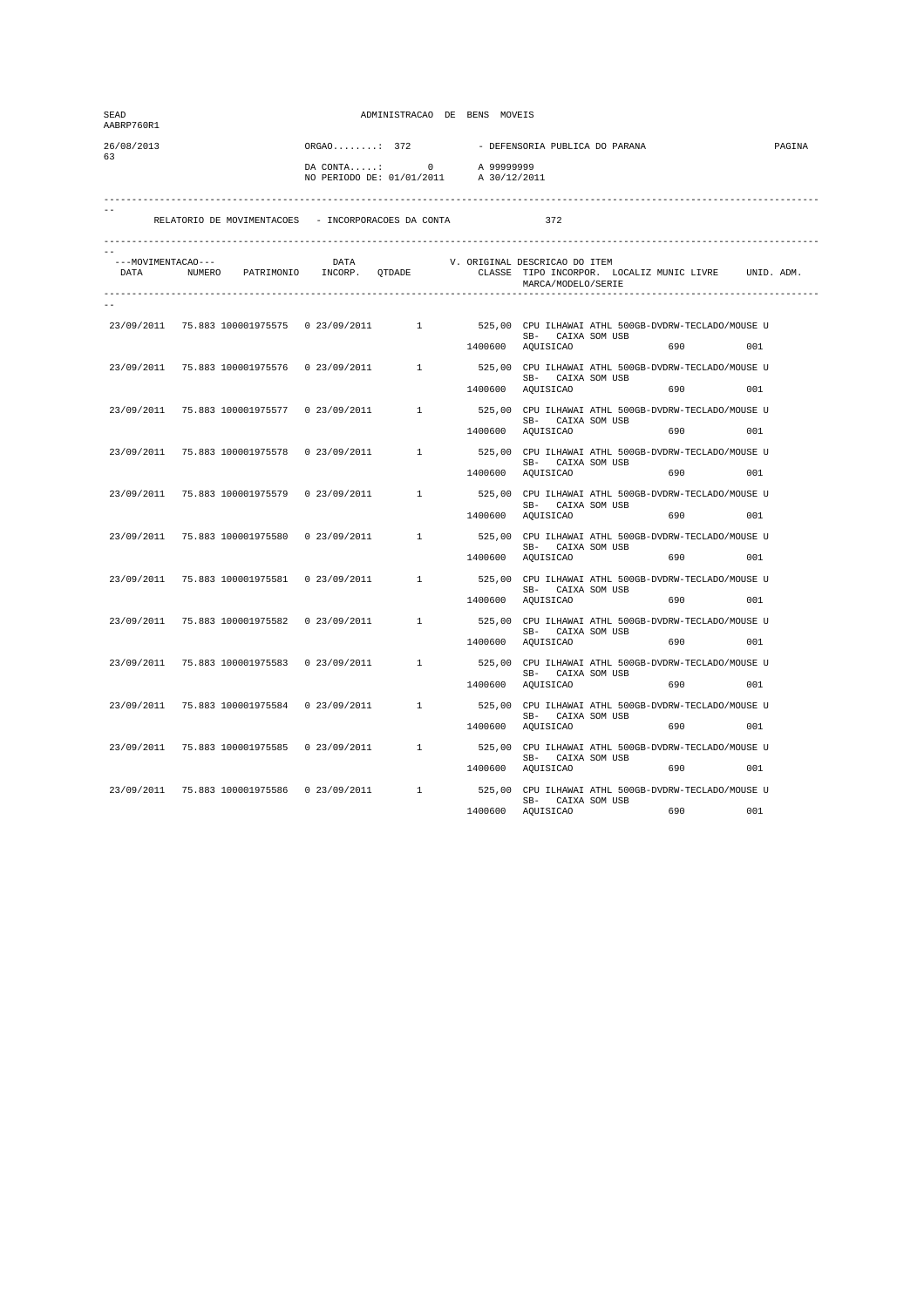| SEAD<br>AABRP760R1 |                                               | ADMINISTRACAO DE BENS MOVEIS |                                                     |                                                                  |                                |                                                                                                                                                                                |        |  |
|--------------------|-----------------------------------------------|------------------------------|-----------------------------------------------------|------------------------------------------------------------------|--------------------------------|--------------------------------------------------------------------------------------------------------------------------------------------------------------------------------|--------|--|
| 26/08/2013         |                                               | $ORGAO$ : 372                |                                                     |                                                                  | - DEFENSORIA PUBLICA DO PARANA |                                                                                                                                                                                | PAGINA |  |
| 63                 |                                               |                              |                                                     | DA CONTA: 0 A 99999999<br>NO PERIODO DE: 01/01/2011 A 30/12/2011 |                                |                                                                                                                                                                                |        |  |
|                    |                                               |                              | RELATORIO DE MOVIMENTACOES - INCORPORACOES DA CONTA |                                                                  | 372                            |                                                                                                                                                                                |        |  |
|                    |                                               |                              |                                                     |                                                                  |                                |                                                                                                                                                                                |        |  |
| ---MOVIMENTACAO--- |                                               |                              |                                                     |                                                                  | MARCA/MODELO/SERIE             | --MOVIMENTACAO---     DATA     V. ORIGINAL DESCRICAO DO ITEM<br>DATA     NUMERO   PATRIMONIO   INCORP.   QTDADE       CLASSE  TIPO INCORPOR.  LOCALIZ MUNIC LIVRE   UNID. ADM. |        |  |
|                    |                                               |                              |                                                     |                                                                  |                                |                                                                                                                                                                                |        |  |
|                    |                                               |                              |                                                     |                                                                  | SB- CAIXA SOM USB              | 23/09/2011 75.883 100001975575 0 23/09/2011 1 525,00 CPU ILHAWAI ATHL 500GB-DVDRW-TECLADO/MOUSE U                                                                              |        |  |
|                    |                                               |                              |                                                     |                                                                  | 1400600 AQUISICAO              | 690 001                                                                                                                                                                        |        |  |
| 23/09/2011         |                                               |                              |                                                     |                                                                  | SB- CAIXA SOM USB              | 75.883 100001975576  0 23/09/2011  1 525,00 CPU ILHAWAI ATHL 500GB-DVDRW-TECLADO/MOUSE U                                                                                       |        |  |
|                    |                                               |                              |                                                     |                                                                  | 1400600 AQUISICAO              | 001                                                                                                                                                                            |        |  |
|                    |                                               |                              | 23/09/2011 75.883 100001975577 0 23/09/2011 1       |                                                                  | SB- CAIXA SOM USB              | 525,00 CPU ILHAWAI ATHL 500GB-DVDRW-TECLADO/MOUSE U                                                                                                                            |        |  |
|                    |                                               |                              |                                                     |                                                                  | 1400600 AQUISICAO              | 690 001                                                                                                                                                                        |        |  |
|                    | 23/09/2011 75.883 100001975578 0 23/09/2011   |                              | $1 \qquad \qquad$                                   |                                                                  | SB- CAIXA SOM USB              | 525,00 CPU ILHAWAI ATHL 500GB-DVDRW-TECLADO/MOUSE U                                                                                                                            |        |  |
|                    |                                               |                              |                                                     |                                                                  | 1400600 AQUISICAO              | 690 001                                                                                                                                                                        |        |  |
|                    | 23/09/2011 75.883 100001975579                | 0 23/09/2011                 | 1                                                   |                                                                  |                                | 525,00 CPU ILHAWAI ATHL 500GB-DVDRW-TECLADO/MOUSE U<br>SB- CAIXA SOM USB                                                                                                       |        |  |
|                    |                                               |                              |                                                     | 1400600                                                          | AQUISICAO                      | 690<br>001                                                                                                                                                                     |        |  |
| 23/09/2011         |                                               |                              |                                                     |                                                                  | SB- CAIXA SOM USB              | 75.883 100001975580  0 23/09/2011  1 525,00 CPU ILHAWAI ATHL 500GB-DVDRW-TECLADO/MOUSE U                                                                                       |        |  |
|                    |                                               |                              |                                                     |                                                                  | 1400600 AQUISICAO              | 0.01                                                                                                                                                                           |        |  |
|                    |                                               |                              |                                                     |                                                                  | SB- CAIXA SOM USB              | 23/09/2011 75.883 100001975581 0 23/09/2011 1 525,00 CPU ILHAWAI ATHL 500GB-DVDRW-TECLADO/MOUSE U                                                                              |        |  |
|                    |                                               |                              |                                                     |                                                                  | 1400600 AQUISICAO              | 690 001                                                                                                                                                                        |        |  |
|                    | 23/09/2011 75.883 100001975582 0 23/09/2011   |                              | $1 \qquad \qquad$                                   |                                                                  | SB- CAIXA SOM USB              | 525,00 CPU ILHAWAI ATHL 500GB-DVDRW-TECLADO/MOUSE U                                                                                                                            |        |  |
|                    |                                               |                              |                                                     |                                                                  | 1400600 AQUISICAO              | 690 001                                                                                                                                                                        |        |  |
|                    | 23/09/2011 75.883 100001975583                | 0 23/09/2011                 | $1 \quad \cdots$                                    |                                                                  |                                | 525,00 CPU ILHAWAI ATHL 500GB-DVDRW-TECLADO/MOUSE U<br>SB- CAIXA SOM USB                                                                                                       |        |  |
|                    |                                               |                              |                                                     |                                                                  | 1400600 AQUISICAO              | 690<br>001                                                                                                                                                                     |        |  |
|                    |                                               |                              | 23/09/2011 75.883 100001975584 0 23/09/2011 1       |                                                                  | SB- CAIXA SOM USB              | 525,00 CPU ILHAWAI ATHL 500GB-DVDRW-TECLADO/MOUSE U                                                                                                                            |        |  |
|                    |                                               |                              |                                                     |                                                                  | 1400600 AQUISICAO              | 690 001                                                                                                                                                                        |        |  |
|                    |                                               |                              |                                                     |                                                                  | SB- CAIXA SOM USB              | 23/09/2011 75.883 100001975585 0 23/09/2011 1 525,00 CPU ILHAWAI ATHL 500GB-DVDRW-TECLADO/MOUSE U                                                                              |        |  |
|                    |                                               |                              |                                                     |                                                                  | 1400600 AQUISICAO              | 001                                                                                                                                                                            |        |  |
|                    | 23/09/2011 75.883 100001975586 0 23/09/2011 1 |                              |                                                     |                                                                  | SB- CAIXA SOM USB              | 525,00 CPU ILHAWAI ATHL 500GB-DVDRW-TECLADO/MOUSE U                                                                                                                            |        |  |
|                    |                                               |                              |                                                     | 1400600                                                          | AQUISICAO                      | 001<br>690                                                                                                                                                                     |        |  |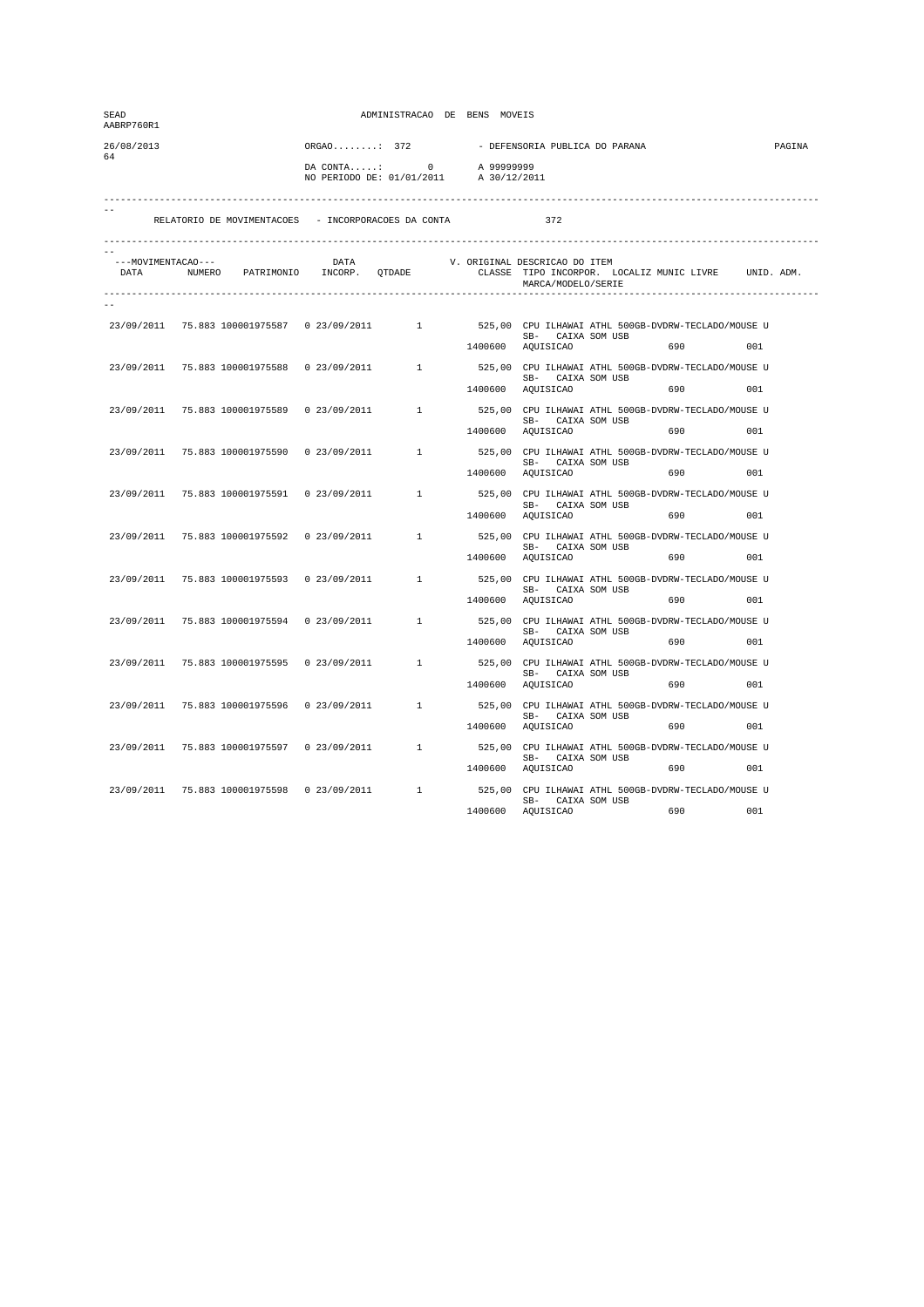| SEAD<br>AABRP760R1 |                                               |               | ADMINISTRACAO DE BENS MOVEIS                                       |         |                                                     |                                                                                                                        |        |
|--------------------|-----------------------------------------------|---------------|--------------------------------------------------------------------|---------|-----------------------------------------------------|------------------------------------------------------------------------------------------------------------------------|--------|
| 26/08/2013         |                                               | $ORGAO$ : 372 |                                                                    |         | - DEFENSORIA PUBLICA DO PARANA                      |                                                                                                                        | PAGINA |
| 64                 |                                               |               | DA CONTA: 0 A 99999999<br>NO PERIODO DE: 01/01/2011 A 30/12/2011   |         |                                                     |                                                                                                                        |        |
|                    |                                               |               | RELATORIO DE MOVIMENTACOES - INCORPORACOES DA CONTA                |         | 372                                                 |                                                                                                                        |        |
| ---MOVIMENTACAO--- |                                               |               | --MOVIMENTACAO--- DATA V.<br>DATA NUMERO PATRIMONIO INCORP. QTDADE |         | V. ORIGINAL DESCRICAO DO ITEM<br>MARCA/MODELO/SERIE | CLASSE TIPO INCORPOR. LOCALIZ MUNIC LIVRE UNID. ADM.                                                                   |        |
|                    |                                               |               |                                                                    |         |                                                     |                                                                                                                        |        |
|                    |                                               |               |                                                                    |         |                                                     | 23/09/2011 75.883 100001975587 0 23/09/2011 1 525,00 CPU ILHAWAI ATHL 500GB-DVDRW-TECLADO/MOUSE U<br>SB- CAIXA SOM USB |        |
|                    |                                               |               |                                                                    |         | 1400600 AQUISICAO                                   | 690 001                                                                                                                |        |
| 23/09/2011         | 75.883 100001975588                           |               |                                                                    |         | SB- CAIXA SOM USB                                   | 0 23/09/2011 1 525,00 CPU ILHAWAI ATHL 500GB-DVDRW-TECLADO/MOUSE U                                                     |        |
|                    |                                               |               |                                                                    |         | 1400600 AQUISICAO                                   | 690                                                                                                                    | 001    |
|                    |                                               |               | 23/09/2011 75.883 100001975589 0 23/09/2011 1                      |         | SB- CAIXA SOM USB                                   | 525,00 CPU ILHAWAI ATHL 500GB-DVDRW-TECLADO/MOUSE U                                                                    |        |
|                    |                                               |               |                                                                    |         | 1400600 AQUISICAO                                   | 690 88                                                                                                                 | 0.01   |
|                    | 23/09/2011 75.883 100001975590 0 23/09/2011   |               |                                                                    |         |                                                     | 1 525,00 CPU ILHAWAI ATHL 500GB-DVDRW-TECLADO/MOUSE U                                                                  |        |
|                    |                                               |               |                                                                    |         | SB- CAIXA SOM USB<br>1400600 AQUISICAO              | 690 001                                                                                                                |        |
|                    | 23/09/2011 75.883 100001975591                | 0 23/09/2011  | $\mathbf{1}$                                                       |         |                                                     | 525,00 CPU ILHAWAI ATHL 500GB-DVDRW-TECLADO/MOUSE U                                                                    |        |
|                    |                                               |               |                                                                    | 1400600 | AQUISICAO                                           | SB- CAIXA SOM USB<br>690                                                                                               | 0.01   |
| 23/09/2011         | 75.883 100001975592                           |               |                                                                    |         |                                                     | 0 23/09/2011 1 525,00 CPU ILHAWAI ATHL 500GB-DVDRW-TECLADO/MOUSE U                                                     |        |
|                    |                                               |               |                                                                    |         | SB- CAIXA SOM USB<br>1400600 AQUISICAO              | 690 80                                                                                                                 | 0.01   |
|                    |                                               |               | 23/09/2011 75.883 100001975593 0 23/09/2011 1                      |         |                                                     | 525,00 CPU ILHAWAI ATHL 500GB-DVDRW-TECLADO/MOUSE U                                                                    |        |
|                    |                                               |               |                                                                    |         | SB- CAIXA SOM USB<br>1400600 AQUISICAO              | 690 001                                                                                                                |        |
|                    | 23/09/2011 75.883 100001975594 0 23/09/2011   |               | $1 \qquad \qquad$                                                  |         |                                                     | 525,00 CPU ILHAWAI ATHL 500GB-DVDRW-TECLADO/MOUSE U                                                                    |        |
|                    |                                               |               |                                                                    |         | SB- CAIXA SOM USB                                   |                                                                                                                        |        |
|                    |                                               |               |                                                                    |         | 1400600 AQUISICAO                                   | 690 001                                                                                                                |        |
| 23/09/2011         | 75.883 100001975595                           | 0 23/09/2011  | 1                                                                  |         |                                                     | 525,00 CPU ILHAWAI ATHL 500GB-DVDRW-TECLADO/MOUSE U<br>SB- CAIXA SOM USB                                               |        |
|                    |                                               |               |                                                                    |         | 1400600 AQUISICAO                                   | 690                                                                                                                    | 001    |
| 23/09/2011         | 75.883 100001975596                           |               | 0 23/09/2011 1                                                     |         | SB- CAIXA SOM USB                                   | 525,00 CPU ILHAWAI ATHL 500GB-DVDRW-TECLADO/MOUSE U                                                                    |        |
|                    |                                               |               |                                                                    |         | 1400600 AQUISICAO                                   | 690                                                                                                                    | 001    |
|                    |                                               |               |                                                                    |         | SB- CAIXA SOM USB                                   | 23/09/2011 75.883 100001975597 0 23/09/2011 1 525,00 CPU ILHAWAI ATHL 500GB-DVDRW-TECLADO/MOUSE U                      |        |
|                    |                                               |               |                                                                    |         | 1400600 AQUISICAO                                   |                                                                                                                        | 001    |
|                    | 23/09/2011 75.883 100001975598 0 23/09/2011 1 |               |                                                                    |         |                                                     | 525,00 CPU ILHAWAI ATHL 500GB-DVDRW-TECLADO/MOUSE U                                                                    |        |
|                    |                                               |               |                                                                    | 1400600 | SB- CAIXA SOM USB<br>AQUISICAO                      | 690                                                                                                                    | 001    |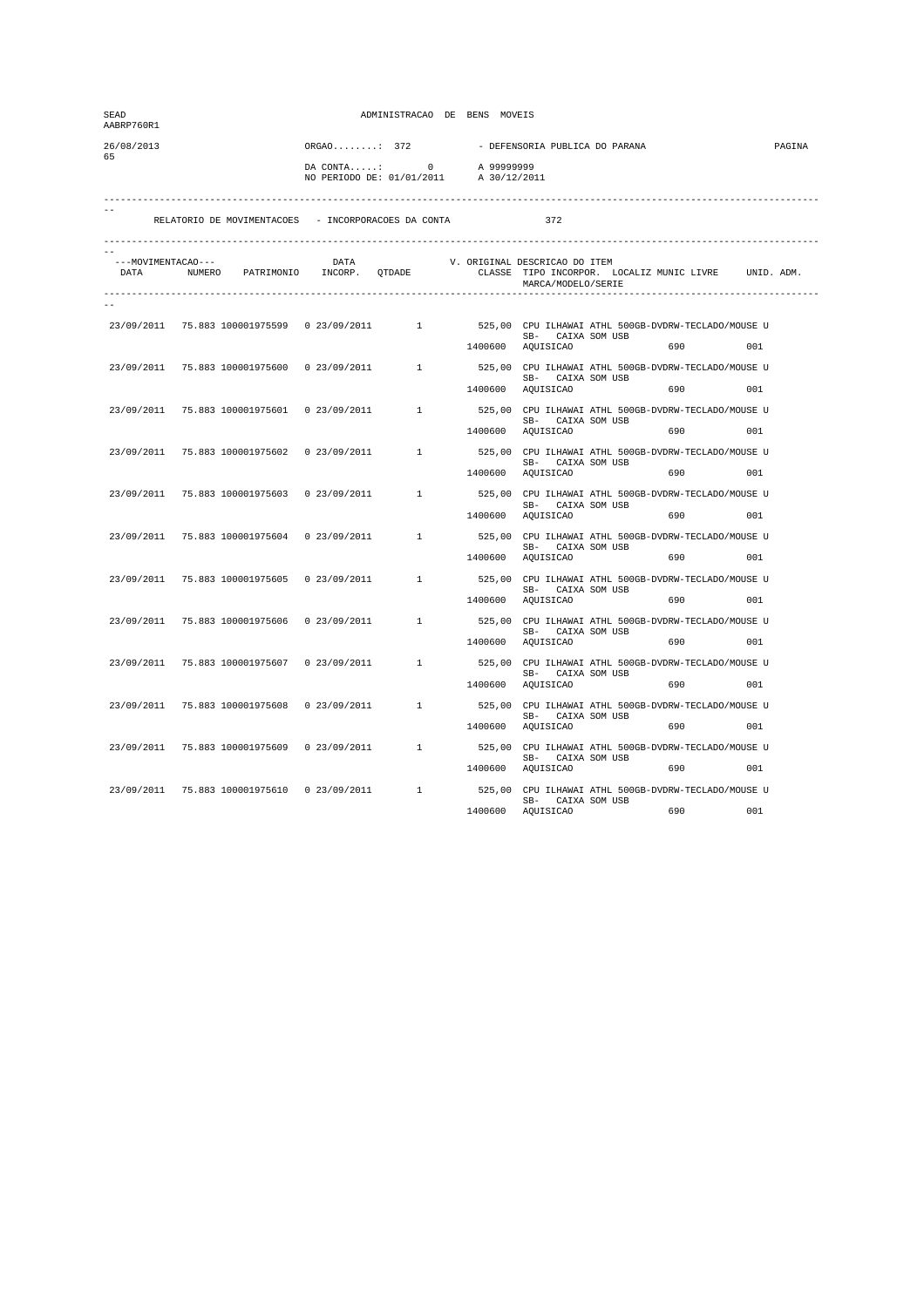| SEAD<br>AABRP760R1 |                                               |               | ADMINISTRACAO DE BENS MOVEIS                                       |         |                                                     |                                                                                                                        |        |
|--------------------|-----------------------------------------------|---------------|--------------------------------------------------------------------|---------|-----------------------------------------------------|------------------------------------------------------------------------------------------------------------------------|--------|
| 26/08/2013         |                                               | $ORGAO$ : 372 |                                                                    |         | - DEFENSORIA PUBLICA DO PARANA                      |                                                                                                                        | PAGINA |
| 65                 |                                               |               | DA CONTA: 0 A 99999999<br>NO PERIODO DE: 01/01/2011 A 30/12/2011   |         |                                                     |                                                                                                                        |        |
|                    |                                               |               | RELATORIO DE MOVIMENTACOES - INCORPORACOES DA CONTA                |         | 372                                                 |                                                                                                                        |        |
| ---MOVIMENTACAO--- |                                               |               | --MOVIMENTACAO--- DATA V.<br>DATA NUMERO PATRIMONIO INCORP. QTDADE |         | V. ORIGINAL DESCRICAO DO ITEM<br>MARCA/MODELO/SERIE | CLASSE TIPO INCORPOR. LOCALIZ MUNIC LIVRE UNID. ADM.                                                                   |        |
|                    |                                               |               |                                                                    |         |                                                     |                                                                                                                        |        |
|                    |                                               |               |                                                                    |         |                                                     | 23/09/2011 75.883 100001975599 0 23/09/2011 1 525,00 CPU ILHAWAI ATHL 500GB-DVDRW-TECLADO/MOUSE U<br>SB- CAIXA SOM USB |        |
|                    |                                               |               |                                                                    |         | 1400600 AQUISICAO                                   | 690 001                                                                                                                |        |
| 23/09/2011         | 75.883 100001975600                           |               |                                                                    |         | SB- CAIXA SOM USB                                   | 0 23/09/2011 1 525,00 CPU ILHAWAI ATHL 500GB-DVDRW-TECLADO/MOUSE U                                                     |        |
|                    |                                               |               |                                                                    |         | 1400600 AQUISICAO                                   | 690                                                                                                                    | 001    |
|                    |                                               |               | 23/09/2011 75.883 100001975601 0 23/09/2011 1                      |         |                                                     | 525,00 CPU ILHAWAI ATHL 500GB-DVDRW-TECLADO/MOUSE U                                                                    |        |
|                    |                                               |               |                                                                    |         | SB- CAIXA SOM USB<br>1400600 AQUISICAO              | 690 000                                                                                                                | 0.01   |
|                    | 23/09/2011 75.883 100001975602 0 23/09/2011   |               |                                                                    |         |                                                     | 1 525,00 CPU ILHAWAI ATHL 500GB-DVDRW-TECLADO/MOUSE U                                                                  |        |
|                    |                                               |               |                                                                    |         | SB- CAIXA SOM USB<br>1400600 AQUISICAO              | 690 001                                                                                                                |        |
|                    | 23/09/2011 75.883 100001975603                | 0 23/09/2011  | $\mathbf{1}$                                                       |         |                                                     | 525,00 CPU ILHAWAI ATHL 500GB-DVDRW-TECLADO/MOUSE U                                                                    |        |
|                    |                                               |               |                                                                    | 1400600 | AQUISICAO                                           | SB- CAIXA SOM USB<br>690                                                                                               | 0.01   |
| 23/09/2011         | 75.883 100001975604                           |               |                                                                    |         |                                                     | 0 23/09/2011 1 525,00 CPU ILHAWAI ATHL 500GB-DVDRW-TECLADO/MOUSE U                                                     |        |
|                    |                                               |               |                                                                    |         | SB- CAIXA SOM USB<br>1400600 AQUISICAO              | 690 80                                                                                                                 | 0.01   |
|                    |                                               |               |                                                                    |         |                                                     |                                                                                                                        |        |
|                    | 23/09/2011 75.883 100001975605                |               | 0 23/09/2011 1                                                     |         | SB- CAIXA SOM USB                                   | 525,00 CPU ILHAWAI ATHL 500GB-DVDRW-TECLADO/MOUSE U                                                                    |        |
|                    |                                               |               |                                                                    |         | 1400600 AQUISICAO                                   | 690 001                                                                                                                |        |
|                    | 23/09/2011 75.883 100001975606 0 23/09/2011   |               | $1 \qquad \qquad$                                                  |         | SB- CAIXA SOM USB                                   | 525,00 CPU ILHAWAI ATHL 500GB-DVDRW-TECLADO/MOUSE U                                                                    |        |
|                    |                                               |               |                                                                    |         | 1400600 AQUISICAO                                   | 690 001                                                                                                                |        |
| 23/09/2011         | 75.883 100001975607                           | 0 23/09/2011  | 1                                                                  |         |                                                     | 525,00 CPU ILHAWAI ATHL 500GB-DVDRW-TECLADO/MOUSE U                                                                    |        |
|                    |                                               |               |                                                                    |         | 1400600 AQUISICAO                                   | SB- CAIXA SOM USB<br>690                                                                                               | 001    |
| 23/09/2011         | 75.883 100001975608                           |               | $0.23/09/2011$ 1                                                   |         |                                                     | 525,00 CPU ILHAWAI ATHL 500GB-DVDRW-TECLADO/MOUSE U                                                                    |        |
|                    |                                               |               |                                                                    |         | SB- CAIXA SOM USB<br>1400600 AQUISICAO              | 690                                                                                                                    | 001    |
|                    | 23/09/2011 75.883 100001975609                |               |                                                                    |         |                                                     |                                                                                                                        |        |
|                    |                                               |               |                                                                    |         | SB- CAIXA SOM USB<br>1400600 AQUISICAO              |                                                                                                                        | 001    |
|                    | 23/09/2011 75.883 100001975610 0 23/09/2011 1 |               |                                                                    |         |                                                     | 525,00 CPU ILHAWAI ATHL 500GB-DVDRW-TECLADO/MOUSE U                                                                    |        |
|                    |                                               |               |                                                                    |         | SB- CAIXA SOM USB                                   |                                                                                                                        |        |
|                    |                                               |               |                                                                    | 1400600 | AQUISICAO                                           | 690                                                                                                                    | 001    |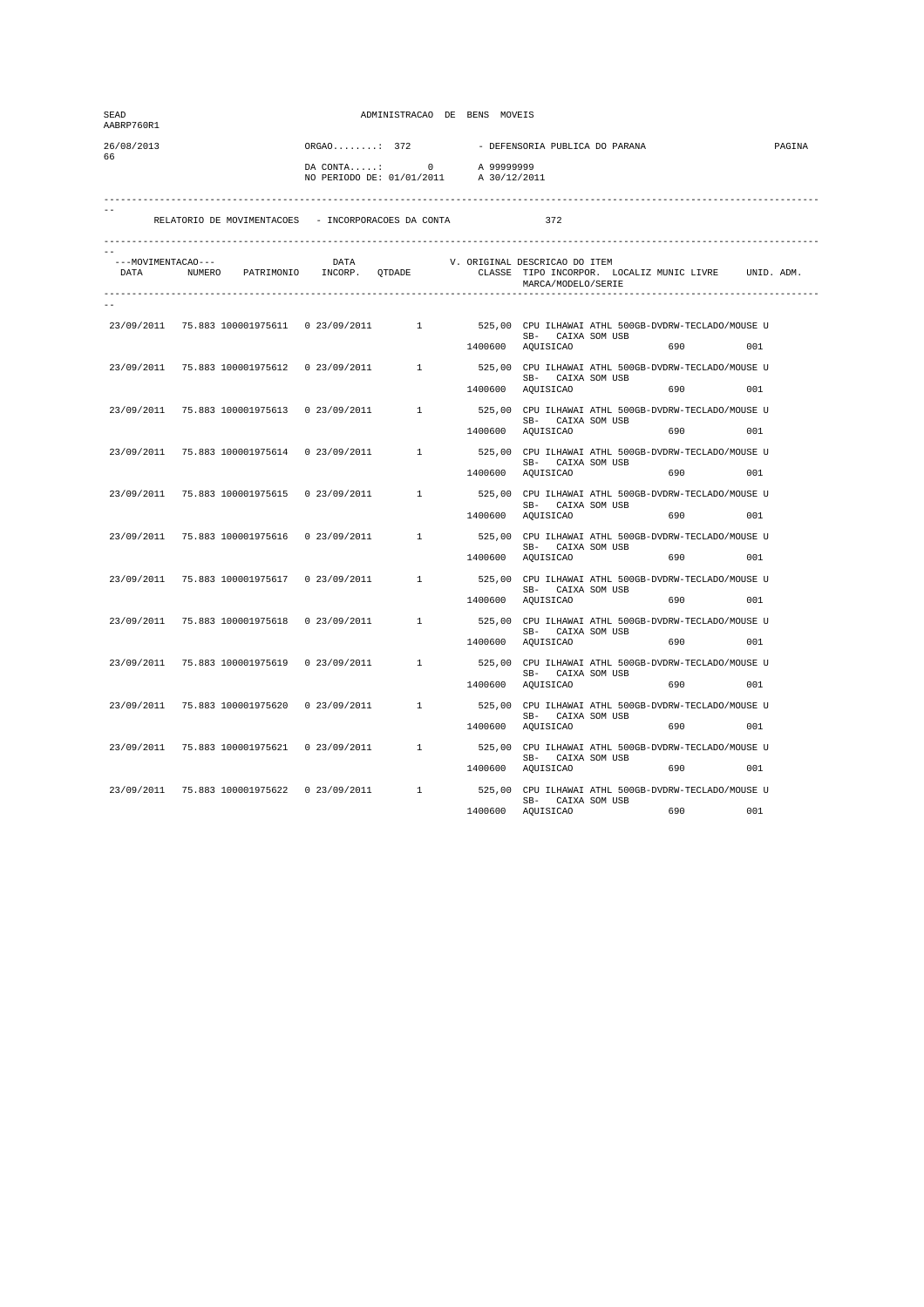| SEAD<br>AABRP760R1 |                                               | ADMINISTRACAO DE BENS MOVEIS |                                                                                |                                                                  |                                                     |                                                                                                                        |        |  |
|--------------------|-----------------------------------------------|------------------------------|--------------------------------------------------------------------------------|------------------------------------------------------------------|-----------------------------------------------------|------------------------------------------------------------------------------------------------------------------------|--------|--|
| 26/08/2013         |                                               | $ORGAO$ : 372                |                                                                                |                                                                  | - DEFENSORIA PUBLICA DO PARANA                      |                                                                                                                        | PAGINA |  |
| 66                 |                                               |                              |                                                                                | DA CONTA: 0 A 99999999<br>NO PERIODO DE: 01/01/2011 A 30/12/2011 |                                                     |                                                                                                                        |        |  |
|                    |                                               |                              | RELATORIO DE MOVIMENTACOES - INCORPORACOES DA CONTA                            |                                                                  | 372                                                 |                                                                                                                        |        |  |
| ---MOVIMENTACAO--- |                                               | DATA                         | ---MOVIMENTACAO--- DATRIMONIO DATA V.<br>DATA NUMERO PATRIMONIO INCORP. QTDADE |                                                                  | V. ORIGINAL DESCRICAO DO ITEM<br>MARCA/MODELO/SERIE | CLASSE TIPO INCORPOR. LOCALIZ MUNIC LIVRE UNID. ADM.                                                                   |        |  |
|                    |                                               |                              |                                                                                |                                                                  |                                                     |                                                                                                                        |        |  |
|                    |                                               |                              |                                                                                |                                                                  |                                                     | 23/09/2011 75.883 100001975611 0 23/09/2011 1 525,00 CPU ILHAWAI ATHL 500GB-DVDRW-TECLADO/MOUSE U<br>SB- CAIXA SOM USB |        |  |
|                    |                                               |                              |                                                                                |                                                                  | 1400600 AQUISICAO                                   | 690 001                                                                                                                |        |  |
| 23/09/2011         |                                               |                              |                                                                                |                                                                  | SB- CAIXA SOM USB                                   | 75.883 100001975612  0 23/09/2011  1  525,00 CPU ILHAWAI ATHL 500GB-DVDRW-TECLADO/MOUSE U                              |        |  |
|                    |                                               |                              |                                                                                |                                                                  | 1400600 AQUISICAO                                   | 690                                                                                                                    | 001    |  |
|                    |                                               |                              | 23/09/2011 75.883 100001975613 0 23/09/2011 1                                  |                                                                  | SB- CAIXA SOM USB                                   | 525,00 CPU ILHAWAI ATHL 500GB-DVDRW-TECLADO/MOUSE U                                                                    |        |  |
|                    |                                               |                              |                                                                                |                                                                  | 1400600 AQUISICAO                                   | 690 80                                                                                                                 | 0.01   |  |
|                    | 23/09/2011 75.883 100001975614 0 23/09/2011   |                              |                                                                                |                                                                  |                                                     | 1 525,00 CPU ILHAWAI ATHL 500GB-DVDRW-TECLADO/MOUSE U                                                                  |        |  |
|                    |                                               |                              |                                                                                |                                                                  | SB- CAIXA SOM USB<br>1400600 AQUISICAO              | 690 001                                                                                                                |        |  |
|                    | 23/09/2011 75.883 100001975615                | 0 23/09/2011                 | $\mathbf{1}$                                                                   |                                                                  |                                                     | 525,00 CPU ILHAWAI ATHL 500GB-DVDRW-TECLADO/MOUSE U                                                                    |        |  |
|                    |                                               |                              |                                                                                | 1400600                                                          | AQUISICAO                                           | SB- CAIXA SOM USB<br>690                                                                                               | 0.01   |  |
| 23/09/2011         | 75.883 100001975616                           |                              |                                                                                |                                                                  |                                                     | 0 23/09/2011 1 525,00 CPU ILHAWAI ATHL 500GB-DVDRW-TECLADO/MOUSE U                                                     |        |  |
|                    |                                               |                              |                                                                                |                                                                  | SB- CAIXA SOM USB<br>1400600 AQUISICAO              | 690 80                                                                                                                 | 0.01   |  |
|                    |                                               |                              | 23/09/2011 75.883 100001975617 0 23/09/2011 1                                  |                                                                  |                                                     | 525,00 CPU ILHAWAI ATHL 500GB-DVDRW-TECLADO/MOUSE U                                                                    |        |  |
|                    |                                               |                              |                                                                                |                                                                  | SB- CAIXA SOM USB<br>1400600 AQUISICAO              | 690 001                                                                                                                |        |  |
|                    | 23/09/2011 75.883 100001975618 0 23/09/2011   |                              | $1 \qquad \qquad$                                                              |                                                                  |                                                     | 525,00 CPU ILHAWAI ATHL 500GB-DVDRW-TECLADO/MOUSE U                                                                    |        |  |
|                    |                                               |                              |                                                                                |                                                                  | SB- CAIXA SOM USB<br>1400600 AQUISICAO              | 690 001                                                                                                                |        |  |
|                    | 23/09/2011 75.883 100001975619                | 0 23/09/2011                 | 1                                                                              |                                                                  |                                                     | 525,00 CPU ILHAWAI ATHL 500GB-DVDRW-TECLADO/MOUSE U                                                                    |        |  |
|                    |                                               |                              |                                                                                |                                                                  | 1400600 AQUISICAO                                   | SB- CAIXA SOM USB<br>690                                                                                               | 001    |  |
| 23/09/2011         | 75.883 100001975620                           |                              | 0 23/09/2011 1                                                                 |                                                                  |                                                     | 525,00 CPU ILHAWAI ATHL 500GB-DVDRW-TECLADO/MOUSE U                                                                    |        |  |
|                    |                                               |                              |                                                                                |                                                                  | SB- CAIXA SOM USB                                   |                                                                                                                        |        |  |
|                    |                                               |                              |                                                                                |                                                                  | 1400600 AQUISICAO                                   | 690                                                                                                                    | 001    |  |
|                    |                                               |                              |                                                                                |                                                                  | SB- CAIXA SOM USB                                   | 23/09/2011 75.883 100001975621 0 23/09/2011 1 525,00 CPU ILHAWAI ATHL 500GB-DVDRW-TECLADO/MOUSE U                      |        |  |
|                    |                                               |                              |                                                                                |                                                                  | 1400600 AQUISICAO                                   |                                                                                                                        | 001    |  |
|                    | 23/09/2011 75.883 100001975622 0 23/09/2011 1 |                              |                                                                                |                                                                  | SB- CAIXA SOM USB                                   | 525,00 CPU ILHAWAI ATHL 500GB-DVDRW-TECLADO/MOUSE U                                                                    |        |  |
|                    |                                               |                              |                                                                                | 1400600                                                          | AQUISICAO                                           | 690                                                                                                                    | 001    |  |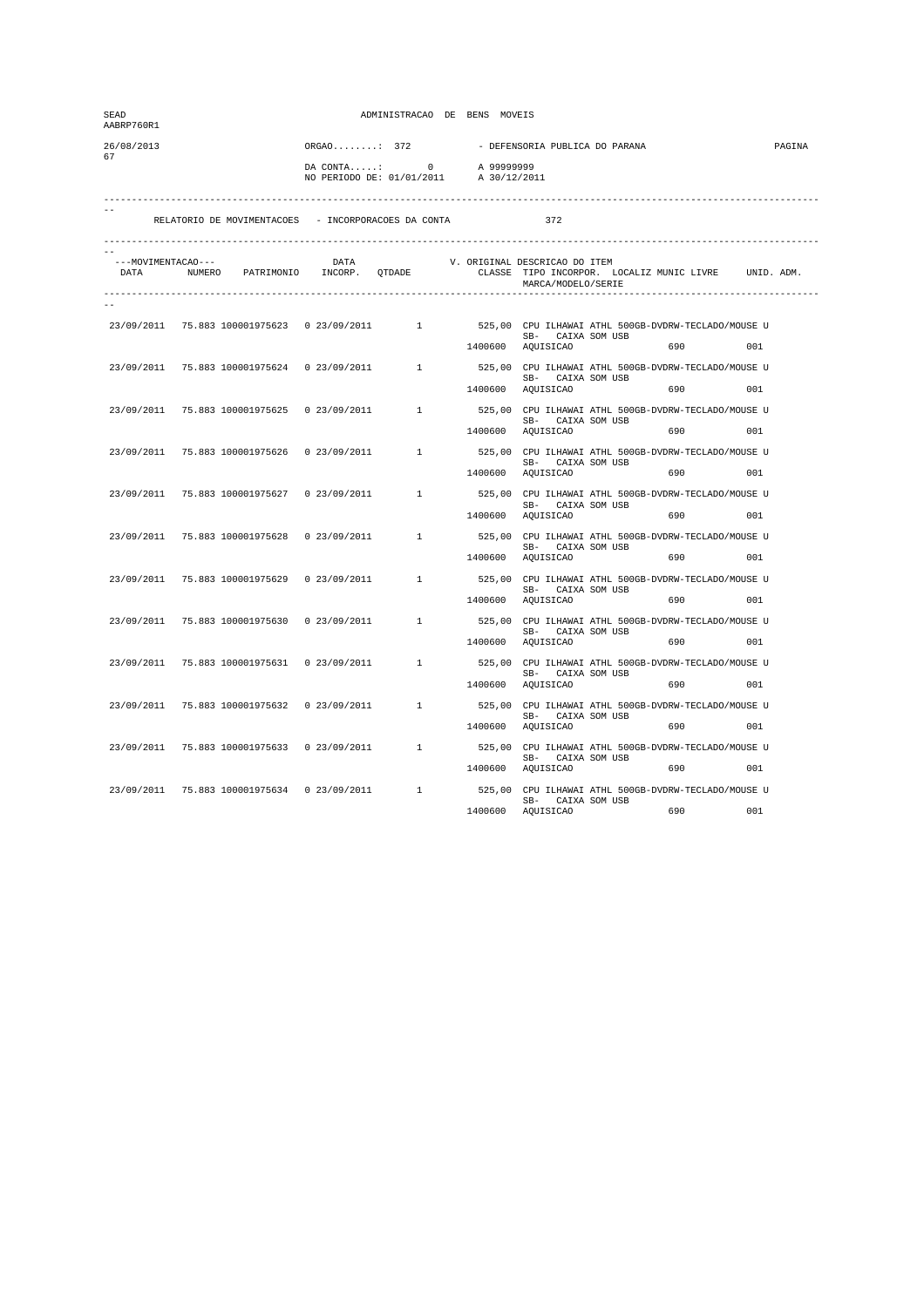| SEAD<br>AABRP760R1 |                                               | ADMINISTRACAO DE BENS MOVEIS                                     |                                                     |         |                                        |                                                                                                                                                                                |        |  |
|--------------------|-----------------------------------------------|------------------------------------------------------------------|-----------------------------------------------------|---------|----------------------------------------|--------------------------------------------------------------------------------------------------------------------------------------------------------------------------------|--------|--|
| 26/08/2013<br>67   |                                               | $ORGAO$ : 372                                                    |                                                     |         | - DEFENSORIA PUBLICA DO PARANA         |                                                                                                                                                                                | PAGINA |  |
|                    |                                               | DA CONTA: 0 A 99999999<br>NO PERIODO DE: 01/01/2011 A 30/12/2011 |                                                     |         |                                        |                                                                                                                                                                                |        |  |
|                    |                                               |                                                                  | RELATORIO DE MOVIMENTACOES - INCORPORACOES DA CONTA |         | 372                                    |                                                                                                                                                                                |        |  |
|                    |                                               |                                                                  |                                                     |         |                                        |                                                                                                                                                                                |        |  |
| ---MOVIMENTACAO--- |                                               |                                                                  |                                                     |         | MARCA/MODELO/SERIE                     | --MOVIMENTACAO---     DATA     V. ORIGINAL DESCRICAO DO ITEM<br>DATA     NUMERO   PATRIMONIO   INCORP.   QTDADE       CLASSE  TIPO INCORPOR.  LOCALIZ MUNIC LIVRE   UNID. ADM. |        |  |
|                    |                                               |                                                                  |                                                     |         |                                        |                                                                                                                                                                                |        |  |
|                    |                                               |                                                                  |                                                     |         | SB- CAIXA SOM USB                      | 23/09/2011 75.883 100001975623 0 23/09/2011 1 525,00 CPU ILHAWAI ATHL 500GB-DVDRW-TECLADO/MOUSE U                                                                              |        |  |
|                    |                                               |                                                                  |                                                     |         | 1400600 AQUISICAO                      | 690 001                                                                                                                                                                        |        |  |
| 23/09/2011         |                                               |                                                                  |                                                     |         | SB- CAIXA SOM USB                      | 75.883 100001975624  0 23/09/2011  1 525,00 CPU ILHAWAI ATHL 500GB-DVDRW-TECLADO/MOUSE U                                                                                       |        |  |
|                    |                                               |                                                                  |                                                     |         | 1400600 AQUISICAO                      |                                                                                                                                                                                | 001    |  |
|                    |                                               |                                                                  | 23/09/2011 75.883 100001975625 0 23/09/2011 1       |         | SB- CAIXA SOM USB                      | 525,00 CPU ILHAWAI ATHL 500GB-DVDRW-TECLADO/MOUSE U                                                                                                                            |        |  |
|                    |                                               |                                                                  |                                                     |         | 1400600 AQUISICAO                      | 690 001                                                                                                                                                                        |        |  |
|                    | 23/09/2011 75.883 100001975626 0 23/09/2011   |                                                                  |                                                     |         | SB- CAIXA SOM USB                      | 1 525,00 CPU ILHAWAI ATHL 500GB-DVDRW-TECLADO/MOUSE U                                                                                                                          |        |  |
|                    |                                               |                                                                  |                                                     |         | 1400600 AQUISICAO                      | 690 001                                                                                                                                                                        |        |  |
|                    | 23/09/2011 75.883 100001975627                | 0 23/09/2011                                                     | 1                                                   |         |                                        | 525,00 CPU ILHAWAI ATHL 500GB-DVDRW-TECLADO/MOUSE U<br>SB- CAIXA SOM USB                                                                                                       |        |  |
|                    |                                               |                                                                  |                                                     | 1400600 | AQUISICAO                              | 690                                                                                                                                                                            | 001    |  |
|                    | 23/09/2011 75.883 100001975628                |                                                                  |                                                     |         | SB- CAIXA SOM USB                      | 0 23/09/2011 $1$ 525,00 CPU ILHAWAI ATHL 500GB-DVDRW-TECLADO/MOUSE U                                                                                                           |        |  |
|                    |                                               |                                                                  |                                                     |         | 1400600 AQUISICAO                      |                                                                                                                                                                                | 0.01   |  |
|                    | 23/09/2011 75.883 100001975629                |                                                                  |                                                     |         | SB- CAIXA SOM USB                      |                                                                                                                                                                                |        |  |
|                    |                                               |                                                                  |                                                     |         | 1400600 AQUISICAO                      | 690 001                                                                                                                                                                        |        |  |
|                    | 23/09/2011 75.883 100001975630 0 23/09/2011   |                                                                  | $1 \qquad \qquad$                                   |         |                                        | 525,00 CPU ILHAWAI ATHL 500GB-DVDRW-TECLADO/MOUSE U                                                                                                                            |        |  |
|                    |                                               |                                                                  |                                                     |         | SB- CAIXA SOM USB<br>1400600 AQUISICAO | 690 001                                                                                                                                                                        |        |  |
|                    | 23/09/2011 75.883 100001975631                | 0 23/09/2011                                                     | $1 \quad \cdots$                                    |         |                                        | 525,00 CPU ILHAWAI ATHL 500GB-DVDRW-TECLADO/MOUSE U                                                                                                                            |        |  |
|                    |                                               |                                                                  |                                                     |         | 1400600 AQUISICAO                      | SB- CAIXA SOM USB<br>690                                                                                                                                                       | 001    |  |
|                    |                                               |                                                                  | 23/09/2011 75.883 100001975632 0 23/09/2011 1       |         |                                        | 525,00 CPU ILHAWAI ATHL 500GB-DVDRW-TECLADO/MOUSE U                                                                                                                            |        |  |
|                    |                                               |                                                                  |                                                     |         | SB- CAIXA SOM USB<br>1400600 AQUISICAO | 690 001                                                                                                                                                                        |        |  |
|                    |                                               |                                                                  |                                                     |         |                                        | 23/09/2011 75.883 100001975633 0 23/09/2011 1 525,00 CPU ILHAWAI ATHL 500GB-DVDRW-TECLADO/MOUSE U                                                                              |        |  |
|                    |                                               |                                                                  |                                                     |         | SB- CAIXA SOM USB<br>1400600 AQUISICAO |                                                                                                                                                                                | 001    |  |
|                    | 23/09/2011 75.883 100001975634 0 23/09/2011 1 |                                                                  |                                                     |         |                                        | 525,00 CPU ILHAWAI ATHL 500GB-DVDRW-TECLADO/MOUSE U                                                                                                                            |        |  |
|                    |                                               |                                                                  |                                                     | 1400600 | SB- CAIXA SOM USB<br>AQUISICAO         | 690                                                                                                                                                                            | 001    |  |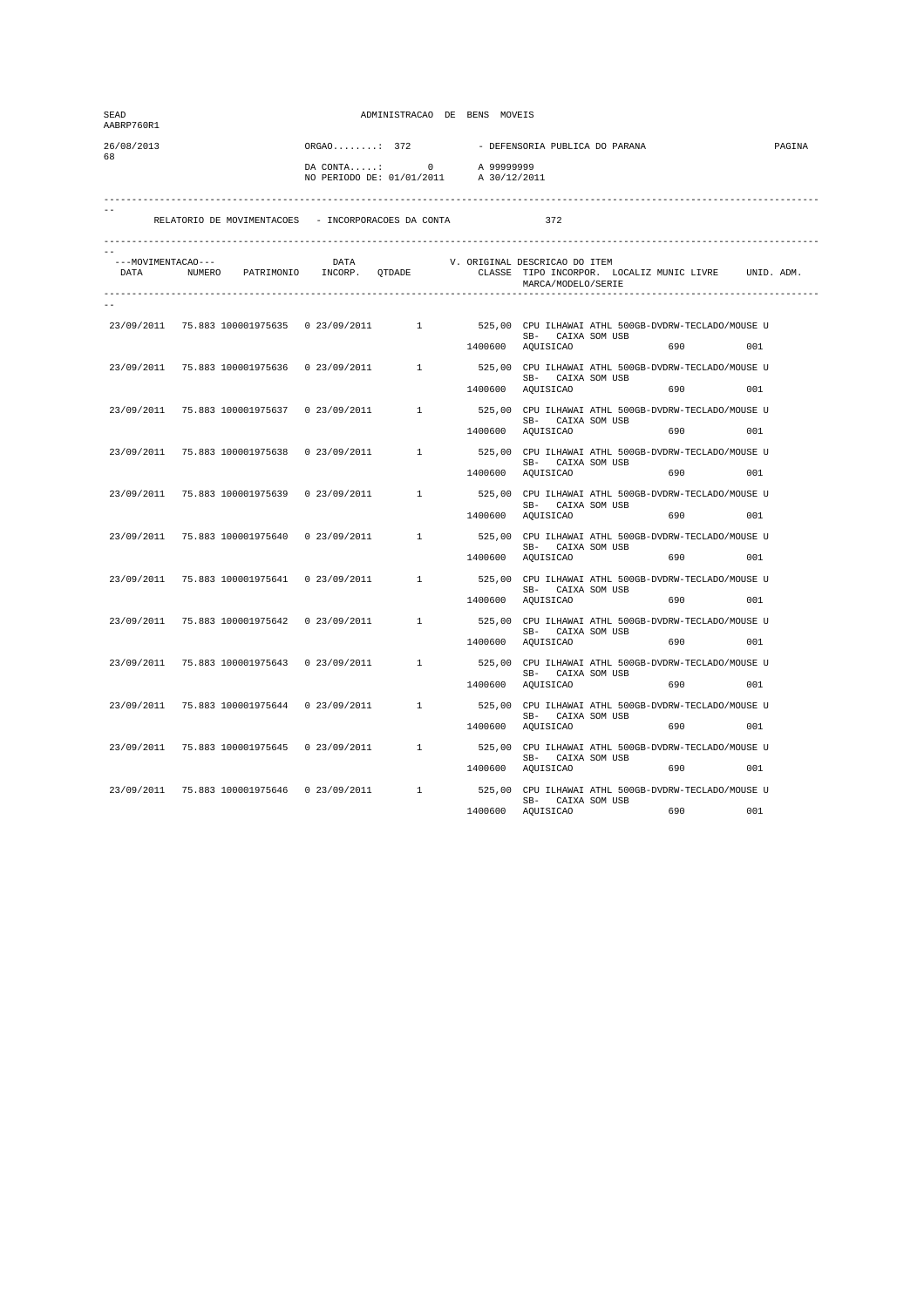| SEAD<br>AABRP760R1 |                                               |               | ADMINISTRACAO DE BENS MOVEIS                                       |                                                                  |                                                     |                                                                                                                        |        |
|--------------------|-----------------------------------------------|---------------|--------------------------------------------------------------------|------------------------------------------------------------------|-----------------------------------------------------|------------------------------------------------------------------------------------------------------------------------|--------|
| 26/08/2013         |                                               | $ORGAO$ : 372 |                                                                    |                                                                  | - DEFENSORIA PUBLICA DO PARANA                      |                                                                                                                        | PAGINA |
| 68                 |                                               |               |                                                                    | DA CONTA: 0 A 99999999<br>NO PERIODO DE: 01/01/2011 A 30/12/2011 |                                                     |                                                                                                                        |        |
|                    |                                               |               | RELATORIO DE MOVIMENTACOES - INCORPORACOES DA CONTA                |                                                                  | 372                                                 |                                                                                                                        |        |
| ---MOVIMENTACAO--- |                                               |               | --MOVIMENTACAO--- DATA V.<br>DATA NUMERO PATRIMONIO INCORP. QTDADE |                                                                  | V. ORIGINAL DESCRICAO DO ITEM<br>MARCA/MODELO/SERIE | CLASSE TIPO INCORPOR. LOCALIZ MUNIC LIVRE UNID. ADM.                                                                   |        |
|                    |                                               |               |                                                                    |                                                                  |                                                     |                                                                                                                        |        |
|                    |                                               |               |                                                                    |                                                                  |                                                     | 23/09/2011 75.883 100001975635 0 23/09/2011 1 525,00 CPU ILHAWAI ATHL 500GB-DVDRW-TECLADO/MOUSE U<br>SB- CAIXA SOM USB |        |
|                    |                                               |               |                                                                    |                                                                  | 1400600 AQUISICAO                                   | 690 001                                                                                                                |        |
| 23/09/2011         | 75.883 100001975636                           |               |                                                                    |                                                                  | SB- CAIXA SOM USB                                   | 0 23/09/2011 1 525,00 CPU ILHAWAI ATHL 500GB-DVDRW-TECLADO/MOUSE U                                                     |        |
|                    |                                               |               |                                                                    |                                                                  | 1400600 AQUISICAO                                   | 690                                                                                                                    | 001    |
|                    |                                               |               | 23/09/2011 75.883 100001975637 0 23/09/2011 1                      |                                                                  |                                                     | 525,00 CPU ILHAWAI ATHL 500GB-DVDRW-TECLADO/MOUSE U                                                                    |        |
|                    |                                               |               |                                                                    |                                                                  | SB- CAIXA SOM USB<br>1400600 AQUISICAO              | 690 80                                                                                                                 | 0.01   |
|                    | 23/09/2011 75.883 100001975638 0 23/09/2011   |               |                                                                    |                                                                  |                                                     | 1 525,00 CPU ILHAWAI ATHL 500GB-DVDRW-TECLADO/MOUSE U                                                                  |        |
|                    |                                               |               |                                                                    |                                                                  | SB- CAIXA SOM USB<br>1400600 AQUISICAO              | 690 001                                                                                                                |        |
|                    | 23/09/2011 75.883 100001975639                | 0 23/09/2011  | $\mathbf{1}$                                                       |                                                                  |                                                     | 525,00 CPU ILHAWAI ATHL 500GB-DVDRW-TECLADO/MOUSE U                                                                    |        |
|                    |                                               |               |                                                                    | 1400600                                                          | AQUISICAO                                           | SB- CAIXA SOM USB<br>690                                                                                               | 0.01   |
| 23/09/2011         | 75.883 100001975640                           |               |                                                                    |                                                                  |                                                     | 0 23/09/2011 1 525,00 CPU ILHAWAI ATHL 500GB-DVDRW-TECLADO/MOUSE U                                                     |        |
|                    |                                               |               |                                                                    |                                                                  | SB- CAIXA SOM USB<br>1400600 AQUISICAO              | 690 80                                                                                                                 | 0.01   |
|                    |                                               |               |                                                                    |                                                                  |                                                     |                                                                                                                        |        |
|                    |                                               |               | 23/09/2011 75.883 100001975641 0 23/09/2011 1                      |                                                                  | SB- CAIXA SOM USB                                   | 525,00 CPU ILHAWAI ATHL 500GB-DVDRW-TECLADO/MOUSE U                                                                    |        |
|                    |                                               |               |                                                                    |                                                                  | 1400600 AQUISICAO                                   | 690 001                                                                                                                |        |
|                    | 23/09/2011 75.883 100001975642 0 23/09/2011   |               | $1 \qquad \qquad$                                                  |                                                                  | SB- CAIXA SOM USB                                   | 525,00 CPU ILHAWAI ATHL 500GB-DVDRW-TECLADO/MOUSE U                                                                    |        |
|                    |                                               |               |                                                                    |                                                                  | 1400600 AQUISICAO                                   | 690 001                                                                                                                |        |
|                    | 23/09/2011 75.883 100001975643                | 0 23/09/2011  | 1                                                                  |                                                                  |                                                     | 525,00 CPU ILHAWAI ATHL 500GB-DVDRW-TECLADO/MOUSE U<br>SB- CAIXA SOM USB                                               |        |
|                    |                                               |               |                                                                    |                                                                  | 1400600 AQUISICAO                                   | 690                                                                                                                    | 001    |
| 23/09/2011         |                                               |               | 75.883 100001975644  0 23/09/2011  1                               |                                                                  |                                                     | 525,00 CPU ILHAWAI ATHL 500GB-DVDRW-TECLADO/MOUSE U                                                                    |        |
|                    |                                               |               |                                                                    |                                                                  | SB- CAIXA SOM USB<br>1400600 AQUISICAO              | 690                                                                                                                    | 001    |
|                    |                                               |               |                                                                    |                                                                  |                                                     | 23/09/2011 75.883 100001975645 0 23/09/2011 1 525,00 CPU ILHAWAI ATHL 500GB-DVDRW-TECLADO/MOUSE U                      |        |
|                    |                                               |               |                                                                    |                                                                  | SB- CAIXA SOM USB<br>1400600 AQUISICAO              |                                                                                                                        | 001    |
|                    | 23/09/2011 75.883 100001975646 0 23/09/2011 1 |               |                                                                    |                                                                  |                                                     | 525,00 CPU ILHAWAI ATHL 500GB-DVDRW-TECLADO/MOUSE U                                                                    |        |
|                    |                                               |               |                                                                    | 1400600                                                          | SB- CAIXA SOM USB<br>AQUISICAO                      | 690                                                                                                                    | 001    |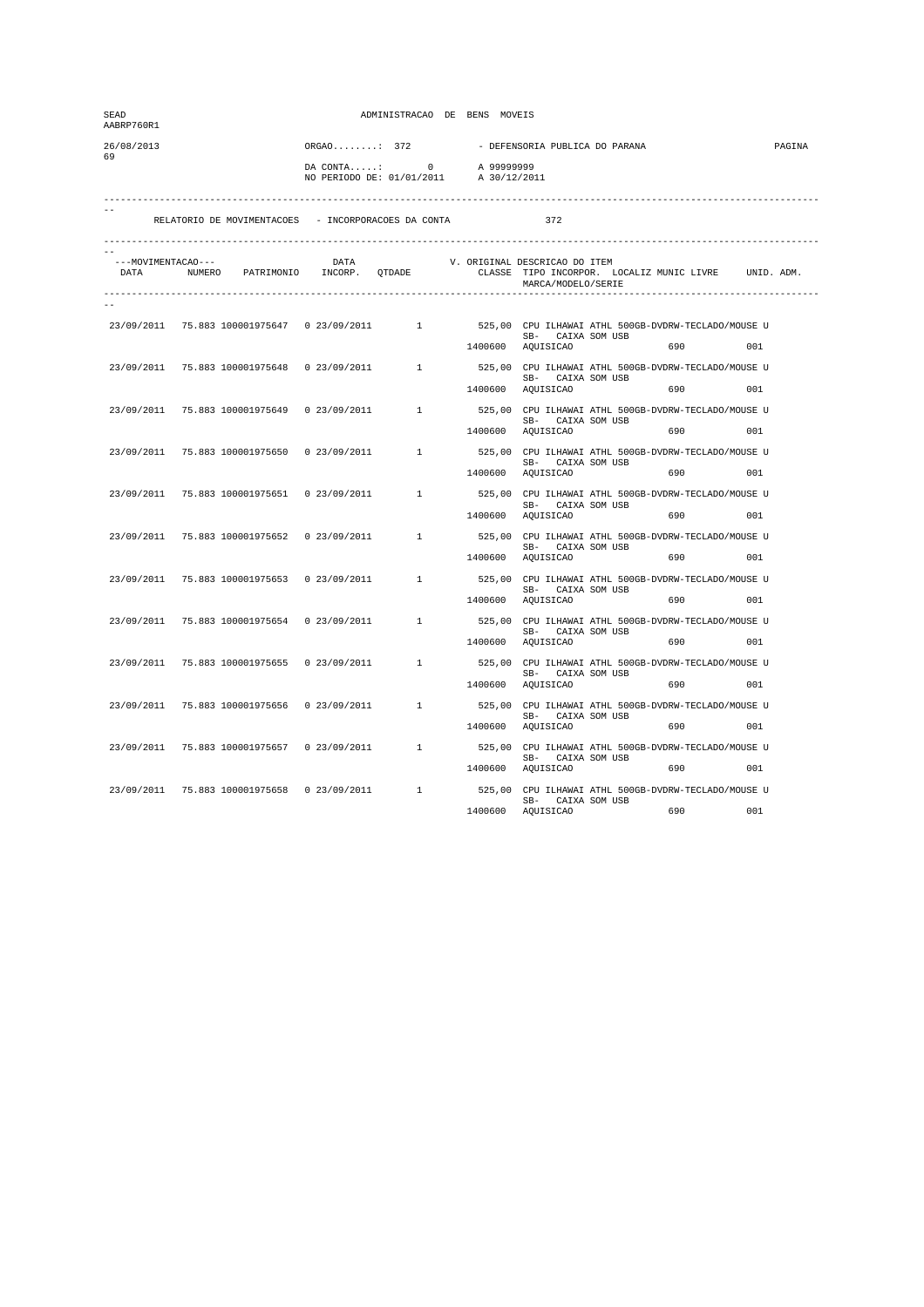| SEAD<br>AABRP760R1 |                                               |               | ADMINISTRACAO DE BENS MOVEIS                                       |                                                                  |                                                     |                                                                                                                        |        |
|--------------------|-----------------------------------------------|---------------|--------------------------------------------------------------------|------------------------------------------------------------------|-----------------------------------------------------|------------------------------------------------------------------------------------------------------------------------|--------|
| 26/08/2013         |                                               | $ORGAO$ : 372 |                                                                    |                                                                  | - DEFENSORIA PUBLICA DO PARANA                      |                                                                                                                        | PAGINA |
| 69                 |                                               |               |                                                                    | DA CONTA: 0 A 99999999<br>NO PERIODO DE: 01/01/2011 A 30/12/2011 |                                                     |                                                                                                                        |        |
|                    |                                               |               | RELATORIO DE MOVIMENTACOES - INCORPORACOES DA CONTA                |                                                                  | 372                                                 |                                                                                                                        |        |
| ---MOVIMENTACAO--- |                                               |               | --MOVIMENTACAO--- DATA V.<br>DATA NUMERO PATRIMONIO INCORP. QTDADE |                                                                  | V. ORIGINAL DESCRICAO DO ITEM<br>MARCA/MODELO/SERIE | CLASSE TIPO INCORPOR. LOCALIZ MUNIC LIVRE UNID. ADM.                                                                   |        |
|                    |                                               |               |                                                                    |                                                                  |                                                     |                                                                                                                        |        |
|                    |                                               |               |                                                                    |                                                                  |                                                     | 23/09/2011 75.883 100001975647 0 23/09/2011 1 525,00 CPU ILHAWAI ATHL 500GB-DVDRW-TECLADO/MOUSE U<br>SB- CAIXA SOM USB |        |
|                    |                                               |               |                                                                    |                                                                  | 1400600 AQUISICAO                                   | 690 001                                                                                                                |        |
| 23/09/2011         | 75.883 100001975648                           |               |                                                                    |                                                                  | SB- CAIXA SOM USB                                   | 0 23/09/2011 1 525,00 CPU ILHAWAI ATHL 500GB-DVDRW-TECLADO/MOUSE U                                                     |        |
|                    |                                               |               |                                                                    |                                                                  | 1400600 AQUISICAO                                   | 690                                                                                                                    | 001    |
|                    |                                               |               | 23/09/2011 75.883 100001975649 0 23/09/2011 1                      |                                                                  |                                                     | 525,00 CPU ILHAWAI ATHL 500GB-DVDRW-TECLADO/MOUSE U                                                                    |        |
|                    |                                               |               |                                                                    |                                                                  | SB- CAIXA SOM USB<br>1400600 AQUISICAO              | 690 88                                                                                                                 | 0.01   |
|                    | 23/09/2011 75.883 100001975650 0 23/09/2011   |               |                                                                    |                                                                  |                                                     | 1 525,00 CPU ILHAWAI ATHL 500GB-DVDRW-TECLADO/MOUSE U                                                                  |        |
|                    |                                               |               |                                                                    |                                                                  | SB- CAIXA SOM USB<br>1400600 AQUISICAO              | 690 001                                                                                                                |        |
|                    | 23/09/2011 75.883 100001975651                | 0 23/09/2011  | $\mathbf{1}$                                                       |                                                                  |                                                     | 525,00 CPU ILHAWAI ATHL 500GB-DVDRW-TECLADO/MOUSE U                                                                    |        |
|                    |                                               |               |                                                                    | 1400600                                                          | AQUISICAO                                           | SB- CAIXA SOM USB<br>690                                                                                               | 0.01   |
| 23/09/2011         | 75.883 100001975652                           |               |                                                                    |                                                                  |                                                     | 0 23/09/2011 1 525,00 CPU ILHAWAI ATHL 500GB-DVDRW-TECLADO/MOUSE U                                                     |        |
|                    |                                               |               |                                                                    |                                                                  | SB- CAIXA SOM USB<br>1400600 AQUISICAO              | 690 80                                                                                                                 | 0.01   |
|                    |                                               |               |                                                                    |                                                                  |                                                     |                                                                                                                        |        |
|                    |                                               |               | 23/09/2011 75.883 100001975653 0 23/09/2011 1                      |                                                                  | SB- CAIXA SOM USB                                   | 525,00 CPU ILHAWAI ATHL 500GB-DVDRW-TECLADO/MOUSE U                                                                    |        |
|                    |                                               |               |                                                                    |                                                                  | 1400600 AQUISICAO                                   | 690 001                                                                                                                |        |
|                    | 23/09/2011 75.883 100001975654 0 23/09/2011   |               | $1 \qquad \qquad$                                                  |                                                                  | SB- CAIXA SOM USB                                   | 525,00 CPU ILHAWAI ATHL 500GB-DVDRW-TECLADO/MOUSE U                                                                    |        |
|                    |                                               |               |                                                                    |                                                                  | 1400600 AQUISICAO                                   | 690 001                                                                                                                |        |
| 23/09/2011         | 75.883 100001975655                           | 0 23/09/2011  | 1                                                                  |                                                                  |                                                     | 525,00 CPU ILHAWAI ATHL 500GB-DVDRW-TECLADO/MOUSE U<br>SB- CAIXA SOM USB                                               |        |
|                    |                                               |               |                                                                    |                                                                  | 1400600 AQUISICAO                                   | 690                                                                                                                    | 001    |
| 23/09/2011         | 75.883 100001975656                           |               | 0 23/09/2011 1                                                     |                                                                  |                                                     | 525,00 CPU ILHAWAI ATHL 500GB-DVDRW-TECLADO/MOUSE U                                                                    |        |
|                    |                                               |               |                                                                    |                                                                  | SB- CAIXA SOM USB<br>1400600 AQUISICAO              | 690                                                                                                                    | 001    |
|                    |                                               |               |                                                                    |                                                                  |                                                     | 23/09/2011 75.883 100001975657 0 23/09/2011 1 525,00 CPU ILHAWAI ATHL 500GB-DVDRW-TECLADO/MOUSE U                      |        |
|                    |                                               |               |                                                                    |                                                                  | SB- CAIXA SOM USB<br>1400600 AQUISICAO              |                                                                                                                        | 001    |
|                    | 23/09/2011 75.883 100001975658 0 23/09/2011 1 |               |                                                                    |                                                                  |                                                     | 525,00 CPU ILHAWAI ATHL 500GB-DVDRW-TECLADO/MOUSE U                                                                    |        |
|                    |                                               |               |                                                                    | 1400600                                                          | SB- CAIXA SOM USB<br>AQUISICAO                      | 690                                                                                                                    | 001    |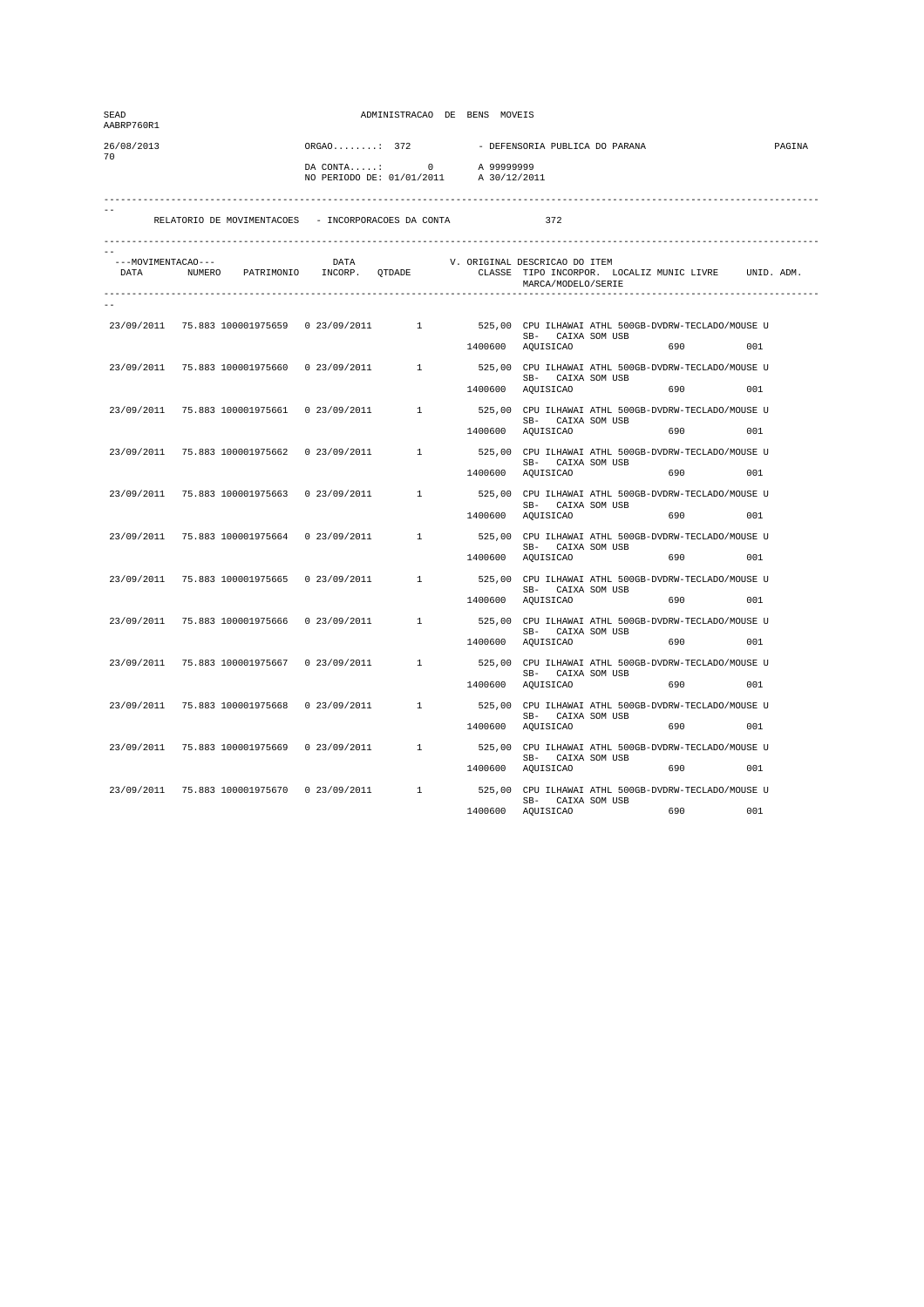| 26/08/2013<br>$ORGAO$ : 372<br>- DEFENSORIA PUBLICA DO PARANA<br>PAGINA<br>70<br>DA CONTA: 0 A 99999999<br>NO PERIODO DE: 01/01/2011 A 30/12/2011<br>372<br>RELATORIO DE MOVIMENTACOES - INCORPORACOES DA CONTA<br>---MOVIMENTACAO---<br>--MOVIMENTACAO--- DATA V.<br>DATA NUMERO PATRIMONIO INCORP. QTDADE<br>V. ORIGINAL DESCRICAO DO ITEM<br>CLASSE TIPO INCORPOR. LOCALIZ MUNIC LIVRE UNID. ADM.<br>MARCA/MODELO/SERIE<br>23/09/2011 75.883 100001975659 0 23/09/2011 1 525,00 CPU ILHAWAI ATHL 500GB-DVDRW-TECLADO/MOUSE U<br>SB- CAIXA SOM USB<br>1400600 AQUISICAO<br>690 001<br>0 23/09/2011 1 525,00 CPU ILHAWAI ATHL 500GB-DVDRW-TECLADO/MOUSE U<br>23/09/2011<br>75.883 100001975660<br>SB- CAIXA SOM USB<br>1400600 AQUISICAO<br>690<br>001<br>525,00 CPU ILHAWAI ATHL 500GB-DVDRW-TECLADO/MOUSE U<br>23/09/2011 75.883 100001975661 0 23/09/2011 1<br>SB- CAIXA SOM USB<br>1400600 AQUISICAO<br>690 80<br>0.01<br>525,00 CPU ILHAWAI ATHL 500GB-DVDRW-TECLADO/MOUSE U<br>23/09/2011 75.883 100001975662 0 23/09/2011<br>$1 \qquad \qquad$<br>SB- CAIXA SOM USB<br>1400600 AQUISICAO<br>690 001<br>525,00 CPU ILHAWAI ATHL 500GB-DVDRW-TECLADO/MOUSE U<br>23/09/2011 75.883 100001975663<br>0 23/09/2011<br>1<br>SB- CAIXA SOM USB<br>1400600<br>690<br>0.01<br>AQUISICAO<br>0 23/09/2011 1 525,00 CPU ILHAWAI ATHL 500GB-DVDRW-TECLADO/MOUSE U<br>23/09/2011<br>75.883 100001975664<br>SB- CAIXA SOM USB<br>1400600 AQUISICAO<br>690 80<br>0.01<br>525,00 CPU ILHAWAI ATHL 500GB-DVDRW-TECLADO/MOUSE U<br>0 23/09/2011 1<br>23/09/2011 75.883 100001975665<br>SB- CAIXA SOM USB<br>1400600 AQUISICAO<br>690 001<br>525,00 CPU ILHAWAI ATHL 500GB-DVDRW-TECLADO/MOUSE U<br>23/09/2011 75.883 100001975666 0 23/09/2011<br>$1 \qquad \qquad$<br>SB- CAIXA SOM USB<br>1400600 AQUISICAO<br>690 001<br>525,00 CPU ILHAWAI ATHL 500GB-DVDRW-TECLADO/MOUSE U<br>23/09/2011<br>75.883 100001975667<br>0 23/09/2011<br>1<br>SB- CAIXA SOM USB<br>1400600 AQUISICAO<br>690<br>001<br>75.883 100001975668<br>$0.23/09/2011$ 1<br>525,00 CPU ILHAWAI ATHL 500GB-DVDRW-TECLADO/MOUSE U<br>23/09/2011<br>SB- CAIXA SOM USB<br>1400600 AQUISICAO<br>690<br>001<br>23/09/2011 75.883 100001975669<br>SB- CAIXA SOM USB<br>1400600 AQUISICAO<br>001<br>23/09/2011 75.883 100001975670 0 23/09/2011 1<br>525,00 CPU ILHAWAI ATHL 500GB-DVDRW-TECLADO/MOUSE U<br>SB- CAIXA SOM USB<br>1400600<br>AQUISICAO<br>001<br>690 | SEAD<br>AABRP760R1 |  | ADMINISTRACAO DE BENS MOVEIS |  |  |  |
|---------------------------------------------------------------------------------------------------------------------------------------------------------------------------------------------------------------------------------------------------------------------------------------------------------------------------------------------------------------------------------------------------------------------------------------------------------------------------------------------------------------------------------------------------------------------------------------------------------------------------------------------------------------------------------------------------------------------------------------------------------------------------------------------------------------------------------------------------------------------------------------------------------------------------------------------------------------------------------------------------------------------------------------------------------------------------------------------------------------------------------------------------------------------------------------------------------------------------------------------------------------------------------------------------------------------------------------------------------------------------------------------------------------------------------------------------------------------------------------------------------------------------------------------------------------------------------------------------------------------------------------------------------------------------------------------------------------------------------------------------------------------------------------------------------------------------------------------------------------------------------------------------------------------------------------------------------------------------------------------------------------------------------------------------------------------------------------------------------------------------------------------------------------------------------------------------------------------------------------------------------------------------------------------------------------------------------------------------------------------------------------------------------------------|--------------------|--|------------------------------|--|--|--|
|                                                                                                                                                                                                                                                                                                                                                                                                                                                                                                                                                                                                                                                                                                                                                                                                                                                                                                                                                                                                                                                                                                                                                                                                                                                                                                                                                                                                                                                                                                                                                                                                                                                                                                                                                                                                                                                                                                                                                                                                                                                                                                                                                                                                                                                                                                                                                                                                                     |                    |  |                              |  |  |  |
|                                                                                                                                                                                                                                                                                                                                                                                                                                                                                                                                                                                                                                                                                                                                                                                                                                                                                                                                                                                                                                                                                                                                                                                                                                                                                                                                                                                                                                                                                                                                                                                                                                                                                                                                                                                                                                                                                                                                                                                                                                                                                                                                                                                                                                                                                                                                                                                                                     |                    |  |                              |  |  |  |
|                                                                                                                                                                                                                                                                                                                                                                                                                                                                                                                                                                                                                                                                                                                                                                                                                                                                                                                                                                                                                                                                                                                                                                                                                                                                                                                                                                                                                                                                                                                                                                                                                                                                                                                                                                                                                                                                                                                                                                                                                                                                                                                                                                                                                                                                                                                                                                                                                     |                    |  |                              |  |  |  |
|                                                                                                                                                                                                                                                                                                                                                                                                                                                                                                                                                                                                                                                                                                                                                                                                                                                                                                                                                                                                                                                                                                                                                                                                                                                                                                                                                                                                                                                                                                                                                                                                                                                                                                                                                                                                                                                                                                                                                                                                                                                                                                                                                                                                                                                                                                                                                                                                                     |                    |  |                              |  |  |  |
|                                                                                                                                                                                                                                                                                                                                                                                                                                                                                                                                                                                                                                                                                                                                                                                                                                                                                                                                                                                                                                                                                                                                                                                                                                                                                                                                                                                                                                                                                                                                                                                                                                                                                                                                                                                                                                                                                                                                                                                                                                                                                                                                                                                                                                                                                                                                                                                                                     |                    |  |                              |  |  |  |
|                                                                                                                                                                                                                                                                                                                                                                                                                                                                                                                                                                                                                                                                                                                                                                                                                                                                                                                                                                                                                                                                                                                                                                                                                                                                                                                                                                                                                                                                                                                                                                                                                                                                                                                                                                                                                                                                                                                                                                                                                                                                                                                                                                                                                                                                                                                                                                                                                     |                    |  |                              |  |  |  |
|                                                                                                                                                                                                                                                                                                                                                                                                                                                                                                                                                                                                                                                                                                                                                                                                                                                                                                                                                                                                                                                                                                                                                                                                                                                                                                                                                                                                                                                                                                                                                                                                                                                                                                                                                                                                                                                                                                                                                                                                                                                                                                                                                                                                                                                                                                                                                                                                                     |                    |  |                              |  |  |  |
|                                                                                                                                                                                                                                                                                                                                                                                                                                                                                                                                                                                                                                                                                                                                                                                                                                                                                                                                                                                                                                                                                                                                                                                                                                                                                                                                                                                                                                                                                                                                                                                                                                                                                                                                                                                                                                                                                                                                                                                                                                                                                                                                                                                                                                                                                                                                                                                                                     |                    |  |                              |  |  |  |
|                                                                                                                                                                                                                                                                                                                                                                                                                                                                                                                                                                                                                                                                                                                                                                                                                                                                                                                                                                                                                                                                                                                                                                                                                                                                                                                                                                                                                                                                                                                                                                                                                                                                                                                                                                                                                                                                                                                                                                                                                                                                                                                                                                                                                                                                                                                                                                                                                     |                    |  |                              |  |  |  |
|                                                                                                                                                                                                                                                                                                                                                                                                                                                                                                                                                                                                                                                                                                                                                                                                                                                                                                                                                                                                                                                                                                                                                                                                                                                                                                                                                                                                                                                                                                                                                                                                                                                                                                                                                                                                                                                                                                                                                                                                                                                                                                                                                                                                                                                                                                                                                                                                                     |                    |  |                              |  |  |  |
|                                                                                                                                                                                                                                                                                                                                                                                                                                                                                                                                                                                                                                                                                                                                                                                                                                                                                                                                                                                                                                                                                                                                                                                                                                                                                                                                                                                                                                                                                                                                                                                                                                                                                                                                                                                                                                                                                                                                                                                                                                                                                                                                                                                                                                                                                                                                                                                                                     |                    |  |                              |  |  |  |
|                                                                                                                                                                                                                                                                                                                                                                                                                                                                                                                                                                                                                                                                                                                                                                                                                                                                                                                                                                                                                                                                                                                                                                                                                                                                                                                                                                                                                                                                                                                                                                                                                                                                                                                                                                                                                                                                                                                                                                                                                                                                                                                                                                                                                                                                                                                                                                                                                     |                    |  |                              |  |  |  |
|                                                                                                                                                                                                                                                                                                                                                                                                                                                                                                                                                                                                                                                                                                                                                                                                                                                                                                                                                                                                                                                                                                                                                                                                                                                                                                                                                                                                                                                                                                                                                                                                                                                                                                                                                                                                                                                                                                                                                                                                                                                                                                                                                                                                                                                                                                                                                                                                                     |                    |  |                              |  |  |  |
|                                                                                                                                                                                                                                                                                                                                                                                                                                                                                                                                                                                                                                                                                                                                                                                                                                                                                                                                                                                                                                                                                                                                                                                                                                                                                                                                                                                                                                                                                                                                                                                                                                                                                                                                                                                                                                                                                                                                                                                                                                                                                                                                                                                                                                                                                                                                                                                                                     |                    |  |                              |  |  |  |
|                                                                                                                                                                                                                                                                                                                                                                                                                                                                                                                                                                                                                                                                                                                                                                                                                                                                                                                                                                                                                                                                                                                                                                                                                                                                                                                                                                                                                                                                                                                                                                                                                                                                                                                                                                                                                                                                                                                                                                                                                                                                                                                                                                                                                                                                                                                                                                                                                     |                    |  |                              |  |  |  |
|                                                                                                                                                                                                                                                                                                                                                                                                                                                                                                                                                                                                                                                                                                                                                                                                                                                                                                                                                                                                                                                                                                                                                                                                                                                                                                                                                                                                                                                                                                                                                                                                                                                                                                                                                                                                                                                                                                                                                                                                                                                                                                                                                                                                                                                                                                                                                                                                                     |                    |  |                              |  |  |  |
|                                                                                                                                                                                                                                                                                                                                                                                                                                                                                                                                                                                                                                                                                                                                                                                                                                                                                                                                                                                                                                                                                                                                                                                                                                                                                                                                                                                                                                                                                                                                                                                                                                                                                                                                                                                                                                                                                                                                                                                                                                                                                                                                                                                                                                                                                                                                                                                                                     |                    |  |                              |  |  |  |
|                                                                                                                                                                                                                                                                                                                                                                                                                                                                                                                                                                                                                                                                                                                                                                                                                                                                                                                                                                                                                                                                                                                                                                                                                                                                                                                                                                                                                                                                                                                                                                                                                                                                                                                                                                                                                                                                                                                                                                                                                                                                                                                                                                                                                                                                                                                                                                                                                     |                    |  |                              |  |  |  |
|                                                                                                                                                                                                                                                                                                                                                                                                                                                                                                                                                                                                                                                                                                                                                                                                                                                                                                                                                                                                                                                                                                                                                                                                                                                                                                                                                                                                                                                                                                                                                                                                                                                                                                                                                                                                                                                                                                                                                                                                                                                                                                                                                                                                                                                                                                                                                                                                                     |                    |  |                              |  |  |  |
|                                                                                                                                                                                                                                                                                                                                                                                                                                                                                                                                                                                                                                                                                                                                                                                                                                                                                                                                                                                                                                                                                                                                                                                                                                                                                                                                                                                                                                                                                                                                                                                                                                                                                                                                                                                                                                                                                                                                                                                                                                                                                                                                                                                                                                                                                                                                                                                                                     |                    |  |                              |  |  |  |
|                                                                                                                                                                                                                                                                                                                                                                                                                                                                                                                                                                                                                                                                                                                                                                                                                                                                                                                                                                                                                                                                                                                                                                                                                                                                                                                                                                                                                                                                                                                                                                                                                                                                                                                                                                                                                                                                                                                                                                                                                                                                                                                                                                                                                                                                                                                                                                                                                     |                    |  |                              |  |  |  |
|                                                                                                                                                                                                                                                                                                                                                                                                                                                                                                                                                                                                                                                                                                                                                                                                                                                                                                                                                                                                                                                                                                                                                                                                                                                                                                                                                                                                                                                                                                                                                                                                                                                                                                                                                                                                                                                                                                                                                                                                                                                                                                                                                                                                                                                                                                                                                                                                                     |                    |  |                              |  |  |  |
|                                                                                                                                                                                                                                                                                                                                                                                                                                                                                                                                                                                                                                                                                                                                                                                                                                                                                                                                                                                                                                                                                                                                                                                                                                                                                                                                                                                                                                                                                                                                                                                                                                                                                                                                                                                                                                                                                                                                                                                                                                                                                                                                                                                                                                                                                                                                                                                                                     |                    |  |                              |  |  |  |
|                                                                                                                                                                                                                                                                                                                                                                                                                                                                                                                                                                                                                                                                                                                                                                                                                                                                                                                                                                                                                                                                                                                                                                                                                                                                                                                                                                                                                                                                                                                                                                                                                                                                                                                                                                                                                                                                                                                                                                                                                                                                                                                                                                                                                                                                                                                                                                                                                     |                    |  |                              |  |  |  |
|                                                                                                                                                                                                                                                                                                                                                                                                                                                                                                                                                                                                                                                                                                                                                                                                                                                                                                                                                                                                                                                                                                                                                                                                                                                                                                                                                                                                                                                                                                                                                                                                                                                                                                                                                                                                                                                                                                                                                                                                                                                                                                                                                                                                                                                                                                                                                                                                                     |                    |  |                              |  |  |  |
|                                                                                                                                                                                                                                                                                                                                                                                                                                                                                                                                                                                                                                                                                                                                                                                                                                                                                                                                                                                                                                                                                                                                                                                                                                                                                                                                                                                                                                                                                                                                                                                                                                                                                                                                                                                                                                                                                                                                                                                                                                                                                                                                                                                                                                                                                                                                                                                                                     |                    |  |                              |  |  |  |
|                                                                                                                                                                                                                                                                                                                                                                                                                                                                                                                                                                                                                                                                                                                                                                                                                                                                                                                                                                                                                                                                                                                                                                                                                                                                                                                                                                                                                                                                                                                                                                                                                                                                                                                                                                                                                                                                                                                                                                                                                                                                                                                                                                                                                                                                                                                                                                                                                     |                    |  |                              |  |  |  |
|                                                                                                                                                                                                                                                                                                                                                                                                                                                                                                                                                                                                                                                                                                                                                                                                                                                                                                                                                                                                                                                                                                                                                                                                                                                                                                                                                                                                                                                                                                                                                                                                                                                                                                                                                                                                                                                                                                                                                                                                                                                                                                                                                                                                                                                                                                                                                                                                                     |                    |  |                              |  |  |  |
|                                                                                                                                                                                                                                                                                                                                                                                                                                                                                                                                                                                                                                                                                                                                                                                                                                                                                                                                                                                                                                                                                                                                                                                                                                                                                                                                                                                                                                                                                                                                                                                                                                                                                                                                                                                                                                                                                                                                                                                                                                                                                                                                                                                                                                                                                                                                                                                                                     |                    |  |                              |  |  |  |
|                                                                                                                                                                                                                                                                                                                                                                                                                                                                                                                                                                                                                                                                                                                                                                                                                                                                                                                                                                                                                                                                                                                                                                                                                                                                                                                                                                                                                                                                                                                                                                                                                                                                                                                                                                                                                                                                                                                                                                                                                                                                                                                                                                                                                                                                                                                                                                                                                     |                    |  |                              |  |  |  |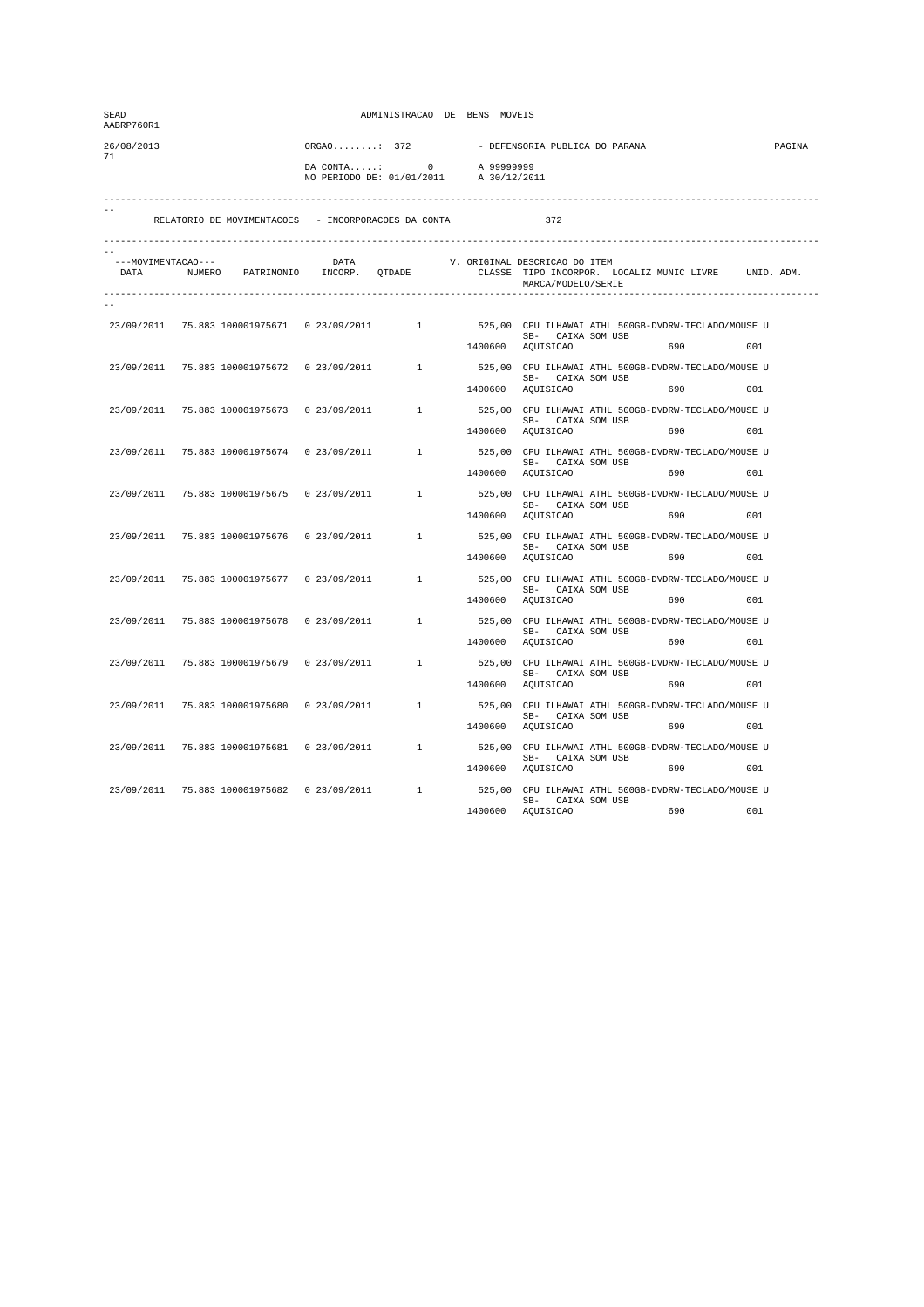| SEAD<br>AABRP760R1 |                                               |               | ADMINISTRACAO DE BENS MOVEIS                                       |                                                                  |                                                     |                                                                                                                        |        |
|--------------------|-----------------------------------------------|---------------|--------------------------------------------------------------------|------------------------------------------------------------------|-----------------------------------------------------|------------------------------------------------------------------------------------------------------------------------|--------|
| 26/08/2013         |                                               | $ORGAO$ : 372 |                                                                    |                                                                  | - DEFENSORIA PUBLICA DO PARANA                      |                                                                                                                        | PAGINA |
| 71                 |                                               |               |                                                                    | DA CONTA: 0 A 99999999<br>NO PERIODO DE: 01/01/2011 A 30/12/2011 |                                                     |                                                                                                                        |        |
|                    |                                               |               | RELATORIO DE MOVIMENTACOES - INCORPORACOES DA CONTA                |                                                                  | 372                                                 |                                                                                                                        |        |
| ---MOVIMENTACAO--- |                                               |               | --MOVIMENTACAO--- DATA V.<br>DATA NUMERO PATRIMONIO INCORP. QTDADE |                                                                  | V. ORIGINAL DESCRICAO DO ITEM<br>MARCA/MODELO/SERIE | CLASSE TIPO INCORPOR. LOCALIZ MUNIC LIVRE UNID. ADM.                                                                   |        |
|                    |                                               |               |                                                                    |                                                                  |                                                     |                                                                                                                        |        |
|                    |                                               |               |                                                                    |                                                                  |                                                     | 23/09/2011 75.883 100001975671 0 23/09/2011 1 525,00 CPU ILHAWAI ATHL 500GB-DVDRW-TECLADO/MOUSE U<br>SB- CAIXA SOM USB |        |
|                    |                                               |               |                                                                    |                                                                  | 1400600 AQUISICAO                                   | 690 001                                                                                                                |        |
| 23/09/2011         |                                               |               |                                                                    |                                                                  | SB- CAIXA SOM USB                                   | 75.883 100001975672  0 23/09/2011  1  525,00 CPU ILHAWAI ATHL 500GB-DVDRW-TECLADO/MOUSE U                              |        |
|                    |                                               |               |                                                                    |                                                                  | 1400600 AQUISICAO                                   | 690                                                                                                                    | 001    |
|                    |                                               |               | 23/09/2011 75.883 100001975673 0 23/09/2011 1                      |                                                                  |                                                     | 525,00 CPU ILHAWAI ATHL 500GB-DVDRW-TECLADO/MOUSE U                                                                    |        |
|                    |                                               |               |                                                                    |                                                                  | SB- CAIXA SOM USB<br>1400600 AQUISICAO              | 690 88                                                                                                                 | 0.01   |
|                    | 23/09/2011 75.883 100001975674 0 23/09/2011   |               |                                                                    |                                                                  |                                                     | 1 525,00 CPU ILHAWAI ATHL 500GB-DVDRW-TECLADO/MOUSE U                                                                  |        |
|                    |                                               |               |                                                                    |                                                                  | SB- CAIXA SOM USB<br>1400600 AQUISICAO              | 690 001                                                                                                                |        |
|                    | 23/09/2011 75.883 100001975675                | 0 23/09/2011  | $\mathbf{1}$                                                       |                                                                  |                                                     | 525,00 CPU ILHAWAI ATHL 500GB-DVDRW-TECLADO/MOUSE U                                                                    |        |
|                    |                                               |               |                                                                    | 1400600                                                          | AQUISICAO                                           | SB- CAIXA SOM USB<br>690                                                                                               | 0.01   |
| 23/09/2011         | 75.883 100001975676                           |               |                                                                    |                                                                  |                                                     | 0 23/09/2011 1 525,00 CPU ILHAWAI ATHL 500GB-DVDRW-TECLADO/MOUSE U                                                     |        |
|                    |                                               |               |                                                                    |                                                                  | SB- CAIXA SOM USB<br>1400600 AQUISICAO              | 690 80                                                                                                                 | 0.01   |
|                    |                                               |               |                                                                    |                                                                  |                                                     |                                                                                                                        |        |
|                    |                                               |               | 23/09/2011 75.883 100001975677 0 23/09/2011 1                      |                                                                  | SB- CAIXA SOM USB                                   | 525,00 CPU ILHAWAI ATHL 500GB-DVDRW-TECLADO/MOUSE U                                                                    |        |
|                    |                                               |               |                                                                    |                                                                  | 1400600 AQUISICAO                                   | 690 001                                                                                                                |        |
|                    | 23/09/2011 75.883 100001975678 0 23/09/2011   |               | $1 \qquad \qquad$                                                  |                                                                  | SB- CAIXA SOM USB                                   | 525,00 CPU ILHAWAI ATHL 500GB-DVDRW-TECLADO/MOUSE U                                                                    |        |
|                    |                                               |               |                                                                    |                                                                  | 1400600 AQUISICAO                                   | 690 001                                                                                                                |        |
|                    | 23/09/2011 75.883 100001975679                | 0 23/09/2011  | 1                                                                  |                                                                  |                                                     | 525,00 CPU ILHAWAI ATHL 500GB-DVDRW-TECLADO/MOUSE U<br>SB- CAIXA SOM USB                                               |        |
|                    |                                               |               |                                                                    |                                                                  | 1400600 AQUISICAO                                   | 690                                                                                                                    | 001    |
| 23/09/2011         | 75.883 100001975680                           |               | $0.23/09/2011$ 1                                                   |                                                                  |                                                     | 525,00 CPU ILHAWAI ATHL 500GB-DVDRW-TECLADO/MOUSE U                                                                    |        |
|                    |                                               |               |                                                                    |                                                                  | SB- CAIXA SOM USB<br>1400600 AQUISICAO              | 690                                                                                                                    | 001    |
|                    |                                               |               |                                                                    |                                                                  |                                                     | 23/09/2011 75.883 100001975681 0 23/09/2011 1 525,00 CPU ILHAWAI ATHL 500GB-DVDRW-TECLADO/MOUSE U                      |        |
|                    |                                               |               |                                                                    |                                                                  | SB- CAIXA SOM USB<br>1400600 AQUISICAO              |                                                                                                                        | 001    |
|                    | 23/09/2011 75.883 100001975682 0 23/09/2011 1 |               |                                                                    |                                                                  |                                                     | 525,00 CPU ILHAWAI ATHL 500GB-DVDRW-TECLADO/MOUSE U                                                                    |        |
|                    |                                               |               |                                                                    | 1400600                                                          | SB- CAIXA SOM USB<br>AQUISICAO                      | 690                                                                                                                    | 001    |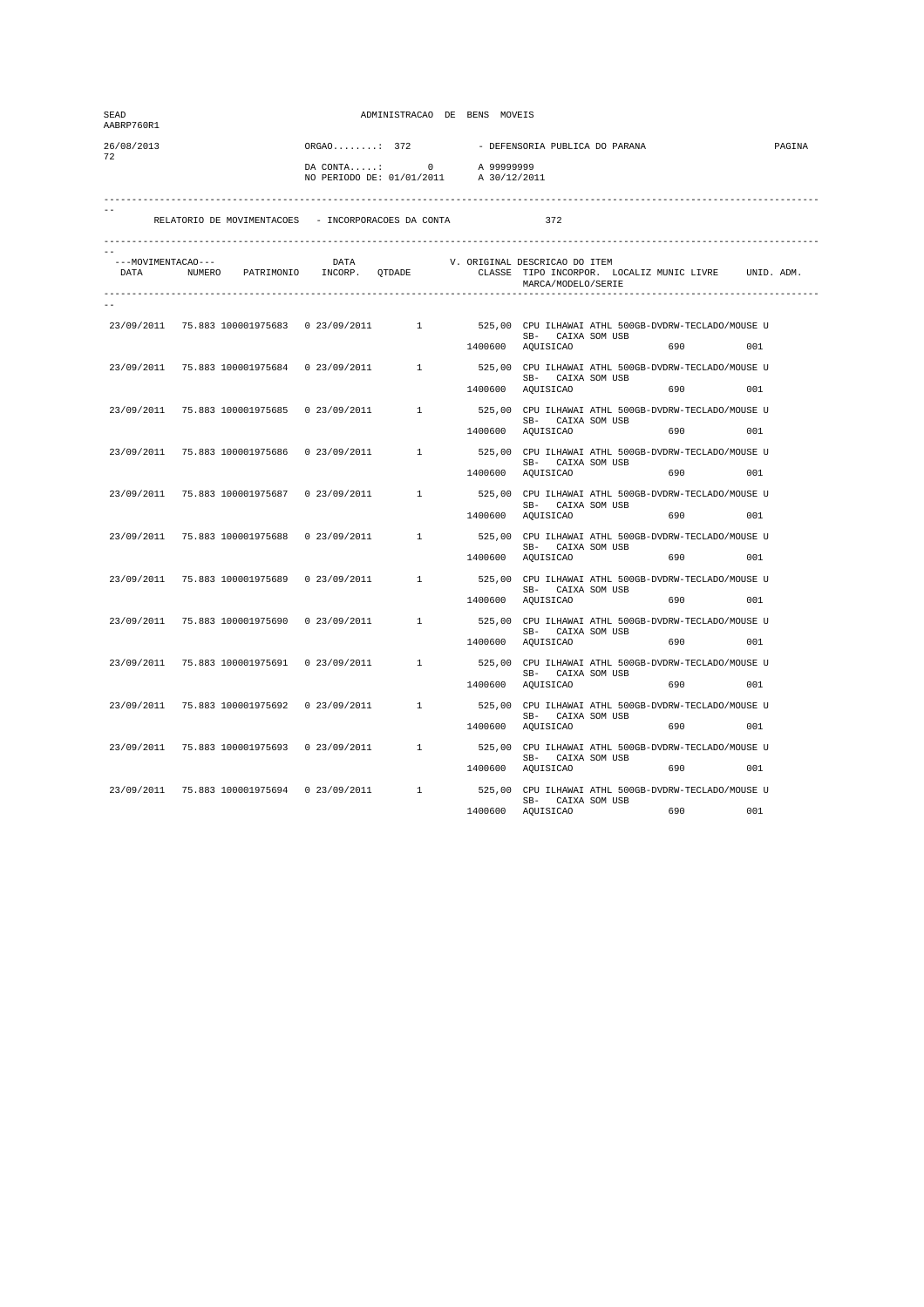| SEAD<br>AABRP760R1 |                                               | ADMINISTRACAO DE BENS MOVEIS |                                                     |         |                                                                  |                                                                                                                                                                                |        |  |
|--------------------|-----------------------------------------------|------------------------------|-----------------------------------------------------|---------|------------------------------------------------------------------|--------------------------------------------------------------------------------------------------------------------------------------------------------------------------------|--------|--|
| 26/08/2013<br>72   |                                               | $ORGAO$ : 372                |                                                     |         | - DEFENSORIA PUBLICA DO PARANA                                   |                                                                                                                                                                                | PAGINA |  |
|                    |                                               |                              |                                                     |         | DA CONTA: 0 A 99999999<br>NO PERIODO DE: 01/01/2011 A 30/12/2011 |                                                                                                                                                                                |        |  |
|                    |                                               |                              | RELATORIO DE MOVIMENTACOES - INCORPORACOES DA CONTA |         | 372                                                              |                                                                                                                                                                                |        |  |
|                    |                                               |                              |                                                     |         |                                                                  |                                                                                                                                                                                |        |  |
| ---MOVIMENTACAO--- |                                               |                              |                                                     |         | MARCA/MODELO/SERIE                                               | --MOVIMENTACAO---     DATA     V. ORIGINAL DESCRICAO DO ITEM<br>DATA     NUMERO   PATRIMONIO   INCORP.   QTDADE       CLASSE  TIPO INCORPOR.  LOCALIZ MUNIC LIVRE   UNID. ADM. |        |  |
|                    |                                               |                              |                                                     |         |                                                                  |                                                                                                                                                                                |        |  |
|                    |                                               |                              |                                                     |         | SB- CAIXA SOM USB                                                | 23/09/2011 75.883 100001975683 0 23/09/2011 1 525,00 CPU ILHAWAI ATHL 500GB-DVDRW-TECLADO/MOUSE U                                                                              |        |  |
|                    |                                               |                              |                                                     |         | 1400600 AQUISICAO                                                | 690 001                                                                                                                                                                        |        |  |
| 23/09/2011         |                                               |                              |                                                     |         | SB- CAIXA SOM USB                                                | 75.883 100001975684  0 23/09/2011  1 525,00 CPU ILHAWAI ATHL 500GB-DVDRW-TECLADO/MOUSE U                                                                                       |        |  |
|                    |                                               |                              |                                                     |         | 1400600 AQUISICAO                                                |                                                                                                                                                                                | 001    |  |
|                    |                                               |                              | 23/09/2011 75.883 100001975685 0 23/09/2011 1       |         | SB- CAIXA SOM USB                                                | 525,00 CPU ILHAWAI ATHL 500GB-DVDRW-TECLADO/MOUSE U                                                                                                                            |        |  |
|                    |                                               |                              |                                                     |         | 1400600 AQUISICAO                                                | 690 001                                                                                                                                                                        |        |  |
|                    | 23/09/2011 75.883 100001975686 0 23/09/2011   |                              | $1 \qquad \qquad$                                   |         | SB- CAIXA SOM USB                                                | 525,00 CPU ILHAWAI ATHL 500GB-DVDRW-TECLADO/MOUSE U                                                                                                                            |        |  |
|                    |                                               |                              |                                                     |         | 1400600 AQUISICAO                                                | 690 001                                                                                                                                                                        |        |  |
|                    | 23/09/2011 75.883 100001975687                | 0 23/09/2011                 | 1                                                   |         |                                                                  | 525,00 CPU ILHAWAI ATHL 500GB-DVDRW-TECLADO/MOUSE U<br>SB- CAIXA SOM USB                                                                                                       |        |  |
|                    |                                               |                              |                                                     | 1400600 | AQUISICAO                                                        | 690                                                                                                                                                                            | 001    |  |
| 23/09/2011         | 75.883 100001975688                           |                              |                                                     |         | SB- CAIXA SOM USB                                                | 0 23/09/2011 $1$ 525,00 CPU ILHAWAI ATHL 500GB-DVDRW-TECLADO/MOUSE U                                                                                                           |        |  |
|                    |                                               |                              |                                                     |         | 1400600 AQUISICAO                                                |                                                                                                                                                                                | 0.01   |  |
|                    | 23/09/2011 75.883 100001975689                |                              |                                                     |         | SB- CAIXA SOM USB                                                |                                                                                                                                                                                |        |  |
|                    |                                               |                              |                                                     |         | 1400600 AQUISICAO                                                | 690 001                                                                                                                                                                        |        |  |
|                    | 23/09/2011 75.883 100001975690 0 23/09/2011   |                              | $1 \qquad \qquad$                                   |         | SB- CAIXA SOM USB                                                | 525,00 CPU ILHAWAI ATHL 500GB-DVDRW-TECLADO/MOUSE U                                                                                                                            |        |  |
|                    |                                               |                              |                                                     |         | 1400600 AQUISICAO                                                | 690 001                                                                                                                                                                        |        |  |
|                    | 23/09/2011 75.883 100001975691                | 0 23/09/2011                 | 1                                                   |         |                                                                  | 525,00 CPU ILHAWAI ATHL 500GB-DVDRW-TECLADO/MOUSE U<br>SB- CAIXA SOM USB                                                                                                       |        |  |
|                    |                                               |                              |                                                     |         | 1400600 AQUISICAO                                                | 690                                                                                                                                                                            | 001    |  |
|                    |                                               |                              | 23/09/2011 75.883 100001975692 0 23/09/2011 1       |         | SB- CAIXA SOM USB                                                | 525,00 CPU ILHAWAI ATHL 500GB-DVDRW-TECLADO/MOUSE U                                                                                                                            |        |  |
|                    |                                               |                              |                                                     |         | 1400600 AQUISICAO                                                | 690 001                                                                                                                                                                        |        |  |
|                    |                                               |                              |                                                     |         | SB- CAIXA SOM USB                                                | 23/09/2011 75.883 100001975693 0 23/09/2011 1 525,00 CPU ILHAWAI ATHL 500GB-DVDRW-TECLADO/MOUSE U                                                                              |        |  |
|                    |                                               |                              |                                                     |         | 1400600 AQUISICAO                                                | 690 700                                                                                                                                                                        | 001    |  |
|                    | 23/09/2011 75.883 100001975694 0 23/09/2011 1 |                              |                                                     |         | SB- CAIXA SOM USB                                                | 525,00 CPU ILHAWAI ATHL 500GB-DVDRW-TECLADO/MOUSE U                                                                                                                            |        |  |
|                    |                                               |                              |                                                     | 1400600 | AQUISICAO                                                        | 690                                                                                                                                                                            | 001    |  |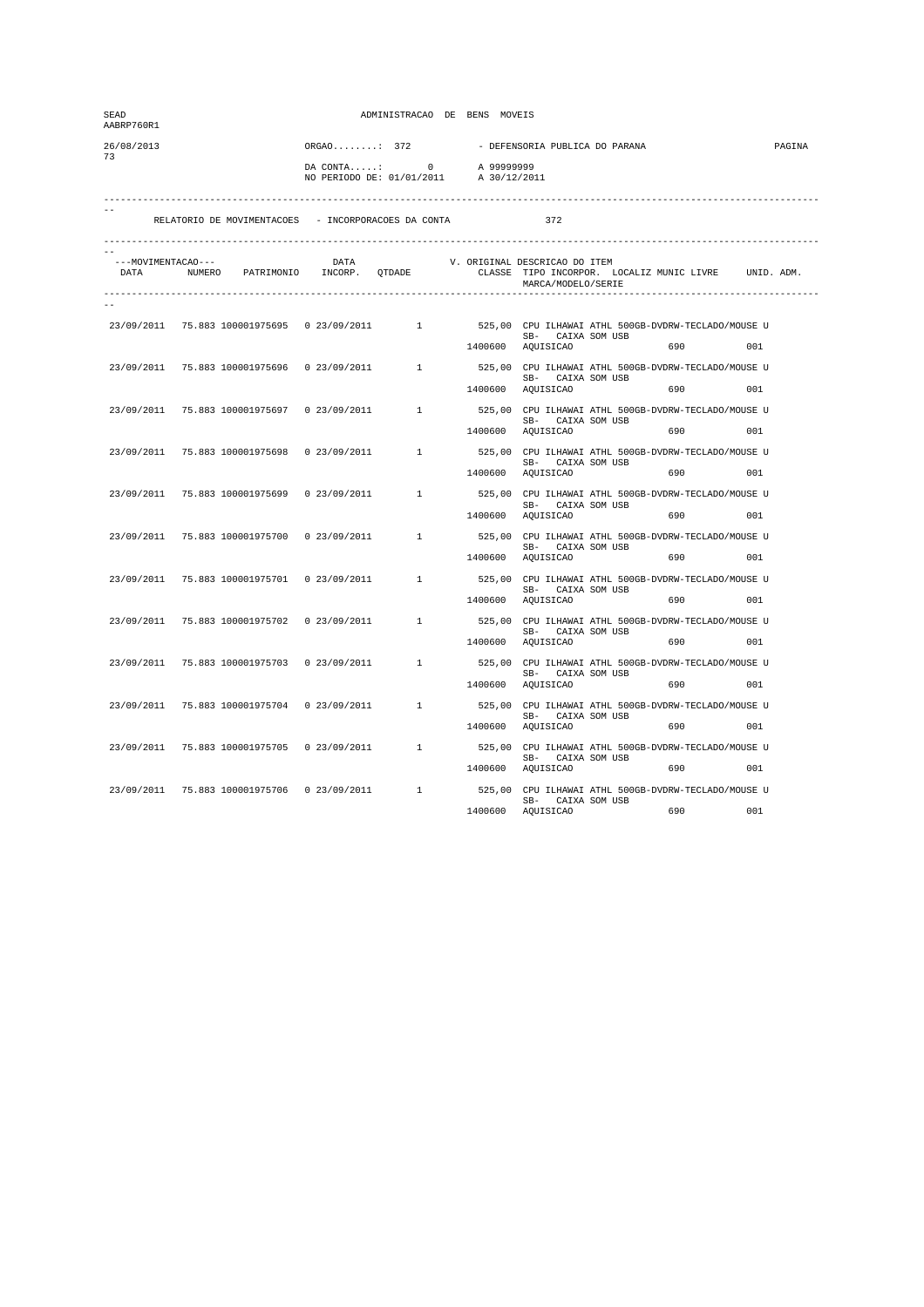| SEAD<br>AABRP760R1 |                                               |               | ADMINISTRACAO DE BENS MOVEIS                                     |         |                                |                                                                                                                                                                                |        |
|--------------------|-----------------------------------------------|---------------|------------------------------------------------------------------|---------|--------------------------------|--------------------------------------------------------------------------------------------------------------------------------------------------------------------------------|--------|
| 26/08/2013         |                                               | $ORGAO$ : 372 |                                                                  |         | - DEFENSORIA PUBLICA DO PARANA |                                                                                                                                                                                | PAGINA |
| 73                 |                                               |               | DA CONTA: 0 A 99999999<br>NO PERIODO DE: 01/01/2011 A 30/12/2011 |         |                                |                                                                                                                                                                                |        |
|                    |                                               |               | RELATORIO DE MOVIMENTACOES - INCORPORACOES DA CONTA              |         | 372                            |                                                                                                                                                                                |        |
|                    |                                               |               |                                                                  |         |                                |                                                                                                                                                                                |        |
| ---MOVIMENTACAO--- |                                               |               |                                                                  |         | MARCA/MODELO/SERIE             | --MOVIMENTACAO---     DATA     V. ORIGINAL DESCRICAO DO ITEM<br>DATA     NUMERO   PATRIMONIO   INCORP.   QTDADE       CLASSE  TIPO INCORPOR.  LOCALIZ MUNIC LIVRE   UNID. ADM. |        |
|                    |                                               |               |                                                                  |         |                                |                                                                                                                                                                                |        |
|                    |                                               |               |                                                                  |         | SB- CAIXA SOM USB              | 23/09/2011 75.883 100001975695 0 23/09/2011 1 525,00 CPU ILHAWAI ATHL 500GB-DVDRW-TECLADO/MOUSE U                                                                              |        |
|                    |                                               |               |                                                                  |         | 1400600 AQUISICAO              | 690 001                                                                                                                                                                        |        |
| 23/09/2011         |                                               |               |                                                                  |         | SB- CAIXA SOM USB              | 75.883 100001975696  0 23/09/2011  1 525,00 CPU ILHAWAI ATHL 500GB-DVDRW-TECLADO/MOUSE U                                                                                       |        |
|                    |                                               |               |                                                                  |         | 1400600 AQUISICAO              |                                                                                                                                                                                | 001    |
|                    |                                               |               | 23/09/2011 75.883 100001975697 0 23/09/2011 1                    |         | SB- CAIXA SOM USB              | 525,00 CPU ILHAWAI ATHL 500GB-DVDRW-TECLADO/MOUSE U                                                                                                                            |        |
|                    |                                               |               |                                                                  |         | 1400600 AQUISICAO              | 690 001                                                                                                                                                                        |        |
|                    | 23/09/2011 75.883 100001975698 0 23/09/2011   |               | $1 \qquad \qquad$                                                |         | SB- CAIXA SOM USB              | 525,00 CPU ILHAWAI ATHL 500GB-DVDRW-TECLADO/MOUSE U                                                                                                                            |        |
|                    |                                               |               |                                                                  |         | 1400600 AQUISICAO              | 690 001                                                                                                                                                                        |        |
|                    | 23/09/2011 75.883 100001975699                | 0 23/09/2011  | 1                                                                |         |                                | 525,00 CPU ILHAWAI ATHL 500GB-DVDRW-TECLADO/MOUSE U<br>SB- CAIXA SOM USB                                                                                                       |        |
|                    |                                               |               |                                                                  | 1400600 | AQUISICAO                      | 690                                                                                                                                                                            | 001    |
| 23/09/2011         |                                               |               |                                                                  |         | SB- CAIXA SOM USB              | 75.883 100001975700  0 23/09/2011  1 525,00 CPU ILHAWAI ATHL 500GB-DVDRW-TECLADO/MOUSE U                                                                                       |        |
|                    |                                               |               |                                                                  |         | 1400600 AQUISICAO              |                                                                                                                                                                                | 0.01   |
|                    |                                               |               |                                                                  |         | SB- CAIXA SOM USB              | 23/09/2011 75.883 100001975701 0 23/09/2011 1 525,00 CPU ILHAWAI ATHL 500GB-DVDRW-TECLADO/MOUSE U                                                                              |        |
|                    |                                               |               |                                                                  |         | 1400600 AQUISICAO              | 690 001                                                                                                                                                                        |        |
|                    | 23/09/2011 75.883 100001975702 0 23/09/2011   |               | $1 \qquad \qquad$                                                |         | SB- CAIXA SOM USB              | 525,00 CPU ILHAWAI ATHL 500GB-DVDRW-TECLADO/MOUSE U                                                                                                                            |        |
|                    |                                               |               |                                                                  |         | 1400600 AQUISICAO              | 690 001                                                                                                                                                                        |        |
|                    | 23/09/2011 75.883 100001975703                | 0 23/09/2011  | 1                                                                |         |                                | 525,00 CPU ILHAWAI ATHL 500GB-DVDRW-TECLADO/MOUSE U<br>SB- CAIXA SOM USB                                                                                                       |        |
|                    |                                               |               |                                                                  |         | 1400600 AQUISICAO              | 690                                                                                                                                                                            | 001    |
|                    |                                               |               | 23/09/2011 75.883 100001975704 0 23/09/2011 1                    |         | SB- CAIXA SOM USB              | 525,00 CPU ILHAWAI ATHL 500GB-DVDRW-TECLADO/MOUSE U                                                                                                                            |        |
|                    |                                               |               |                                                                  |         | 1400600 AQUISICAO              | 690 001                                                                                                                                                                        |        |
|                    |                                               |               |                                                                  |         | SB- CAIXA SOM USB              | 23/09/2011 75.883 100001975705 0 23/09/2011 1 525,00 CPU ILHAWAI ATHL 500GB-DVDRW-TECLADO/MOUSE U                                                                              |        |
|                    |                                               |               |                                                                  |         | 1400600 AQUISICAO              |                                                                                                                                                                                | 001    |
|                    | 23/09/2011 75.883 100001975706 0 23/09/2011 1 |               |                                                                  |         | SB- CAIXA SOM USB              | 525,00 CPU ILHAWAI ATHL 500GB-DVDRW-TECLADO/MOUSE U                                                                                                                            |        |
|                    |                                               |               |                                                                  | 1400600 | AQUISICAO                      | 690                                                                                                                                                                            | 001    |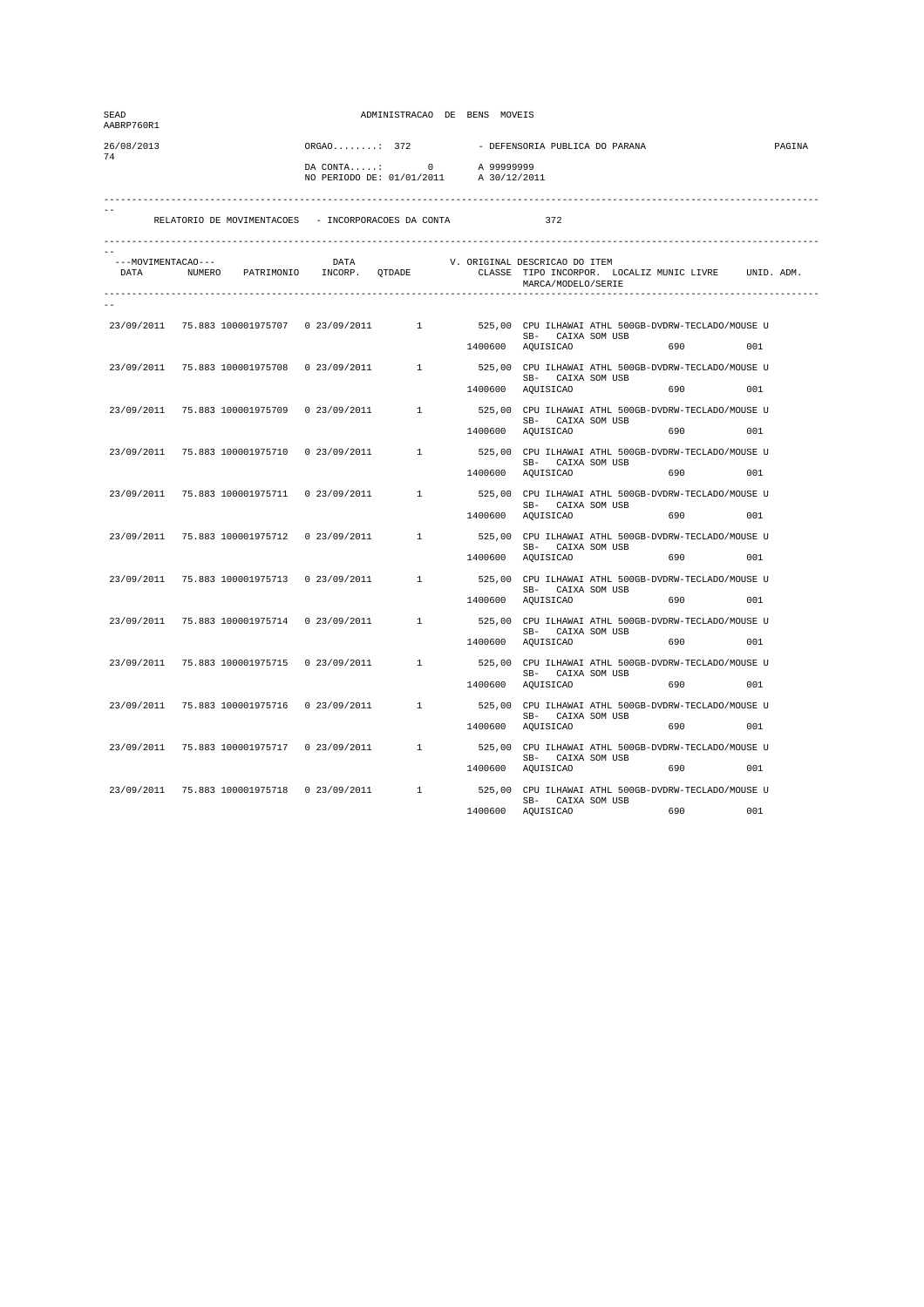| SEAD<br>AABRP760R1 |                                               |               | ADMINISTRACAO DE BENS MOVEIS                                       |         |                                                     |                                                                                                                        |        |
|--------------------|-----------------------------------------------|---------------|--------------------------------------------------------------------|---------|-----------------------------------------------------|------------------------------------------------------------------------------------------------------------------------|--------|
| 26/08/2013         |                                               | $ORGAO$ : 372 |                                                                    |         | - DEFENSORIA PUBLICA DO PARANA                      |                                                                                                                        | PAGINA |
| 74                 |                                               |               | DA CONTA: 0 A 99999999<br>NO PERIODO DE: 01/01/2011 A 30/12/2011   |         |                                                     |                                                                                                                        |        |
|                    |                                               |               | RELATORIO DE MOVIMENTACOES - INCORPORACOES DA CONTA                |         | 372                                                 |                                                                                                                        |        |
| ---MOVIMENTACAO--- |                                               |               | --MOVIMENTACAO--- DATA V.<br>DATA NUMERO PATRIMONIO INCORP. QTDADE |         | V. ORIGINAL DESCRICAO DO ITEM<br>MARCA/MODELO/SERIE | CLASSE TIPO INCORPOR. LOCALIZ MUNIC LIVRE UNID. ADM.                                                                   |        |
|                    |                                               |               |                                                                    |         |                                                     |                                                                                                                        |        |
|                    |                                               |               |                                                                    |         |                                                     | 23/09/2011 75.883 100001975707 0 23/09/2011 1 525,00 CPU ILHAWAI ATHL 500GB-DVDRW-TECLADO/MOUSE U<br>SB- CAIXA SOM USB |        |
|                    |                                               |               |                                                                    |         | 1400600 AQUISICAO                                   | 690 001                                                                                                                |        |
| 23/09/2011         |                                               |               |                                                                    |         | SB- CAIXA SOM USB                                   | 75.883 100001975708  0 23/09/2011  1  525,00 CPU ILHAWAI ATHL 500GB-DVDRW-TECLADO/MOUSE U                              |        |
|                    |                                               |               |                                                                    |         | 1400600 AQUISICAO                                   | 690                                                                                                                    | 001    |
|                    |                                               |               | 23/09/2011 75.883 100001975709 0 23/09/2011 1                      |         | SB- CAIXA SOM USB                                   | 525,00 CPU ILHAWAI ATHL 500GB-DVDRW-TECLADO/MOUSE U                                                                    |        |
|                    |                                               |               |                                                                    |         | 1400600 AQUISICAO                                   | 690 80                                                                                                                 | 0.01   |
|                    | 23/09/2011 75.883 100001975710 0 23/09/2011   |               |                                                                    |         |                                                     | 1 525,00 CPU ILHAWAI ATHL 500GB-DVDRW-TECLADO/MOUSE U                                                                  |        |
|                    |                                               |               |                                                                    |         | SB- CAIXA SOM USB<br>1400600 AQUISICAO              | 690 001                                                                                                                |        |
|                    | 23/09/2011 75.883 100001975711                | 0 23/09/2011  | 1                                                                  |         |                                                     | 525,00 CPU ILHAWAI ATHL 500GB-DVDRW-TECLADO/MOUSE U                                                                    |        |
|                    |                                               |               |                                                                    | 1400600 | AQUISICAO                                           | SB- CAIXA SOM USB<br>690                                                                                               | 0.01   |
| 23/09/2011         |                                               |               |                                                                    |         |                                                     | 75.883 100001975712  0 23/09/2011  1 525,00 CPU ILHAWAI ATHL 500GB-DVDRW-TECLADO/MOUSE U                               |        |
|                    |                                               |               |                                                                    |         | SB- CAIXA SOM USB<br>1400600 AQUISICAO              | 690 88                                                                                                                 | 0.01   |
|                    |                                               |               | 23/09/2011 75.883 100001975713 0 23/09/2011 1                      |         |                                                     | 525,00 CPU ILHAWAI ATHL 500GB-DVDRW-TECLADO/MOUSE U                                                                    |        |
|                    |                                               |               |                                                                    |         | SB- CAIXA SOM USB                                   |                                                                                                                        |        |
|                    |                                               |               |                                                                    |         | 1400600 AQUISICAO                                   | 690 001                                                                                                                |        |
|                    | 23/09/2011 75.883 100001975714 0 23/09/2011   |               | $1 \qquad \qquad$                                                  |         | SB- CAIXA SOM USB                                   | 525,00 CPU ILHAWAI ATHL 500GB-DVDRW-TECLADO/MOUSE U                                                                    |        |
|                    |                                               |               |                                                                    |         | 1400600 AQUISICAO                                   | 690 001                                                                                                                |        |
|                    | 23/09/2011 75.883 100001975715                | 0 23/09/2011  | $1 \quad \cdots$                                                   |         |                                                     | 525,00 CPU ILHAWAI ATHL 500GB-DVDRW-TECLADO/MOUSE U<br>SB- CAIXA SOM USB                                               |        |
|                    |                                               |               |                                                                    |         | 1400600 AQUISICAO                                   | 690                                                                                                                    | 001    |
| 23/09/2011         |                                               |               | 75.883 100001975716  0 23/09/2011  1                               |         |                                                     | 525,00 CPU ILHAWAI ATHL 500GB-DVDRW-TECLADO/MOUSE U                                                                    |        |
|                    |                                               |               |                                                                    |         | SB- CAIXA SOM USB<br>1400600 AQUISICAO              | 690                                                                                                                    | 001    |
|                    |                                               |               |                                                                    |         |                                                     | 23/09/2011 75.883 100001975717 0 23/09/2011 1 525,00 CPU ILHAWAI ATHL 500GB-DVDRW-TECLADO/MOUSE U                      |        |
|                    |                                               |               |                                                                    |         | SB- CAIXA SOM USB<br>1400600 AQUISICAO              |                                                                                                                        | 001    |
|                    | 23/09/2011 75.883 100001975718 0 23/09/2011 1 |               |                                                                    |         |                                                     | 525,00 CPU ILHAWAI ATHL 500GB-DVDRW-TECLADO/MOUSE U                                                                    |        |
|                    |                                               |               |                                                                    | 1400600 | SB- CAIXA SOM USB<br>AQUISICAO                      | 690                                                                                                                    | 001    |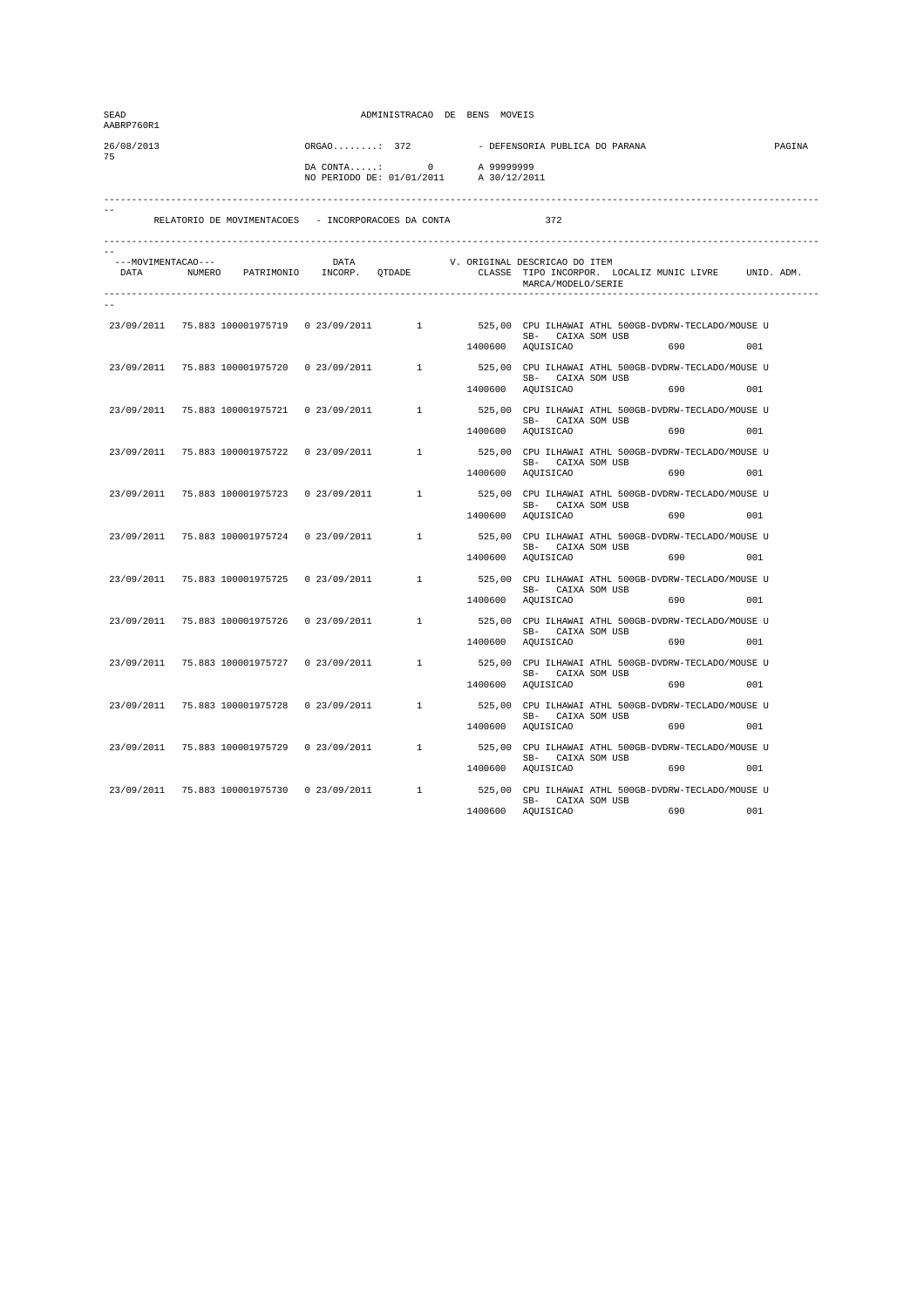| SEAD<br>AABRP760R1 |                                               |               | ADMINISTRACAO DE BENS MOVEIS                                       |         |                                                     |                                                                                                                        |        |
|--------------------|-----------------------------------------------|---------------|--------------------------------------------------------------------|---------|-----------------------------------------------------|------------------------------------------------------------------------------------------------------------------------|--------|
| 26/08/2013         |                                               | $ORGAO$ : 372 |                                                                    |         | - DEFENSORIA PUBLICA DO PARANA                      |                                                                                                                        | PAGINA |
| 75                 |                                               |               | DA CONTA: 0 A 99999999<br>NO PERIODO DE: 01/01/2011 A 30/12/2011   |         |                                                     |                                                                                                                        |        |
|                    |                                               |               | RELATORIO DE MOVIMENTACOES - INCORPORACOES DA CONTA                |         | 372                                                 |                                                                                                                        |        |
| ---MOVIMENTACAO--- |                                               |               | --MOVIMENTACAO--- DATA V.<br>DATA NUMERO PATRIMONIO INCORP. QTDADE |         | V. ORIGINAL DESCRICAO DO ITEM<br>MARCA/MODELO/SERIE | CLASSE TIPO INCORPOR. LOCALIZ MUNIC LIVRE UNID. ADM.                                                                   |        |
|                    |                                               |               |                                                                    |         |                                                     |                                                                                                                        |        |
|                    |                                               |               |                                                                    |         |                                                     | 23/09/2011 75.883 100001975719 0 23/09/2011 1 525,00 CPU ILHAWAI ATHL 500GB-DVDRW-TECLADO/MOUSE U<br>SB- CAIXA SOM USB |        |
|                    |                                               |               |                                                                    |         | 1400600 AQUISICAO                                   | 690 001                                                                                                                |        |
| 23/09/2011         |                                               |               |                                                                    |         | SB- CAIXA SOM USB                                   | 75.883 100001975720  0 23/09/2011  1  525,00 CPU ILHAWAI ATHL 500GB-DVDRW-TECLADO/MOUSE U                              |        |
|                    |                                               |               |                                                                    |         | 1400600 AQUISICAO                                   |                                                                                                                        | 001    |
|                    |                                               |               | 23/09/2011 75.883 100001975721 0 23/09/2011 1                      |         | SB- CAIXA SOM USB                                   | 525,00 CPU ILHAWAI ATHL 500GB-DVDRW-TECLADO/MOUSE U                                                                    |        |
|                    |                                               |               |                                                                    |         | 1400600 AQUISICAO                                   | 690 80                                                                                                                 | 0.01   |
|                    | 23/09/2011 75.883 100001975722 0 23/09/2011   |               |                                                                    |         |                                                     | 1 525,00 CPU ILHAWAI ATHL 500GB-DVDRW-TECLADO/MOUSE U                                                                  |        |
|                    |                                               |               |                                                                    |         | SB- CAIXA SOM USB<br>1400600 AQUISICAO              | 690 001                                                                                                                |        |
|                    | 23/09/2011 75.883 100001975723                | 0 23/09/2011  | 1                                                                  |         |                                                     | 525,00 CPU ILHAWAI ATHL 500GB-DVDRW-TECLADO/MOUSE U                                                                    |        |
|                    |                                               |               |                                                                    | 1400600 | AQUISICAO                                           | SB- CAIXA SOM USB<br>690                                                                                               | 0.01   |
| 23/09/2011         | 75.883 100001975724                           |               |                                                                    |         |                                                     | 0 23/09/2011 1 525,00 CPU ILHAWAI ATHL 500GB-DVDRW-TECLADO/MOUSE U                                                     |        |
|                    |                                               |               |                                                                    |         | SB- CAIXA SOM USB<br>1400600 AQUISICAO              | 690 88                                                                                                                 | 0.01   |
|                    |                                               |               | 23/09/2011 75.883 100001975725 0 23/09/2011 1                      |         |                                                     | 525,00 CPU ILHAWAI ATHL 500GB-DVDRW-TECLADO/MOUSE U                                                                    |        |
|                    |                                               |               |                                                                    |         | SB- CAIXA SOM USB                                   |                                                                                                                        |        |
|                    |                                               |               |                                                                    |         | 1400600 AQUISICAO                                   | 690 001                                                                                                                |        |
|                    | 23/09/2011 75.883 100001975726 0 23/09/2011   |               | $1 \qquad \qquad$                                                  |         | SB- CAIXA SOM USB                                   | 525,00 CPU ILHAWAI ATHL 500GB-DVDRW-TECLADO/MOUSE U                                                                    |        |
|                    |                                               |               |                                                                    |         | 1400600 AQUISICAO                                   | 690 001                                                                                                                |        |
|                    | 23/09/2011 75.883 100001975727                | 0 23/09/2011  | $1 \quad \cdots$                                                   |         |                                                     | 525,00 CPU ILHAWAI ATHL 500GB-DVDRW-TECLADO/MOUSE U<br>SB- CAIXA SOM USB                                               |        |
|                    |                                               |               |                                                                    |         | 1400600 AQUISICAO                                   | 690                                                                                                                    | 001    |
| 23/09/2011         |                                               |               | 75.883 100001975728  0 23/09/2011  1                               |         |                                                     | 525,00 CPU ILHAWAI ATHL 500GB-DVDRW-TECLADO/MOUSE U                                                                    |        |
|                    |                                               |               |                                                                    |         | SB- CAIXA SOM USB<br>1400600 AQUISICAO              | 690                                                                                                                    | 001    |
|                    |                                               |               |                                                                    |         |                                                     | 23/09/2011 75.883 100001975729 0 23/09/2011 1 525,00 CPU ILHAWAI ATHL 500GB-DVDRW-TECLADO/MOUSE U                      |        |
|                    |                                               |               |                                                                    |         | SB- CAIXA SOM USB<br>1400600 AQUISICAO              |                                                                                                                        | 001    |
|                    | 23/09/2011 75.883 100001975730 0 23/09/2011 1 |               |                                                                    |         |                                                     | 525,00 CPU ILHAWAI ATHL 500GB-DVDRW-TECLADO/MOUSE U                                                                    |        |
|                    |                                               |               |                                                                    | 1400600 | SB- CAIXA SOM USB<br>AQUISICAO                      | 690                                                                                                                    | 001    |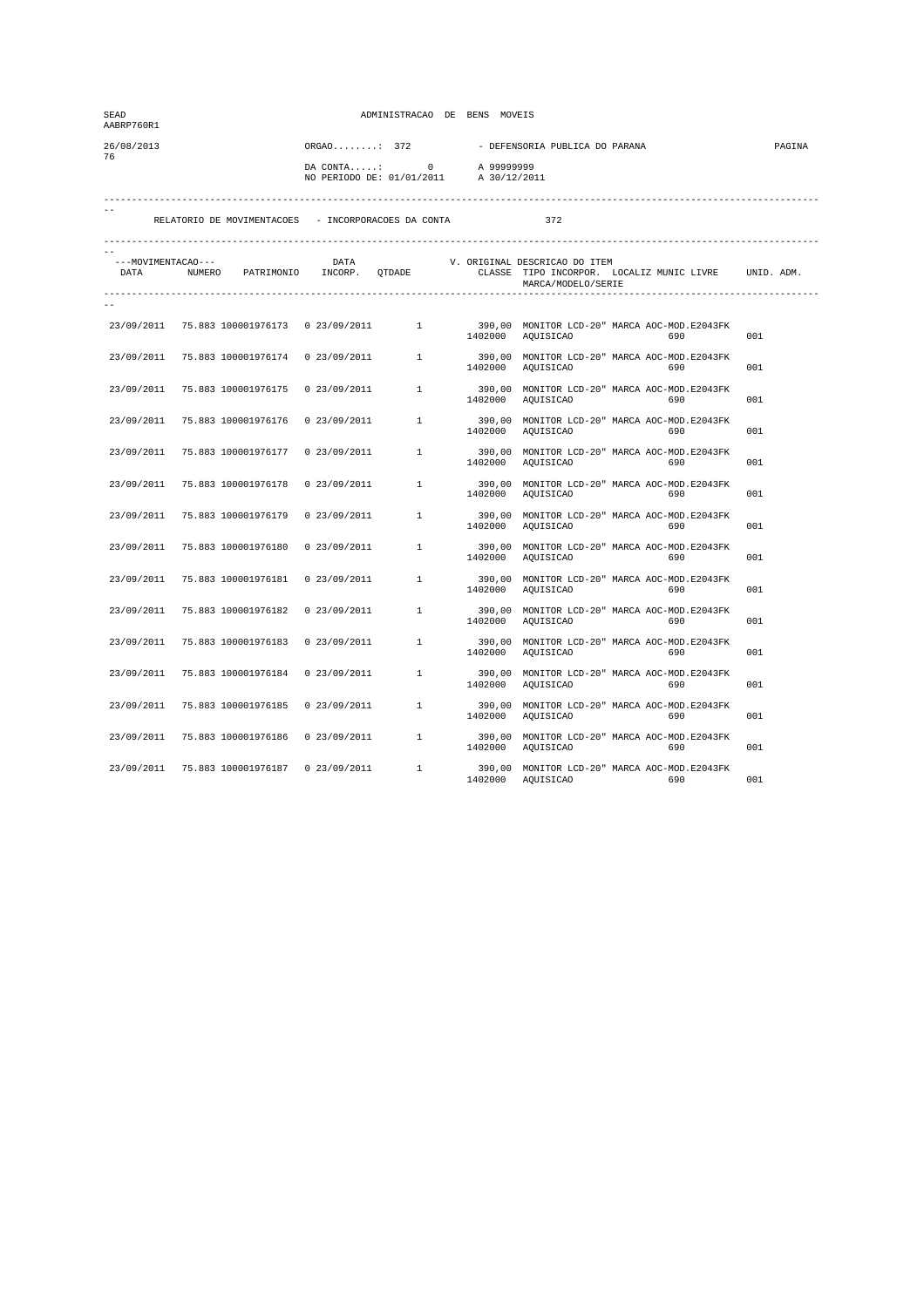| SEAD<br>AABRP760R1         |                                                     |                                                             | ADMINISTRACAO DE BENS MOVEIS |         |                                                                                                             |     |  |  |  |
|----------------------------|-----------------------------------------------------|-------------------------------------------------------------|------------------------------|---------|-------------------------------------------------------------------------------------------------------------|-----|--|--|--|
| 26/08/2013<br>76           |                                                     | $ORGAO$ : 372<br>$DA$ CONTA: 0<br>NO PERIODO DE: 01/01/2011 |                              |         | - DEFENSORIA PUBLICA DO PARANA<br>A 99999999<br>A 30/12/2011                                                |     |  |  |  |
|                            | RELATORIO DE MOVIMENTACOES - INCORPORACOES DA CONTA |                                                             |                              |         | 372                                                                                                         |     |  |  |  |
| ---MOVIMENTACAO---<br>DATA | NUMERO PATRIMONIO INCORP. QTDADE                    | DATA                                                        |                              |         | V. ORIGINAL DESCRICAO DO ITEM<br>CLASSE TIPO INCORPOR. LOCALIZ MUNIC LIVRE UNID. ADM.<br>MARCA/MODELO/SERIE |     |  |  |  |
|                            | 23/09/2011 75.883 100001976173 0 23/09/2011         |                                                             | $\mathbf{1}$                 |         | 390,00 MONITOR LCD-20" MARCA AOC-MOD.E2043FK<br>1402000 AQUISICAO<br>690                                    | 001 |  |  |  |
| 23/09/2011                 | 75.883 100001976174                                 | 0 23/09/2011                                                | 1                            |         | 390,00 MONITOR LCD-20" MARCA AOC-MOD.E2043FK<br>1402000 AQUISICAO<br>690                                    | 001 |  |  |  |
| 23/09/2011                 | 75.883 100001976175                                 | 0 23/09/2011                                                | $\mathbf{1}$                 |         | 390,00 MONITOR LCD-20" MARCA AOC-MOD.E2043FK<br>1402000 AQUISICAO<br>690                                    | 001 |  |  |  |
| 23/09/2011                 | 75.883 100001976176                                 | 0 23/09/2011                                                | $1 \quad$                    | 1402000 | 390,00 MONITOR LCD-20" MARCA AOC-MOD.E2043FK<br>AQUISICAO<br>690                                            | 001 |  |  |  |
| 23/09/2011                 | 75.883 100001976177                                 | 0.23/09/2011                                                | $\mathbf{1}$                 | 1402000 | 390,00 MONITOR LCD-20" MARCA AOC-MOD.E2043FK<br>AQUISICAO<br>690                                            | 001 |  |  |  |
| 23/09/2011                 | 75.883 100001976178                                 | 0 23/09/2011                                                | $\mathbf{1}$                 | 1402000 | 390,00 MONITOR LCD-20" MARCA AOC-MOD.E2043FK<br>AQUISICAO<br>690                                            | 001 |  |  |  |
| 23/09/2011                 | 75.883 100001976179                                 | 0 23/09/2011                                                | $\mathbf{1}$                 | 1402000 | 390,00 MONITOR LCD-20" MARCA AOC-MOD.E2043FK<br>AQUISICAO<br>690                                            | 001 |  |  |  |
| 23/09/2011                 | 75.883 100001976180                                 | 0 23/09/2011                                                | $1 \quad$                    |         | 390,00 MONITOR LCD-20" MARCA AOC-MOD.E2043FK<br>1402000 AQUISICAO<br>690                                    | 001 |  |  |  |
| 23/09/2011                 | 75.883 100001976181                                 | 0.23/09/2011                                                | $\mathbf{1}$                 | 1402000 | 390,00 MONITOR LCD-20" MARCA AOC-MOD.E2043FK<br>AQUISICAO<br>690                                            | 001 |  |  |  |
| 23/09/2011                 | 75.883 100001976182                                 | 0.23/09/2011                                                | $\mathbf{1}$                 | 1402000 | 390,00 MONITOR LCD-20" MARCA AOC-MOD.E2043FK<br>AQUISICAO<br>690                                            | 001 |  |  |  |
| 23/09/2011                 | 75.883 100001976183                                 | 0 23/09/2011                                                | $\mathbf{1}$                 |         | 390,00 MONITOR LCD-20" MARCA AOC-MOD.E2043FK<br>1402000 AQUISICAO<br>690                                    | 001 |  |  |  |
| 23/09/2011                 | 75.883 100001976184                                 | 0 23/09/2011                                                | $1 \quad$                    |         | 390,00 MONITOR LCD-20" MARCA AOC-MOD.E2043FK<br>1402000 AQUISICAO<br>690                                    | 001 |  |  |  |
| 23/09/2011                 | 75.883 100001976185                                 | 0 23/09/2011                                                | $\mathbf{1}$                 |         | 390,00 MONITOR LCD-20" MARCA AOC-MOD.E2043FK<br>1402000 AQUISICAO<br>690                                    | 001 |  |  |  |
| 23/09/2011                 | 75.883 100001976186                                 | 0.23/09/2011                                                | $\mathbf{1}$                 | 1402000 | 390,00 MONITOR LCD-20" MARCA AOC-MOD.E2043FK<br>AQUISICAO<br>690                                            | 001 |  |  |  |
| 23/09/2011                 | 75.883 100001976187 0 23/09/2011                    |                                                             | $\mathbf{1}$                 | 1402000 | 390,00 MONITOR LCD-20" MARCA AOC-MOD.E2043FK<br>AQUISICAO<br>690                                            | 001 |  |  |  |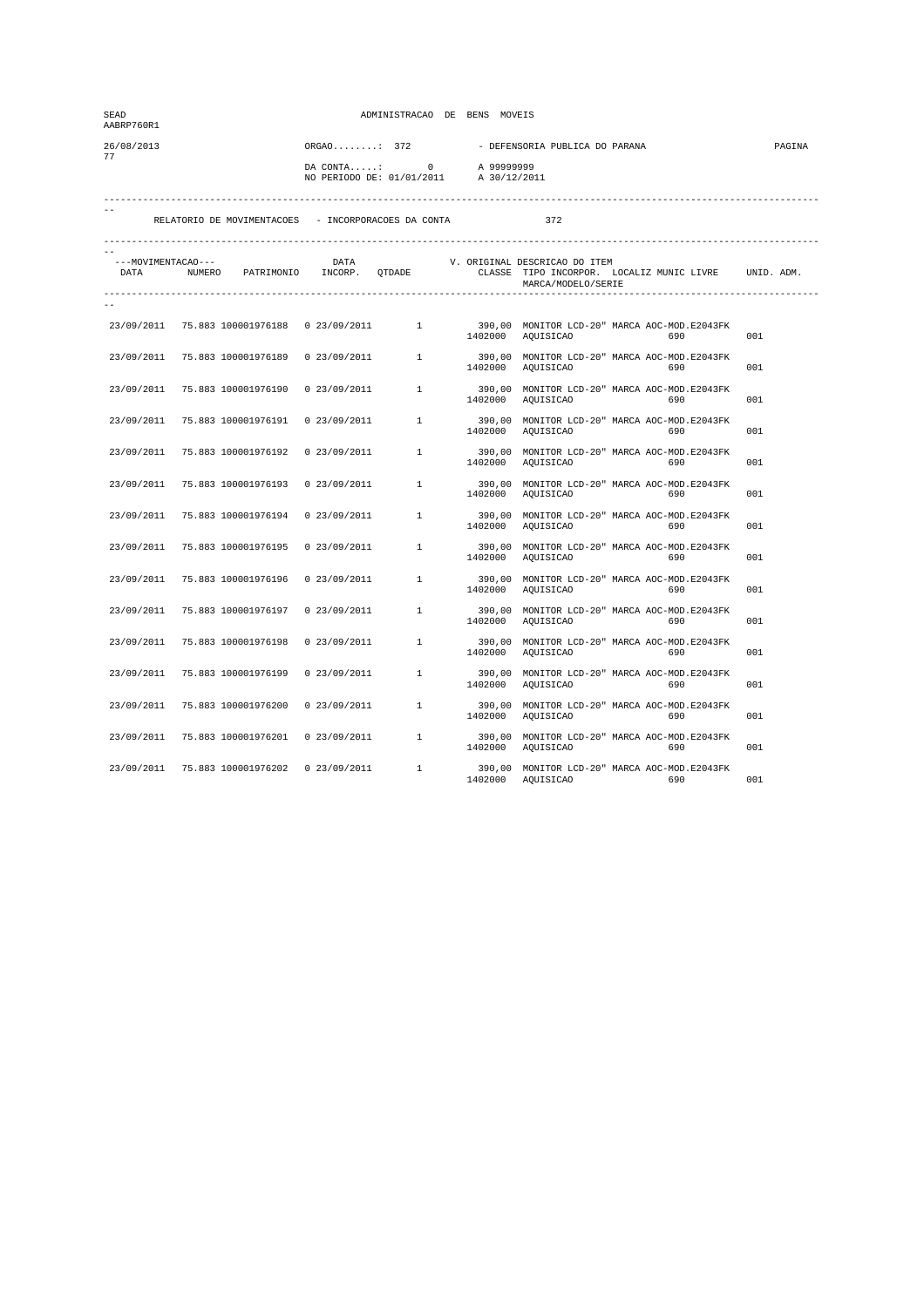| SEAD<br>AABRP760R1         |                                                     |               | ADMINISTRACAO DE BENS MOVEIS               |         |                                                                                                             |     |  |  |
|----------------------------|-----------------------------------------------------|---------------|--------------------------------------------|---------|-------------------------------------------------------------------------------------------------------------|-----|--|--|
| 26/08/2013<br>77           |                                                     | $ORGAO$ : 372 | $DA$ CONTA: 0<br>NO PERIODO DE: 01/01/2011 |         | - DEFENSORIA PUBLICA DO PARANA<br>A 99999999<br>A 30/12/2011                                                |     |  |  |
|                            | RELATORIO DE MOVIMENTACOES - INCORPORACOES DA CONTA |               |                                            |         | 372                                                                                                         |     |  |  |
| ---MOVIMENTACAO---<br>DATA | NUMERO PATRIMONIO INCORP. QTDADE                    | DATA          |                                            |         | V. ORIGINAL DESCRICAO DO ITEM<br>CLASSE TIPO INCORPOR. LOCALIZ MUNIC LIVRE UNID. ADM.<br>MARCA/MODELO/SERIE |     |  |  |
|                            | 23/09/2011 75.883 100001976188 0 23/09/2011         |               | $\frac{1}{2}$                              |         | 390,00 MONITOR LCD-20" MARCA AOC-MOD.E2043FK<br>1402000 AQUISICAO<br>690                                    | 001 |  |  |
| 23/09/2011                 | 75.883 100001976189                                 | 0 23/09/2011  | $\mathbf{1}$                               |         | 390,00 MONITOR LCD-20" MARCA AOC-MOD.E2043FK<br>1402000 AQUISICAO<br>690                                    | 001 |  |  |
| 23/09/2011                 | 75.883 100001976190                                 | 0 23/09/2011  | $1 \quad$                                  |         | 390,00 MONITOR LCD-20" MARCA AOC-MOD.E2043FK<br>1402000 AQUISICAO<br>690                                    | 001 |  |  |
| 23/09/2011                 | 75.883 100001976191                                 | 0 23/09/2011  | 1                                          | 1402000 | 390,00 MONITOR LCD-20" MARCA AOC-MOD.E2043FK<br>AQUISICAO<br>690                                            | 001 |  |  |
| 23/09/2011                 | 75.883 100001976192                                 | 0.23/09/2011  | $\mathbf{1}$                               | 1402000 | 390,00 MONITOR LCD-20" MARCA AOC-MOD.E2043FK<br>AQUISICAO<br>690                                            | 001 |  |  |
| 23/09/2011                 | 75.883 100001976193                                 | 0 23/09/2011  | 1                                          | 1402000 | 390,00 MONITOR LCD-20" MARCA AOC-MOD.E2043FK<br>AQUISICAO<br>690                                            | 001 |  |  |
| 23/09/2011                 | 75.883 100001976194                                 | 0 23/09/2011  | 1                                          | 1402000 | 390,00 MONITOR LCD-20" MARCA AOC-MOD.E2043FK<br>AQUISICAO<br>690                                            | 001 |  |  |
| 23/09/2011                 | 75.883 100001976195                                 | 0 23/09/2011  | $1 \quad$                                  | 1402000 | 390,00 MONITOR LCD-20" MARCA AOC-MOD.E2043FK<br>AQUISICAO<br>690                                            | 001 |  |  |
| 23/09/2011                 | 75.883 100001976196                                 | 0.23/09/2011  | $\mathbf{1}$                               | 1402000 | 390,00 MONITOR LCD-20" MARCA AOC-MOD.E2043FK<br>AQUISICAO<br>690                                            | 001 |  |  |
| 23/09/2011                 | 75.883 100001976197                                 | 0.23/09/2011  | $\mathbf{1}$                               |         | 390,00 MONITOR LCD-20" MARCA AOC-MOD.E2043FK<br>1402000 AQUISICAO<br>690                                    | 001 |  |  |
| 23/09/2011                 | 75.883 100001976198                                 | 0 23/09/2011  | $\mathbf{1}$                               | 1402000 | 390,00 MONITOR LCD-20" MARCA AOC-MOD.E2043FK<br>AQUISICAO<br>690                                            | 001 |  |  |
| 23/09/2011                 | 75.883 100001976199                                 | 0 23/09/2011  | $1 \quad$                                  | 1402000 | 390,00 MONITOR LCD-20" MARCA AOC-MOD.E2043FK<br>AQUISICAO<br>690                                            | 001 |  |  |
| 23/09/2011                 | 75.883 100001976200                                 | 0 23/09/2011  | $\mathbf{1}$                               |         | 390,00 MONITOR LCD-20" MARCA AOC-MOD.E2043FK<br>1402000 AQUISICAO<br>690                                    | 001 |  |  |
| 23/09/2011                 | 75.883 100001976201                                 | 0.23/09/2011  | $\mathbf{1}$                               | 1402000 | 390,00 MONITOR LCD-20" MARCA AOC-MOD.E2043FK<br>AQUISICAO<br>690                                            | 001 |  |  |
| 23/09/2011                 | 75.883 100001976202                                 | 0.23/09/2011  | $\mathbf{1}$                               | 1402000 | 390,00 MONITOR LCD-20" MARCA AOC-MOD.E2043FK<br>AQUISICAO<br>690                                            | 001 |  |  |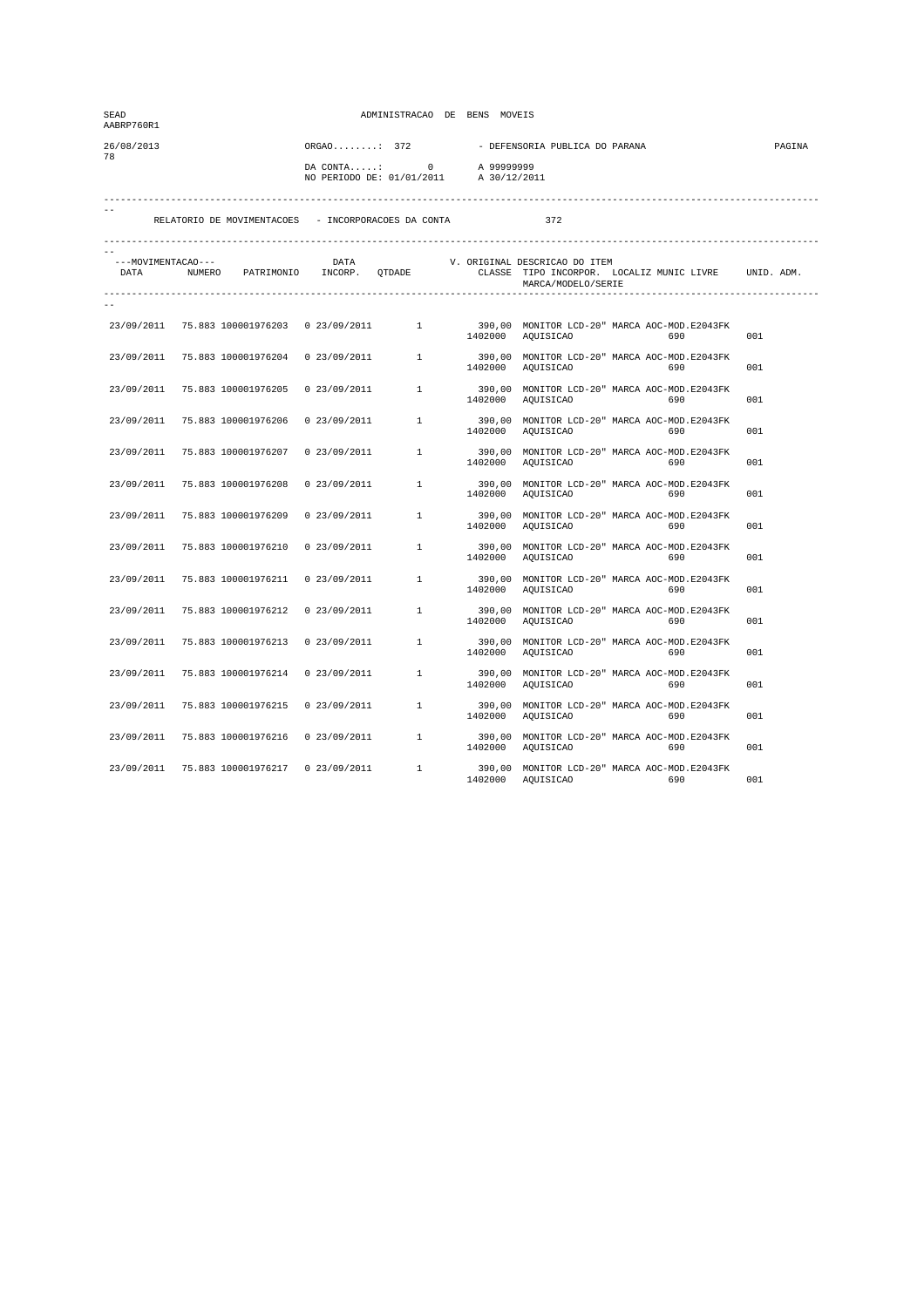| SEAD<br>AABRP760R1         |                                                     |               | ADMINISTRACAO DE BENS MOVEIS               |                            |                                                                                                             |        |  |  |
|----------------------------|-----------------------------------------------------|---------------|--------------------------------------------|----------------------------|-------------------------------------------------------------------------------------------------------------|--------|--|--|
| 26/08/2013<br>78           |                                                     | $ORGAO$ : 372 | $DA$ CONTA: 0<br>NO PERIODO DE: 01/01/2011 | A 99999999<br>A 30/12/2011 | - DEFENSORIA PUBLICA DO PARANA                                                                              | PAGINA |  |  |
|                            | RELATORIO DE MOVIMENTACOES - INCORPORACOES DA CONTA |               |                                            |                            | 372                                                                                                         |        |  |  |
| ---MOVIMENTACAO---<br>DATA | NUMERO PATRIMONIO INCORP. QTDADE                    | DATA          |                                            |                            | V. ORIGINAL DESCRICAO DO ITEM<br>CLASSE TIPO INCORPOR. LOCALIZ MUNIC LIVRE UNID. ADM.<br>MARCA/MODELO/SERIE |        |  |  |
|                            | 23/09/2011 75.883 100001976203 0 23/09/2011         |               | $\frac{1}{2}$                              |                            | 390,00 MONITOR LCD-20" MARCA AOC-MOD.E2043FK<br>1402000 AQUISICAO<br>690                                    | 001    |  |  |
| 23/09/2011                 | 75.883 100001976204                                 | 0 23/09/2011  | $\mathbf{1}$                               |                            | 390,00 MONITOR LCD-20" MARCA AOC-MOD.E2043FK<br>1402000 AQUISICAO<br>690                                    | 001    |  |  |
| 23/09/2011                 | 75.883 100001976205                                 | 0 23/09/2011  | $1 \quad$                                  |                            | 390,00 MONITOR LCD-20" MARCA AOC-MOD.E2043FK<br>1402000 AQUISICAO<br>690                                    | 001    |  |  |
| 23/09/2011                 | 75.883 100001976206                                 | 0 23/09/2011  | 1                                          | 1402000                    | 390,00 MONITOR LCD-20" MARCA AOC-MOD.E2043FK<br>AQUISICAO<br>690                                            | 001    |  |  |
| 23/09/2011                 | 75.883 100001976207                                 | 0.23/09/2011  | $\mathbf{1}$                               | 1402000                    | 390,00 MONITOR LCD-20" MARCA AOC-MOD.E2043FK<br>AQUISICAO<br>690                                            | 001    |  |  |
| 23/09/2011                 | 75.883 100001976208                                 | 0 23/09/2011  | 1                                          | 1402000                    | 390,00 MONITOR LCD-20" MARCA AOC-MOD.E2043FK<br>AQUISICAO<br>690                                            | 001    |  |  |
| 23/09/2011                 | 75.883 100001976209                                 | 0 23/09/2011  | 1                                          | 1402000                    | 390,00 MONITOR LCD-20" MARCA AOC-MOD.E2043FK<br>AQUISICAO<br>690                                            | 001    |  |  |
| 23/09/2011                 | 75.883 100001976210                                 | 0 23/09/2011  | $1 \quad$                                  | 1402000                    | 390,00 MONITOR LCD-20" MARCA AOC-MOD.E2043FK<br>AQUISICAO<br>690                                            | 001    |  |  |
| 23/09/2011                 | 75.883 100001976211                                 | 0.23/09/2011  | $\mathbf{1}$                               | 1402000                    | 390,00 MONITOR LCD-20" MARCA AOC-MOD.E2043FK<br>AQUISICAO<br>690                                            | 001    |  |  |
| 23/09/2011                 | 75.883 100001976212                                 | 0.23/09/2011  | $\mathbf{1}$                               |                            | 390,00 MONITOR LCD-20" MARCA AOC-MOD.E2043FK<br>1402000 AQUISICAO<br>690                                    | 001    |  |  |
| 23/09/2011                 | 75.883 100001976213                                 | 0 23/09/2011  | $\mathbf{1}$                               | 1402000                    | 390,00 MONITOR LCD-20" MARCA AOC-MOD.E2043FK<br>AQUISICAO<br>690                                            | 001    |  |  |
| 23/09/2011                 | 75.883 100001976214                                 | 0 23/09/2011  | $1 \quad$                                  | 1402000                    | 390,00 MONITOR LCD-20" MARCA AOC-MOD.E2043FK<br>AQUISICAO<br>690                                            | 001    |  |  |
| 23/09/2011                 | 75.883 100001976215                                 | 0 23/09/2011  | $\mathbf{1}$                               |                            | 390,00 MONITOR LCD-20" MARCA AOC-MOD.E2043FK<br>1402000 AQUISICAO<br>690                                    | 001    |  |  |
| 23/09/2011                 | 75.883 100001976216                                 | 0.23/09/2011  | $\mathbf{1}$                               | 1402000                    | 390,00 MONITOR LCD-20" MARCA AOC-MOD.E2043FK<br>AQUISICAO<br>690                                            | 001    |  |  |
| 23/09/2011                 | 75.883 100001976217                                 | 0.23/09/2011  | $\mathbf{1}$                               | 1402000                    | 390,00 MONITOR LCD-20" MARCA AOC-MOD.E2043FK<br>AQUISICAO<br>690                                            | 001    |  |  |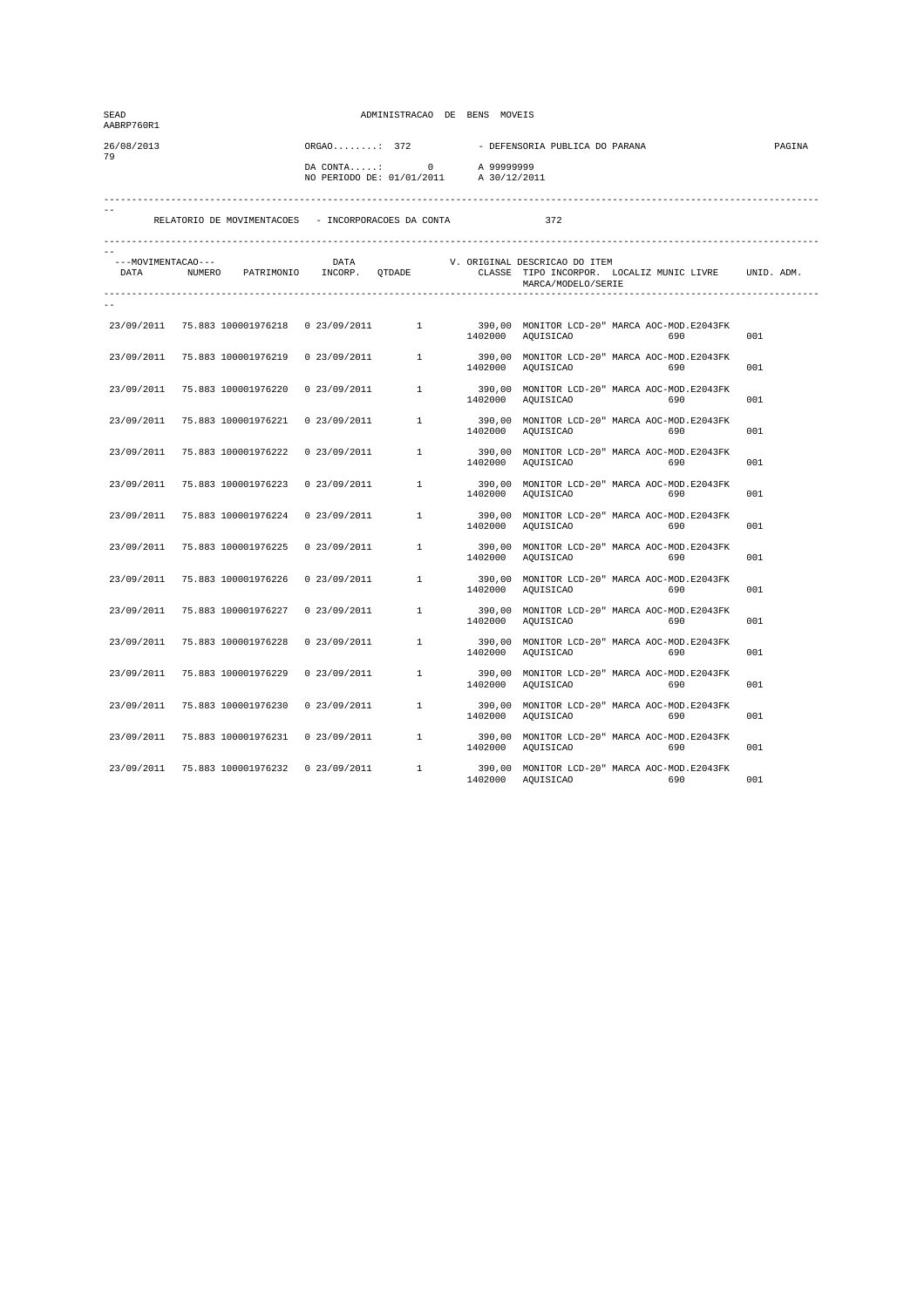| SEAD<br>AABRP760R1         |                                                     |               | ADMINISTRACAO DE BENS MOVEIS               |                            |                                                                                                             |        |  |  |
|----------------------------|-----------------------------------------------------|---------------|--------------------------------------------|----------------------------|-------------------------------------------------------------------------------------------------------------|--------|--|--|
| 26/08/2013<br>79           |                                                     | $ORGAO$ : 372 | $DA$ CONTA: 0<br>NO PERIODO DE: 01/01/2011 | A 99999999<br>A 30/12/2011 | - DEFENSORIA PUBLICA DO PARANA                                                                              | PAGINA |  |  |
|                            | RELATORIO DE MOVIMENTACOES - INCORPORACOES DA CONTA |               |                                            |                            | 372                                                                                                         |        |  |  |
| ---MOVIMENTACAO---<br>DATA | NUMERO PATRIMONIO INCORP. QTDADE                    | DATA          |                                            |                            | V. ORIGINAL DESCRICAO DO ITEM<br>CLASSE TIPO INCORPOR. LOCALIZ MUNIC LIVRE UNID. ADM.<br>MARCA/MODELO/SERIE |        |  |  |
|                            | 23/09/2011 75.883 100001976218 0 23/09/2011         |               | $\frac{1}{2}$                              |                            | 390,00 MONITOR LCD-20" MARCA AOC-MOD.E2043FK<br>1402000 AQUISICAO<br>690                                    | 001    |  |  |
| 23/09/2011                 | 75.883 100001976219                                 | 0 23/09/2011  | 1                                          |                            | 390,00 MONITOR LCD-20" MARCA AOC-MOD.E2043FK<br>1402000 AQUISICAO<br>690                                    | 001    |  |  |
| 23/09/2011                 | 75.883 100001976220                                 | 0 23/09/2011  | $1 \quad$                                  |                            | 390,00 MONITOR LCD-20" MARCA AOC-MOD.E2043FK<br>1402000 AQUISICAO<br>690                                    | 001    |  |  |
| 23/09/2011                 | 75.883 100001976221                                 | 0 23/09/2011  | $1 \quad$                                  |                            | 390,00 MONITOR LCD-20" MARCA AOC-MOD.E2043FK<br>1402000 AQUISICAO<br>690                                    | 001    |  |  |
| 23/09/2011                 | 75.883 100001976222                                 | 0.23/09/2011  | $\mathbf{1}$                               | 1402000                    | 390,00 MONITOR LCD-20" MARCA AOC-MOD.E2043FK<br>AQUISICAO<br>690                                            | 001    |  |  |
| 23/09/2011                 | 75.883 100001976223                                 | 0 23/09/2011  | 1                                          | 1402000                    | 390,00 MONITOR LCD-20" MARCA AOC-MOD.E2043FK<br>AQUISICAO<br>690                                            | 001    |  |  |
| 23/09/2011                 | 75.883 100001976224                                 | 0 23/09/2011  | 1                                          | 1402000                    | 390,00 MONITOR LCD-20" MARCA AOC-MOD.E2043FK<br>AQUISICAO<br>690                                            | 001    |  |  |
| 23/09/2011                 | 75.883 100001976225                                 | 0 23/09/2011  | $1 \quad$                                  | 1402000                    | 390,00 MONITOR LCD-20" MARCA AOC-MOD.E2043FK<br>AQUISICAO<br>690                                            | 001    |  |  |
| 23/09/2011                 | 75.883 100001976226                                 | 0.23/09/2011  | $\mathbf{1}$                               | 1402000                    | 390,00 MONITOR LCD-20" MARCA AOC-MOD.E2043FK<br>AQUISICAO<br>690                                            | 001    |  |  |
| 23/09/2011                 | 75.883 100001976227                                 | 0.23/09/2011  | $\mathbf{1}$                               |                            | 390,00 MONITOR LCD-20" MARCA AOC-MOD.E2043FK<br>1402000 AQUISICAO<br>690                                    | 001    |  |  |
| 23/09/2011                 | 75.883 100001976228                                 | 0 23/09/2011  | $\mathbf{1}$                               | 1402000                    | 390,00 MONITOR LCD-20" MARCA AOC-MOD.E2043FK<br>AQUISICAO<br>690                                            | 001    |  |  |
| 23/09/2011                 | 75.883 100001976229                                 | 0 23/09/2011  | $1 \quad$                                  | 1402000                    | 390,00 MONITOR LCD-20" MARCA AOC-MOD.E2043FK<br>AQUISICAO<br>690                                            | 001    |  |  |
| 23/09/2011                 | 75.883 100001976230                                 | 0 23/09/2011  | $\mathbf{1}$                               |                            | 390,00 MONITOR LCD-20" MARCA AOC-MOD.E2043FK<br>1402000 AQUISICAO<br>690                                    | 001    |  |  |
| 23/09/2011                 | 75.883 100001976231                                 | 0.23/09/2011  | $\mathbf{1}$                               | 1402000                    | 390,00 MONITOR LCD-20" MARCA AOC-MOD.E2043FK<br>AQUISICAO<br>690                                            | 001    |  |  |
| 23/09/2011                 | 75.883 100001976232                                 | 0.23/09/2011  | $\mathbf{1}$                               | 1402000                    | 390,00 MONITOR LCD-20" MARCA AOC-MOD.E2043FK<br>AQUISICAO<br>690                                            | 001    |  |  |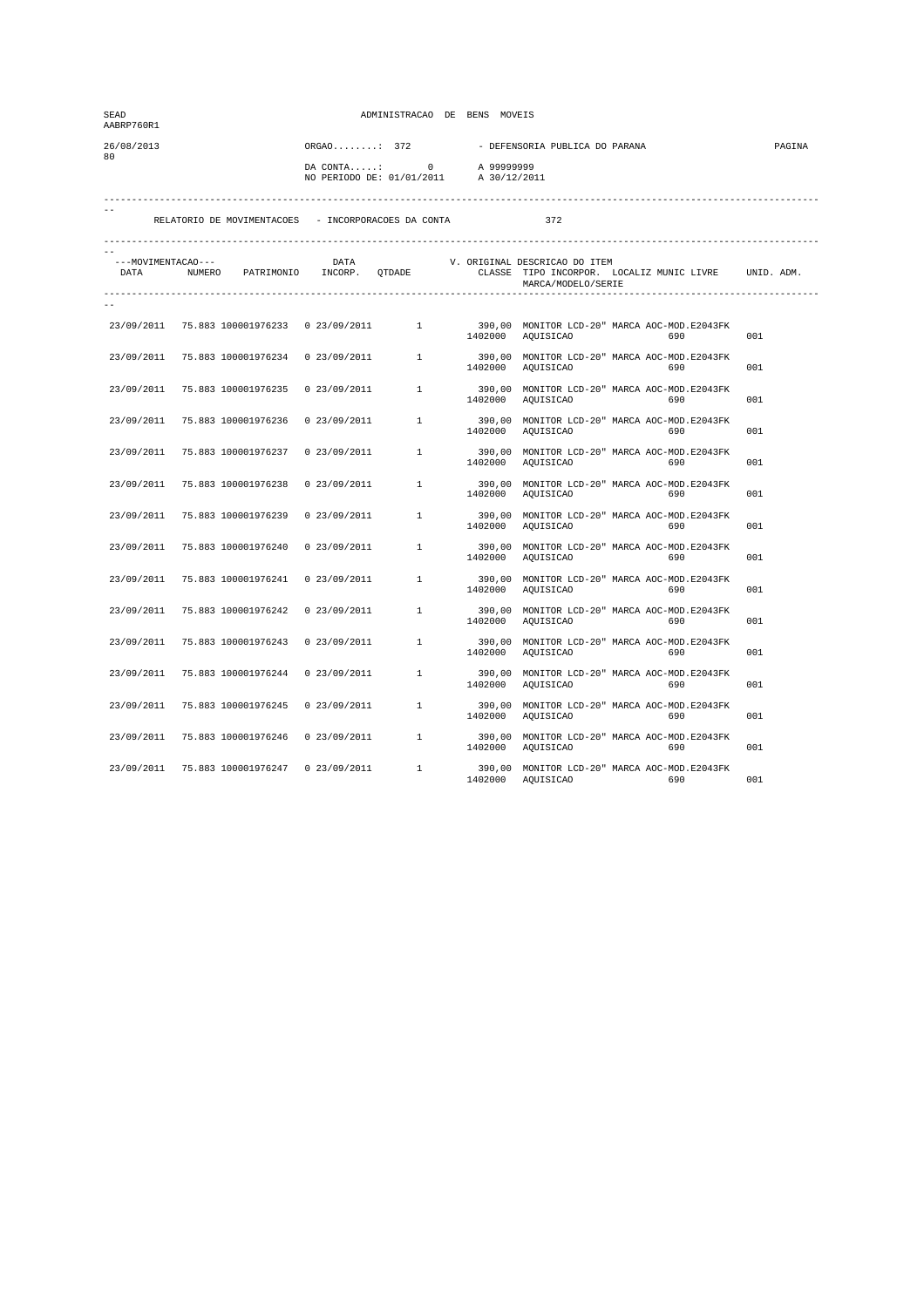| SEAD<br>AABRP760R1         |                                                     |               | ADMINISTRACAO DE BENS MOVEIS               |                            |                                                                                                             |        |  |  |
|----------------------------|-----------------------------------------------------|---------------|--------------------------------------------|----------------------------|-------------------------------------------------------------------------------------------------------------|--------|--|--|
| 26/08/2013<br>80           |                                                     | $ORGAO$ : 372 | $DA$ CONTA: 0<br>NO PERIODO DE: 01/01/2011 | A 99999999<br>A 30/12/2011 | - DEFENSORIA PUBLICA DO PARANA                                                                              | PAGINA |  |  |
|                            | RELATORIO DE MOVIMENTACOES - INCORPORACOES DA CONTA |               |                                            |                            | 372                                                                                                         |        |  |  |
| ---MOVIMENTACAO---<br>DATA | NUMERO PATRIMONIO INCORP. QTDADE                    | DATA          |                                            |                            | V. ORIGINAL DESCRICAO DO ITEM<br>CLASSE TIPO INCORPOR. LOCALIZ MUNIC LIVRE UNID. ADM.<br>MARCA/MODELO/SERIE |        |  |  |
|                            | 23/09/2011 75.883 100001976233 0 23/09/2011         |               | $\frac{1}{2}$                              |                            | 390,00 MONITOR LCD-20" MARCA AOC-MOD.E2043FK<br>1402000 AQUISICAO<br>690                                    | 001    |  |  |
| 23/09/2011                 | 75.883 100001976234                                 | 0 23/09/2011  | $\mathbf{1}$                               |                            | 390,00 MONITOR LCD-20" MARCA AOC-MOD.E2043FK<br>1402000 AQUISICAO<br>690                                    | 001    |  |  |
| 23/09/2011                 | 75.883 100001976235                                 | 0 23/09/2011  | $1 \quad$                                  |                            | 390,00 MONITOR LCD-20" MARCA AOC-MOD.E2043FK<br>1402000 AQUISICAO<br>690                                    | 001    |  |  |
| 23/09/2011                 | 75.883 100001976236                                 | 0 23/09/2011  | $1 \quad$                                  |                            | 390,00 MONITOR LCD-20" MARCA AOC-MOD.E2043FK<br>1402000 AQUISICAO<br>690                                    | 001    |  |  |
| 23/09/2011                 | 75.883 100001976237                                 | 0.23/09/2011  | $\mathbf{1}$                               | 1402000                    | 390,00 MONITOR LCD-20" MARCA AOC-MOD.E2043FK<br>AQUISICAO<br>690                                            | 001    |  |  |
| 23/09/2011                 | 75.883 100001976238                                 | 0 23/09/2011  | 1                                          | 1402000                    | 390,00 MONITOR LCD-20" MARCA AOC-MOD.E2043FK<br>AQUISICAO<br>690                                            | 001    |  |  |
| 23/09/2011                 | 75.883 100001976239                                 | 0 23/09/2011  | 1                                          | 1402000                    | 390,00 MONITOR LCD-20" MARCA AOC-MOD.E2043FK<br>AQUISICAO<br>690                                            | 001    |  |  |
| 23/09/2011                 | 75.883 100001976240                                 | 0 23/09/2011  | $1 \quad$                                  | 1402000                    | 390,00 MONITOR LCD-20" MARCA AOC-MOD.E2043FK<br>AQUISICAO<br>690                                            | 001    |  |  |
| 23/09/2011                 | 75.883 100001976241                                 | 0.23/09/2011  | $\mathbf{1}$                               | 1402000                    | 390,00 MONITOR LCD-20" MARCA AOC-MOD.E2043FK<br>AQUISICAO<br>690                                            | 001    |  |  |
| 23/09/2011                 | 75.883 100001976242                                 | 0.23/09/2011  | $\mathbf{1}$                               |                            | 390,00 MONITOR LCD-20" MARCA AOC-MOD.E2043FK<br>1402000 AQUISICAO<br>690                                    | 001    |  |  |
| 23/09/2011                 | 75.883 100001976243                                 | 0 23/09/2011  | $\mathbf{1}$                               | 1402000                    | 390,00 MONITOR LCD-20" MARCA AOC-MOD.E2043FK<br>AQUISICAO<br>690                                            | 001    |  |  |
| 23/09/2011                 | 75.883 100001976244                                 | 0 23/09/2011  | $1 \quad$                                  | 1402000                    | 390,00 MONITOR LCD-20" MARCA AOC-MOD.E2043FK<br>AQUISICAO<br>690                                            | 001    |  |  |
| 23/09/2011                 | 75.883 100001976245                                 | 0 23/09/2011  | $\mathbf{1}$                               |                            | 390,00 MONITOR LCD-20" MARCA AOC-MOD.E2043FK<br>1402000 AQUISICAO<br>690                                    | 001    |  |  |
| 23/09/2011                 | 75.883 100001976246                                 | 0.23/09/2011  | $\mathbf{1}$                               | 1402000                    | 390,00 MONITOR LCD-20" MARCA AOC-MOD.E2043FK<br>AQUISICAO<br>690                                            | 001    |  |  |
| 23/09/2011                 | 75.883 100001976247                                 | 0.23/09/2011  | $\mathbf{1}$                               | 1402000                    | 390,00 MONITOR LCD-20" MARCA AOC-MOD.E2043FK<br>AQUISICAO<br>690                                            | 001    |  |  |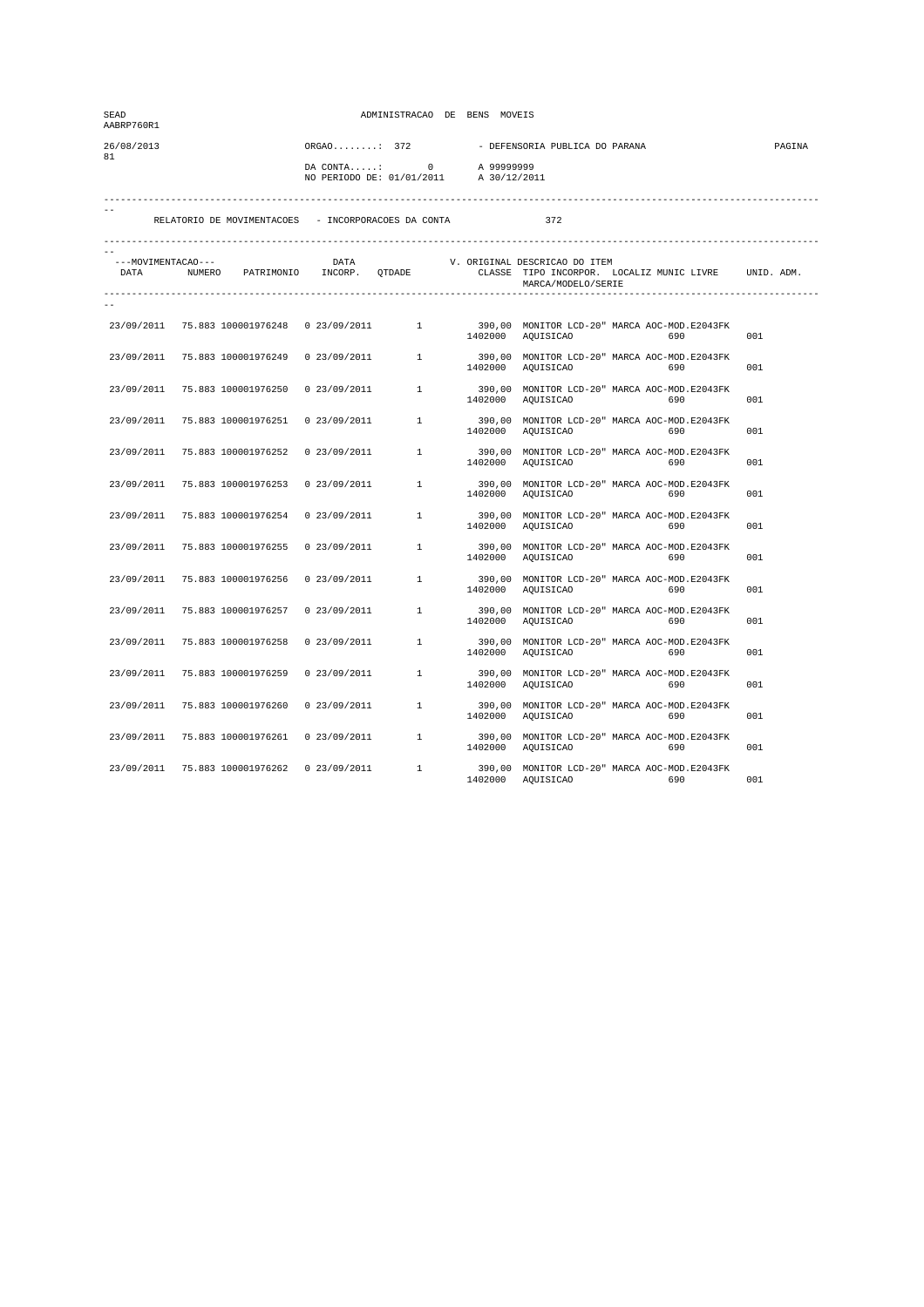| SEAD<br>AABRP760R1         |                                                     |               | ADMINISTRACAO DE BENS MOVEIS               |                            |                                                                                                                                                     |        |
|----------------------------|-----------------------------------------------------|---------------|--------------------------------------------|----------------------------|-----------------------------------------------------------------------------------------------------------------------------------------------------|--------|
| 26/08/2013<br>81           |                                                     | $ORGAO$ : 372 | $DA$ CONTA: 0<br>NO PERIODO DE: 01/01/2011 | A 99999999<br>A 30/12/2011 | - DEFENSORIA PUBLICA DO PARANA                                                                                                                      | PAGINA |
|                            | RELATORIO DE MOVIMENTACOES - INCORPORACOES DA CONTA |               |                                            |                            | 372                                                                                                                                                 |        |
| ---MOVIMENTACAO---<br>DATA | NUMERO PATRIMONIO INCORP. QTDADE                    | DATA          |                                            |                            | V. ORIGINAL DESCRICAO DO ITEM<br>CLASSE TIPO INCORPOR. LOCALIZ MUNIC LIVRE UNID. ADM.<br>MARCA/MODELO/SERIE                                         |        |
|                            | 23/09/2011 75.883 100001976248 0 23/09/2011         |               | 1                                          |                            | 390,00 MONITOR LCD-20" MARCA AOC-MOD.E2043FK<br>1402000 AQUISICAO<br>690                                                                            | 001    |
| 23/09/2011                 | 75.883 100001976249                                 |               |                                            |                            | $\begin{array}{cccc} 0 & 23/09/2011 & 1 & 390,00 & \text{MONTOR LCD-20" MARCA AOC-MOD.E2043FK} \\ & & 1402000 & \text{AQUISICAO} & 690 \end{array}$ | 001    |
| 23/09/2011                 | 75.883 100001976250                                 | 0 23/09/2011  |                                            | $1$ $1402000$              | 390,00 MONITOR LCD-20" MARCA AOC-MOD.E2043FK<br>AQUISICAO<br>690                                                                                    | 001    |
| 23/09/2011                 | 75.883 100001976251                                 | 0 23/09/2011  |                                            |                            | 1 390,00 MONITOR LCD-20" MARCA AOC-MOD.E2043FK<br>1402000 AQUISICAO<br>690                                                                          | 001    |
| 23/09/2011                 | 75.883 100001976252                                 | 0 23/09/2011  | $\mathbf{1}$                               | 1402000                    | 390,00 MONITOR LCD-20" MARCA AOC-MOD.E2043FK<br>AQUISICAO<br>690                                                                                    | 001    |
| 23/09/2011                 | 75.883 100001976253                                 | 0 23/09/2011  | 1                                          | 1402000                    | 390,00 MONITOR LCD-20" MARCA AOC-MOD.E2043FK<br>AQUISICAO<br>690                                                                                    | 001    |
| 23/09/2011                 | 75.883 100001976254                                 | 0 23/09/2011  | 1                                          | 1402000                    | 390,00 MONITOR LCD-20" MARCA AOC-MOD.E2043FK<br>AQUISICAO<br>690                                                                                    | 001    |
| 23/09/2011                 | 75.883 100001976255                                 | 0 23/09/2011  | $1 \quad$                                  | 1402000                    | 390,00 MONITOR LCD-20" MARCA AOC-MOD.E2043FK<br>AQUISICAO<br>690                                                                                    | 001    |
| 23/09/2011                 | 75.883 100001976256                                 | 0 23/09/2011  | $\mathbf{1}$                               | 1402000                    | 390,00 MONITOR LCD-20" MARCA AOC-MOD.E2043FK<br>AQUISICAO<br>690                                                                                    | 001    |
| 23/09/2011                 | 75.883 100001976257                                 | 0 23/09/2011  | 1                                          |                            | 390,00 MONITOR LCD-20" MARCA AOC-MOD.E2043FK<br>1402000 AQUISICAO<br>690                                                                            | 001    |
| 23/09/2011                 | 75.883 100001976258                                 | 0 23/09/2011  | 1                                          | 1402000                    | 390,00 MONITOR LCD-20" MARCA AOC-MOD.E2043FK<br>AQUISICAO<br>690                                                                                    | 001    |
| 23/09/2011                 | 75.883 100001976259                                 | 0 23/09/2011  | 1                                          | 1402000                    | 390,00 MONITOR LCD-20" MARCA AOC-MOD.E2043FK<br>AQUISICAO<br>690                                                                                    | 001    |
| 23/09/2011                 | 75.883 100001976260                                 | 0 23/09/2011  | 1                                          |                            | 390,00 MONITOR LCD-20" MARCA AOC-MOD.E2043FK<br>1402000 AQUISICAO<br>690                                                                            | 001    |
| 23/09/2011                 | 75.883 100001976261                                 | 0 23/09/2011  | 1                                          |                            | 390,00 MONITOR LCD-20" MARCA AOC-MOD.E2043FK<br>1402000 AQUISICAO<br>690                                                                            | 001    |
| 23/09/2011                 | 75.883 100001976262                                 | 0 23/09/2011  | <sup>1</sup>                               | 1402000                    | 390,00 MONITOR LCD-20" MARCA AOC-MOD.E2043FK<br>AQUISICAO<br>690                                                                                    | 001    |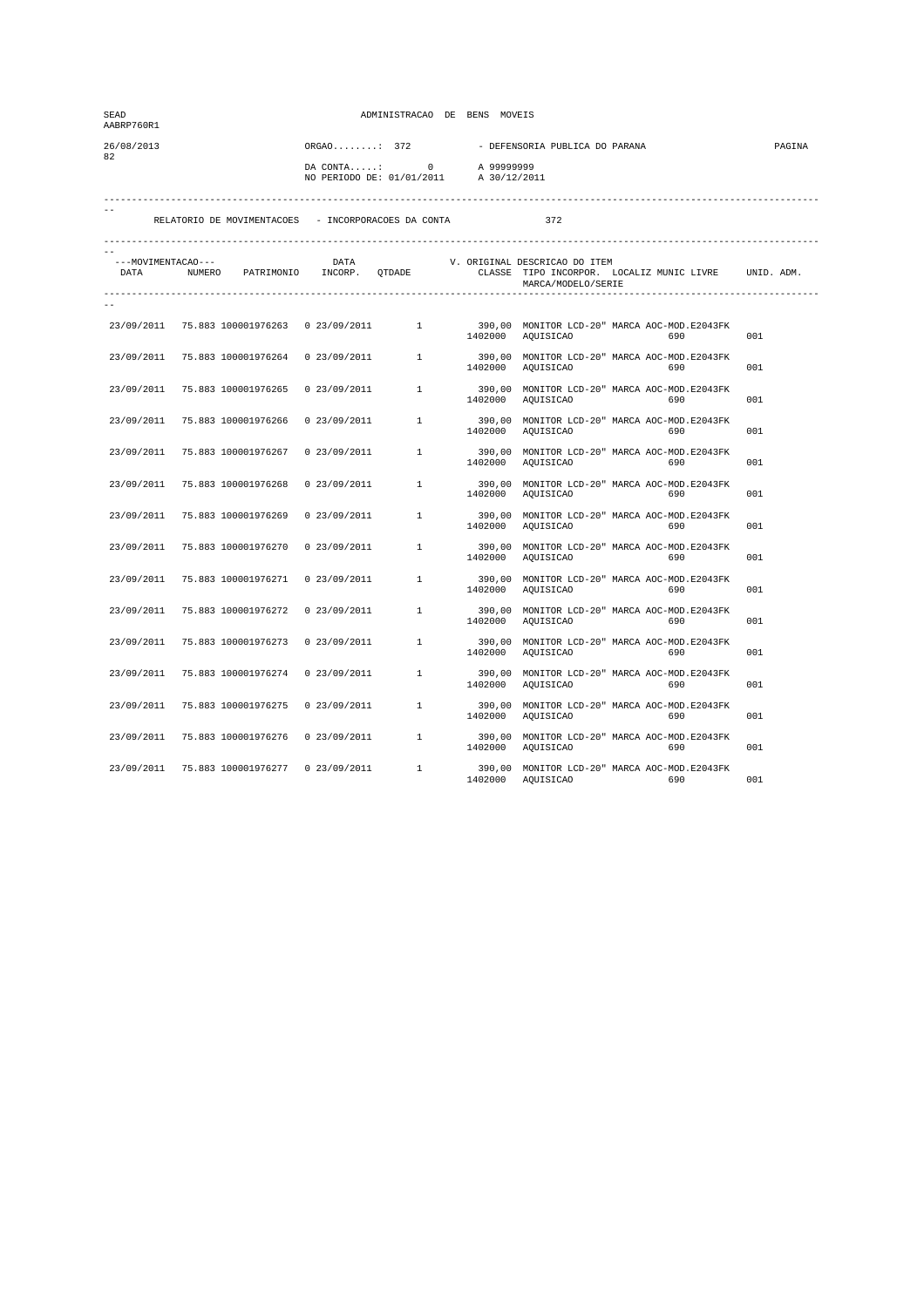| SEAD<br>AABRP760R1         |                                                     |               | ADMINISTRACAO DE BENS MOVEIS               |                            |                                                                                                             |        |  |  |
|----------------------------|-----------------------------------------------------|---------------|--------------------------------------------|----------------------------|-------------------------------------------------------------------------------------------------------------|--------|--|--|
| 26/08/2013<br>82           |                                                     | $ORGAO$ : 372 | $DA$ CONTA: 0<br>NO PERIODO DE: 01/01/2011 | A 99999999<br>A 30/12/2011 | - DEFENSORIA PUBLICA DO PARANA                                                                              | PAGINA |  |  |
|                            | RELATORIO DE MOVIMENTACOES - INCORPORACOES DA CONTA |               |                                            |                            | 372                                                                                                         |        |  |  |
| ---MOVIMENTACAO---<br>DATA | NUMERO PATRIMONIO INCORP. QTDADE                    | DATA          |                                            |                            | V. ORIGINAL DESCRICAO DO ITEM<br>CLASSE TIPO INCORPOR. LOCALIZ MUNIC LIVRE UNID. ADM.<br>MARCA/MODELO/SERIE |        |  |  |
|                            | 23/09/2011 75.883 100001976263 0 23/09/2011         |               | $\frac{1}{2}$                              |                            | 390,00 MONITOR LCD-20" MARCA AOC-MOD.E2043FK<br>1402000 AQUISICAO<br>690                                    | 001    |  |  |
| 23/09/2011                 | 75.883 100001976264                                 | 0 23/09/2011  | $\mathbf{1}$                               |                            | 390,00 MONITOR LCD-20" MARCA AOC-MOD.E2043FK<br>1402000 AQUISICAO<br>690                                    | 001    |  |  |
| 23/09/2011                 | 75.883 100001976265                                 | 0 23/09/2011  | $1 \quad$                                  |                            | 390,00 MONITOR LCD-20" MARCA AOC-MOD.E2043FK<br>1402000 AQUISICAO<br>690                                    | 001    |  |  |
| 23/09/2011                 | 75.883 100001976266                                 | 0 23/09/2011  | $1 \quad$                                  | 1402000                    | 390,00 MONITOR LCD-20" MARCA AOC-MOD.E2043FK<br>AQUISICAO<br>690                                            | 001    |  |  |
| 23/09/2011                 | 75.883 100001976267                                 | 0.23/09/2011  | $\mathbf{1}$                               | 1402000                    | 390,00 MONITOR LCD-20" MARCA AOC-MOD.E2043FK<br>AQUISICAO<br>690                                            | 001    |  |  |
| 23/09/2011                 | 75.883 100001976268                                 | 0 23/09/2011  | 1                                          | 1402000                    | 390,00 MONITOR LCD-20" MARCA AOC-MOD.E2043FK<br>AQUISICAO<br>690                                            | 001    |  |  |
| 23/09/2011                 | 75.883 100001976269                                 | 0 23/09/2011  | 1                                          | 1402000                    | 390,00 MONITOR LCD-20" MARCA AOC-MOD.E2043FK<br>AQUISICAO<br>690                                            | 001    |  |  |
| 23/09/2011                 | 75.883 100001976270                                 | 0 23/09/2011  | $1 \quad$                                  | 1402000                    | 390,00 MONITOR LCD-20" MARCA AOC-MOD.E2043FK<br>AQUISICAO<br>690                                            | 001    |  |  |
| 23/09/2011                 | 75.883 100001976271                                 | 0.23/09/2011  | $\mathbf{1}$                               | 1402000                    | 390,00 MONITOR LCD-20" MARCA AOC-MOD.E2043FK<br>AQUISICAO<br>690                                            | 001    |  |  |
| 23/09/2011                 | 75.883 100001976272                                 | 0.23/09/2011  | $\mathbf{1}$                               |                            | 390,00 MONITOR LCD-20" MARCA AOC-MOD.E2043FK<br>1402000 AQUISICAO<br>690                                    | 001    |  |  |
| 23/09/2011                 | 75.883 100001976273                                 | 0 23/09/2011  | $\mathbf{1}$                               | 1402000                    | 390,00 MONITOR LCD-20" MARCA AOC-MOD.E2043FK<br>AQUISICAO<br>690                                            | 001    |  |  |
| 23/09/2011                 | 75.883 100001976274                                 | 0 23/09/2011  | $1 \quad$                                  | 1402000                    | 390,00 MONITOR LCD-20" MARCA AOC-MOD.E2043FK<br>AQUISICAO<br>690                                            | 001    |  |  |
| 23/09/2011                 | 75.883 100001976275                                 | 0 23/09/2011  | $\mathbf{1}$                               |                            | 390,00 MONITOR LCD-20" MARCA AOC-MOD.E2043FK<br>1402000 AQUISICAO<br>690                                    | 001    |  |  |
| 23/09/2011                 | 75.883 100001976276                                 | 0.23/09/2011  | $\mathbf{1}$                               | 1402000                    | 390,00 MONITOR LCD-20" MARCA AOC-MOD.E2043FK<br>AQUISICAO<br>690                                            | 001    |  |  |
| 23/09/2011                 | 75.883 100001976277                                 | 0.23/09/2011  | $\mathbf{1}$                               | 1402000                    | 390,00 MONITOR LCD-20" MARCA AOC-MOD.E2043FK<br>AQUISICAO<br>690                                            | 001    |  |  |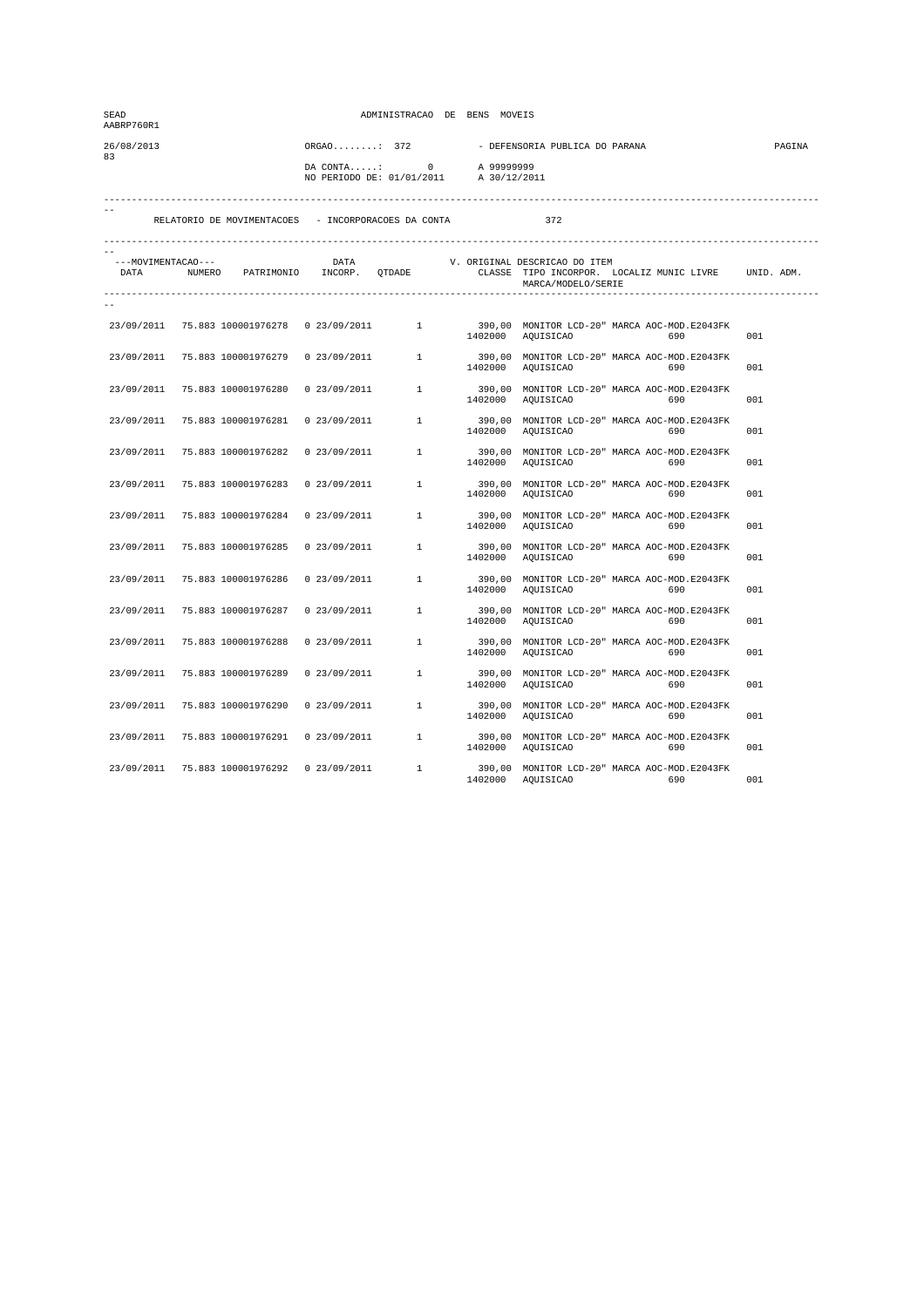| SEAD<br>AABRP760R1         |                                                     |               | ADMINISTRACAO DE BENS MOVEIS               |         |                                                                                                             |     |  |  |  |
|----------------------------|-----------------------------------------------------|---------------|--------------------------------------------|---------|-------------------------------------------------------------------------------------------------------------|-----|--|--|--|
| 26/08/2013<br>83           |                                                     | $ORGAO$ : 372 | $DA$ CONTA: 0<br>NO PERIODO DE: 01/01/2011 |         | - DEFENSORIA PUBLICA DO PARANA<br>A 99999999<br>A 30/12/2011                                                |     |  |  |  |
|                            | RELATORIO DE MOVIMENTACOES - INCORPORACOES DA CONTA |               |                                            |         | 372                                                                                                         |     |  |  |  |
| ---MOVIMENTACAO---<br>DATA | NUMERO PATRIMONIO INCORP. QTDADE                    | DATA          |                                            |         | V. ORIGINAL DESCRICAO DO ITEM<br>CLASSE TIPO INCORPOR. LOCALIZ MUNIC LIVRE UNID. ADM.<br>MARCA/MODELO/SERIE |     |  |  |  |
|                            | 23/09/2011 75.883 100001976278 0 23/09/2011         |               | $\mathbf{1}$                               |         | 390,00 MONITOR LCD-20" MARCA AOC-MOD.E2043FK<br>1402000 AQUISICAO<br>690                                    | 001 |  |  |  |
| 23/09/2011                 | 75.883 100001976279                                 | 0 23/09/2011  | 1                                          |         | 390,00 MONITOR LCD-20" MARCA AOC-MOD.E2043FK<br>1402000 AQUISICAO<br>690                                    | 001 |  |  |  |
| 23/09/2011                 | 75.883 100001976280                                 | 0 23/09/2011  | $\mathbf{1}$                               |         | 390,00 MONITOR LCD-20" MARCA AOC-MOD.E2043FK<br>1402000 AQUISICAO<br>690                                    | 001 |  |  |  |
| 23/09/2011                 | 75.883 100001976281                                 | 0 23/09/2011  | $1 \quad$                                  | 1402000 | 390,00 MONITOR LCD-20" MARCA AOC-MOD.E2043FK<br>AQUISICAO<br>690                                            | 001 |  |  |  |
| 23/09/2011                 | 75.883 100001976282                                 | 0.23/09/2011  | $\mathbf{1}$                               | 1402000 | 390,00 MONITOR LCD-20" MARCA AOC-MOD.E2043FK<br>AQUISICAO<br>690                                            | 001 |  |  |  |
| 23/09/2011                 | 75.883 100001976283                                 | 0 23/09/2011  | $\mathbf{1}$                               | 1402000 | 390,00 MONITOR LCD-20" MARCA AOC-MOD.E2043FK<br>AQUISICAO<br>690                                            | 001 |  |  |  |
| 23/09/2011                 | 75.883 100001976284                                 | 0 23/09/2011  | $\mathbf{1}$                               | 1402000 | 390,00 MONITOR LCD-20" MARCA AOC-MOD.E2043FK<br>AQUISICAO<br>690                                            | 001 |  |  |  |
| 23/09/2011                 | 75.883 100001976285                                 | 0 23/09/2011  | 1                                          |         | 390,00 MONITOR LCD-20" MARCA AOC-MOD.E2043FK<br>1402000 AQUISICAO<br>690                                    | 001 |  |  |  |
| 23/09/2011                 | 75.883 100001976286                                 | 0.23/09/2011  | $\mathbf{1}$                               | 1402000 | 390,00 MONITOR LCD-20" MARCA AOC-MOD.E2043FK<br>AQUISICAO<br>690                                            | 001 |  |  |  |
| 23/09/2011                 | 75.883 100001976287                                 | 0.23/09/2011  | $\mathbf{1}$                               | 1402000 | 390,00 MONITOR LCD-20" MARCA AOC-MOD.E2043FK<br>AQUISICAO<br>690                                            | 001 |  |  |  |
| 23/09/2011                 | 75.883 100001976288                                 | 0 23/09/2011  | $\mathbf{1}$                               |         | 390,00 MONITOR LCD-20" MARCA AOC-MOD.E2043FK<br>1402000 AQUISICAO<br>690                                    | 001 |  |  |  |
| 23/09/2011                 | 75.883 100001976289                                 | 0 23/09/2011  | $1 \quad$                                  |         | 390,00 MONITOR LCD-20" MARCA AOC-MOD.E2043FK<br>1402000 AQUISICAO<br>690                                    | 001 |  |  |  |
| 23/09/2011                 | 75.883 100001976290                                 | 0 23/09/2011  | $\mathbf{1}$                               |         | 390,00 MONITOR LCD-20" MARCA AOC-MOD.E2043FK<br>1402000 AQUISICAO<br>690                                    | 001 |  |  |  |
| 23/09/2011                 | 75.883 100001976291                                 | 0.23/09/2011  | $\mathbf{1}$                               | 1402000 | 390,00 MONITOR LCD-20" MARCA AOC-MOD.E2043FK<br>AQUISICAO<br>690                                            | 001 |  |  |  |
| 23/09/2011                 | 75.883 100001976292 0 23/09/2011                    |               | $\mathbf{1}$                               | 1402000 | 390,00 MONITOR LCD-20" MARCA AOC-MOD.E2043FK<br>AQUISICAO<br>690                                            | 001 |  |  |  |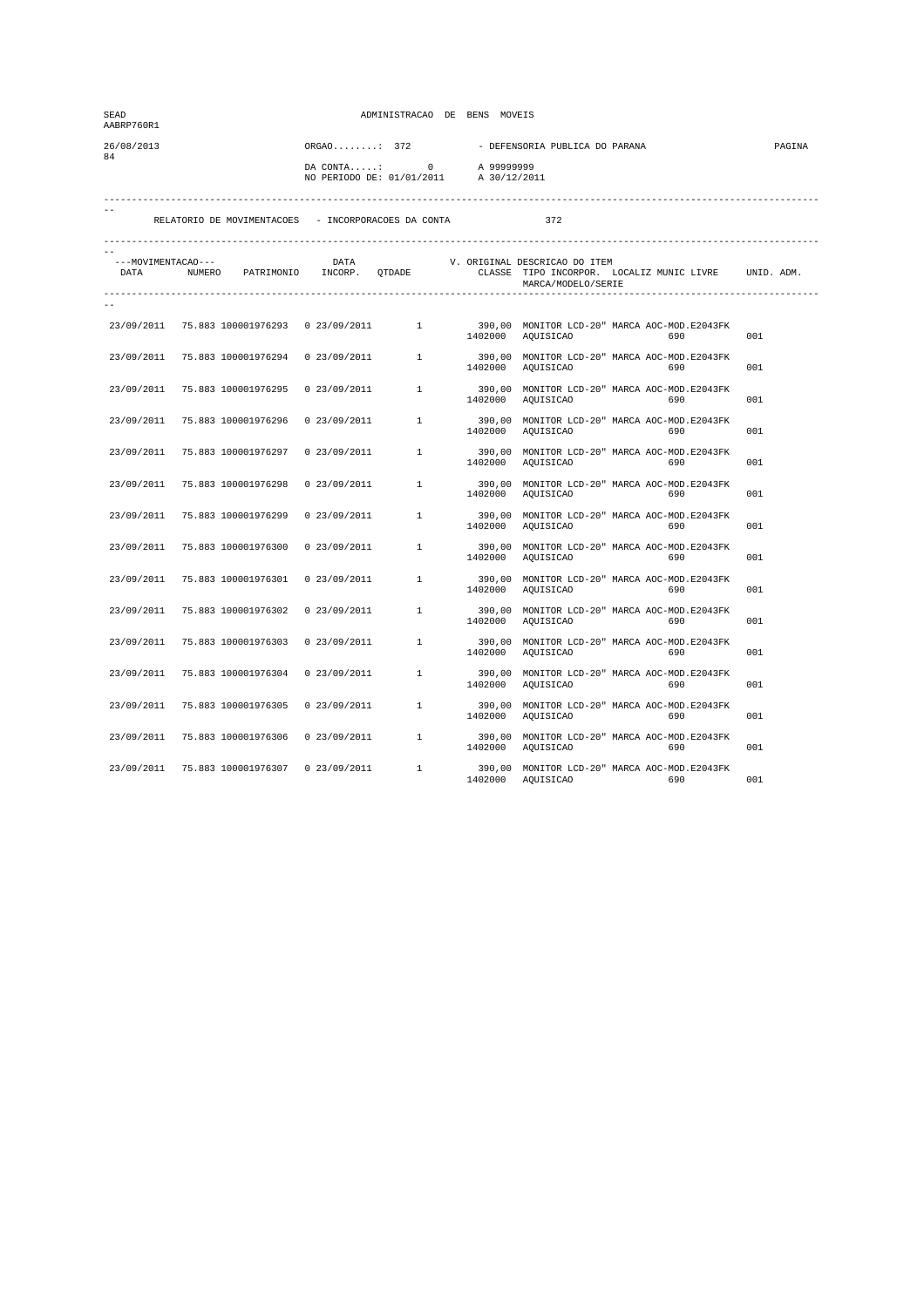| SEAD<br>AABRP760R1         |                                                     |               | ADMINISTRACAO DE BENS MOVEIS               |                            |                                                                                                             |        |  |  |
|----------------------------|-----------------------------------------------------|---------------|--------------------------------------------|----------------------------|-------------------------------------------------------------------------------------------------------------|--------|--|--|
| 26/08/2013<br>84           |                                                     | $ORGAO$ : 372 | $DA$ CONTA: 0<br>NO PERIODO DE: 01/01/2011 | A 99999999<br>A 30/12/2011 | - DEFENSORIA PUBLICA DO PARANA                                                                              | PAGINA |  |  |
|                            | RELATORIO DE MOVIMENTACOES - INCORPORACOES DA CONTA |               |                                            |                            | 372                                                                                                         |        |  |  |
| ---MOVIMENTACAO---<br>DATA | NUMERO PATRIMONIO INCORP. QTDADE                    | DATA          |                                            |                            | V. ORIGINAL DESCRICAO DO ITEM<br>CLASSE TIPO INCORPOR. LOCALIZ MUNIC LIVRE UNID. ADM.<br>MARCA/MODELO/SERIE |        |  |  |
|                            | 23/09/2011 75.883 100001976293 0 23/09/2011         |               | $\frac{1}{2}$                              |                            | 390,00 MONITOR LCD-20" MARCA AOC-MOD.E2043FK<br>1402000 AQUISICAO<br>690                                    | 001    |  |  |
| 23/09/2011                 | 75.883 100001976294                                 | 0 23/09/2011  | $\mathbf{1}$                               |                            | 390,00 MONITOR LCD-20" MARCA AOC-MOD.E2043FK<br>1402000 AQUISICAO<br>690                                    | 001    |  |  |
| 23/09/2011                 | 75.883 100001976295                                 | 0 23/09/2011  | $1 \quad$                                  | 1402000                    | 390,00 MONITOR LCD-20" MARCA AOC-MOD.E2043FK<br>AQUISICAO<br>690                                            | 001    |  |  |
| 23/09/2011                 | 75.883 100001976296                                 | 0 23/09/2011  | $1 \quad$                                  | 1402000                    | 390,00 MONITOR LCD-20" MARCA AOC-MOD.E2043FK<br>AQUISICAO<br>690                                            | 001    |  |  |
| 23/09/2011                 | 75.883 100001976297                                 | 0.23/09/2011  | $\mathbf{1}$                               | 1402000                    | 390,00 MONITOR LCD-20" MARCA AOC-MOD.E2043FK<br>AQUISICAO<br>690                                            | 001    |  |  |
| 23/09/2011                 | 75.883 100001976298                                 | 0 23/09/2011  | 1                                          | 1402000                    | 390,00 MONITOR LCD-20" MARCA AOC-MOD.E2043FK<br>AQUISICAO<br>690                                            | 001    |  |  |
| 23/09/2011                 | 75.883 100001976299                                 | 0 23/09/2011  | 1                                          | 1402000                    | 390,00 MONITOR LCD-20" MARCA AOC-MOD.E2043FK<br>AQUISICAO<br>690                                            | 001    |  |  |
| 23/09/2011                 | 75.883 100001976300                                 | 0 23/09/2011  | $1 \quad$                                  | 1402000                    | 390,00 MONITOR LCD-20" MARCA AOC-MOD.E2043FK<br>AQUISICAO<br>690                                            | 001    |  |  |
| 23/09/2011                 | 75.883 100001976301                                 | 0.23/09/2011  | $\mathbf{1}$                               | 1402000                    | 390,00 MONITOR LCD-20" MARCA AOC-MOD.E2043FK<br>AQUISICAO<br>690                                            | 001    |  |  |
| 23/09/2011                 | 75.883 100001976302                                 | 0.23/09/2011  | $\mathbf{1}$                               |                            | 390,00 MONITOR LCD-20" MARCA AOC-MOD.E2043FK<br>1402000 AQUISICAO<br>690                                    | 001    |  |  |
| 23/09/2011                 | 75.883 100001976303                                 | 0 23/09/2011  | $\mathbf{1}$                               | 1402000                    | 390,00 MONITOR LCD-20" MARCA AOC-MOD.E2043FK<br>AQUISICAO<br>690                                            | 001    |  |  |
| 23/09/2011                 | 75.883 100001976304                                 | 0 23/09/2011  | $1 \quad$                                  | 1402000                    | 390,00 MONITOR LCD-20" MARCA AOC-MOD.E2043FK<br>AQUISICAO<br>690                                            | 001    |  |  |
| 23/09/2011                 | 75.883 100001976305                                 | 0 23/09/2011  | $\mathbf{1}$                               |                            | 390,00 MONITOR LCD-20" MARCA AOC-MOD.E2043FK<br>1402000 AQUISICAO<br>690                                    | 001    |  |  |
| 23/09/2011                 | 75.883 100001976306                                 | 0.23/09/2011  | $\mathbf{1}$                               | 1402000                    | 390,00 MONITOR LCD-20" MARCA AOC-MOD.E2043FK<br>AQUISICAO<br>690                                            | 001    |  |  |
| 23/09/2011                 | 75.883 100001976307                                 | 0.23/09/2011  | <sup>1</sup>                               | 1402000                    | 390,00 MONITOR LCD-20" MARCA AOC-MOD.E2043FK<br>AQUISICAO<br>690                                            | 001    |  |  |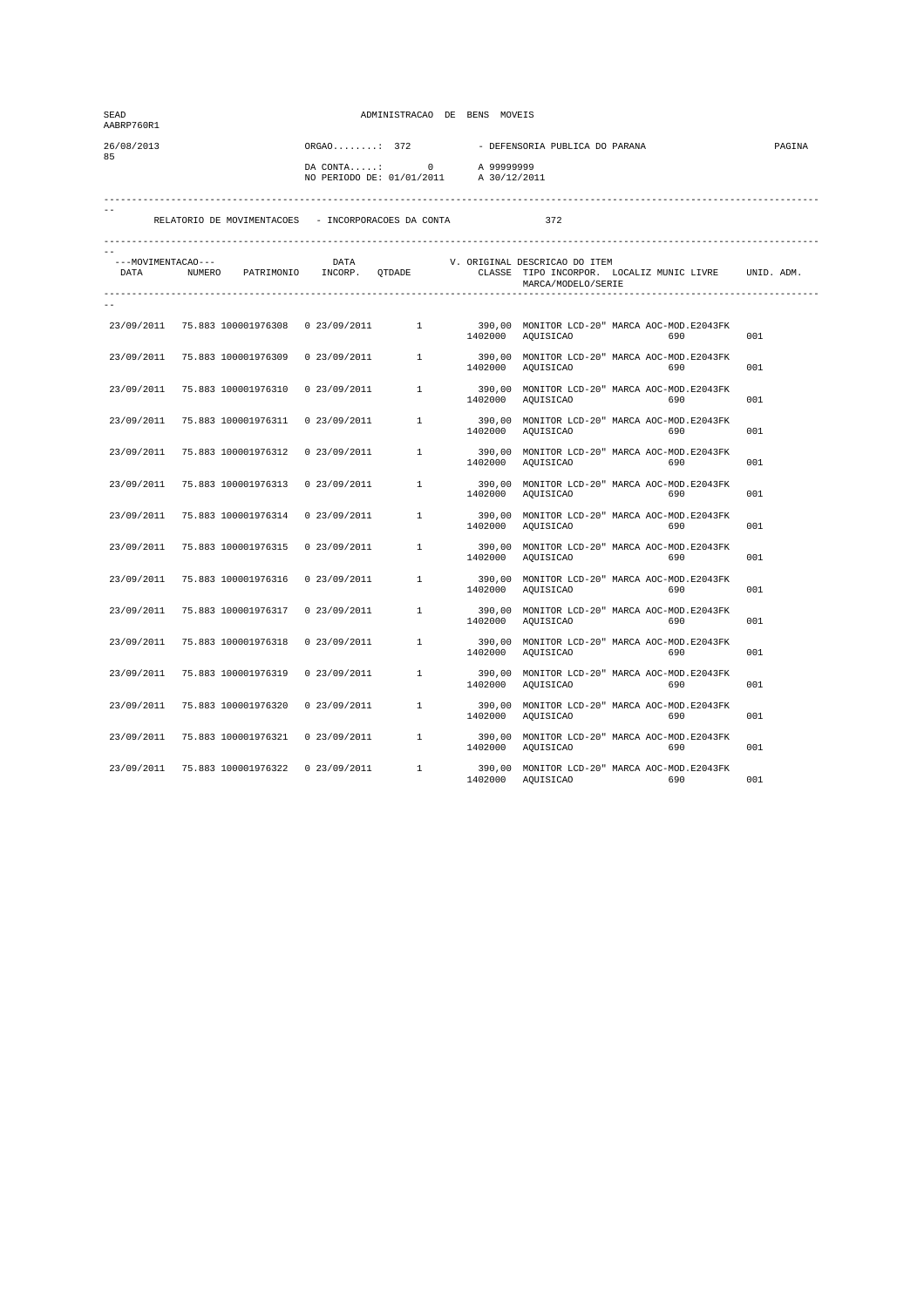| SEAD<br>AABRP760R1         |                                                     | ADMINISTRACAO DE BENS MOVEIS |                                                                                                                             |         |                                                                                                             |     |
|----------------------------|-----------------------------------------------------|------------------------------|-----------------------------------------------------------------------------------------------------------------------------|---------|-------------------------------------------------------------------------------------------------------------|-----|
| 26/08/2013<br>85           |                                                     |                              | $ORGAO$ : 372<br>- DEFENSORIA PUBLICA DO PARANA<br>$DA$ CONTA: 0<br>A 99999999<br>NO PERIODO DE: 01/01/2011<br>A 30/12/2011 |         |                                                                                                             |     |
|                            | RELATORIO DE MOVIMENTACOES - INCORPORACOES DA CONTA |                              |                                                                                                                             |         | 372                                                                                                         |     |
| ---MOVIMENTACAO---<br>DATA | NUMERO PATRIMONIO INCORP. QTDADE                    | DATA                         |                                                                                                                             |         | V. ORIGINAL DESCRICAO DO ITEM<br>CLASSE TIPO INCORPOR. LOCALIZ MUNIC LIVRE UNID. ADM.<br>MARCA/MODELO/SERIE |     |
|                            | 23/09/2011 75.883 100001976308 0 23/09/2011         |                              | $\mathbf{1}$                                                                                                                |         | 390,00 MONITOR LCD-20" MARCA AOC-MOD.E2043FK<br>1402000 AQUISICAO<br>690                                    | 001 |
| 23/09/2011                 | 75.883 100001976309                                 | $0.23/09/2011$ 1             |                                                                                                                             |         | 390,00 MONITOR LCD-20" MARCA AOC-MOD.E2043FK<br>1402000 AQUISICAO<br>690                                    | 001 |
| 23/09/2011                 | 75.883 100001976310                                 | 0 23/09/2011                 | 1                                                                                                                           |         | 390,00 MONITOR LCD-20" MARCA AOC-MOD.E2043FK<br>1402000 AQUISICAO<br>690                                    | 001 |
| 23/09/2011                 | 75.883 100001976311                                 | 0 23/09/2011                 | $1 \quad \blacksquare$                                                                                                      | 1402000 | 390,00 MONITOR LCD-20" MARCA AOC-MOD.E2043FK<br>AQUISICAO<br>690                                            | 001 |
| 23/09/2011                 | 75.883 100001976312                                 | 0.23/09/2011                 | $\mathbf{1}$                                                                                                                | 1402000 | 390,00 MONITOR LCD-20" MARCA AOC-MOD.E2043FK<br>AQUISICAO<br>690                                            | 001 |
| 23/09/2011                 | 75.883 100001976313                                 | 0 23/09/2011                 | $\mathbf{1}$                                                                                                                | 1402000 | 390,00 MONITOR LCD-20" MARCA AOC-MOD.E2043FK<br>AQUISICAO<br>690                                            | 001 |
| 23/09/2011                 | 75.883 100001976314                                 | 0 23/09/2011                 | $\mathbf{1}$                                                                                                                | 1402000 | 390,00 MONITOR LCD-20" MARCA AOC-MOD.E2043FK<br>AQUISICAO<br>690                                            | 001 |
| 23/09/2011                 | 75.883 100001976315                                 | 0 23/09/2011                 | $1 \quad$                                                                                                                   |         | 390,00 MONITOR LCD-20" MARCA AOC-MOD.E2043FK<br>1402000 AQUISICAO<br>690                                    | 001 |
| 23/09/2011                 | 75.883 100001976316                                 | 0 23/09/2011                 | $\mathbf{1}$                                                                                                                | 1402000 | 390,00 MONITOR LCD-20" MARCA AOC-MOD.E2043FK<br>AQUISICAO<br>690                                            | 001 |
| 23/09/2011                 | 75.883 100001976317                                 | 0.23/09/2011                 | $\mathbf{1}$                                                                                                                | 1402000 | 390,00 MONITOR LCD-20" MARCA AOC-MOD.E2043FK<br>AQUISICAO<br>690                                            | 001 |
| 23/09/2011                 | 75.883 100001976318                                 | 0 23/09/2011                 | $\mathbf{1}$                                                                                                                |         | 390,00 MONITOR LCD-20" MARCA AOC-MOD.E2043FK<br>1402000 AQUISICAO<br>690                                    | 001 |
| 23/09/2011                 | 75.883 100001976319                                 | 0 23/09/2011                 | $1 \quad$                                                                                                                   |         | 390,00 MONITOR LCD-20" MARCA AOC-MOD.E2043FK<br>1402000 AQUISICAO<br>690                                    | 001 |
| 23/09/2011                 | 75.883 100001976320                                 | 0 23/09/2011                 | $\mathbf{1}$                                                                                                                |         | 390,00 MONITOR LCD-20" MARCA AOC-MOD.E2043FK<br>1402000 AQUISICAO<br>690                                    | 001 |
| 23/09/2011                 | 75.883 100001976321                                 | 0.23/09/2011                 | $\mathbf{1}$                                                                                                                | 1402000 | 390,00 MONITOR LCD-20" MARCA AOC-MOD.E2043FK<br>AQUISICAO<br>690                                            | 001 |
| 23/09/2011                 | 75.883 100001976322 0 23/09/2011                    |                              | $\mathbf{1}$                                                                                                                | 1402000 | 390,00 MONITOR LCD-20" MARCA AOC-MOD.E2043FK<br>AQUISICAO<br>690                                            | 001 |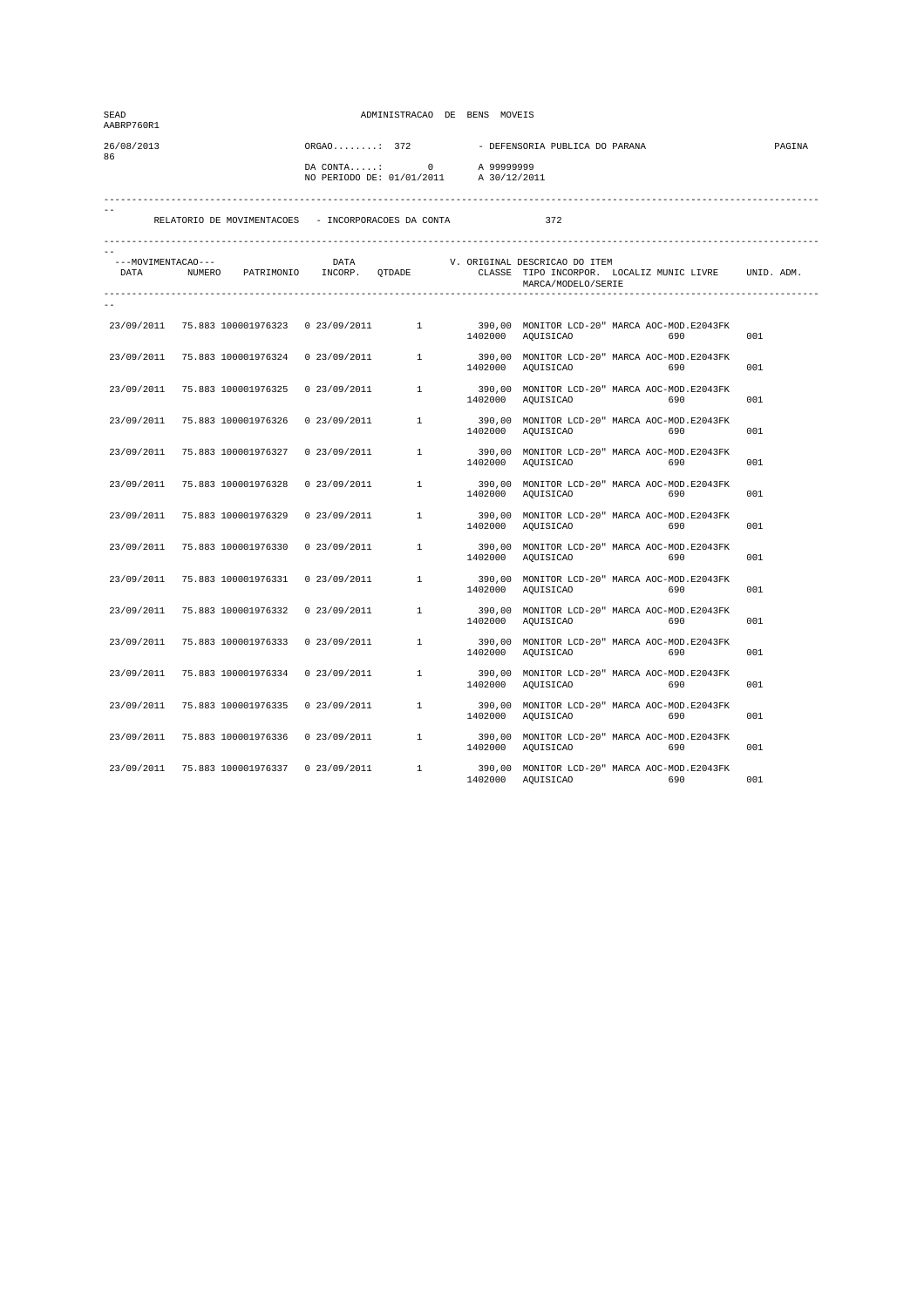| SEAD<br>AABRP760R1         |                                                     | ADMINISTRACAO DE BENS MOVEIS |                                                                                                                             |         |                                                                                                             |     |  |
|----------------------------|-----------------------------------------------------|------------------------------|-----------------------------------------------------------------------------------------------------------------------------|---------|-------------------------------------------------------------------------------------------------------------|-----|--|
| 26/08/2013<br>86           |                                                     |                              | - DEFENSORIA PUBLICA DO PARANA<br>$ORGAO$ : 372<br>$DA$ CONTA: 0<br>A 99999999<br>NO PERIODO DE: 01/01/2011<br>A 30/12/2011 |         |                                                                                                             |     |  |
|                            | RELATORIO DE MOVIMENTACOES - INCORPORACOES DA CONTA |                              |                                                                                                                             |         | 372                                                                                                         |     |  |
| ---MOVIMENTACAO---<br>DATA | NUMERO PATRIMONIO INCORP. QTDADE                    | DATA                         |                                                                                                                             |         | V. ORIGINAL DESCRICAO DO ITEM<br>CLASSE TIPO INCORPOR. LOCALIZ MUNIC LIVRE UNID. ADM.<br>MARCA/MODELO/SERIE |     |  |
|                            | 23/09/2011 75.883 100001976323 0 23/09/2011         |                              | $\frac{1}{2}$                                                                                                               |         | 390,00 MONITOR LCD-20" MARCA AOC-MOD.E2043FK<br>1402000 AQUISICAO<br>690                                    | 001 |  |
| 23/09/2011                 | 75.883 100001976324                                 | 0 23/09/2011                 | $\mathbf{1}$                                                                                                                |         | 390,00 MONITOR LCD-20" MARCA AOC-MOD.E2043FK<br>1402000 AQUISICAO<br>690                                    | 001 |  |
| 23/09/2011                 | 75.883 100001976325                                 | 0 23/09/2011                 | $1 \quad$                                                                                                                   |         | 390,00 MONITOR LCD-20" MARCA AOC-MOD.E2043FK<br>1402000 AQUISICAO<br>690                                    | 001 |  |
| 23/09/2011                 | 75.883 100001976326                                 | 0 23/09/2011                 | $1 \quad$                                                                                                                   | 1402000 | 390,00 MONITOR LCD-20" MARCA AOC-MOD.E2043FK<br>AQUISICAO<br>690                                            | 001 |  |
| 23/09/2011                 | 75.883 100001976327                                 | 0.23/09/2011                 | $\mathbf{1}$                                                                                                                | 1402000 | 390,00 MONITOR LCD-20" MARCA AOC-MOD.E2043FK<br>AQUISICAO<br>690                                            | 001 |  |
| 23/09/2011                 | 75.883 100001976328                                 | 0 23/09/2011                 | 1                                                                                                                           | 1402000 | 390,00 MONITOR LCD-20" MARCA AOC-MOD.E2043FK<br>AQUISICAO<br>690                                            | 001 |  |
| 23/09/2011                 | 75.883 100001976329                                 | 0 23/09/2011                 | 1                                                                                                                           | 1402000 | 390,00 MONITOR LCD-20" MARCA AOC-MOD.E2043FK<br>AQUISICAO<br>690                                            | 001 |  |
| 23/09/2011                 | 75.883 100001976330                                 | 0 23/09/2011                 | $1 \quad$                                                                                                                   | 1402000 | 390,00 MONITOR LCD-20" MARCA AOC-MOD.E2043FK<br>AQUISICAO<br>690                                            | 001 |  |
| 23/09/2011                 | 75.883 100001976331                                 | 0.23/09/2011                 | $\mathbf{1}$                                                                                                                | 1402000 | 390,00 MONITOR LCD-20" MARCA AOC-MOD.E2043FK<br>AQUISICAO<br>690                                            | 001 |  |
| 23/09/2011                 | 75.883 100001976332                                 | 0.23/09/2011                 | $\mathbf{1}$                                                                                                                |         | 390,00 MONITOR LCD-20" MARCA AOC-MOD.E2043FK<br>1402000 AQUISICAO<br>690                                    | 001 |  |
| 23/09/2011                 | 75.883 100001976333                                 | 0 23/09/2011                 | $\mathbf{1}$                                                                                                                | 1402000 | 390,00 MONITOR LCD-20" MARCA AOC-MOD.E2043FK<br>AQUISICAO<br>690                                            | 001 |  |
| 23/09/2011                 | 75.883 100001976334                                 | 0 23/09/2011                 | $1 \quad$                                                                                                                   | 1402000 | 390,00 MONITOR LCD-20" MARCA AOC-MOD.E2043FK<br>AQUISICAO<br>690                                            | 001 |  |
| 23/09/2011                 | 75.883 100001976335                                 | 0 23/09/2011                 | $\mathbf{1}$                                                                                                                |         | 390,00 MONITOR LCD-20" MARCA AOC-MOD.E2043FK<br>1402000 AQUISICAO<br>690                                    | 001 |  |
| 23/09/2011                 | 75.883 100001976336                                 | 0.23/09/2011                 | $\mathbf{1}$                                                                                                                | 1402000 | 390,00 MONITOR LCD-20" MARCA AOC-MOD.E2043FK<br>AQUISICAO<br>690                                            | 001 |  |
| 23/09/2011                 | 75.883 100001976337                                 | 0.23/09/2011                 | $\mathbf{1}$                                                                                                                | 1402000 | 390,00 MONITOR LCD-20" MARCA AOC-MOD.E2043FK<br>AQUISICAO<br>690                                            | 001 |  |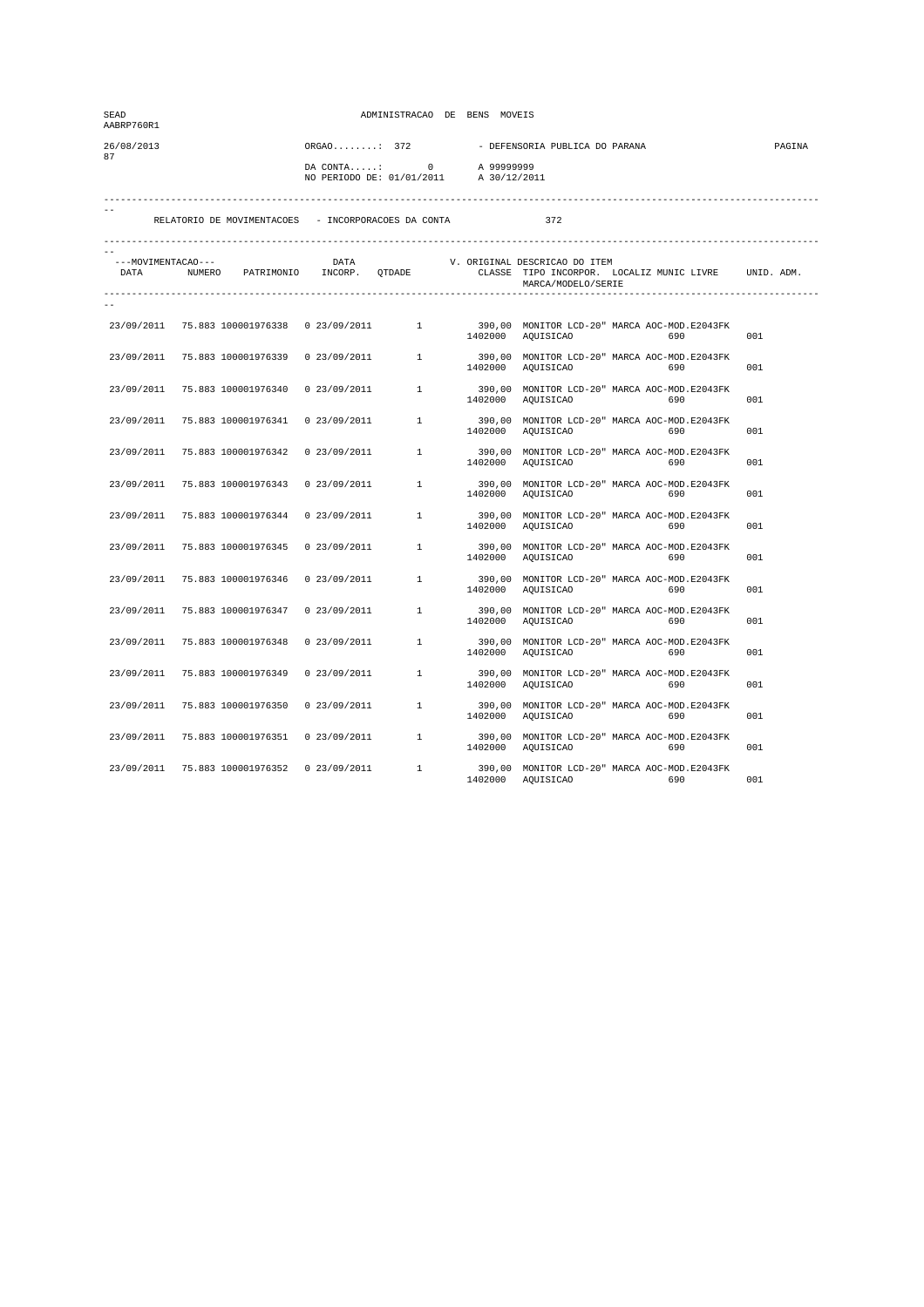| SEAD<br>AABRP760R1         |                                                     | ADMINISTRACAO DE BENS MOVEIS                                |              |         |                                                                                                             |     |
|----------------------------|-----------------------------------------------------|-------------------------------------------------------------|--------------|---------|-------------------------------------------------------------------------------------------------------------|-----|
| 26/08/2013<br>87           |                                                     | $ORGAO$ : 372<br>$DA$ CONTA: 0<br>NO PERIODO DE: 01/01/2011 |              | PAGINA  |                                                                                                             |     |
|                            | RELATORIO DE MOVIMENTACOES - INCORPORACOES DA CONTA |                                                             |              |         | 372                                                                                                         |     |
| ---MOVIMENTACAO---<br>DATA | NUMERO PATRIMONIO INCORP. QTDADE                    | DATA                                                        |              |         | V. ORIGINAL DESCRICAO DO ITEM<br>CLASSE TIPO INCORPOR. LOCALIZ MUNIC LIVRE UNID. ADM.<br>MARCA/MODELO/SERIE |     |
|                            | 23/09/2011 75.883 100001976338 0 23/09/2011         |                                                             | $\mathbf{1}$ |         | 390,00 MONITOR LCD-20" MARCA AOC-MOD.E2043FK<br>1402000 AQUISICAO<br>690                                    | 001 |
| 23/09/2011                 | 75.883 100001976339                                 | 0 23/09/2011                                                | 1            |         | 390,00 MONITOR LCD-20" MARCA AOC-MOD.E2043FK<br>1402000 AQUISICAO<br>690                                    | 001 |
| 23/09/2011                 | 75.883 100001976340                                 | 0 23/09/2011                                                | $\mathbf{1}$ |         | 390,00 MONITOR LCD-20" MARCA AOC-MOD.E2043FK<br>1402000 AQUISICAO<br>690                                    | 001 |
| 23/09/2011                 | 75.883 100001976341                                 | 0 23/09/2011                                                | $1 \quad$    | 1402000 | 390,00 MONITOR LCD-20" MARCA AOC-MOD.E2043FK<br>AQUISICAO<br>690                                            | 001 |
| 23/09/2011                 | 75.883 100001976342                                 | 0.23/09/2011                                                | $\mathbf{1}$ | 1402000 | 390,00 MONITOR LCD-20" MARCA AOC-MOD.E2043FK<br>AQUISICAO<br>690                                            | 001 |
| 23/09/2011                 | 75.883 100001976343                                 | 0 23/09/2011                                                | $\mathbf{1}$ | 1402000 | 390,00 MONITOR LCD-20" MARCA AOC-MOD.E2043FK<br>AQUISICAO<br>690                                            | 001 |
| 23/09/2011                 | 75.883 100001976344                                 | 0 23/09/2011                                                | $\mathbf{1}$ | 1402000 | 390,00 MONITOR LCD-20" MARCA AOC-MOD.E2043FK<br>AQUISICAO<br>690                                            | 001 |
| 23/09/2011                 | 75.883 100001976345                                 | 0 23/09/2011                                                | 1            |         | 390,00 MONITOR LCD-20" MARCA AOC-MOD.E2043FK<br>1402000 AQUISICAO<br>690                                    | 001 |
| 23/09/2011                 | 75.883 100001976346                                 | 0.23/09/2011                                                | $\mathbf{1}$ | 1402000 | 390,00 MONITOR LCD-20" MARCA AOC-MOD.E2043FK<br>AQUISICAO<br>690                                            | 001 |
| 23/09/2011                 | 75.883 100001976347                                 | 0.23/09/2011                                                | $\mathbf{1}$ | 1402000 | 390,00 MONITOR LCD-20" MARCA AOC-MOD.E2043FK<br>AQUISICAO<br>690                                            | 001 |
| 23/09/2011                 | 75.883 100001976348                                 | 0 23/09/2011                                                | $\mathbf{1}$ |         | 390,00 MONITOR LCD-20" MARCA AOC-MOD.E2043FK<br>1402000 AQUISICAO<br>690                                    | 001 |
| 23/09/2011                 | 75.883 100001976349                                 | 0 23/09/2011                                                | $1 \quad$    |         | 390,00 MONITOR LCD-20" MARCA AOC-MOD.E2043FK<br>1402000 AQUISICAO<br>690                                    | 001 |
| 23/09/2011                 | 75.883 100001976350                                 | 0 23/09/2011                                                | $\mathbf{1}$ |         | 390,00 MONITOR LCD-20" MARCA AOC-MOD.E2043FK<br>1402000 AQUISICAO<br>690                                    | 001 |
| 23/09/2011                 | 75.883 100001976351                                 | 0.23/09/2011                                                | $\mathbf{1}$ | 1402000 | 390,00 MONITOR LCD-20" MARCA AOC-MOD.E2043FK<br>AQUISICAO<br>690                                            | 001 |
| 23/09/2011                 | 75.883 100001976352 0 23/09/2011                    |                                                             | $\mathbf{1}$ | 1402000 | 390,00 MONITOR LCD-20" MARCA AOC-MOD.E2043FK<br>AQUISICAO<br>690                                            | 001 |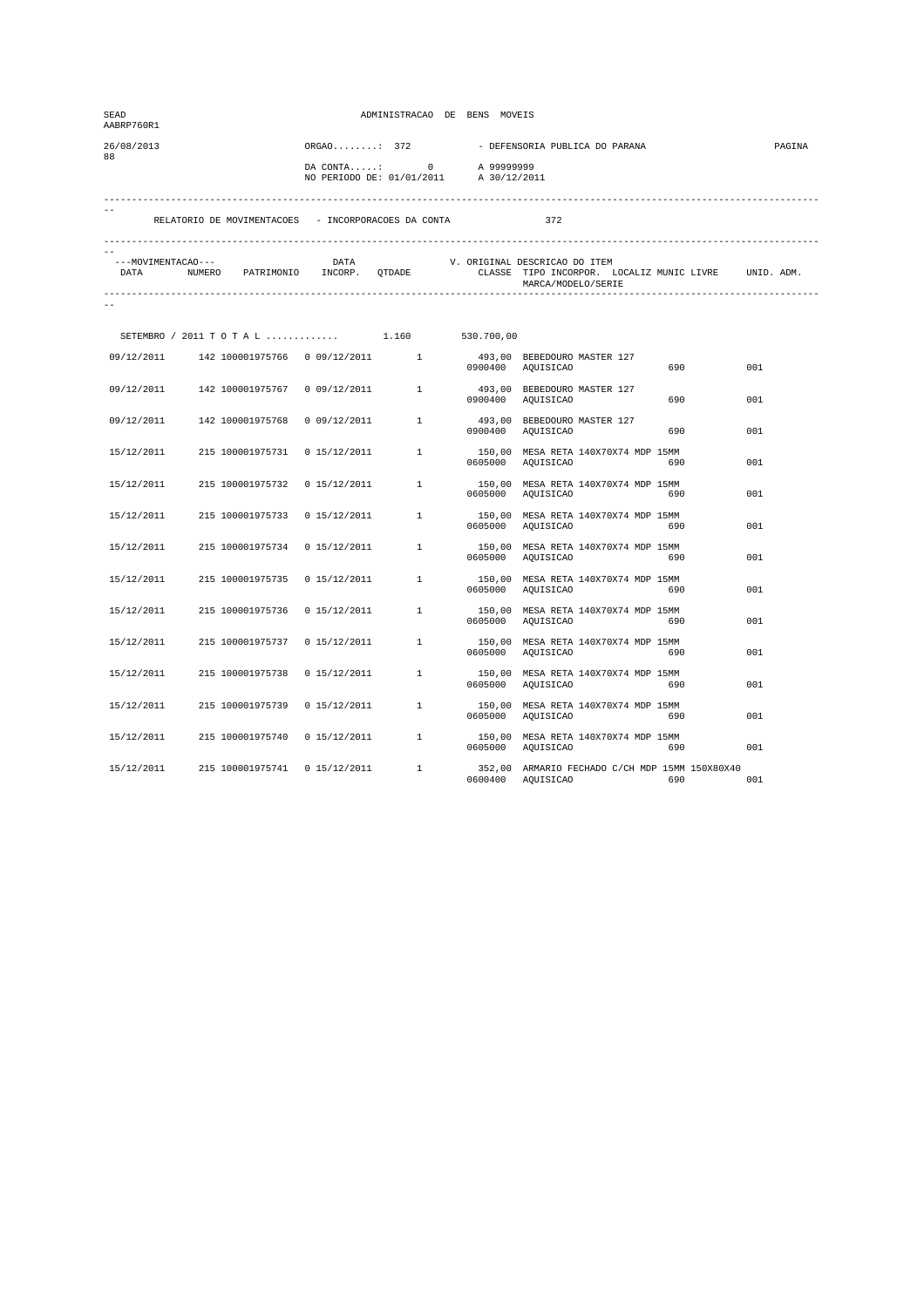| SEAD<br>AABRP760R1         | ADMINISTRACAO DE BENS MOVEIS                                        |  |                |              |         |                                                                                                             |     |     |  |  |
|----------------------------|---------------------------------------------------------------------|--|----------------|--------------|---------|-------------------------------------------------------------------------------------------------------------|-----|-----|--|--|
| 26/08/2013<br>88           |                                                                     |  | $ORGAO$ : 372  |              |         | - DEFENSORIA PUBLICA DO PARANA                                                                              |     |     |  |  |
|                            | DA CONTA: 0 A 99999999<br>NO PERIODO DE: 01/01/2011<br>A 30/12/2011 |  |                |              |         |                                                                                                             |     |     |  |  |
|                            | RELATORIO DE MOVIMENTACOES - INCORPORACOES DA CONTA                 |  |                |              |         | 372                                                                                                         |     |     |  |  |
| ---MOVIMENTACAO---<br>DATA | NUMERO PATRIMONIO INCORP. QTDADE                                    |  | DATA           |              |         | V. ORIGINAL DESCRICAO DO ITEM<br>CLASSE TIPO INCORPOR. LOCALIZ MUNIC LIVRE UNID. ADM.<br>MARCA/MODELO/SERIE |     |     |  |  |
|                            |                                                                     |  |                |              |         |                                                                                                             |     |     |  |  |
|                            | SETEMBRO / 2011 T O T A L  1.160 530.700,00                         |  |                |              |         |                                                                                                             |     |     |  |  |
| 09/12/2011                 | 142 100001975766  0 09/12/2011                                      |  |                | $\mathbf{1}$ |         | 493,00 BEBEDOURO MASTER 127<br>0900400 AQUISICAO                                                            | 690 | 001 |  |  |
| 09/12/2011                 | 142 100001975767  0 09/12/2011                                      |  |                | $\mathbf{1}$ | 0900400 | 493,00 BEBEDOURO MASTER 127<br>AQUISICAO                                                                    | 690 | 001 |  |  |
| 09/12/2011                 | 142 100001975768                                                    |  | 0 09/12/2011   | $\mathbf{1}$ | 0900400 | 493,00 BEBEDOURO MASTER 127<br>AQUISICAO                                                                    | 690 | 001 |  |  |
| 15/12/2011                 | 215 100001975731                                                    |  | 0 15/12/2011   | $\mathbf{1}$ | 0605000 | 150,00 MESA RETA 140X70X74 MDP 15MM<br>AQUISICAO                                                            | 690 | 001 |  |  |
| 15/12/2011                 | 215 100001975732                                                    |  | 0 15/12/2011   | $\mathbf{1}$ | 0605000 | 150,00 MESA RETA 140X70X74 MDP 15MM<br>AQUISICAO                                                            | 690 | 001 |  |  |
| 15/12/2011                 | 215 100001975733                                                    |  | 0 15/12/2011   | $\mathbf{1}$ | 0605000 | 150,00 MESA RETA 140X70X74 MDP 15MM<br>AQUISICAO                                                            | 690 | 001 |  |  |
| 15/12/2011                 | 215 100001975734                                                    |  | 0 15/12/2011   | $\mathbf{1}$ | 0605000 | 150,00 MESA RETA 140X70X74 MDP 15MM<br>AQUISICAO                                                            | 690 | 001 |  |  |
| 15/12/2011                 | 215 100001975735                                                    |  | 0 15/12/2011   | $\mathbf{1}$ | 0605000 | 150,00 MESA RETA 140X70X74 MDP 15MM<br>AQUISICAO                                                            | 690 | 001 |  |  |
| 15/12/2011                 | 215 100001975736                                                    |  | 0 15/12/2011   | $\mathbf{1}$ | 0605000 | 150,00 MESA RETA 140X70X74 MDP 15MM<br>AQUISICAO                                                            | 690 | 001 |  |  |
| 15/12/2011                 | 215 100001975737                                                    |  | 0 15/12/2011   | $\mathbf{1}$ | 0605000 | 150,00 MESA RETA 140X70X74 MDP 15MM<br><b>AQUISICAO</b>                                                     | 690 | 001 |  |  |
| 15/12/2011                 | 215 100001975738                                                    |  | 0 15/12/2011   | $\mathbf{1}$ | 0605000 | 150,00 MESA RETA 140X70X74 MDP 15MM<br>AQUISICAO                                                            | 690 | 001 |  |  |
| 15/12/2011                 | 215 100001975739                                                    |  | 0 15/12/2011   | $\mathbf{1}$ | 0605000 | 150,00 MESA RETA 140X70X74 MDP 15MM<br>AQUISICAO                                                            | 690 | 001 |  |  |
| 15/12/2011                 | 215 100001975740                                                    |  | $0$ 15/12/2011 | $\mathbf{1}$ | 0605000 | 150,00 MESA RETA 140X70X74 MDP 15MM<br>AQUISICAO                                                            | 690 | 001 |  |  |
| 15/12/2011                 | 215 100001975741  0 15/12/2011                                      |  |                | $\mathbf{1}$ | 0600400 | 352,00 ARMARIO FECHADO C/CH MDP 15MM 150X80X40<br>AQUISICAO                                                 | 690 | 001 |  |  |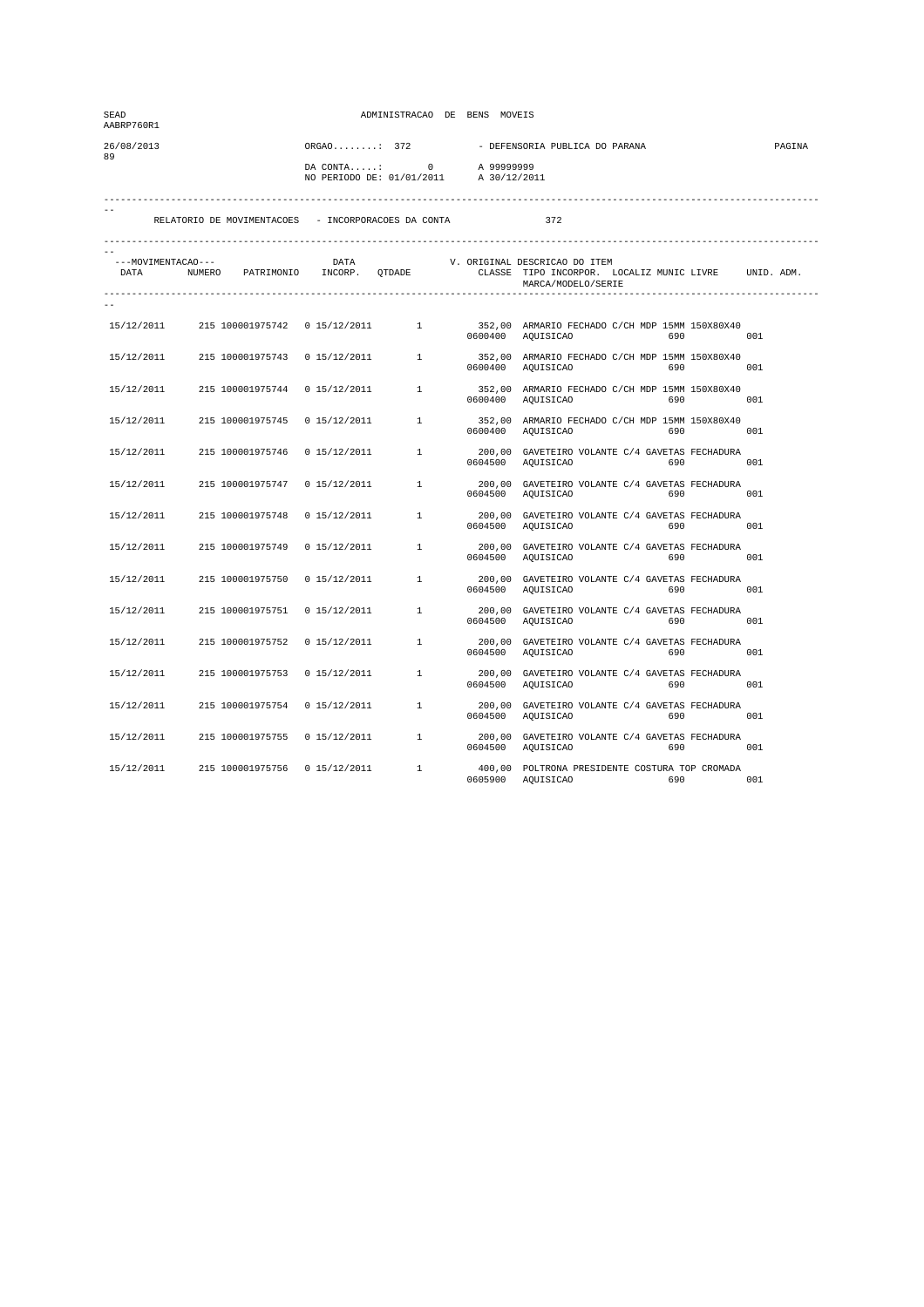| SEAD<br>AABRP760R1         |                                                     | ADMINISTRACAO DE BENS MOVEIS |                                            |         |                                                                                                             |     |  |  |
|----------------------------|-----------------------------------------------------|------------------------------|--------------------------------------------|---------|-------------------------------------------------------------------------------------------------------------|-----|--|--|
| 26/08/2013<br>89           |                                                     | $ORGAO$ : 372                | $DA$ CONTA: 0<br>NO PERIODO DE: 01/01/2011 |         | - DEFENSORIA PUBLICA DO PARANA<br>A 99999999<br>A 30/12/2011                                                |     |  |  |
|                            | RELATORIO DE MOVIMENTACOES - INCORPORACOES DA CONTA |                              |                                            |         | 372                                                                                                         |     |  |  |
| ---MOVIMENTACAO---<br>DATA | NUMERO PATRIMONIO INCORP. QTDADE                    | <b>DATA</b>                  |                                            |         | V. ORIGINAL DESCRICAO DO ITEM<br>CLASSE TIPO INCORPOR. LOCALIZ MUNIC LIVRE UNID. ADM.<br>MARCA/MODELO/SERIE |     |  |  |
| 15/12/2011                 | 215 100001975742  0 15/12/2011  1                   |                              |                                            |         | 352,00 ARMARIO FECHADO C/CH MDP 15MM 150X80X40<br>0600400 AQUISICAO<br>690<br>001                           |     |  |  |
|                            | 15/12/2011 215 100001975743                         | $0 15/12/2011$ 1             |                                            |         | 352,00 ARMARIO FECHADO C/CH MDP 15MM 150X80X40<br>0600400 AQUISICAO<br>690                                  | 001 |  |  |
| 15/12/2011                 | 215 100001975744  0 15/12/2011                      |                              | $\mathbf{1}$                               |         | 352,00 ARMARIO FECHADO C/CH MDP 15MM 150X80X40<br>0600400 AQUISICAO<br>690                                  | 001 |  |  |
|                            | 15/12/2011 215 100001975745 0 15/12/2011            |                              | $1 \quad$                                  |         | 352,00 ARMARIO FECHADO C/CH MDP 15MM 150X80X40<br>0600400 AQUISICAO<br>690                                  | 001 |  |  |
| 15/12/2011                 | 215 100001975746                                    | 0 15/12/2011                 | $\mathbf{1}$                               | 0604500 | 200,00 GAVETEIRO VOLANTE C/4 GAVETAS FECHADURA<br>AQUISICAO<br>690                                          | 001 |  |  |
| 15/12/2011                 | 215 100001975747                                    | 0 15/12/2011                 | $\mathbf{1}$                               | 0604500 | 200,00 GAVETEIRO VOLANTE C/4 GAVETAS FECHADURA<br>690<br>AQUISICAO                                          | 001 |  |  |
| 15/12/2011                 | 215 100001975748  0 15/12/2011                      |                              | $\mathbf{1}$                               | 0604500 | 200,00 GAVETEIRO VOLANTE C/4 GAVETAS FECHADURA<br>AQUISICAO                                                 | 001 |  |  |
| 15/12/2011                 | 215 100001975749  0 15/12/2011                      |                              | $\mathbf{1}$                               |         | 200,00 GAVETEIRO VOLANTE C/4 GAVETAS FECHADURA<br>0604500 AQUISICAO<br>690                                  | 001 |  |  |
| 15/12/2011                 | 215 100001975750                                    | 0 15/12/2011                 | $\mathbf{1}$                               |         | 200,00 GAVETEIRO VOLANTE C/4 GAVETAS FECHADURA<br>0604500 AQUISICAO<br>690                                  | 001 |  |  |
| 15/12/2011                 | 215 100001975751  0 15/12/2011                      |                              | $\mathbf{1}$                               | 0604500 | 200,00 GAVETEIRO VOLANTE C/4 GAVETAS FECHADURA<br>AQUISICAO<br>690                                          | 001 |  |  |
| 15/12/2011                 | 215 100001975752  0 15/12/2011                      |                              | $\mathbf{1}$                               | 0604500 | 200,00 GAVETEIRO VOLANTE C/4 GAVETAS FECHADURA<br>AQUISICAO<br>690 700                                      | 001 |  |  |
| 15/12/2011                 | 215 100001975753   0 15/12/2011                     |                              | $1 \quad$                                  | 0604500 | 200,00 GAVETEIRO VOLANTE C/4 GAVETAS FECHADURA<br>AQUISICAO<br>690 001                                      |     |  |  |
| 15/12/2011                 | 215 100001975754  0 15/12/2011                      |                              | $\mathbf{1}$                               |         | 200,00 GAVETEIRO VOLANTE C/4 GAVETAS FECHADURA<br>0604500 AQUISICAO<br>690                                  | 001 |  |  |
| 15/12/2011                 | 215 100001975755  0 15/12/2011                      |                              | $\mathbf{1}$                               |         | 200,00 GAVETEIRO VOLANTE C/4 GAVETAS FECHADURA<br>0604500 AQUISICAO<br>690                                  | 001 |  |  |
|                            | 15/12/2011 215 100001975756 0 15/12/2011            |                              | $\mathbf{1}$                               | 0605900 | 400,00 POLTRONA PRESIDENTE COSTURA TOP CROMADA<br>AQUISICAO<br>690                                          | 001 |  |  |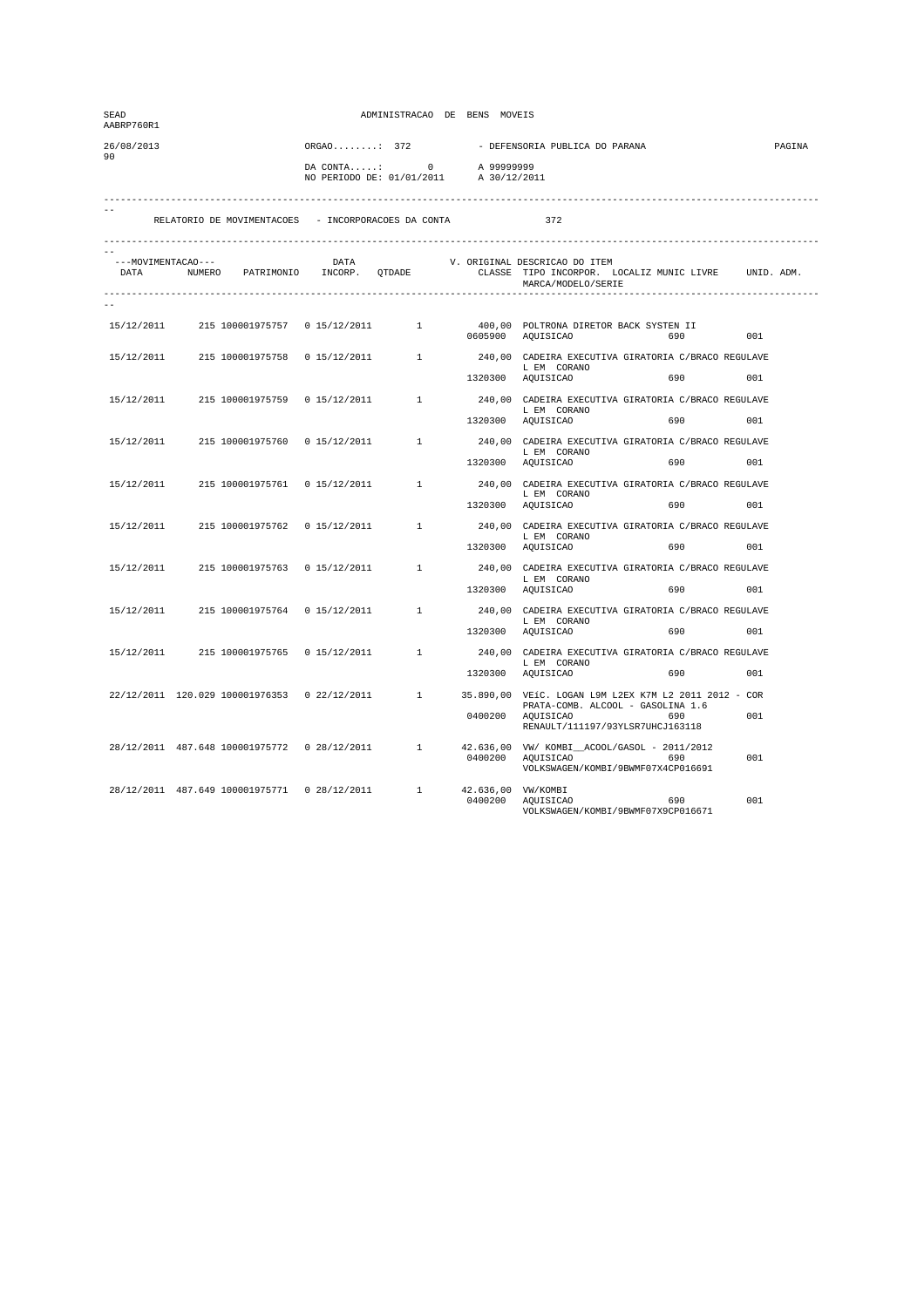| SEAD<br>AABRP760R1 |                                                                   |             | ADMINISTRACAO DE BENS MOVEIS                                      |                                                                                                                                                                                                                                |        |
|--------------------|-------------------------------------------------------------------|-------------|-------------------------------------------------------------------|--------------------------------------------------------------------------------------------------------------------------------------------------------------------------------------------------------------------------------|--------|
| 26/08/2013         |                                                                   |             | $ORGAO$ : 372                                                     | - DEFENSORIA PUBLICA DO PARANA                                                                                                                                                                                                 | PAGINA |
| 90                 |                                                                   |             | DA CONTA: 0 A 999999999<br>NO PERIODO DE: 01/01/2011 A 30/12/2011 |                                                                                                                                                                                                                                |        |
|                    | RELATORIO DE MOVIMENTACOES - INCORPORACOES DA CONTA               |             |                                                                   | 372                                                                                                                                                                                                                            |        |
| ---MOVIMENTACAO--- | v ---MOVIMENTACAO---<br>DATA NUMERO PATRIMONIO INCORP. QTDADE     | <b>DATA</b> |                                                                   | V. ORIGINAL DESCRICAO DO ITEM<br>CLASSE TIPO INCORPOR. LOCALIZ MUNIC LIVRE UNID. ADM.<br>MARCA/MODELO/SERIE                                                                                                                    |        |
|                    |                                                                   |             |                                                                   | $15/12/2011 \hspace{1.5cm} 215 \hspace{1.5cm} 100001975757 \hspace{1.5cm} 0 \hspace{1.5cm} 15/12/2011 \hspace{1.5cm} 1 \hspace{1.5cm} 400,00 \hspace{1.5cm} \text{POLTRONA DIRETOR BACK SYSTEM II} \hspace{1.5cm} 690$         | 001    |
|                    |                                                                   |             |                                                                   | $15/12/2011 \qquad \quad 215\,\,100001975758 \qquad \quad 0\,\,15/12/2011 \qquad \qquad 1 \qquad \qquad 240\,,00 \quad \quad \quad \quad \quad \quad 2408.728$                                                                 |        |
|                    |                                                                   |             |                                                                   | L EM CORANO<br>1320300 AQUISICAO<br>690 001                                                                                                                                                                                    |        |
|                    | 15/12/2011 215 100001975759 0 15/12/2011 1                        |             |                                                                   | 240,00 CADEIRA EXECUTIVA GIRATORIA C/BRACO REGULAVE<br>L EM CORANO                                                                                                                                                             |        |
|                    |                                                                   |             |                                                                   | 1320300 AQUISICAO<br>690 001                                                                                                                                                                                                   |        |
|                    |                                                                   |             |                                                                   | 15/12/2011 215 100001975760 0 15/12/2011 1 240,00 CADEIRA EXECUTIVA GIRATORIA C/BRACO REGULAVE<br>L EM CORANO<br>1320300 AQUISICAO<br>690 001                                                                                  |        |
| 15/12/2011         | 215 100001975761  0 15/12/2011                                    |             |                                                                   | 1 240,00 CADEIRA EXECUTIVA GIRATORIA C/BRACO REGULAVE                                                                                                                                                                          |        |
|                    |                                                                   |             |                                                                   | L EM CORANO<br>1320300 AQUISICAO<br>690 001                                                                                                                                                                                    |        |
| 15/12/2011         | 215 100001975762  0 15/12/2011  1                                 |             |                                                                   | 240,00 CADEIRA EXECUTIVA GIRATORIA C/BRACO REGULAVE                                                                                                                                                                            |        |
|                    |                                                                   |             |                                                                   | L EM CORANO<br>1320300 AQUISICAO<br>690 001                                                                                                                                                                                    |        |
|                    | 15/12/2011 215 100001975763 0 15/12/2011 1                        |             |                                                                   | 240,00 CADEIRA EXECUTIVA GIRATORIA C/BRACO REGULAVE<br>L EM CORANO                                                                                                                                                             |        |
|                    |                                                                   |             |                                                                   | 1320300 AQUISICAO<br>690 001                                                                                                                                                                                                   |        |
|                    |                                                                   |             |                                                                   | 15/12/2011 215 100001975764 0 15/12/2011 1 240,00 CADEIRA EXECUTIVA GIRATORIA C/BRACO REGULAVE<br>L EM CORANO                                                                                                                  |        |
|                    |                                                                   |             |                                                                   | 1320300 AQUISICAO<br>690 001                                                                                                                                                                                                   |        |
|                    |                                                                   |             |                                                                   | $15/12/2011 \hspace{1.5cm} 215 \hspace{1.5cm} 100001975765 \hspace{1.5cm} 0 \hspace{1.5cm} 15/12/2011 \hspace{1.5cm} 1 \hspace{1.5cm} 240,00 \hspace{1.5cm} \text{CDEFra EXECUTIVA GIRATORIA C/BRACO REGULAVE}$<br>L EM CORANO |        |
|                    |                                                                   |             |                                                                   | 1320300 AQUISICAO<br>690 001                                                                                                                                                                                                   |        |
|                    |                                                                   |             |                                                                   | 22/12/2011 120.029 100001976353 0 22/12/2011 1 35.890,00 VEÍC. LOGAN L9M L2EX K7M L2 2011 2012 - COR<br>PRATA-COMB. ALCOOL - GASOLINA 1.6<br>0400200 AQUISICAO 690<br>RENAULT/111197/93YLSR7UHCJ163118                         | 001    |
|                    |                                                                   |             |                                                                   | 28/12/2011 487.648 100001975772 0 28/12/2011 1 42.636,00 VW/ KOMBI_ACOOL/GASOL - 2011/2012<br>0400200 AQUISICAO<br>VOLKSWAGEN/KOMBI/9BWMF07X4CP016691                                                                          | 001    |
|                    | 28/12/2011 487.649 100001975771 0 28/12/2011 1 42.636,00 VW/KOMBI |             |                                                                   | 690 70<br>0400200 AQUISICAO<br>VOLKSWAGEN/KOMBI/9BWMF07X9CP016671                                                                                                                                                              | 001    |